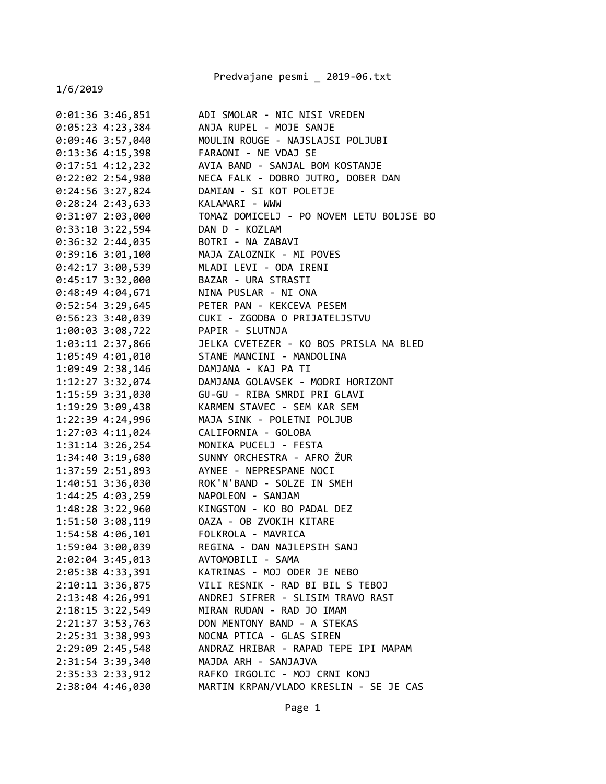Predvajane pesmi \_ 2019-06.txt

1/6/2019

0:01:36 3:46,851 ADI SMOLAR - NIC NISI VREDEN 0:05:23 4:23,384 ANJA RUPEL - MOJE SANJE 0:09:46 3:57,040 MOULIN ROUGE - NAJSLAJSI POLJUBI 0:13:36 4:15,398 FARAONI - NE VDAJ SE 0:17:51 4:12,232 AVIA BAND - SANJAL BOM KOSTANJE 0:22:02 2:54,980 NECA FALK - DOBRO JUTRO, DOBER DAN 0:24:56 3:27,824 DAMIAN - SI KOT POLETJE 0:28:24 2:43,633 KALAMARI - WWW 0:31:07 2:03,000 TOMAZ DOMICELJ - PO NOVEM LETU BOLJSE BO 0:33:10 3:22,594 DAN D - KOZLAM 0:36:32 2:44,035 BOTRI - NA ZABAVI 0:39:16 3:01,100 MAJA ZALOZNIK - MI POVES 0:42:17 3:00,539 MLADI LEVI - ODA IRENI 0:45:17 3:32,000 BAZAR - URA STRASTI 0:48:49 4:04,671 NINA PUSLAR - NI ONA 0:52:54 3:29,645 PETER PAN - KEKCEVA PESEM 0:56:23 3:40,039 CUKI - ZGODBA O PRIJATELJSTVU 1:00:03 3:08,722 PAPIR - SLUTNJA 1:03:11 2:37,866 JELKA CVETEZER - KO BOS PRISLA NA BLED 1:05:49 4:01,010 STANE MANCINI - MANDOLINA 1:09:49 2:38,146 DAMJANA - KAJ PA TI 1:12:27 3:32,074 DAMJANA GOLAVSEK - MODRI HORIZONT 1:15:59 3:31,030 GU-GU - RIBA SMRDI PRI GLAVI 1:19:29 3:09,438 KARMEN STAVEC - SEM KAR SEM 1:22:39 4:24,996 MAJA SINK - POLETNI POLJUB 1:27:03 4:11,024 CALIFORNIA - GOLOBA 1:31:14 3:26,254 MONIKA PUCELJ - FESTA 1:34:40 3:19,680 SUNNY ORCHESTRA - AFRO ŽUR 1:37:59 2:51,893 AYNEE - NEPRESPANE NOCI 1:40:51 3:36,030 ROK'N'BAND - SOLZE IN SMEH 1:44:25 4:03,259 NAPOLEON - SANJAM 1:48:28 3:22,960 KINGSTON - KO BO PADAL DEZ 1:51:50 3:08,119 OAZA - OB ZVOKIH KITARE 1:54:58 4:06,101 FOLKROLA - MAVRICA 1:59:04 3:00,039 REGINA - DAN NAJLEPSIH SANJ 2:02:04 3:45,013 AVTOMOBILI - SAMA 2:05:38 4:33,391 KATRINAS - MOJ ODER JE NEBO 2:10:11 3:36,875 VILI RESNIK - RAD BI BIL S TEBOJ 2:13:48 4:26,991 ANDREJ SIFRER - SLISIM TRAVO RAST 2:18:15 3:22,549 MIRAN RUDAN - RAD JO IMAM 2:21:37 3:53,763 DON MENTONY BAND - A STEKAS 2:25:31 3:38,993 NOCNA PTICA - GLAS SIREN 2:29:09 2:45,548 ANDRAZ HRIBAR - RAPAD TEPE IPI MAPAM 2:31:54 3:39,340 MAJDA ARH - SANJAJVA 2:35:33 2:33,912 RAFKO IRGOLIC - MOJ CRNI KONJ 2:38:04 4:46,030 MARTIN KRPAN/VLADO KRESLIN - SE JE CAS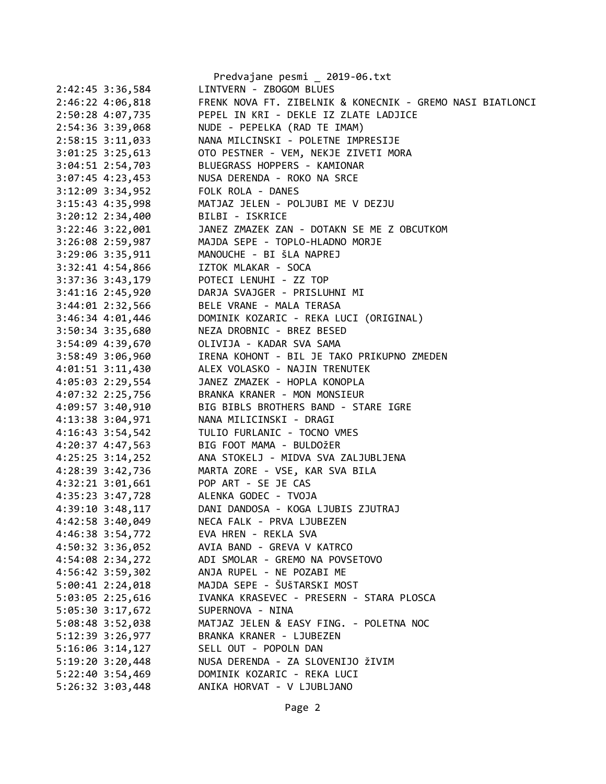|                      | Predvajane pesmi _ 2019-06.txt                                     |
|----------------------|--------------------------------------------------------------------|
| 2:42:45 3:36,584     | LINTVERN - ZBOGOM BLUES                                            |
| 2:46:22 4:06,818     | FRENK NOVA FT. ZIBELNIK & KONECNIK - GREMO NASI BIATLONCI          |
| 2:50:28 4:07,735     | PEPEL IN KRI - DEKLE IZ ZLATE LADJICE                              |
| 2:54:36 3:39,068     | NUDE - PEPELKA (RAD TE IMAM)                                       |
| $2:58:15$ $3:11,033$ | NANA MILCINSKI - POLETNE IMPRESIJE                                 |
| $3:01:25$ 3:25,613   | OTO PESTNER - VEM, NEKJE ZIVETI MORA                               |
| $3:04:51$ $2:54,703$ | BLUEGRASS HOPPERS - KAMIONAR                                       |
| $3:07:45$ 4:23,453   | NUSA DERENDA - ROKO NA SRCE                                        |
|                      | 3:12:09 3:34,952 FOLK ROLA - DANES                                 |
|                      | 3:15:43 4:35,998 MATJAZ JELEN - POLJUBI ME V DEZJU                 |
|                      | 3:20:12 2:34,400 BILBI - ISKRICE                                   |
|                      | 3:22:46 3:22,001 JANEZ ZMAZEK ZAN - DOTAKN SE ME Z OBCUTKOM        |
| 3:26:08 2:59,987     | MAJDA SEPE - TOPLO-HLADNO MORJE                                    |
| $3:29:06$ $3:35,911$ | MANOUCHE - BI ŠLA NAPREJ                                           |
|                      | 3:32:41 4:54,866 IZTOK MLAKAR - SOCA                               |
|                      | 3:37:36 3:43,179 POTECI LENUHI - ZZ TOP                            |
|                      | 3:41:16 2:45,920 DARJA SVAJGER - PRISLUHNI MI                      |
|                      | 3:44:01 2:32,566 BELE VRANE - MALA TERASA                          |
|                      | 3:46:34 4:01,446 DOMINIK KOZARIC - REKA LUCI (ORIGINAL)            |
|                      | 3:50:34 3:35,680 NEZA DROBNIC - BREZ BESED                         |
|                      | 3:54:09 4:39,670 OLIVIJA - KADAR SVA SAMA                          |
|                      | 3:58:49 3:06,960<br>4:01:51 3:11,430 ALEX VOLASKO - NAJIN TRENUTEK |
|                      |                                                                    |
|                      | 4:05:03 2:29,554 JANEZ ZMAZEK - HOPLA KONOPLA                      |
|                      | 4:07:32 2:25,756 BRANKA KRANER - MON MONSIEUR                      |
|                      | 4:09:57 3:40,910 BIG BIBLS BROTHERS BAND - STARE IGRE              |
| 4:13:38 3:04,971     | NANA MILICINSKI - DRAGI                                            |
| 4:16:43 3:54,542     | TULIO FURLANIC - TOCNO VMES                                        |
| 4:20:37 4:47,563     | BIG FOOT MAMA - BULDOŽER                                           |
| $4:25:25$ 3:14,252   | ANA STOKELJ - MIDVA SVA ZALJUBLJENA                                |
|                      | 4:28:39 3:42,736 MARTA ZORE - VSE, KAR SVA BILA                    |
|                      | 4:32:21 3:01,661 POP ART - SE JE CAS                               |
|                      | 4:35:23 3:47,728 ALENKA GODEC - TVOJA                              |
| 4:39:10 3:48,117     | DANI DANDOSA - KOGA LJUBIS ZJUTRAJ                                 |
| 4:42:58 3:40,049     | NECA FALK - PRVA LJUBEZEN                                          |
| 4:46:38 3:54,772     | EVA HREN - REKLA SVA                                               |
| 4:50:32 3:36,052     | AVIA BAND - GREVA V KATRCO                                         |
| 4:54:08 2:34,272     | ADI SMOLAR - GREMO NA POVSETOVO                                    |
| 4:56:42 3:59,302     | ANJA RUPEL - NE POZABI ME                                          |
| $5:00:41$ $2:24,018$ | MAJDA SEPE - ŠUŠTARSKI MOST                                        |
| 5:03:05 2:25,616     | IVANKA KRASEVEC - PRESERN - STARA PLOSCA                           |
| 5:05:30 3:17,672     | SUPERNOVA - NINA                                                   |
| 5:08:48 3:52,038     | MATJAZ JELEN & EASY FING. - POLETNA NOC                            |
| 5:12:39 3:26,977     | BRANKA KRANER - LJUBEZEN                                           |
| $5:16:06$ $3:14,127$ | SELL OUT - POPOLN DAN                                              |
|                      | NUSA DERENDA - ZA SLOVENIJO ŽIVIM                                  |
| $5:19:20$ $3:20,448$ | DOMINIK KOZARIC - REKA LUCI                                        |
| 5:22:40 3:54,469     | ANIKA HORVAT - V LJUBLJANO                                         |
| 5:26:32 3:03,448     |                                                                    |
|                      |                                                                    |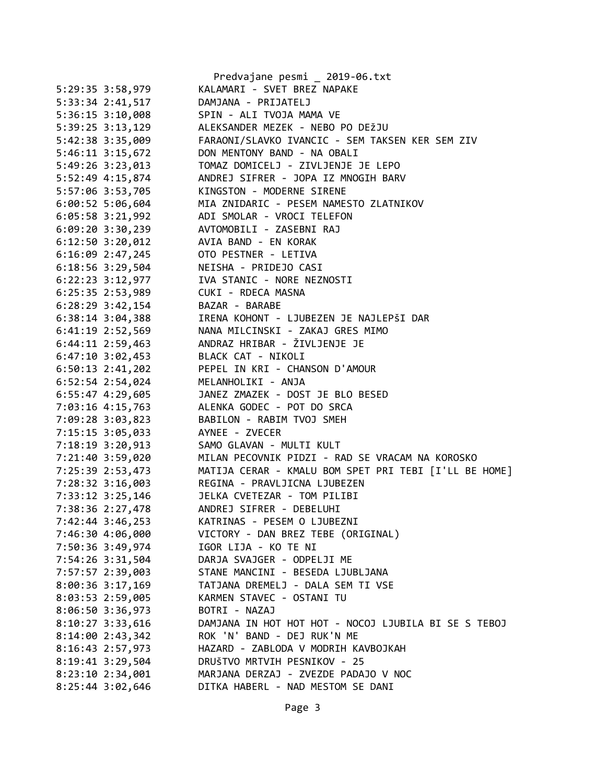|                      | Predvajane pesmi _ 2019-06.txt                        |  |  |
|----------------------|-------------------------------------------------------|--|--|
| 5:29:35 3:58,979     | KALAMARI - SVET BREZ NAPAKE                           |  |  |
| 5:33:34 2:41,517     | DAMJANA - PRIJATELJ                                   |  |  |
| 5:36:15 3:10,008     | SPIN - ALI TVOJA MAMA VE                              |  |  |
| 5:39:25 3:13,129     | ALEKSANDER MEZEK - NEBO PO DEŽJU                      |  |  |
| 5:42:38 3:35,009     | FARAONI/SLAVKO IVANCIC - SEM TAKSEN KER SEM ZIV       |  |  |
| $5:46:11$ $3:15,672$ | DON MENTONY BAND - NA OBALI                           |  |  |
| 5:49:26 3:23,013     | TOMAZ DOMICELJ - ZIVLJENJE JE LEPO                    |  |  |
| 5:52:49 4:15,874     | ANDREJ SIFRER - JOPA IZ MNOGIH BARV                   |  |  |
| 5:57:06 3:53,705     | KINGSTON - MODERNE SIRENE                             |  |  |
| $6:00:52$ 5:06,604   | MIA ZNIDARIC - PESEM NAMESTO ZLATNIKOV                |  |  |
| $6:05:58$ 3:21,992   | ADI SMOLAR - VROCI TELEFON                            |  |  |
| 6:09:20 3:30,239     | AVTOMOBILI - ZASEBNI RAJ                              |  |  |
| $6:12:50$ 3:20,012   | AVIA BAND - EN KORAK                                  |  |  |
| $6:16:09$ 2:47,245   | OTO PESTNER - LETIVA                                  |  |  |
| $6:18:56$ 3:29,504   | NEISHA - PRIDEJO CASI                                 |  |  |
| 6:22:23 3:12,977     | IVA STANIC - NORE NEZNOSTI                            |  |  |
| 6:25:35 2:53,989     | CUKI - RDECA MASNA                                    |  |  |
| $6:28:29$ 3:42,154   | BAZAR - BARABE                                        |  |  |
| $6:38:14$ $3:04,388$ | IRENA KOHONT - LJUBEZEN JE NAJLEPŠI DAR               |  |  |
| 6:41:19 2:52,569     | NANA MILCINSKI - ZAKAJ GRES MIMO                      |  |  |
| 6:44:11 2:59,463     | ANDRAZ HRIBAR - ŽIVLJENJE JE                          |  |  |
| $6:47:10$ $3:02,453$ | BLACK CAT - NIKOLI                                    |  |  |
| $6:50:13$ 2:41,202   | PEPEL IN KRI - CHANSON D'AMOUR                        |  |  |
| 6:52:54 2:54,024     | MELANHOLIKI - ANJA                                    |  |  |
| 6:55:47 4:29,605     | JANEZ ZMAZEK - DOST JE BLO BESED                      |  |  |
| 7:03:16 4:15,763     | ALENKA GODEC - POT DO SRCA                            |  |  |
| 7:09:28 3:03,823     | BABILON - RABIM TVOJ SMEH                             |  |  |
| 7:15:15 3:05,033     | AYNEE - ZVECER                                        |  |  |
| 7:18:19 3:20,913     | SAMO GLAVAN - MULTI KULT                              |  |  |
| 7:21:40 3:59,020     | MILAN PECOVNIK PIDZI - RAD SE VRACAM NA KOROSKO       |  |  |
| 7:25:39 2:53,473     | MATIJA CERAR - KMALU BOM SPET PRI TEBI [I'LL BE HOME] |  |  |
| 7:28:32 3:16,003     | REGINA - PRAVLJICNA LJUBEZEN                          |  |  |
| 7:33:12 3:25,146     | JELKA CVETEZAR - TOM PILIBI                           |  |  |
| 7:38:36 2:27,478     | ANDREJ SIFRER - DEBELUHI                              |  |  |
| 7:42:44 3:46,253     | KATRINAS - PESEM O LJUBEZNI                           |  |  |
| 7:46:30 4:06,000     | VICTORY - DAN BREZ TEBE (ORIGINAL)                    |  |  |
| 7:50:36 3:49,974     | IGOR LIJA - KO TE NI                                  |  |  |
| 7:54:26 3:31,504     | DARJA SVAJGER - ODPELJI ME                            |  |  |
| 7:57:57 2:39,003     | STANE MANCINI - BESEDA LJUBLJANA                      |  |  |
| $8:00:36$ 3:17,169   | TATJANA DREMELJ - DALA SEM TI VSE                     |  |  |
| 8:03:53 2:59,005     | KARMEN STAVEC - OSTANI TU                             |  |  |
| 8:06:50 3:36,973     | BOTRI - NAZAJ                                         |  |  |
| $8:10:27$ 3:33,616   | DAMJANA IN HOT HOT HOT - NOCOJ LJUBILA BI SE S TEBOJ  |  |  |
| 8:14:002:33,342      | ROK 'N' BAND - DEJ RUK'N ME                           |  |  |
| 8:16:43 2:57,973     | HAZARD - ZABLODA V MODRIH KAVBOJKAH                   |  |  |
| $8:19:41$ 3:29,504   | DRUŠTVO MRTVIH PESNIKOV - 25                          |  |  |
| $8:23:10$ 2:34,001   | MARJANA DERZAJ - ZVEZDE PADAJO V NOC                  |  |  |
| 8:25:44 3:02,646     | DITKA HABERL - NAD MESTOM SE DANI                     |  |  |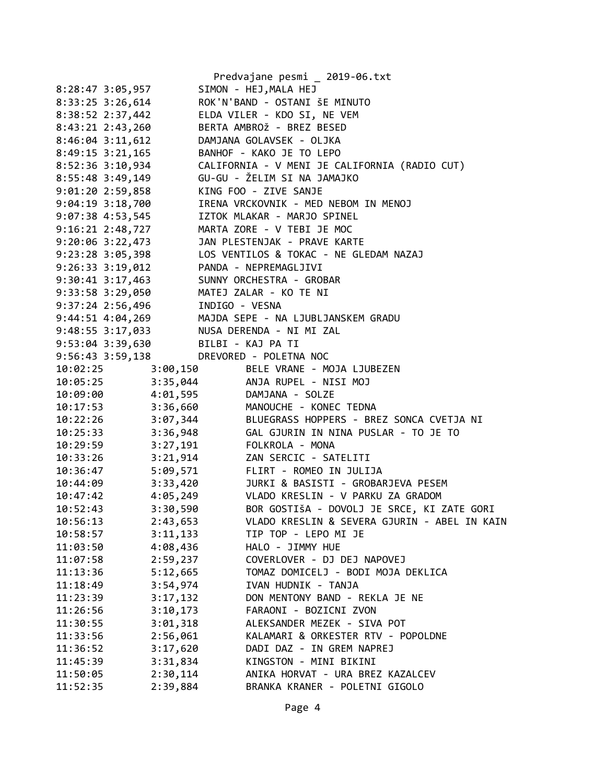|                      |                | Predvajane pesmi _ 2019-06.txt                    |
|----------------------|----------------|---------------------------------------------------|
| 8:28:47 3:05,957     |                | SIMON - HEJ, MALA HEJ                             |
| 8:33:25 3:26,614     |                | ROK'N'BAND - OSTANI ŠE MINUTO                     |
| 8:38:52 2:37,442     |                | ELDA VILER - KDO SI, NE VEM                       |
| 8:43:21 2:43,260     |                | BERTA AMBROŽ - BREZ BESED                         |
| $8:46:04$ 3:11,612   |                | DAMJANA GOLAVSEK - OLJKA                          |
| $8:49:15$ $3:21,165$ |                | BANHOF - KAKO JE TO LEPO                          |
| $8:52:36$ 3:10,934   |                | CALIFORNIA - V MENI JE CALIFORNIA (RADIO CUT)     |
| 8:55:48 3:49,149     |                | GU-GU - ŽELIM SI NA JAMAJKO                       |
| $9:01:20$ 2:59,858   |                | KING FOO - ZIVE SANJE                             |
| $9:04:19$ $3:18,700$ |                | IRENA VRCKOVNIK - MED NEBOM IN MENOJ              |
| $9:07:38$ $4:53,545$ |                | IZTOK MLAKAR - MARJO SPINEL                       |
| 9:16:21 2:48,727     |                | MARTA ZORE - V TEBI JE MOC                        |
| $9:20:06$ 3:22,473   |                | JAN PLESTENJAK - PRAVE KARTE                      |
| $9:23:28$ 3:05,398   |                | LOS VENTILOS & TOKAC - NE GLEDAM NAZAJ            |
| $9:26:33$ $3:19,012$ |                | PANDA - NEPREMAGLJIVI                             |
| $9:30:41$ $3:17,463$ |                | SUNNY ORCHESTRA - GROBAR                          |
| 9:33:58 3:29,050     |                | MATEJ ZALAR - KO TE NI                            |
| 9:37:24 2:56,496     | INDIGO - VESNA |                                                   |
| $9:44:51$ $4:04,269$ |                | MAJDA SEPE - NA LJUBLJANSKEM GRADU                |
| 9:48:55 3:17,033     |                | NUSA DERENDA - NI MI ZAL                          |
| 9:53:04 3:39,630     |                | BILBI - KAJ PA TI                                 |
| $9:56:43$ $3:59,138$ |                | DREVORED - POLETNA NOC                            |
| 10:02:25             | 3:00,150       | BELE VRANE - MOJA LJUBEZEN                        |
| 10:05:25             |                | 3:35,044 ANJA RUPEL - NISI MOJ                    |
| 10:09:00             | 4:01,595       | DAMJANA - SOLZE                                   |
| 10:17:53             | 3:36,660       | MANOUCHE - KONEC TEDNA                            |
| 10:22:26             |                | 3:07,344 BLUEGRASS HOPPERS - BREZ SONCA CVETJA NI |
| 10:25:33             | 3:36,948       | GAL GJURIN IN NINA PUSLAR - TO JE TO              |
| 10:29:59             | 3:27,191       | FOLKROLA - MONA                                   |
| 10:33:26             | 3:21,914       | ZAN SERCIC - SATELITI                             |
| 10:36:47             | 5:09,571       | FLIRT - ROMEO IN JULIJA                           |
| 10:44:09             | 3:33,420       | JURKI & BASISTI - GROBARJEVA PESEM                |
| 10:47:42             |                | 4:05,249 VLADO KRESLIN - V PARKU ZA GRADOM        |
| 10:52:43             | 3:30,590       | BOR GOSTIŠA - DOVOLJ JE SRCE, KI ZATE GORI        |
| 10:56:13             | 2:43,653       | VLADO KRESLIN & SEVERA GJURIN - ABEL IN KAIN      |
| 10:58:57             | 3:11,133       | TIP TOP - LEPO MI JE                              |
| 11:03:50             | 4:08,436       | HALO - JIMMY HUE                                  |
| 11:07:58             | 2:59,237       | COVERLOVER - DJ DEJ NAPOVEJ                       |
| 11:13:36             | 5:12,665       | TOMAZ DOMICELJ - BODI MOJA DEKLICA                |
| 11:18:49             | 3:54,974       | IVAN HUDNIK - TANJA                               |
| 11:23:39             | 3:17,132       | DON MENTONY BAND - REKLA JE NE                    |
| 11:26:56             | 3:10,173       | FARAONI - BOZICNI ZVON                            |
| 11:30:55             | 3:01,318       | ALEKSANDER MEZEK - SIVA POT                       |
| 11:33:56             | 2:56,061       | KALAMARI & ORKESTER RTV - POPOLDNE                |
| 11:36:52             | 3:17,620       | DADI DAZ - IN GREM NAPREJ                         |
| 11:45:39             | 3:31,834       | KINGSTON - MINI BIKINI                            |
| 11:50:05             | 2:30,114       | ANIKA HORVAT - URA BREZ KAZALCEV                  |
| 11:52:35             | 2:39,884       | BRANKA KRANER - POLETNI GIGOLO                    |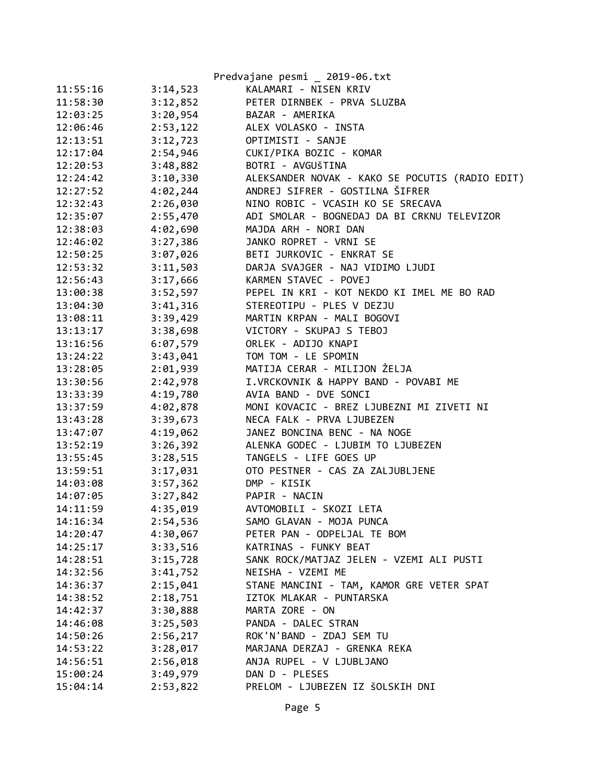|          |          | Predvajane pesmi _ 2019-06.txt                  |
|----------|----------|-------------------------------------------------|
| 11:55:16 | 3:14,523 | KALAMARI - NISEN KRIV                           |
| 11:58:30 | 3:12,852 | PETER DIRNBEK - PRVA SLUZBA                     |
| 12:03:25 | 3:20,954 | BAZAR - AMERIKA                                 |
| 12:06:46 | 2:53,122 | ALEX VOLASKO - INSTA                            |
| 12:13:51 | 3:12,723 | OPTIMISTI - SANJE                               |
| 12:17:04 | 2:54,946 | CUKI/PIKA BOZIC - KOMAR                         |
| 12:20:53 | 3:48,882 | BOTRI - AVGUŠTINA                               |
| 12:24:42 | 3:10,330 | ALEKSANDER NOVAK - KAKO SE POCUTIS (RADIO EDIT) |
| 12:27:52 | 4:02,244 | ANDREJ SIFRER - GOSTILNA ŠIFRER                 |
| 12:32:43 | 2:26,030 | NINO ROBIC - VCASIH KO SE SRECAVA               |
| 12:35:07 | 2:55,470 | ADI SMOLAR - BOGNEDAJ DA BI CRKNU TELEVIZOR     |
| 12:38:03 | 4:02,690 | MAJDA ARH - NORI DAN                            |
| 12:46:02 | 3:27,386 | JANKO ROPRET - VRNI SE                          |
| 12:50:25 | 3:07,026 | BETI JURKOVIC - ENKRAT SE                       |
| 12:53:32 | 3:11,503 | DARJA SVAJGER - NAJ VIDIMO LJUDI                |
| 12:56:43 | 3:17,666 | KARMEN STAVEC - POVEJ                           |
| 13:00:38 | 3:52,597 | PEPEL IN KRI - KOT NEKDO KI IMEL ME BO RAD      |
| 13:04:30 | 3:41,316 | STEREOTIPU - PLES V DEZJU                       |
| 13:08:11 | 3:39,429 | MARTIN KRPAN - MALI BOGOVI                      |
| 13:13:17 | 3:38,698 | VICTORY - SKUPAJ S TEBOJ                        |
| 13:16:56 | 6:07,579 | ORLEK - ADIJO KNAPI                             |
| 13:24:22 | 3:43,041 | TOM TOM - LE SPOMIN                             |
| 13:28:05 | 2:01,939 | MATIJA CERAR - MILIJON ŽELJA                    |
| 13:30:56 | 2:42,978 | I.VRCKOVNIK & HAPPY BAND - POVABI ME            |
| 13:33:39 | 4:19,780 | AVIA BAND - DVE SONCI                           |
| 13:37:59 | 4:02,878 | MONI KOVACIC - BREZ LJUBEZNI MI ZIVETI NI       |
| 13:43:28 | 3:39,673 | NECA FALK - PRVA LJUBEZEN                       |
| 13:47:07 | 4:19,062 | JANEZ BONCINA BENC - NA NOGE                    |
| 13:52:19 | 3:26,392 | ALENKA GODEC - LJUBIM TO LJUBEZEN               |
| 13:55:45 | 3:28,515 | TANGELS - LIFE GOES UP                          |
| 13:59:51 | 3:17,031 | OTO PESTNER - CAS ZA ZALJUBLJENE                |
| 14:03:08 | 3:57,362 | DMP - KISIK                                     |
| 14:07:05 | 3:27,842 | PAPIR - NACIN                                   |
| 14:11:59 | 4:35,019 | AVTOMOBILI - SKOZI LETA                         |
| 14:16:34 | 2:54,536 | SAMO GLAVAN - MOJA PUNCA                        |
| 14:20:47 | 4:30,067 | PETER PAN - ODPELJAL TE BOM                     |
| 14:25:17 | 3:33,516 | KATRINAS - FUNKY BEAT                           |
| 14:28:51 | 3:15,728 | SANK ROCK/MATJAZ JELEN - VZEMI ALI PUSTI        |
| 14:32:56 | 3:41,752 | NEISHA - VZEMI ME                               |
| 14:36:37 | 2:15,041 | STANE MANCINI - TAM, KAMOR GRE VETER SPAT       |
| 14:38:52 | 2:18,751 | IZTOK MLAKAR - PUNTARSKA                        |
| 14:42:37 | 3:30,888 | MARTA ZORE - ON                                 |
| 14:46:08 | 3:25,503 | PANDA - DALEC STRAN                             |
| 14:50:26 | 2:56,217 | ROK'N'BAND - ZDAJ SEM TU                        |
| 14:53:22 | 3:28,017 | MARJANA DERZAJ - GRENKA REKA                    |
| 14:56:51 | 2:56,018 | ANJA RUPEL - V LJUBLJANO                        |
| 15:00:24 | 3:49,979 | DAN D - PLESES                                  |
| 15:04:14 | 2:53,822 | PRELOM - LJUBEZEN IZ ŠOLSKIH DNI                |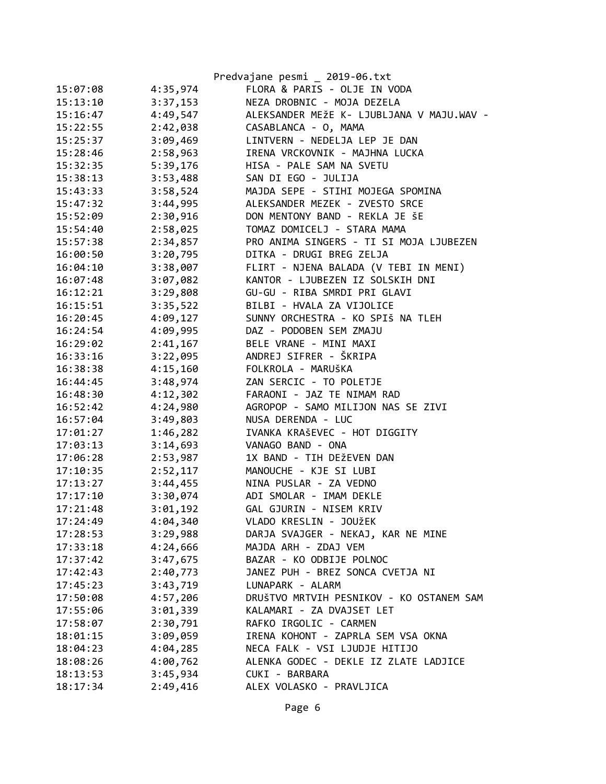|          |          | Predvajane pesmi _ 2019-06.txt            |
|----------|----------|-------------------------------------------|
| 15:07:08 | 4:35,974 | FLORA & PARIS - OLJE IN VODA              |
| 15:13:10 | 3:37,153 | NEZA DROBNIC - MOJA DEZELA                |
| 15:16:47 | 4:49,547 | ALEKSANDER MEŽE K- LJUBLJANA V MAJU.WAV - |
| 15:22:55 | 2:42,038 | CASABLANCA - O, MAMA                      |
| 15:25:37 | 3:09,469 | LINTVERN - NEDELJA LEP JE DAN             |
| 15:28:46 | 2:58,963 | IRENA VRCKOVNIK - MAJHNA LUCKA            |
| 15:32:35 | 5:39,176 | HISA - PALE SAM NA SVETU                  |
| 15:38:13 | 3:53,488 | SAN DI EGO - JULIJA                       |
| 15:43:33 | 3:58,524 | MAJDA SEPE - STIHI MOJEGA SPOMINA         |
| 15:47:32 | 3:44,995 | ALEKSANDER MEZEK - ZVESTO SRCE            |
| 15:52:09 | 2:30,916 | DON MENTONY BAND - REKLA JE ŠE            |
| 15:54:40 | 2:58,025 | TOMAZ DOMICELJ - STARA MAMA               |
| 15:57:38 | 2:34,857 | PRO ANIMA SINGERS - TI SI MOJA LJUBEZEN   |
| 16:00:50 | 3:20,795 | DITKA - DRUGI BREG ZELJA                  |
| 16:04:10 | 3:38,007 | FLIRT - NJENA BALADA (V TEBI IN MENI)     |
| 16:07:48 | 3:07,082 | KANTOR - LJUBEZEN IZ SOLSKIH DNI          |
| 16:12:21 | 3:29,808 | GU-GU - RIBA SMRDI PRI GLAVI              |
| 16:15:51 | 3:35,522 | BILBI - HVALA ZA VIJOLICE                 |
| 16:20:45 | 4:09,127 | SUNNY ORCHESTRA - KO SPIŠ NA TLEH         |
| 16:24:54 | 4:09,995 | DAZ - PODOBEN SEM ZMAJU                   |
| 16:29:02 | 2:41,167 | BELE VRANE - MINI MAXI                    |
| 16:33:16 | 3:22,095 | ANDREJ SIFRER - ŠKRIPA                    |
| 16:38:38 | 4:15,160 | FOLKROLA - MARUŠKA                        |
| 16:44:45 | 3:48,974 | ZAN SERCIC - TO POLETJE                   |
| 16:48:30 | 4:12,302 | FARAONI - JAZ TE NIMAM RAD                |
| 16:52:42 | 4:24,980 | AGROPOP - SAMO MILIJON NAS SE ZIVI        |
| 16:57:04 | 3:49,803 | NUSA DERENDA - LUC                        |
| 17:01:27 | 1:46,282 | IVANKA KRAŠEVEC - HOT DIGGITY             |
| 17:03:13 | 3:14,693 | VANAGO BAND - ONA                         |
| 17:06:28 | 2:53,987 | 1X BAND - TIH DEŽEVEN DAN                 |
| 17:10:35 | 2:52,117 | MANOUCHE - KJE SI LUBI                    |
| 17:13:27 | 3:44,455 | NINA PUSLAR - ZA VEDNO                    |
| 17:17:10 | 3:30,074 | ADI SMOLAR - IMAM DEKLE                   |
| 17:21:48 | 3:01,192 | GAL GJURIN - NISEM KRIV                   |
| 17:24:49 | 4:04,340 | VLADO KRESLIN - JOUŽEK                    |
| 17:28:53 | 3:29,988 | DARJA SVAJGER - NEKAJ, KAR NE MINE        |
| 17:33:18 | 4:24,666 | MAJDA ARH - ZDAJ VEM                      |
| 17:37:42 | 3:47,675 | BAZAR - KO ODBIJE POLNOC                  |
| 17:42:43 | 2:40,773 | JANEZ PUH - BREZ SONCA CVETJA NI          |
| 17:45:23 | 3:43,719 | LUNAPARK - ALARM                          |
| 17:50:08 | 4:57,206 | DRUŠTVO MRTVIH PESNIKOV - KO OSTANEM SAM  |
| 17:55:06 | 3:01,339 | KALAMARI - ZA DVAJSET LET                 |
| 17:58:07 | 2:30,791 | RAFKO IRGOLIC - CARMEN                    |
| 18:01:15 | 3:09,059 | IRENA KOHONT - ZAPRLA SEM VSA OKNA        |
| 18:04:23 | 4:04,285 | NECA FALK - VSI LJUDJE HITIJO             |
| 18:08:26 | 4:00,762 | ALENKA GODEC - DEKLE IZ ZLATE LADJICE     |
| 18:13:53 | 3:45,934 | CUKI - BARBARA                            |
| 18:17:34 | 2:49,416 | ALEX VOLASKO - PRAVLJICA                  |
|          |          |                                           |
|          |          |                                           |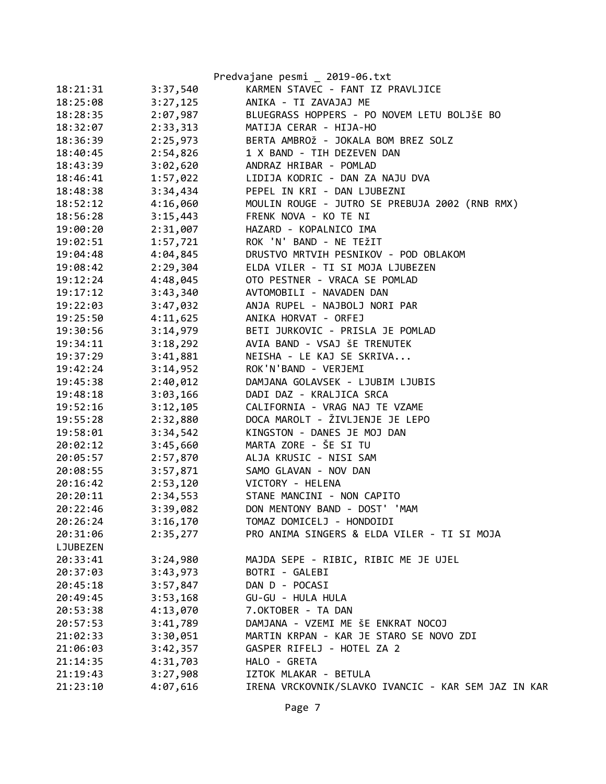|          |          | Predvajane pesmi _ 2019-06.txt                      |
|----------|----------|-----------------------------------------------------|
| 18:21:31 | 3:37,540 | KARMEN STAVEC - FANT IZ PRAVLJICE                   |
| 18:25:08 | 3:27,125 | ANIKA - TI ZAVAJAJ ME                               |
| 18:28:35 | 2:07,987 | BLUEGRASS HOPPERS - PO NOVEM LETU BOLJŠE BO         |
| 18:32:07 | 2:33,313 | MATIJA CERAR - HIJA-HO                              |
| 18:36:39 | 2:25,973 | BERTA AMBROŽ - JOKALA BOM BREZ SOLZ                 |
| 18:40:45 | 2:54,826 | 1 X BAND - TIH DEZEVEN DAN                          |
| 18:43:39 | 3:02,620 | ANDRAZ HRIBAR - POMLAD                              |
| 18:46:41 | 1:57,022 | LIDIJA KODRIC - DAN ZA NAJU DVA                     |
| 18:48:38 | 3:34,434 | PEPEL IN KRI - DAN LJUBEZNI                         |
| 18:52:12 | 4:16,060 | MOULIN ROUGE - JUTRO SE PREBUJA 2002 (RNB RMX)      |
| 18:56:28 | 3:15,443 | FRENK NOVA - KO TE NI                               |
| 19:00:20 | 2:31,007 | HAZARD - KOPALNICO IMA                              |
| 19:02:51 | 1:57,721 | ROK 'N' BAND - NE TEŽIT                             |
| 19:04:48 | 4:04,845 | DRUSTVO MRTVIH PESNIKOV - POD OBLAKOM               |
| 19:08:42 | 2:29,304 | ELDA VILER - TI SI MOJA LJUBEZEN                    |
| 19:12:24 | 4:48,045 | OTO PESTNER - VRACA SE POMLAD                       |
| 19:17:12 | 3:43,340 | AVTOMOBILI - NAVADEN DAN                            |
| 19:22:03 | 3:47,032 | ANJA RUPEL - NAJBOLJ NORI PAR                       |
| 19:25:50 | 4:11,625 | ANIKA HORVAT - ORFEJ                                |
| 19:30:56 | 3:14,979 | BETI JURKOVIC - PRISLA JE POMLAD                    |
| 19:34:11 | 3:18,292 | AVIA BAND - VSAJ ŠE TRENUTEK                        |
| 19:37:29 | 3:41,881 | NEISHA - LE KAJ SE SKRIVA                           |
| 19:42:24 | 3:14,952 | ROK'N'BAND - VERJEMI                                |
| 19:45:38 | 2:40,012 | DAMJANA GOLAVSEK - LJUBIM LJUBIS                    |
| 19:48:18 | 3:03,166 | DADI DAZ - KRALJICA SRCA                            |
| 19:52:16 | 3:12,105 | CALIFORNIA - VRAG NAJ TE VZAME                      |
| 19:55:28 | 2:32,880 | DOCA MAROLT - ŽIVLJENJE JE LEPO                     |
| 19:58:01 | 3:34,542 | KINGSTON - DANES JE MOJ DAN                         |
| 20:02:12 | 3:45,660 | MARTA ZORE - ŠE SI TU                               |
| 20:05:57 | 2:57,870 | ALJA KRUSIC - NISI SAM                              |
| 20:08:55 | 3:57,871 | SAMO GLAVAN - NOV DAN                               |
| 20:16:42 | 2:53,120 | VICTORY - HELENA                                    |
| 20:20:11 | 2:34,553 | STANE MANCINI - NON CAPITO                          |
| 20:22:46 | 3:39,082 | DON MENTONY BAND - DOST' 'MAM                       |
| 20:26:24 | 3:16,170 | TOMAZ DOMICELJ - HONDOIDI                           |
| 20:31:06 | 2:35,277 | PRO ANIMA SINGERS & ELDA VILER - TI SI MOJA         |
| LJUBEZEN |          |                                                     |
| 20:33:41 | 3:24,980 | MAJDA SEPE - RIBIC, RIBIC ME JE UJEL                |
| 20:37:03 | 3:43,973 | BOTRI - GALEBI                                      |
| 20:45:18 | 3:57,847 | DAN D - POCASI                                      |
| 20:49:45 | 3:53,168 | GU-GU - HULA HULA                                   |
| 20:53:38 | 4:13,070 | 7.OKTOBER - TA DAN                                  |
| 20:57:53 | 3:41,789 | DAMJANA - VZEMI ME ŠE ENKRAT NOCOJ                  |
| 21:02:33 | 3:30,051 | MARTIN KRPAN - KAR JE STARO SE NOVO ZDI             |
| 21:06:03 | 3:42,357 | GASPER RIFELJ - HOTEL ZA 2                          |
| 21:14:35 | 4:31,703 | HALO - GRETA                                        |
| 21:19:43 | 3:27,908 | IZTOK MLAKAR - BETULA                               |
| 21:23:10 | 4:07,616 | IRENA VRCKOVNIK/SLAVKO IVANCIC - KAR SEM JAZ IN KAR |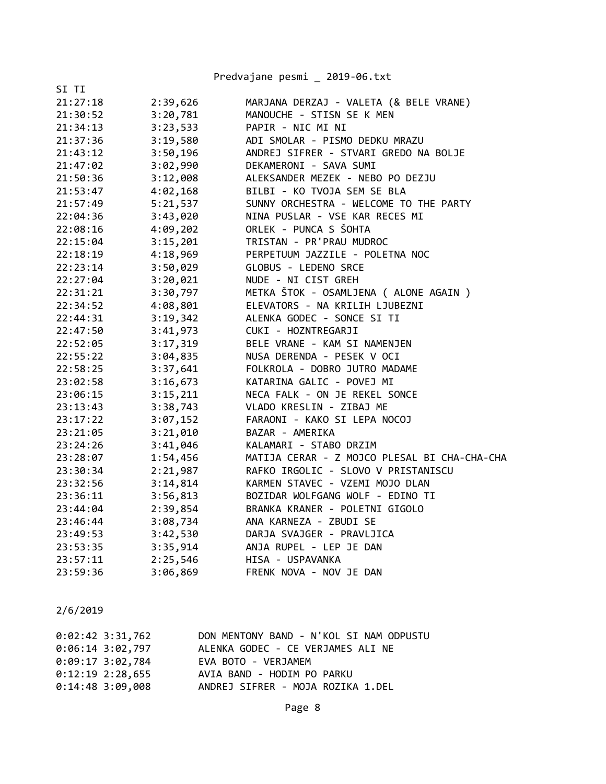|          |          | Predvajane pesmi _ 2019-06.txt               |
|----------|----------|----------------------------------------------|
| SI TI    |          |                                              |
| 21:27:18 | 2:39,626 | MARJANA DERZAJ - VALETA (& BELE VRANE)       |
| 21:30:52 | 3:20,781 | MANOUCHE - STISN SE K MEN                    |
| 21:34:13 | 3:23,533 | PAPIR - NIC MI NI                            |
| 21:37:36 | 3:19,580 | ADI SMOLAR - PISMO DEDKU MRAZU               |
| 21:43:12 | 3:50,196 | ANDREJ SIFRER - STVARI GREDO NA BOLJE        |
| 21:47:02 | 3:02,990 | DEKAMERONI - SAVA SUMI                       |
| 21:50:36 | 3:12,008 | ALEKSANDER MEZEK - NEBO PO DEZJU             |
| 21:53:47 | 4:02,168 | BILBI - KO TVOJA SEM SE BLA                  |
| 21:57:49 | 5:21,537 | SUNNY ORCHESTRA - WELCOME TO THE PARTY       |
| 22:04:36 | 3:43,020 | NINA PUSLAR - VSE KAR RECES MI               |
| 22:08:16 | 4:09,202 | ORLEK - PUNCA S ŠOHTA                        |
| 22:15:04 | 3:15,201 | TRISTAN - PR'PRAU MUDROC                     |
| 22:18:19 | 4:18,969 | PERPETUUM JAZZILE - POLETNA NOC              |
| 22:23:14 | 3:50,029 | GLOBUS - LEDENO SRCE                         |
| 22:27:04 | 3:20,021 | NUDE - NI CIST GREH                          |
| 22:31:21 | 3:30,797 | METKA ŠTOK - OSAMLJENA ( ALONE AGAIN )       |
| 22:34:52 | 4:08,801 | ELEVATORS - NA KRILIH LJUBEZNI               |
| 22:44:31 | 3:19,342 | ALENKA GODEC - SONCE SI TI                   |
| 22:47:50 | 3:41,973 | CUKI - HOZNTREGARJI                          |
| 22:52:05 | 3:17,319 | BELE VRANE - KAM SI NAMENJEN                 |
| 22:55:22 | 3:04,835 | NUSA DERENDA - PESEK V OCI                   |
| 22:58:25 | 3:37,641 | FOLKROLA - DOBRO JUTRO MADAME                |
| 23:02:58 | 3:16,673 | KATARINA GALIC - POVEJ MI                    |
| 23:06:15 | 3:15,211 | NECA FALK - ON JE REKEL SONCE                |
| 23:13:43 | 3:38,743 | VLADO KRESLIN - ZIBAJ ME                     |
| 23:17:22 | 3:07,152 | FARAONI - KAKO SI LEPA NOCOJ                 |
| 23:21:05 | 3:21,010 | BAZAR - AMERIKA                              |
| 23:24:26 | 3:41,046 | KALAMARI - STABO DRZIM                       |
| 23:28:07 | 1:54,456 | MATIJA CERAR - Z MOJCO PLESAL BI CHA-CHA-CHA |
| 23:30:34 | 2:21,987 | RAFKO IRGOLIC - SLOVO V PRISTANISCU          |
| 23:32:56 | 3:14,814 | KARMEN STAVEC - VZEMI MOJO DLAN              |
| 23:36:11 | 3:56,813 | BOZIDAR WOLFGANG WOLF - EDINO TI             |
| 23:44:04 | 2:39,854 | BRANKA KRANER - POLETNI GIGOLO               |
| 23:46:44 | 3:08,734 | ANA KARNEZA - ZBUDI SE                       |
| 23:49:53 | 3:42,530 | DARJA SVAJGER - PRAVLJICA                    |
| 23:53:35 | 3:35,914 | ANJA RUPEL - LEP JE DAN                      |
| 23:57:11 | 2:25,546 | HISA - USPAVANKA                             |
| 23:59:36 | 3:06,869 | FRENK NOVA - NOV JE DAN                      |

| $0:02:42$ 3:31,762 | DON MENTONY BAND - N'KOL SI NAM ODPUSTU |
|--------------------|-----------------------------------------|
| $0:06:14$ 3:02,797 | ALENKA GODEC - CE VERJAMES ALI NE       |
| $0:09:17$ 3:02,784 | EVA BOTO - VERJAMEM                     |
| $0:12:19$ 2:28,655 | AVIA BAND - HODIM PO PARKU              |
| $0:14:48$ 3:09,008 | ANDREJ SIFRER - MOJA ROZIKA 1.DEL       |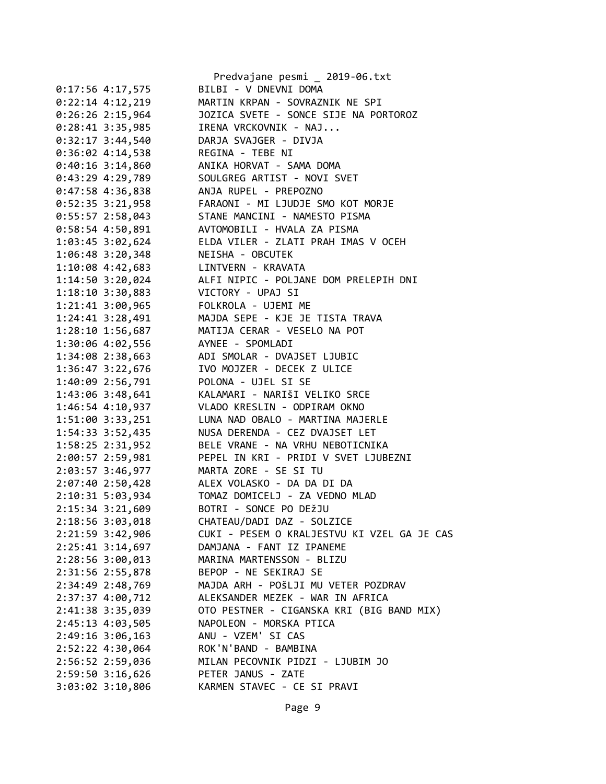|                      | Predvajane pesmi _ 2019-06.txt              |
|----------------------|---------------------------------------------|
| $0:17:56$ 4:17,575   | BILBI - V DNEVNI DOMA                       |
| $0:22:14$ 4:12,219   | MARTIN KRPAN - SOVRAZNIK NE SPI             |
| $0:26:26$ 2:15,964   | JOZICA SVETE - SONCE SIJE NA PORTOROZ       |
| $0:28:41$ 3:35,985   | IRENA VRCKOVNIK - NAJ                       |
| $0:32:17$ 3:44,540   | DARJA SVAJGER - DIVJA                       |
| $0:36:02$ 4:14,538   | REGINA - TEBE NI                            |
| $0:40:16$ 3:14,860   | ANIKA HORVAT - SAMA DOMA                    |
| $0:43:29$ 4:29,789   | SOULGREG ARTIST - NOVI SVET                 |
| $0:47:58$ 4:36,838   | ANJA RUPEL - PREPOZNO                       |
| $0:52:35$ 3:21,958   | FARAONI - MI LJUDJE SMO KOT MORJE           |
| $0:55:57$ 2:58,043   | STANE MANCINI - NAMESTO PISMA               |
| $0:58:54$ 4:50,891   | AVTOMOBILI - HVALA ZA PISMA                 |
| 1:03:45 3:02,624     | ELDA VILER - ZLATI PRAH IMAS V OCEH         |
| $1:06:48$ 3:20,348   | NEISHA - OBCUTEK                            |
| 1:10:08 4:42,683     | LINTVERN - KRAVATA                          |
| $1:14:50$ 3:20,024   | ALFI NIPIC - POLJANE DOM PRELEPIH DNI       |
| $1:18:10$ 3:30,883   | VICTORY - UPAJ SI                           |
| $1:21:41$ $3:00,965$ | FOLKROLA - UJEMI ME                         |
| $1:24:41$ $3:28,491$ | MAJDA SEPE - KJE JE TISTA TRAVA             |
| $1:28:10$ $1:56,687$ | MATIJA CERAR - VESELO NA POT                |
| 1:30:06 4:02,556     | AYNEE - SPOMLADI                            |
| $1:34:08$ $2:38,663$ | ADI SMOLAR - DVAJSET LJUBIC                 |
| 1:36:47 3:22,676     | IVO MOJZER - DECEK Z ULICE                  |
| 1:40:09 2:56,791     | POLONA - UJEL SI SE                         |
| 1:43:06 3:48,641     | KALAMARI - NARIŠI VELIKO SRCE               |
| 1:46:54 4:10,937     | VLADO KRESLIN - ODPIRAM OKNO                |
| 1:51:00 3:33,251     | LUNA NAD OBALO - MARTINA MAJERLE            |
| 1:54:33 3:52,435     | NUSA DERENDA - CEZ DVAJSET LET              |
| 1:58:25 2:31,952     | BELE VRANE - NA VRHU NEBOTICNIKA            |
| 2:00:57 2:59,981     | PEPEL IN KRI - PRIDI V SVET LJUBEZNI        |
| 2:03:57 3:46,977     | MARTA ZORE - SE SI TU                       |
| $2:07:40$ $2:50,428$ | ALEX VOLASKO - DA DA DI DA                  |
| 2:10:31 5:03,934     | TOMAZ DOMICELJ - ZA VEDNO MLAD              |
| 2:15:34 3:21,609     | BOTRI - SONCE PO DEŽJU                      |
| 2:18:56 3:03,018     | CHATEAU/DADI DAZ - SOLZICE                  |
| $2:21:59$ 3:42,906   | CUKI - PESEM O KRALJESTVU KI VZEL GA JE CAS |
| $2:25:41$ $3:14,697$ | DAMJANA - FANT IZ IPANEME                   |
| 2:28:56 3:00,013     | MARINA MARTENSSON - BLIZU                   |
| 2:31:56 2:55,878     | BEPOP - NE SEKIRAJ SE                       |
| 2:34:49 2:48,769     | MAJDA ARH - POŠLJI MU VETER POZDRAV         |
| 2:37:37 4:00,712     | ALEKSANDER MEZEK - WAR IN AFRICA            |
| 2:41:38 3:35,039     | OTO PESTNER - CIGANSKA KRI (BIG BAND MIX)   |
| 2:45:13 4:03,505     | NAPOLEON - MORSKA PTICA                     |
| 2:49:16 3:06,163     | ANU - VZEM' SI CAS                          |
| 2:52:22 4:30,064     | ROK'N'BAND - BAMBINA                        |
| 2:56:52 2:59,036     | MILAN PECOVNIK PIDZI - LJUBIM JO            |
| 2:59:50 3:16,626     | PETER JANUS - ZATE                          |
|                      | KARMEN STAVEC - CE SI PRAVI                 |
| $3:03:02$ $3:10,806$ |                                             |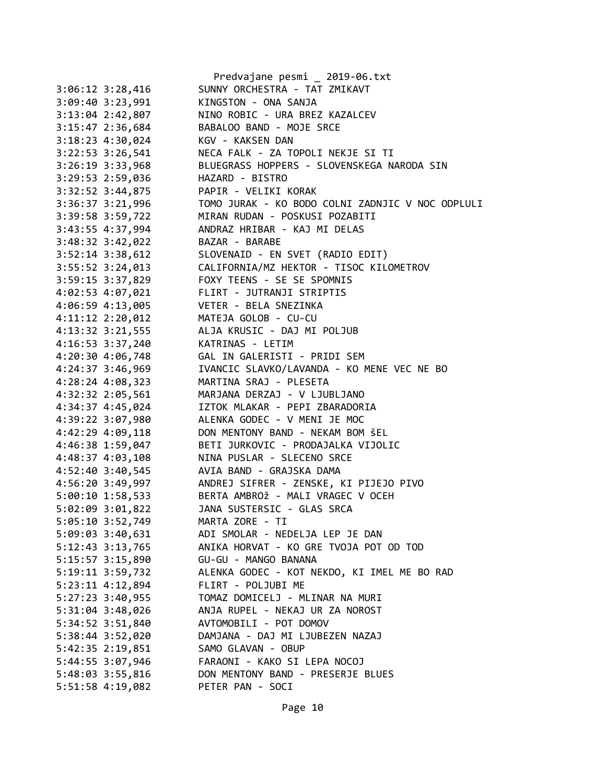| Predvajane pesmi _ 2019-06.txt                   |
|--------------------------------------------------|
| SUNNY ORCHESTRA - TAT ZMIKAVT                    |
| KINGSTON - ONA SANJA                             |
| NINO ROBIC - URA BREZ KAZALCEV                   |
| BABALOO BAND - MOJE SRCE                         |
| KGV - KAKSEN DAN                                 |
| NECA FALK - ZA TOPOLI NEKJE SI TI                |
| BLUEGRASS HOPPERS - SLOVENSKEGA NARODA SIN       |
| HAZARD - BISTRO                                  |
|                                                  |
| PAPIR - VELIKI KORAK                             |
| TOMO JURAK - KO BODO COLNI ZADNJIC V NOC ODPLULI |
| MIRAN RUDAN - POSKUSI POZABITI                   |
| ANDRAZ HRIBAR - KAJ MI DELAS                     |
| BAZAR - BARABE                                   |
| SLOVENAID - EN SVET (RADIO EDIT)                 |
| CALIFORNIA/MZ HEKTOR - TISOC KILOMETROV          |
| FOXY TEENS - SE SE SPOMNIS                       |
| FLIRT - JUTRANJI STRIPTIS                        |
| VETER - BELA SNEZINKA                            |
| MATEJA GOLOB - CU-CU                             |
| ALJA KRUSIC - DAJ MI POLJUB                      |
| KATRINAS - LETIM                                 |
| GAL IN GALERISTI - PRIDI SEM                     |
| IVANCIC SLAVKO/LAVANDA - KO MENE VEC NE BO       |
| MARTINA SRAJ - PLESETA                           |
| MARJANA DERZAJ - V LJUBLJANO                     |
| IZTOK MLAKAR - PEPI ZBARADORIA                   |
| ALENKA GODEC - V MENI JE MOC                     |
| DON MENTONY BAND - NEKAM BOM ŠEL                 |
| BETI JURKOVIC - PRODAJALKA VIJOLIC               |
|                                                  |
| NINA PUSLAR - SLECENO SRCE                       |
| AVIA BAND - GRAJSKA DAMA                         |
| ANDREJ SIFRER - ZENSKE, KI PIJEJO PIVO           |
| BERTA AMBROŽ - MALI VRAGEC V OCEH                |
| JANA SUSTERSIC - GLAS SRCA                       |
| MARTA ZORE - TI                                  |
| ADI SMOLAR - NEDELJA LEP JE DAN                  |
| ANIKA HORVAT - KO GRE TVOJA POT OD TOD           |
| GU-GU - MANGO BANANA                             |
| ALENKA GODEC - KOT NEKDO, KI IMEL ME BO RAD      |
| FLIRT - POLJUBI ME                               |
| TOMAZ DOMICELJ - MLINAR NA MURI                  |
| ANJA RUPEL - NEKAJ UR ZA NOROST                  |
| AVTOMOBILI - POT DOMOV                           |
| DAMJANA - DAJ MI LJUBEZEN NAZAJ                  |
| SAMO GLAVAN - OBUP                               |
| FARAONI - KAKO SI LEPA NOCOJ                     |
| DON MENTONY BAND - PRESERJE BLUES                |
| PETER PAN - SOCI                                 |
|                                                  |
|                                                  |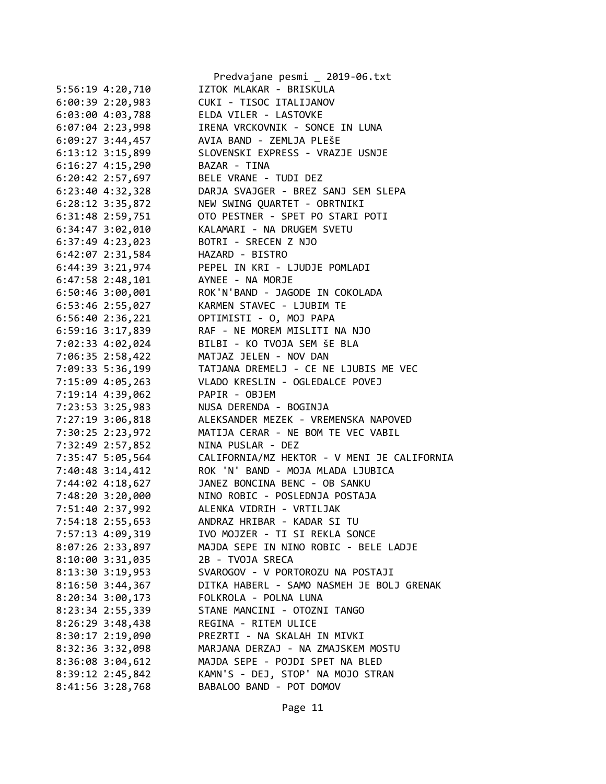|                      | Predvajane pesmi _ 2019-06.txt              |
|----------------------|---------------------------------------------|
| 5:56:19 4:20,710     | IZTOK MLAKAR - BRISKULA                     |
| $6:00:39$ 2:20,983   | CUKI - TISOC ITALIJANOV                     |
| $6:03:00$ 4:03,788   | ELDA VILER - LASTOVKE                       |
| $6:07:04$ 2:23,998   | IRENA VRCKOVNIK - SONCE IN LUNA             |
| $6:09:27$ 3:44,457   | AVIA BAND - ZEMLJA PLEŠE                    |
| $6:13:12$ $3:15,899$ | SLOVENSKI EXPRESS - VRAZJE USNJE            |
| $6:16:27$ 4:15,290   | BAZAR - TINA                                |
| $6:20:42$ 2:57,697   | BELE VRANE - TUDI DEZ                       |
| $6:23:40$ 4:32,328   | DARJA SVAJGER - BREZ SANJ SEM SLEPA         |
| 6:28:12 3:35,872     | NEW SWING QUARTET - OBRTNIKI                |
| 6:31:48 2:59,751     | OTO PESTNER - SPET PO STARI POTI            |
| $6:34:47$ $3:02,010$ | KALAMARI - NA DRUGEM SVETU                  |
| 6:37:49 4:23,023     | BOTRI - SRECEN Z NJO                        |
| $6:42:07$ $2:31,584$ | HAZARD - BISTRO                             |
| 6:44:39 3:21,974     | PEPEL IN KRI - LJUDJE POMLADI               |
| 6:47:58 2:48,101     | AYNEE - NA MORJE                            |
| 6:50:46 3:00,001     | ROK'N'BAND - JAGODE IN COKOLADA             |
| 6:53:46 2:55,027     | KARMEN STAVEC - LJUBIM TE                   |
| $6:56:40$ 2:36,221   | OPTIMISTI - O, MOJ PAPA                     |
| $6:59:16$ $3:17,839$ | RAF - NE MOREM MISLITI NA NJO               |
| 7:02:33 4:02,024     | BILBI - KO TVOJA SEM ŠE BLA                 |
| 7:06:35 2:58,422     | MATJAZ JELEN - NOV DAN                      |
| 7:09:33 5:36,199     | TATJANA DREMELJ - CE NE LJUBIS ME VEC       |
| 7:15:09 4:05,263     | VLADO KRESLIN - OGLEDALCE POVEJ             |
| 7:19:14 4:39,062     | PAPIR - OBJEM                               |
| 7:23:53 3:25,983     | NUSA DERENDA - BOGINJA                      |
| 7:27:19 3:06,818     | ALEKSANDER MEZEK - VREMENSKA NAPOVED        |
| 7:30:25 2:23,972     | MATIJA CERAR - NE BOM TE VEC VABIL          |
| 7:32:49 2:57,852     | NINA PUSLAR - DEZ                           |
| 7:35:47 5:05,564     | CALIFORNIA/MZ HEKTOR - V MENI JE CALIFORNIA |
|                      | ROK 'N' BAND - MOJA MLADA LJUBICA           |
| 7:40:48 3:14,412     | JANEZ BONCINA BENC - OB SANKU               |
| 7:44:02 4:18,627     | NINO ROBIC - POSLEDNJA POSTAJA              |
| 7:48:20 3:20,000     | ALENKA VIDRIH - VRTILJAK                    |
| 7:51:40 2:37,992     | ANDRAZ HRIBAR - KADAR SI TU                 |
| 7:54:18 2:55,653     | IVO MOJZER - TI SI REKLA SONCE              |
| 7:57:13 4:09,319     |                                             |
| 8:07:26 2:33,897     | MAJDA SEPE IN NINO ROBIC - BELE LADJE       |
| 8:10:00 3:31,035     | 2B - TVOJA SRECA                            |
| 8:13:30 3:19,953     | SVAROGOV - V PORTOROZU NA POSTAJI           |
| $8:16:50$ 3:44,367   | DITKA HABERL - SAMO NASMEH JE BOLJ GRENAK   |
| $8:20:34$ 3:00,173   | FOLKROLA - POLNA LUNA                       |
| 8:23:34 2:55,339     | STANE MANCINI - OTOZNI TANGO                |
| $8:26:29$ 3:48,438   | REGINA - RITEM ULICE                        |
| 8:30:17 2:19,090     | PREZRTI - NA SKALAH IN MIVKI                |
| 8:32:36 3:32,098     | MARJANA DERZAJ - NA ZMAJSKEM MOSTU          |
| 8:36:08 3:04,612     | MAJDA SEPE - POJDI SPET NA BLED             |
| 8:39:12 2:45,842     | KAMN'S - DEJ, STOP' NA MOJO STRAN           |
| 8:41:56 3:28,768     | BABALOO BAND - POT DOMOV                    |

Page 11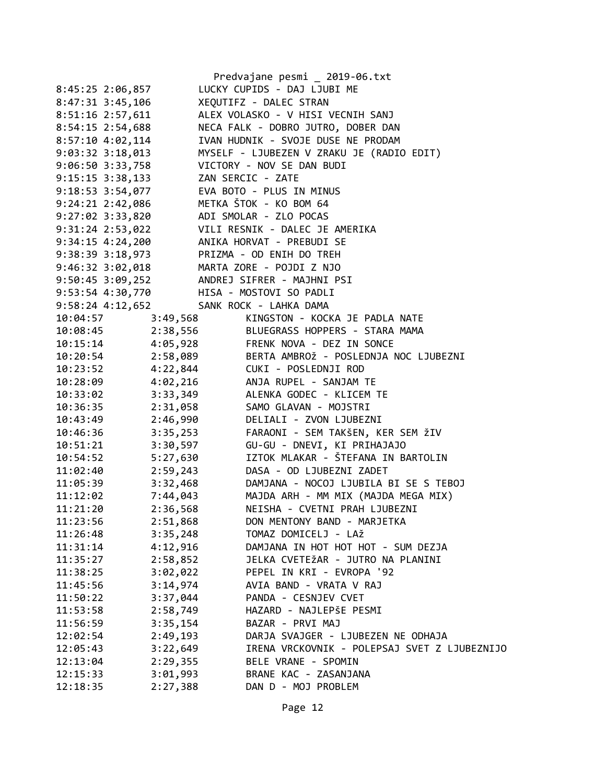|                      |                   | Predvajane pesmi _ 2019-06.txt               |
|----------------------|-------------------|----------------------------------------------|
| 8:45:25 2:06,857     |                   | LUCKY CUPIDS - DAJ LJUBI ME                  |
| 8:47:31 3:45,106     |                   | XEQUTIFZ - DALEC STRAN                       |
| 8:51:16 2:57,611     |                   | ALEX VOLASKO - V HISI VECNIH SANJ            |
| 8:54:15 2:54,688     |                   | NECA FALK - DOBRO JUTRO, DOBER DAN           |
| $8:57:10$ 4:02,114   |                   | IVAN HUDNIK - SVOJE DUSE NE PRODAM           |
| 9:03:32 3:18,013     |                   | MYSELF - LJUBEZEN V ZRAKU JE (RADIO EDIT)    |
| 9:06:50 3:33,758     |                   | VICTORY - NOV SE DAN BUDI                    |
| $9:15:15$ 3:38,133   | ZAN SERCIC - ZATE |                                              |
| $9:18:53$ $3:54,077$ |                   | EVA BOTO - PLUS IN MINUS                     |
| 9:24:21 2:42,086     |                   | METKA ŠTOK - KO BOM 64                       |
| $9:27:02$ $3:33,820$ |                   | ADI SMOLAR - ZLO POCAS                       |
| 9:31:24 2:53,022     |                   | VILI RESNIK - DALEC JE AMERIKA               |
| $9:34:15$ $4:24,200$ |                   | ANIKA HORVAT - PREBUDI SE                    |
| 9:38:39 3:18,973     |                   | PRIZMA - OD ENIH DO TREH                     |
| $9:46:32$ $3:02,018$ |                   | MARTA ZORE - POJDI Z NJO                     |
| $9:50:45$ 3:09,252   |                   | ANDREJ SIFRER - MAJHNI PSI                   |
| 9:53:54 4:30,770     |                   | HISA - MOSTOVI SO PADLI                      |
| $9:58:24$ $4:12,652$ |                   | SANK ROCK - LAHKA DAMA                       |
| 10:04:57             | 3:49,568          | KINGSTON - KOCKA JE PADLA NATE               |
| 10:08:45             | 2:38,556          | BLUEGRASS HOPPERS - STARA MAMA               |
| 10:15:14             | 4:05,928          | FRENK NOVA - DEZ IN SONCE                    |
| 10:20:54             | 2:58,089          | BERTA AMBROŽ - POSLEDNJA NOC LJUBEZNI        |
| 10:23:52             | 4:22,844          | CUKI - POSLEDNJI ROD                         |
| 10:28:09             | 4:02,216          | ANJA RUPEL - SANJAM TE                       |
| 10:33:02             | 3:33,349          | ALENKA GODEC - KLICEM TE                     |
| 10:36:35             | 2:31,058          | SAMO GLAVAN - MOJSTRI                        |
| 10:43:49             | 2:46,990          | DELIALI - ZVON LJUBEZNI                      |
| 10:46:36<br>3:35,253 |                   | FARAONI - SEM TAKŠEN, KER SEM ŽIV            |
| 3:30,597<br>10:51:21 |                   | GU-GU - DNEVI, KI PRIHAJAJO                  |
| 10:54:52<br>5:27,630 |                   | IZTOK MLAKAR - ŠTEFANA IN BARTOLIN           |
| 11:02:40<br>2:59,243 |                   | DASA - OD LJUBEZNI ZADET                     |
| 11:05:39             | 3:32,468          | DAMJANA - NOCOJ LJUBILA BI SE S TEBOJ        |
| 11:12:02             | 7:44,043          | MAJDA ARH - MM MIX (MAJDA MEGA MIX)          |
| 2:36,568<br>11:21:20 |                   | NEISHA - CVETNI PRAH LJUBEZNI                |
| 2:51,868<br>11:23:56 |                   | DON MENTONY BAND - MARJETKA                  |
| 3:35,248<br>11:26:48 |                   | TOMAZ DOMICELJ - LAŽ                         |
| 4:12,916<br>11:31:14 |                   | DAMJANA IN HOT HOT HOT - SUM DEZJA           |
| 11:35:27<br>2:58,852 |                   | JELKA CVETEŽAR - JUTRO NA PLANINI            |
| 3:02,022<br>11:38:25 |                   | PEPEL IN KRI - EVROPA '92                    |
| 3:14,974<br>11:45:56 |                   | AVIA BAND - VRATA V RAJ                      |
| 3:37,044<br>11:50:22 |                   | PANDA - CESNJEV CVET                         |
| 2:58,749<br>11:53:58 |                   | HAZARD - NAJLEPŠE PESMI                      |
| 3:35,154<br>11:56:59 |                   | BAZAR - PRVI MAJ                             |
| 2:49,193<br>12:02:54 |                   | DARJA SVAJGER - LJUBEZEN NE ODHAJA           |
| 3:22,649<br>12:05:43 |                   | IRENA VRCKOVNIK - POLEPSAJ SVET Z LJUBEZNIJO |
| 2:29,355<br>12:13:04 |                   | BELE VRANE - SPOMIN                          |
| 3:01,993<br>12:15:33 |                   | BRANE KAC - ZASANJANA                        |
| 12:18:35<br>2:27,388 |                   | DAN D - MOJ PROBLEM                          |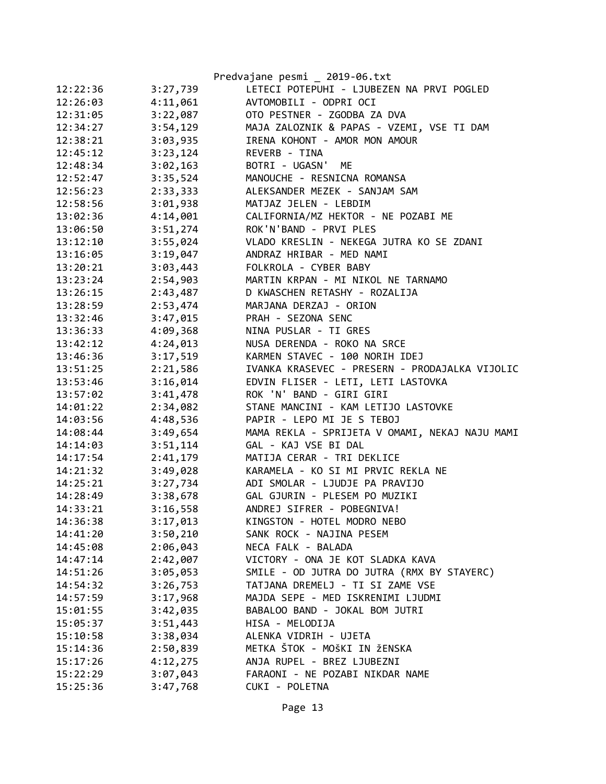|          |          | Predvajane pesmi _ 2019-06.txt                 |
|----------|----------|------------------------------------------------|
| 12:22:36 | 3:27,739 | LETECI POTEPUHI - LJUBEZEN NA PRVI POGLED      |
| 12:26:03 | 4:11,061 | AVTOMOBILI - ODPRI OCI                         |
| 12:31:05 | 3:22,087 | OTO PESTNER - ZGODBA ZA DVA                    |
| 12:34:27 | 3:54,129 | MAJA ZALOZNIK & PAPAS - VZEMI, VSE TI DAM      |
| 12:38:21 | 3:03,935 | IRENA KOHONT - AMOR MON AMOUR                  |
| 12:45:12 | 3:23,124 | REVERB - TINA                                  |
| 12:48:34 | 3:02,163 | BOTRI - UGASN'<br>ME                           |
| 12:52:47 | 3:35,524 | MANOUCHE - RESNICNA ROMANSA                    |
| 12:56:23 | 2:33,333 | ALEKSANDER MEZEK - SANJAM SAM                  |
| 12:58:56 | 3:01,938 | MATJAZ JELEN - LEBDIM                          |
| 13:02:36 | 4:14,001 | CALIFORNIA/MZ HEKTOR - NE POZABI ME            |
| 13:06:50 | 3:51,274 | ROK'N'BAND - PRVI PLES                         |
| 13:12:10 | 3:55,024 | VLADO KRESLIN - NEKEGA JUTRA KO SE ZDANI       |
| 13:16:05 | 3:19,047 | ANDRAZ HRIBAR - MED NAMI                       |
| 13:20:21 | 3:03,443 | FOLKROLA - CYBER BABY                          |
| 13:23:24 | 2:54,903 | MARTIN KRPAN - MI NIKOL NE TARNAMO             |
| 13:26:15 | 2:43,487 | D KWASCHEN RETASHY - ROZALIJA                  |
| 13:28:59 | 2:53,474 | MARJANA DERZAJ - ORION                         |
| 13:32:46 | 3:47,015 | PRAH - SEZONA SENC                             |
| 13:36:33 | 4:09,368 | NINA PUSLAR - TI GRES                          |
| 13:42:12 | 4:24,013 | NUSA DERENDA - ROKO NA SRCE                    |
| 13:46:36 | 3:17,519 | KARMEN STAVEC - 100 NORIH IDEJ                 |
| 13:51:25 | 2:21,586 | IVANKA KRASEVEC - PRESERN - PRODAJALKA VIJOLIC |
| 13:53:46 | 3:16,014 | EDVIN FLISER - LETI, LETI LASTOVKA             |
| 13:57:02 | 3:41,478 | ROK 'N' BAND - GIRI GIRI                       |
| 14:01:22 | 2:34,082 | STANE MANCINI - KAM LETIJO LASTOVKE            |
| 14:03:56 | 4:48,536 | PAPIR - LEPO MI JE S TEBOJ                     |
| 14:08:44 | 3:49,654 | MAMA REKLA - SPRIJETA V OMAMI, NEKAJ NAJU MAMI |
| 14:14:03 | 3:51,114 | GAL - KAJ VSE BI DAL                           |
| 14:17:54 | 2:41,179 | MATIJA CERAR - TRI DEKLICE                     |
| 14:21:32 | 3:49,028 | KARAMELA - KO SI MI PRVIC REKLA NE             |
| 14:25:21 | 3:27,734 | ADI SMOLAR - LJUDJE PA PRAVIJO                 |
| 14:28:49 | 3:38,678 | GAL GJURIN - PLESEM PO MUZIKI                  |
| 14:33:21 | 3:16,558 | ANDREJ SIFRER - POBEGNIVA!                     |
| 14:36:38 | 3:17,013 | KINGSTON - HOTEL MODRO NEBO                    |
| 14:41:20 | 3:50,210 | SANK ROCK - NAJINA PESEM                       |
| 14:45:08 | 2:06,043 | NECA FALK - BALADA                             |
| 14:47:14 | 2:42,007 | VICTORY - ONA JE KOT SLADKA KAVA               |
| 14:51:26 | 3:05,053 | SMILE - OD JUTRA DO JUTRA (RMX BY STAYERC)     |
| 14:54:32 | 3:26,753 | TATJANA DREMELJ - TI SI ZAME VSE               |
| 14:57:59 | 3:17,968 | MAJDA SEPE - MED ISKRENIMI LJUDMI              |
| 15:01:55 | 3:42,035 | BABALOO BAND - JOKAL BOM JUTRI                 |
| 15:05:37 | 3:51,443 | HISA - MELODIJA                                |
| 15:10:58 | 3:38,034 | ALENKA VIDRIH - UJETA                          |
| 15:14:36 | 2:50,839 | METKA ŠTOK - MOŠKI IN ŽENSKA                   |
| 15:17:26 | 4:12,275 | ANJA RUPEL - BREZ LJUBEZNI                     |
| 15:22:29 | 3:07,043 | FARAONI - NE POZABI NIKDAR NAME                |
| 15:25:36 | 3:47,768 | CUKI - POLETNA                                 |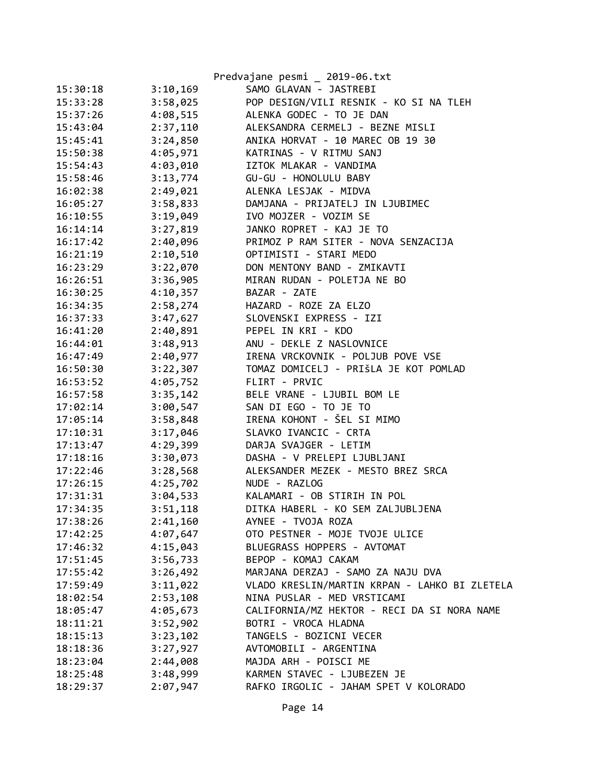|          |          | Predvajane pesmi _ 2019-06.txt                |
|----------|----------|-----------------------------------------------|
| 15:30:18 | 3:10,169 | SAMO GLAVAN - JASTREBI                        |
| 15:33:28 | 3:58,025 | POP DESIGN/VILI RESNIK - KO SI NA TLEH        |
| 15:37:26 | 4:08,515 | ALENKA GODEC - TO JE DAN                      |
| 15:43:04 | 2:37,110 | ALEKSANDRA CERMELJ - BEZNE MISLI              |
| 15:45:41 | 3:24,850 | ANIKA HORVAT - 10 MAREC OB 19 30              |
| 15:50:38 | 4:05,971 | KATRINAS - V RITMU SANJ                       |
| 15:54:43 | 4:03,010 | IZTOK MLAKAR - VANDIMA                        |
| 15:58:46 | 3:13,774 | GU-GU - HONOLULU BABY                         |
| 16:02:38 | 2:49,021 | ALENKA LESJAK - MIDVA                         |
| 16:05:27 | 3:58,833 | DAMJANA - PRIJATELJ IN LJUBIMEC               |
| 16:10:55 | 3:19,049 | IVO MOJZER - VOZIM SE                         |
| 16:14:14 | 3:27,819 | JANKO ROPRET - KAJ JE TO                      |
| 16:17:42 | 2:40,096 | PRIMOZ P RAM SITER - NOVA SENZACIJA           |
| 16:21:19 | 2:10,510 | OPTIMISTI - STARI MEDO                        |
| 16:23:29 | 3:22,070 | DON MENTONY BAND - ZMIKAVTI                   |
| 16:26:51 | 3:36,905 | MIRAN RUDAN - POLETJA NE BO                   |
| 16:30:25 | 4:10,357 | BAZAR - ZATE                                  |
| 16:34:35 | 2:58,274 | HAZARD - ROZE ZA ELZO                         |
| 16:37:33 | 3:47,627 | SLOVENSKI EXPRESS - IZI                       |
| 16:41:20 | 2:40,891 | PEPEL IN KRI - KDO                            |
| 16:44:01 | 3:48,913 | ANU - DEKLE Z NASLOVNICE                      |
| 16:47:49 | 2:40,977 | IRENA VRCKOVNIK - POLJUB POVE VSE             |
| 16:50:30 | 3:22,307 | TOMAZ DOMICELJ - PRIŠLA JE KOT POMLAD         |
| 16:53:52 | 4:05,752 | FLIRT - PRVIC                                 |
| 16:57:58 | 3:35,142 | BELE VRANE - LJUBIL BOM LE                    |
| 17:02:14 | 3:00,547 | SAN DI EGO - TO JE TO                         |
| 17:05:14 | 3:58,848 | IRENA KOHONT - ŠEL SI MIMO                    |
| 17:10:31 | 3:17,046 | SLAVKO IVANCIC - CRTA                         |
| 17:13:47 | 4:29,399 | DARJA SVAJGER - LETIM                         |
| 17:18:16 | 3:30,073 | DASHA - V PRELEPI LJUBLJANI                   |
| 17:22:46 | 3:28,568 | ALEKSANDER MEZEK - MESTO BREZ SRCA            |
| 17:26:15 | 4:25,702 | NUDE - RAZLOG                                 |
| 17:31:31 | 3:04,533 | KALAMARI - OB STIRIH IN POL                   |
| 17:34:35 | 3:51,118 | DITKA HABERL - KO SEM ZALJUBLJENA             |
| 17:38:26 | 2:41,160 | AYNEE - TVOJA ROZA                            |
| 17:42:25 | 4:07,647 | OTO PESTNER - MOJE TVOJE ULICE                |
| 17:46:32 | 4:15,043 | BLUEGRASS HOPPERS - AVTOMAT                   |
| 17:51:45 | 3:56,733 | BEPOP - KOMAJ CAKAM                           |
| 17:55:42 | 3:26,492 | MARJANA DERZAJ - SAMO ZA NAJU DVA             |
| 17:59:49 | 3:11,022 | VLADO KRESLIN/MARTIN KRPAN - LAHKO BI ZLETELA |
| 18:02:54 | 2:53,108 | NINA PUSLAR - MED VRSTICAMI                   |
| 18:05:47 | 4:05,673 | CALIFORNIA/MZ HEKTOR - RECI DA SI NORA NAME   |
| 18:11:21 | 3:52,902 | BOTRI - VROCA HLADNA                          |
| 18:15:13 | 3:23,102 | TANGELS - BOZICNI VECER                       |
| 18:18:36 | 3:27,927 | AVTOMOBILI - ARGENTINA                        |
| 18:23:04 | 2:44,008 | MAJDA ARH - POISCI ME                         |
| 18:25:48 | 3:48,999 | KARMEN STAVEC - LJUBEZEN JE                   |
| 18:29:37 | 2:07,947 | RAFKO IRGOLIC - JAHAM SPET V KOLORADO         |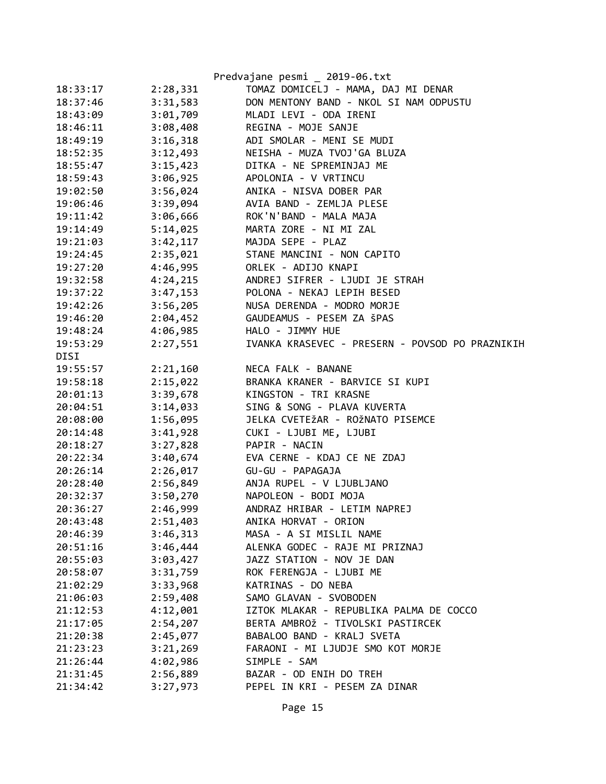|          |          | Predvajane pesmi _ 2019-06.txt                  |
|----------|----------|-------------------------------------------------|
| 18:33:17 | 2:28,331 | TOMAZ DOMICELJ - MAMA, DAJ MI DENAR             |
| 18:37:46 | 3:31,583 | DON MENTONY BAND - NKOL SI NAM ODPUSTU          |
| 18:43:09 | 3:01,709 | MLADI LEVI - ODA IRENI                          |
| 18:46:11 | 3:08,408 | REGINA - MOJE SANJE                             |
| 18:49:19 | 3:16,318 | ADI SMOLAR - MENI SE MUDI                       |
| 18:52:35 | 3:12,493 | NEISHA - MUZA TVOJ'GA BLUZA                     |
| 18:55:47 | 3:15,423 | DITKA - NE SPREMINJAJ ME                        |
| 18:59:43 | 3:06,925 | APOLONIA - V VRTINCU                            |
| 19:02:50 | 3:56,024 | ANIKA - NISVA DOBER PAR                         |
| 19:06:46 | 3:39,094 | AVIA BAND - ZEMLJA PLESE                        |
| 19:11:42 | 3:06,666 | ROK'N'BAND - MALA MAJA                          |
| 19:14:49 | 5:14,025 | MARTA ZORE - NI MI ZAL                          |
| 19:21:03 | 3:42,117 | MAJDA SEPE - PLAZ                               |
| 19:24:45 | 2:35,021 | STANE MANCINI - NON CAPITO                      |
| 19:27:20 | 4:46,995 | ORLEK - ADIJO KNAPI                             |
| 19:32:58 | 4:24,215 | ANDREJ SIFRER - LJUDI JE STRAH                  |
| 19:37:22 | 3:47,153 | POLONA - NEKAJ LEPIH BESED                      |
| 19:42:26 | 3:56,205 | NUSA DERENDA - MODRO MORJE                      |
| 19:46:20 | 2:04,452 | GAUDEAMUS - PESEM ZA ŠPAS                       |
| 19:48:24 | 4:06,985 | HALO - JIMMY HUE                                |
| 19:53:29 | 2:27,551 | IVANKA KRASEVEC - PRESERN - POVSOD PO PRAZNIKIH |
| DISI     |          |                                                 |
| 19:55:57 | 2:21,160 | NECA FALK - BANANE                              |
| 19:58:18 | 2:15,022 | BRANKA KRANER - BARVICE SI KUPI                 |
| 20:01:13 | 3:39,678 | KINGSTON - TRI KRASNE                           |
| 20:04:51 | 3:14,033 | SING & SONG - PLAVA KUVERTA                     |
| 20:08:00 | 1:56,095 | JELKA CVETEŽAR - ROŽNATO PISEMCE                |
| 20:14:48 | 3:41,928 | CUKI - LJUBI ME, LJUBI                          |
| 20:18:27 | 3:27,828 | PAPIR - NACIN                                   |
| 20:22:34 | 3:40,674 | EVA CERNE - KDAJ CE NE ZDAJ                     |
| 20:26:14 | 2:26,017 | GU-GU - PAPAGAJA                                |
| 20:28:40 | 2:56,849 | ANJA RUPEL - V LJUBLJANO                        |
| 20:32:37 | 3:50,270 | NAPOLEON - BODI MOJA                            |
| 20:36:27 | 2:46,999 | ANDRAZ HRIBAR - LETIM NAPREJ                    |
| 20:43:48 | 2:51,403 | ANIKA HORVAT - ORION                            |
| 20:46:39 | 3:46,313 | MASA - A SI MISLIL NAME                         |
| 20:51:16 | 3:46,444 | ALENKA GODEC - RAJE MI PRIZNAJ                  |
| 20:55:03 | 3:03,427 | JAZZ STATION - NOV JE DAN                       |
| 20:58:07 | 3:31,759 | ROK FERENGJA - LJUBI ME                         |
| 21:02:29 | 3:33,968 | KATRINAS - DO NEBA                              |
| 21:06:03 | 2:59,408 | SAMO GLAVAN - SVOBODEN                          |
| 21:12:53 | 4:12,001 | IZTOK MLAKAR - REPUBLIKA PALMA DE COCCO         |
| 21:17:05 | 2:54,207 | BERTA AMBROŽ - TIVOLSKI PASTIRCEK               |
| 21:20:38 | 2:45,077 | BABALOO BAND - KRALJ SVETA                      |
| 21:23:23 | 3:21,269 | FARAONI - MI LJUDJE SMO KOT MORJE               |
| 21:26:44 | 4:02,986 | SIMPLE - SAM                                    |
| 21:31:45 | 2:56,889 | BAZAR - OD ENIH DO TREH                         |
| 21:34:42 | 3:27,973 | PEPEL IN KRI - PESEM ZA DINAR                   |
|          |          |                                                 |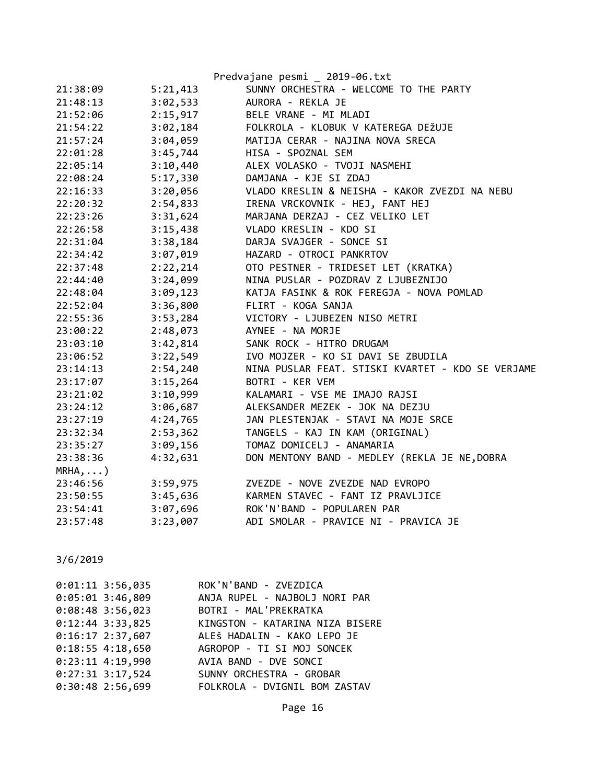|            |          | Predvajane pesmi _ 2019-06.txt                    |
|------------|----------|---------------------------------------------------|
| 21:38:09   | 5:21,413 | SUNNY ORCHESTRA - WELCOME TO THE PARTY            |
| 21:48:13   | 3:02,533 | AURORA - REKLA JE                                 |
| 21:52:06   | 2:15,917 | BELE VRANE - MI MLADI                             |
| 21:54:22   | 3:02,184 | FOLKROLA - KLOBUK V KATEREGA DEŽUJE               |
| 21:57:24   | 3:04,059 | MATIJA CERAR - NAJINA NOVA SRECA                  |
| 22:01:28   | 3:45,744 | HISA - SPOZNAL SEM                                |
| 22:05:14   | 3:10,440 | ALEX VOLASKO - TVOJI NASMEHI                      |
| 22:08:24   | 5:17,330 | DAMJANA - KJE SI ZDAJ                             |
| 22:16:33   | 3:20,056 | VLADO KRESLIN & NEISHA - KAKOR ZVEZDI NA NEBU     |
| 22:20:32   | 2:54,833 | IRENA VRCKOVNIK - HEJ, FANT HEJ                   |
| 22:23:26   | 3:31,624 | MARJANA DERZAJ - CEZ VELIKO LET                   |
| 22:26:58   | 3:15,438 | VLADO KRESLIN - KDO SI                            |
| 22:31:04   | 3:38,184 | DARJA SVAJGER - SONCE SI                          |
| 22:34:42   | 3:07,019 | HAZARD - OTROCI PANKRTOV                          |
| 22:37:48   | 2:22,214 | OTO PESTNER - TRIDESET LET (KRATKA)               |
| 22:44:40   | 3:24,099 | NINA PUSLAR - POZDRAV Z LJUBEZNIJO                |
| 22:48:04   | 3:09,123 | KATJA FASINK & ROK FEREGJA - NOVA POMLAD          |
| 22:52:04   | 3:36,800 | FLIRT - KOGA SANJA                                |
| 22:55:36   | 3:53,284 | VICTORY - LJUBEZEN NISO METRI                     |
| 23:00:22   | 2:48,073 | AYNEE - NA MORJE                                  |
| 23:03:10   | 3:42,814 | SANK ROCK - HITRO DRUGAM                          |
| 23:06:52   | 3:22,549 | IVO MOJZER - KO SI DAVI SE ZBUDILA                |
| 23:14:13   | 2:54,240 | NINA PUSLAR FEAT. STISKI KVARTET - KDO SE VERJAME |
| 23:17:07   | 3:15,264 | BOTRI - KER VEM                                   |
| 23:21:02   | 3:10,999 | KALAMARI - VSE ME IMAJO RAJSI                     |
| 23:24:12   | 3:06,687 | ALEKSANDER MEZEK - JOK NA DEZJU                   |
| 23:27:19   | 4:24,765 | JAN PLESTENJAK - STAVI NA MOJE SRCE               |
| 23:32:34   | 2:53,362 | TANGELS - KAJ IN KAM (ORIGINAL)                   |
| 23:35:27   | 3:09,156 | TOMAZ DOMICELJ - ANAMARIA                         |
| 23:38:36   | 4:32,631 | DON MENTONY BAND - MEDLEY (REKLA JE NE, DOBRA     |
| $MRHA$ , ) |          |                                                   |
| 23:46:56   | 3:59,975 | ZVEZDE - NOVE ZVEZDE NAD EVROPO                   |
| 23:50:55   | 3:45,636 | KARMEN STAVEC - FANT IZ PRAVLJICE                 |
| 23:54:41   | 3:07,696 | ROK'N'BAND - POPULAREN PAR                        |
| 23:57:48   | 3:23,007 | ADI SMOLAR - PRAVICE NI - PRAVICA JE              |

| ROK'N'BAND - ZVEZDICA           |
|---------------------------------|
|                                 |
| ANJA RUPEL - NAJBOLJ NORI PAR   |
| BOTRI - MAL'PREKRATKA           |
| KINGSTON - KATARINA NIZA BISERE |
| ALEŠ HADALIN - KAKO LEPO JE     |
| AGROPOP - TI SI MOJ SONCEK      |
| AVIA BAND - DVE SONCI           |
| SUNNY ORCHESTRA - GROBAR        |
| FOLKROLA - DVIGNIL BOM ZASTAV   |
|                                 |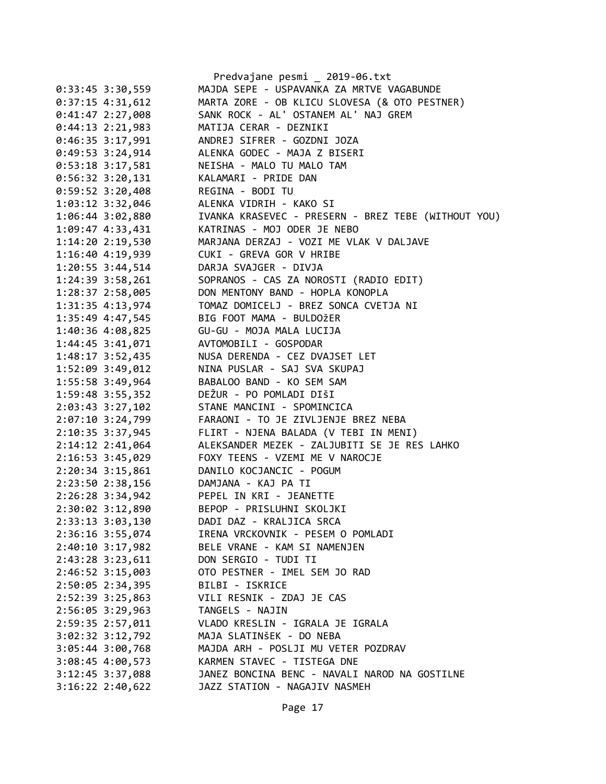|                    | Predvajane pesmi _ 2019-06.txt                      |
|--------------------|-----------------------------------------------------|
| $0:33:45$ 3:30,559 | MAJDA SEPE - USPAVANKA ZA MRTVE VAGABUNDE           |
| $0:37:15$ 4:31,612 | MARTA ZORE - OB KLICU SLOVESA (& OTO PESTNER)       |
| 0:41:47 2:27,008   | SANK ROCK - AL' OSTANEM AL' NAJ GREM                |
| $0:44:13$ 2:21,983 | MATIJA CERAR - DEZNIKI                              |
| $0:46:35$ 3:17,991 | ANDREJ SIFRER - GOZDNI JOZA                         |
| $0:49:53$ 3:24,914 | ALENKA GODEC - MAJA Z BISERI                        |
| $0:53:18$ 3:17,581 | NEISHA - MALO TU MALO TAM                           |
| $0:56:32$ 3:20,131 | KALAMARI - PRIDE DAN                                |
| $0:59:52$ 3:20,408 | REGINA - BODI TU                                    |
| 1:03:12 3:32,046   | ALENKA VIDRIH - KAKO SI                             |
| 1:06:44 3:02,880   | IVANKA KRASEVEC - PRESERN - BREZ TEBE (WITHOUT YOU) |
| 1:09:47 4:33,431   | KATRINAS - MOJ ODER JE NEBO                         |
| 1:14:20 2:19,530   | MARJANA DERZAJ - VOZI ME VLAK V DALJAVE             |
| 1:16:40 4:19,939   | CUKI - GREVA GOR V HRIBE                            |
| $1:20:55$ 3:44,514 | DARJA SVAJGER - DIVJA                               |
| 1:24:39 3:58,261   | SOPRANOS - CAS ZA NOROSTI (RADIO EDIT)              |
| 1:28:37 2:58,005   | DON MENTONY BAND - HOPLA KONOPLA                    |
| 1:31:35 4:13,974   | TOMAZ DOMICELJ - BREZ SONCA CVETJA NI               |
| 1:35:49 4:47,545   | BIG FOOT MAMA - BULDOŽER                            |
| 1:40:36 4:08,825   | GU-GU - MOJA MALA LUCIJA                            |
| 1:44:45 3:41,071   | AVTOMOBILI - GOSPODAR                               |
| 1:48:17 3:52,435   | NUSA DERENDA - CEZ DVAJSET LET                      |
| 1:52:09 3:49,012   | NINA PUSLAR - SAJ SVA SKUPAJ                        |
| 1:55:58 3:49,964   | BABALOO BAND - KO SEM SAM                           |
| 1:59:48 3:55,352   | DEŽUR - PO POMLADI DIŠI                             |
| 2:03:43 3:27,102   | STANE MANCINI - SPOMINCICA                          |
| 2:07:10 3:24,799   | FARAONI - TO JE ZIVLJENJE BREZ NEBA                 |
| 2:10:35 3:37,945   | FLIRT - NJENA BALADA (V TEBI IN MENI)               |
| 2:14:12 2:41,064   | ALEKSANDER MEZEK - ZALJUBITI SE JE RES LAHKO        |
| 2:16:53 3:45,029   | FOXY TEENS - VZEMI ME V NAROCJE                     |
| $2:20:34$ 3:15,861 | DANILO KOCJANCIC - POGUM                            |
| 2:23:50 2:38,156   | DAMJANA - KAJ PA TI                                 |
| 2:26:28 3:34,942   | PEPEL IN KRI - JEANETTE                             |
| 2:30:02 3:12,890   | BEPOP - PRISLUHNI SKOLJKI                           |
| 2:33:13 3:03,130   | DADI DAZ - KRALJICA SRCA                            |
| 2:36:16 3:55,074   | IRENA VRCKOVNIK - PESEM O POMLADI                   |
| 2:40:10 3:17,982   | BELE VRANE - KAM SI NAMENJEN                        |
| 2:43:28 3:23,611   | DON SERGIO - TUDI TI                                |
| 2:46:52 3:15,003   | OTO PESTNER - IMEL SEM JO RAD                       |
| 2:50:05 2:34,395   | BILBI - ISKRICE                                     |
| 2:52:39 3:25,863   | VILI RESNIK - ZDAJ JE CAS                           |
| 2:56:05 3:29,963   | TANGELS - NAJIN                                     |
| 2:59:35 2:57,011   | VLADO KRESLIN - IGRALA JE IGRALA                    |
| 3:02:32 3:12,792   | MAJA SLATINŠEK - DO NEBA                            |
| 3:05:44 3:00,768   | MAJDA ARH - POSLJI MU VETER POZDRAV                 |
| 3:08:45 4:00,573   | KARMEN STAVEC - TISTEGA DNE                         |
| 3:12:45 3:37,088   | JANEZ BONCINA BENC - NAVALI NAROD NA GOSTILNE       |
| 3:16:22 2:40,622   | JAZZ STATION - NAGAJIV NASMEH                       |
|                    |                                                     |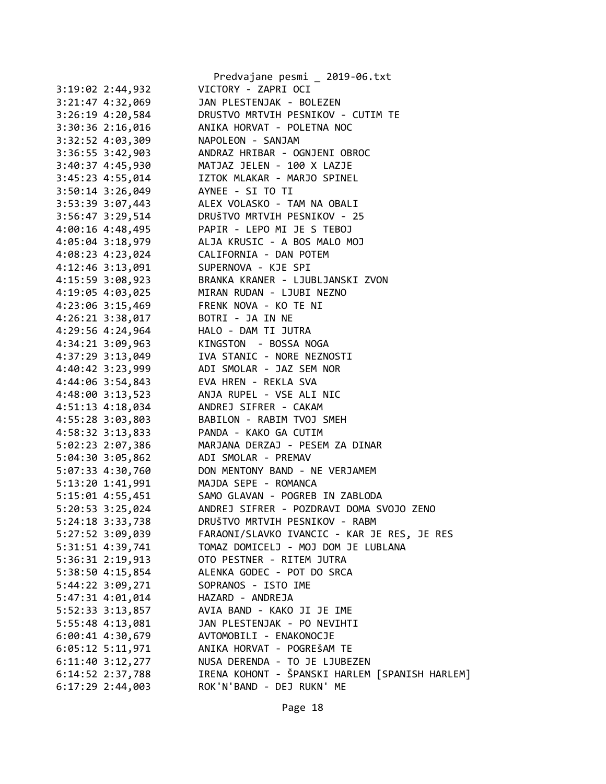|                                          | Predvajane pesmi _ 2019-06.txt                                                                                                                                                                           |
|------------------------------------------|----------------------------------------------------------------------------------------------------------------------------------------------------------------------------------------------------------|
| 3:19:02 2:44,932                         | VICTORY - ZAPRI OCI                                                                                                                                                                                      |
|                                          | 3:21:47 4:32,069 JAN PLESTENJAK - BOLEZEN                                                                                                                                                                |
|                                          | 3:26:19 4:20,584 DRUSTVO MRTVIH PESNIKOV - CUTIM TE                                                                                                                                                      |
|                                          | 3:30:36 2:16,016 ANIKA HORVAT - POLETNA NOC                                                                                                                                                              |
| 3:32:52 4:03,309 NAPOLEON - SANJAM       |                                                                                                                                                                                                          |
|                                          |                                                                                                                                                                                                          |
|                                          |                                                                                                                                                                                                          |
|                                          |                                                                                                                                                                                                          |
|                                          | 3:36:55 3:42,903<br>3:40:37 4:45,930<br>3:49:37 4:45,930<br>3:45:23 4:55,014<br>3:50:14 3:26,049<br>ANDRAZ HRIBAR - OGNJENI OBROC<br>IZTOK MLAKAR - MARJO SPINEL<br>3:50:14 3:26,049<br>AYNEE - SI TO TI |
|                                          | 3:53:39 3:07,443 ALEX VOLASKO - TAM NA OBALI                                                                                                                                                             |
|                                          | 3:56:47 3:29,514 DRUŠTVO MRTVIH PESNIKOV - 25                                                                                                                                                            |
|                                          | 4:00:16 4:48,495<br>4:05:04 3:18,979<br>4:08:23 4:23,024<br>4:12:46 3:13,091<br>4:45:59 2:09.032<br>ALJA KRUSIC - A BOS MALO MOJ<br>SUPERNOVA - KJE SPI<br>ALJA (ANDRE)                                  |
|                                          |                                                                                                                                                                                                          |
|                                          |                                                                                                                                                                                                          |
|                                          |                                                                                                                                                                                                          |
|                                          | 4:15:59 3:08,923 BRANKA KRANER - LJUBLJANSKI ZVON                                                                                                                                                        |
|                                          | 4:19:05 4:03,025 MIRAN RUDAN - LJUBI NEZNO                                                                                                                                                               |
| 4:23:06 3:15,469 FRENK NOVA - KO TE NI   |                                                                                                                                                                                                          |
| 4:26:21 3:38,017 BOTRI - JA IN NE        |                                                                                                                                                                                                          |
|                                          |                                                                                                                                                                                                          |
|                                          | 4:29:56 4:24,964<br>4:34:21 3:09,963<br>4:37:29 3:13,049<br>4:40:42 3:23,999<br>ADI SMOLAR - JAZ SEM NOR                                                                                                 |
|                                          |                                                                                                                                                                                                          |
|                                          |                                                                                                                                                                                                          |
| 4:44:06 3:54,843 EVA HREN - REKLA SVA    |                                                                                                                                                                                                          |
|                                          | 4:48:00 3:13,523 ANJA RUPEL - VSE ALI NIC                                                                                                                                                                |
| 4:51:13  4:18,034  ANDREJ SIFRER - CAKAM |                                                                                                                                                                                                          |
|                                          |                                                                                                                                                                                                          |
|                                          |                                                                                                                                                                                                          |
|                                          | 4:55:28 3:03,803<br>4:58:32 3:13,833<br>5:02:23 2:07,386<br>5:02:23 2:07,386<br>5:02:23 2:07,386<br>5:02:23 2:07,386                                                                                     |
| 5:04:30 3:05,862 ADI SMOLAR - PREMAV     |                                                                                                                                                                                                          |
|                                          |                                                                                                                                                                                                          |
| 5:13:20 1:41,991 MAJDA SEPE - ROMANCA    | 5:07:33 4:30,760 DON MENTONY BAND - NE VERJAMEM                                                                                                                                                          |
|                                          | 5:15:01 4:55,451 SAMO GLAVAN - POGREB IN ZABLODA                                                                                                                                                         |
| 5:20:53 3:25,024                         | ANDREJ SIFRER - POZDRAVI DOMA SVOJO ZENO                                                                                                                                                                 |
| 5:24:18 3:33,738                         | DRUŠTVO MRTVIH PESNIKOV - RABM                                                                                                                                                                           |
| 5:27:52 3:09,039                         | FARAONI/SLAVKO IVANCIC - KAR JE RES, JE RES                                                                                                                                                              |
| 5:31:51 4:39,741                         | TOMAZ DOMICELJ - MOJ DOM JE LUBLANA                                                                                                                                                                      |
|                                          | OTO PESTNER - RITEM JUTRA                                                                                                                                                                                |
| 5:36:31 2:19,913                         | ALENKA GODEC - POT DO SRCA                                                                                                                                                                               |
| 5:38:50 4:15,854                         |                                                                                                                                                                                                          |
| 5:44:22 3:09,271                         | SOPRANOS - ISTO IME                                                                                                                                                                                      |
| 5:47:31 4:01,014                         | HAZARD - ANDREJA                                                                                                                                                                                         |
| 5:52:33 3:13,857                         | AVIA BAND - KAKO JI JE IME                                                                                                                                                                               |
| 5:55:48 4:13,081                         | JAN PLESTENJAK - PO NEVIHTI                                                                                                                                                                              |
| 6:00:41 4:30,679                         | AVTOMOBILI - ENAKONOCJE                                                                                                                                                                                  |
| $6:05:12$ 5:11,971                       | ANIKA HORVAT - POGREŠAM TE                                                                                                                                                                               |
| $6:11:40$ $3:12,277$                     | NUSA DERENDA - TO JE LJUBEZEN                                                                                                                                                                            |
| 6:14:52 2:37,788                         | IRENA KOHONT - ŠPANSKI HARLEM [SPANISH HARLEM]                                                                                                                                                           |
| $6:17:29$ 2:44,003                       | ROK'N'BAND - DEJ RUKN' ME                                                                                                                                                                                |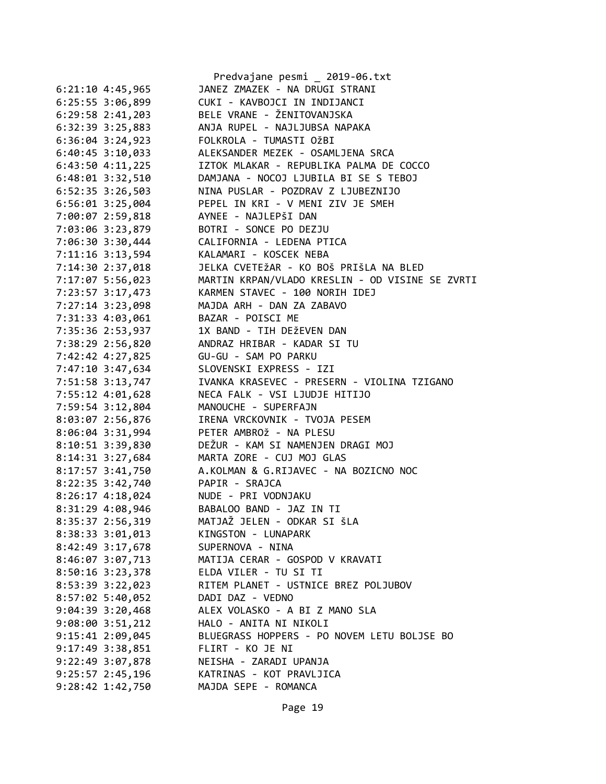|                                         | Predvajane pesmi _ 2019-06.txt                          |
|-----------------------------------------|---------------------------------------------------------|
| $6:21:10$ 4:45,965                      | JANEZ ZMAZEK - NA DRUGI STRANI                          |
| 6:25:55 3:06,899                        | CUKI - KAVBOJCI IN INDIJANCI                            |
| $6:29:58$ $2:41,203$                    | BELE VRANE - ŽENITOVANJSKA                              |
| 6:32:39 3:25,883                        | ANJA RUPEL - NAJLJUBSA NAPAKA                           |
| $6:36:04$ 3:24,923                      | FOLKROLA - TUMASTI OŽBI                                 |
| $6:40:45$ 3:10,033                      | ALEKSANDER MEZEK - OSAMLJENA SRCA                       |
| $6:43:50$ $4:11,225$                    | IZTOK MLAKAR - REPUBLIKA PALMA DE COCCO                 |
| $6:48:01$ $3:32,510$                    | DAMJANA - NOCOJ LJUBILA BI SE S TEBOJ                   |
| $6:52:35$ 3:26,503                      | NINA PUSLAR - POZDRAV Z LJUBEZNIJO                      |
| $6:56:01$ 3:25,004                      | PEPEL IN KRI - V MENI ZIV JE SMEH                       |
| 7:00:07 2:59,818                        | AYNEE - NAJLEPŠI DAN                                    |
| 7:03:06 3:23,879 BOTRI - SONCE PO DEZJU |                                                         |
| 7:06:30 3:30,444                        | CALIFORNIA - LEDENA PTICA                               |
| 7:11:16 3:13,594                        | KALAMARI - KOSCEK NEBA                                  |
| 7:14:30 2:37,018                        | JELKA CVETEŽAR - KO BOŠ PRIŠLA NA BLED                  |
| 7:17:07 5:56,023                        | MARTIN KRPAN/VLADO KRESLIN - OD VISINE SE ZVRTI         |
| 7:23:57 3:17,473                        | KARMEN STAVEC - 100 NORIH IDEJ                          |
| 7:27:14 3:23,098                        | MAJDA ARH - DAN ZA ZABAVO                               |
| 7:31:33 4:03,061                        | BAZAR - POISCI ME                                       |
| 7:35:36 2:53,937                        | 1X BAND - TIH DEŽEVEN DAN                               |
| 7:38:29 2:56,820                        | ANDRAZ HRIBAR - KADAR SI TU                             |
| 7:42:42 4:27,825                        | GU-GU - SAM PO PARKU                                    |
| 7:47:10 3:47,634                        | SLOVENSKI EXPRESS - IZI                                 |
| 7:51:58 3:13,747                        | IVANKA KRASEVEC - PRESERN - VIOLINA TZIGANO             |
| 7:55:12 4:01,628                        | NECA FALK - VSI LJUDJE HITIJO                           |
| 7:59:54 3:12,804                        | MANOUCHE - SUPERFAJN                                    |
| 8:03:07 2:56,876                        | IRENA VRCKOVNIK - TVOJA PESEM                           |
| 8:06:04 3:31,994                        | PETER AMBROŽ - NA PLESU                                 |
| 8:10:51 3:39,830                        | DEŽUR - KAM SI NAMENJEN DRAGI MOJ                       |
|                                         | MARTA ZORE - CUJ MOJ GLAS                               |
| 8:14:31 3:27,684<br>8:17:57 3:41,750    | A.KOLMAN & G.RIJAVEC - NA BOZICNO NOC                   |
| 8:22:35 3:42,740 PAPIR - SRAJCA         |                                                         |
|                                         |                                                         |
| 8:26:17 4:18,024 NUDE - PRI VODNJAKU    |                                                         |
| 8:31:29 4:08,946<br>8:35:37 2:56,319    | BABALOO BAND - JAZ IN TI<br>MATJAŽ JELEN - ODKAR SI ŠLA |
|                                         | KINGSTON - LUNAPARK                                     |
| 8:38:33 3:01,013                        |                                                         |
| 8:42:49 3:17,678                        | SUPERNOVA - NINA                                        |
| 8:46:07 3:07,713                        | MATIJA CERAR - GOSPOD V KRAVATI                         |
| 8:50:16 3:23,378                        | ELDA VILER - TU SI TI                                   |
| 8:53:39 3:22,023                        | RITEM PLANET - USTNICE BREZ POLJUBOV                    |
| $8:57:02$ 5:40,052                      | DADI DAZ - VEDNO                                        |
| $9:04:39$ 3:20,468                      | ALEX VOLASKO - A BI Z MANO SLA                          |
| $9:08:00$ $3:51,212$                    | HALO - ANITA NI NIKOLI                                  |
| $9:15:41$ $2:09,045$                    | BLUEGRASS HOPPERS - PO NOVEM LETU BOLJSE BO             |
| $9:17:49$ 3:38,851                      | FLIRT - KO JE NI                                        |
| 9:22:49 3:07,878                        | NEISHA - ZARADI UPANJA                                  |
| $9:25:57$ 2:45,196                      | KATRINAS - KOT PRAVLJICA                                |
| $9:28:42$ 1:42,750                      | MAJDA SEPE - ROMANCA                                    |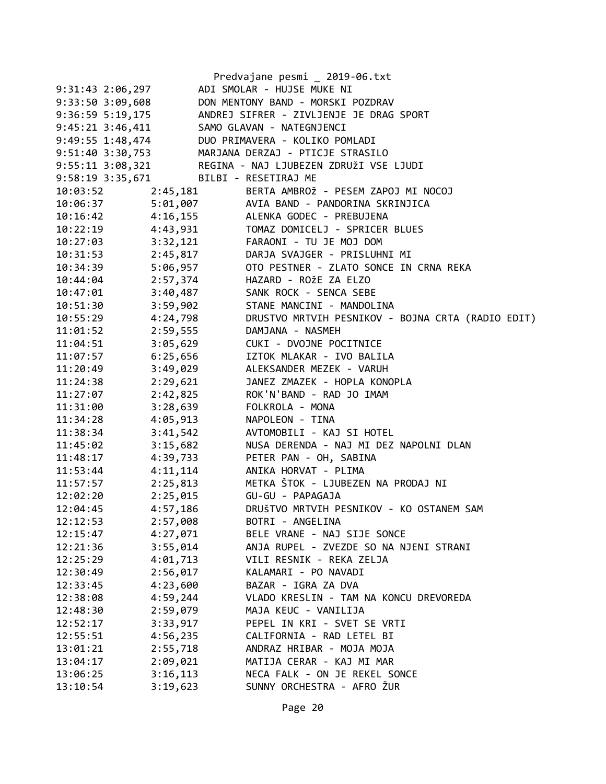|                                        |          | Predvajane pesmi _ 2019-06.txt                          |
|----------------------------------------|----------|---------------------------------------------------------|
| 9:31:43 2:06,297                       |          | ADI SMOLAR - HUJSE MUKE NI                              |
| 9:33:50 3:09,608                       |          | DON MENTONY BAND - MORSKI POZDRAV                       |
| 9:36:59 5:19,175                       |          | ANDREJ SIFRER - ZIVLJENJE JE DRAG SPORT                 |
| 9:45:21 3:46,411                       |          | SAMO GLAVAN - NATEGNJENCI                               |
| 9:49:55 1:48,474                       |          | DUO PRIMAVERA - KOLIKO POMLADI                          |
| 9:51:40 3:30,753                       |          | MARJANA DERZAJ - PTICJE STRASILO                        |
|                                        |          | 9:55:11 3:08,321 REGINA - NAJ LJUBEZEN ZDRUŽI VSE LJUDI |
| 9:58:19 3:35,671 BILBI - RESETIRAJ ME  |          |                                                         |
| 10:03:52                               | 2:45,181 | BERTA AMBROŽ - PESEM ZAPOJ MI NOCOJ                     |
| 10:06:37                               |          | 5:01,007 AVIA BAND - PANDORINA SKRINJICA                |
| 10:16:42 4:16,155                      |          | ALENKA GODEC - PREBUJENA                                |
| 10:22:19                               | 4:43,931 | TOMAZ DOMICELJ - SPRICER BLUES                          |
|                                        |          | 10:27:03 3:32,121 FARAONI - TU JE MOJ DOM               |
| 10:31:53 2:45,817<br>10:34:39 5:06,957 |          | DARJA SVAJGER - PRISLUHNI MI                            |
|                                        |          | OTO PESTNER - ZLATO SONCE IN CRNA REKA                  |
| 10:44:04 2:57,374                      |          | HAZARD - ROŽE ZA ELZO                                   |
| 10:47:01                               | 3:40,487 | SANK ROCK - SENCA SEBE                                  |
| 10:51:30                               | 3:59,902 | STANE MANCINI - MANDOLINA                               |
| 10:55:29                               | 4:24,798 | DRUSTVO MRTVIH PESNIKOV - BOJNA CRTA (RADIO EDIT)       |
| $11:01:52$ 2:59,555                    |          | DAMJANA - NASMEH                                        |
| 11:04:51                               | 3:05,629 | CUKI - DVOJNE POCITNICE                                 |
| 11:07:57                               | 6:25,656 | IZTOK MLAKAR - IVO BALILA                               |
| 11:20:49                               | 3:49,029 | ALEKSANDER MEZEK - VARUH                                |
| 11:24:38                               | 2:29,621 | JANEZ ZMAZEK - HOPLA KONOPLA                            |
| 11:27:07                               | 2:42,825 | ROK'N'BAND - RAD JO IMAM                                |
| 11:31:00                               | 3:28,639 | FOLKROLA - MONA                                         |
| 11:34:28                               | 4:05,913 | NAPOLEON - TINA                                         |
| 11:38:34                               | 3:41,542 | AVTOMOBILI - KAJ SI HOTEL                               |
| 11:45:02                               | 3:15,682 | NUSA DERENDA - NAJ MI DEZ NAPOLNI DLAN                  |
| 11:48:17                               | 4:39,733 | PETER PAN - OH, SABINA                                  |
| 11:53:44                               | 4:11,114 | ANIKA HORVAT - PLIMA                                    |
| 11:57:57                               | 2:25,813 | METKA ŠTOK - LJUBEZEN NA PRODAJ NI                      |
| 12:02:20                               | 2:25,015 | GU-GU - PAPAGAJA                                        |
| 12:04:45                               | 4:57,186 | DRUŠTVO MRTVIH PESNIKOV - KO OSTANEM SAM                |
| 12:12:53                               | 2:57,008 | BOTRI - ANGELINA                                        |
| 12:15:47                               | 4:27,071 | BELE VRANE - NAJ SIJE SONCE                             |
| 12:21:36                               | 3:55,014 | ANJA RUPEL - ZVEZDE SO NA NJENI STRANI                  |
| 12:25:29                               | 4:01,713 | VILI RESNIK - REKA ZELJA                                |
| 12:30:49                               | 2:56,017 | KALAMARI - PO NAVADI                                    |
| 12:33:45                               | 4:23,600 | BAZAR - IGRA ZA DVA                                     |
| 12:38:08                               | 4:59,244 | VLADO KRESLIN - TAM NA KONCU DREVOREDA                  |
| 12:48:30                               | 2:59,079 | MAJA KEUC - VANILIJA                                    |
| 12:52:17                               | 3:33,917 | PEPEL IN KRI - SVET SE VRTI                             |
| 12:55:51                               | 4:56,235 | CALIFORNIA - RAD LETEL BI                               |
| 13:01:21                               | 2:55,718 | ANDRAZ HRIBAR - MOJA MOJA                               |
| 13:04:17                               | 2:09,021 | MATIJA CERAR - KAJ MI MAR                               |
| 13:06:25                               | 3:16,113 | NECA FALK - ON JE REKEL SONCE                           |
| 13:10:54                               | 3:19,623 | SUNNY ORCHESTRA - AFRO ŽUR                              |
|                                        |          |                                                         |

Page 20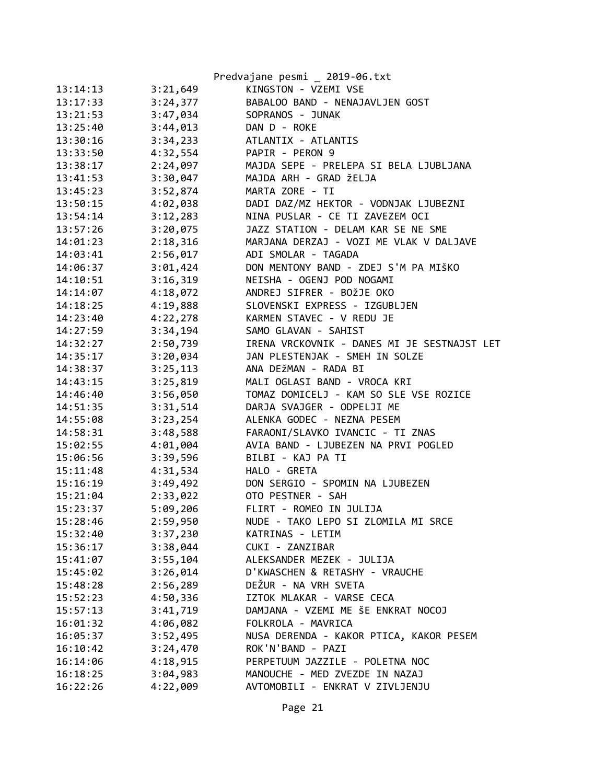|          |          | Predvajane pesmi _ 2019-06.txt              |
|----------|----------|---------------------------------------------|
| 13:14:13 | 3:21,649 | KINGSTON - VZEMI VSE                        |
| 13:17:33 | 3:24,377 | BABALOO BAND - NENAJAVLJEN GOST             |
| 13:21:53 | 3:47,034 | SOPRANOS - JUNAK                            |
| 13:25:40 | 3:44,013 | DAN D - ROKE                                |
| 13:30:16 | 3:34,233 | ATLANTIX - ATLANTIS                         |
| 13:33:50 | 4:32,554 | PAPIR - PERON 9                             |
| 13:38:17 | 2:24,097 | MAJDA SEPE - PRELEPA SI BELA LJUBLJANA      |
| 13:41:53 | 3:30,047 | MAJDA ARH - GRAD ŽELJA                      |
| 13:45:23 | 3:52,874 | MARTA ZORE - TI                             |
| 13:50:15 | 4:02,038 | DADI DAZ/MZ HEKTOR - VODNJAK LJUBEZNI       |
| 13:54:14 | 3:12,283 | NINA PUSLAR - CE TI ZAVEZEM OCI             |
| 13:57:26 | 3:20,075 | JAZZ STATION - DELAM KAR SE NE SME          |
| 14:01:23 | 2:18,316 | MARJANA DERZAJ - VOZI ME VLAK V DALJAVE     |
| 14:03:41 | 2:56,017 | ADI SMOLAR - TAGADA                         |
| 14:06:37 | 3:01,424 | DON MENTONY BAND - ZDEJ S'M PA MIŠKO        |
| 14:10:51 | 3:16,319 | NEISHA - OGENJ POD NOGAMI                   |
| 14:14:07 | 4:18,072 | ANDREJ SIFRER - BOŽJE OKO                   |
| 14:18:25 | 4:19,888 | SLOVENSKI EXPRESS - IZGUBLJEN               |
| 14:23:40 | 4:22,278 | KARMEN STAVEC - V REDU JE                   |
| 14:27:59 | 3:34,194 | SAMO GLAVAN - SAHIST                        |
| 14:32:27 | 2:50,739 | IRENA VRCKOVNIK - DANES MI JE SESTNAJST LET |
| 14:35:17 | 3:20,034 | JAN PLESTENJAK - SMEH IN SOLZE              |
| 14:38:37 | 3:25,113 | ANA DEŽMAN - RADA BI                        |
| 14:43:15 | 3:25,819 | MALI OGLASI BAND - VROCA KRI                |
| 14:46:40 | 3:56,050 | TOMAZ DOMICELJ - KAM SO SLE VSE ROZICE      |
| 14:51:35 | 3:31,514 | DARJA SVAJGER - ODPELJI ME                  |
| 14:55:08 | 3:23,254 | ALENKA GODEC - NEZNA PESEM                  |
| 14:58:31 | 3:48,588 | FARAONI/SLAVKO IVANCIC - TI ZNAS            |
| 15:02:55 | 4:01,004 | AVIA BAND - LJUBEZEN NA PRVI POGLED         |
| 15:06:56 | 3:39,596 | BILBI - KAJ PA TI                           |
| 15:11:48 | 4:31,534 | HALO - GRETA                                |
| 15:16:19 | 3:49,492 | DON SERGIO - SPOMIN NA LJUBEZEN             |
| 15:21:04 | 2:33,022 | OTO PESTNER - SAH                           |
| 15:23:37 | 5:09,206 | FLIRT - ROMEO IN JULIJA                     |
| 15:28:46 | 2:59,950 | NUDE - TAKO LEPO SI ZLOMILA MI SRCE         |
| 15:32:40 | 3:37,230 | KATRINAS - LETIM                            |
| 15:36:17 | 3:38,044 | CUKI - ZANZIBAR                             |
| 15:41:07 | 3:55,104 | ALEKSANDER MEZEK - JULIJA                   |
| 15:45:02 | 3:26,014 | D'KWASCHEN & RETASHY - VRAUCHE              |
| 15:48:28 | 2:56,289 | DEŽUR - NA VRH SVETA                        |
| 15:52:23 | 4:50,336 | IZTOK MLAKAR - VARSE CECA                   |
| 15:57:13 | 3:41,719 | DAMJANA - VZEMI ME ŠE ENKRAT NOCOJ          |
| 16:01:32 | 4:06,082 | FOLKROLA - MAVRICA                          |
| 16:05:37 | 3:52,495 | NUSA DERENDA - KAKOR PTICA, KAKOR PESEM     |
| 16:10:42 | 3:24,470 | ROK'N'BAND - PAZI                           |
| 16:14:06 | 4:18,915 | PERPETUUM JAZZILE - POLETNA NOC             |
| 16:18:25 | 3:04,983 | MANOUCHE - MED ZVEZDE IN NAZAJ              |
| 16:22:26 | 4:22,009 | AVTOMOBILI - ENKRAT V ZIVLJENJU             |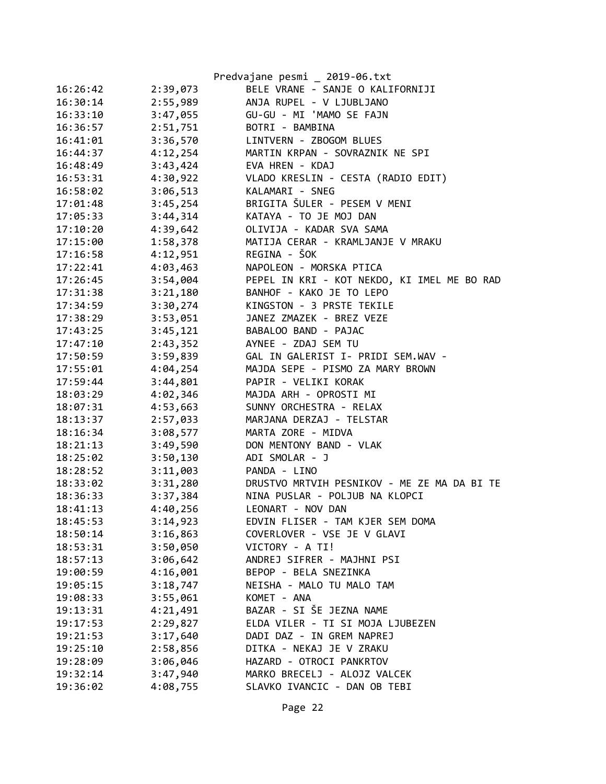|          |          | Predvajane pesmi _ 2019-06.txt              |
|----------|----------|---------------------------------------------|
| 16:26:42 | 2:39,073 | BELE VRANE - SANJE O KALIFORNIJI            |
| 16:30:14 | 2:55,989 | ANJA RUPEL - V LJUBLJANO                    |
| 16:33:10 | 3:47,055 | GU-GU - MI 'MAMO SE FAJN                    |
| 16:36:57 | 2:51,751 | BOTRI - BAMBINA                             |
| 16:41:01 | 3:36,570 | LINTVERN - ZBOGOM BLUES                     |
| 16:44:37 | 4:12,254 | MARTIN KRPAN - SOVRAZNIK NE SPI             |
| 16:48:49 | 3:43,424 | EVA HREN - KDAJ                             |
| 16:53:31 | 4:30,922 | VLADO KRESLIN - CESTA (RADIO EDIT)          |
| 16:58:02 | 3:06,513 | KALAMARI - SNEG                             |
| 17:01:48 | 3:45,254 | BRIGITA ŠULER - PESEM V MENI                |
| 17:05:33 | 3:44,314 | KATAYA - TO JE MOJ DAN                      |
| 17:10:20 | 4:39,642 | OLIVIJA - KADAR SVA SAMA                    |
| 17:15:00 | 1:58,378 | MATIJA CERAR - KRAMLJANJE V MRAKU           |
| 17:16:58 | 4:12,951 | REGINA - ŠOK                                |
| 17:22:41 | 4:03,463 | NAPOLEON - MORSKA PTICA                     |
| 17:26:45 | 3:54,004 | PEPEL IN KRI - KOT NEKDO, KI IMEL ME BO RAD |
| 17:31:38 | 3:21,180 | BANHOF - KAKO JE TO LEPO                    |
| 17:34:59 | 3:30,274 | KINGSTON - 3 PRSTE TEKILE                   |
| 17:38:29 | 3:53,051 | JANEZ ZMAZEK - BREZ VEZE                    |
| 17:43:25 | 3:45,121 | BABALOO BAND - PAJAC                        |
| 17:47:10 | 2:43,352 | AYNEE - ZDAJ SEM TU                         |
| 17:50:59 | 3:59,839 | GAL IN GALERIST I- PRIDI SEM.WAV -          |
| 17:55:01 | 4:04,254 | MAJDA SEPE - PISMO ZA MARY BROWN            |
| 17:59:44 | 3:44,801 | PAPIR - VELIKI KORAK                        |
| 18:03:29 | 4:02,346 | MAJDA ARH - OPROSTI MI                      |
| 18:07:31 | 4:53,663 | SUNNY ORCHESTRA - RELAX                     |
| 18:13:37 | 2:57,033 | MARJANA DERZAJ - TELSTAR                    |
| 18:16:34 | 3:08,577 | MARTA ZORE - MIDVA                          |
| 18:21:13 | 3:49,590 | DON MENTONY BAND - VLAK                     |
| 18:25:02 | 3:50,130 | ADI SMOLAR - J                              |
| 18:28:52 | 3:11,003 | PANDA - LINO                                |
| 18:33:02 | 3:31,280 | DRUSTVO MRTVIH PESNIKOV - ME ZE MA DA BI TE |
| 18:36:33 | 3:37,384 | NINA PUSLAR - POLJUB NA KLOPCI              |
| 18:41:13 | 4:40,256 | LEONART - NOV DAN                           |
| 18:45:53 | 3:14,923 | EDVIN FLISER - TAM KJER SEM DOMA            |
| 18:50:14 | 3:16,863 | COVERLOVER - VSE JE V GLAVI                 |
| 18:53:31 | 3:50,050 | VICTORY - A TI!                             |
| 18:57:13 | 3:06,642 | ANDREJ SIFRER - MAJHNI PSI                  |
| 19:00:59 | 4:16,001 | BEPOP - BELA SNEZINKA                       |
| 19:05:15 | 3:18,747 | NEISHA - MALO TU MALO TAM                   |
| 19:08:33 | 3:55,061 | KOMET - ANA                                 |
| 19:13:31 | 4:21,491 | BAZAR - SI ŠE JEZNA NAME                    |
| 19:17:53 | 2:29,827 | ELDA VILER - TI SI MOJA LJUBEZEN            |
| 19:21:53 | 3:17,640 | DADI DAZ - IN GREM NAPREJ                   |
| 19:25:10 | 2:58,856 | DITKA - NEKAJ JE V ZRAKU                    |
| 19:28:09 | 3:06,046 | HAZARD - OTROCI PANKRTOV                    |
| 19:32:14 | 3:47,940 | MARKO BRECELJ - ALOJZ VALCEK                |
| 19:36:02 | 4:08,755 | SLAVKO IVANCIC - DAN OB TEBI                |

Page 22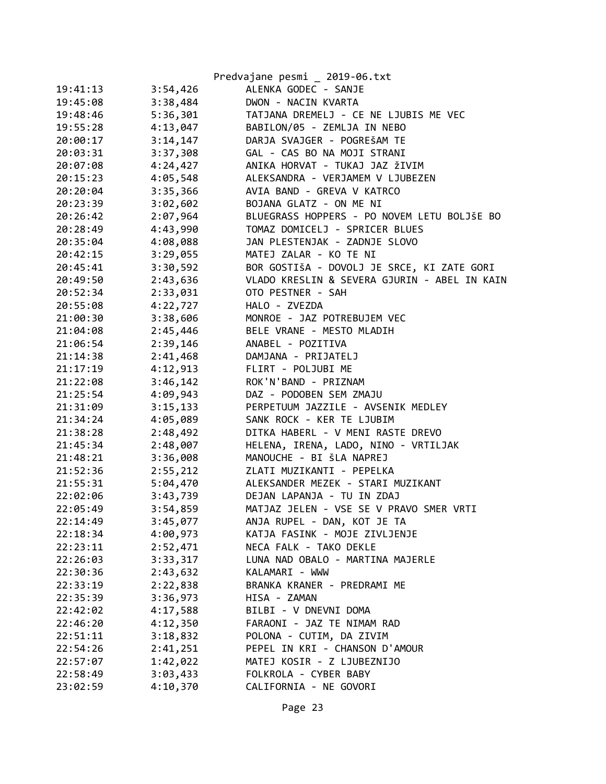|          |          | Predvajane pesmi _ 2019-06.txt               |
|----------|----------|----------------------------------------------|
| 19:41:13 | 3:54,426 | ALENKA GODEC - SANJE                         |
| 19:45:08 | 3:38,484 | DWON - NACIN KVARTA                          |
| 19:48:46 | 5:36,301 | TATJANA DREMELJ - CE NE LJUBIS ME VEC        |
| 19:55:28 | 4:13,047 | BABILON/05 - ZEMLJA IN NEBO                  |
| 20:00:17 | 3:14,147 | DARJA SVAJGER - POGREŠAM TE                  |
| 20:03:31 | 3:37,308 | GAL - CAS BO NA MOJI STRANI                  |
| 20:07:08 | 4:24,427 | ANIKA HORVAT - TUKAJ JAZ ŽIVIM               |
| 20:15:23 | 4:05,548 | ALEKSANDRA - VERJAMEM V LJUBEZEN             |
| 20:20:04 | 3:35,366 | AVIA BAND - GREVA V KATRCO                   |
| 20:23:39 | 3:02,602 | BOJANA GLATZ - ON ME NI                      |
| 20:26:42 | 2:07,964 | BLUEGRASS HOPPERS - PO NOVEM LETU BOLJŠE BO  |
| 20:28:49 | 4:43,990 | TOMAZ DOMICELJ - SPRICER BLUES               |
| 20:35:04 | 4:08,088 | JAN PLESTENJAK - ZADNJE SLOVO                |
| 20:42:15 | 3:29,055 | MATEJ ZALAR - KO TE NI                       |
| 20:45:41 | 3:30,592 | BOR GOSTIŠA - DOVOLJ JE SRCE, KI ZATE GORI   |
| 20:49:50 | 2:43,636 | VLADO KRESLIN & SEVERA GJURIN - ABEL IN KAIN |
| 20:52:34 | 2:33,031 | OTO PESTNER - SAH                            |
| 20:55:08 | 4:22,727 | HALO - ZVEZDA                                |
| 21:00:30 | 3:38,606 | MONROE - JAZ POTREBUJEM VEC                  |
| 21:04:08 | 2:45,446 | BELE VRANE - MESTO MLADIH                    |
| 21:06:54 | 2:39,146 | ANABEL - POZITIVA                            |
| 21:14:38 | 2:41,468 | DAMJANA - PRIJATELJ                          |
| 21:17:19 | 4:12,913 | FLIRT - POLJUBI ME                           |
| 21:22:08 | 3:46,142 | ROK'N'BAND - PRIZNAM                         |
| 21:25:54 | 4:09,943 | DAZ - PODOBEN SEM ZMAJU                      |
| 21:31:09 | 3:15,133 | PERPETUUM JAZZILE - AVSENIK MEDLEY           |
| 21:34:24 | 4:05,089 | SANK ROCK - KER TE LJUBIM                    |
| 21:38:28 | 2:48,492 | DITKA HABERL - V MENI RASTE DREVO            |
| 21:45:34 | 2:48,007 | HELENA, IRENA, LADO, NINO - VRTILJAK         |
| 21:48:21 | 3:36,008 | MANOUCHE - BI ŠLA NAPREJ                     |
| 21:52:36 | 2:55,212 | ZLATI MUZIKANTI - PEPELKA                    |
| 21:55:31 | 5:04,470 | ALEKSANDER MEZEK - STARI MUZIKANT            |
| 22:02:06 | 3:43,739 | DEJAN LAPANJA - TU IN ZDAJ                   |
| 22:05:49 | 3:54,859 | MATJAZ JELEN - VSE SE V PRAVO SMER VRTI      |
| 22:14:49 | 3:45,077 | ANJA RUPEL - DAN, KOT JE TA                  |
| 22:18:34 | 4:00,973 | KATJA FASINK - MOJE ZIVLJENJE                |
| 22:23:11 | 2:52,471 | NECA FALK - TAKO DEKLE                       |
| 22:26:03 | 3:33,317 | LUNA NAD OBALO - MARTINA MAJERLE             |
| 22:30:36 | 2:43,632 | KALAMARI - WWW                               |
| 22:33:19 | 2:22,838 | BRANKA KRANER - PREDRAMI ME                  |
| 22:35:39 | 3:36,973 | HISA - ZAMAN                                 |
| 22:42:02 | 4:17,588 | BILBI - V DNEVNI DOMA                        |
| 22:46:20 | 4:12,350 | FARAONI - JAZ TE NIMAM RAD                   |
| 22:51:11 | 3:18,832 | POLONA - CUTIM, DA ZIVIM                     |
| 22:54:26 | 2:41,251 | PEPEL IN KRI - CHANSON D'AMOUR               |
| 22:57:07 | 1:42,022 | MATEJ KOSIR - Z LJUBEZNIJO                   |
| 22:58:49 | 3:03,433 | FOLKROLA - CYBER BABY                        |
| 23:02:59 | 4:10,370 | CALIFORNIA - NE GOVORI                       |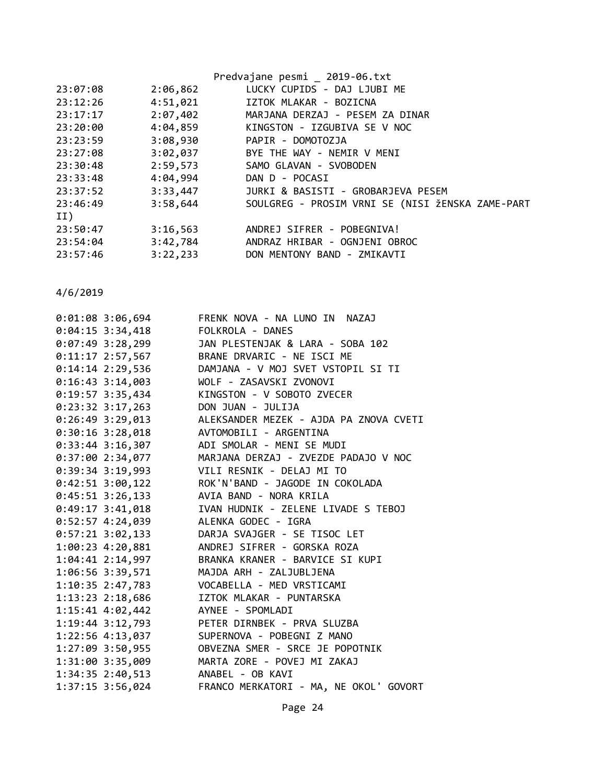|          |          | Predvajane pesmi _ 2019-06.txt                   |
|----------|----------|--------------------------------------------------|
| 23:07:08 | 2:06,862 | LUCKY CUPIDS - DAJ LJUBI ME                      |
| 23:12:26 | 4:51,021 | IZTOK MLAKAR - BOZICNA                           |
| 23:17:17 | 2:07,402 | MARJANA DERZAJ - PESEM ZA DINAR                  |
| 23:20:00 | 4:04,859 | KINGSTON - IZGUBIVA SE V NOC                     |
| 23:23:59 | 3:08,930 | PAPIR - DOMOTOZJA                                |
| 23:27:08 | 3:02,037 | BYE THE WAY - NEMIR V MENI                       |
| 23:30:48 | 2:59,573 | SAMO GLAVAN - SVOBODEN                           |
| 23:33:48 | 4:04,994 | DAN D - POCASI                                   |
| 23:37:52 | 3:33,447 | JURKI & BASISTI - GROBARJEVA PESEM               |
| 23:46:49 | 3:58,644 | SOULGREG - PROSIM VRNI SE (NISI ŽENSKA ZAME-PART |
| II)      |          |                                                  |
| 23:50:47 | 3:16,563 | ANDREJ SIFRER - POBEGNIVA!                       |
| 23:54:04 | 3:42,784 | ANDRAZ HRIBAR - OGNJENI OBROC                    |
| 23:57:46 | 3:22,233 | DON MENTONY BAND - ZMIKAVTI                      |

| $0:01:08$ 3:06,694                        | FRENK NOVA - NA LUNO IN NAZAJ                                                     |
|-------------------------------------------|-----------------------------------------------------------------------------------|
| 0:04:15 3:34,418 FOLKROLA - DANES         |                                                                                   |
|                                           | 0:07:49 3:28,299 JAN PLESTENJAK & LARA - SOBA 102                                 |
|                                           | 0:11:17 2:57,567 BRANE DRVARIC - NE ISCI ME                                       |
|                                           | 0:14:14 2:29,536 DAMJANA - V MOJ SVET VSTOPIL SI TI                               |
|                                           | 0:16:43 3:14,003 WOLF - ZASAVSKI ZVONOVI                                          |
|                                           | 0:19:57 3:35,434 KINGSTON - V SOBOTO ZVECER                                       |
| 0:23:32 3:17,263 DON JUAN - JULIJA        |                                                                                   |
|                                           | 0:26:49 3:29,013 ALEKSANDER MEZEK - AJDA PA ZNOVA CVETI                           |
| $0:30:16$ 3:28,018 AVTOMOBILI - ARGENTINA |                                                                                   |
|                                           | 0:33:44 3:16,307 ADI SMOLAR - MENI SE MUDI                                        |
|                                           | 0:37:00 2:34,077 MARJANA DERZAJ - ZVEZDE PADAJO V NOC                             |
|                                           | 0:39:34 3:19,993 VILI RESNIK - DELAJ MI TO                                        |
|                                           | 0:42:51 3:00,122 ROK'N'BAND - JAGODE IN COKOLADA                                  |
| 0:45:51 3:26,133 AVIA BAND - NORA KRILA   |                                                                                   |
|                                           | 0:49:17 3:41,018 IVAN HUDNIK - ZELENE LIVADE S TEBOJ                              |
| 0:52:57 4:24,039 ALENKA GODEC - IGRA      |                                                                                   |
|                                           | 0:57:21 3:02,133 DARJA SVAJGER - SE TISOC LET                                     |
|                                           | 1:00:23  4:20,881  ANDREJ SIFRER - GORSKA ROZA                                    |
|                                           | 1:04:41 2:14,997 BRANKA KRANER - BARVICE SI KUPI                                  |
|                                           | 1:06:56 3:39,571 MAJDA ARH - ZALJUBLJENA                                          |
|                                           |                                                                                   |
|                                           | 1:13:23 2:18,686 IZTOK MLAKAR - PUNTARSKA                                         |
|                                           |                                                                                   |
|                                           |                                                                                   |
|                                           | 1:22:56 4:13,037 SUPERNOVA - POBEGNI Z MANO                                       |
|                                           | 1:27:09 3:50,955 OBVEZNA SMER - SRCE JE POPOTNIK                                  |
|                                           |                                                                                   |
|                                           | 1:31:00 3:35,009 MARTA ZORE - POVEJ MI ZAKAJ<br>1:34:35 2:40,513 ANABEL - OB KAVI |
| $1:37:15$ 3:56,024                        | FRANCO MERKATORI - MA, NE OKOL' GOVORT                                            |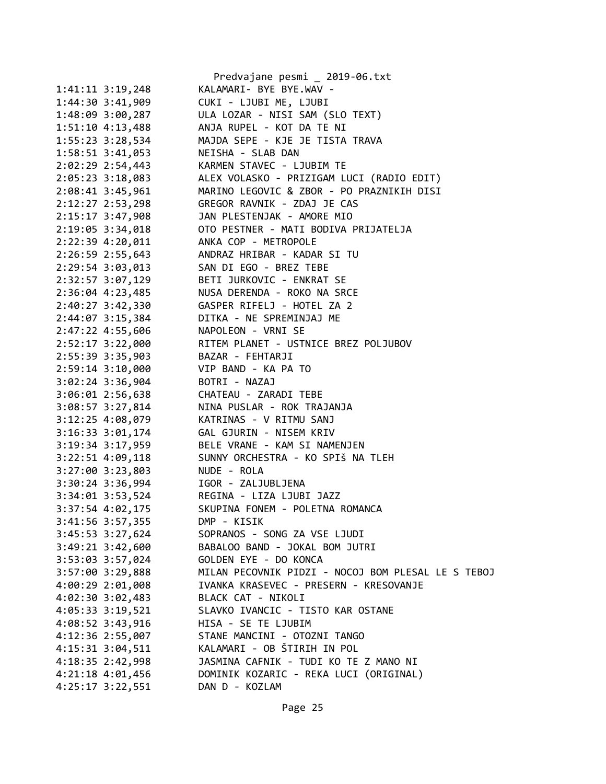|                      | Predvajane pesmi _ 2019-06.txt                           |
|----------------------|----------------------------------------------------------|
| $1:41:11$ $3:19,248$ | KALAMARI- BYE BYE.WAV -                                  |
| $1:44:30$ $3:41,909$ | CUKI - LJUBI ME, LJUBI                                   |
| 1:48:09 3:00,287     | ULA LOZAR - NISI SAM (SLO TEXT)                          |
| $1:51:10$ 4:13,488   | ANJA RUPEL - KOT DA TE NI                                |
| 1:55:23 3:28,534     | MAJDA SEPE - KJE JE TISTA TRAVA                          |
| $1:58:51$ $3:41,053$ | NEISHA - SLAB DAN                                        |
| $2:02:29$ $2:54,443$ | KARMEN STAVEC - LJUBIM TE                                |
| $2:05:23$ 3:18,083   | ALEX VOLASKO - PRIZIGAM LUCI (RADIO EDIT)                |
| 2:08:41 3:45,961     | MARINO LEGOVIC & ZBOR - PO PRAZNIKIH DISI                |
| 2:12:27 2:53,298     | GREGOR RAVNIK - ZDAJ JE CAS                              |
| 2:15:17 3:47,908     | JAN PLESTENJAK - AMORE MIO                               |
| 2:19:05 3:34,018     | OTO PESTNER - MATI BODIVA PRIJATELJA                     |
|                      | ANKA COP - METROPOLE                                     |
| 2:22:39 4:20,011     |                                                          |
| 2:26:59 2:55,643     | ANDRAZ HRIBAR - KADAR SI TU                              |
| 2:29:54 3:03,013     | SAN DI EGO - BREZ TEBE                                   |
| 2:32:57 3:07,129     | BETI JURKOVIC - ENKRAT SE                                |
| 2:36:04 4:23,485     | NUSA DERENDA - ROKO NA SRCE                              |
| 2:40:27 3:42,330     | GASPER RIFELJ - HOTEL ZA 2                               |
| 2:44:07 3:15,384     | DITKA - NE SPREMINJAJ ME                                 |
| 2:47:22 4:55,606     | NAPOLEON - VRNI SE                                       |
| 2:52:17 3:22,000     |                                                          |
| 2:55:39 3:35,903     | RITEM PLANET - USTNICE BREZ POLJUBOV<br>BAZAR - FEHTARJI |
| 2:59:14 3:10,000     | VIP BAND - KA PA TO                                      |
| $3:02:24$ 3:36,904   | BOTRI - NAZAJ                                            |
| $3:06:01$ 2:56,638   | CHATEAU - ZARADI TEBE                                    |
| 3:08:57 3:27,814     | NINA PUSLAR - ROK TRAJANJA                               |
| $3:12:25$ 4:08,079   | KATRINAS - V RITMU SANJ                                  |
| 3:16:33 3:01,174     | GAL GJURIN - NISEM KRIV                                  |
| 3:19:34 3:17,959     | BELE VRANE - KAM SI NAMENJEN                             |
| 3:22:51 4:09,118     | SUNNY ORCHESTRA - KO SPIŠ NA TLEH                        |
| 3:27:00 3:23,803     | NUDE - ROLA                                              |
| $3:30:24$ 3:36,994   | IGOR - ZALJUBLJENA                                       |
|                      | 3:34:01 3:53,524 REGINA - LIZA LJUBI JAZZ                |
| 3:37:54 4:02,175     | SKUPINA FONEM - POLETNA ROMANCA                          |
| 3:41:56 3:57,355     | DMP - KISIK                                              |
| 3:45:53 3:27,624     | SOPRANOS - SONG ZA VSE LJUDI                             |
| 3:49:21 3:42,600     | BABALOO BAND - JOKAL BOM JUTRI                           |
| 3:53:03 3:57,024     | GOLDEN EYE - DO KONCA                                    |
| 3:57:00 3:29,888     | MILAN PECOVNIK PIDZI - NOCOJ BOM PLESAL LE S TEBOJ       |
| 4:00:29 2:01,008     | IVANKA KRASEVEC - PRESERN - KRESOVANJE                   |
| 4:02:30 3:02,483     | BLACK CAT - NIKOLI                                       |
| 4:05:33 3:19,521     | SLAVKO IVANCIC - TISTO KAR OSTANE                        |
| 4:08:52 3:43,916     | HISA - SE TE LJUBIM                                      |
|                      | STANE MANCINI - OTOZNI TANGO                             |
| 4:12:36 2:55,007     | KALAMARI - OB ŠTIRIH IN POL                              |
| 4:15:31 3:04,511     |                                                          |
| 4:18:35 2:42,998     | JASMINA CAFNIK - TUDI KO TE Z MANO NI                    |
| 4:21:18 4:01,456     | DOMINIK KOZARIC - REKA LUCI (ORIGINAL)                   |
| $4:25:17$ $3:22,551$ | DAN D - KOZLAM                                           |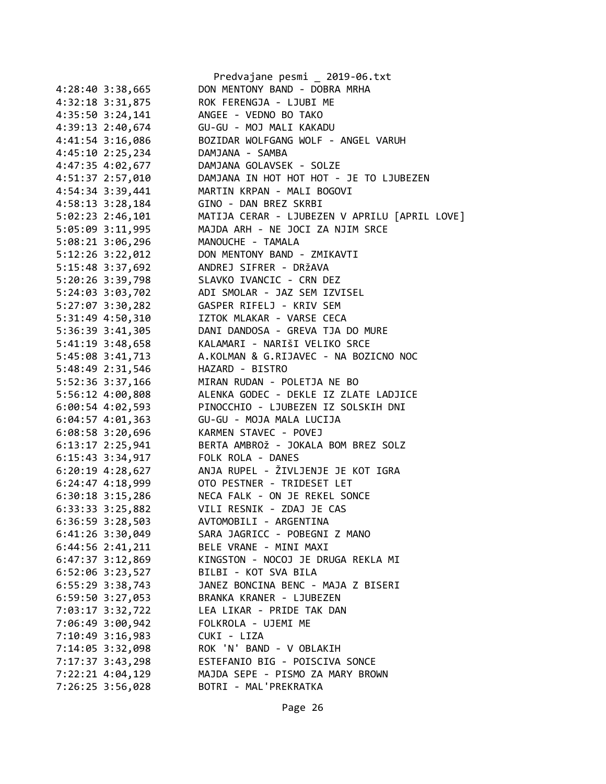|                      | Predvajane pesmi _ 2019-06.txt                |
|----------------------|-----------------------------------------------|
| 4:28:40 3:38,665     | DON MENTONY BAND - DOBRA MRHA                 |
| 4:32:18 3:31,875     | ROK FERENGJA - LJUBI ME                       |
| $4:35:50$ $3:24,141$ | ANGEE - VEDNO BO TAKO                         |
| 4:39:13 2:40,674     | GU-GU - MOJ MALI KAKADU                       |
| 4:41:54 3:16,086     | BOZIDAR WOLFGANG WOLF - ANGEL VARUH           |
| 4:45:10 2:25,234     | DAMJANA - SAMBA                               |
| 4:47:35 4:02,677     | DAMJANA GOLAVSEK - SOLZE                      |
| 4:51:37 2:57,010     | DAMJANA IN HOT HOT HOT - JE TO LJUBEZEN       |
| 4:54:34 3:39,441     | MARTIN KRPAN - MALI BOGOVI                    |
| 4:58:13 3:28,184     | GINO - DAN BREZ SKRBI                         |
| $5:02:23$ 2:46,101   | MATIJA CERAR - LJUBEZEN V APRILU [APRIL LOVE] |
| 5:05:09 3:11,995     | MAJDA ARH - NE JOCI ZA NJIM SRCE              |
| 5:08:21 3:06,296     | MANOUCHE - TAMALA                             |
| 5:12:26 3:22,012     | DON MENTONY BAND - ZMIKAVTI                   |
| 5:15:48 3:37,692     | ANDREJ SIFRER - DRŽAVA                        |
| 5:20:26 3:39,798     | SLAVKO IVANCIC - CRN DEZ                      |
| 5:24:03 3:03,702     | ADI SMOLAR - JAZ SEM IZVISEL                  |
| 5:27:07 3:30,282     | GASPER RIFELJ - KRIV SEM                      |
| 5:31:49 4:50,310     | IZTOK MLAKAR - VARSE CECA                     |
| 5:36:39 3:41,305     | DANI DANDOSA - GREVA TJA DO MURE              |
| 5:41:19 3:48,658     | KALAMARI - NARIŠI VELIKO SRCE                 |
| 5:45:08 3:41,713     | A.KOLMAN & G.RIJAVEC - NA BOZICNO NOC         |
| 5:48:49 2:31,546     | HAZARD - BISTRO                               |
| 5:52:36 3:37,166     | MIRAN RUDAN - POLETJA NE BO                   |
| 5:56:12 4:00,808     | ALENKA GODEC - DEKLE IZ ZLATE LADJICE         |
| $6:00:54$ 4:02,593   | PINOCCHIO - LJUBEZEN IZ SOLSKIH DNI           |
| $6:04:57$ $4:01,363$ | GU-GU - MOJA MALA LUCIJA                      |
| 6:08:58 3:20,696     | KARMEN STAVEC - POVEJ                         |
| $6:13:17$ 2:25,941   | BERTA AMBROŽ - JOKALA BOM BREZ SOLZ           |
| 6:15:43 3:34,917     | FOLK ROLA - DANES                             |
| $6:20:19$ 4:28,627   | ANJA RUPEL - ŽIVLJENJE JE KOT IGRA            |
| $6:24:47$ $4:18,999$ | OTO PESTNER - TRIDESET LET                    |
| $6:30:18$ 3:15,286   | NECA FALK - ON JE REKEL SONCE                 |
| 6:33:33 3:25,882     | VILI RESNIK - ZDAJ JE CAS                     |
| 6:36:59 3:28,503     | AVTOMOBILI - ARGENTINA                        |
| $6:41:26$ 3:30,049   | SARA JAGRICC - POBEGNI Z MANO                 |
| 6:44:56 2:41,211     | BELE VRANE - MINI MAXI                        |
| $6:47:37$ $3:12,869$ | KINGSTON - NOCOJ JE DRUGA REKLA MI            |
| 6:52:06 3:23,527     | BILBI - KOT SVA BILA                          |
| $6:55:29$ 3:38,743   | JANEZ BONCINA BENC - MAJA Z BISERI            |
|                      | BRANKA KRANER - LJUBEZEN                      |
| 6:59:50 3:27,053     | LEA LIKAR - PRIDE TAK DAN                     |
| 7:03:17 3:32,722     | FOLKROLA - UJEMI ME                           |
| 7:06:49 3:00,942     |                                               |
| 7:10:49 3:16,983     | CUKI - LIZA                                   |
| 7:14:05 3:32,098     | ROK 'N' BAND - V OBLAKIH                      |
| 7:17:37 3:43,298     | ESTEFANIO BIG - POISCIVA SONCE                |
| 7:22:21 4:04,129     | MAJDA SEPE - PISMO ZA MARY BROWN              |
| 7:26:25 3:56,028     | BOTRI - MAL'PREKRATKA                         |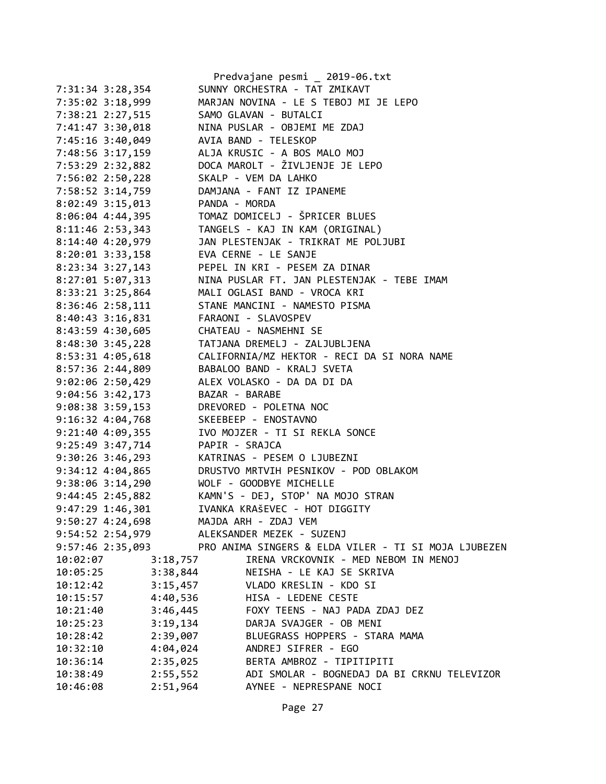|                      |                | Predvajane pesmi _ 2019-06.txt                       |
|----------------------|----------------|------------------------------------------------------|
| 7:31:34 3:28,354     |                | SUNNY ORCHESTRA - TAT ZMIKAVT                        |
| 7:35:02 3:18,999     |                | MARJAN NOVINA - LE S TEBOJ MI JE LEPO                |
| 7:38:21 2:27,515     |                | SAMO GLAVAN - BUTALCI                                |
| 7:41:47 3:30,018     |                | NINA PUSLAR - OBJEMI ME ZDAJ                         |
| 7:45:16 3:40,049     |                | AVIA BAND - TELESKOP                                 |
| 7:48:56 3:17,159     |                | ALJA KRUSIC - A BOS MALO MOJ                         |
| 7:53:29 2:32,882     |                | DOCA MAROLT - ŽIVLJENJE JE LEPO                      |
| 7:56:02 2:50,228     |                | SKALP - VEM DA LAHKO                                 |
| 7:58:52 3:14,759     |                | DAMJANA - FANT IZ IPANEME                            |
| 8:02:49 3:15,013     | PANDA - MORDA  |                                                      |
| $8:06:04$ 4:44,395   |                | TOMAZ DOMICELJ - ŠPRICER BLUES                       |
| 8:11:46 2:53,343     |                | TANGELS - KAJ IN KAM (ORIGINAL)                      |
| 8:14:40 4:20,979     |                | JAN PLESTENJAK - TRIKRAT ME POLJUBI                  |
| $8:20:01$ $3:33,158$ |                | EVA CERNE - LE SANJE                                 |
| $8:23:34$ 3:27,143   |                | PEPEL IN KRI - PESEM ZA DINAR                        |
| 8:27:01 5:07,313     |                | NINA PUSLAR FT. JAN PLESTENJAK - TEBE IMAM           |
| 8:33:21 3:25,864     |                | MALI OGLASI BAND - VROCA KRI                         |
| 8:36:46 2:58,111     |                | STANE MANCINI - NAMESTO PISMA                        |
| 8:40:43 3:16,831     |                | FARAONI - SLAVOSPEV                                  |
| 8:43:59 4:30,605     |                | CHATEAU - NASMEHNI SE                                |
| $8:48:30$ 3:45,228   |                | TATJANA DREMELJ - ZALJUBLJENA                        |
| 8:53:31 4:05,618     |                | CALIFORNIA/MZ HEKTOR - RECI DA SI NORA NAME          |
| 8:57:36 2:44,809     |                | BABALOO BAND - KRALJ SVETA                           |
| $9:02:06$ 2:50,429   |                | ALEX VOLASKO - DA DA DI DA                           |
|                      | BAZAR - BARABE |                                                      |
| $9:04:56$ $3:42,173$ |                | DREVORED - POLETNA NOC                               |
| 9:08:38 3:59,153     |                |                                                      |
| $9:16:32$ $4:04,768$ |                | SKEEBEEP - ENOSTAVNO                                 |
| $9:21:40$ 4:09,355   |                | IVO MOJZER - TI SI REKLA SONCE                       |
| 9:25:49 3:47,714     | PAPIR - SRAJCA |                                                      |
| 9:30:26 3:46,293     |                | KATRINAS - PESEM O LJUBEZNI                          |
| $9:34:12 \ 4:04,865$ |                | DRUSTVO MRTVIH PESNIKOV - POD OBLAKOM                |
| $9:38:06$ $3:14,290$ |                | WOLF - GOODBYE MICHELLE                              |
| 9:44:45 2:45,882     |                | KAMN'S - DEJ, STOP' NA MOJO STRAN                    |
| 9:47:29 1:46,301     |                | IVANKA KRAŠEVEC - HOT DIGGITY                        |
| 9:50:27 4:24,698     |                | MAJDA ARH - ZDAJ VEM                                 |
| 9:54:52 2:54,979     |                | ALEKSANDER MEZEK - SUZENJ                            |
| 9:57:46 2:35,093     |                | PRO ANIMA SINGERS & ELDA VILER - TI SI MOJA LJUBEZEN |
| 10:02:07             | 3:18,757       | IRENA VRCKOVNIK - MED NEBOM IN MENOJ                 |
| 10:05:25             | 3:38,844       | NEISHA - LE KAJ SE SKRIVA                            |
| 10:12:42             | 3:15,457       | VLADO KRESLIN - KDO SI                               |
| 10:15:57             | 4:40,536       | HISA - LEDENE CESTE                                  |
| 10:21:40             | 3:46,445       | FOXY TEENS - NAJ PADA ZDAJ DEZ                       |
| 10:25:23             | 3:19,134       | DARJA SVAJGER - OB MENI                              |
| 10:28:42             | 2:39,007       | BLUEGRASS HOPPERS - STARA MAMA                       |
| 10:32:10             | 4:04,024       | ANDREJ SIFRER - EGO                                  |
| 10:36:14             | 2:35,025       | BERTA AMBROZ - TIPITIPITI                            |
| 10:38:49             | 2:55,552       | ADI SMOLAR - BOGNEDAJ DA BI CRKNU TELEVIZOR          |
| 10:46:08             | 2:51,964       | AYNEE - NEPRESPANE NOCI                              |
|                      |                |                                                      |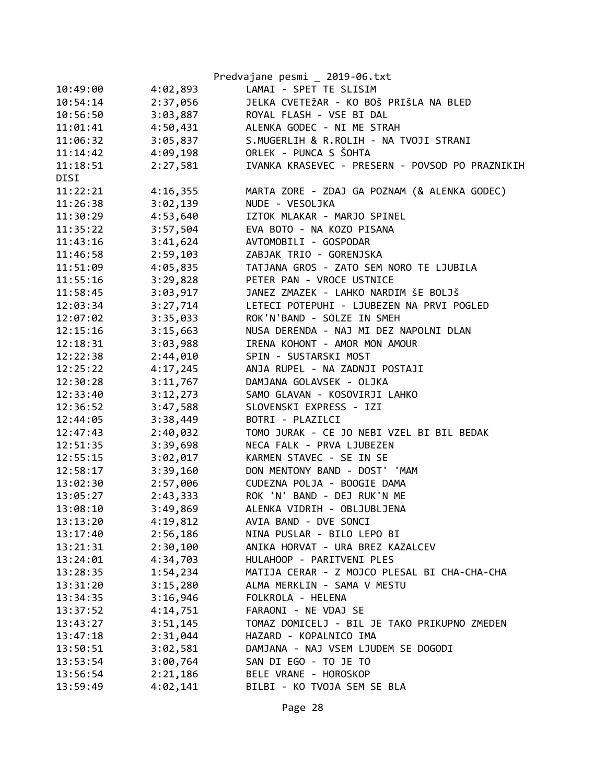|          |          | Predvajane pesmi _ 2019-06.txt                  |
|----------|----------|-------------------------------------------------|
| 10:49:00 | 4:02,893 | LAMAI - SPET TE SLISIM                          |
| 10:54:14 | 2:37,056 | JELKA CVETEŽAR - KO BOŠ PRIŠLA NA BLED          |
| 10:56:50 | 3:03,887 | ROYAL FLASH - VSE BI DAL                        |
| 11:01:41 | 4:50,431 | ALENKA GODEC - NI ME STRAH                      |
| 11:06:32 | 3:05,837 | S.MUGERLIH & R.ROLIH - NA TVOJI STRANI          |
| 11:14:42 | 4:09,198 | ORLEK - PUNCA S ŠOHTA                           |
| 11:18:51 | 2:27,581 | IVANKA KRASEVEC - PRESERN - POVSOD PO PRAZNIKIH |
| DISI     |          |                                                 |
| 11:22:21 | 4:16,355 | MARTA ZORE - ZDAJ GA POZNAM (& ALENKA GODEC)    |
| 11:26:38 | 3:02,139 | NUDE - VESOLJKA                                 |
| 11:30:29 | 4:53,640 | IZTOK MLAKAR - MARJO SPINEL                     |
| 11:35:22 | 3:57,504 | EVA BOTO - NA KOZO PISANA                       |
| 11:43:16 | 3:41,624 | AVTOMOBILI - GOSPODAR                           |
| 11:46:58 | 2:59,103 | ZABJAK TRIO - GORENJSKA                         |
| 11:51:09 | 4:05,835 | TATJANA GROS - ZATO SEM NORO TE LJUBILA         |
| 11:55:16 | 3:29,828 | PETER PAN - VROCE USTNICE                       |
| 11:58:45 | 3:03,917 | JANEZ ZMAZEK - LAHKO NARDIM ŠE BOLJŠ            |
| 12:03:34 | 3:27,714 | LETECI POTEPUHI - LJUBEZEN NA PRVI POGLED       |
| 12:07:02 | 3:35,033 | ROK'N'BAND - SOLZE IN SMEH                      |
| 12:15:16 | 3:15,663 | NUSA DERENDA - NAJ MI DEZ NAPOLNI DLAN          |
| 12:18:31 | 3:03,988 | IRENA KOHONT - AMOR MON AMOUR                   |
| 12:22:38 | 2:44,010 | SPIN - SUSTARSKI MOST                           |
| 12:25:22 | 4:17,245 | ANJA RUPEL - NA ZADNJI POSTAJI                  |
| 12:30:28 | 3:11,767 | DAMJANA GOLAVSEK - OLJKA                        |
| 12:33:40 | 3:12,273 | SAMO GLAVAN - KOSOVIRJI LAHKO                   |
| 12:36:52 | 3:47,588 | SLOVENSKI EXPRESS - IZI                         |
| 12:44:05 | 3:38,449 | BOTRI - PLAZILCI                                |
| 12:47:43 | 2:40,032 | TOMO JURAK - CE JO NEBI VZEL BI BIL BEDAK       |
| 12:51:35 | 3:39,698 | NECA FALK - PRVA LJUBEZEN                       |
| 12:55:15 | 3:02,017 | KARMEN STAVEC - SE IN SE                        |
| 12:58:17 | 3:39,160 | DON MENTONY BAND - DOST' 'MAM                   |
| 13:02:30 | 2:57,006 | CUDEZNA POLJA - BOOGIE DAMA                     |
| 13:05:27 | 2:43,333 | ROK 'N' BAND - DEJ RUK'N ME                     |
| 13:08:10 | 3:49,869 | ALENKA VIDRIH - OBLJUBLJENA                     |
| 13:13:20 | 4:19,812 | AVIA BAND - DVE SONCI                           |
| 13:17:40 | 2:56,186 | NINA PUSLAR - BILO LEPO BI                      |
| 13:21:31 | 2:30,100 | ANIKA HORVAT - URA BREZ KAZALCEV                |
| 13:24:01 | 4:34,703 | HULAHOOP - PARITVENI PLES                       |
| 13:28:35 | 1:54,234 | MATIJA CERAR - Z MOJCO PLESAL BI CHA-CHA-CHA    |
| 13:31:20 | 3:15,280 | ALMA MERKLIN - SAMA V MESTU                     |
| 13:34:35 | 3:16,946 | FOLKROLA - HELENA                               |
| 13:37:52 | 4:14,751 | FARAONI - NE VDAJ SE                            |
| 13:43:27 | 3:51,145 | TOMAZ DOMICELJ - BIL JE TAKO PRIKUPNO ZMEDEN    |
| 13:47:18 | 2:31,044 | HAZARD - KOPALNICO IMA                          |
| 13:50:51 | 3:02,581 | DAMJANA - NAJ VSEM LJUDEM SE DOGODI             |
| 13:53:54 | 3:00,764 | SAN DI EGO - TO JE TO                           |
| 13:56:54 | 2:21,186 | BELE VRANE - HOROSKOP                           |
| 13:59:49 | 4:02,141 | BILBI - KO TVOJA SEM SE BLA                     |
|          |          |                                                 |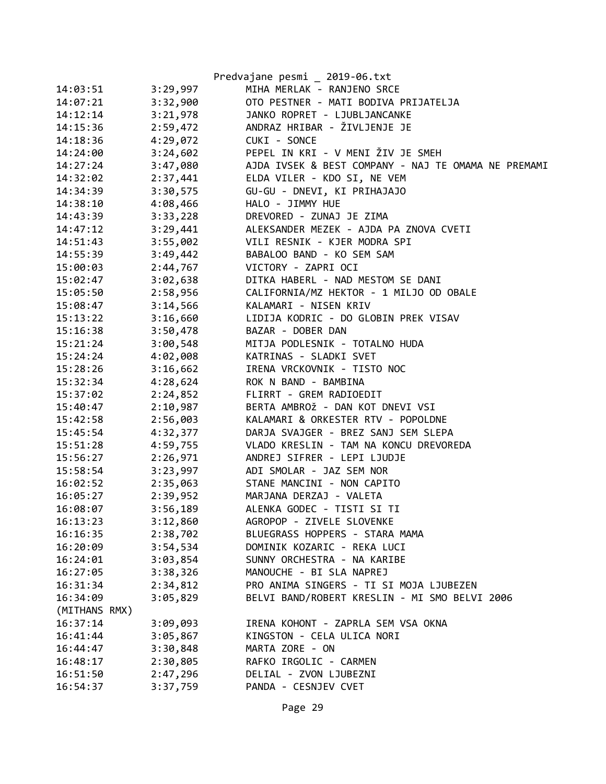|               |          | Predvajane pesmi _ 2019-06.txt                      |
|---------------|----------|-----------------------------------------------------|
| 14:03:51      | 3:29,997 | MIHA MERLAK - RANJENO SRCE                          |
| 14:07:21      | 3:32,900 | OTO PESTNER - MATI BODIVA PRIJATELJA                |
| 14:12:14      | 3:21,978 | JANKO ROPRET - LJUBLJANCANKE                        |
| 14:15:36      | 2:59,472 | ANDRAZ HRIBAR - ŽIVLJENJE JE                        |
| 14:18:36      | 4:29,072 | CUKI - SONCE                                        |
| 14:24:00      | 3:24,602 | PEPEL IN KRI - V MENI ŽIV JE SMEH                   |
| 14:27:24      | 3:47,080 | AJDA IVSEK & BEST COMPANY - NAJ TE OMAMA NE PREMAMI |
| 14:32:02      | 2:37,441 | ELDA VILER - KDO SI, NE VEM                         |
| 14:34:39      | 3:30,575 | GU-GU - DNEVI, KI PRIHAJAJO                         |
| 14:38:10      | 4:08,466 | HALO - JIMMY HUE                                    |
| 14:43:39      | 3:33,228 | DREVORED - ZUNAJ JE ZIMA                            |
| 14:47:12      | 3:29,441 | ALEKSANDER MEZEK - AJDA PA ZNOVA CVETI              |
| 14:51:43      | 3:55,002 | VILI RESNIK - KJER MODRA SPI                        |
| 14:55:39      | 3:49,442 | BABALOO BAND - KO SEM SAM                           |
| 15:00:03      | 2:44,767 | VICTORY - ZAPRI OCI                                 |
| 15:02:47      | 3:02,638 | DITKA HABERL - NAD MESTOM SE DANI                   |
| 15:05:50      | 2:58,956 | CALIFORNIA/MZ HEKTOR - 1 MILJO OD OBALE             |
| 15:08:47      | 3:14,566 | KALAMARI - NISEN KRIV                               |
| 15:13:22      | 3:16,660 | LIDIJA KODRIC - DO GLOBIN PREK VISAV                |
| 15:16:38      | 3:50,478 | BAZAR - DOBER DAN                                   |
| 15:21:24      | 3:00,548 | MITJA PODLESNIK - TOTALNO HUDA                      |
| 15:24:24      | 4:02,008 | KATRINAS - SLADKI SVET                              |
| 15:28:26      | 3:16,662 | IRENA VRCKOVNIK - TISTO NOC                         |
| 15:32:34      | 4:28,624 | ROK N BAND - BAMBINA                                |
| 15:37:02      | 2:24,852 | FLIRRT - GREM RADIOEDIT                             |
| 15:40:47      | 2:10,987 | BERTA AMBROŽ - DAN KOT DNEVI VSI                    |
| 15:42:58      | 2:56,003 | KALAMARI & ORKESTER RTV - POPOLDNE                  |
| 15:45:54      | 4:32,377 | DARJA SVAJGER - BREZ SANJ SEM SLEPA                 |
| 15:51:28      | 4:59,755 | VLADO KRESLIN - TAM NA KONCU DREVOREDA              |
| 15:56:27      | 2:26,971 | ANDREJ SIFRER - LEPI LJUDJE                         |
| 15:58:54      | 3:23,997 | ADI SMOLAR - JAZ SEM NOR                            |
| 16:02:52      | 2:35,063 | STANE MANCINI - NON CAPITO                          |
| 16:05:27      | 2:39,952 | MARJANA DERZAJ - VALETA                             |
| 16:08:07      | 3:56,189 | ALENKA GODEC - TISTI SI TI                          |
| 16:13:23      | 3:12,860 | AGROPOP - ZIVELE SLOVENKE                           |
| 16:16:35      | 2:38,702 | BLUEGRASS HOPPERS - STARA MAMA                      |
| 16:20:09      | 3:54,534 | DOMINIK KOZARIC - REKA LUCI                         |
| 16:24:01      | 3:03,854 | SUNNY ORCHESTRA - NA KARIBE                         |
| 16:27:05      | 3:38,326 | MANOUCHE - BI SLA NAPREJ                            |
| 16:31:34      | 2:34,812 | PRO ANIMA SINGERS - TI SI MOJA LJUBEZEN             |
| 16:34:09      | 3:05,829 | BELVI BAND/ROBERT KRESLIN - MI SMO BELVI 2006       |
| (MITHANS RMX) |          |                                                     |
| 16:37:14      | 3:09,093 | IRENA KOHONT - ZAPRLA SEM VSA OKNA                  |
| 16:41:44      | 3:05,867 | KINGSTON - CELA ULICA NORI                          |
| 16:44:47      | 3:30,848 | MARTA ZORE - ON                                     |
| 16:48:17      | 2:30,805 | RAFKO IRGOLIC - CARMEN                              |
| 16:51:50      | 2:47,296 | DELIAL - ZVON LJUBEZNI                              |
| 16:54:37      | 3:37,759 | PANDA - CESNJEV CVET                                |
|               |          |                                                     |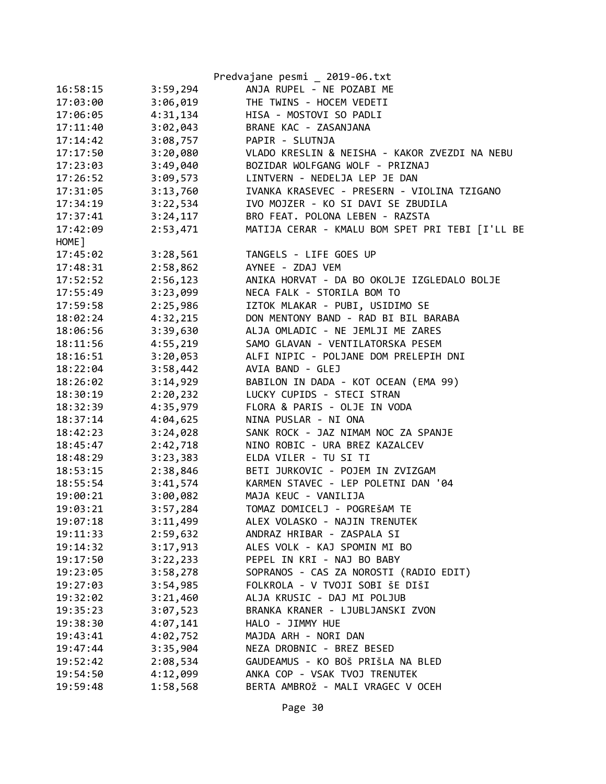|          |          | Predvajane pesmi _ 2019-06.txt                  |
|----------|----------|-------------------------------------------------|
| 16:58:15 | 3:59,294 | ANJA RUPEL - NE POZABI ME                       |
| 17:03:00 | 3:06,019 | THE TWINS - HOCEM VEDETI                        |
| 17:06:05 | 4:31,134 | HISA - MOSTOVI SO PADLI                         |
| 17:11:40 | 3:02,043 | BRANE KAC - ZASANJANA                           |
| 17:14:42 | 3:08,757 | PAPIR - SLUTNJA                                 |
| 17:17:50 | 3:20,080 | VLADO KRESLIN & NEISHA - KAKOR ZVEZDI NA NEBU   |
| 17:23:03 | 3:49,040 | BOZIDAR WOLFGANG WOLF - PRIZNAJ                 |
| 17:26:52 | 3:09,573 | LINTVERN - NEDELJA LEP JE DAN                   |
| 17:31:05 | 3:13,760 | IVANKA KRASEVEC - PRESERN - VIOLINA TZIGANO     |
| 17:34:19 | 3:22,534 | IVO MOJZER - KO SI DAVI SE ZBUDILA              |
| 17:37:41 | 3:24,117 | BRO FEAT. POLONA LEBEN - RAZSTA                 |
| 17:42:09 | 2:53,471 | MATIJA CERAR - KMALU BOM SPET PRI TEBI [I'LL BE |
| HOME ]   |          |                                                 |
| 17:45:02 | 3:28,561 | TANGELS - LIFE GOES UP                          |
| 17:48:31 | 2:58,862 | AYNEE - ZDAJ VEM                                |
| 17:52:52 | 2:56,123 | ANIKA HORVAT - DA BO OKOLJE IZGLEDALO BOLJE     |
| 17:55:49 | 3:23,099 | NECA FALK - STORILA BOM TO                      |
| 17:59:58 | 2:25,986 | IZTOK MLAKAR - PUBI, USIDIMO SE                 |
| 18:02:24 | 4:32,215 | DON MENTONY BAND - RAD BI BIL BARABA            |
| 18:06:56 | 3:39,630 | ALJA OMLADIC - NE JEMLJI ME ZARES               |
| 18:11:56 | 4:55,219 | SAMO GLAVAN - VENTILATORSKA PESEM               |
| 18:16:51 | 3:20,053 | ALFI NIPIC - POLJANE DOM PRELEPIH DNI           |
| 18:22:04 | 3:58,442 | AVIA BAND - GLEJ                                |
| 18:26:02 | 3:14,929 | BABILON IN DADA - KOT OCEAN (EMA 99)            |
| 18:30:19 | 2:20,232 | LUCKY CUPIDS - STECI STRAN                      |
| 18:32:39 | 4:35,979 | FLORA & PARIS - OLJE IN VODA                    |
| 18:37:14 | 4:04,625 | NINA PUSLAR - NI ONA                            |
| 18:42:23 | 3:24,028 | SANK ROCK - JAZ NIMAM NOC ZA SPANJE             |
| 18:45:47 | 2:42,718 | NINO ROBIC - URA BREZ KAZALCEV                  |
| 18:48:29 | 3:23,383 | ELDA VILER - TU SI TI                           |
| 18:53:15 | 2:38,846 | BETI JURKOVIC - POJEM IN ZVIZGAM                |
| 18:55:54 | 3:41,574 | KARMEN STAVEC - LEP POLETNI DAN '04             |
| 19:00:21 | 3:00,082 | MAJA KEUC - VANILIJA                            |
| 19:03:21 | 3:57,284 | TOMAZ DOMICELJ - POGREŠAM TE                    |
| 19:07:18 | 3:11,499 | ALEX VOLASKO - NAJIN TRENUTEK                   |
| 19:11:33 | 2:59,632 | ANDRAZ HRIBAR - ZASPALA SI                      |
| 19:14:32 | 3:17,913 | ALES VOLK - KAJ SPOMIN MI BO                    |
| 19:17:50 | 3:22,233 | PEPEL IN KRI - NAJ BO BABY                      |
| 19:23:05 | 3:58,278 | SOPRANOS - CAS ZA NOROSTI (RADIO EDIT)          |
|          |          | FOLKROLA - V TVOJI SOBI ŠE DIŠI                 |
| 19:27:03 | 3:54,985 |                                                 |
| 19:32:02 | 3:21,460 | ALJA KRUSIC - DAJ MI POLJUB                     |
| 19:35:23 | 3:07,523 | BRANKA KRANER - LJUBLJANSKI ZVON                |
| 19:38:30 | 4:07,141 | HALO - JIMMY HUE                                |
| 19:43:41 | 4:02,752 | MAJDA ARH - NORI DAN                            |
| 19:47:44 | 3:35,904 | NEZA DROBNIC - BREZ BESED                       |
| 19:52:42 | 2:08,534 | GAUDEAMUS - KO BOŠ PRIŠLA NA BLED               |
| 19:54:50 | 4:12,099 | ANKA COP - VSAK TVOJ TRENUTEK                   |
| 19:59:48 | 1:58,568 | BERTA AMBROŽ - MALI VRAGEC V OCEH               |
|          |          |                                                 |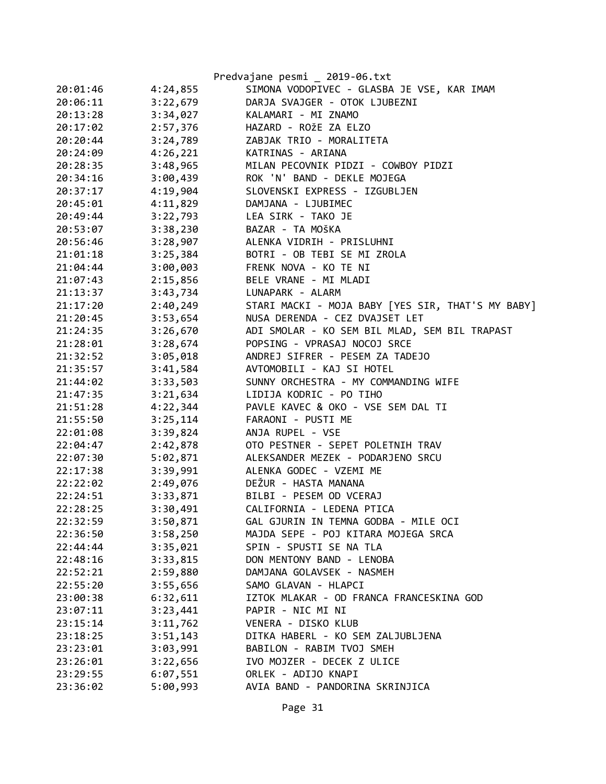|          |          | Predvajane pesmi _ 2019-06.txt                    |
|----------|----------|---------------------------------------------------|
| 20:01:46 | 4:24,855 | SIMONA VODOPIVEC - GLASBA JE VSE, KAR IMAM        |
| 20:06:11 | 3:22,679 | DARJA SVAJGER - OTOK LJUBEZNI                     |
| 20:13:28 | 3:34,027 | KALAMARI - MI ZNAMO                               |
| 20:17:02 | 2:57,376 | HAZARD - ROŽE ZA ELZO                             |
| 20:20:44 | 3:24,789 | ZABJAK TRIO - MORALITETA                          |
| 20:24:09 | 4:26,221 | KATRINAS - ARIANA                                 |
| 20:28:35 | 3:48,965 | MILAN PECOVNIK PIDZI - COWBOY PIDZI               |
| 20:34:16 | 3:00,439 | ROK 'N' BAND - DEKLE MOJEGA                       |
| 20:37:17 | 4:19,904 | SLOVENSKI EXPRESS - IZGUBLJEN                     |
| 20:45:01 | 4:11,829 | DAMJANA - LJUBIMEC                                |
| 20:49:44 | 3:22,793 | LEA SIRK - TAKO JE                                |
| 20:53:07 | 3:38,230 | BAZAR - TA MOŠKA                                  |
| 20:56:46 | 3:28,907 | ALENKA VIDRIH - PRISLUHNI                         |
| 21:01:18 | 3:25,384 | BOTRI - OB TEBI SE MI ZROLA                       |
| 21:04:44 | 3:00,003 | FRENK NOVA - KO TE NI                             |
| 21:07:43 | 2:15,856 | BELE VRANE - MI MLADI                             |
| 21:13:37 | 3:43,734 | LUNAPARK - ALARM                                  |
| 21:17:20 | 2:40,249 | STARI MACKI - MOJA BABY [YES SIR, THAT'S MY BABY] |
| 21:20:45 | 3:53,654 | NUSA DERENDA - CEZ DVAJSET LET                    |
| 21:24:35 | 3:26,670 | ADI SMOLAR - KO SEM BIL MLAD, SEM BIL TRAPAST     |
| 21:28:01 | 3:28,674 | POPSING - VPRASAJ NOCOJ SRCE                      |
| 21:32:52 | 3:05,018 | ANDREJ SIFRER - PESEM ZA TADEJO                   |
| 21:35:57 | 3:41,584 | AVTOMOBILI - KAJ SI HOTEL                         |
| 21:44:02 | 3:33,503 | SUNNY ORCHESTRA - MY COMMANDING WIFE              |
| 21:47:35 | 3:21,634 | LIDIJA KODRIC - PO TIHO                           |
| 21:51:28 | 4:22,344 | PAVLE KAVEC & OKO - VSE SEM DAL TI                |
| 21:55:50 | 3:25,114 | FARAONI - PUSTI ME                                |
| 22:01:08 | 3:39,824 | ANJA RUPEL - VSE                                  |
| 22:04:47 | 2:42,878 | OTO PESTNER - SEPET POLETNIH TRAV                 |
| 22:07:30 | 5:02,871 | ALEKSANDER MEZEK - PODARJENO SRCU                 |
| 22:17:38 | 3:39,991 | ALENKA GODEC - VZEMI ME                           |
| 22:22:02 | 2:49,076 | DEŽUR - HASTA MANANA                              |
| 22:24:51 | 3:33,871 | BILBI - PESEM OD VCERAJ                           |
| 22:28:25 | 3:30,491 | CALIFORNIA - LEDENA PTICA                         |
| 22:32:59 | 3:50,871 | GAL GJURIN IN TEMNA GODBA - MILE OCI              |
| 22:36:50 | 3:58,250 | MAJDA SEPE - POJ KITARA MOJEGA SRCA               |
| 22:44:44 | 3:35,021 | SPIN - SPUSTI SE NA TLA                           |
| 22:48:16 | 3:33,815 | DON MENTONY BAND - LENOBA                         |
| 22:52:21 | 2:59,880 | DAMJANA GOLAVSEK - NASMEH                         |
| 22:55:20 | 3:55,656 | SAMO GLAVAN - HLAPCI                              |
| 23:00:38 | 6:32,611 | IZTOK MLAKAR - OD FRANCA FRANCESKINA GOD          |
| 23:07:11 | 3:23,441 | PAPIR - NIC MI NI                                 |
| 23:15:14 | 3:11,762 | VENERA - DISKO KLUB                               |
| 23:18:25 | 3:51,143 | DITKA HABERL - KO SEM ZALJUBLJENA                 |
| 23:23:01 | 3:03,991 | BABILON - RABIM TVOJ SMEH                         |
| 23:26:01 | 3:22,656 | IVO MOJZER - DECEK Z ULICE                        |
| 23:29:55 | 6:07,551 | ORLEK - ADIJO KNAPI                               |
| 23:36:02 | 5:00,993 | AVIA BAND - PANDORINA SKRINJICA                   |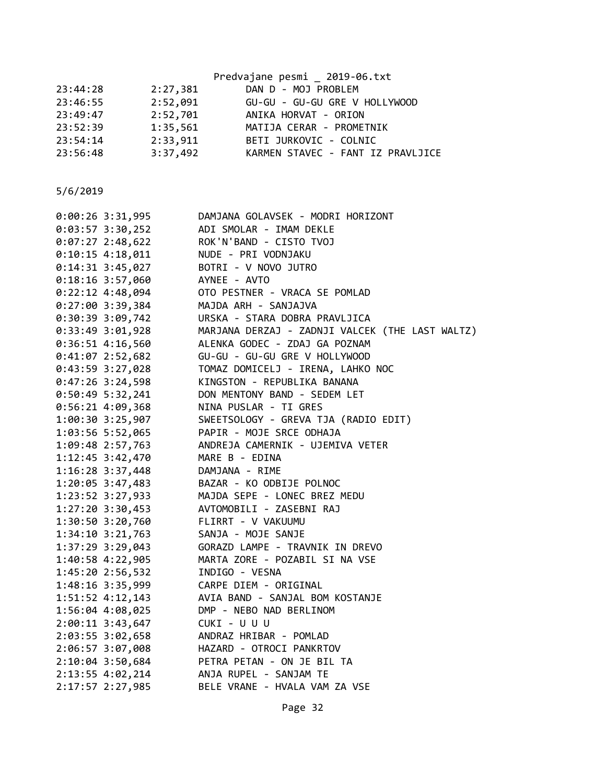|          |          | Predvajane pesmi _ 2019-06.txt    |
|----------|----------|-----------------------------------|
| 23:44:28 | 2:27,381 | DAN D - MOJ PROBLEM               |
| 23:46:55 | 2:52,091 | GU-GU - GU-GU GRE V HOLLYWOOD     |
| 23:49:47 | 2:52,701 | ANIKA HORVAT - ORION              |
| 23:52:39 | 1:35,561 | MATIJA CERAR - PROMETNIK          |
| 23:54:14 | 2:33,911 | BETI JURKOVIC - COLNIC            |
| 23:56:48 | 3:37,492 | KARMEN STAVEC - FANT IZ PRAVLJICE |
|          |          |                                   |

| $0:00:26$ 3:31,995   | DAMJANA GOLAVSEK - MODRI HORIZONT               |
|----------------------|-------------------------------------------------|
| $0:03:57$ 3:30,252   | ADI SMOLAR - IMAM DEKLE                         |
| $0:07:27$ 2:48,622   | ROK'N'BAND - CISTO TVOJ                         |
| $0:10:15$ 4:18,011   | NUDE - PRI VODNJAKU                             |
| $0:14:31$ 3:45,027   | BOTRI - V NOVO JUTRO                            |
| 0:18:16 3:57,060     | AYNEE - AVTO                                    |
| $0:22:12$ 4:48,094   | OTO PESTNER - VRACA SE POMLAD                   |
| 0:27:00 3:39,384     | MAJDA ARH - SANJAJVA                            |
| 0:30:39 3:09,742     | URSKA - STARA DOBRA PRAVLJICA                   |
| 0:33:49 3:01,928     | MARJANA DERZAJ - ZADNJI VALCEK (THE LAST WALTZ) |
| $0:36:51$ 4:16,560   | ALENKA GODEC - ZDAJ GA POZNAM                   |
| 0:41:07 2:52,682     | GU-GU - GU-GU GRE V HOLLYWOOD                   |
| 0:43:59 3:27,028     | TOMAZ DOMICELJ - IRENA, LAHKO NOC               |
| $0:47:26$ 3:24,598   | KINGSTON - REPUBLIKA BANANA                     |
| $0:50:49$ 5:32,241   | DON MENTONY BAND - SEDEM LET                    |
| $0:56:21$ 4:09,368   | NINA PUSLAR - TI GRES                           |
| 1:00:30 3:25,907     | SWEETSOLOGY - GREVA TJA (RADIO EDIT)            |
| 1:03:56 5:52,065     | PAPIR - MOJE SRCE ODHAJA                        |
| 1:09:48 2:57,763     | ANDREJA CAMERNIK - UJEMIVA VETER                |
| 1:12:45 3:42,470     | MARE B - EDINA                                  |
| $1:16:28$ 3:37,448   | DAMJANA - RIME                                  |
| $1:20:05$ 3:47,483   | BAZAR - KO ODBIJE POLNOC                        |
| $1:23:52$ 3:27,933   | MAJDA SEPE - LONEC BREZ MEDU                    |
| 1:27:20 3:30,453     | AVTOMOBILI - ZASEBNI RAJ                        |
| $1:30:50$ $3:20,760$ | FLIRRT - V VAKUUMU                              |
| $1:34:10$ $3:21,763$ | SANJA - MOJE SANJE                              |
| 1:37:29 3:29,043     | GORAZD LAMPE - TRAVNIK IN DREVO                 |
| 1:40:58 4:22,905     | MARTA ZORE - POZABIL SI NA VSE                  |
| 1:45:20 2:56,532     | INDIGO - VESNA                                  |
| 1:48:16 3:35,999     | CARPE DIEM - ORIGINAL                           |
| 1:51:52 4:12,143     | AVIA BAND - SANJAL BOM KOSTANJE                 |
| 1:56:04 4:08,025     | DMP - NEBO NAD BERLINOM                         |
| 2:00:11 3:43,647     | CUKI - U U U                                    |
| 2:03:55 3:02,658     | ANDRAZ HRIBAR - POMLAD                          |
| 2:06:57 3:07,008     | HAZARD - OTROCI PANKRTOV                        |
| 2:10:04 3:50,684     | PETRA PETAN - ON JE BIL TA                      |
| 2:13:55 4:02,214     | ANJA RUPEL - SANJAM TE                          |
| 2:17:57 2:27,985     | BELE VRANE - HVALA VAM ZA VSE                   |
|                      |                                                 |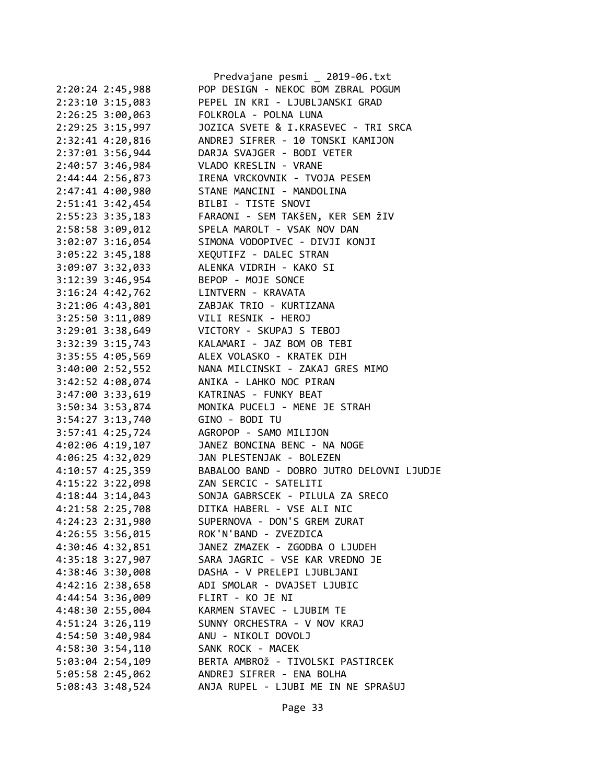| POP DESIGN - NEKOC BOM ZBRAL POGUM<br>2:20:24 2:45,988<br>2:23:10 3:15,083<br>PEPEL IN KRI - LJUBLJANSKI GRAD<br>2:26:25 3:00,063<br>FOLKROLA - POLNA LUNA<br>JOZICA SVETE & I.KRASEVEC - TRI SRCA<br>2:29:25 3:15,997<br>ANDREJ SIFRER - 10 TONSKI KAMIJON<br>2:32:41 4:20,816<br>2:37:01 3:56,944<br>DARJA SVAJGER - BODI VETER<br>2:40:57 3:46,984<br>VLADO KRESLIN - VRANE<br>2:44:44 2:56,873<br>IRENA VRCKOVNIK - TVOJA PESEM<br>STANE MANCINI - MANDOLINA<br>2:47:41 4:00,980<br>2:51:41 3:42,454<br>BILBI - TISTE SNOVI<br>$2:55:23$ $3:35,183$<br>FARAONI - SEM TAKŠEN, KER SEM ŽIV<br>SPELA MAROLT - VSAK NOV DAN<br>2:58:58 3:09,012<br>3:02:07 3:16,054<br>SIMONA VODOPIVEC - DIVJI KONJI<br>3:05:22 3:45,188<br>XEQUTIFZ - DALEC STRAN<br>3:09:07 3:32,033<br>ALENKA VIDRIH - KAKO SI<br>3:12:39 3:46,954<br>BEPOP - MOJE SONCE<br>3:16:24 4:42,762<br>LINTVERN - KRAVATA<br>3:21:06 4:43,801<br>ZABJAK TRIO - KURTIZANA<br>$3:25:50$ $3:11,089$<br>VILI RESNIK - HEROJ<br>$3:29:01$ $3:38,649$<br>VICTORY - SKUPAJ S TEBOJ<br>3:32:39 3:15,743<br>KALAMARI - JAZ BOM OB TEBI<br>ALEX VOLASKO - KRATEK DIH<br>3:35:55 4:05,569<br>NANA MILCINSKI - ZAKAJ GRES MIMO<br>3:40:00 2:52,552<br>3:42:52 4:08,074<br>ANIKA - LAHKO NOC PIRAN<br>3:47:00 3:33,619<br>KATRINAS - FUNKY BEAT<br>3:50:34 3:53,874<br>MONIKA PUCELJ - MENE JE STRAH<br>3:54:27 3:13,740<br>GINO - BODI TU<br>3:57:41 4:25,724<br>AGROPOP - SAMO MILIJON<br>JANEZ BONCINA BENC - NA NOGE<br>4:02:06 4:19,107<br>JAN PLESTENJAK - BOLEZEN<br>4:06:25 4:32,029<br>BABALOO BAND - DOBRO JUTRO DELOVNI LJUDJE<br>4:10:57 4:25,359<br>4:15:22 3:22,098<br>ZAN SERCIC - SATELITI<br>$4:18:44$ 3:14,043<br>SONJA GABRSCEK - PILULA ZA SRECO<br>4:21:58 2:25,708<br>DITKA HABERL - VSE ALI NIC<br>4:24:23 2:31,980<br>SUPERNOVA - DON'S GREM ZURAT<br>ROK'N'BAND - ZVEZDICA<br>$4:26:55$ 3:56,015<br>JANEZ ZMAZEK - ZGODBA O LJUDEH<br>4:30:46 4:32,851<br>SARA JAGRIC - VSE KAR VREDNO JE<br>4:35:18 3:27,907<br>4:38:46 3:30,008<br>DASHA - V PRELEPI LJUBLJANI<br>$4:42:16$ $2:38,658$<br>ADI SMOLAR - DVAJSET LJUBIC<br>4:44:54 3:36,009<br>FLIRT - KO JE NI<br>KARMEN STAVEC - LJUBIM TE<br>4:48:30 2:55,004<br>SUNNY ORCHESTRA - V NOV KRAJ<br>$4:51:24$ 3:26,119<br>4:54:50 3:40,984<br>ANU - NIKOLI DOVOLJ<br>$4:58:30$ $3:54,110$<br>SANK ROCK - MACEK<br>5:03:04 2:54,109<br>BERTA AMBROŽ - TIVOLSKI PASTIRCEK<br>5:05:58 2:45,062<br>ANDREJ SIFRER - ENA BOLHA<br>ANJA RUPEL - LJUBI ME IN NE SPRAŠUJ<br>5:08:43 3:48,524 |  | Predvajane pesmi _ 2019-06.txt |
|--------------------------------------------------------------------------------------------------------------------------------------------------------------------------------------------------------------------------------------------------------------------------------------------------------------------------------------------------------------------------------------------------------------------------------------------------------------------------------------------------------------------------------------------------------------------------------------------------------------------------------------------------------------------------------------------------------------------------------------------------------------------------------------------------------------------------------------------------------------------------------------------------------------------------------------------------------------------------------------------------------------------------------------------------------------------------------------------------------------------------------------------------------------------------------------------------------------------------------------------------------------------------------------------------------------------------------------------------------------------------------------------------------------------------------------------------------------------------------------------------------------------------------------------------------------------------------------------------------------------------------------------------------------------------------------------------------------------------------------------------------------------------------------------------------------------------------------------------------------------------------------------------------------------------------------------------------------------------------------------------------------------------------------------------------------------------------------------------------------------------------------------------------------------------------------------------------------------------------------------------------------------------------------------------------------------------------------------------------------------------------------------------------------------------------------------------------------------------------------------------------------|--|--------------------------------|
|                                                                                                                                                                                                                                                                                                                                                                                                                                                                                                                                                                                                                                                                                                                                                                                                                                                                                                                                                                                                                                                                                                                                                                                                                                                                                                                                                                                                                                                                                                                                                                                                                                                                                                                                                                                                                                                                                                                                                                                                                                                                                                                                                                                                                                                                                                                                                                                                                                                                                                              |  |                                |
|                                                                                                                                                                                                                                                                                                                                                                                                                                                                                                                                                                                                                                                                                                                                                                                                                                                                                                                                                                                                                                                                                                                                                                                                                                                                                                                                                                                                                                                                                                                                                                                                                                                                                                                                                                                                                                                                                                                                                                                                                                                                                                                                                                                                                                                                                                                                                                                                                                                                                                              |  |                                |
|                                                                                                                                                                                                                                                                                                                                                                                                                                                                                                                                                                                                                                                                                                                                                                                                                                                                                                                                                                                                                                                                                                                                                                                                                                                                                                                                                                                                                                                                                                                                                                                                                                                                                                                                                                                                                                                                                                                                                                                                                                                                                                                                                                                                                                                                                                                                                                                                                                                                                                              |  |                                |
|                                                                                                                                                                                                                                                                                                                                                                                                                                                                                                                                                                                                                                                                                                                                                                                                                                                                                                                                                                                                                                                                                                                                                                                                                                                                                                                                                                                                                                                                                                                                                                                                                                                                                                                                                                                                                                                                                                                                                                                                                                                                                                                                                                                                                                                                                                                                                                                                                                                                                                              |  |                                |
|                                                                                                                                                                                                                                                                                                                                                                                                                                                                                                                                                                                                                                                                                                                                                                                                                                                                                                                                                                                                                                                                                                                                                                                                                                                                                                                                                                                                                                                                                                                                                                                                                                                                                                                                                                                                                                                                                                                                                                                                                                                                                                                                                                                                                                                                                                                                                                                                                                                                                                              |  |                                |
|                                                                                                                                                                                                                                                                                                                                                                                                                                                                                                                                                                                                                                                                                                                                                                                                                                                                                                                                                                                                                                                                                                                                                                                                                                                                                                                                                                                                                                                                                                                                                                                                                                                                                                                                                                                                                                                                                                                                                                                                                                                                                                                                                                                                                                                                                                                                                                                                                                                                                                              |  |                                |
|                                                                                                                                                                                                                                                                                                                                                                                                                                                                                                                                                                                                                                                                                                                                                                                                                                                                                                                                                                                                                                                                                                                                                                                                                                                                                                                                                                                                                                                                                                                                                                                                                                                                                                                                                                                                                                                                                                                                                                                                                                                                                                                                                                                                                                                                                                                                                                                                                                                                                                              |  |                                |
|                                                                                                                                                                                                                                                                                                                                                                                                                                                                                                                                                                                                                                                                                                                                                                                                                                                                                                                                                                                                                                                                                                                                                                                                                                                                                                                                                                                                                                                                                                                                                                                                                                                                                                                                                                                                                                                                                                                                                                                                                                                                                                                                                                                                                                                                                                                                                                                                                                                                                                              |  |                                |
|                                                                                                                                                                                                                                                                                                                                                                                                                                                                                                                                                                                                                                                                                                                                                                                                                                                                                                                                                                                                                                                                                                                                                                                                                                                                                                                                                                                                                                                                                                                                                                                                                                                                                                                                                                                                                                                                                                                                                                                                                                                                                                                                                                                                                                                                                                                                                                                                                                                                                                              |  |                                |
|                                                                                                                                                                                                                                                                                                                                                                                                                                                                                                                                                                                                                                                                                                                                                                                                                                                                                                                                                                                                                                                                                                                                                                                                                                                                                                                                                                                                                                                                                                                                                                                                                                                                                                                                                                                                                                                                                                                                                                                                                                                                                                                                                                                                                                                                                                                                                                                                                                                                                                              |  |                                |
|                                                                                                                                                                                                                                                                                                                                                                                                                                                                                                                                                                                                                                                                                                                                                                                                                                                                                                                                                                                                                                                                                                                                                                                                                                                                                                                                                                                                                                                                                                                                                                                                                                                                                                                                                                                                                                                                                                                                                                                                                                                                                                                                                                                                                                                                                                                                                                                                                                                                                                              |  |                                |
|                                                                                                                                                                                                                                                                                                                                                                                                                                                                                                                                                                                                                                                                                                                                                                                                                                                                                                                                                                                                                                                                                                                                                                                                                                                                                                                                                                                                                                                                                                                                                                                                                                                                                                                                                                                                                                                                                                                                                                                                                                                                                                                                                                                                                                                                                                                                                                                                                                                                                                              |  |                                |
|                                                                                                                                                                                                                                                                                                                                                                                                                                                                                                                                                                                                                                                                                                                                                                                                                                                                                                                                                                                                                                                                                                                                                                                                                                                                                                                                                                                                                                                                                                                                                                                                                                                                                                                                                                                                                                                                                                                                                                                                                                                                                                                                                                                                                                                                                                                                                                                                                                                                                                              |  |                                |
|                                                                                                                                                                                                                                                                                                                                                                                                                                                                                                                                                                                                                                                                                                                                                                                                                                                                                                                                                                                                                                                                                                                                                                                                                                                                                                                                                                                                                                                                                                                                                                                                                                                                                                                                                                                                                                                                                                                                                                                                                                                                                                                                                                                                                                                                                                                                                                                                                                                                                                              |  |                                |
|                                                                                                                                                                                                                                                                                                                                                                                                                                                                                                                                                                                                                                                                                                                                                                                                                                                                                                                                                                                                                                                                                                                                                                                                                                                                                                                                                                                                                                                                                                                                                                                                                                                                                                                                                                                                                                                                                                                                                                                                                                                                                                                                                                                                                                                                                                                                                                                                                                                                                                              |  |                                |
|                                                                                                                                                                                                                                                                                                                                                                                                                                                                                                                                                                                                                                                                                                                                                                                                                                                                                                                                                                                                                                                                                                                                                                                                                                                                                                                                                                                                                                                                                                                                                                                                                                                                                                                                                                                                                                                                                                                                                                                                                                                                                                                                                                                                                                                                                                                                                                                                                                                                                                              |  |                                |
|                                                                                                                                                                                                                                                                                                                                                                                                                                                                                                                                                                                                                                                                                                                                                                                                                                                                                                                                                                                                                                                                                                                                                                                                                                                                                                                                                                                                                                                                                                                                                                                                                                                                                                                                                                                                                                                                                                                                                                                                                                                                                                                                                                                                                                                                                                                                                                                                                                                                                                              |  |                                |
|                                                                                                                                                                                                                                                                                                                                                                                                                                                                                                                                                                                                                                                                                                                                                                                                                                                                                                                                                                                                                                                                                                                                                                                                                                                                                                                                                                                                                                                                                                                                                                                                                                                                                                                                                                                                                                                                                                                                                                                                                                                                                                                                                                                                                                                                                                                                                                                                                                                                                                              |  |                                |
|                                                                                                                                                                                                                                                                                                                                                                                                                                                                                                                                                                                                                                                                                                                                                                                                                                                                                                                                                                                                                                                                                                                                                                                                                                                                                                                                                                                                                                                                                                                                                                                                                                                                                                                                                                                                                                                                                                                                                                                                                                                                                                                                                                                                                                                                                                                                                                                                                                                                                                              |  |                                |
|                                                                                                                                                                                                                                                                                                                                                                                                                                                                                                                                                                                                                                                                                                                                                                                                                                                                                                                                                                                                                                                                                                                                                                                                                                                                                                                                                                                                                                                                                                                                                                                                                                                                                                                                                                                                                                                                                                                                                                                                                                                                                                                                                                                                                                                                                                                                                                                                                                                                                                              |  |                                |
|                                                                                                                                                                                                                                                                                                                                                                                                                                                                                                                                                                                                                                                                                                                                                                                                                                                                                                                                                                                                                                                                                                                                                                                                                                                                                                                                                                                                                                                                                                                                                                                                                                                                                                                                                                                                                                                                                                                                                                                                                                                                                                                                                                                                                                                                                                                                                                                                                                                                                                              |  |                                |
|                                                                                                                                                                                                                                                                                                                                                                                                                                                                                                                                                                                                                                                                                                                                                                                                                                                                                                                                                                                                                                                                                                                                                                                                                                                                                                                                                                                                                                                                                                                                                                                                                                                                                                                                                                                                                                                                                                                                                                                                                                                                                                                                                                                                                                                                                                                                                                                                                                                                                                              |  |                                |
|                                                                                                                                                                                                                                                                                                                                                                                                                                                                                                                                                                                                                                                                                                                                                                                                                                                                                                                                                                                                                                                                                                                                                                                                                                                                                                                                                                                                                                                                                                                                                                                                                                                                                                                                                                                                                                                                                                                                                                                                                                                                                                                                                                                                                                                                                                                                                                                                                                                                                                              |  |                                |
|                                                                                                                                                                                                                                                                                                                                                                                                                                                                                                                                                                                                                                                                                                                                                                                                                                                                                                                                                                                                                                                                                                                                                                                                                                                                                                                                                                                                                                                                                                                                                                                                                                                                                                                                                                                                                                                                                                                                                                                                                                                                                                                                                                                                                                                                                                                                                                                                                                                                                                              |  |                                |
|                                                                                                                                                                                                                                                                                                                                                                                                                                                                                                                                                                                                                                                                                                                                                                                                                                                                                                                                                                                                                                                                                                                                                                                                                                                                                                                                                                                                                                                                                                                                                                                                                                                                                                                                                                                                                                                                                                                                                                                                                                                                                                                                                                                                                                                                                                                                                                                                                                                                                                              |  |                                |
|                                                                                                                                                                                                                                                                                                                                                                                                                                                                                                                                                                                                                                                                                                                                                                                                                                                                                                                                                                                                                                                                                                                                                                                                                                                                                                                                                                                                                                                                                                                                                                                                                                                                                                                                                                                                                                                                                                                                                                                                                                                                                                                                                                                                                                                                                                                                                                                                                                                                                                              |  |                                |
|                                                                                                                                                                                                                                                                                                                                                                                                                                                                                                                                                                                                                                                                                                                                                                                                                                                                                                                                                                                                                                                                                                                                                                                                                                                                                                                                                                                                                                                                                                                                                                                                                                                                                                                                                                                                                                                                                                                                                                                                                                                                                                                                                                                                                                                                                                                                                                                                                                                                                                              |  |                                |
|                                                                                                                                                                                                                                                                                                                                                                                                                                                                                                                                                                                                                                                                                                                                                                                                                                                                                                                                                                                                                                                                                                                                                                                                                                                                                                                                                                                                                                                                                                                                                                                                                                                                                                                                                                                                                                                                                                                                                                                                                                                                                                                                                                                                                                                                                                                                                                                                                                                                                                              |  |                                |
|                                                                                                                                                                                                                                                                                                                                                                                                                                                                                                                                                                                                                                                                                                                                                                                                                                                                                                                                                                                                                                                                                                                                                                                                                                                                                                                                                                                                                                                                                                                                                                                                                                                                                                                                                                                                                                                                                                                                                                                                                                                                                                                                                                                                                                                                                                                                                                                                                                                                                                              |  |                                |
|                                                                                                                                                                                                                                                                                                                                                                                                                                                                                                                                                                                                                                                                                                                                                                                                                                                                                                                                                                                                                                                                                                                                                                                                                                                                                                                                                                                                                                                                                                                                                                                                                                                                                                                                                                                                                                                                                                                                                                                                                                                                                                                                                                                                                                                                                                                                                                                                                                                                                                              |  |                                |
|                                                                                                                                                                                                                                                                                                                                                                                                                                                                                                                                                                                                                                                                                                                                                                                                                                                                                                                                                                                                                                                                                                                                                                                                                                                                                                                                                                                                                                                                                                                                                                                                                                                                                                                                                                                                                                                                                                                                                                                                                                                                                                                                                                                                                                                                                                                                                                                                                                                                                                              |  |                                |
|                                                                                                                                                                                                                                                                                                                                                                                                                                                                                                                                                                                                                                                                                                                                                                                                                                                                                                                                                                                                                                                                                                                                                                                                                                                                                                                                                                                                                                                                                                                                                                                                                                                                                                                                                                                                                                                                                                                                                                                                                                                                                                                                                                                                                                                                                                                                                                                                                                                                                                              |  |                                |
|                                                                                                                                                                                                                                                                                                                                                                                                                                                                                                                                                                                                                                                                                                                                                                                                                                                                                                                                                                                                                                                                                                                                                                                                                                                                                                                                                                                                                                                                                                                                                                                                                                                                                                                                                                                                                                                                                                                                                                                                                                                                                                                                                                                                                                                                                                                                                                                                                                                                                                              |  |                                |
|                                                                                                                                                                                                                                                                                                                                                                                                                                                                                                                                                                                                                                                                                                                                                                                                                                                                                                                                                                                                                                                                                                                                                                                                                                                                                                                                                                                                                                                                                                                                                                                                                                                                                                                                                                                                                                                                                                                                                                                                                                                                                                                                                                                                                                                                                                                                                                                                                                                                                                              |  |                                |
|                                                                                                                                                                                                                                                                                                                                                                                                                                                                                                                                                                                                                                                                                                                                                                                                                                                                                                                                                                                                                                                                                                                                                                                                                                                                                                                                                                                                                                                                                                                                                                                                                                                                                                                                                                                                                                                                                                                                                                                                                                                                                                                                                                                                                                                                                                                                                                                                                                                                                                              |  |                                |
|                                                                                                                                                                                                                                                                                                                                                                                                                                                                                                                                                                                                                                                                                                                                                                                                                                                                                                                                                                                                                                                                                                                                                                                                                                                                                                                                                                                                                                                                                                                                                                                                                                                                                                                                                                                                                                                                                                                                                                                                                                                                                                                                                                                                                                                                                                                                                                                                                                                                                                              |  |                                |
|                                                                                                                                                                                                                                                                                                                                                                                                                                                                                                                                                                                                                                                                                                                                                                                                                                                                                                                                                                                                                                                                                                                                                                                                                                                                                                                                                                                                                                                                                                                                                                                                                                                                                                                                                                                                                                                                                                                                                                                                                                                                                                                                                                                                                                                                                                                                                                                                                                                                                                              |  |                                |
|                                                                                                                                                                                                                                                                                                                                                                                                                                                                                                                                                                                                                                                                                                                                                                                                                                                                                                                                                                                                                                                                                                                                                                                                                                                                                                                                                                                                                                                                                                                                                                                                                                                                                                                                                                                                                                                                                                                                                                                                                                                                                                                                                                                                                                                                                                                                                                                                                                                                                                              |  |                                |
|                                                                                                                                                                                                                                                                                                                                                                                                                                                                                                                                                                                                                                                                                                                                                                                                                                                                                                                                                                                                                                                                                                                                                                                                                                                                                                                                                                                                                                                                                                                                                                                                                                                                                                                                                                                                                                                                                                                                                                                                                                                                                                                                                                                                                                                                                                                                                                                                                                                                                                              |  |                                |
|                                                                                                                                                                                                                                                                                                                                                                                                                                                                                                                                                                                                                                                                                                                                                                                                                                                                                                                                                                                                                                                                                                                                                                                                                                                                                                                                                                                                                                                                                                                                                                                                                                                                                                                                                                                                                                                                                                                                                                                                                                                                                                                                                                                                                                                                                                                                                                                                                                                                                                              |  |                                |
|                                                                                                                                                                                                                                                                                                                                                                                                                                                                                                                                                                                                                                                                                                                                                                                                                                                                                                                                                                                                                                                                                                                                                                                                                                                                                                                                                                                                                                                                                                                                                                                                                                                                                                                                                                                                                                                                                                                                                                                                                                                                                                                                                                                                                                                                                                                                                                                                                                                                                                              |  |                                |
|                                                                                                                                                                                                                                                                                                                                                                                                                                                                                                                                                                                                                                                                                                                                                                                                                                                                                                                                                                                                                                                                                                                                                                                                                                                                                                                                                                                                                                                                                                                                                                                                                                                                                                                                                                                                                                                                                                                                                                                                                                                                                                                                                                                                                                                                                                                                                                                                                                                                                                              |  |                                |
|                                                                                                                                                                                                                                                                                                                                                                                                                                                                                                                                                                                                                                                                                                                                                                                                                                                                                                                                                                                                                                                                                                                                                                                                                                                                                                                                                                                                                                                                                                                                                                                                                                                                                                                                                                                                                                                                                                                                                                                                                                                                                                                                                                                                                                                                                                                                                                                                                                                                                                              |  |                                |
|                                                                                                                                                                                                                                                                                                                                                                                                                                                                                                                                                                                                                                                                                                                                                                                                                                                                                                                                                                                                                                                                                                                                                                                                                                                                                                                                                                                                                                                                                                                                                                                                                                                                                                                                                                                                                                                                                                                                                                                                                                                                                                                                                                                                                                                                                                                                                                                                                                                                                                              |  |                                |
|                                                                                                                                                                                                                                                                                                                                                                                                                                                                                                                                                                                                                                                                                                                                                                                                                                                                                                                                                                                                                                                                                                                                                                                                                                                                                                                                                                                                                                                                                                                                                                                                                                                                                                                                                                                                                                                                                                                                                                                                                                                                                                                                                                                                                                                                                                                                                                                                                                                                                                              |  |                                |
|                                                                                                                                                                                                                                                                                                                                                                                                                                                                                                                                                                                                                                                                                                                                                                                                                                                                                                                                                                                                                                                                                                                                                                                                                                                                                                                                                                                                                                                                                                                                                                                                                                                                                                                                                                                                                                                                                                                                                                                                                                                                                                                                                                                                                                                                                                                                                                                                                                                                                                              |  |                                |
|                                                                                                                                                                                                                                                                                                                                                                                                                                                                                                                                                                                                                                                                                                                                                                                                                                                                                                                                                                                                                                                                                                                                                                                                                                                                                                                                                                                                                                                                                                                                                                                                                                                                                                                                                                                                                                                                                                                                                                                                                                                                                                                                                                                                                                                                                                                                                                                                                                                                                                              |  |                                |
|                                                                                                                                                                                                                                                                                                                                                                                                                                                                                                                                                                                                                                                                                                                                                                                                                                                                                                                                                                                                                                                                                                                                                                                                                                                                                                                                                                                                                                                                                                                                                                                                                                                                                                                                                                                                                                                                                                                                                                                                                                                                                                                                                                                                                                                                                                                                                                                                                                                                                                              |  |                                |
|                                                                                                                                                                                                                                                                                                                                                                                                                                                                                                                                                                                                                                                                                                                                                                                                                                                                                                                                                                                                                                                                                                                                                                                                                                                                                                                                                                                                                                                                                                                                                                                                                                                                                                                                                                                                                                                                                                                                                                                                                                                                                                                                                                                                                                                                                                                                                                                                                                                                                                              |  |                                |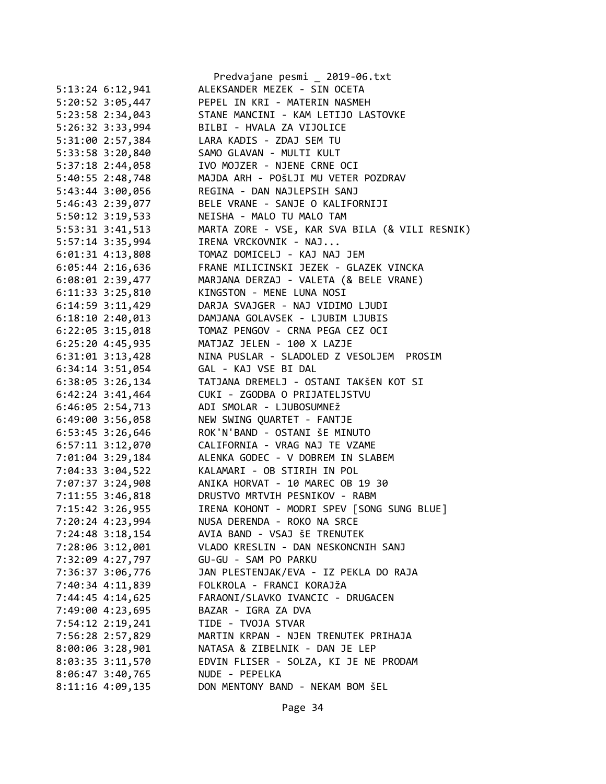|                      | Predvajane pesmi _ 2019-06.txt                 |
|----------------------|------------------------------------------------|
| 5:13:24 6:12,941     | ALEKSANDER MEZEK - SIN OCETA                   |
| 5:20:52 3:05,447     | PEPEL IN KRI - MATERIN NASMEH                  |
| 5:23:58 2:34,043     | STANE MANCINI - KAM LETIJO LASTOVKE            |
| 5:26:32 3:33,994     | BILBI - HVALA ZA VIJOLICE                      |
| 5:31:00 2:57,384     | LARA KADIS - ZDAJ SEM TU                       |
| 5:33:58 3:20,840     | SAMO GLAVAN - MULTI KULT                       |
| 5:37:18 2:44,058     | IVO MOJZER - NJENE CRNE OCI                    |
| 5:40:55 2:48,748     | MAJDA ARH - POŠLJI MU VETER POZDRAV            |
| 5:43:44 3:00,056     | REGINA - DAN NAJLEPSIH SANJ                    |
| 5:46:43 2:39,077     | BELE VRANE - SANJE O KALIFORNIJI               |
| 5:50:12 3:19,533     | NEISHA - MALO TU MALO TAM                      |
| 5:53:31 3:41,513     | MARTA ZORE - VSE, KAR SVA BILA (& VILI RESNIK) |
|                      | IRENA VRCKOVNIK - NAJ                          |
| 5:57:14 3:35,994     |                                                |
| 6:01:31 4:13,808     | TOMAZ DOMICELJ - KAJ NAJ JEM                   |
| $6:05:44$ 2:16,636   | FRANE MILICINSKI JEZEK - GLAZEK VINCKA         |
| 6:08:01 2:39,477     | MARJANA DERZAJ - VALETA (& BELE VRANE)         |
| 6:11:33 3:25,810     | KINGSTON - MENE LUNA NOSI                      |
| 6:14:59 3:11,429     | DARJA SVAJGER - NAJ VIDIMO LJUDI               |
| $6:18:10$ 2:40,013   | DAMJANA GOLAVSEK - LJUBIM LJUBIS               |
| $6:22:05$ 3:15,018   | TOMAZ PENGOV - CRNA PEGA CEZ OCI               |
| $6:25:20$ 4:45,935   | MATJAZ JELEN - 100 X LAZJE                     |
| $6:31:01$ $3:13,428$ | NINA PUSLAR - SLADOLED Z VESOLJEM PROSIM       |
| $6:34:14$ 3:51,054   | GAL - KAJ VSE BI DAL                           |
| 6:38:05 3:26,134     | TATJANA DREMELJ - OSTANI TAKŠEN KOT SI         |
| 6:42:24 3:41,464     | CUKI - ZGODBA O PRIJATELJSTVU                  |
| 6:46:05 2:54,713     | ADI SMOLAR - LJUBOSUMNEŽ                       |
| 6:49:00 3:56,058     | NEW SWING QUARTET - FANTJE                     |
| 6:53:45 3:26,646     | ROK'N'BAND - OSTANI ŠE MINUTO                  |
| 6:57:11 3:12,070     | CALIFORNIA - VRAG NAJ TE VZAME                 |
| 7:01:04 3:29,184     | ALENKA GODEC - V DOBREM IN SLABEM              |
| 7:04:33 3:04,522     | KALAMARI - OB STIRIH IN POL                    |
| 7:07:37 3:24,908     | ANIKA HORVAT - 10 MAREC OB 19 30               |
| 7:11:55 3:46,818     | DRUSTVO MRTVIH PESNIKOV - RABM                 |
| 7:15:42 3:26,955     | IRENA KOHONT - MODRI SPEV [SONG SUNG BLUE]     |
| 7:20:24 4:23,994     | NUSA DERENDA - ROKO NA SRCE                    |
| 7:24:48 3:18,154     | AVIA BAND - VSAJ ŠE TRENUTEK                   |
| 7:28:06 3:12,001     | VLADO KRESLIN - DAN NESKONCNIH SANJ            |
| 7:32:09 4:27,797     | GU-GU - SAM PO PARKU                           |
| 7:36:37 3:06,776     | JAN PLESTENJAK/EVA - IZ PEKLA DO RAJA          |
| 7:40:34 4:11,839     | FOLKROLA - FRANCI KORAJŽA                      |
| 7:44:45 4:14,625     | FARAONI/SLAVKO IVANCIC - DRUGACEN              |
| 7:49:00 4:23,695     | BAZAR - IGRA ZA DVA                            |
| 7:54:12 2:19,241     | TIDE - TVOJA STVAR                             |
| 7:56:28 2:57,829     | MARTIN KRPAN - NJEN TRENUTEK PRIHAJA           |
| 8:00:06 3:28,901     | NATASA & ZIBELNIK - DAN JE LEP                 |
|                      |                                                |
| 8:03:35 3:11,570     | EDVIN FLISER - SOLZA, KI JE NE PRODAM          |
| $8:06:47$ 3:40,765   | NUDE - PEPELKA                                 |
| $8:11:16$ 4:09,135   | DON MENTONY BAND - NEKAM BOM ŠEL               |
|                      |                                                |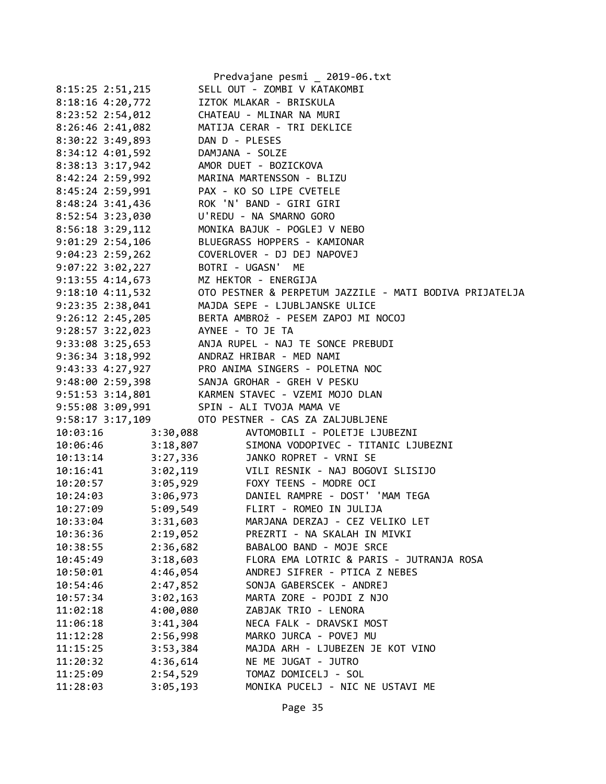|                                          |          | Predvajane pesmi _ 2019-06.txt                                                                                                                                                                                                                                             |
|------------------------------------------|----------|----------------------------------------------------------------------------------------------------------------------------------------------------------------------------------------------------------------------------------------------------------------------------|
| 8:15:25 2:51,215                         |          | SELL OUT - ZOMBI V KATAKOMBI                                                                                                                                                                                                                                               |
| 8:18:16 4:20,772                         |          | IZTOK MLAKAR - BRISKULA                                                                                                                                                                                                                                                    |
|                                          |          | 8:23:52 2:54,012 CHATEAU - MLINAR NA MURI                                                                                                                                                                                                                                  |
|                                          |          | 8:26:46 2:41,082 MATIJA CERAR - TRI DEKLICE                                                                                                                                                                                                                                |
| 8:30:22 3:49,893 DAN D - PLESES          |          |                                                                                                                                                                                                                                                                            |
| 8:34:12 4:01,592 DAMJANA - SOLZE         |          |                                                                                                                                                                                                                                                                            |
|                                          |          |                                                                                                                                                                                                                                                                            |
|                                          |          | 8:38:13 3:17,942<br>8:42:24 2:59,992 MARINA MARTENSSON - BLIZU<br>8:45:24 2:59,991 PAX - KO SO LIPE CVETELE                                                                                                                                                                |
|                                          |          |                                                                                                                                                                                                                                                                            |
|                                          |          | 8:48:24 3:41,436 ROK 'N' BAND - GIRI GIRI                                                                                                                                                                                                                                  |
| 8:52:54 3:23,030 U'REDU - NA SMARNO GORO |          |                                                                                                                                                                                                                                                                            |
|                                          |          | 8:56:18 3:29,112 MONIKA BAJUK - POGLEJ V NEBO                                                                                                                                                                                                                              |
|                                          |          | 9:01:29 2:54,106 BLUEGRASS HOPPERS - KAMIONAR                                                                                                                                                                                                                              |
|                                          |          | 9:04:23 2:59,262 COVERLOVER - DJ DEJ NAPOVEJ<br>9:07:22 3:02,227 BOTRI - UGASN' ME                                                                                                                                                                                         |
|                                          |          |                                                                                                                                                                                                                                                                            |
| 9:13:55 4:14,673 MZ HEKTOR - ENERGIJA    |          |                                                                                                                                                                                                                                                                            |
|                                          |          | 9:18:10 4:11,532 OTO PESTNER & PERPETUM JAZZILE - MATI BODIVA PRIJATELJA                                                                                                                                                                                                   |
|                                          |          | 9:23:35 2:38,041 MAJDA SEPE - LJUBLJANSKE ULICE                                                                                                                                                                                                                            |
|                                          |          | 9:26:12 2:45,205 BERTA AMBROŽ - PESEM ZAPOJ MI NOCOJ                                                                                                                                                                                                                       |
| 9:28:57 3:22,023 AYNEE - TO JE TA        |          |                                                                                                                                                                                                                                                                            |
|                                          |          |                                                                                                                                                                                                                                                                            |
|                                          |          |                                                                                                                                                                                                                                                                            |
|                                          |          | 9:33:08 3:25,653<br>9:36:34 3:18,992<br>9:43:33 4:27,927<br>PRO ANIMA SINGERS - POLETNA NOC                                                                                                                                                                                |
|                                          |          | 9:48:00 2:59,398 SANJA GROHAR - GREH V PESKU                                                                                                                                                                                                                               |
|                                          |          | 9:51:53 3:14,801 KARMEN STAVEC - VZEMI MOJO DLAN                                                                                                                                                                                                                           |
|                                          |          | 9:55:08 3:09,991 SPIN - ALI TVOJA MAMA VE                                                                                                                                                                                                                                  |
|                                          |          | 9:58:17 3:17,109 OTO PESTNER - CAS ZA ZALJUBLJENE                                                                                                                                                                                                                          |
| 10:03:16                                 | 3:30,088 | AVTOMOBILI - POLETJE LJUBEZNI                                                                                                                                                                                                                                              |
|                                          |          |                                                                                                                                                                                                                                                                            |
|                                          |          | 10:06:46<br>10:13:14<br>10:13:14<br>3:27,336<br>3:27,336<br>3:47,336<br>3:47,336<br>3:47,336<br>3:47,336<br>3:48,807<br>3:48,807<br>3:48,807<br>3:48,807<br>3:48,807<br>3:48,807<br>3:48,807<br>3:48,807<br>3:48,807<br>3:48,807<br>3:48,807<br>3:48,807<br>3:48,807<br>3: |
|                                          |          | 10:16:41 3:02,119 VILI RESNIK - NAJ BOGOVI SLISIJO                                                                                                                                                                                                                         |
| 10:20:57                                 |          | 3:05,929              FOXY TEENS - MODRE OCI                                                                                                                                                                                                                               |
| 10:24:03                                 |          | 3:06,973  DANIEL RAMPRE - DOST' 'MAM TEGA                                                                                                                                                                                                                                  |
| 10:27:09                                 |          | 5:09,549 FLIRT - ROMEO IN JULIJA                                                                                                                                                                                                                                           |
| 10:33:04                                 | 3:31,603 | MARJANA DERZAJ - CEZ VELIKO LET                                                                                                                                                                                                                                            |
| 10:36:36                                 | 2:19,052 | PREZRTI - NA SKALAH IN MIVKI                                                                                                                                                                                                                                               |
| 10:38:55                                 | 2:36,682 | BABALOO BAND - MOJE SRCE                                                                                                                                                                                                                                                   |
| 10:45:49                                 | 3:18,603 | FLORA EMA LOTRIC & PARIS - JUTRANJA ROSA                                                                                                                                                                                                                                   |
| 10:50:01                                 | 4:46,054 | ANDREJ SIFRER - PTICA Z NEBES                                                                                                                                                                                                                                              |
| 10:54:46                                 | 2:47,852 | SONJA GABERSCEK - ANDREJ                                                                                                                                                                                                                                                   |
| 10:57:34                                 | 3:02,163 | MARTA ZORE - POJDI Z NJO                                                                                                                                                                                                                                                   |
| 11:02:18                                 | 4:00,080 | ZABJAK TRIO - LENORA                                                                                                                                                                                                                                                       |
| 11:06:18                                 | 3:41,304 | NECA FALK - DRAVSKI MOST                                                                                                                                                                                                                                                   |
| 11:12:28                                 | 2:56,998 | MARKO JURCA - POVEJ MU                                                                                                                                                                                                                                                     |
| 11:15:25                                 | 3:53,384 | MAJDA ARH - LJUBEZEN JE KOT VINO                                                                                                                                                                                                                                           |
| 11:20:32                                 | 4:36,614 | NE ME JUGAT - JUTRO                                                                                                                                                                                                                                                        |
| 11:25:09                                 | 2:54,529 | TOMAZ DOMICELJ - SOL                                                                                                                                                                                                                                                       |
| 11:28:03                                 | 3:05,193 | MONIKA PUCELJ - NIC NE USTAVI ME                                                                                                                                                                                                                                           |
|                                          |          |                                                                                                                                                                                                                                                                            |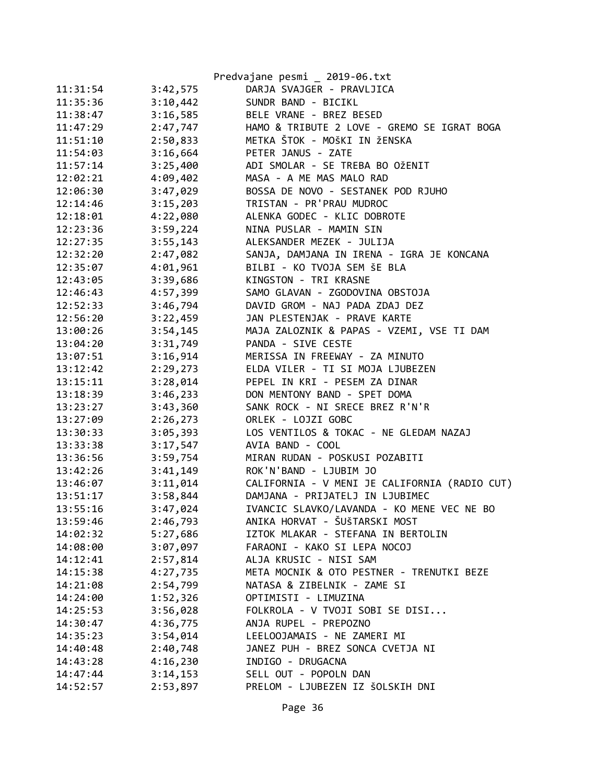|          |          | Predvajane pesmi _ 2019-06.txt                |
|----------|----------|-----------------------------------------------|
| 11:31:54 | 3:42,575 | DARJA SVAJGER - PRAVLJICA                     |
| 11:35:36 | 3:10,442 | SUNDR BAND - BICIKL                           |
| 11:38:47 | 3:16,585 | BELE VRANE - BREZ BESED                       |
| 11:47:29 | 2:47,747 | HAMO & TRIBUTE 2 LOVE - GREMO SE IGRAT BOGA   |
| 11:51:10 | 2:50,833 | METKA ŠTOK - MOŠKI IN ŽENSKA                  |
| 11:54:03 | 3:16,664 | PETER JANUS - ZATE                            |
| 11:57:14 | 3:25,400 | ADI SMOLAR - SE TREBA BO OŽENIT               |
| 12:02:21 | 4:09,402 | MASA - A ME MAS MALO RAD                      |
| 12:06:30 | 3:47,029 | BOSSA DE NOVO - SESTANEK POD RJUHO            |
| 12:14:46 | 3:15,203 | TRISTAN - PR'PRAU MUDROC                      |
| 12:18:01 | 4:22,080 | ALENKA GODEC - KLIC DOBROTE                   |
| 12:23:36 | 3:59,224 | NINA PUSLAR - MAMIN SIN                       |
| 12:27:35 | 3:55,143 | ALEKSANDER MEZEK - JULIJA                     |
| 12:32:20 | 2:47,082 | SANJA, DAMJANA IN IRENA - IGRA JE KONCANA     |
| 12:35:07 | 4:01,961 | BILBI - KO TVOJA SEM ŠE BLA                   |
| 12:43:05 | 3:39,686 | KINGSTON - TRI KRASNE                         |
| 12:46:43 | 4:57,399 | SAMO GLAVAN - ZGODOVINA OBSTOJA               |
| 12:52:33 | 3:46,794 | DAVID GROM - NAJ PADA ZDAJ DEZ                |
| 12:56:20 | 3:22,459 | JAN PLESTENJAK - PRAVE KARTE                  |
| 13:00:26 | 3:54,145 | MAJA ZALOZNIK & PAPAS - VZEMI, VSE TI DAM     |
| 13:04:20 | 3:31,749 | PANDA - SIVE CESTE                            |
| 13:07:51 | 3:16,914 | MERISSA IN FREEWAY - ZA MINUTO                |
| 13:12:42 | 2:29,273 | ELDA VILER - TI SI MOJA LJUBEZEN              |
| 13:15:11 | 3:28,014 | PEPEL IN KRI - PESEM ZA DINAR                 |
| 13:18:39 | 3:46,233 | DON MENTONY BAND - SPET DOMA                  |
| 13:23:27 | 3:43,360 | SANK ROCK - NI SRECE BREZ R'N'R               |
| 13:27:09 | 2:26,273 | ORLEK - LOJZI GOBC                            |
| 13:30:33 | 3:05,393 | LOS VENTILOS & TOKAC - NE GLEDAM NAZAJ        |
| 13:33:38 | 3:17,547 | AVIA BAND - COOL                              |
| 13:36:56 | 3:59,754 | MIRAN RUDAN - POSKUSI POZABITI                |
| 13:42:26 | 3:41,149 | ROK'N'BAND - LJUBIM JO                        |
| 13:46:07 | 3:11,014 | CALIFORNIA - V MENI JE CALIFORNIA (RADIO CUT) |
| 13:51:17 | 3:58,844 | DAMJANA - PRIJATELJ IN LJUBIMEC               |
| 13:55:16 | 3:47,024 | IVANCIC SLAVKO/LAVANDA - KO MENE VEC NE BO    |
| 13:59:46 | 2:46,793 | ANIKA HORVAT - ŠUŠTARSKI MOST                 |
| 14:02:32 | 5:27,686 | IZTOK MLAKAR - STEFANA IN BERTOLIN            |
| 14:08:00 | 3:07,097 | FARAONI - KAKO SI LEPA NOCOJ                  |
| 14:12:41 | 2:57,814 | ALJA KRUSIC - NISI SAM                        |
| 14:15:38 | 4:27,735 | META MOCNIK & OTO PESTNER - TRENUTKI BEZE     |
| 14:21:08 | 2:54,799 | NATASA & ZIBELNIK - ZAME SI                   |
| 14:24:00 | 1:52,326 | OPTIMISTI - LIMUZINA                          |
| 14:25:53 | 3:56,028 | FOLKROLA - V TVOJI SOBI SE DISI               |
| 14:30:47 | 4:36,775 | ANJA RUPEL - PREPOZNO                         |
| 14:35:23 | 3:54,014 | LEELOOJAMAIS - NE ZAMERI MI                   |
| 14:40:48 | 2:40,748 | JANEZ PUH - BREZ SONCA CVETJA NI              |
| 14:43:28 | 4:16,230 | INDIGO - DRUGACNA                             |
| 14:47:44 | 3:14,153 | SELL OUT - POPOLN DAN                         |
| 14:52:57 | 2:53,897 | PRELOM - LJUBEZEN IZ ŠOLSKIH DNI              |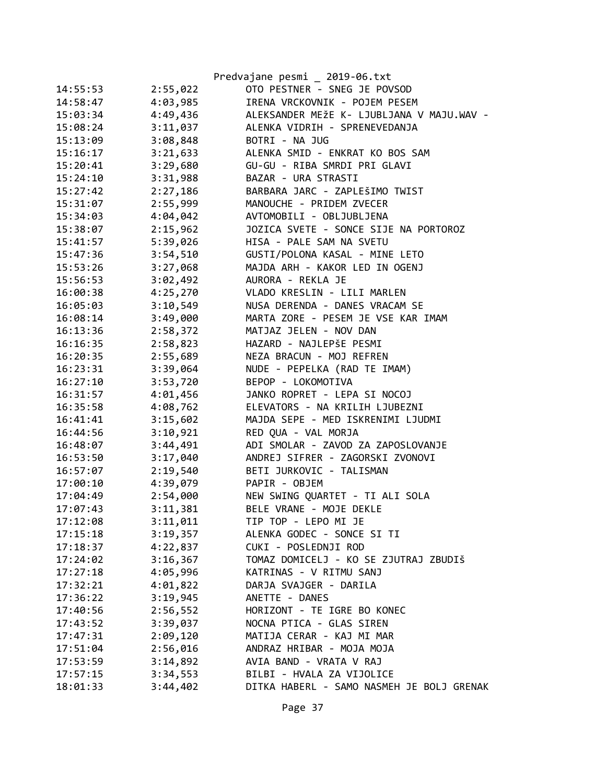|          |          | Predvajane pesmi _ 2019-06.txt            |
|----------|----------|-------------------------------------------|
| 14:55:53 | 2:55,022 | OTO PESTNER - SNEG JE POVSOD              |
| 14:58:47 | 4:03,985 | IRENA VRCKOVNIK - POJEM PESEM             |
| 15:03:34 | 4:49,436 | ALEKSANDER MEŽE K- LJUBLJANA V MAJU.WAV - |
| 15:08:24 | 3:11,037 | ALENKA VIDRIH - SPRENEVEDANJA             |
| 15:13:09 | 3:08,848 | BOTRI - NA JUG                            |
| 15:16:17 | 3:21,633 | ALENKA SMID - ENKRAT KO BOS SAM           |
| 15:20:41 | 3:29,680 | GU-GU - RIBA SMRDI PRI GLAVI              |
| 15:24:10 | 3:31,988 | BAZAR - URA STRASTI                       |
| 15:27:42 | 2:27,186 | BARBARA JARC - ZAPLEŠIMO TWIST            |
| 15:31:07 | 2:55,999 | MANOUCHE - PRIDEM ZVECER                  |
| 15:34:03 | 4:04,042 | AVTOMOBILI - OBLJUBLJENA                  |
| 15:38:07 | 2:15,962 | JOZICA SVETE - SONCE SIJE NA PORTOROZ     |
| 15:41:57 | 5:39,026 | HISA - PALE SAM NA SVETU                  |
| 15:47:36 | 3:54,510 | GUSTI/POLONA KASAL - MINE LETO            |
| 15:53:26 | 3:27,068 | MAJDA ARH - KAKOR LED IN OGENJ            |
| 15:56:53 | 3:02,492 | AURORA - REKLA JE                         |
| 16:00:38 | 4:25,270 | VLADO KRESLIN - LILI MARLEN               |
| 16:05:03 | 3:10,549 | NUSA DERENDA - DANES VRACAM SE            |
| 16:08:14 | 3:49,000 | MARTA ZORE - PESEM JE VSE KAR IMAM        |
| 16:13:36 | 2:58,372 | MATJAZ JELEN - NOV DAN                    |
| 16:16:35 | 2:58,823 | HAZARD - NAJLEPŠE PESMI                   |
| 16:20:35 | 2:55,689 | NEZA BRACUN - MOJ REFREN                  |
| 16:23:31 | 3:39,064 | NUDE - PEPELKA (RAD TE IMAM)              |
| 16:27:10 | 3:53,720 | BEPOP - LOKOMOTIVA                        |
| 16:31:57 | 4:01,456 | JANKO ROPRET - LEPA SI NOCOJ              |
| 16:35:58 | 4:08,762 | ELEVATORS - NA KRILIH LJUBEZNI            |
| 16:41:41 | 3:15,602 | MAJDA SEPE - MED ISKRENIMI LJUDMI         |
| 16:44:56 | 3:10,921 | RED QUA - VAL MORJA                       |
| 16:48:07 | 3:44,491 | ADI SMOLAR - ZAVOD ZA ZAPOSLOVANJE        |
| 16:53:50 | 3:17,040 | ANDREJ SIFRER - ZAGORSKI ZVONOVI          |
| 16:57:07 | 2:19,540 | BETI JURKOVIC - TALISMAN                  |
| 17:00:10 | 4:39,079 | PAPIR - OBJEM                             |
| 17:04:49 | 2:54,000 | NEW SWING QUARTET - TI ALI SOLA           |
| 17:07:43 | 3:11,381 | BELE VRANE - MOJE DEKLE                   |
| 17:12:08 | 3:11,011 | TIP TOP - LEPO MI JE                      |
| 17:15:18 | 3:19,357 | ALENKA GODEC - SONCE SI TI                |
| 17:18:37 | 4:22,837 | CUKI - POSLEDNJI ROD                      |
| 17:24:02 | 3:16,367 | TOMAZ DOMICELJ - KO SE ZJUTRAJ ZBUDIŠ     |
| 17:27:18 | 4:05,996 | KATRINAS - V RITMU SANJ                   |
| 17:32:21 | 4:01,822 | DARJA SVAJGER - DARILA                    |
| 17:36:22 | 3:19,945 | ANETTE - DANES                            |
| 17:40:56 | 2:56,552 | HORIZONT - TE IGRE BO KONEC               |
| 17:43:52 | 3:39,037 | NOCNA PTICA - GLAS SIREN                  |
| 17:47:31 | 2:09,120 | MATIJA CERAR - KAJ MI MAR                 |
| 17:51:04 | 2:56,016 | ANDRAZ HRIBAR - MOJA MOJA                 |
| 17:53:59 | 3:14,892 | AVIA BAND - VRATA V RAJ                   |
| 17:57:15 | 3:34,553 | BILBI - HVALA ZA VIJOLICE                 |
| 18:01:33 | 3:44,402 | DITKA HABERL - SAMO NASMEH JE BOLJ GRENAK |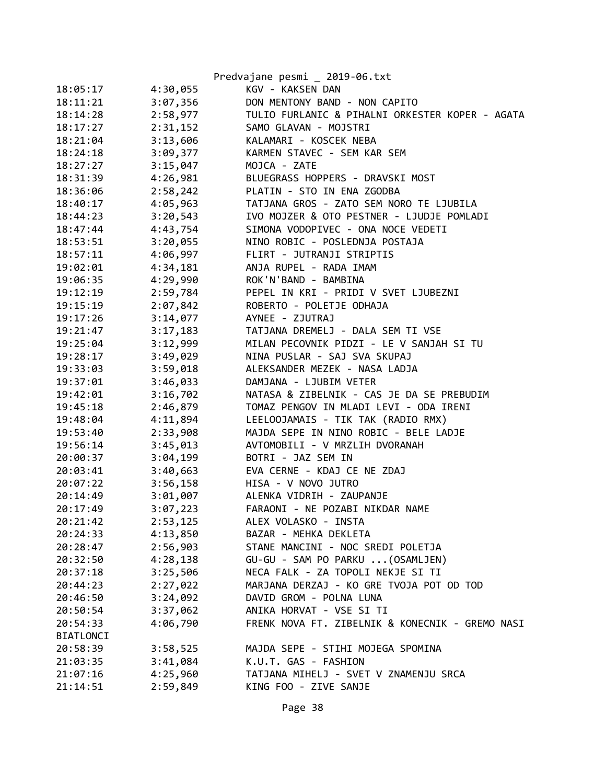|                  |          | Predvajane pesmi _ 2019-06.txt                  |
|------------------|----------|-------------------------------------------------|
| 18:05:17         | 4:30,055 | KGV - KAKSEN DAN                                |
| 18:11:21         | 3:07,356 | DON MENTONY BAND - NON CAPITO                   |
| 18:14:28         | 2:58,977 | TULIO FURLANIC & PIHALNI ORKESTER KOPER - AGATA |
| 18:17:27         | 2:31,152 | SAMO GLAVAN - MOJSTRI                           |
| 18:21:04         | 3:13,606 | KALAMARI - KOSCEK NEBA                          |
| 18:24:18         | 3:09,377 | KARMEN STAVEC - SEM KAR SEM                     |
| 18:27:27         | 3:15,047 | MOJCA - ZATE                                    |
| 18:31:39         | 4:26,981 | BLUEGRASS HOPPERS - DRAVSKI MOST                |
| 18:36:06         | 2:58,242 | PLATIN - STO IN ENA ZGODBA                      |
| 18:40:17         | 4:05,963 | TATJANA GROS - ZATO SEM NORO TE LJUBILA         |
| 18:44:23         | 3:20,543 | IVO MOJZER & OTO PESTNER - LJUDJE POMLADI       |
| 18:47:44         | 4:43,754 | SIMONA VODOPIVEC - ONA NOCE VEDETI              |
| 18:53:51         | 3:20,055 | NINO ROBIC - POSLEDNJA POSTAJA                  |
| 18:57:11         | 4:06,997 | FLIRT - JUTRANJI STRIPTIS                       |
| 19:02:01         | 4:34,181 | ANJA RUPEL - RADA IMAM                          |
| 19:06:35         | 4:29,990 | ROK'N'BAND - BAMBINA                            |
| 19:12:19         | 2:59,784 | PEPEL IN KRI - PRIDI V SVET LJUBEZNI            |
| 19:15:19         | 2:07,842 | ROBERTO - POLETJE ODHAJA                        |
| 19:17:26         | 3:14,077 | AYNEE - ZJUTRAJ                                 |
| 19:21:47         | 3:17,183 | TATJANA DREMELJ - DALA SEM TI VSE               |
| 19:25:04         | 3:12,999 | MILAN PECOVNIK PIDZI - LE V SANJAH SI TU        |
| 19:28:17         | 3:49,029 | NINA PUSLAR - SAJ SVA SKUPAJ                    |
| 19:33:03         | 3:59,018 | ALEKSANDER MEZEK - NASA LADJA                   |
| 19:37:01         | 3:46,033 | DAMJANA - LJUBIM VETER                          |
| 19:42:01         | 3:16,702 | NATASA & ZIBELNIK - CAS JE DA SE PREBUDIM       |
| 19:45:18         | 2:46,879 | TOMAZ PENGOV IN MLADI LEVI - ODA IRENI          |
| 19:48:04         | 4:11,894 | LEELOOJAMAIS - TIK TAK (RADIO RMX)              |
| 19:53:40         | 2:33,908 | MAJDA SEPE IN NINO ROBIC - BELE LADJE           |
| 19:56:14         | 3:45,013 | AVTOMOBILI - V MRZLIH DVORANAH                  |
| 20:00:37         | 3:04,199 | BOTRI - JAZ SEM IN                              |
| 20:03:41         | 3:40,663 | EVA CERNE - KDAJ CE NE ZDAJ                     |
| 20:07:22         | 3:56,158 | HISA - V NOVO JUTRO                             |
| 20:14:49         | 3:01,007 | ALENKA VIDRIH - ZAUPANJE                        |
| 20:17:49         | 3:07,223 | FARAONI - NE POZABI NIKDAR NAME                 |
| 20:21:42         | 2:53,125 | ALEX VOLASKO - INSTA                            |
| 20:24:33         | 4:13,850 | BAZAR - MEHKA DEKLETA                           |
| 20:28:47         | 2:56,903 | STANE MANCINI - NOC SREDI POLETJA               |
| 20:32:50         | 4:28,138 | GU-GU - SAM PO PARKU  (OSAMLJEN)                |
| 20:37:18         | 3:25,506 | NECA FALK - ZA TOPOLI NEKJE SI TI               |
| 20:44:23         | 2:27,022 | MARJANA DERZAJ - KO GRE TVOJA POT OD TOD        |
| 20:46:50         | 3:24,092 | DAVID GROM - POLNA LUNA                         |
| 20:50:54         | 3:37,062 | ANIKA HORVAT - VSE SI TI                        |
| 20:54:33         | 4:06,790 | FRENK NOVA FT. ZIBELNIK & KONECNIK - GREMO NASI |
| <b>BIATLONCI</b> |          |                                                 |
| 20:58:39         | 3:58,525 | MAJDA SEPE - STIHI MOJEGA SPOMINA               |
| 21:03:35         | 3:41,084 | K.U.T. GAS - FASHION                            |
| 21:07:16         | 4:25,960 | TATJANA MIHELJ - SVET V ZNAMENJU SRCA           |
| 21:14:51         | 2:59,849 | KING FOO - ZIVE SANJE                           |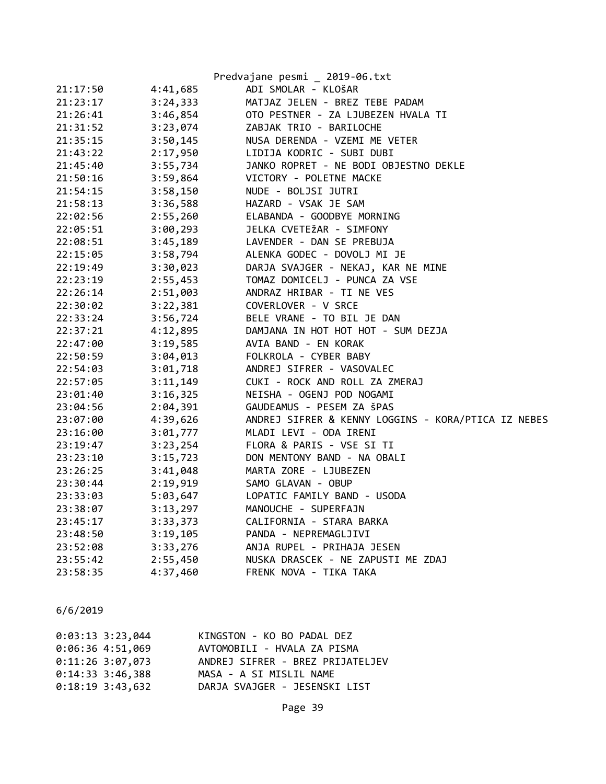|          |          | Predvajane pesmi _ 2019-06.txt                                                                 |
|----------|----------|------------------------------------------------------------------------------------------------|
| 21:17:50 | 4:41,685 | ADI SMOLAR - KLOŠAR                                                                            |
| 21:23:17 | 3:24,333 | MATJAZ JELEN - BREZ TEBE PADAM                                                                 |
| 21:26:41 | 3:46,854 | OTO PESTNER - ZA LJUBEZEN HVALA TI                                                             |
| 21:31:52 | 3:23,074 | ZABJAK TRIO - BARILOCHE                                                                        |
| 21:35:15 | 3:50,145 |                                                                                                |
| 21:43:22 | 2:17,950 | NUSA DERENDA - VZEMI ME VETER<br>LIDIJA KODRIC - SUBI DUBI                                     |
| 21:45:40 | 3:55,734 | JANKO ROPRET - NE BODI OBJESTNO DEKLE                                                          |
| 21:50:16 | 3:59,864 | VICTORY - POLETNE MACKE                                                                        |
| 21:54:15 | 3:58,150 | NUDE - BOLJSI JUTRI                                                                            |
| 21:58:13 | 3:36,588 | HAZARD - VSAK JE SAM                                                                           |
| 22:02:56 | 2:55,260 | ELABANDA - GOODBYE MORNING                                                                     |
| 22:05:51 | 3:00,293 | JELKA CVETEŽAR - SIMFONY                                                                       |
| 22:08:51 | 3:45,189 | LAVENDER - DAN SE PREBUJA                                                                      |
| 22:15:05 | 3:58,794 | ALENKA GODEC - DOVOLJ MI JE                                                                    |
| 22:19:49 | 3:30,023 | DARJA SVAJGER - NEKAJ, KAR NE MINE                                                             |
| 22:23:19 | 2:55,453 | TOMAZ DOMICELJ - PUNCA ZA VSE                                                                  |
| 22:26:14 | 2:51,003 | ANDRAZ HRIBAR - TI NE VES                                                                      |
| 22:30:02 | 3:22,381 | COVERLOVER - V SRCE                                                                            |
| 22:33:24 | 3:56,724 | BELE VRANE - TO BIL JE DAN                                                                     |
| 22:37:21 | 4:12,895 | DAMJANA IN HOT HOT HOT - SUM DEZJA<br>AVIA BAND - EN KORAK                                     |
| 22:47:00 | 3:19,585 |                                                                                                |
| 22:50:59 | 3:04,013 | FOLKROLA - CYBER BABY                                                                          |
| 22:54:03 | 3:01,718 | ANDREJ SIFRER - VASOVALEC                                                                      |
| 22:57:05 | 3:11,149 | CUKI - ROCK AND ROLL ZA ZMERAJ                                                                 |
| 23:01:40 | 3:16,325 | NEISHA - OGENJ POD NOGAMI                                                                      |
| 23:04:56 | 2:04,391 | GAUDEAMUS - PESEM ZA ŠPAS                                                                      |
| 23:07:00 | 4:39,626 | ANDREJ SIFRER & KENNY LOGGINS - KORA/PTICA IZ NEBES                                            |
| 23:16:00 | 3:01,777 | MLADI LEVI - ODA IRENI                                                                         |
| 23:19:47 | 3:23,254 | FLORA & PARIS - VSE SI TI                                                                      |
| 23:23:10 | 3:15,723 | DON MENTONY BAND - NA OBALI                                                                    |
| 23:26:25 | 3:41,048 | MARTA ZORE - LJUBEZEN                                                                          |
| 23:30:44 | 2:19,919 | SAMO GLAVAN - OBUP                                                                             |
| 23:33:03 | 5:03,647 | LOPATIC FAMILY BAND - USODA                                                                    |
| 23:38:07 | 3:13,297 | MANOUCHE - SUPERFAJN                                                                           |
| 23:45:17 | 3:33,373 | CALIFORNIA - STARA BARKA                                                                       |
| 23:48:50 | 3:19,105 | CALIFURNIA -<br>PANDA - NEPREMAGLJIVI<br>ANJA RUPEL - PRIHAJA JESEN<br>ANJA RUPEL - NE ZAPUSTI |
| 23:52:08 | 3:33,276 |                                                                                                |
| 23:55:42 | 2:55,450 | NUSKA DRASCEK - NE ZAPUSTI ME ZDAJ                                                             |
| 23:58:35 | 4:37,460 | FRENK NOVA - TIKA TAKA                                                                         |

| $0:03:13$ 3:23,044 | KINGSTON - KO BO PADAL DEZ       |
|--------------------|----------------------------------|
| $0:06:36$ 4:51,069 | AVTOMOBILI - HVALA ZA PISMA      |
| $0:11:26$ 3:07,073 | ANDREJ SIFRER - BREZ PRIJATELJEV |
| $0:14:33$ 3:46,388 | MASA - A SI MISLIL NAME          |
| $0:18:19$ 3:43,632 | DARJA SVAJGER - JESENSKI LIST    |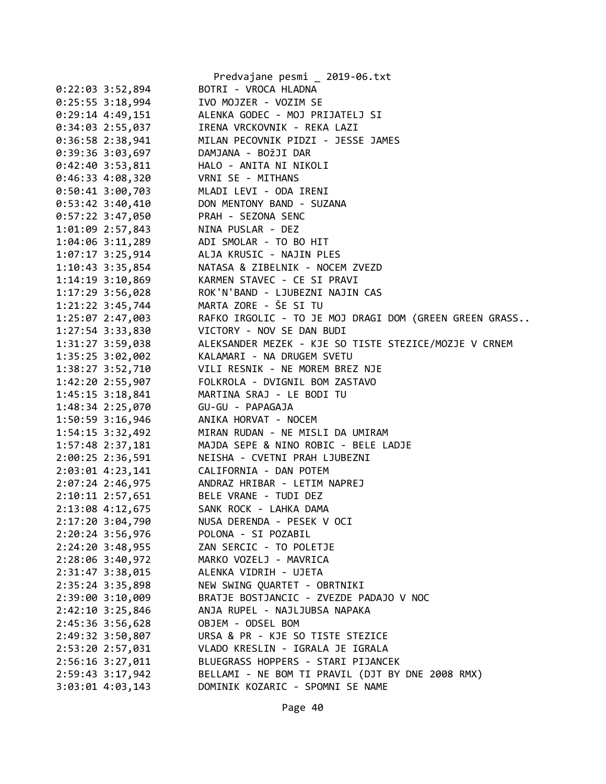|                    |                  | Predvajane pesmi _ 2019-06.txt                                                                                      |
|--------------------|------------------|---------------------------------------------------------------------------------------------------------------------|
| $0:22:03$ 3:52,894 |                  | BOTRI - VROCA HLADNA                                                                                                |
|                    |                  | 0:25:55 3:18,994 IVO MOJZER - VOZIM SE                                                                              |
|                    |                  | 0:29:14 4:49,151 ALENKA GODEC - MOJ PRIJATELJ SI                                                                    |
|                    |                  | 0:34:03 2:55,037 IRENA VRCKOVNIK - REKA LAZI                                                                        |
|                    |                  | 0:36:58 2:38,941 MILAN PECOVNIK PIDZI - JESSE JAMES                                                                 |
|                    |                  | 0:39:36 3:03,697 DAMJANA - BOŽJI DAR                                                                                |
|                    |                  | 0:42:40 3:53,811 HALO - ANITA NI NIKOLI                                                                             |
|                    | 0:46:33 4:08,320 | VRNI SE - MITHANS                                                                                                   |
|                    |                  | 0:50:41 3:00,703 MLADI LEVI - ODA IRENI                                                                             |
|                    |                  | 0:53:42 3:40,410 DON MENTONY BAND - SUZANA                                                                          |
|                    |                  | 0:57:22 3:47,050 PRAH - SEZONA SENC                                                                                 |
|                    |                  | 1:01:09 2:57,843 NINA PUSLAR - DEZ                                                                                  |
|                    |                  | 1:04:06 3:11,289 ADI SMOLAR - TO BO HIT                                                                             |
|                    |                  | 1:07:17 3:25,914 ALJA KRUSIC - NAJIN PLES                                                                           |
|                    |                  |                                                                                                                     |
|                    |                  |                                                                                                                     |
|                    |                  | 1:17:29 3:56,028 ROK'N'BAND - LJUBEZNI NAJIN CAS                                                                    |
|                    |                  | 1:21:22 3:45,744 MARTA ZORE - ŠE SI TU                                                                              |
|                    |                  | 1:25:07 2:47,003 RAFKO IRGOLIC - TO JE MOJ DRAGI DOM (GREEN GREEN GRASS                                             |
|                    |                  | 1:27:54 3:33,830 VICTORY - NOV SE DAN BUDI                                                                          |
|                    |                  | 1:31:27 3:59,038<br>1:35:25 3:02,002 KALAMARI - NA DRUGEM SVETU<br>1:38:27 3:52,710 VILI RESNIK - NE MOREM BREZ NJE |
|                    |                  |                                                                                                                     |
|                    |                  |                                                                                                                     |
|                    |                  | 1:42:20 2:55,907 FOLKROLA - DVIGNIL BOM ZASTAVO                                                                     |
|                    |                  | 1:45:15 3:18,841 MARTINA SRAJ - LE BODI TU                                                                          |
|                    |                  |                                                                                                                     |
|                    |                  | 1:50:59 3:16,946 ANIKA HORVAT - NOCEM                                                                               |
|                    |                  | 1:54:15 3:32,492 MIRAN RUDAN - NE MISLI DA UMIRAM                                                                   |
|                    |                  | 1:57:48 2:37,181 MAJDA SEPE & NINO ROBIC - BELE LADJE                                                               |
|                    |                  | 2:00:25 2:36,591 NEISHA - CVETNI PRAH LJUBEZNI                                                                      |
|                    |                  | 2:03:01 4:23,141 CALIFORNIA - DAN POTEM                                                                             |
|                    |                  | 2:07:24 2:46,975 ANDRAZ HRIBAR - LETIM NAPREJ                                                                       |
|                    |                  | 2:10:11 2:57,651 BELE VRANE - TUDI DEZ                                                                              |
| 2:13:08 4:12,675   |                  | SANK ROCK - LAHKA DAMA                                                                                              |
| 2:17:20 3:04,790   |                  | NUSA DERENDA - PESEK V OCI                                                                                          |
| 2:20:24 3:56,976   |                  | POLONA - SI POZABIL                                                                                                 |
| 2:24:20 3:48,955   |                  | ZAN SERCIC - TO POLETJE                                                                                             |
| 2:28:06 3:40,972   |                  | MARKO VOZELJ - MAVRICA                                                                                              |
| 2:31:47 3:38,015   |                  | ALENKA VIDRIH - UJETA                                                                                               |
| 2:35:24 3:35,898   |                  | NEW SWING QUARTET - OBRTNIKI                                                                                        |
| 2:39:00 3:10,009   |                  | BRATJE BOSTJANCIC - ZVEZDE PADAJO V NOC                                                                             |
| 2:42:10 3:25,846   |                  | ANJA RUPEL - NAJLJUBSA NAPAKA                                                                                       |
| 2:45:36 3:56,628   |                  | OBJEM - ODSEL BOM                                                                                                   |
| 2:49:32 3:50,807   |                  | URSA & PR - KJE SO TISTE STEZICE                                                                                    |
| 2:53:20 2:57,031   |                  | VLADO KRESLIN - IGRALA JE IGRALA                                                                                    |
| 2:56:16 3:27,011   |                  | BLUEGRASS HOPPERS - STARI PIJANCEK                                                                                  |
| 2:59:43 3:17,942   |                  | BELLAMI - NE BOM TI PRAVIL (DJT BY DNE 2008 RMX)                                                                    |
| $3:03:01$ 4:03,143 |                  | DOMINIK KOZARIC - SPOMNI SE NAME                                                                                    |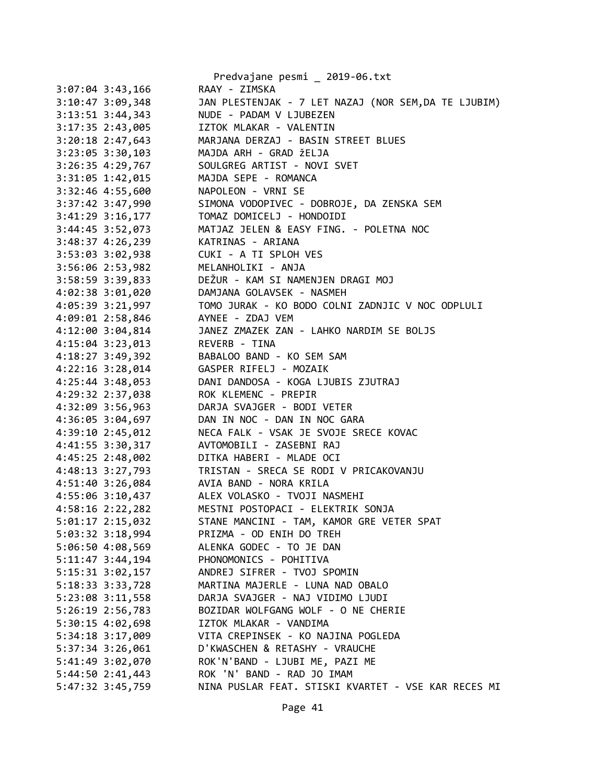|                      | Predvajane pesmi _ 2019-06.txt                       |
|----------------------|------------------------------------------------------|
| $3:07:04$ 3:43,166   | RAAY - ZIMSKA                                        |
| $3:10:47$ $3:09,348$ | JAN PLESTENJAK - 7 LET NAZAJ (NOR SEM, DA TE LJUBIM) |
| $3:13:51$ $3:44,343$ | NUDE - PADAM V LJUBEZEN                              |
| 3:17:35 2:43,005     | IZTOK MLAKAR - VALENTIN                              |
| $3:20:18$ 2:47,643   | MARJANA DERZAJ - BASIN STREET BLUES                  |
| 3:23:05 3:30,103     | MAJDA ARH - GRAD ŽELJA                               |
| 3:26:35 4:29,767     | SOULGREG ARTIST - NOVI SVET                          |
| 3:31:05 1:42,015     | MAJDA SEPE - ROMANCA                                 |
| 3:32:46 4:55,600     | NAPOLEON - VRNI SE                                   |
| 3:37:42 3:47,990     | SIMONA VODOPIVEC - DOBROJE, DA ZENSKA SEM            |
| $3:41:29$ $3:16,177$ | TOMAZ DOMICELJ - HONDOIDI                            |
| 3:44:45 3:52,073     | MATJAZ JELEN & EASY FING. - POLETNA NOC              |
| 3:48:37 4:26,239     | KATRINAS - ARIANA                                    |
| 3:53:03 3:02,938     | CUKI - A TI SPLOH VES                                |
| 3:56:06 2:53,982     | MELANHOLIKI - ANJA                                   |
| 3:58:59 3:39,833     | DEŽUR - KAM SI NAMENJEN DRAGI MOJ                    |
| $4:02:38$ $3:01,020$ | DAMJANA GOLAVSEK - NASMEH                            |
| 4:05:39 3:21,997     | TOMO JURAK - KO BODO COLNI ZADNJIC V NOC ODPLULI     |
| 4:09:01 2:58,846     | AYNEE - ZDAJ VEM                                     |
| 4:12:00 3:04,814     | JANEZ ZMAZEK ZAN - LAHKO NARDIM SE BOLJS             |
| $4:15:04$ 3:23,013   | REVERB - TINA                                        |
| 4:18:27 3:49,392     | BABALOO BAND - KO SEM SAM                            |
| 4:22:16 3:28,014     | GASPER RIFELJ - MOZAIK                               |
| $4:25:44$ 3:48,053   | DANI DANDOSA - KOGA LJUBIS ZJUTRAJ                   |
| 4:29:32 2:37,038     | ROK KLEMENC - PREPIR                                 |
| 4:32:09 3:56,963     | DARJA SVAJGER - BODI VETER                           |
| 4:36:05 3:04,697     | DAN IN NOC - DAN IN NOC GARA                         |
| 4:39:10 2:45,012     | NECA FALK - VSAK JE SVOJE SRECE KOVAC                |
| 4:41:55 3:30,317     | AVTOMOBILI - ZASEBNI RAJ                             |
|                      | DITKA HABERI - MLADE OCI                             |
| 4:45:25 2:48,002     | TRISTAN - SRECA SE RODI V PRICAKOVANJU               |
| 4:48:13 3:27,793     |                                                      |
| 4:51:40 3:26,084     | AVIA BAND - NORA KRILA                               |
| 4:55:06 3:10,437     | ALEX VOLASKO - TVOJI NASMEHI                         |
| 4:58:16 2:22,282     | MESTNI POSTOPACI - ELEKTRIK SONJA                    |
| 5:01:17 2:15,032     | STANE MANCINI - TAM, KAMOR GRE VETER SPAT            |
| 5:03:32 3:18,994     | PRIZMA - OD ENIH DO TREH                             |
| 5:06:50 4:08,569     | ALENKA GODEC - TO JE DAN                             |
| $5:11:47$ 3:44,194   | PHONOMONICS - POHITIVA                               |
| 5:15:31 3:02,157     | ANDREJ SIFRER - TVOJ SPOMIN                          |
| 5:18:33 3:33,728     | MARTINA MAJERLE - LUNA NAD OBALO                     |
| 5:23:08 3:11,558     | DARJA SVAJGER - NAJ VIDIMO LJUDI                     |
| 5:26:19 2:56,783     | BOZIDAR WOLFGANG WOLF - O NE CHERIE                  |
| 5:30:15 4:02,698     | IZTOK MLAKAR - VANDIMA                               |
| 5:34:18 3:17,009     | VITA CREPINSEK - KO NAJINA POGLEDA                   |
| 5:37:34 3:26,061     | D'KWASCHEN & RETASHY - VRAUCHE                       |
| 5:41:49 3:02,070     | ROK'N'BAND - LJUBI ME, PAZI ME                       |
| 5:44:50 2:41,443     | ROK 'N' BAND - RAD JO IMAM                           |
| 5:47:32 3:45,759     | NINA PUSLAR FEAT. STISKI KVARTET - VSE KAR RECES MI  |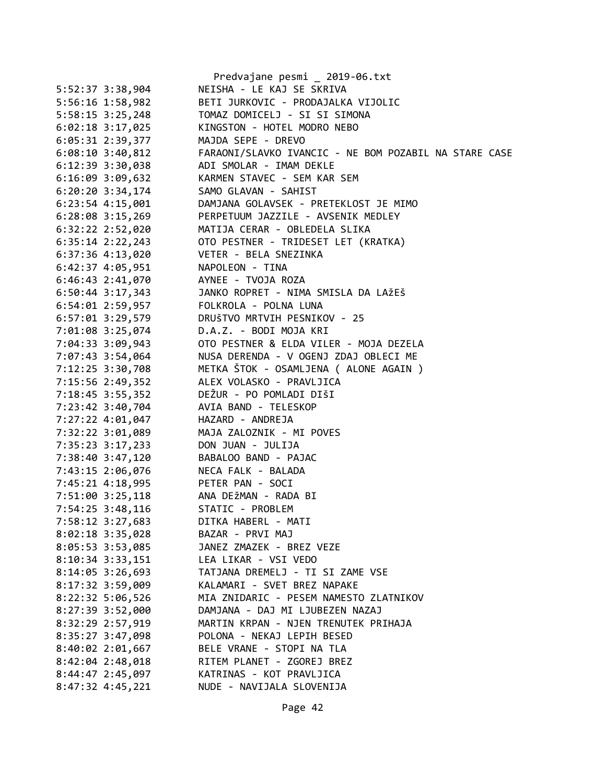|                                       | Predvajane pesmi _ 2019-06.txt                        |
|---------------------------------------|-------------------------------------------------------|
| 5:52:37 3:38,904                      | NEISHA - LE KAJ SE SKRIVA                             |
| 5:56:16 1:58,982                      | BETI JURKOVIC - PRODAJALKA VIJOLIC                    |
| 5:58:15 3:25,248                      | TOMAZ DOMICELJ - SI SI SIMONA                         |
| $6:02:18$ 3:17,025                    | KINGSTON - HOTEL MODRO NEBO                           |
| 6:05:31 2:39,377                      | MAJDA SEPE - DREVO                                    |
| $6:08:10$ 3:40,812                    | FARAONI/SLAVKO IVANCIC - NE BOM POZABIL NA STARE CASE |
| 6:12:39 3:30,038                      | ADI SMOLAR - IMAM DEKLE                               |
| $6:16:09$ 3:09,632                    | KARMEN STAVEC - SEM KAR SEM                           |
| $6:20:20$ 3:34,174                    | SAMO GLAVAN - SAHIST                                  |
| $6:23:54$ $4:15,001$                  | DAMJANA GOLAVSEK - PRETEKLOST JE MIMO                 |
| $6:28:08$ 3:15,269                    | PERPETUUM JAZZILE - AVSENIK MEDLEY                    |
| 6:32:22 2:52,020                      | MATIJA CERAR - OBLEDELA SLIKA                         |
| $6:35:14$ $2:22,243$                  | OTO PESTNER - TRIDESET LET (KRATKA)                   |
| $6:37:36$ 4:13,020                    | VETER - BELA SNEZINKA                                 |
| 6:42:37 4:05,951                      | NAPOLEON - TINA                                       |
| $6:46:43$ $2:41,070$                  | AYNEE - TVOJA ROZA                                    |
| $6:50:44$ 3:17,343                    | JANKO ROPRET - NIMA SMISLA DA LAŽEŠ                   |
| 6:54:01 2:59,957                      | FOLKROLA - POLNA LUNA                                 |
| $6:57:01$ $3:29,579$                  | DRUŠTVO MRTVIH PESNIKOV - 25                          |
| 7:01:08 3:25,074                      | D.A.Z. - BODI MOJA KRI                                |
| 7:04:33 3:09,943                      | OTO PESTNER & ELDA VILER - MOJA DEZELA                |
| 7:07:43 3:54,064                      | NUSA DERENDA - V OGENJ ZDAJ OBLECI ME                 |
| 7:12:25 3:30,708                      | METKA ŠTOK - OSAMLJENA ( ALONE AGAIN )                |
| 7:15:56 2:49,352                      | ALEX VOLASKO - PRAVLJICA                              |
| 7:18:45 3:55,352                      | DEŽUR - PO POMLADI DIŠI                               |
| 7:23:42 3:40,704                      | AVIA BAND - TELESKOP                                  |
| 7:27:22 4:01,047                      | HAZARD - ANDREJA                                      |
| 7:32:22 3:01,089                      | MAJA ZALOZNIK - MI POVES                              |
| 7:35:23 3:17,233                      | DON JUAN - JULIJA                                     |
| 7:38:40 3:47,120                      | BABALOO BAND - PAJAC                                  |
| 7:43:15 2:06,076                      | NECA FALK - BALADA                                    |
| 7:45:21 4:18,995 PETER PAN - SOCI     |                                                       |
| 7:51:00 3:25,118 ANA DEŽMAN - RADA BI |                                                       |
| 7:54:25 3:48,116                      | STATIC - PROBLEM                                      |
| 7:58:12 3:27,683                      | DITKA HABERL - MATI                                   |
| 8:02:18 3:35,028                      | BAZAR - PRVI MAJ                                      |
|                                       | JANEZ ZMAZEK - BREZ VEZE                              |
| 8:05:53 3:53,085                      |                                                       |
| 8:10:34 3:33,151                      | LEA LIKAR - VSI VEDO                                  |
| 8:14:05 3:26,693                      | TATJANA DREMELJ - TI SI ZAME VSE                      |
| 8:17:32 3:59,009                      | KALAMARI - SVET BREZ NAPAKE                           |
| 8:22:32 5:06,526                      | MIA ZNIDARIC - PESEM NAMESTO ZLATNIKOV                |
| 8:27:39 3:52,000                      | DAMJANA - DAJ MI LJUBEZEN NAZAJ                       |
| 8:32:29 2:57,919                      | MARTIN KRPAN - NJEN TRENUTEK PRIHAJA                  |
| 8:35:27 3:47,098                      | POLONA - NEKAJ LEPIH BESED                            |
| 8:40:02 2:01,667                      | BELE VRANE - STOPI NA TLA                             |
| $8:42:04$ 2:48,018                    | RITEM PLANET - ZGOREJ BREZ                            |
| 8:44:47 2:45,097                      | KATRINAS - KOT PRAVLJICA                              |
| 8:47:32 4:45,221                      | NUDE - NAVIJALA SLOVENIJA                             |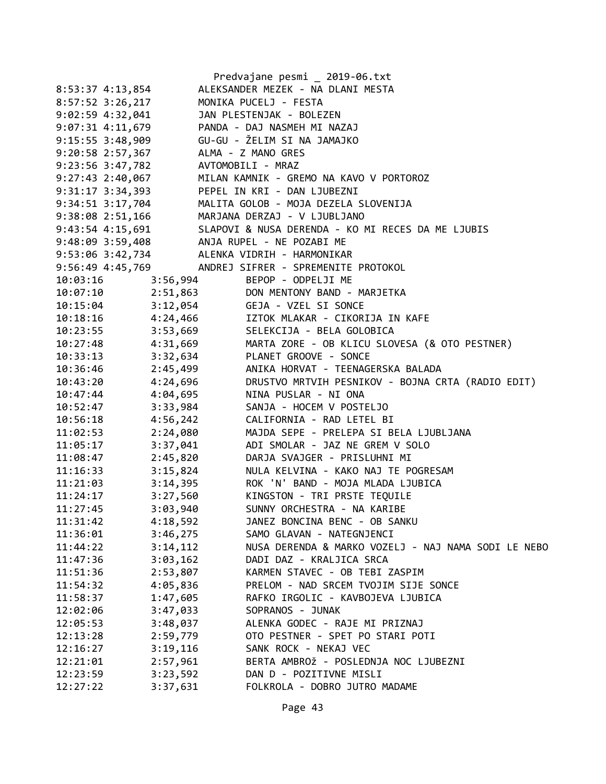|                      |          | Predvajane pesmi _ 2019-06.txt                                               |
|----------------------|----------|------------------------------------------------------------------------------|
| 8:53:37 4:13,854     |          | ALEKSANDER MEZEK - NA DLANI MESTA                                            |
| 8:57:52 3:26,217     |          | MONIKA PUCELJ - FESTA                                                        |
| $9:02:59$ 4:32,041   |          | JAN PLESTENJAK - BOLEZEN                                                     |
| $9:07:31$ $4:11,679$ |          | PANDA - DAJ NASMEH MI NAZAJ                                                  |
| $9:15:55$ 3:48,909   |          | GU-GU - ŽELIM SI NA JAMAJKO                                                  |
| 9:20:58 2:57,367     |          | ALMA - Z MANO GRES                                                           |
| $9:23:56$ $3:47,782$ |          | AVTOMOBILI - MRAZ                                                            |
| $9:27:43$ 2:40,067   |          | MILAN KAMNIK - GREMO NA KAVO V PORTOROZ                                      |
| $9:31:17$ $3:34,393$ |          | PEPEL IN KRI - DAN LJUBEZNI                                                  |
| 9:34:51 3:17,704     |          | MALITA GOLOB - MOJA DEZELA SLOVENIJA                                         |
| 9:38:08 2:51,166     |          | MARJANA DERZAJ - V LJUBLJANO                                                 |
| $9:43:54$ 4:15,691   |          | SLAPOVI & NUSA DERENDA - KO MI RECES DA ME LJUBIS                            |
|                      |          | 9:48:09 3:59,408 ANJA RUPEL - NE POZABI ME                                   |
|                      |          | 9:53:06 3:42,734 ALENKA VIDRIH - HARMONIKAR                                  |
|                      |          | 9:56:49 4:45,769 ANDREJ SIFRER - SPREMENITE PROTOKOL                         |
| 10:03:16             | 3:56,994 | BEPOP - ODPELJI ME                                                           |
|                      |          | 10:07:10 2:51,863 DON MENTONY BAND - MARJETKA                                |
|                      |          | 10:15:04 3:12,054 GEJA - VZEL SI SONCE                                       |
|                      |          | 10:18:16  4:24,466  IZTOK MLAKAR - CIKORIJA IN KAFE                          |
| 10:23:55             |          | 3:53,669 SELEKCIJA - BELA GOLOBICA                                           |
| 10:27:48             |          | 4:31,669<br>3:32,634 PLANET GROOVE - SONCE<br>3:32,634 PLANET GROOVE - SONCE |
| 10:33:13             |          |                                                                              |
| 10:36:46             |          | 2:45,499     ANIKA HORVAT - TEENAGERSKA BALADA                               |
| 10:43:20             |          | 4:24,696 DRUSTVO MRTVIH PESNIKOV - BOJNA CRTA (RADIO EDIT)                   |
| 10:47:44             | 4:04,695 | NINA PUSLAR - NI ONA                                                         |
| 10:52:47             | 3:33,984 | SANJA - HOCEM V POSTELJO                                                     |
| 10:56:18             | 4:56,242 | CALIFORNIA - RAD LETEL BI                                                    |
| 11:02:53             | 2:24,080 | MAJDA SEPE - PRELEPA SI BELA LJUBLJANA                                       |
| 11:05:17             | 3:37,041 | ADI SMOLAR - JAZ NE GREM V SOLO                                              |
| 11:08:47             | 2:45,820 | DARJA SVAJGER - PRISLUHNI MI                                                 |
| 11:16:33             | 3:15,824 | NULA KELVINA - KAKO NAJ TE POGRESAM                                          |
| 11:21:03             | 3:14,395 | ROK 'N' BAND - MOJA MLADA LJUBICA                                            |
| 11:24:17             |          | 3:27,560 KINGSTON - TRI PRSTE TEQUILE                                        |
| 11:27:45             | 3:03,940 | SUNNY ORCHESTRA - NA KARIBE                                                  |
| 11:31:42             | 4:18,592 | JANEZ BONCINA BENC - OB SANKU                                                |
| 11:36:01             | 3:46,275 | SAMO GLAVAN - NATEGNJENCI                                                    |
| 11:44:22             | 3:14,112 | NUSA DERENDA & MARKO VOZELJ - NAJ NAMA SODI LE NEBO                          |
| 11:47:36             | 3:03,162 | DADI DAZ - KRALJICA SRCA                                                     |
| 11:51:36             | 2:53,807 | KARMEN STAVEC - OB TEBI ZASPIM                                               |
| 11:54:32             | 4:05,836 | PRELOM - NAD SRCEM TVOJIM SIJE SONCE                                         |
| 11:58:37             | 1:47,605 | RAFKO IRGOLIC - KAVBOJEVA LJUBICA                                            |
| 12:02:06             | 3:47,033 | SOPRANOS - JUNAK                                                             |
| 12:05:53             | 3:48,037 | ALENKA GODEC - RAJE MI PRIZNAJ                                               |
| 12:13:28             | 2:59,779 | OTO PESTNER - SPET PO STARI POTI                                             |
| 12:16:27             | 3:19,116 | SANK ROCK - NEKAJ VEC                                                        |
| 12:21:01             | 2:57,961 | BERTA AMBROŽ - POSLEDNJA NOC LJUBEZNI                                        |
| 12:23:59             | 3:23,592 | DAN D - POZITIVNE MISLI                                                      |
| 12:27:22             | 3:37,631 | FOLKROLA - DOBRO JUTRO MADAME                                                |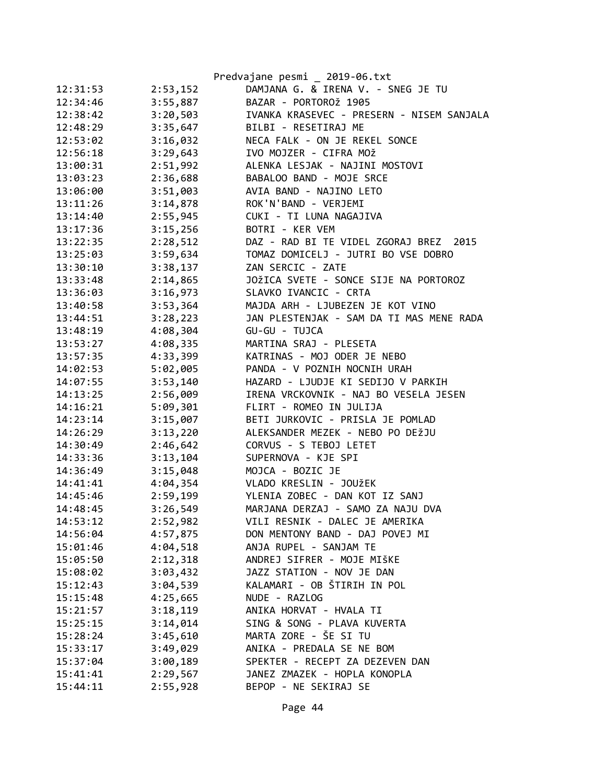|          |          | Predvajane pesmi _ 2019-06.txt            |
|----------|----------|-------------------------------------------|
| 12:31:53 | 2:53,152 | DAMJANA G. & IRENA V. - SNEG JE TU        |
| 12:34:46 | 3:55,887 | BAZAR - PORTOROŽ 1905                     |
| 12:38:42 | 3:20,503 | IVANKA KRASEVEC - PRESERN - NISEM SANJALA |
| 12:48:29 | 3:35,647 | BILBI - RESETIRAJ ME                      |
| 12:53:02 | 3:16,032 | NECA FALK - ON JE REKEL SONCE             |
| 12:56:18 | 3:29,643 | IVO MOJZER - CIFRA MOŽ                    |
| 13:00:31 | 2:51,992 | ALENKA LESJAK - NAJINI MOSTOVI            |
| 13:03:23 | 2:36,688 | BABALOO BAND - MOJE SRCE                  |
| 13:06:00 | 3:51,003 | AVIA BAND - NAJINO LETO                   |
| 13:11:26 | 3:14,878 | ROK'N'BAND - VERJEMI                      |
| 13:14:40 | 2:55,945 | CUKI - TI LUNA NAGAJIVA                   |
| 13:17:36 | 3:15,256 | BOTRI - KER VEM                           |
| 13:22:35 | 2:28,512 | DAZ - RAD BI TE VIDEL ZGORAJ BREZ<br>2015 |
| 13:25:03 | 3:59,634 | TOMAZ DOMICELJ - JUTRI BO VSE DOBRO       |
| 13:30:10 | 3:38,137 | ZAN SERCIC - ZATE                         |
| 13:33:48 | 2:14,865 | JOŽICA SVETE - SONCE SIJE NA PORTOROZ     |
| 13:36:03 | 3:16,973 | SLAVKO IVANCIC - CRTA                     |
| 13:40:58 | 3:53,364 | MAJDA ARH - LJUBEZEN JE KOT VINO          |
| 13:44:51 | 3:28,223 | JAN PLESTENJAK - SAM DA TI MAS MENE RADA  |
| 13:48:19 | 4:08,304 | GU-GU - TUJCA                             |
| 13:53:27 | 4:08,335 | MARTINA SRAJ - PLESETA                    |
| 13:57:35 | 4:33,399 | KATRINAS - MOJ ODER JE NEBO               |
| 14:02:53 | 5:02,005 | PANDA - V POZNIH NOCNIH URAH              |
| 14:07:55 | 3:53,140 | HAZARD - LJUDJE KI SEDIJO V PARKIH        |
| 14:13:25 | 2:56,009 | IRENA VRCKOVNIK - NAJ BO VESELA JESEN     |
| 14:16:21 | 5:09,301 | FLIRT - ROMEO IN JULIJA                   |
| 14:23:14 | 3:15,007 | BETI JURKOVIC - PRISLA JE POMLAD          |
| 14:26:29 | 3:13,220 | ALEKSANDER MEZEK - NEBO PO DEŽJU          |
| 14:30:49 | 2:46,642 | CORVUS - S TEBOJ LETET                    |
| 14:33:36 | 3:13,104 | SUPERNOVA - KJE SPI                       |
| 14:36:49 | 3:15,048 | MOJCA - BOZIC JE                          |
| 14:41:41 | 4:04,354 | VLADO KRESLIN - JOUŽEK                    |
| 14:45:46 | 2:59,199 | YLENIA ZOBEC - DAN KOT IZ SANJ            |
| 14:48:45 | 3:26,549 | MARJANA DERZAJ - SAMO ZA NAJU DVA         |
| 14:53:12 | 2:52,982 | VILI RESNIK - DALEC JE AMERIKA            |
| 14:56:04 | 4:57,875 | DON MENTONY BAND - DAJ POVEJ MI           |
| 15:01:46 | 4:04,518 | ANJA RUPEL - SANJAM TE                    |
| 15:05:50 | 2:12,318 | ANDREJ SIFRER - MOJE MIŠKE                |
| 15:08:02 | 3:03,432 | JAZZ STATION - NOV JE DAN                 |
| 15:12:43 | 3:04,539 | KALAMARI - OB ŠTIRIH IN POL               |
| 15:15:48 | 4:25,665 | NUDE - RAZLOG                             |
| 15:21:57 | 3:18,119 | ANIKA HORVAT - HVALA TI                   |
| 15:25:15 | 3:14,014 | SING & SONG - PLAVA KUVERTA               |
| 15:28:24 | 3:45,610 | MARTA ZORE - ŠE SI TU                     |
| 15:33:17 | 3:49,029 | ANIKA - PREDALA SE NE BOM                 |
| 15:37:04 | 3:00,189 | SPEKTER - RECEPT ZA DEZEVEN DAN           |
| 15:41:41 | 2:29,567 | JANEZ ZMAZEK - HOPLA KONOPLA              |
| 15:44:11 | 2:55,928 | BEPOP - NE SEKIRAJ SE                     |
|          |          |                                           |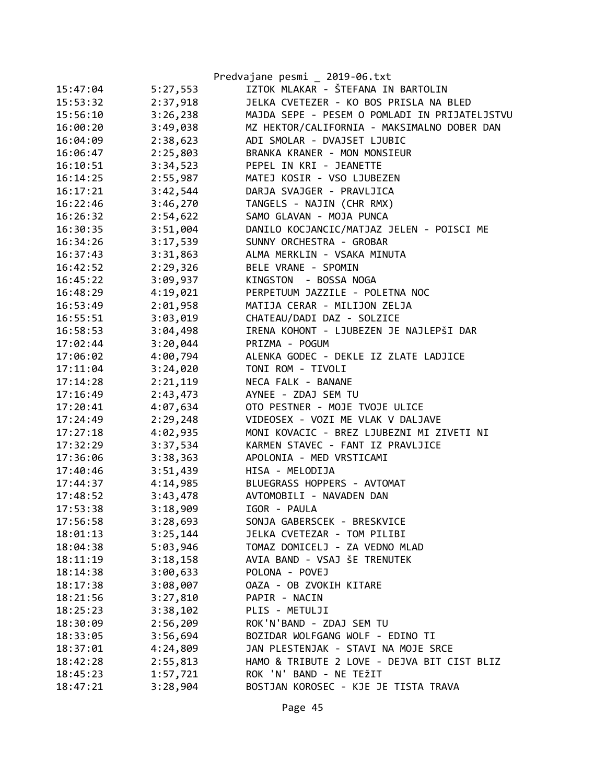|          |          | Predvajane pesmi _ 2019-06.txt                |
|----------|----------|-----------------------------------------------|
| 15:47:04 | 5:27,553 | IZTOK MLAKAR - ŠTEFANA IN BARTOLIN            |
| 15:53:32 | 2:37,918 | JELKA CVETEZER - KO BOS PRISLA NA BLED        |
| 15:56:10 | 3:26,238 | MAJDA SEPE - PESEM O POMLADI IN PRIJATELJSTVU |
| 16:00:20 | 3:49,038 | MZ HEKTOR/CALIFORNIA - MAKSIMALNO DOBER DAN   |
| 16:04:09 | 2:38,623 | ADI SMOLAR - DVAJSET LJUBIC                   |
| 16:06:47 | 2:25,803 | BRANKA KRANER - MON MONSIEUR                  |
| 16:10:51 | 3:34,523 | PEPEL IN KRI - JEANETTE                       |
| 16:14:25 | 2:55,987 | MATEJ KOSIR - VSO LJUBEZEN                    |
| 16:17:21 | 3:42,544 | DARJA SVAJGER - PRAVLJICA                     |
| 16:22:46 | 3:46,270 | TANGELS - NAJIN (CHR RMX)                     |
| 16:26:32 | 2:54,622 | SAMO GLAVAN - MOJA PUNCA                      |
| 16:30:35 | 3:51,004 | DANILO KOCJANCIC/MATJAZ JELEN - POISCI ME     |
| 16:34:26 | 3:17,539 | SUNNY ORCHESTRA - GROBAR                      |
| 16:37:43 | 3:31,863 | ALMA MERKLIN - VSAKA MINUTA                   |
| 16:42:52 | 2:29,326 | BELE VRANE - SPOMIN                           |
| 16:45:22 | 3:09,937 | KINGSTON - BOSSA NOGA                         |
| 16:48:29 | 4:19,021 | PERPETUUM JAZZILE - POLETNA NOC               |
| 16:53:49 | 2:01,958 | MATIJA CERAR - MILIJON ZELJA                  |
| 16:55:51 | 3:03,019 | CHATEAU/DADI DAZ - SOLZICE                    |
| 16:58:53 | 3:04,498 | IRENA KOHONT - LJUBEZEN JE NAJLEPŠI DAR       |
| 17:02:44 | 3:20,044 | PRIZMA - POGUM                                |
| 17:06:02 | 4:00,794 | ALENKA GODEC - DEKLE IZ ZLATE LADJICE         |
| 17:11:04 | 3:24,020 | TONI ROM - TIVOLI                             |
| 17:14:28 | 2:21,119 | NECA FALK - BANANE                            |
| 17:16:49 | 2:43,473 | AYNEE - ZDAJ SEM TU                           |
| 17:20:41 | 4:07,634 | OTO PESTNER - MOJE TVOJE ULICE                |
| 17:24:49 | 2:29,248 | VIDEOSEX - VOZI ME VLAK V DALJAVE             |
| 17:27:18 | 4:02,935 | MONI KOVACIC - BREZ LJUBEZNI MI ZIVETI NI     |
| 17:32:29 | 3:37,534 | KARMEN STAVEC - FANT IZ PRAVLJICE             |
| 17:36:06 | 3:38,363 | APOLONIA - MED VRSTICAMI                      |
| 17:40:46 | 3:51,439 | HISA - MELODIJA                               |
| 17:44:37 | 4:14,985 | BLUEGRASS HOPPERS - AVTOMAT                   |
| 17:48:52 | 3:43,478 | AVTOMOBILI - NAVADEN DAN                      |
| 17:53:38 | 3:18,909 | IGOR - PAULA                                  |
| 17:56:58 | 3:28,693 | SONJA GABERSCEK - BRESKVICE                   |
| 18:01:13 | 3:25,144 | JELKA CVETEZAR - TOM PILIBI                   |
| 18:04:38 | 5:03,946 | TOMAZ DOMICELJ - ZA VEDNO MLAD                |
| 18:11:19 | 3:18,158 | AVIA BAND - VSAJ ŠE TRENUTEK                  |
| 18:14:38 | 3:00,633 | POLONA - POVEJ                                |
| 18:17:38 | 3:08,007 | OAZA - OB ZVOKIH KITARE                       |
| 18:21:56 | 3:27,810 | PAPIR - NACIN                                 |
| 18:25:23 | 3:38,102 | PLIS - METULJI                                |
| 18:30:09 | 2:56,209 | ROK'N'BAND - ZDAJ SEM TU                      |
| 18:33:05 | 3:56,694 | BOZIDAR WOLFGANG WOLF - EDINO TI              |
| 18:37:01 | 4:24,809 | JAN PLESTENJAK - STAVI NA MOJE SRCE           |
| 18:42:28 | 2:55,813 | HAMO & TRIBUTE 2 LOVE - DEJVA BIT CIST BLIZ   |
| 18:45:23 | 1:57,721 | ROK 'N' BAND - NE TEŽIT                       |
| 18:47:21 | 3:28,904 | BOSTJAN KOROSEC - KJE JE TISTA TRAVA          |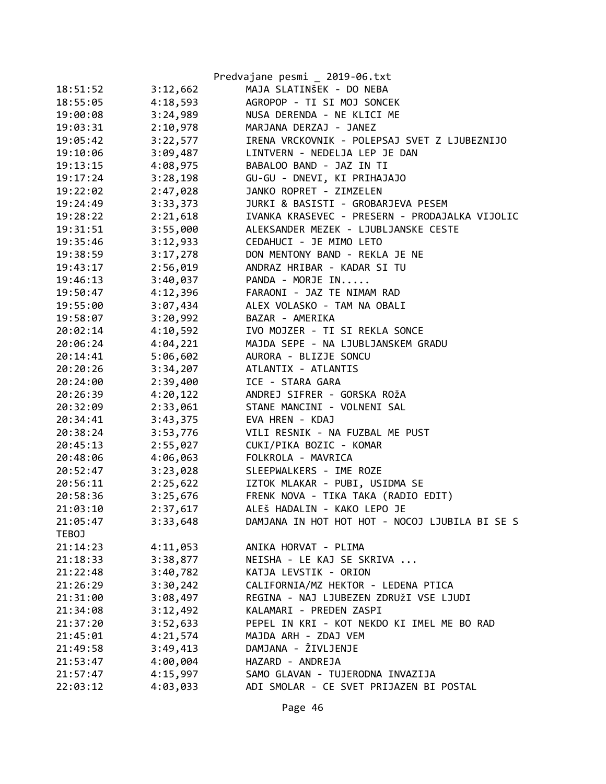|          |          | Predvajane pesmi _ 2019-06.txt                 |
|----------|----------|------------------------------------------------|
| 18:51:52 | 3:12,662 | MAJA SLATINŠEK - DO NEBA                       |
| 18:55:05 | 4:18,593 | AGROPOP - TI SI MOJ SONCEK                     |
| 19:00:08 | 3:24,989 | NUSA DERENDA - NE KLICI ME                     |
| 19:03:31 | 2:10,978 | MARJANA DERZAJ - JANEZ                         |
| 19:05:42 | 3:22,577 | IRENA VRCKOVNIK - POLEPSAJ SVET Z LJUBEZNIJO   |
| 19:10:06 | 3:09,487 | LINTVERN - NEDELJA LEP JE DAN                  |
| 19:13:15 | 4:08,975 | BABALOO BAND - JAZ IN TI                       |
| 19:17:24 | 3:28,198 | GU-GU - DNEVI, KI PRIHAJAJO                    |
| 19:22:02 | 2:47,028 | JANKO ROPRET - ZIMZELEN                        |
| 19:24:49 | 3:33,373 | JURKI & BASISTI - GROBARJEVA PESEM             |
| 19:28:22 | 2:21,618 | IVANKA KRASEVEC - PRESERN - PRODAJALKA VIJOLIC |
| 19:31:51 | 3:55,000 | ALEKSANDER MEZEK - LJUBLJANSKE CESTE           |
| 19:35:46 | 3:12,933 | CEDAHUCI - JE MIMO LETO                        |
| 19:38:59 | 3:17,278 | DON MENTONY BAND - REKLA JE NE                 |
| 19:43:17 | 2:56,019 | ANDRAZ HRIBAR - KADAR SI TU                    |
| 19:46:13 | 3:40,037 | PANDA - MORJE IN                               |
| 19:50:47 | 4:12,396 | FARAONI - JAZ TE NIMAM RAD                     |
| 19:55:00 | 3:07,434 | ALEX VOLASKO - TAM NA OBALI                    |
| 19:58:07 | 3:20,992 | BAZAR - AMERIKA                                |
| 20:02:14 | 4:10,592 | IVO MOJZER - TI SI REKLA SONCE                 |
| 20:06:24 | 4:04,221 | MAJDA SEPE - NA LJUBLJANSKEM GRADU             |
| 20:14:41 | 5:06,602 | AURORA - BLIZJE SONCU                          |
| 20:20:26 | 3:34,207 | ATLANTIX - ATLANTIS                            |
| 20:24:00 | 2:39,400 | ICE - STARA GARA                               |
| 20:26:39 | 4:20,122 | ANDREJ SIFRER - GORSKA ROŽA                    |
| 20:32:09 | 2:33,061 | STANE MANCINI - VOLNENI SAL                    |
| 20:34:41 | 3:43,375 | EVA HREN - KDAJ                                |
| 20:38:24 | 3:53,776 | VILI RESNIK - NA FUZBAL ME PUST                |
| 20:45:13 | 2:55,027 | CUKI/PIKA BOZIC - KOMAR                        |
| 20:48:06 | 4:06,063 | FOLKROLA - MAVRICA                             |
| 20:52:47 | 3:23,028 | SLEEPWALKERS - IME ROZE                        |
| 20:56:11 | 2:25,622 | IZTOK MLAKAR - PUBI, USIDMA SE                 |
| 20:58:36 | 3:25,676 | FRENK NOVA - TIKA TAKA (RADIO EDIT)            |
| 21:03:10 | 2:37,617 | ALEŠ HADALIN - KAKO LEPO JE                    |
| 21:05:47 | 3:33,648 | DAMJANA IN HOT HOT HOT - NOCOJ LJUBILA BI SE S |
| TEBOJ    |          |                                                |
| 21:14:23 | 4:11,053 | ANIKA HORVAT - PLIMA                           |
| 21:18:33 | 3:38,877 | NEISHA - LE KAJ SE SKRIVA                      |
| 21:22:48 | 3:40,782 | KATJA LEVSTIK - ORION                          |
| 21:26:29 | 3:30,242 | CALIFORNIA/MZ HEKTOR - LEDENA PTICA            |
| 21:31:00 | 3:08,497 | REGINA - NAJ LJUBEZEN ZDRUŽI VSE LJUDI         |
| 21:34:08 | 3:12,492 | KALAMARI - PREDEN ZASPI                        |
| 21:37:20 | 3:52,633 | PEPEL IN KRI - KOT NEKDO KI IMEL ME BO RAD     |
| 21:45:01 | 4:21,574 | MAJDA ARH - ZDAJ VEM                           |
| 21:49:58 | 3:49,413 | DAMJANA - ŽIVLJENJE                            |
| 21:53:47 | 4:00,004 | HAZARD - ANDREJA                               |
| 21:57:47 | 4:15,997 | SAMO GLAVAN - TUJERODNA INVAZIJA               |
| 22:03:12 | 4:03,033 | ADI SMOLAR - CE SVET PRIJAZEN BI POSTAL        |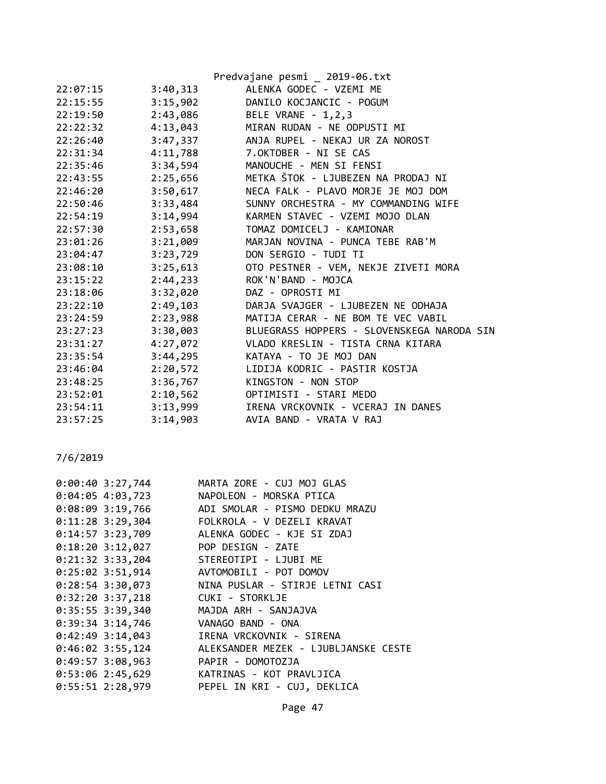|          |          | Predvajane pesmi _ 2019-06.txt             |
|----------|----------|--------------------------------------------|
| 22:07:15 | 3:40,313 | ALENKA GODEC - VZEMI ME                    |
| 22:15:55 | 3:15,902 | DANILO KOCJANCIC - POGUM                   |
| 22:19:50 | 2:43,086 | BELE VRANE - 1,2,3                         |
| 22:22:32 | 4:13,043 | MIRAN RUDAN - NE ODPUSTI MI                |
| 22:26:40 | 3:47,337 | ANJA RUPEL - NEKAJ UR ZA NOROST            |
| 22:31:34 | 4:11,788 | 7.OKTOBER - NI SE CAS                      |
| 22:35:46 | 3:34,594 | MANOUCHE - MEN SI FENSI                    |
| 22:43:55 | 2:25,656 | METKA ŠTOK - LJUBEZEN NA PRODAJ NI         |
| 22:46:20 | 3:50,617 | NECA FALK - PLAVO MORJE JE MOJ DOM         |
| 22:50:46 | 3:33,484 | SUNNY ORCHESTRA - MY COMMANDING WIFE       |
| 22:54:19 | 3:14,994 | KARMEN STAVEC - VZEMI MOJO DLAN            |
| 22:57:30 | 2:53,658 | TOMAZ DOMICELJ - KAMIONAR                  |
| 23:01:26 | 3:21,009 | MARJAN NOVINA - PUNCA TEBE RAB'M           |
| 23:04:47 | 3:23,729 | DON SERGIO - TUDI TI                       |
| 23:08:10 | 3:25,613 | OTO PESTNER - VEM, NEKJE ZIVETI MORA       |
| 23:15:22 | 2:44,233 | ROK'N'BAND - MOJCA                         |
| 23:18:06 | 3:32,020 | DAZ - OPROSTI MI                           |
| 23:22:10 | 2:49,103 | DARJA SVAJGER - LJUBEZEN NE ODHAJA         |
| 23:24:59 | 2:23,988 | MATIJA CERAR - NE BOM TE VEC VABIL         |
| 23:27:23 | 3:30,003 | BLUEGRASS HOPPERS - SLOVENSKEGA NARODA SIN |
| 23:31:27 | 4:27,072 | VLADO KRESLIN - TISTA CRNA KITARA          |
| 23:35:54 | 3:44,295 | KATAYA - TO JE MOJ DAN                     |
| 23:46:04 | 2:20,572 | LIDIJA KODRIC - PASTIR KOSTJA              |
| 23:48:25 | 3:36,767 | KINGSTON - NON STOP                        |
| 23:52:01 | 2:10,562 | OPTIMISTI - STARI MEDO                     |
| 23:54:11 | 3:13,999 | IRENA VRCKOVNIK - VCERAJ IN DANES          |
| 23:57:25 | 3:14,903 | AVIA BAND - VRATA V RAJ                    |

| $0:00:40$ 3:27,744 | MARTA ZORE - CUJ MOJ GLAS            |
|--------------------|--------------------------------------|
| 0:04:05 4:03,723   | NAPOLEON - MORSKA PTICA              |
| $0:08:09$ 3:19,766 | ADI SMOLAR - PISMO DEDKU MRAZU       |
| $0:11:28$ 3:29,304 | FOLKROLA - V DEZELI KRAVAT           |
| $0:14:57$ 3:23,709 | ALENKA GODEC - KJE SI ZDAJ           |
| $0:18:20$ 3:12,027 | POP DESIGN - ZATE                    |
| $0:21:32$ 3:33,204 | STEREOTIPI - LJUBI ME                |
| $0:25:02$ 3:51,914 | AVTOMOBILI - POT DOMOV               |
| $0:28:54$ 3:30,073 | NINA PUSLAR - STIRJE LETNI CASI      |
| $0:32:20$ 3:37,218 | CUKI - STORKLJE                      |
| $0:35:55$ 3:39,340 | MAJDA ARH - SANJAJVA                 |
| $0:39:34$ 3:14,746 | VANAGO BAND - ONA                    |
| $0:42:49$ 3:14,043 | IRENA VRCKOVNIK - SIRENA             |
| $0:46:02$ 3:55,124 | ALEKSANDER MEZEK - LJUBLJANSKE CESTE |
| $0:49:57$ 3:08,963 | PAPIR - DOMOTOZJA                    |
| $0:53:06$ 2:45,629 | KATRINAS - KOT PRAVLJICA             |
| $0:55:51$ 2:28,979 | PEPEL IN KRI - CUJ, DEKLICA          |
|                    |                                      |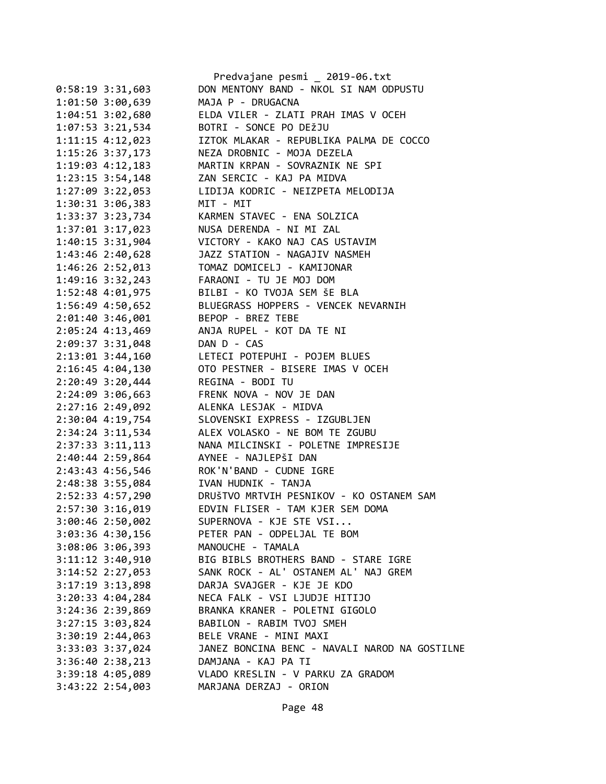|                      | Predvajane pesmi _ 2019-06.txt                |
|----------------------|-----------------------------------------------|
| $0:58:19$ 3:31,603   | DON MENTONY BAND - NKOL SI NAM ODPUSTU        |
| 1:01:50 3:00,639     | MAJA P - DRUGACNA                             |
| 1:04:51 3:02,680     | ELDA VILER - ZLATI PRAH IMAS V OCEH           |
| $1:07:53$ 3:21,534   | BOTRI - SONCE PO DEŽJU                        |
| 1:11:15 4:12,023     | IZTOK MLAKAR - REPUBLIKA PALMA DE COCCO       |
| 1:15:26 3:37,173     | NEZA DROBNIC - MOJA DEZELA                    |
| 1:19:03 4:12,183     | MARTIN KRPAN - SOVRAZNIK NE SPI               |
| $1:23:15$ 3:54,148   | ZAN SERCIC - KAJ PA MIDVA                     |
| 1:27:09 3:22,053     | LIDIJA KODRIC - NEIZPETA MELODIJA             |
| 1:30:31 3:06,383     | MIT - MIT                                     |
| 1:33:37 3:23,734     | KARMEN STAVEC - ENA SOLZICA                   |
| 1:37:01 3:17,023     | NUSA DERENDA - NI MI ZAL                      |
| 1:40:15 3:31,904     | VICTORY - KAKO NAJ CAS USTAVIM                |
| 1:43:46 2:40,628     | JAZZ STATION - NAGAJIV NASMEH                 |
| 1:46:26 2:52,013     | TOMAZ DOMICELJ - KAMIJONAR                    |
| 1:49:16 3:32,243     | FARAONI - TU JE MOJ DOM                       |
| 1:52:48 4:01,975     | BILBI - KO TVOJA SEM ŠE BLA                   |
| 1:56:49 4:50,652     | BLUEGRASS HOPPERS - VENCEK NEVARNIH           |
| 2:01:40 3:46,001     | BEPOP - BREZ TEBE                             |
| 2:05:24 4:13,469     | ANJA RUPEL - KOT DA TE NI                     |
| 2:09:37 3:31,048     | DAN D - CAS                                   |
| 2:13:01 3:44,160     | LETECI POTEPUHI - POJEM BLUES                 |
| 2:16:45 4:04,130     | OTO PESTNER - BISERE IMAS V OCEH              |
| 2:20:49 3:20,444     | REGINA - BODI TU                              |
| 2:24:09 3:06,663     | FRENK NOVA - NOV JE DAN                       |
| 2:27:16 2:49,092     | ALENKA LESJAK - MIDVA                         |
| 2:30:04 4:19,754     | SLOVENSKI EXPRESS - IZGUBLJEN                 |
| 2:34:24 3:11,534     | ALEX VOLASKO - NE BOM TE ZGUBU                |
| 2:37:33 3:11,113     | NANA MILCINSKI - POLETNE IMPRESIJE            |
| 2:40:44 2:59,864     | AYNEE - NAJLEPŠI DAN                          |
| 2:43:43 4:56,546     | ROK'N'BAND - CUDNE IGRE                       |
| 2:48:38 3:55,084     | IVAN HUDNIK - TANJA                           |
| 2:52:33 4:57,290     | DRUŠTVO MRTVIH PESNIKOV - KO OSTANEM SAM      |
| 2:57:30 3:16,019     | EDVIN FLISER - TAM KJER SEM DOMA              |
| 3:00:46 2:50,002     | SUPERNOVA - KJE STE VSI                       |
| 3:03:36 4:30,156     | PETER PAN - ODPELJAL TE BOM                   |
| 3:08:06 3:06,393     | MANOUCHE - TAMALA                             |
| $3:11:12$ $3:40,910$ | BIG BIBLS BROTHERS BAND - STARE IGRE          |
| $3:14:52$ $2:27,053$ | SANK ROCK - AL' OSTANEM AL' NAJ GREM          |
| 3:17:19 3:13,898     | DARJA SVAJGER - KJE JE KDO                    |
| $3:20:33$ 4:04,284   | NECA FALK - VSI LJUDJE HITIJO                 |
| 3:24:36 2:39,869     | BRANKA KRANER - POLETNI GIGOLO                |
| 3:27:15 3:03,824     | BABILON - RABIM TVOJ SMEH                     |
| 3:30:19 2:44,063     | BELE VRANE - MINI MAXI                        |
| 3:33:03 3:37,024     | JANEZ BONCINA BENC - NAVALI NAROD NA GOSTILNE |
| 3:36:40 2:38,213     | DAMJANA - KAJ PA TI                           |
| 3:39:18 4:05,089     | VLADO KRESLIN - V PARKU ZA GRADOM             |
| $3:43:22$ 2:54,003   | MARJANA DERZAJ - ORION                        |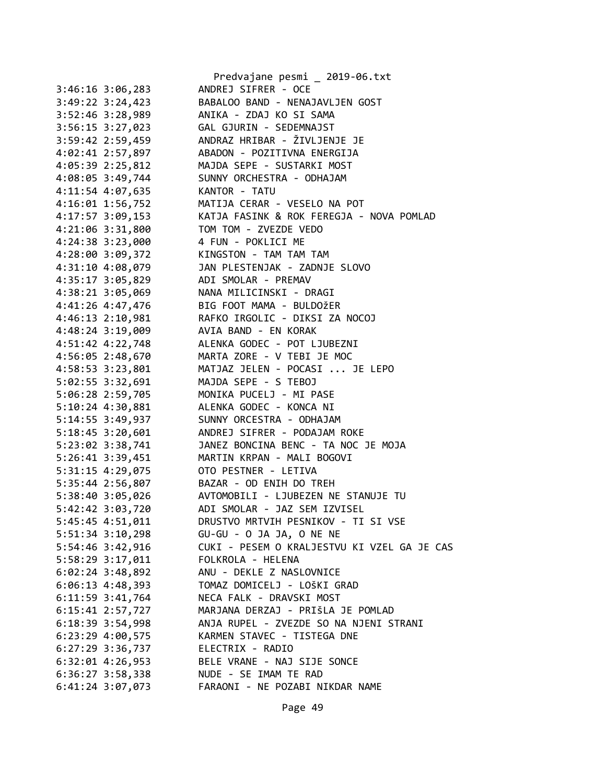|                        | Predvajane pesmi _ 2019-06.txt              |
|------------------------|---------------------------------------------|
| $3:46:16$ $3:06$ , 283 | ANDREJ SIFRER - OCE                         |
| $3:49:22 \ 3:24,423$   | BABALOO BAND - NENAJAVLJEN GOST             |
| $3:52:46$ $3:28,989$   | ANIKA - ZDAJ KO SI SAMA                     |
| 3:56:15 3:27,023       | GAL GJURIN - SEDEMNAJST                     |
| 3:59:42 2:59,459       | ANDRAZ HRIBAR - ŽIVLJENJE JE                |
| 4:02:41 2:57,897       | ABADON - POZITIVNA ENERGIJA                 |
| 4:05:39 2:25,812       | MAJDA SEPE - SUSTARKI MOST                  |
| 4:08:05 3:49,744       | SUNNY ORCHESTRA - ODHAJAM                   |
| 4:11:54 4:07,635       | KANTOR - TATU                               |
| 4:16:01 1:56,752       | MATIJA CERAR - VESELO NA POT                |
| 4:17:57 3:09,153       | KATJA FASINK & ROK FEREGJA - NOVA POMLAD    |
| 4:21:06 3:31,800       | TOM TOM - ZVEZDE VEDO                       |
| 4:24:38 3:23,000       | 4 FUN - POKLICI ME                          |
| 4:28:00 3:09,372       | KINGSTON - TAM TAM TAM                      |
| 4:31:10 4:08,079       | JAN PLESTENJAK - ZADNJE SLOVO               |
| 4:35:17 3:05,829       | ADI SMOLAR - PREMAV                         |
| 4:38:21 3:05,069       | NANA MILICINSKI - DRAGI                     |
| 4:41:26 4:47,476       | BIG FOOT MAMA - BULDOŽER                    |
| $4:46:13$ $2:10,981$   | RAFKO IRGOLIC - DIKSI ZA NOCOJ              |
| 4:48:24 3:19,009       | AVIA BAND - EN KORAK                        |
| 4:51:42 4:22,748       | ALENKA GODEC - POT LJUBEZNI                 |
| 4:56:05 2:48,670       | MARTA ZORE - V TEBI JE MOC                  |
| 4:58:53 3:23,801       | MATJAZ JELEN - POCASI  JE LEPO              |
| 5:02:55 3:32,691       | MAJDA SEPE - S TEBOJ                        |
| 5:06:28 2:59,705       | MONIKA PUCELJ - MI PASE                     |
| $5:10:24$ 4:30,881     | ALENKA GODEC - KONCA NI                     |
| 5:14:55 3:49,937       | SUNNY ORCESTRA - ODHAJAM                    |
| 5:18:45 3:20,601       | ANDREJ SIFRER - PODAJAM ROKE                |
| 5:23:02 3:38,741       | JANEZ BONCINA BENC - TA NOC JE MOJA         |
| 5:26:41 3:39,451       | MARTIN KRPAN - MALI BOGOVI                  |
| 5:31:15 4:29,075       | OTO PESTNER - LETIVA                        |
| 5:35:44 2:56,807       | BAZAR - OD ENIH DO TREH                     |
| 5:38:40 3:05,026       | AVTOMOBILI - LJUBEZEN NE STANUJE TU         |
| 5:42:42 3:03,720       | ADI SMOLAR - JAZ SEM IZVISEL                |
| 5:45:45 4:51,011       | DRUSTVO MRTVIH PESNIKOV - TI SI VSE         |
| $5:51:34$ $3:10,298$   | GU-GU - O JA JA, O NE NE                    |
| 5:54:46 3:42,916       | CUKI - PESEM O KRALJESTVU KI VZEL GA JE CAS |
| 5:58:29 3:17,011       | FOLKROLA - HELENA                           |
| $6:02:24$ 3:48,892     | ANU - DEKLE Z NASLOVNICE                    |
| $6:06:13$ 4:48,393     | TOMAZ DOMICELJ - LOŠKI GRAD                 |
|                        | NECA FALK - DRAVSKI MOST                    |
| $6:11:59$ $3:41,764$   | MARJANA DERZAJ - PRIŠLA JE POMLAD           |
| 6:15:41 2:57,727       |                                             |
| $6:18:39$ 3:54,998     | ANJA RUPEL - ZVEZDE SO NA NJENI STRANI      |
| $6:23:29$ $4:00,575$   | KARMEN STAVEC - TISTEGA DNE                 |
| $6:27:29$ 3:36,737     | ELECTRIX - RADIO                            |
| $6:32:01$ 4:26,953     | BELE VRANE - NAJ SIJE SONCE                 |
| $6:36:27$ 3:58,338     | NUDE - SE IMAM TE RAD                       |
| $6:41:24$ 3:07,073     | FARAONI - NE POZABI NIKDAR NAME             |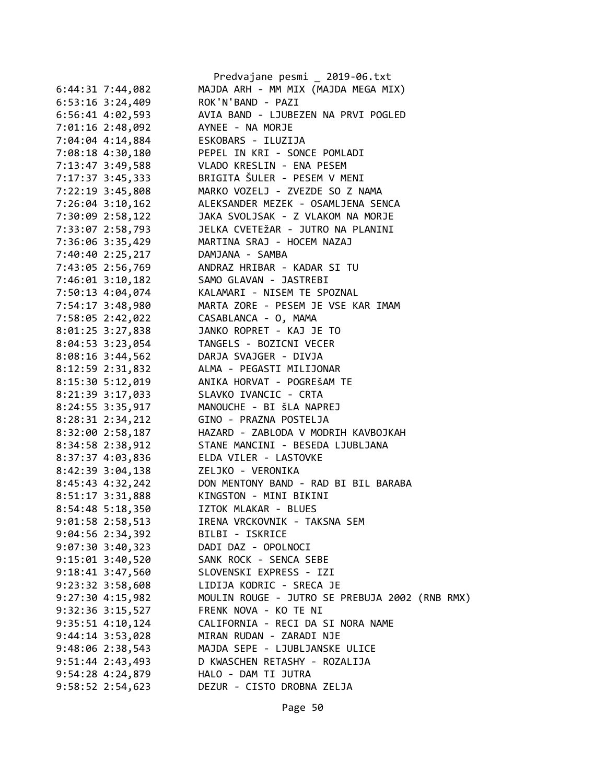|                      |                  | Predvajane pesmi _ 2019-06.txt                 |
|----------------------|------------------|------------------------------------------------|
| $6:44:31$ 7:44,082   |                  | MAJDA ARH - MM MIX (MAJDA MEGA MIX)            |
| $6:53:16$ $3:24,409$ |                  | ROK'N'BAND - PAZI                              |
| 6:56:41 4:02,593     |                  | AVIA BAND - LJUBEZEN NA PRVI POGLED            |
| 7:01:16 2:48,092     |                  | AYNEE - NA MORJE                               |
| 7:04:04 4:14,884     |                  | ESKOBARS - ILUZIJA                             |
| 7:08:18 4:30,180     |                  | PEPEL IN KRI - SONCE POMLADI                   |
| 7:13:47 3:49,588     |                  | VLADO KRESLIN - ENA PESEM                      |
| 7:17:37 3:45,333     |                  | BRIGITA ŠULER - PESEM V MENI                   |
| 7:22:19 3:45,808     |                  | MARKO VOZELJ - ZVEZDE SO Z NAMA                |
| $7:26:04$ 3:10,162   |                  | ALEKSANDER MEZEK - OSAMLJENA SENCA             |
| 7:30:09 2:58,122     |                  | JAKA SVOLJSAK - Z VLAKOM NA MORJE              |
|                      |                  | JELKA CVETEŽAR - JUTRO NA PLANINI              |
| 7:33:07 2:58,793     |                  |                                                |
| 7:36:06 3:35,429     |                  | MARTINA SRAJ - HOCEM NAZAJ                     |
| 7:40:40 2:25,217     |                  | DAMJANA - SAMBA                                |
| 7:43:05 2:56,769     |                  | ANDRAZ HRIBAR - KADAR SI TU                    |
| 7:46:01 3:10,182     |                  | SAMO GLAVAN - JASTREBI                         |
| 7:50:13 4:04,074     |                  | KALAMARI - NISEM TE SPOZNAL                    |
| 7:54:17 3:48,980     |                  | MARTA ZORE - PESEM JE VSE KAR IMAM             |
| 7:58:05 2:42,022     |                  | CASABLANCA - O, MAMA                           |
| 8:01:25 3:27,838     |                  | JANKO ROPRET - KAJ JE TO                       |
| $8:04:53$ 3:23,054   |                  | TANGELS - BOZICNI VECER                        |
| $8:08:16$ 3:44,562   |                  | DARJA SVAJGER - DIVJA                          |
| 8:12:59 2:31,832     |                  | ALMA - PEGASTI MILIJONAR                       |
| $8:15:30$ 5:12,019   |                  | ANIKA HORVAT - POGREŠAM TE                     |
| 8:21:39 3:17,033     |                  | SLAVKO IVANCIC - CRTA                          |
| 8:24:55 3:35,917     |                  | MANOUCHE - BI ŠLA NAPREJ                       |
| 8:28:31 2:34,212     |                  | GINO - PRAZNA POSTELJA                         |
| 8:32:00 2:58,187     |                  | HAZARD - ZABLODA V MODRIH KAVBOJKAH            |
| 8:34:58 2:38,912     |                  | STANE MANCINI - BESEDA LJUBLJANA               |
| 8:37:37 4:03,836     |                  | ELDA VILER - LASTOVKE                          |
| 8:42:39 3:04,138     |                  | ZELJKO - VERONIKA                              |
|                      | 8:45:43 4:32,242 | DON MENTONY BAND - RAD BI BIL BARABA           |
| $8:51:17$ $3:31,888$ |                  | KINGSTON - MINI BIKINI                         |
| 8:54:48 5:18,350     |                  | IZTOK MLAKAR - BLUES                           |
| 9:01:58 2:58,513     |                  | IRENA VRCKOVNIK - TAKSNA SEM                   |
| $9:04:56$ 2:34,392   |                  | BILBI - ISKRICE                                |
|                      |                  | DADI DAZ - OPOLNOCI                            |
| $9:07:30$ 3:40,323   |                  |                                                |
| $9:15:01$ $3:40,520$ |                  | SANK ROCK - SENCA SEBE                         |
| $9:18:41$ $3:47,560$ |                  | SLOVENSKI EXPRESS - IZI                        |
| $9:23:32$ $3:58,608$ |                  | LIDIJA KODRIC - SRECA JE                       |
| $9:27:30$ 4:15,982   |                  | MOULIN ROUGE - JUTRO SE PREBUJA 2002 (RNB RMX) |
| $9:32:36$ $3:15,527$ |                  | FRENK NOVA - KO TE NI                          |
| $9:35:51$ $4:10,124$ |                  | CALIFORNIA - RECI DA SI NORA NAME              |
| $9:44:14$ $3:53,028$ |                  | MIRAN RUDAN - ZARADI NJE                       |
| $9:48:06$ $2:38,543$ |                  | MAJDA SEPE - LJUBLJANSKE ULICE                 |
| $9:51:44$ $2:43,493$ |                  | D KWASCHEN RETASHY - ROZALIJA                  |
| $9:54:28$ $4:24,879$ |                  | HALO - DAM TI JUTRA                            |
| $9:58:52$ $2:54,623$ |                  | DEZUR - CISTO DROBNA ZELJA                     |
|                      |                  |                                                |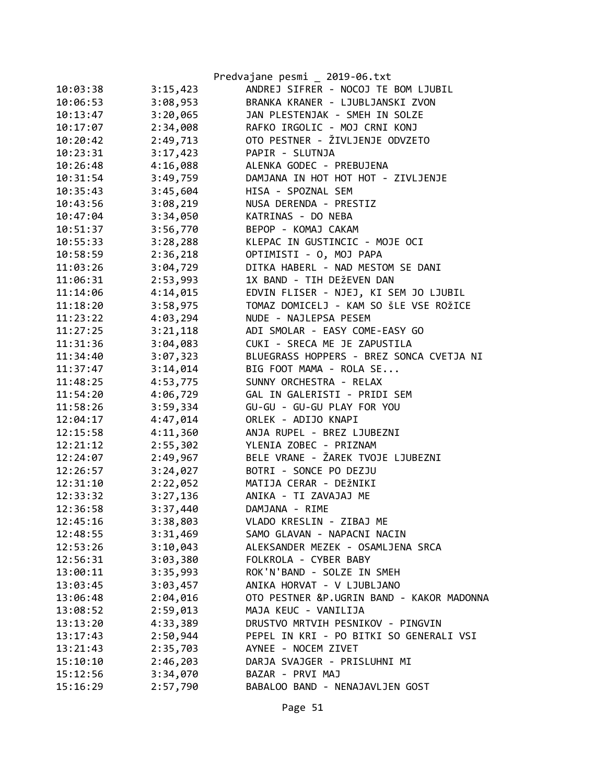|          |          | Predvajane pesmi _ 2019-06.txt            |
|----------|----------|-------------------------------------------|
| 10:03:38 | 3:15,423 | ANDREJ SIFRER - NOCOJ TE BOM LJUBIL       |
| 10:06:53 | 3:08,953 | BRANKA KRANER - LJUBLJANSKI ZVON          |
| 10:13:47 | 3:20,065 | JAN PLESTENJAK - SMEH IN SOLZE            |
| 10:17:07 | 2:34,008 | RAFKO IRGOLIC - MOJ CRNI KONJ             |
| 10:20:42 | 2:49,713 | OTO PESTNER - ŽIVLJENJE ODVZETO           |
| 10:23:31 | 3:17,423 | PAPIR - SLUTNJA                           |
| 10:26:48 | 4:16,088 | ALENKA GODEC - PREBUJENA                  |
| 10:31:54 | 3:49,759 | DAMJANA IN HOT HOT HOT - ZIVLJENJE        |
| 10:35:43 | 3:45,604 | HISA - SPOZNAL SEM                        |
| 10:43:56 | 3:08,219 | NUSA DERENDA - PRESTIZ                    |
| 10:47:04 | 3:34,050 | KATRINAS - DO NEBA                        |
| 10:51:37 | 3:56,770 | BEPOP - KOMAJ CAKAM                       |
| 10:55:33 | 3:28,288 | KLEPAC IN GUSTINCIC - MOJE OCI            |
| 10:58:59 | 2:36,218 | OPTIMISTI - O, MOJ PAPA                   |
| 11:03:26 | 3:04,729 | DITKA HABERL - NAD MESTOM SE DANI         |
| 11:06:31 | 2:53,993 | 1X BAND - TIH DEŽEVEN DAN                 |
| 11:14:06 | 4:14,015 | EDVIN FLISER - NJEJ, KI SEM JO LJUBIL     |
| 11:18:20 | 3:58,975 | TOMAZ DOMICELJ - KAM SO ŠLE VSE ROŽICE    |
| 11:23:22 | 4:03,294 | NUDE - NAJLEPSA PESEM                     |
| 11:27:25 | 3:21,118 | ADI SMOLAR - EASY COME-EASY GO            |
| 11:31:36 | 3:04,083 | CUKI - SRECA ME JE ZAPUSTILA              |
| 11:34:40 | 3:07,323 | BLUEGRASS HOPPERS - BREZ SONCA CVETJA NI  |
| 11:37:47 | 3:14,014 | BIG FOOT MAMA - ROLA SE                   |
| 11:48:25 | 4:53,775 | SUNNY ORCHESTRA - RELAX                   |
| 11:54:20 | 4:06,729 | GAL IN GALERISTI - PRIDI SEM              |
| 11:58:26 | 3:59,334 | GU-GU - GU-GU PLAY FOR YOU                |
| 12:04:17 | 4:47,014 | ORLEK - ADIJO KNAPI                       |
| 12:15:58 | 4:11,360 | ANJA RUPEL - BREZ LJUBEZNI                |
| 12:21:12 | 2:55,302 | YLENIA ZOBEC - PRIZNAM                    |
| 12:24:07 | 2:49,967 | BELE VRANE - ŽAREK TVOJE LJUBEZNI         |
| 12:26:57 | 3:24,027 | BOTRI - SONCE PO DEZJU                    |
| 12:31:10 | 2:22,052 | MATIJA CERAR - DEŽNIKI                    |
| 12:33:32 | 3:27,136 | ANIKA - TI ZAVAJAJ ME                     |
| 12:36:58 | 3:37,440 | DAMJANA - RIME                            |
| 12:45:16 | 3:38,803 | VLADO KRESLIN - ZIBAJ ME                  |
| 12:48:55 | 3:31,469 | SAMO GLAVAN - NAPACNI NACIN               |
| 12:53:26 | 3:10,043 | ALEKSANDER MEZEK - OSAMLJENA SRCA         |
| 12:56:31 | 3:03,380 | FOLKROLA - CYBER BABY                     |
| 13:00:11 | 3:35,993 | ROK'N'BAND - SOLZE IN SMEH                |
| 13:03:45 | 3:03,457 | ANIKA HORVAT - V LJUBLJANO                |
| 13:06:48 | 2:04,016 | OTO PESTNER &P.UGRIN BAND - KAKOR MADONNA |
| 13:08:52 | 2:59,013 | MAJA KEUC - VANILIJA                      |
| 13:13:20 | 4:33,389 | DRUSTVO MRTVIH PESNIKOV - PINGVIN         |
| 13:17:43 | 2:50,944 | PEPEL IN KRI - PO BITKI SO GENERALI VSI   |
| 13:21:43 | 2:35,703 | AYNEE - NOCEM ZIVET                       |
| 15:10:10 | 2:46,203 | DARJA SVAJGER - PRISLUHNI MI              |
| 15:12:56 | 3:34,070 | BAZAR - PRVI MAJ                          |
| 15:16:29 | 2:57,790 | BABALOO BAND - NENAJAVLJEN GOST           |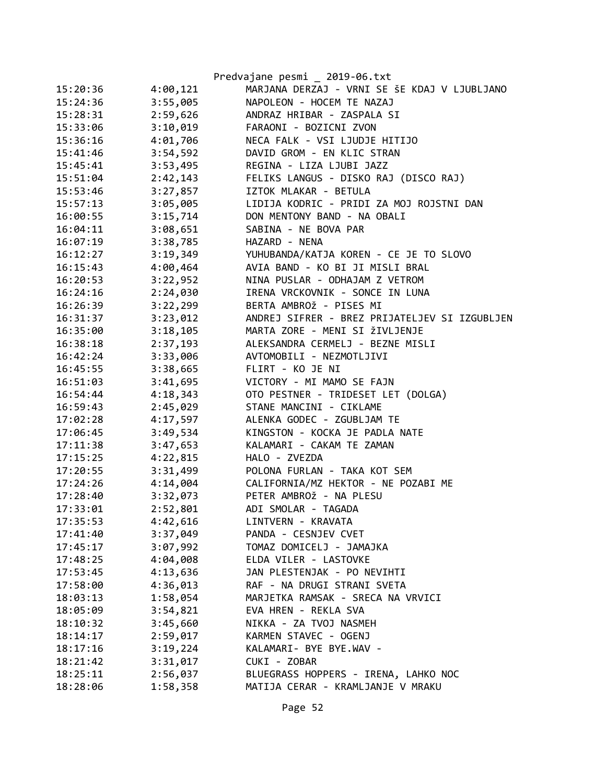|          |          | Predvajane pesmi _ 2019-06.txt                |
|----------|----------|-----------------------------------------------|
| 15:20:36 | 4:00,121 | MARJANA DERZAJ - VRNI SE ŠE KDAJ V LJUBLJANO  |
| 15:24:36 | 3:55,005 | NAPOLEON - HOCEM TE NAZAJ                     |
| 15:28:31 | 2:59,626 | ANDRAZ HRIBAR - ZASPALA SI                    |
| 15:33:06 | 3:10,019 | FARAONI - BOZICNI ZVON                        |
| 15:36:16 | 4:01,706 | NECA FALK - VSI LJUDJE HITIJO                 |
| 15:41:46 | 3:54,592 | DAVID GROM - EN KLIC STRAN                    |
| 15:45:41 | 3:53,495 | REGINA - LIZA LJUBI JAZZ                      |
| 15:51:04 | 2:42,143 | FELIKS LANGUS - DISKO RAJ (DISCO RAJ)         |
| 15:53:46 | 3:27,857 | IZTOK MLAKAR - BETULA                         |
| 15:57:13 | 3:05,005 | LIDIJA KODRIC - PRIDI ZA MOJ ROJSTNI DAN      |
| 16:00:55 | 3:15,714 | DON MENTONY BAND - NA OBALI                   |
| 16:04:11 | 3:08,651 | SABINA - NE BOVA PAR                          |
| 16:07:19 | 3:38,785 | HAZARD - NENA                                 |
| 16:12:27 | 3:19,349 | YUHUBANDA/KATJA KOREN - CE JE TO SLOVO        |
| 16:15:43 | 4:00,464 | AVIA BAND - KO BI JI MISLI BRAL               |
| 16:20:53 | 3:22,952 | NINA PUSLAR - ODHAJAM Z VETROM                |
| 16:24:16 | 2:24,030 | IRENA VRCKOVNIK - SONCE IN LUNA               |
| 16:26:39 | 3:22,299 | BERTA AMBROŽ - PISES MI                       |
| 16:31:37 | 3:23,012 | ANDREJ SIFRER - BREZ PRIJATELJEV SI IZGUBLJEN |
| 16:35:00 | 3:18,105 | MARTA ZORE - MENI SI ŽIVLJENJE                |
| 16:38:18 | 2:37,193 | ALEKSANDRA CERMELJ - BEZNE MISLI              |
| 16:42:24 | 3:33,006 | AVTOMOBILI - NEZMOTLJIVI                      |
| 16:45:55 | 3:38,665 | FLIRT - KO JE NI                              |
| 16:51:03 | 3:41,695 | VICTORY - MI MAMO SE FAJN                     |
| 16:54:44 | 4:18,343 | OTO PESTNER - TRIDESET LET (DOLGA)            |
| 16:59:43 | 2:45,029 | STANE MANCINI - CIKLAME                       |
| 17:02:28 | 4:17,597 | ALENKA GODEC - ZGUBLJAM TE                    |
| 17:06:45 | 3:49,534 | KINGSTON - KOCKA JE PADLA NATE                |
| 17:11:38 | 3:47,653 | KALAMARI - CAKAM TE ZAMAN                     |
| 17:15:25 | 4:22,815 | HALO - ZVEZDA                                 |
| 17:20:55 | 3:31,499 | POLONA FURLAN - TAKA KOT SEM                  |
| 17:24:26 | 4:14,004 | CALIFORNIA/MZ HEKTOR - NE POZABI ME           |
| 17:28:40 | 3:32,073 | PETER AMBROŽ - NA PLESU                       |
| 17:33:01 | 2:52,801 | ADI SMOLAR - TAGADA                           |
| 17:35:53 | 4:42,616 | LINTVERN - KRAVATA                            |
| 17:41:40 | 3:37,049 | PANDA - CESNJEV CVET                          |
| 17:45:17 | 3:07,992 | TOMAZ DOMICELJ - JAMAJKA                      |
| 17:48:25 | 4:04,008 | ELDA VILER - LASTOVKE                         |
| 17:53:45 | 4:13,636 | JAN PLESTENJAK - PO NEVIHTI                   |
| 17:58:00 | 4:36,013 | RAF - NA DRUGI STRANI SVETA                   |
| 18:03:13 | 1:58,054 | MARJETKA RAMSAK - SRECA NA VRVICI             |
| 18:05:09 | 3:54,821 | EVA HREN - REKLA SVA                          |
| 18:10:32 | 3:45,660 | NIKKA - ZA TVOJ NASMEH                        |
| 18:14:17 | 2:59,017 | KARMEN STAVEC - OGENJ                         |
| 18:17:16 | 3:19,224 | KALAMARI- BYE BYE.WAV -                       |
| 18:21:42 | 3:31,017 | CUKI - ZOBAR                                  |
| 18:25:11 | 2:56,037 | BLUEGRASS HOPPERS - IRENA, LAHKO NOC          |
| 18:28:06 | 1:58,358 | MATIJA CERAR - KRAMLJANJE V MRAKU             |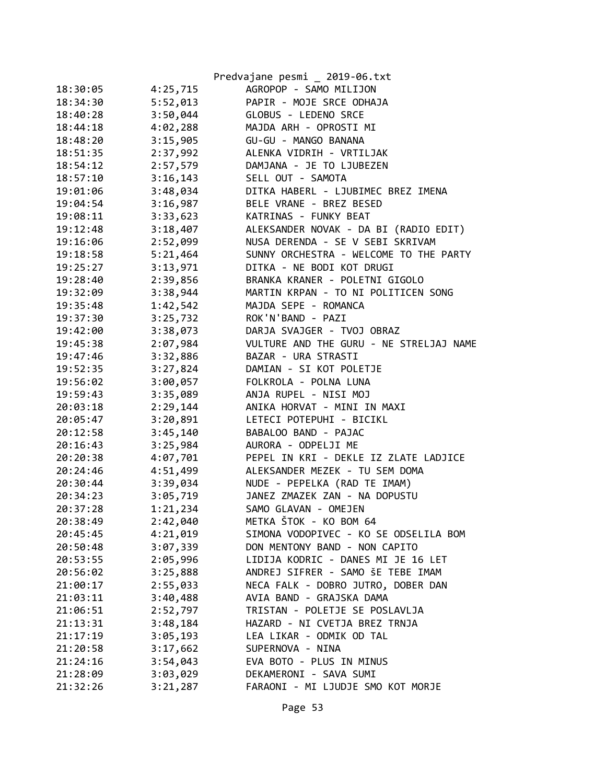|          |          | Predvajane pesmi _ 2019-06.txt          |
|----------|----------|-----------------------------------------|
| 18:30:05 | 4:25,715 | AGROPOP - SAMO MILIJON                  |
| 18:34:30 | 5:52,013 | PAPIR - MOJE SRCE ODHAJA                |
| 18:40:28 | 3:50,044 | GLOBUS - LEDENO SRCE                    |
| 18:44:18 | 4:02,288 | MAJDA ARH - OPROSTI MI                  |
| 18:48:20 | 3:15,905 | GU-GU - MANGO BANANA                    |
| 18:51:35 | 2:37,992 | ALENKA VIDRIH - VRTILJAK                |
| 18:54:12 | 2:57,579 | DAMJANA - JE TO LJUBEZEN                |
| 18:57:10 | 3:16,143 | SELL OUT - SAMOTA                       |
| 19:01:06 | 3:48,034 | DITKA HABERL - LJUBIMEC BREZ IMENA      |
| 19:04:54 | 3:16,987 | BELE VRANE - BREZ BESED                 |
| 19:08:11 | 3:33,623 | KATRINAS - FUNKY BEAT                   |
| 19:12:48 | 3:18,407 | ALEKSANDER NOVAK - DA BI (RADIO EDIT)   |
| 19:16:06 | 2:52,099 | NUSA DERENDA - SE V SEBI SKRIVAM        |
| 19:18:58 | 5:21,464 | SUNNY ORCHESTRA - WELCOME TO THE PARTY  |
| 19:25:27 | 3:13,971 | DITKA - NE BODI KOT DRUGI               |
| 19:28:40 | 2:39,856 | BRANKA KRANER - POLETNI GIGOLO          |
| 19:32:09 | 3:38,944 | MARTIN KRPAN - TO NI POLITICEN SONG     |
| 19:35:48 | 1:42,542 | MAJDA SEPE - ROMANCA                    |
| 19:37:30 | 3:25,732 | ROK'N'BAND - PAZI                       |
| 19:42:00 | 3:38,073 | DARJA SVAJGER - TVOJ OBRAZ              |
| 19:45:38 | 2:07,984 | VULTURE AND THE GURU - NE STRELJAJ NAME |
| 19:47:46 | 3:32,886 | BAZAR - URA STRASTI                     |
| 19:52:35 | 3:27,824 | DAMIAN - SI KOT POLETJE                 |
| 19:56:02 | 3:00,057 | FOLKROLA - POLNA LUNA                   |
| 19:59:43 | 3:35,089 | ANJA RUPEL - NISI MOJ                   |
| 20:03:18 | 2:29,144 | ANIKA HORVAT - MINI IN MAXI             |
| 20:05:47 | 3:20,891 | LETECI POTEPUHI - BICIKL                |
| 20:12:58 | 3:45,140 | BABALOO BAND - PAJAC                    |
| 20:16:43 | 3:25,984 | AURORA - ODPELJI ME                     |
| 20:20:38 | 4:07,701 | PEPEL IN KRI - DEKLE IZ ZLATE LADJICE   |
| 20:24:46 | 4:51,499 | ALEKSANDER MEZEK - TU SEM DOMA          |
| 20:30:44 | 3:39,034 | NUDE - PEPELKA (RAD TE IMAM)            |
| 20:34:23 | 3:05,719 | JANEZ ZMAZEK ZAN - NA DOPUSTU           |
| 20:37:28 | 1:21,234 | SAMO GLAVAN - OMEJEN                    |
| 20:38:49 | 2:42,040 | METKA ŠTOK - KO BOM 64                  |
| 20:45:45 | 4:21,019 | SIMONA VODOPIVEC - KO SE ODSELILA BOM   |
| 20:50:48 | 3:07,339 | DON MENTONY BAND - NON CAPITO           |
| 20:53:55 | 2:05,996 | LIDIJA KODRIC - DANES MI JE 16 LET      |
| 20:56:02 | 3:25,888 | ANDREJ SIFRER - SAMO ŠE TEBE IMAM       |
| 21:00:17 | 2:55,033 | NECA FALK - DOBRO JUTRO, DOBER DAN      |
| 21:03:11 | 3:40,488 | AVIA BAND - GRAJSKA DAMA                |
| 21:06:51 | 2:52,797 | TRISTAN - POLETJE SE POSLAVLJA          |
| 21:13:31 | 3:48,184 | HAZARD - NI CVETJA BREZ TRNJA           |
| 21:17:19 | 3:05,193 | LEA LIKAR - ODMIK OD TAL                |
| 21:20:58 | 3:17,662 | SUPERNOVA - NINA                        |
| 21:24:16 | 3:54,043 | EVA BOTO - PLUS IN MINUS                |
| 21:28:09 | 3:03,029 | DEKAMERONI - SAVA SUMI                  |
| 21:32:26 | 3:21,287 | FARAONI - MI LJUDJE SMO KOT MORJE       |
|          |          |                                         |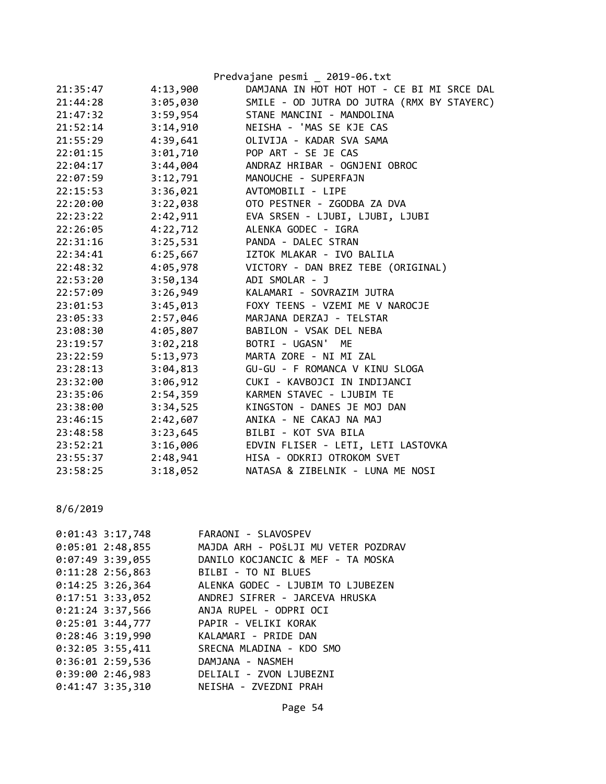|          |          | Predvajane pesmi _ 2019-06.txt             |
|----------|----------|--------------------------------------------|
| 21:35:47 | 4:13,900 | DAMJANA IN HOT HOT HOT - CE BI MI SRCE DAL |
| 21:44:28 | 3:05,030 | SMILE - OD JUTRA DO JUTRA (RMX BY STAYERC) |
| 21:47:32 | 3:59,954 | STANE MANCINI - MANDOLINA                  |
| 21:52:14 | 3:14,910 | NEISHA - 'MAS SE KJE CAS                   |
| 21:55:29 | 4:39,641 | OLIVIJA - KADAR SVA SAMA                   |
| 22:01:15 | 3:01,710 | POP ART - SE JE CAS                        |
| 22:04:17 | 3:44,004 | ANDRAZ HRIBAR - OGNJENI OBROC              |
| 22:07:59 | 3:12,791 | MANOUCHE - SUPERFAJN                       |
| 22:15:53 | 3:36,021 | AVTOMOBILI - LIPE                          |
| 22:20:00 | 3:22,038 | OTO PESTNER - ZGODBA ZA DVA                |
| 22:23:22 | 2:42,911 | EVA SRSEN - LJUBI, LJUBI, LJUBI            |
| 22:26:05 | 4:22,712 | ALENKA GODEC - IGRA                        |
| 22:31:16 | 3:25,531 | PANDA - DALEC STRAN                        |
| 22:34:41 | 6:25,667 | IZTOK MLAKAR - IVO BALILA                  |
| 22:48:32 | 4:05,978 | VICTORY - DAN BREZ TEBE (ORIGINAL)         |
| 22:53:20 | 3:50,134 | ADI SMOLAR - J                             |
| 22:57:09 | 3:26,949 | KALAMARI - SOVRAZIM JUTRA                  |
| 23:01:53 | 3:45,013 | FOXY TEENS - VZEMI ME V NAROCJE            |
| 23:05:33 | 2:57,046 | MARJANA DERZAJ - TELSTAR                   |
| 23:08:30 | 4:05,807 | BABILON - VSAK DEL NEBA                    |
| 23:19:57 | 3:02,218 | BOTRI - UGASN' ME                          |
| 23:22:59 | 5:13,973 | MARTA ZORE - NI MI ZAL                     |
| 23:28:13 | 3:04,813 | GU-GU - F ROMANCA V KINU SLOGA             |
| 23:32:00 | 3:06,912 | CUKI - KAVBOJCI IN INDIJANCI               |
| 23:35:06 | 2:54,359 | KARMEN STAVEC - LJUBIM TE                  |
| 23:38:00 | 3:34,525 | KINGSTON - DANES JE MOJ DAN                |
| 23:46:15 | 2:42,607 | ANIKA - NE CAKAJ NA MAJ                    |
| 23:48:58 | 3:23,645 | BILBI - KOT SVA BILA                       |
| 23:52:21 | 3:16,006 | EDVIN FLISER - LETI, LETI LASTOVKA         |
| 23:55:37 | 2:48,941 | HISA - ODKRIJ OTROKOM SVET                 |
| 23:58:25 | 3:18,052 | NATASA & ZIBELNIK - LUNA ME NOSI           |
|          |          |                                            |

|  | $0:01:43$ 3:17,748 | FARAONI - SLAVOSPEV                             |
|--|--------------------|-------------------------------------------------|
|  | $0:05:01$ 2:48,855 | MAJDA ARH - POŠLJI MU VETER POZDRAV             |
|  | $0:07:49$ 3:39,055 | DANILO KOCJANCIC & MEF - TA MOSKA               |
|  | $0:11:28$ 2:56,863 | BILBI - TO NI BLUES                             |
|  | $0:14:25$ 3:26,364 | ALENKA GODEC - LJUBIM TO LJUBEZEN               |
|  |                    | 0:17:51 3:33,052 ANDREJ SIFRER - JARCEVA HRUSKA |
|  |                    | 0:21:24 3:37,566 ANJA RUPEL - ODPRI OCI         |
|  |                    | 0:25:01 3:44,777 PAPIR - VELIKI KORAK           |
|  |                    | 0:28:46 3:19,990 KALAMARI - PRIDE DAN           |
|  | $0:32:05$ 3:55,411 | SRECNA MLADINA - KDO SMO                        |
|  | $0:36:01$ 2:59,536 | DAMJANA - NASMEH                                |
|  |                    | 0:39:00 2:46,983 DELIALI - ZVON LJUBEZNI        |
|  | $0:41:47$ 3:35,310 | NEISHA - ZVEZDNI PRAH                           |
|  |                    |                                                 |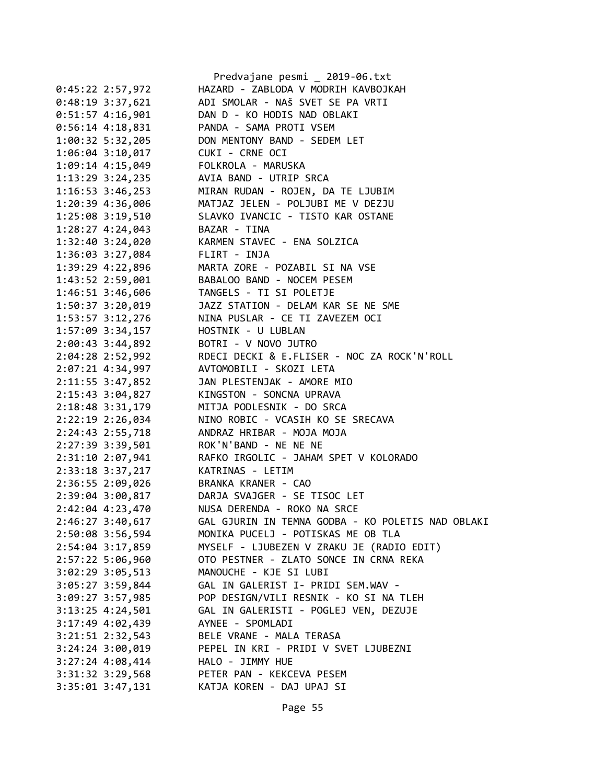|                                  | Predvajane pesmi _ 2019-06.txt                                                                                            |
|----------------------------------|---------------------------------------------------------------------------------------------------------------------------|
| $0:45:22$ 2:57,972               | HAZARD - ZABLODA V MODRIH KAVBOJKAH                                                                                       |
| $0:48:19$ 3:37,621               | ADI SMOLAR - NAŠ SVET SE PA VRTI                                                                                          |
| $0:51:57$ 4:16,901               | DAN D - KO HODIS NAD OBLAKI                                                                                               |
| $0:56:14$ 4:18,831               | PANDA - SAMA PROTI VSEM                                                                                                   |
|                                  | 1:00:32 5:32,205 DON MENTONY BAND - SEDEM LET                                                                             |
| 1:06:04 3:10,017 CUKI - CRNE OCI |                                                                                                                           |
|                                  |                                                                                                                           |
|                                  | 1:09:14 4:15,049 FOLKROLA - MARUSKA<br>1:13:29 3:24,235 AVIA BAND - UTRIP SRCA                                            |
|                                  | 1:16:53 3:46,253 MIRAN RUDAN - ROJEN, DA TE LJUBIM                                                                        |
|                                  | 1:20:39 4:36,006 MATJAZ JELEN - POLJUBI ME V DEZJU                                                                        |
|                                  | 1:25:08 3:19,510 SLAVKO IVANCIC - TISTO KAR OSTANE                                                                        |
| 1:28:27 4:24,043 BAZAR - TINA    |                                                                                                                           |
| $1:32:40$ $3:24,020$             | KARMEN STAVEC - ENA SOLZICA                                                                                               |
| 1:36:03 3:27,084 FLIRT - INJA    |                                                                                                                           |
| 1:39:29 4:22,896                 | MARTA ZORE - POZABIL SI NA VSE<br>BABALOO BAND - NOCEM PESEM                                                              |
| 1:43:52 2:59,001                 |                                                                                                                           |
| 1:46:51 3:46,606                 | TANGELS - TI SI POLETJE                                                                                                   |
|                                  | 1:50:37 3:20,019 JAZZ STATION - DELAM KAR SE NE SME                                                                       |
|                                  | 1:53:57 3:12,276 NINA PUSLAR - CE TI ZAVEZEM OCI                                                                          |
|                                  | 1:57:09 3:34,157 HOSTNIK - U LUBLAN                                                                                       |
| $2:00:43$ 3:44,892               |                                                                                                                           |
| 2:04:28 2:52,992                 | BOTRI - V NOVO JUTRO<br>RDECI DECKI & E.FLISER - NOC ZA ROCK'N'ROLL<br>AVTOMOBILI - SKOZI LETA<br>AVTOMOBILI - SKOZI LETA |
| 2:07:21 4:34,997                 |                                                                                                                           |
| 2:11:55 3:47,852                 |                                                                                                                           |
| 2:15:43 3:04,827                 | JAN PLESTENJAK - AMORE MIO                                                                                                |
| 2:18:48 3:31,179                 | KINGSTON - SONCNA UPRAVA<br>MITJA PODLESNIK - DO SRCA                                                                     |
| 2:22:19 2:26,034                 | NINO ROBIC - VCASIH KO SE SRECAVA                                                                                         |
|                                  | ANDRAZ HRIBAR - MOJA MOJA                                                                                                 |
| 2:24:43 2:55,718                 |                                                                                                                           |
| 2:27:39 3:39,501                 | ROK'N'BAND - NE NE NE                                                                                                     |
| 2:31:10 2:07,941                 | RAFKO IRGOLIC - JAHAM SPET V KOLORADO                                                                                     |
| 2:33:18 3:37,217                 | KATRINAS - LETIM                                                                                                          |
| 2:36:55 2:09,026                 | BRANKA KRANER - CAO                                                                                                       |
| 2:39:04 3:00,817                 | DARJA SVAJGER - SE TISOC LET                                                                                              |
| 2:42:04 4:23,470                 | NUSA DERENDA - ROKO NA SRCE                                                                                               |
| 2:46:27 3:40,617                 | GAL GJURIN IN TEMNA GODBA - KO POLETIS NAD OBLAKI                                                                         |
| 2:50:08 3:56,594                 | MONIKA PUCELJ - POTISKAS ME OB TLA                                                                                        |
| 2:54:04 3:17,859                 | MYSELF - LJUBEZEN V ZRAKU JE (RADIO EDIT)                                                                                 |
| 2:57:22 5:06,960                 | OTO PESTNER - ZLATO SONCE IN CRNA REKA                                                                                    |
| $3:02:29$ $3:05,513$             | MANOUCHE - KJE SI LUBI                                                                                                    |
| $3:05:27$ 3:59,844               | GAL IN GALERIST I- PRIDI SEM.WAV -                                                                                        |
| 3:09:27 3:57,985                 | POP DESIGN/VILI RESNIK - KO SI NA TLEH                                                                                    |
| $3:13:25$ 4:24,501               | GAL IN GALERISTI - POGLEJ VEN, DEZUJE                                                                                     |
| 3:17:49 4:02,439                 | AYNEE - SPOMLADI                                                                                                          |
| 3:21:51 2:32,543                 | BELE VRANE - MALA TERASA                                                                                                  |
| $3:24:24$ $3:00,019$             | PEPEL IN KRI - PRIDI V SVET LJUBEZNI                                                                                      |
| $3:27:24$ 4:08,414               | HALO - JIMMY HUE                                                                                                          |
| 3:31:32 3:29,568                 | PETER PAN - KEKCEVA PESEM                                                                                                 |
| $3:35:01$ $3:47,131$             | KATJA KOREN - DAJ UPAJ SI                                                                                                 |
|                                  |                                                                                                                           |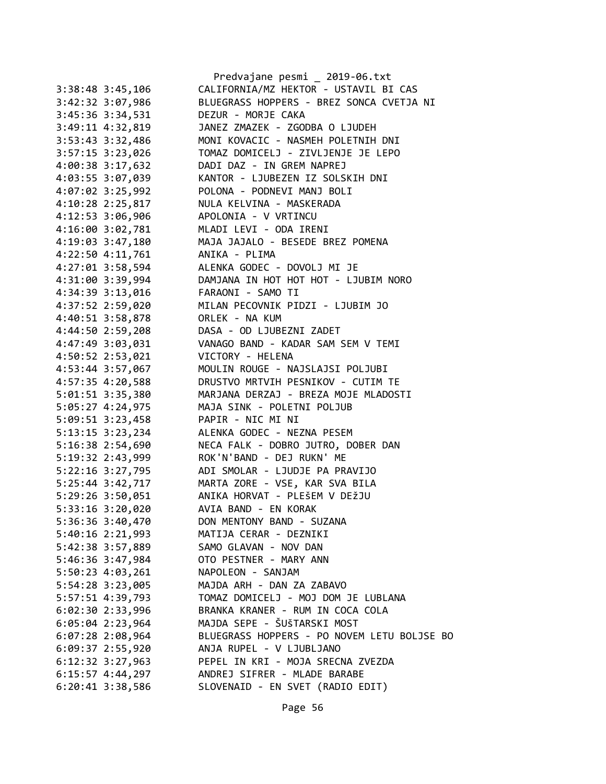|                      | Predvajane pesmi _ 2019-06.txt              |
|----------------------|---------------------------------------------|
| 3:38:48 3:45,106     | CALIFORNIA/MZ HEKTOR - USTAVIL BI CAS       |
| 3:42:32 3:07,986     | BLUEGRASS HOPPERS - BREZ SONCA CVETJA NI    |
| 3:45:36 3:34,531     | DEZUR - MORJE CAKA                          |
| 3:49:11 4:32,819     | JANEZ ZMAZEK - ZGODBA O LJUDEH              |
| 3:53:43 3:32,486     | MONI KOVACIC - NASMEH POLETNIH DNI          |
| $3:57:15$ $3:23,026$ | TOMAZ DOMICELJ - ZIVLJENJE JE LEPO          |
| 4:00:38 3:17,632     | DADI DAZ - IN GREM NAPREJ                   |
| 4:03:55 3:07,039     | KANTOR - LJUBEZEN IZ SOLSKIH DNI            |
| 4:07:02 3:25,992     | POLONA - PODNEVI MANJ BOLI                  |
| 4:10:28 2:25,817     | NULA KELVINA - MASKERADA                    |
| 4:12:53 3:06,906     | APOLONIA - V VRTINCU                        |
| 4:16:00 3:02,781     | MLADI LEVI - ODA IRENI                      |
| 4:19:03 3:47,180     | MAJA JAJALO - BESEDE BREZ POMENA            |
| $4:22:50$ $4:11,761$ | ANIKA - PLIMA                               |
| 4:27:01 3:58,594     | ALENKA GODEC - DOVOLJ MI JE                 |
| 4:31:00 3:39,994     | DAMJANA IN HOT HOT HOT - LJUBIM NORO        |
| 4:34:39 3:13,016     | FARAONI - SAMO TI                           |
| 4:37:52 2:59,020     | MILAN PECOVNIK PIDZI - LJUBIM JO            |
| 4:40:51 3:58,878     | ORLEK - NA KUM                              |
| 4:44:50 2:59,208     | DASA - OD LJUBEZNI ZADET                    |
| 4:47:49 3:03,031     | VANAGO BAND - KADAR SAM SEM V TEMI          |
| 4:50:52 2:53,021     | VICTORY - HELENA                            |
| 4:53:44 3:57,067     | MOULIN ROUGE - NAJSLAJSI POLJUBI            |
| 4:57:35 4:20,588     | DRUSTVO MRTVIH PESNIKOV - CUTIM TE          |
| 5:01:51 3:35,380     | MARJANA DERZAJ - BREZA MOJE MLADOSTI        |
| 5:05:27 4:24,975     | MAJA SINK - POLETNI POLJUB                  |
| $5:09:51$ 3:23,458   | PAPIR - NIC MI NI                           |
| 5:13:15 3:23,234     | ALENKA GODEC - NEZNA PESEM                  |
| 5:16:38 2:54,690     | NECA FALK - DOBRO JUTRO, DOBER DAN          |
| 5:19:32 2:43,999     | ROK'N'BAND - DEJ RUKN' ME                   |
| 5:22:16 3:27,795     | ADI SMOLAR - LJUDJE PA PRAVIJO              |
| $5:25:44$ $3:42,717$ | MARTA ZORE - VSE, KAR SVA BILA              |
| 5:29:26 3:50,051     | ANIKA HORVAT - PLEŠEM V DEŽJU               |
| 5:33:16 3:20,020     | AVIA BAND - EN KORAK                        |
| 5:36:36 3:40,470     | DON MENTONY BAND - SUZANA                   |
| $5:40:16$ $2:21,993$ | MATIJA CERAR - DEZNIKI                      |
| 5:42:38 3:57,889     | SAMO GLAVAN - NOV DAN                       |
| 5:46:36 3:47,984     | OTO PESTNER - MARY ANN                      |
| 5:50:23 4:03,261     | NAPOLEON - SANJAM                           |
| 5:54:28 3:23,005     | MAJDA ARH - DAN ZA ZABAVO                   |
| 5:57:51 4:39,793     | TOMAZ DOMICELJ - MOJ DOM JE LUBLANA         |
| $6:02:30$ $2:33,996$ | BRANKA KRANER - RUM IN COCA COLA            |
| $6:05:04$ 2:23,964   | MAJDA SEPE - ŠUŠTARSKI MOST                 |
| 6:07:28 2:08,964     | BLUEGRASS HOPPERS - PO NOVEM LETU BOLJSE BO |
| 6:09:37 2:55,920     | ANJA RUPEL - V LJUBLJANO                    |
|                      | PEPEL IN KRI - MOJA SRECNA ZVEZDA           |
| $6:12:32$ $3:27,963$ | ANDREJ SIFRER - MLADE BARABE                |
| $6:15:57$ 4:44,297   |                                             |
| $6:20:41$ 3:38,586   | SLOVENAID - EN SVET (RADIO EDIT)            |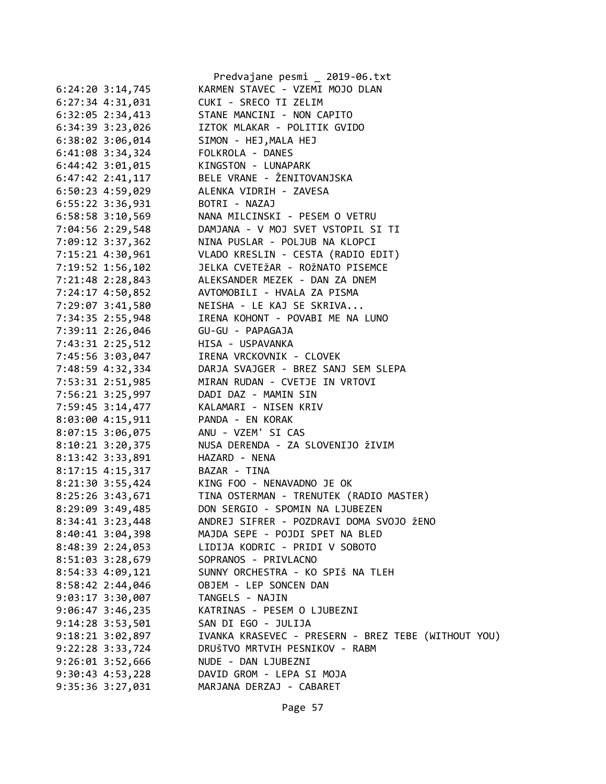|                      | Predvajane pesmi _ 2019-06.txt                      |
|----------------------|-----------------------------------------------------|
| $6:24:20$ 3:14,745   | KARMEN STAVEC - VZEMI MOJO DLAN                     |
| $6:27:34$ $4:31,031$ | CUKI - SRECO TI ZELIM                               |
| $6:32:05$ $2:34,413$ | STANE MANCINI - NON CAPITO                          |
| 6:34:39 3:23,026     | IZTOK MLAKAR - POLITIK GVIDO                        |
| $6:38:02$ 3:06,014   | SIMON - HEJ, MALA HEJ                               |
| 6:41:08 3:34,324     | FOLKROLA - DANES                                    |
| $6:44:42$ $3:01,015$ | KINGSTON - LUNAPARK                                 |
| $6:47:42$ 2:41,117   | BELE VRANE - ŽENITOVANJSKA                          |
| $6:50:23$ 4:59,029   | ALENKA VIDRIH - ZAVESA                              |
| 6:55:22 3:36,931     | BOTRI - NAZAJ                                       |
| $6:58:58$ 3:10,569   | NANA MILCINSKI - PESEM O VETRU                      |
| 7:04:56 2:29,548     | DAMJANA - V MOJ SVET VSTOPIL SI TI                  |
| 7:09:12 3:37,362     | NINA PUSLAR - POLJUB NA KLOPCI                      |
| 7:15:21 4:30,961     | VLADO KRESLIN - CESTA (RADIO EDIT)                  |
| 7:19:52 1:56,102     | JELKA CVETEŽAR - ROŽNATO PISEMCE                    |
| 7:21:48 2:28,843     | ALEKSANDER MEZEK - DAN ZA DNEM                      |
| 7:24:17 4:50,852     | AVTOMOBILI - HVALA ZA PISMA                         |
| 7:29:07 3:41,580     | NEISHA - LE KAJ SE SKRIVA                           |
| 7:34:35 2:55,948     | IRENA KOHONT - POVABI ME NA LUNO                    |
| 7:39:11 2:26,046     | GU-GU - PAPAGAJA                                    |
| 7:43:31 2:25,512     | HISA - USPAVANKA                                    |
|                      | IRENA VRCKOVNIK - CLOVEK                            |
| 7:45:56 3:03,047     |                                                     |
| 7:48:59 4:32,334     | DARJA SVAJGER - BREZ SANJ SEM SLEPA                 |
| 7:53:31 2:51,985     | MIRAN RUDAN - CVETJE IN VRTOVI                      |
| 7:56:21 3:25,997     | DADI DAZ - MAMIN SIN                                |
| 7:59:45 3:14,477     | KALAMARI - NISEN KRIV                               |
| 8:03:00 4:15,911     | PANDA - EN KORAK                                    |
| 8:07:15 3:06,075     | ANU - VZEM' SI CAS                                  |
| 8:10:21 3:20,375     | NUSA DERENDA - ZA SLOVENIJO ŽIVIM                   |
| 8:13:42 3:33,891     | HAZARD - NENA                                       |
| $8:17:15$ 4:15,317   | BAZAR - TINA                                        |
| $8:21:30$ 3:55,424   | KING FOO - NENAVADNO JE OK                          |
| 8:25:26 3:43,671     | TINA OSTERMAN - TRENUTEK (RADIO MASTER)             |
| 8:29:09 3:49,485     | DON SERGIO - SPOMIN NA LJUBEZEN                     |
| 8:34:41 3:23,448     | ANDREJ SIFRER - POZDRAVI DOMA SVOJO ŽENO            |
| 8:40:41 3:04,398     | MAJDA SEPE - POJDI SPET NA BLED                     |
| 8:48:39 2:24,053     | LIDIJA KODRIC - PRIDI V SOBOTO                      |
| 8:51:03 3:28,679     | SOPRANOS - PRIVLACNO                                |
| 8:54:33 4:09,121     | SUNNY ORCHESTRA - KO SPIŠ NA TLEH                   |
| 8:58:42 2:44,046     | OBJEM - LEP SONCEN DAN                              |
| 9:03:17 3:30,007     | TANGELS - NAJIN                                     |
| $9:06:47$ 3:46,235   | KATRINAS - PESEM O LJUBEZNI                         |
| $9:14:28$ 3:53,501   | SAN DI EGO - JULIJA                                 |
| 9:18:21 3:02,897     | IVANKA KRASEVEC - PRESERN - BREZ TEBE (WITHOUT YOU) |
| 9:22:28 3:33,724     | DRUŠTVO MRTVIH PESNIKOV - RABM                      |
| $9:26:01$ $3:52,666$ | NUDE - DAN LJUBEZNI                                 |
| $9:30:43$ 4:53,228   | DAVID GROM - LEPA SI MOJA                           |
| 9:35:36 3:27,031     | MARJANA DERZAJ - CABARET                            |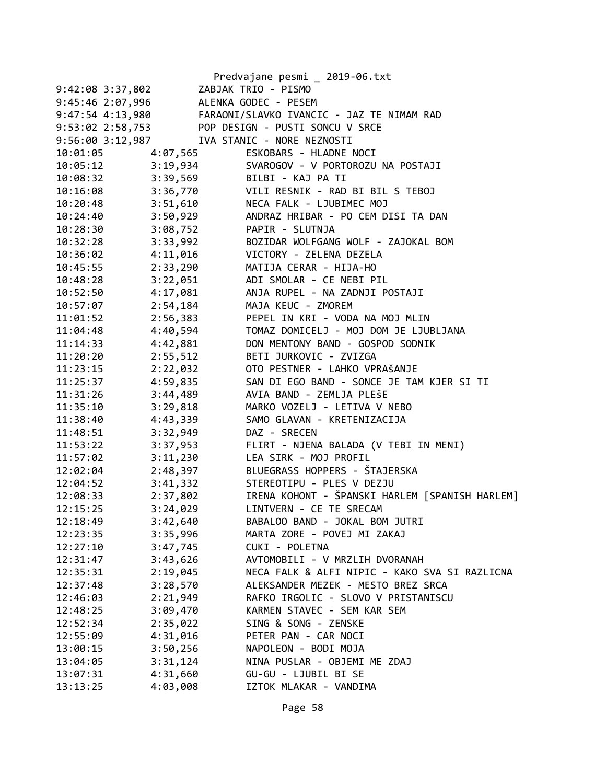|                       |                                       | Predvajane pesmi _ 2019-06.txt                             |
|-----------------------|---------------------------------------|------------------------------------------------------------|
| 9:42:08 3:37,802      |                                       | ZABJAK TRIO - PISMO                                        |
|                       | 9:45:46 2:07,996 ALENKA GODEC - PESEM |                                                            |
|                       |                                       | 9:47:54 4:13,980 FARAONI/SLAVKO IVANCIC - JAZ TE NIMAM RAD |
|                       |                                       | 9:53:02 2:58,753 POP DESIGN - PUSTI SONCU V SRCE           |
|                       |                                       | 9:56:00 3:12,987 IVA STANIC - NORE NEZNOSTI                |
| 10:01:05              | 4:07,565                              | ESKOBARS - HLADNE NOCI                                     |
| $10:05:12$ $3:19,934$ |                                       | SVAROGOV - V PORTOROZU NA POSTAJI                          |
| 10:08:32 3:39,569     |                                       | BILBI - KAJ PA TI                                          |
|                       |                                       | 10:16:08 3:36,770 VILI RESNIK - RAD BI BIL S TEBOJ         |
| 10:20:48              |                                       | 3:51,610 NECA FALK - LJUBIMEC MOJ                          |
| 10:24:40              |                                       | 3:50,929 ANDRAZ HRIBAR - PO CEM DISI TA DAN                |
| 10:28:30              | 3:08,752 PAPIR - SLUTNJA              |                                                            |
| 10:32:28              |                                       | 3:33,992 BOZIDAR WOLFGANG WOLF - ZAJOKAL BOM               |
| 10:36:02              |                                       | 4:11,016 VICTORY - ZELENA DEZELA                           |
| 10:45:55              | 2:33,290                              | MATIJA CERAR - HIJA-HO                                     |
| 10:48:28              | 3:22,051                              | ADI SMOLAR - CE NEBI PIL                                   |
| 10:52:50              | 4:17,081                              | ANJA RUPEL - NA ZADNJI POSTAJI                             |
| 10:57:07              | 2:54,184                              | MAJA KEUC - ZMOREM                                         |
| 11:01:52              |                                       | 2:56,383 PEPEL IN KRI - VODA NA MOJ MLIN                   |
| 11:04:48              | 4:40,594                              | TOMAZ DOMICELJ - MOJ DOM JE LJUBLJANA                      |
| 11:14:33              | 4:42,881                              | DON MENTONY BAND - GOSPOD SODNIK                           |
| 11:20:20              | 2:55,512                              | BETI JURKOVIC - ZVIZGA                                     |
| 11:23:15              | 2:22,032                              | OTO PESTNER - LAHKO VPRAŠANJE                              |
| 11:25:37              |                                       | 4:59,835 SAN DI EGO BAND - SONCE JE TAM KJER SI TI         |
| 11:31:26              | 3:44,489                              | AVIA BAND - ZEMLJA PLEŠE                                   |
| 11:35:10              | 3:29,818                              | MARKO VOZELJ - LETIVA V NEBO                               |
| 11:38:40              | 4:43,339                              | SAMO GLAVAN - KRETENIZACIJA                                |
| 11:48:51              | 3:32,949                              | DAZ - SRECEN                                               |
| 11:53:22              | 3:37,953                              | FLIRT - NJENA BALADA (V TEBI IN MENI)                      |
| 11:57:02              | 3:11,230                              | LEA SIRK - MOJ PROFIL                                      |
| 12:02:04              | 2:48,397                              | BLUEGRASS HOPPERS - ŠTAJERSKA                              |
| 12:04:52              |                                       | 3:41,332 STEREOTIPU - PLES V DEZJU                         |
| 12:08:33              |                                       | 2:37,802 IRENA KOHONT - ŠPANSKI HARLEM [SPANISH HARLEM]    |
| 12:15:25              | 3:24,029                              | LINTVERN - CE TE SRECAM                                    |
| 12:18:49              | 3:42,640                              | BABALOO BAND - JOKAL BOM JUTRI                             |
| 12:23:35              | 3:35,996                              | MARTA ZORE - POVEJ MI ZAKAJ                                |
| 12:27:10              | 3:47,745                              | CUKI - POLETNA                                             |
| 12:31:47              | 3:43,626                              | AVTOMOBILI - V MRZLIH DVORANAH                             |
| 12:35:31              | 2:19,045                              | NECA FALK & ALFI NIPIC - KAKO SVA SI RAZLICNA              |
| 12:37:48              | 3:28,570                              | ALEKSANDER MEZEK - MESTO BREZ SRCA                         |
| 12:46:03              | 2:21,949                              | RAFKO IRGOLIC - SLOVO V PRISTANISCU                        |
| 12:48:25              | 3:09,470                              | KARMEN STAVEC - SEM KAR SEM                                |
| 12:52:34              | 2:35,022                              | SING & SONG - ZENSKE                                       |
| 12:55:09              | 4:31,016                              | PETER PAN - CAR NOCI                                       |
| 13:00:15              | 3:50,256                              | NAPOLEON - BODI MOJA                                       |
| 13:04:05              | 3:31,124                              | NINA PUSLAR - OBJEMI ME ZDAJ                               |
| 13:07:31              | 4:31,660                              | GU-GU - LJUBIL BI SE                                       |
| 13:13:25              | 4:03,008                              | IZTOK MLAKAR - VANDIMA                                     |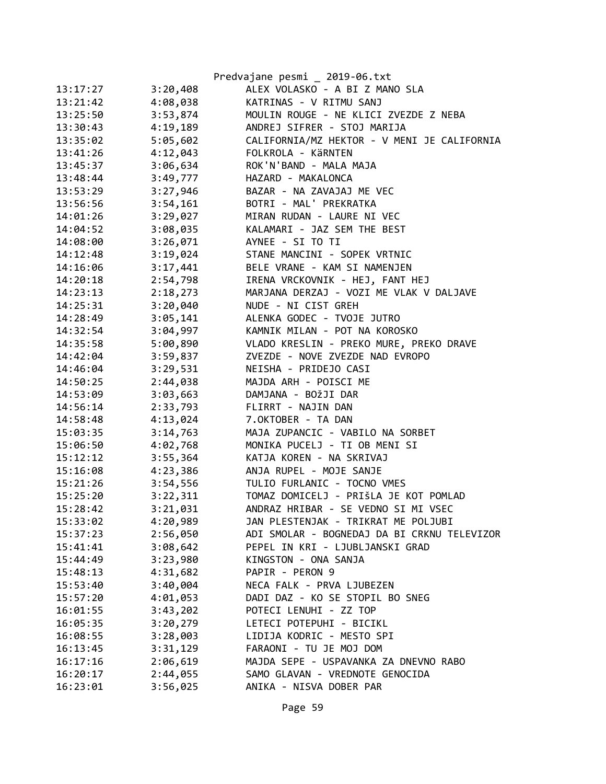|          |          | Predvajane pesmi _ 2019-06.txt              |
|----------|----------|---------------------------------------------|
| 13:17:27 | 3:20,408 | ALEX VOLASKO - A BI Z MANO SLA              |
| 13:21:42 | 4:08,038 | KATRINAS - V RITMU SANJ                     |
| 13:25:50 | 3:53,874 | MOULIN ROUGE - NE KLICI ZVEZDE Z NEBA       |
| 13:30:43 | 4:19,189 | ANDREJ SIFRER - STOJ MARIJA                 |
| 13:35:02 | 5:05,602 | CALIFORNIA/MZ HEKTOR - V MENI JE CALIFORNIA |
| 13:41:26 | 4:12,043 | FOLKROLA - KÄRNTEN                          |
| 13:45:37 | 3:06,634 | ROK'N'BAND - MALA MAJA                      |
| 13:48:44 | 3:49,777 | HAZARD - MAKALONCA                          |
| 13:53:29 | 3:27,946 | BAZAR - NA ZAVAJAJ ME VEC                   |
| 13:56:56 | 3:54,161 | BOTRI - MAL' PREKRATKA                      |
| 14:01:26 | 3:29,027 | MIRAN RUDAN - LAURE NI VEC                  |
| 14:04:52 | 3:08,035 | KALAMARI - JAZ SEM THE BEST                 |
| 14:08:00 | 3:26,071 | AYNEE - SI TO TI                            |
| 14:12:48 | 3:19,024 | STANE MANCINI - SOPEK VRTNIC                |
| 14:16:06 | 3:17,441 | BELE VRANE - KAM SI NAMENJEN                |
| 14:20:18 | 2:54,798 | IRENA VRCKOVNIK - HEJ, FANT HEJ             |
| 14:23:13 | 2:18,273 | MARJANA DERZAJ - VOZI ME VLAK V DALJAVE     |
| 14:25:31 | 3:20,040 | NUDE - NI CIST GREH                         |
| 14:28:49 | 3:05,141 | ALENKA GODEC - TVOJE JUTRO                  |
| 14:32:54 | 3:04,997 | KAMNIK MILAN - POT NA KOROSKO               |
| 14:35:58 | 5:00,890 | VLADO KRESLIN - PREKO MURE, PREKO DRAVE     |
| 14:42:04 | 3:59,837 | ZVEZDE - NOVE ZVEZDE NAD EVROPO             |
| 14:46:04 | 3:29,531 | NEISHA - PRIDEJO CASI                       |
| 14:50:25 | 2:44,038 | MAJDA ARH - POISCI ME                       |
| 14:53:09 | 3:03,663 | DAMJANA - BOŽJI DAR                         |
| 14:56:14 | 2:33,793 | FLIRRT - NAJIN DAN                          |
| 14:58:48 | 4:13,024 | 7.OKTOBER - TA DAN                          |
| 15:03:35 | 3:14,763 | MAJA ZUPANCIC - VABILO NA SORBET            |
| 15:06:50 | 4:02,768 | MONIKA PUCELJ - TI OB MENI SI               |
| 15:12:12 | 3:55,364 | KATJA KOREN - NA SKRIVAJ                    |
| 15:16:08 | 4:23,386 | ANJA RUPEL - MOJE SANJE                     |
| 15:21:26 | 3:54,556 | TULIO FURLANIC - TOCNO VMES                 |
| 15:25:20 | 3:22,311 | TOMAZ DOMICELJ - PRIŠLA JE KOT POMLAD       |
| 15:28:42 | 3:21,031 | ANDRAZ HRIBAR - SE VEDNO SI MI VSEC         |
| 15:33:02 | 4:20,989 | JAN PLESTENJAK - TRIKRAT ME POLJUBI         |
| 15:37:23 | 2:56,050 | ADI SMOLAR - BOGNEDAJ DA BI CRKNU TELEVIZOR |
| 15:41:41 | 3:08,642 | PEPEL IN KRI - LJUBLJANSKI GRAD             |
| 15:44:49 | 3:23,980 | KINGSTON - ONA SANJA                        |
| 15:48:13 | 4:31,682 | PAPIR - PERON 9                             |
| 15:53:40 | 3:40,004 | NECA FALK - PRVA LJUBEZEN                   |
| 15:57:20 | 4:01,053 | DADI DAZ - KO SE STOPIL BO SNEG             |
| 16:01:55 | 3:43,202 | POTECI LENUHI - ZZ TOP                      |
| 16:05:35 | 3:20,279 | LETECI POTEPUHI - BICIKL                    |
| 16:08:55 | 3:28,003 | LIDIJA KODRIC - MESTO SPI                   |
| 16:13:45 | 3:31,129 | FARAONI - TU JE MOJ DOM                     |
| 16:17:16 | 2:06,619 | MAJDA SEPE - USPAVANKA ZA DNEVNO RABO       |
| 16:20:17 | 2:44,055 | SAMO GLAVAN - VREDNOTE GENOCIDA             |
| 16:23:01 | 3:56,025 | ANIKA - NISVA DOBER PAR                     |
|          |          |                                             |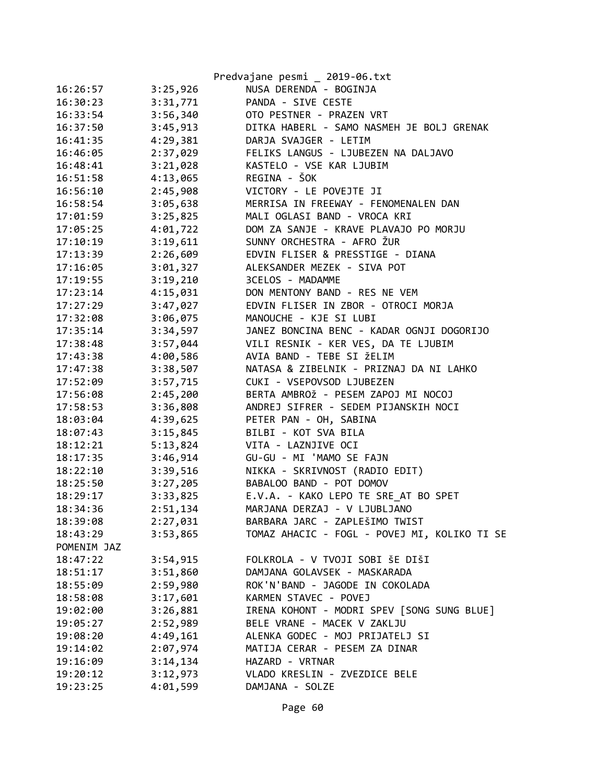|             |          | Predvajane pesmi _ 2019-06.txt               |
|-------------|----------|----------------------------------------------|
| 16:26:57    | 3:25,926 | NUSA DERENDA - BOGINJA                       |
| 16:30:23    | 3:31,771 | PANDA - SIVE CESTE                           |
| 16:33:54    | 3:56,340 | OTO PESTNER - PRAZEN VRT                     |
| 16:37:50    | 3:45,913 | DITKA HABERL - SAMO NASMEH JE BOLJ GRENAK    |
| 16:41:35    | 4:29,381 | DARJA SVAJGER - LETIM                        |
| 16:46:05    | 2:37,029 | FELIKS LANGUS - LJUBEZEN NA DALJAVO          |
| 16:48:41    | 3:21,028 | KASTELO - VSE KAR LJUBIM                     |
| 16:51:58    | 4:13,065 | REGINA - ŠOK                                 |
| 16:56:10    | 2:45,908 | VICTORY - LE POVEJTE JI                      |
| 16:58:54    | 3:05,638 | MERRISA IN FREEWAY - FENOMENALEN DAN         |
| 17:01:59    | 3:25,825 | MALI OGLASI BAND - VROCA KRI                 |
| 17:05:25    | 4:01,722 | DOM ZA SANJE - KRAVE PLAVAJO PO MORJU        |
| 17:10:19    | 3:19,611 | SUNNY ORCHESTRA - AFRO ŽUR                   |
| 17:13:39    | 2:26,609 | EDVIN FLISER & PRESSTIGE - DIANA             |
| 17:16:05    | 3:01,327 | ALEKSANDER MEZEK - SIVA POT                  |
| 17:19:55    | 3:19,210 | 3CELOS - MADAMME                             |
| 17:23:14    | 4:15,031 | DON MENTONY BAND - RES NE VEM                |
| 17:27:29    | 3:47,027 | EDVIN FLISER IN ZBOR - OTROCI MORJA          |
| 17:32:08    | 3:06,075 | MANOUCHE - KJE SI LUBI                       |
| 17:35:14    | 3:34,597 | JANEZ BONCINA BENC - KADAR OGNJI DOGORIJO    |
| 17:38:48    | 3:57,044 | VILI RESNIK - KER VES, DA TE LJUBIM          |
| 17:43:38    | 4:00,586 | AVIA BAND - TEBE SI ŽELIM                    |
| 17:47:38    | 3:38,507 | NATASA & ZIBELNIK - PRIZNAJ DA NI LAHKO      |
| 17:52:09    | 3:57,715 | CUKI - VSEPOVSOD LJUBEZEN                    |
| 17:56:08    | 2:45,200 | BERTA AMBROŽ - PESEM ZAPOJ MI NOCOJ          |
| 17:58:53    | 3:36,808 | ANDREJ SIFRER - SEDEM PIJANSKIH NOCI         |
| 18:03:04    | 4:39,625 | PETER PAN - OH, SABINA                       |
| 18:07:43    | 3:15,845 | BILBI - KOT SVA BILA                         |
| 18:12:21    | 5:13,824 | VITA - LAZNJIVE OCI                          |
| 18:17:35    | 3:46,914 | GU-GU - MI 'MAMO SE FAJN                     |
| 18:22:10    | 3:39,516 | NIKKA - SKRIVNOST (RADIO EDIT)               |
| 18:25:50    | 3:27,205 | BABALOO BAND - POT DOMOV                     |
| 18:29:17    | 3:33,825 | E.V.A. - KAKO LEPO TE SRE AT BO SPET         |
| 18:34:36    | 2:51,134 | MARJANA DERZAJ - V LJUBLJANO                 |
| 18:39:08    | 2:27,031 | BARBARA JARC - ZAPLEŠIMO TWIST               |
| 18:43:29    | 3:53,865 | TOMAZ AHACIC - FOGL - POVEJ MI, KOLIKO TI SE |
| POMENIM JAZ |          |                                              |
| 18:47:22    | 3:54,915 | FOLKROLA - V TVOJI SOBI ŠE DIŠI              |
| 18:51:17    | 3:51,860 | DAMJANA GOLAVSEK - MASKARADA                 |
| 18:55:09    | 2:59,980 | ROK'N'BAND - JAGODE IN COKOLADA              |
| 18:58:08    | 3:17,601 | KARMEN STAVEC - POVEJ                        |
| 19:02:00    | 3:26,881 | IRENA KOHONT - MODRI SPEV [SONG SUNG BLUE]   |
| 19:05:27    | 2:52,989 | BELE VRANE - MACEK V ZAKLJU                  |
| 19:08:20    | 4:49,161 | ALENKA GODEC - MOJ PRIJATELJ SI              |
| 19:14:02    | 2:07,974 | MATIJA CERAR - PESEM ZA DINAR                |
| 19:16:09    | 3:14,134 | HAZARD - VRTNAR                              |
| 19:20:12    | 3:12,973 | VLADO KRESLIN - ZVEZDICE BELE                |
| 19:23:25    | 4:01,599 | DAMJANA - SOLZE                              |
|             |          |                                              |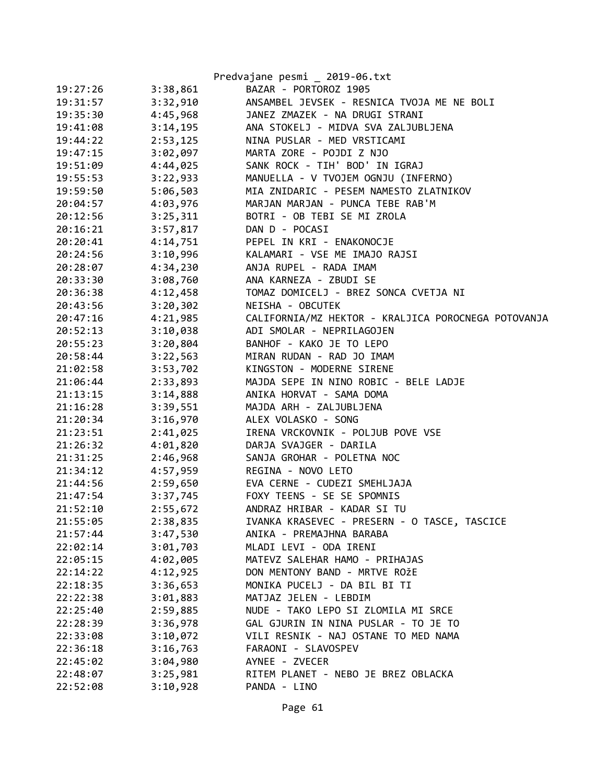|          |          | Predvajane pesmi _ 2019-06.txt                      |
|----------|----------|-----------------------------------------------------|
| 19:27:26 | 3:38,861 | BAZAR - PORTOROZ 1905                               |
| 19:31:57 | 3:32,910 | ANSAMBEL JEVSEK - RESNICA TVOJA ME NE BOLI          |
| 19:35:30 | 4:45,968 | JANEZ ZMAZEK - NA DRUGI STRANI                      |
| 19:41:08 | 3:14,195 | ANA STOKELJ - MIDVA SVA ZALJUBLJENA                 |
| 19:44:22 |          | 2:53,125 NINA PUSLAR - MED VRSTICAMI                |
| 19:47:15 | 3:02,097 | MARTA ZORE - POJDI Z NJO                            |
| 19:51:09 | 4:44,025 | SANK ROCK - TIH' BOD' IN IGRAJ                      |
| 19:55:53 | 3:22,933 | MANUELLA - V TVOJEM OGNJU (INFERNO)                 |
| 19:59:50 | 5:06,503 | MIA ZNIDARIC - PESEM NAMESTO ZLATNIKOV              |
| 20:04:57 | 4:03,976 | MARJAN MARJAN - PUNCA TEBE RAB'M                    |
| 20:12:56 | 3:25,311 | BOTRI - OB TEBI SE MI ZROLA                         |
| 20:16:21 |          | 3:57,817 DAN D - POCASI                             |
| 20:20:41 | 4:14,751 | PEPEL IN KRI - ENAKONOCJE                           |
| 20:24:56 | 3:10,996 | KALAMARI - VSE ME IMAJO RAJSI                       |
| 20:28:07 | 4:34,230 | ANJA RUPEL - RADA IMAM                              |
| 20:33:30 | 3:08,760 | ANA KARNEZA - ZBUDI SE                              |
| 20:36:38 | 4:12,458 | TOMAZ DOMICELJ - BREZ SONCA CVETJA NI               |
| 20:43:56 | 3:20,302 | NEISHA - OBCUTEK                                    |
| 20:47:16 | 4:21,985 | CALIFORNIA/MZ HEKTOR - KRALJICA POROCNEGA POTOVANJA |
| 20:52:13 | 3:10,038 | ADI SMOLAR - NEPRILAGOJEN                           |
| 20:55:23 | 3:20,804 | BANHOF - KAKO JE TO LEPO                            |
| 20:58:44 | 3:22,563 | MIRAN RUDAN - RAD JO IMAM                           |
| 21:02:58 | 3:53,702 | KINGSTON - MODERNE SIRENE                           |
| 21:06:44 | 2:33,893 | MAJDA SEPE IN NINO ROBIC - BELE LADJE               |
| 21:13:15 |          | 3:14,888 ANIKA HORVAT - SAMA DOMA                   |
| 21:16:28 | 3:39,551 | MAJDA ARH - ZALJUBLJENA                             |
| 21:20:34 | 3:16,970 | ALEX VOLASKO - SONG                                 |
| 21:23:51 | 2:41,025 | IRENA VRCKOVNIK - POLJUB POVE VSE                   |
| 21:26:32 | 4:01,820 | DARJA SVAJGER - DARILA                              |
| 21:31:25 | 2:46,968 | SANJA GROHAR - POLETNA NOC                          |
| 21:34:12 | 4:57,959 | REGINA - NOVO LETO                                  |
| 21:44:56 |          | 2:59,650 EVA CERNE - CUDEZI SMEHLJAJA               |
| 21:47:54 |          | 3:37,745 FOXY TEENS - SE SE SPOMNIS                 |
| 21:52:10 | 2:55,672 | ANDRAZ HRIBAR - KADAR SI TU                         |
| 21:55:05 | 2:38,835 | IVANKA KRASEVEC - PRESERN - O TASCE, TASCICE        |
| 21:57:44 | 3:47,530 | ANIKA - PREMAJHNA BARABA                            |
| 22:02:14 | 3:01,703 | MLADI LEVI - ODA IRENI                              |
| 22:05:15 | 4:02,005 | MATEVZ SALEHAR HAMO - PRIHAJAS                      |
| 22:14:22 | 4:12,925 | DON MENTONY BAND - MRTVE ROŽE                       |
| 22:18:35 | 3:36,653 | MONIKA PUCELJ - DA BIL BI TI                        |
| 22:22:38 | 3:01,883 | MATJAZ JELEN - LEBDIM                               |
| 22:25:40 | 2:59,885 | NUDE - TAKO LEPO SI ZLOMILA MI SRCE                 |
| 22:28:39 | 3:36,978 | GAL GJURIN IN NINA PUSLAR - TO JE TO                |
| 22:33:08 | 3:10,072 | VILI RESNIK - NAJ OSTANE TO MED NAMA                |
| 22:36:18 | 3:16,763 | FARAONI - SLAVOSPEV                                 |
| 22:45:02 | 3:04,980 | AYNEE - ZVECER                                      |
| 22:48:07 | 3:25,981 | RITEM PLANET - NEBO JE BREZ OBLACKA                 |
| 22:52:08 | 3:10,928 | PANDA - LINO                                        |
|          |          |                                                     |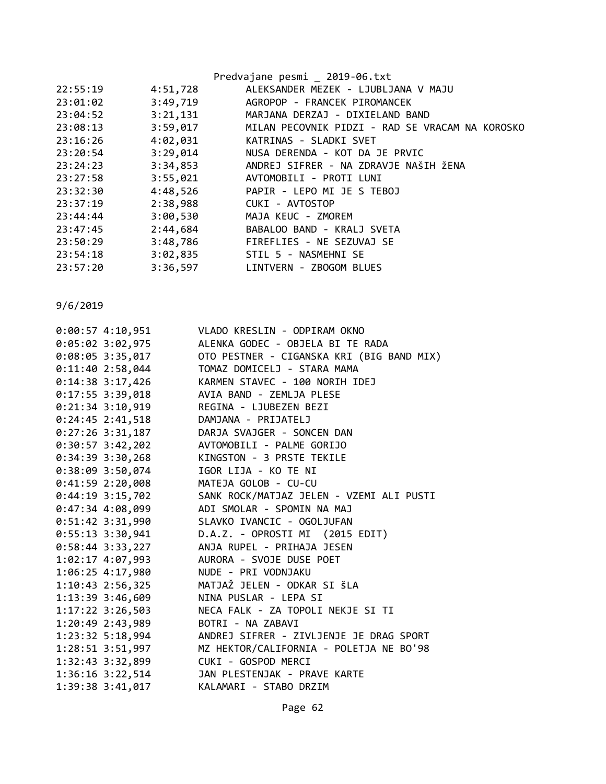| Predvajane pesmi _ 2019-06.txt                  |
|-------------------------------------------------|
|                                                 |
| ALEKSANDER MEZEK - LJUBLJANA V MAJU             |
| AGROPOP - FRANCEK PIROMANCEK                    |
| MARJANA DERZAJ - DIXIELAND BAND                 |
| MILAN PECOVNIK PIDZI - RAD SE VRACAM NA KOROSKO |
| KATRINAS - SLADKI SVET                          |
| NUSA DERENDA - KOT DA JE PRVIC                  |
| ANDREJ SIFRER - NA ZDRAVJE NAŠIH ŽENA           |
| AVTOMOBILI - PROTI LUNI                         |
| PAPIR - LEPO MI JE S TEBOJ                      |
|                                                 |
|                                                 |
| BABALOO BAND - KRALJ SVETA                      |
| FIREFLIES - NE SEZUVAJ SE                       |
|                                                 |
| LINTVERN - ZBOGOM BLUES                         |
|                                                 |

| $0:00:57$ 4:10,951   | VLADO KRESLIN - ODPIRAM OKNO              |
|----------------------|-------------------------------------------|
| $0:05:02$ 3:02,975   | ALENKA GODEC - OBJELA BI TE RADA          |
| $0:08:05$ 3:35,017   | OTO PESTNER - CIGANSKA KRI (BIG BAND MIX) |
| $0:11:40$ 2:58,044   | TOMAZ DOMICELJ - STARA MAMA               |
| $0:14:38$ 3:17,426   | KARMEN STAVEC - 100 NORIH IDEJ            |
| $0:17:55$ 3:39,018   | AVIA BAND - ZEMLJA PLESE                  |
| $0:21:34$ 3:10,919   | REGINA - LJUBEZEN BEZI                    |
| $0:24:45$ 2:41,518   | DAMJANA - PRIJATELJ                       |
| $0:27:26$ 3:31,187   | DARJA SVAJGER - SONCEN DAN                |
| $0:30:57$ 3:42,202   | AVTOMOBILI - PALME GORIJO                 |
| $0:34:39$ 3:30,268   | KINGSTON - 3 PRSTE TEKILE                 |
| $0:38:09$ 3:50,074   | IGOR LIJA - KO TE NI                      |
| $0:41:59$ 2:20,008   | MATEJA GOLOB - CU-CU                      |
| $0:44:19$ 3:15,702   | SANK ROCK/MATJAZ JELEN - VZEMI ALI PUSTI  |
| $0:47:34$ 4:08,099   | ADI SMOLAR - SPOMIN NA MAJ                |
| $0:51:42$ 3:31,990   | SLAVKO IVANCIC - OGOLJUFAN                |
| $0:55:13$ 3:30,941   | D.A.Z. - OPROSTI MI (2015 EDIT)           |
| $0:58:44$ 3:33,227   | ANJA RUPEL - PRIHAJA JESEN                |
| $1:02:17$ $4:07,993$ | AURORA - SVOJE DUSE POET                  |
| 1:06:25 4:17,980     | NUDE - PRI VODNJAKU                       |
| $1:10:43$ $2:56,325$ | MATJAŽ JELEN - ODKAR SI ŠLA               |
| 1:13:39 3:46,609     | NINA PUSLAR - LEPA SI                     |
| $1:17:22$ 3:26,503   | NECA FALK - ZA TOPOLI NEKJE SI TI         |
| 1:20:49 2:43,989     | BOTRI - NA ZABAVI                         |
| 1:23:32 5:18,994     | ANDREJ SIFRER - ZIVLJENJE JE DRAG SPORT   |
| $1:28:51$ $3:51,997$ | MZ HEKTOR/CALIFORNIA - POLETJA NE BO'98   |
| 1:32:43 3:32,899     | CUKI - GOSPOD MERCI                       |
| 1:36:16 3:22,514     | JAN PLESTENJAK - PRAVE KARTE              |
| 1:39:38 3:41,017     | KALAMARI - STABO DRZIM                    |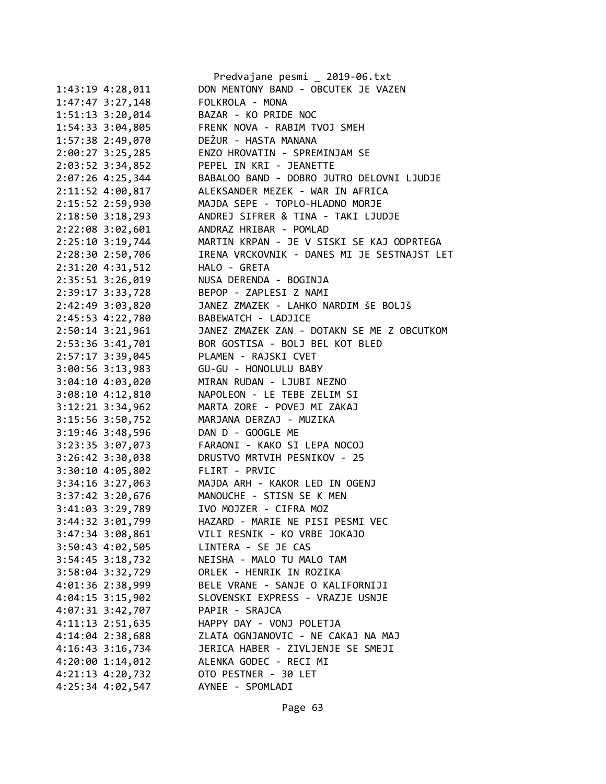|                      | Predvajane pesmi _ 2019-06.txt              |
|----------------------|---------------------------------------------|
| 1:43:19 4:28,011     | DON MENTONY BAND - OBCUTEK JE VAZEN         |
| 1:47:47 3:27,148     | FOLKROLA - MONA                             |
| 1:51:13 3:20,014     | BAZAR - KO PRIDE NOC                        |
| 1:54:33 3:04,805     | FRENK NOVA - RABIM TVOJ SMEH                |
| 1:57:38 2:49,070     | DEŽUR - HASTA MANANA                        |
| 2:00:27 3:25,285     | ENZO HROVATIN - SPREMINJAM SE               |
| $2:03:52$ 3:34,852   | PEPEL IN KRI - JEANETTE                     |
| 2:07:26 4:25,344     | BABALOO BAND - DOBRO JUTRO DELOVNI LJUDJE   |
| 2:11:52 4:00,817     | ALEKSANDER MEZEK - WAR IN AFRICA            |
| 2:15:52 2:59,930     | MAJDA SEPE - TOPLO-HLADNO MORJE             |
| $2:18:50$ $3:18,293$ | ANDREJ SIFRER & TINA - TAKI LJUDJE          |
| 2:22:08 3:02,601     | ANDRAZ HRIBAR - POMLAD                      |
| 2:25:10 3:19,744     | MARTIN KRPAN - JE V SISKI SE KAJ ODPRTEGA   |
| 2:28:30 2:50,706     | IRENA VRCKOVNIK - DANES MI JE SESTNAJST LET |
|                      | HALO - GRETA                                |
| 2:31:20 4:31,512     |                                             |
| 2:35:51 3:26,019     | NUSA DERENDA - BOGINJA                      |
| 2:39:17 3:33,728     | BEPOP - ZAPLESI Z NAMI                      |
| 2:42:49 3:03,820     | JANEZ ZMAZEK - LAHKO NARDIM ŠE BOLJŠ        |
| 2:45:53 4:22,780     | BABEWATCH - LADJICE                         |
| $2:50:14$ 3:21,961   | JANEZ ZMAZEK ZAN - DOTAKN SE ME Z OBCUTKOM  |
| 2:53:36 3:41,701     | BOR GOSTISA - BOLJ BEL KOT BLED             |
| 2:57:17 3:39,045     | PLAMEN - RAJSKI CVET                        |
| $3:00:56$ 3:13,983   | GU-GU - HONOLULU BABY                       |
| 3:04:10 4:03,020     | MIRAN RUDAN - LJUBI NEZNO                   |
| 3:08:10 4:12,810     | NAPOLEON - LE TEBE ZELIM SI                 |
| 3:12:21 3:34,962     | MARTA ZORE - POVEJ MI ZAKAJ                 |
| 3:15:56 3:50,752     | MARJANA DERZAJ - MUZIKA                     |
| 3:19:46 3:48,596     | DAN D - GOOGLE ME                           |
| 3:23:35 3:07,073     | FARAONI - KAKO SI LEPA NOCOJ                |
| 3:26:42 3:30,038     | DRUSTVO MRTVIH PESNIKOV - 25                |
| 3:30:10 4:05,802     | FLIRT - PRVIC                               |
| $3:34:16$ $3:27,063$ | MAJDA ARH - KAKOR LED IN OGENJ              |
| 3:37:42 3:20,676     | MANOUCHE - STISN SE K MEN                   |
| 3:41:03 3:29,789     | IVO MOJZER - CIFRA MOZ                      |
| 3:44:32 3:01,799     | HAZARD - MARIE NE PISI PESMI VEC            |
| 3:47:34 3:08,861     | VILI RESNIK - KO VRBE JOKAJO                |
| 3:50:43 4:02,505     | LINTERA - SE JE CAS                         |
| $3:54:45$ $3:18,732$ | NEISHA - MALO TU MALO TAM                   |
| 3:58:04 3:32,729     | ORLEK - HENRIK IN ROZIKA                    |
| 4:01:36 2:38,999     | BELE VRANE - SANJE O KALIFORNIJI            |
| $4:04:15$ 3:15,902   | SLOVENSKI EXPRESS - VRAZJE USNJE            |
| 4:07:31 3:42,707     | PAPIR - SRAJCA                              |
| 4:11:13 2:51,635     | HAPPY DAY - VONJ POLETJA                    |
| 4:14:04 2:38,688     | ZLATA OGNJANOVIC - NE CAKAJ NA MAJ          |
| 4:16:43 3:16,734     | JERICA HABER - ZIVLJENJE SE SMEJI           |
| 4:20:00 1:14,012     | ALENKA GODEC - RECI MI                      |
| 4:21:13 4:20,732     | OTO PESTNER - 30 LET                        |
| 4:25:34 4:02,547     | AYNEE - SPOMLADI                            |
|                      |                                             |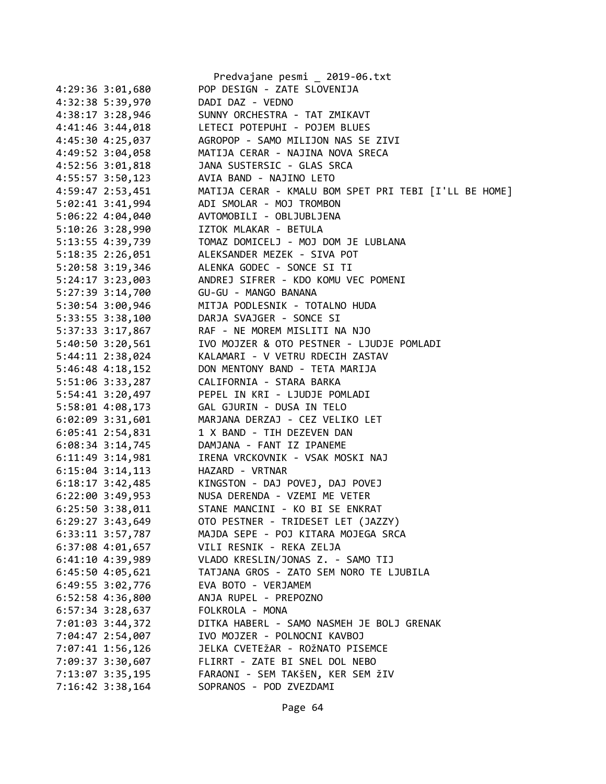|                      | Predvajane pesmi _ 2019-06.txt                        |
|----------------------|-------------------------------------------------------|
| 4:29:36 3:01,680     | POP DESIGN - ZATE SLOVENIJA                           |
| 4:32:38 5:39,970     | DADI DAZ - VEDNO                                      |
| 4:38:17 3:28,946     | SUNNY ORCHESTRA - TAT ZMIKAVT                         |
| $4:41:46$ 3:44,018   | LETECI POTEPUHI - POJEM BLUES                         |
| 4:45:30 4:25,037     | AGROPOP - SAMO MILIJON NAS SE ZIVI                    |
| 4:49:52 3:04,058     | MATIJA CERAR - NAJINA NOVA SRECA                      |
| $4:52:56$ $3:01,818$ | JANA SUSTERSIC - GLAS SRCA                            |
| $4:55:57$ 3:50,123   | AVIA BAND - NAJINO LETO                               |
| 4:59:47 2:53,451     | MATIJA CERAR - KMALU BOM SPET PRI TEBI [I'LL BE HOME] |
| $5:02:41$ $3:41,994$ | ADI SMOLAR - MOJ TROMBON                              |
| $5:06:22$ 4:04,040   | AVTOMOBILI - OBLJUBLJENA                              |
| $5:10:26$ 3:28,990   | IZTOK MLAKAR - BETULA                                 |
|                      |                                                       |
| 5:13:55 4:39,739     | TOMAZ DOMICELJ - MOJ DOM JE LUBLANA                   |
| 5:18:35 2:26,051     | ALEKSANDER MEZEK - SIVA POT                           |
| $5:20:58$ 3:19,346   | ALENKA GODEC - SONCE SI TI                            |
| 5:24:17 3:23,003     | ANDREJ SIFRER - KDO KOMU VEC POMENI                   |
| 5:27:39 3:14,700     | GU-GU - MANGO BANANA                                  |
| 5:30:54 3:00,946     | MITJA PODLESNIK - TOTALNO HUDA                        |
| $5:33:55$ $3:38,100$ | DARJA SVAJGER - SONCE SI                              |
| 5:37:33 3:17,867     | RAF - NE MOREM MISLITI NA NJO                         |
| $5:40:50$ $3:20,561$ | IVO MOJZER & OTO PESTNER - LJUDJE POMLADI             |
| $5:44:11$ $2:38,024$ | KALAMARI - V VETRU RDECIH ZASTAV                      |
| $5:46:48$ 4:18,152   | DON MENTONY BAND - TETA MARIJA                        |
| 5:51:06 3:33,287     | CALIFORNIA - STARA BARKA                              |
| 5:54:41 3:20,497     | PEPEL IN KRI - LJUDJE POMLADI                         |
| 5:58:01 4:08,173     | GAL GJURIN - DUSA IN TELO                             |
| $6:02:09$ 3:31,601   | MARJANA DERZAJ - CEZ VELIKO LET                       |
| $6:05:41$ 2:54,831   | 1 X BAND - TIH DEZEVEN DAN                            |
| $6:08:34$ 3:14,745   | DAMJANA - FANT IZ IPANEME                             |
| $6:11:49$ $3:14,981$ | IRENA VRCKOVNIK - VSAK MOSKI NAJ                      |
| $6:15:04$ 3:14,113   | HAZARD - VRTNAR                                       |
| $6:18:17$ 3:42,485   | KINGSTON - DAJ POVEJ, DAJ POVEJ                       |
| 6:22:00 3:49,953     | NUSA DERENDA - VZEMI ME VETER                         |
| $6:25:50$ 3:38,011   | STANE MANCINI - KO BI SE ENKRAT                       |
| 6:29:27 3:43,649     | OTO PESTNER - TRIDESET LET (JAZZY)                    |
| $6:33:11$ $3:57,787$ | MAJDA SEPE - POJ KITARA MOJEGA SRCA                   |
| $6:37:08$ 4:01,657   | VILI RESNIK - REKA ZELJA                              |
|                      |                                                       |
| 6:41:10 4:39,989     | VLADO KRESLIN/JONAS Z. - SAMO TIJ                     |
| $6:45:50$ $4:05,621$ | TATJANA GROS - ZATO SEM NORO TE LJUBILA               |
| 6:49:55 3:02,776     | EVA BOTO - VERJAMEM                                   |
| 6:52:58 4:36,800     | ANJA RUPEL - PREPOZNO                                 |
| $6:57:34$ 3:28,637   | FOLKROLA - MONA                                       |
| 7:01:03 3:44,372     | DITKA HABERL - SAMO NASMEH JE BOLJ GRENAK             |
| 7:04:47 2:54,007     | IVO MOJZER - POLNOCNI KAVBOJ                          |
| 7:07:41 1:56,126     | JELKA CVETEŽAR - ROŽNATO PISEMCE                      |
| 7:09:37 3:30,607     | FLIRRT - ZATE BI SNEL DOL NEBO                        |
| 7:13:07 3:35,195     | FARAONI - SEM TAKŠEN, KER SEM ŽIV                     |
| 7:16:42 3:38,164     | SOPRANOS - POD ZVEZDAMI                               |
|                      |                                                       |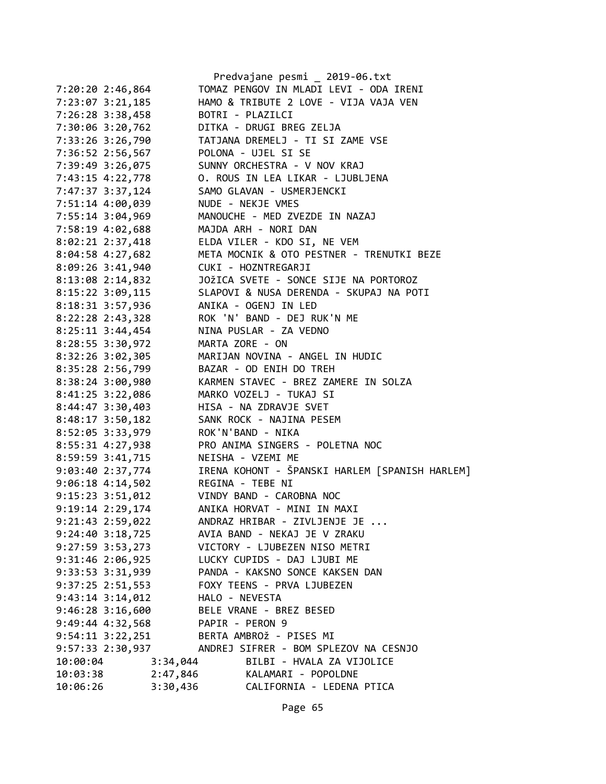|                      |                | Predvajane pesmi _ 2019-06.txt                 |
|----------------------|----------------|------------------------------------------------|
| 7:20:20 2:46,864     |                | TOMAZ PENGOV IN MLADI LEVI - ODA IRENI         |
| 7:23:07 3:21,185     |                | HAMO & TRIBUTE 2 LOVE - VIJA VAJA VEN          |
| 7:26:28 3:38,458     |                | BOTRI - PLAZILCI                               |
| 7:30:06 3:20,762     |                | DITKA - DRUGI BREG ZELJA                       |
| 7:33:26 3:26,790     |                | TATJANA DREMELJ - TI SI ZAME VSE               |
| 7:36:52 2:56,567     |                | POLONA - UJEL SI SE                            |
| 7:39:49 3:26,075     |                | SUNNY ORCHESTRA - V NOV KRAJ                   |
| 7:43:15 4:22,778     |                | O. ROUS IN LEA LIKAR - LJUBLJENA               |
| 7:47:37 3:37,124     |                | SAMO GLAVAN - USMERJENCKI                      |
| 7:51:14 4:00,039     |                | NUDE - NEKJE VMES                              |
| 7:55:14 3:04,969     |                | MANOUCHE - MED ZVEZDE IN NAZAJ                 |
| 7:58:19 4:02,688     |                | MAJDA ARH - NORI DAN                           |
| 8:02:21 2:37,418     |                | ELDA VILER - KDO SI, NE VEM                    |
| 8:04:58 4:27,682     |                | META MOCNIK & OTO PESTNER - TRENUTKI BEZE      |
| 8:09:26 3:41,940     |                | CUKI - HOZNTREGARJI                            |
| 8:13:08 2:14,832     |                | JOŽICA SVETE - SONCE SIJE NA PORTOROZ          |
| 8:15:22 3:09,115     |                | SLAPOVI & NUSA DERENDA - SKUPAJ NA POTI        |
| 8:18:31 3:57,936     |                | ANIKA - OGENJ IN LED                           |
| 8:22:28 2:43,328     |                | ROK 'N' BAND - DEJ RUK'N ME                    |
|                      |                | NINA PUSLAR - ZA VEDNO                         |
| $8:25:11$ 3:44,454   |                |                                                |
| 8:28:55 3:30,972     |                | MARTA ZORE - ON                                |
| 8:32:26 3:02,305     |                | MARIJAN NOVINA - ANGEL IN HUDIC                |
| 8:35:28 2:56,799     |                | BAZAR - OD ENIH DO TREH                        |
| 8:38:24 3:00,980     |                | KARMEN STAVEC - BREZ ZAMERE IN SOLZA           |
| 8:41:25 3:22,086     |                | MARKO VOZELJ - TUKAJ SI                        |
| 8:44:47 3:30,403     |                | HISA - NA ZDRAVJE SVET                         |
| 8:48:17 3:50,182     |                | SANK ROCK - NAJINA PESEM                       |
| 8:52:05 3:33,979     |                | ROK'N'BAND - NIKA                              |
| 8:55:31 4:27,938     |                | PRO ANIMA SINGERS - POLETNA NOC                |
| 8:59:59 3:41,715     |                | NEISHA - VZEMI ME                              |
| 9:03:40 2:37,774     |                | IRENA KOHONT - ŠPANSKI HARLEM [SPANISH HARLEM] |
| $9:06:18$ 4:14,502   |                | REGINA - TEBE NI                               |
| $9:15:23$ $3:51,012$ |                | VINDY BAND - CAROBNA NOC                       |
| 9:19:14 2:29,174     |                | ANIKA HORVAT - MINI IN MAXI                    |
| 9:21:43 2:59,022     |                | ANDRAZ HRIBAR - ZIVLJENJE JE                   |
| $9:24:40$ $3:18,725$ |                | AVIA BAND - NEKAJ JE V ZRAKU                   |
| 9:27:59 3:53,273     |                | VICTORY - LJUBEZEN NISO METRI                  |
| $9:31:46$ 2:06,925   |                | LUCKY CUPIDS - DAJ LJUBI ME                    |
| 9:33:53 3:31,939     |                | PANDA - KAKSNO SONCE KAKSEN DAN                |
| $9:37:25$ 2:51,553   |                | FOXY TEENS - PRVA LJUBEZEN                     |
| $9:43:14$ $3:14,012$ | HALO - NEVESTA |                                                |
| $9:46:28$ 3:16,600   |                | BELE VRANE - BREZ BESED                        |
| $9:49:44$ $4:32,568$ |                | PAPIR - PERON 9                                |
| $9:54:11$ $3:22,251$ |                | BERTA AMBROŽ - PISES MI                        |
|                      |                |                                                |
| 10:00:04             | 3:34,044       | BILBI - HVALA ZA VIJOLICE                      |
| 10:03:38             | 2:47,846       | KALAMARI - POPOLDNE                            |
| 10:06:26             | 3:30,436       | CALIFORNIA - LEDENA PTICA                      |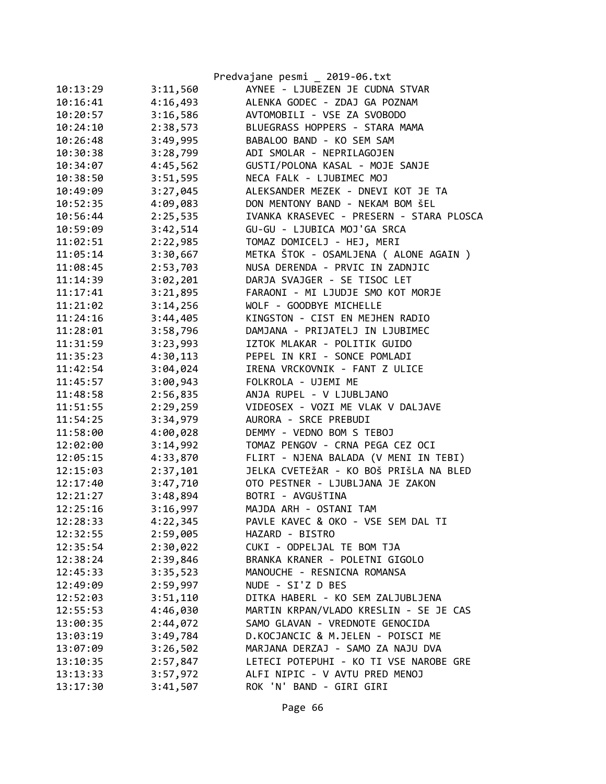|          |          | Predvajane pesmi _ 2019-06.txt           |
|----------|----------|------------------------------------------|
| 10:13:29 | 3:11,560 | AYNEE - LJUBEZEN JE CUDNA STVAR          |
| 10:16:41 | 4:16,493 | ALENKA GODEC - ZDAJ GA POZNAM            |
| 10:20:57 | 3:16,586 | AVTOMOBILI - VSE ZA SVOBODO              |
| 10:24:10 | 2:38,573 | BLUEGRASS HOPPERS - STARA MAMA           |
| 10:26:48 | 3:49,995 | BABALOO BAND - KO SEM SAM                |
| 10:30:38 | 3:28,799 | ADI SMOLAR - NEPRILAGOJEN                |
| 10:34:07 | 4:45,562 | GUSTI/POLONA KASAL - MOJE SANJE          |
| 10:38:50 | 3:51,595 | NECA FALK - LJUBIMEC MOJ                 |
| 10:49:09 | 3:27,045 | ALEKSANDER MEZEK - DNEVI KOT JE TA       |
| 10:52:35 | 4:09,083 | DON MENTONY BAND - NEKAM BOM ŠEL         |
| 10:56:44 | 2:25,535 | IVANKA KRASEVEC - PRESERN - STARA PLOSCA |
| 10:59:09 | 3:42,514 | GU-GU - LJUBICA MOJ'GA SRCA              |
| 11:02:51 | 2:22,985 | TOMAZ DOMICELJ - HEJ, MERI               |
| 11:05:14 | 3:30,667 | METKA ŠTOK - OSAMLJENA ( ALONE AGAIN )   |
| 11:08:45 | 2:53,703 | NUSA DERENDA - PRVIC IN ZADNJIC          |
| 11:14:39 | 3:02,201 | DARJA SVAJGER - SE TISOC LET             |
| 11:17:41 | 3:21,895 | FARAONI - MI LJUDJE SMO KOT MORJE        |
| 11:21:02 | 3:14,256 | WOLF - GOODBYE MICHELLE                  |
| 11:24:16 | 3:44,405 | KINGSTON - CIST EN MEJHEN RADIO          |
| 11:28:01 | 3:58,796 | DAMJANA - PRIJATELJ IN LJUBIMEC          |
| 11:31:59 | 3:23,993 | IZTOK MLAKAR - POLITIK GUIDO             |
| 11:35:23 | 4:30,113 | PEPEL IN KRI - SONCE POMLADI             |
| 11:42:54 | 3:04,024 | IRENA VRCKOVNIK - FANT Z ULICE           |
| 11:45:57 | 3:00,943 | FOLKROLA - UJEMI ME                      |
| 11:48:58 | 2:56,835 | ANJA RUPEL - V LJUBLJANO                 |
| 11:51:55 | 2:29,259 | VIDEOSEX - VOZI ME VLAK V DALJAVE        |
| 11:54:25 | 3:34,979 | AURORA - SRCE PREBUDI                    |
| 11:58:00 | 4:00,028 | DEMMY - VEDNO BOM S TEBOJ                |
| 12:02:00 | 3:14,992 | TOMAZ PENGOV - CRNA PEGA CEZ OCI         |
| 12:05:15 | 4:33,870 | FLIRT - NJENA BALADA (V MENI IN TEBI)    |
| 12:15:03 | 2:37,101 | JELKA CVETEŽAR - KO BOŠ PRIŠLA NA BLED   |
| 12:17:40 | 3:47,710 | OTO PESTNER - LJUBLJANA JE ZAKON         |
| 12:21:27 | 3:48,894 | BOTRI - AVGUŠTINA                        |
| 12:25:16 | 3:16,997 | MAJDA ARH - OSTANI TAM                   |
| 12:28:33 | 4:22,345 | PAVLE KAVEC & OKO - VSE SEM DAL TI       |
| 12:32:55 | 2:59,005 | HAZARD - BISTRO                          |
| 12:35:54 | 2:30,022 | CUKI - ODPELJAL TE BOM TJA               |
| 12:38:24 | 2:39,846 | BRANKA KRANER - POLETNI GIGOLO           |
| 12:45:33 | 3:35,523 | MANOUCHE - RESNICNA ROMANSA              |
| 12:49:09 | 2:59,997 | NUDE - SI'Z D BES                        |
| 12:52:03 | 3:51,110 | DITKA HABERL - KO SEM ZALJUBLJENA        |
| 12:55:53 | 4:46,030 | MARTIN KRPAN/VLADO KRESLIN - SE JE CAS   |
| 13:00:35 | 2:44,072 | SAMO GLAVAN - VREDNOTE GENOCIDA          |
| 13:03:19 | 3:49,784 | D.KOCJANCIC & M.JELEN - POISCI ME        |
| 13:07:09 | 3:26,502 | MARJANA DERZAJ - SAMO ZA NAJU DVA        |
| 13:10:35 | 2:57,847 | LETECI POTEPUHI - KO TI VSE NAROBE GRE   |
| 13:13:33 | 3:57,972 | ALFI NIPIC - V AVTU PRED MENOJ           |
| 13:17:30 | 3:41,507 | ROK 'N' BAND - GIRI GIRI                 |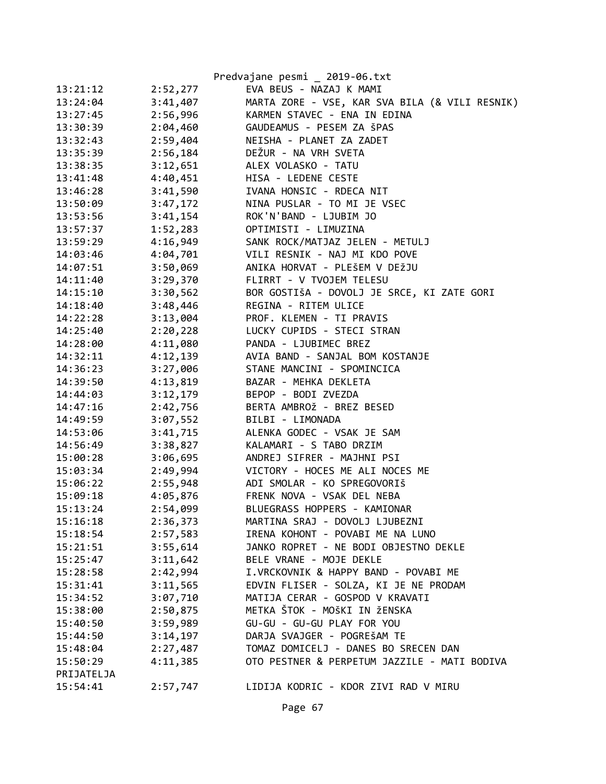|            |          | Predvajane pesmi _ 2019-06.txt                 |
|------------|----------|------------------------------------------------|
| 13:21:12   | 2:52,277 | EVA BEUS - NAZAJ K MAMI                        |
| 13:24:04   | 3:41,407 | MARTA ZORE - VSE, KAR SVA BILA (& VILI RESNIK) |
| 13:27:45   | 2:56,996 | KARMEN STAVEC - ENA IN EDINA                   |
| 13:30:39   | 2:04,460 | GAUDEAMUS - PESEM ZA ŠPAS                      |
| 13:32:43   | 2:59,404 | NEISHA - PLANET ZA ZADET                       |
| 13:35:39   | 2:56,184 | DEŽUR - NA VRH SVETA                           |
| 13:38:35   | 3:12,651 | ALEX VOLASKO - TATU                            |
| 13:41:48   | 4:40,451 | HISA - LEDENE CESTE                            |
| 13:46:28   | 3:41,590 | IVANA HONSIC - RDECA NIT                       |
| 13:50:09   | 3:47,172 | NINA PUSLAR - TO MI JE VSEC                    |
| 13:53:56   |          | 3:41,154 ROK'N'BAND - LJUBIM JO                |
| 13:57:37   | 1:52,283 | OPTIMISTI - LIMUZINA                           |
| 13:59:29   | 4:16,949 | SANK ROCK/MATJAZ JELEN - METULJ                |
| 14:03:46   | 4:04,701 | VILI RESNIK - NAJ MI KDO POVE                  |
| 14:07:51   | 3:50,069 | ANIKA HORVAT - PLEŠEM V DEŽJU                  |
| 14:11:40   | 3:29,370 | FLIRRT - V TVOJEM TELESU                       |
| 14:15:10   | 3:30,562 | BOR GOSTIŠA - DOVOLJ JE SRCE, KI ZATE GORI     |
| 14:18:40   | 3:48,446 | REGINA - RITEM ULICE                           |
| 14:22:28   | 3:13,004 | PROF. KLEMEN - TI PRAVIS                       |
| 14:25:40   | 2:20,228 | LUCKY CUPIDS - STECI STRAN                     |
| 14:28:00   | 4:11,080 | PANDA - LJUBIMEC BREZ                          |
| 14:32:11   | 4:12,139 | AVIA BAND - SANJAL BOM KOSTANJE                |
| 14:36:23   | 3:27,006 | STANE MANCINI - SPOMINCICA                     |
| 14:39:50   | 4:13,819 | BAZAR - MEHKA DEKLETA                          |
| 14:44:03   | 3:12,179 | BEPOP - BODI ZVEZDA                            |
| 14:47:16   | 2:42,756 | BERTA AMBROŽ - BREZ BESED                      |
| 14:49:59   | 3:07,552 | BILBI - LIMONADA                               |
| 14:53:06   | 3:41,715 | ALENKA GODEC - VSAK JE SAM                     |
| 14:56:49   | 3:38,827 | KALAMARI - S TABO DRZIM                        |
| 15:00:28   | 3:06,695 | ANDREJ SIFRER - MAJHNI PSI                     |
| 15:03:34   | 2:49,994 | VICTORY - HOCES ME ALI NOCES ME                |
| 15:06:22   |          | 2:55,948 ADI SMOLAR - KO SPREGOVORIŠ           |
| 15:09:18   |          | 4:05,876 FRENK NOVA - VSAK DEL NEBA            |
| 15:13:24   | 2:54,099 | BLUEGRASS HOPPERS - KAMIONAR                   |
| 15:16:18   | 2:36,373 | MARTINA SRAJ - DOVOLJ LJUBEZNI                 |
| 15:18:54   | 2:57,583 | IRENA KOHONT - POVABI ME NA LUNO               |
| 15:21:51   | 3:55,614 | JANKO ROPRET - NE BODI OBJESTNO DEKLE          |
| 15:25:47   | 3:11,642 | BELE VRANE - MOJE DEKLE                        |
| 15:28:58   | 2:42,994 | I.VRCKOVNIK & HAPPY BAND - POVABI ME           |
| 15:31:41   | 3:11,565 | EDVIN FLISER - SOLZA, KI JE NE PRODAM          |
| 15:34:52   | 3:07,710 | MATIJA CERAR - GOSPOD V KRAVATI                |
| 15:38:00   | 2:50,875 | METKA ŠTOK - MOŠKI IN ŽENSKA                   |
| 15:40:50   | 3:59,989 | GU-GU - GU-GU PLAY FOR YOU                     |
| 15:44:50   | 3:14,197 | DARJA SVAJGER - POGREŠAM TE                    |
| 15:48:04   | 2:27,487 | TOMAZ DOMICELJ - DANES BO SRECEN DAN           |
| 15:50:29   | 4:11,385 | OTO PESTNER & PERPETUM JAZZILE - MATI BODIVA   |
| PRIJATELJA |          |                                                |
| 15:54:41   | 2:57,747 | LIDIJA KODRIC - KDOR ZIVI RAD V MIRU           |
|            |          |                                                |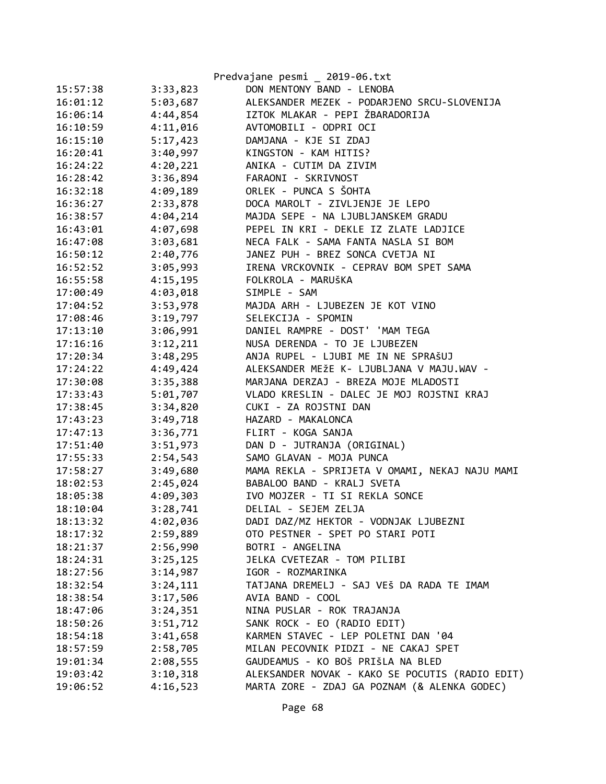|          |          | Predvajane pesmi _ 2019-06.txt                  |
|----------|----------|-------------------------------------------------|
| 15:57:38 | 3:33,823 | DON MENTONY BAND - LENOBA                       |
| 16:01:12 | 5:03,687 | ALEKSANDER MEZEK - PODARJENO SRCU-SLOVENIJA     |
| 16:06:14 | 4:44,854 | IZTOK MLAKAR - PEPI ŽBARADORIJA                 |
| 16:10:59 | 4:11,016 | AVTOMOBILI - ODPRI OCI                          |
| 16:15:10 | 5:17,423 | DAMJANA - KJE SI ZDAJ                           |
| 16:20:41 | 3:40,997 | KINGSTON - KAM HITIS?                           |
| 16:24:22 | 4:20,221 | ANIKA - CUTIM DA ZIVIM                          |
| 16:28:42 | 3:36,894 | FARAONI - SKRIVNOST                             |
| 16:32:18 | 4:09,189 | ORLEK - PUNCA S ŠOHTA                           |
| 16:36:27 | 2:33,878 | DOCA MAROLT - ZIVLJENJE JE LEPO                 |
| 16:38:57 | 4:04,214 | MAJDA SEPE - NA LJUBLJANSKEM GRADU              |
| 16:43:01 | 4:07,698 | PEPEL IN KRI - DEKLE IZ ZLATE LADJICE           |
| 16:47:08 | 3:03,681 | NECA FALK - SAMA FANTA NASLA SI BOM             |
| 16:50:12 | 2:40,776 | JANEZ PUH - BREZ SONCA CVETJA NI                |
| 16:52:52 | 3:05,993 | IRENA VRCKOVNIK - CEPRAV BOM SPET SAMA          |
| 16:55:58 | 4:15,195 | FOLKROLA - MARUŠKA                              |
| 17:00:49 | 4:03,018 | SIMPLE - SAM                                    |
| 17:04:52 | 3:53,978 | MAJDA ARH - LJUBEZEN JE KOT VINO                |
| 17:08:46 | 3:19,797 | SELEKCIJA - SPOMIN                              |
| 17:13:10 | 3:06,991 | DANIEL RAMPRE - DOST' 'MAM TEGA                 |
| 17:16:16 | 3:12,211 | NUSA DERENDA - TO JE LJUBEZEN                   |
| 17:20:34 | 3:48,295 | ANJA RUPEL - LJUBI ME IN NE SPRAŠUJ             |
| 17:24:22 | 4:49,424 | ALEKSANDER MEŽE K- LJUBLJANA V MAJU.WAV -       |
| 17:30:08 | 3:35,388 | MARJANA DERZAJ - BREZA MOJE MLADOSTI            |
| 17:33:43 | 5:01,707 | VLADO KRESLIN - DALEC JE MOJ ROJSTNI KRAJ       |
| 17:38:45 | 3:34,820 | CUKI - ZA ROJSTNI DAN                           |
| 17:43:23 | 3:49,718 | HAZARD - MAKALONCA                              |
| 17:47:13 | 3:36,771 | FLIRT - KOGA SANJA                              |
| 17:51:40 | 3:51,973 | DAN D - JUTRANJA (ORIGINAL)                     |
| 17:55:33 | 2:54,543 | SAMO GLAVAN - MOJA PUNCA                        |
| 17:58:27 | 3:49,680 | MAMA REKLA - SPRIJETA V OMAMI, NEKAJ NAJU MAMI  |
| 18:02:53 | 2:45,024 | BABALOO BAND - KRALJ SVETA                      |
| 18:05:38 | 4:09,303 | IVO MOJZER - TI SI REKLA SONCE                  |
| 18:10:04 | 3:28,741 | DELIAL - SEJEM ZELJA                            |
| 18:13:32 | 4:02,036 | DADI DAZ/MZ HEKTOR - VODNJAK LJUBEZNI           |
| 18:17:32 | 2:59,889 | OTO PESTNER - SPET PO STARI POTI                |
| 18:21:37 | 2:56,990 | BOTRI - ANGELINA                                |
| 18:24:31 | 3:25,125 | JELKA CVETEZAR - TOM PILIBI                     |
| 18:27:56 | 3:14,987 | IGOR - ROZMARINKA                               |
| 18:32:54 | 3:24,111 | TATJANA DREMELJ - SAJ VEŠ DA RADA TE IMAM       |
| 18:38:54 | 3:17,506 | AVIA BAND - COOL                                |
| 18:47:06 | 3:24,351 | NINA PUSLAR - ROK TRAJANJA                      |
| 18:50:26 | 3:51,712 | SANK ROCK - EO (RADIO EDIT)                     |
| 18:54:18 | 3:41,658 | KARMEN STAVEC - LEP POLETNI DAN '04             |
| 18:57:59 | 2:58,705 | MILAN PECOVNIK PIDZI - NE CAKAJ SPET            |
| 19:01:34 | 2:08,555 | GAUDEAMUS - KO BOŠ PRIŠLA NA BLED               |
| 19:03:42 | 3:10,318 | ALEKSANDER NOVAK - KAKO SE POCUTIS (RADIO EDIT) |
| 19:06:52 | 4:16,523 | MARTA ZORE - ZDAJ GA POZNAM (& ALENKA GODEC)    |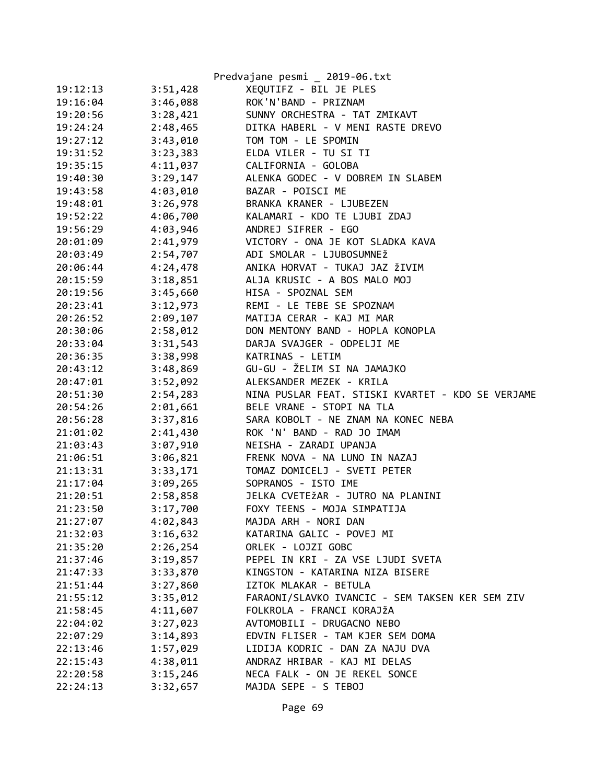|          |          | Predvajane pesmi _ 2019-06.txt                    |
|----------|----------|---------------------------------------------------|
| 19:12:13 | 3:51,428 | XEQUTIFZ - BIL JE PLES                            |
| 19:16:04 | 3:46,088 | ROK'N'BAND - PRIZNAM                              |
| 19:20:56 | 3:28,421 | SUNNY ORCHESTRA - TAT ZMIKAVT                     |
| 19:24:24 | 2:48,465 | DITKA HABERL - V MENI RASTE DREVO                 |
| 19:27:12 | 3:43,010 | TOM TOM - LE SPOMIN                               |
| 19:31:52 | 3:23,383 | ELDA VILER - TU SI TI                             |
| 19:35:15 | 4:11,037 | CALIFORNIA - GOLOBA                               |
| 19:40:30 | 3:29,147 | ALENKA GODEC - V DOBREM IN SLABEM                 |
| 19:43:58 | 4:03,010 | BAZAR - POISCI ME                                 |
| 19:48:01 | 3:26,978 | BRANKA KRANER - LJUBEZEN                          |
| 19:52:22 | 4:06,700 | KALAMARI - KDO TE LJUBI ZDAJ                      |
| 19:56:29 | 4:03,946 | ANDREJ SIFRER - EGO                               |
| 20:01:09 | 2:41,979 | VICTORY - ONA JE KOT SLADKA KAVA                  |
| 20:03:49 | 2:54,707 | ADI SMOLAR - LJUBOSUMNEŽ                          |
| 20:06:44 | 4:24,478 | ANIKA HORVAT - TUKAJ JAZ ŽIVIM                    |
| 20:15:59 | 3:18,851 | ALJA KRUSIC - A BOS MALO MOJ                      |
| 20:19:56 | 3:45,660 | HISA - SPOZNAL SEM                                |
| 20:23:41 | 3:12,973 | REMI - LE TEBE SE SPOZNAM                         |
| 20:26:52 | 2:09,107 | MATIJA CERAR - KAJ MI MAR                         |
| 20:30:06 | 2:58,012 | DON MENTONY BAND - HOPLA KONOPLA                  |
| 20:33:04 | 3:31,543 | DARJA SVAJGER - ODPELJI ME                        |
| 20:36:35 | 3:38,998 | KATRINAS - LETIM                                  |
| 20:43:12 | 3:48,869 | GU-GU - ŽELIM SI NA JAMAJKO                       |
| 20:47:01 | 3:52,092 | ALEKSANDER MEZEK - KRILA                          |
| 20:51:30 | 2:54,283 | NINA PUSLAR FEAT. STISKI KVARTET - KDO SE VERJAME |
| 20:54:26 | 2:01,661 | BELE VRANE - STOPI NA TLA                         |
| 20:56:28 | 3:37,816 | SARA KOBOLT - NE ZNAM NA KONEC NEBA               |
| 21:01:02 | 2:41,430 | ROK 'N' BAND - RAD JO IMAM                        |
| 21:03:43 | 3:07,910 | NEISHA - ZARADI UPANJA                            |
| 21:06:51 | 3:06,821 | FRENK NOVA - NA LUNO IN NAZAJ                     |
| 21:13:31 | 3:33,171 | TOMAZ DOMICELJ - SVETI PETER                      |
| 21:17:04 | 3:09,265 | SOPRANOS - ISTO IME                               |
| 21:20:51 | 2:58,858 | JELKA CVETEŽAR - JUTRO NA PLANINI                 |
| 21:23:50 | 3:17,700 | FOXY TEENS - MOJA SIMPATIJA                       |
| 21:27:07 | 4:02,843 | MAJDA ARH - NORI DAN                              |
| 21:32:03 | 3:16,632 | KATARINA GALIC - POVEJ MI                         |
| 21:35:20 | 2:26,254 | ORLEK - LOJZI GOBC                                |
| 21:37:46 | 3:19,857 | PEPEL IN KRI - ZA VSE LJUDI SVETA                 |
| 21:47:33 | 3:33,870 | KINGSTON - KATARINA NIZA BISERE                   |
| 21:51:44 | 3:27,860 | IZTOK MLAKAR - BETULA                             |
| 21:55:12 | 3:35,012 | FARAONI/SLAVKO IVANCIC - SEM TAKSEN KER SEM ZIV   |
| 21:58:45 | 4:11,607 | FOLKROLA - FRANCI KORAJŽA                         |
| 22:04:02 | 3:27,023 | AVTOMOBILI - DRUGACNO NEBO                        |
| 22:07:29 | 3:14,893 | EDVIN FLISER - TAM KJER SEM DOMA                  |
| 22:13:46 | 1:57,029 | LIDIJA KODRIC - DAN ZA NAJU DVA                   |
| 22:15:43 | 4:38,011 | ANDRAZ HRIBAR - KAJ MI DELAS                      |
| 22:20:58 | 3:15,246 | NECA FALK - ON JE REKEL SONCE                     |
| 22:24:13 | 3:32,657 | MAJDA SEPE - S TEBOJ                              |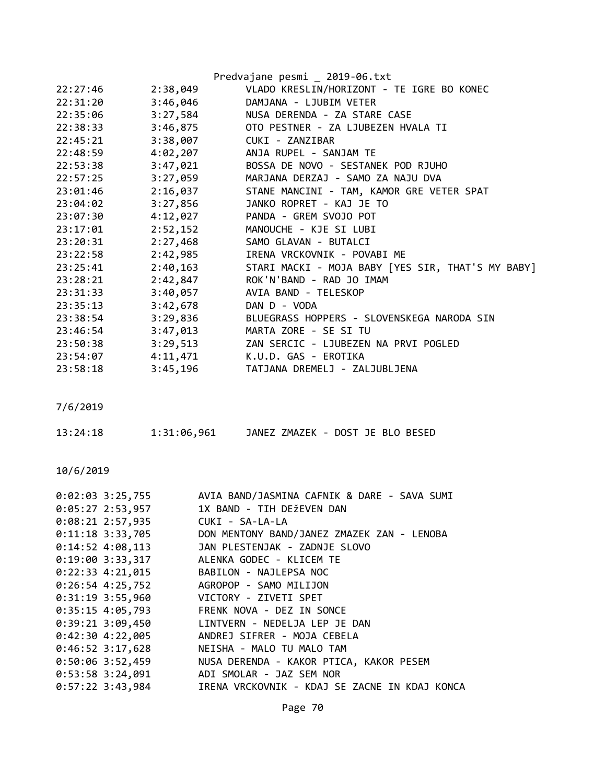|          |          | Predvajane pesmi _ 2019-06.txt                    |
|----------|----------|---------------------------------------------------|
| 22:27:46 | 2:38,049 | VLADO KRESLIN/HORIZONT - TE IGRE BO KONEC         |
| 22:31:20 | 3:46,046 | DAMJANA - LJUBIM VETER                            |
| 22:35:06 | 3:27,584 | NUSA DERENDA - ZA STARE CASE                      |
| 22:38:33 |          | 3:46,875 OTO PESTNER - ZA LJUBEZEN HVALA TI       |
| 22:45:21 | 3:38,007 | CUKI - ZANZIBAR                                   |
| 22:48:59 |          | 4:02,207 ANJA RUPEL - SANJAM TE                   |
| 22:53:38 | 3:47,021 | BOSSA DE NOVO - SESTANEK POD RJUHO                |
| 22:57:25 | 3:27,059 | MARJANA DERZAJ - SAMO ZA NAJU DVA                 |
| 23:01:46 | 2:16,037 | STANE MANCINI - TAM, KAMOR GRE VETER SPAT         |
| 23:04:02 | 3:27,856 | JANKO ROPRET - KAJ JE TO                          |
| 23:07:30 | 4:12,027 | PANDA - GREM SVOJO POT                            |
| 23:17:01 | 2:52,152 | MANOUCHE - KJE SI LUBI                            |
| 23:20:31 | 2:27,468 | SAMO GLAVAN - BUTALCI                             |
| 23:22:58 | 2:42,985 | IRENA VRCKOVNIK - POVABI ME                       |
| 23:25:41 | 2:40,163 | STARI MACKI - MOJA BABY [YES SIR, THAT'S MY BABY] |
| 23:28:21 | 2:42,847 | ROK'N'BAND - RAD JO IMAM                          |
| 23:31:33 | 3:40,057 | AVIA BAND - TELESKOP                              |
| 23:35:13 | 3:42,678 | DAN D - VODA                                      |
| 23:38:54 | 3:29,836 | BLUEGRASS HOPPERS - SLOVENSKEGA NARODA SIN        |
| 23:46:54 | 3:47,013 | MARTA ZORE - SE SI TU                             |
| 23:50:38 | 3:29,513 | ZAN SERCIC - LJUBEZEN NA PRVI POGLED              |
| 23:54:07 |          | 4:11,471 K.U.D. GAS - EROTIKA                     |
| 23:58:18 | 3:45,196 | TATJANA DREMELJ - ZALJUBLJENA                     |

| 13:24:18 | 1:31:06,961 | JANEZ ZMAZEK - DOST JE BLO BESED |  |  |  |
|----------|-------------|----------------------------------|--|--|--|
|          |             |                                  |  |  |  |

| $0:02:03$ 3:25,755   | AVIA BAND/JASMINA CAFNIK & DARE - SAVA SUMI   |
|----------------------|-----------------------------------------------|
| 0:05:27 2:53,957     | 1X BAND - TIH DEŽEVEN DAN                     |
| $0:08:21$ 2:57,935   | CUKI - SA-LA-LA                               |
| $0:11:18$ 3:33,705   | DON MENTONY BAND/JANEZ ZMAZEK ZAN - LENOBA    |
| $0:14:52$ 4:08,113   | JAN PLESTENJAK - ZADNJE SLOVO                 |
| $0:19:00$ 3:33,317   | ALENKA GODEC - KLICEM TE                      |
| $0:22:33$ 4:21,015   | BABILON - NAJLEPSA NOC                        |
| $0:26:54$ 4:25,752   | AGROPOP - SAMO MILIJON                        |
| $0:31:19$ 3:55,960   | VICTORY - ZIVETI SPET                         |
| $0:35:15$ 4:05,793   | FRENK NOVA - DEZ IN SONCE                     |
| $0:39:21$ $3:09,450$ | LINTVERN - NEDELJA LEP JE DAN                 |
| $0:42:30$ 4:22,005   | ANDREJ SIFRER - MOJA CEBELA                   |
| $0:46:52$ 3:17,628   | NEISHA - MALO TU MALO TAM                     |
| $0:50:06$ 3:52,459   | NUSA DERENDA - KAKOR PTICA, KAKOR PESEM       |
| $0:53:58$ 3:24,091   | ADI SMOLAR - JAZ SEM NOR                      |
| $0:57:22$ 3:43,984   | IRENA VRCKOVNIK - KDAJ SE ZACNE IN KDAJ KONCA |
|                      |                                               |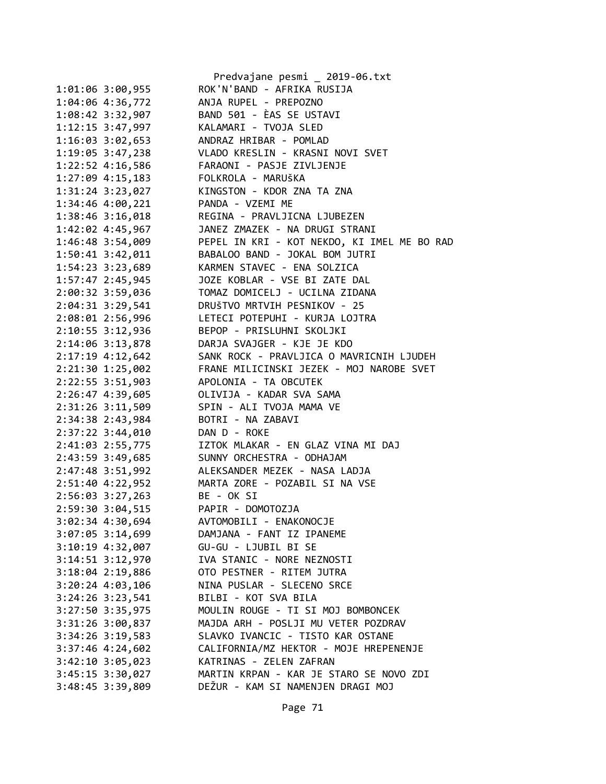|                      | Predvajane pesmi _ 2019-06.txt              |
|----------------------|---------------------------------------------|
| 1:01:06 3:00,955     | ROK'N'BAND - AFRIKA RUSIJA                  |
| 1:04:06 4:36,772     | ANJA RUPEL - PREPOZNO                       |
| 1:08:42 3:32,907     | BAND 501 - ÈAS SE USTAVI                    |
| 1:12:15 3:47,997     | KALAMARI - TVOJA SLED                       |
| 1:16:03 3:02,653     | ANDRAZ HRIBAR - POMLAD                      |
| 1:19:05 3:47,238     | VLADO KRESLIN - KRASNI NOVI SVET            |
| 1:22:52 4:16,586     | FARAONI - PASJE ZIVLJENJE                   |
| 1:27:09 4:15,183     | FOLKROLA - MARUŠKA                          |
| 1:31:24 3:23,027     | KINGSTON - KDOR ZNA TA ZNA                  |
| 1:34:46 4:00,221     | PANDA - VZEMI ME                            |
| 1:38:46 3:16,018     | REGINA - PRAVLJICNA LJUBEZEN                |
| 1:42:02 4:45,967     | JANEZ ZMAZEK - NA DRUGI STRANI              |
| 1:46:48 3:54,009     | PEPEL IN KRI - KOT NEKDO, KI IMEL ME BO RAD |
| 1:50:41 3:42,011     | BABALOO BAND - JOKAL BOM JUTRI              |
| 1:54:23 3:23,689     | KARMEN STAVEC - ENA SOLZICA                 |
| 1:57:47 2:45,945     | JOZE KOBLAR - VSE BI ZATE DAL               |
| 2:00:32 3:59,036     | TOMAZ DOMICELJ - UCILNA ZIDANA              |
| 2:04:31 3:29,541     | DRUŠTVO MRTVIH PESNIKOV - 25                |
|                      |                                             |
| 2:08:01 2:56,996     | LETECI POTEPUHI - KURJA LOJTRA              |
| 2:10:55 3:12,936     | BEPOP - PRISLUHNI SKOLJKI                   |
| 2:14:06 3:13,878     | DARJA SVAJGER - KJE JE KDO                  |
| 2:17:19 4:12,642     | SANK ROCK - PRAVLJICA O MAVRICNIH LJUDEH    |
| 2:21:30 1:25,002     | FRANE MILICINSKI JEZEK - MOJ NAROBE SVET    |
| 2:22:55 3:51,903     | APOLONIA - TA OBCUTEK                       |
| 2:26:47 4:39,605     | OLIVIJA - KADAR SVA SAMA                    |
| 2:31:26 3:11,509     | SPIN - ALI TVOJA MAMA VE                    |
| 2:34:38 2:43,984     | BOTRI - NA ZABAVI                           |
| 2:37:22 3:44,010     | DAN D - ROKE                                |
| 2:41:03 2:55,775     | IZTOK MLAKAR - EN GLAZ VINA MI DAJ          |
| 2:43:59 3:49,685     | SUNNY ORCHESTRA - ODHAJAM                   |
| 2:47:48 3:51,992     | ALEKSANDER MEZEK - NASA LADJA               |
| 2:51:40 4:22,952     | MARTA ZORE - POZABIL SI NA VSE              |
| $2:56:03$ 3:27,263   | BE - OK SI                                  |
| 2:59:30 3:04,515     | PAPIR - DOMOTOZJA                           |
| 3:02:34 4:30,694     | AVTOMOBILI - ENAKONOCJE                     |
| 3:07:05 3:14,699     | DAMJANA - FANT IZ IPANEME                   |
| 3:10:19 4:32,007     | GU-GU - LJUBIL BI SE                        |
| 3:14:51 3:12,970     | IVA STANIC - NORE NEZNOSTI                  |
| 3:18:04 2:19,886     | OTO PESTNER - RITEM JUTRA                   |
| $3:20:24$ 4:03,106   | NINA PUSLAR - SLECENO SRCE                  |
| $3:24:26$ $3:23,541$ | BILBI - KOT SVA BILA                        |
| 3:27:50 3:35,975     | MOULIN ROUGE - TI SI MOJ BOMBONCEK          |
| $3:31:26$ $3:00,837$ | MAJDA ARH - POSLJI MU VETER POZDRAV         |
| $3:34:26$ $3:19,583$ | SLAVKO IVANCIC - TISTO KAR OSTANE           |
| $3:37:46$ 4:24,602   | CALIFORNIA/MZ HEKTOR - MOJE HREPENENJE      |
| 3:42:10 3:05,023     | KATRINAS - ZELEN ZAFRAN                     |
| 3:45:15 3:30,027     | MARTIN KRPAN - KAR JE STARO SE NOVO ZDI     |
| 3:48:45 3:39,809     | DEŽUR - KAM SI NAMENJEN DRAGI MOJ           |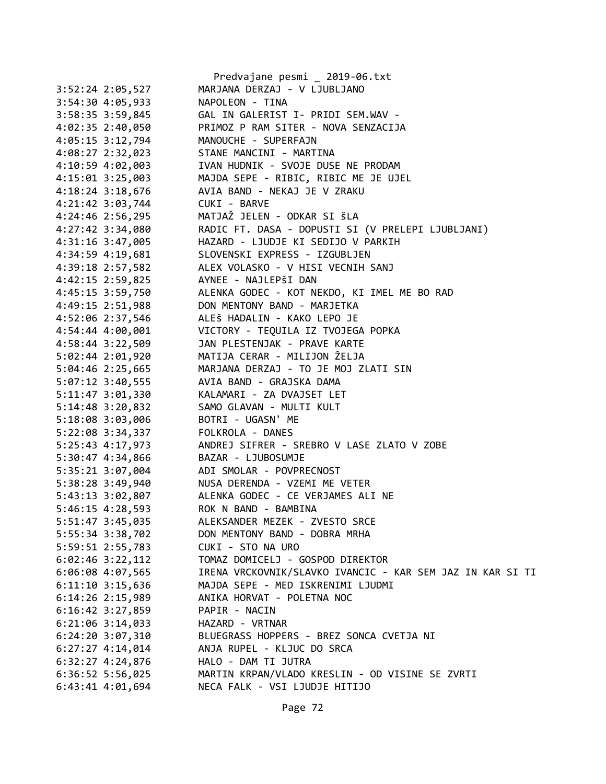|                      | Predvajane pesmi _ 2019-06.txt                               |
|----------------------|--------------------------------------------------------------|
| 3:52:24 2:05,527     | MARJANA DERZAJ - V LJUBLJANO                                 |
| 3:54:30 4:05,933     | NAPOLEON - TINA                                              |
| 3:58:35 3:59,845     | GAL IN GALERIST I- PRIDI SEM.WAV -                           |
| 4:02:35 2:40,050     | PRIMOZ P RAM SITER - NOVA SENZACIJA                          |
| 4:05:15 3:12,794     | MANOUCHE - SUPERFAJN                                         |
| 4:08:27 2:32,023     | STANE MANCINI - MARTINA                                      |
| 4:10:59 4:02,003     | IVAN HUDNIK - SVOJE DUSE NE PRODAM                           |
| $4:15:01$ 3:25,003   | MAJDA SEPE - RIBIC, RIBIC ME JE UJEL                         |
| 4:18:24 3:18,676     | AVIA BAND - NEKAJ JE V ZRAKU                                 |
| $4:21:42$ 3:03,744   | CUKI - BARVE                                                 |
| $4:24:46$ 2:56,295   | MATJAŽ JELEN – ODKAR SI ŠLA                                  |
| $4:27:42$ 3:34,080   | RADIC FT. DASA - DOPUSTI SI (V PRELEPI LJUBLJANI)            |
| 4:31:16 3:47,005     | HAZARD - LJUDJE KI SEDIJO V PARKIH                           |
| 4:34:59 4:19,681     | SLOVENSKI EXPRESS - IZGUBLJEN                                |
| 4:39:18 2:57,582     | ALEX VOLASKO - V HISI VECNIH SANJ                            |
| 4:42:15 2:59,825     | AYNEE - NAJLEPŠI DAN                                         |
|                      | 4:45:15 3:59,750 ALENKA GODEC - KOT NEKDO, KI IMEL ME BO RAD |
| 4:49:15 2:51,988     | DON MENTONY BAND - MARJETKA                                  |
| 4:52:06 2:37,546     | ALEŠ HADALIN - KAKO LEPO JE                                  |
| 4:54:44 4:00,001     | VICTORY - TEQUILA IZ TVOJEGA POPKA                           |
| 4:58:44 3:22,509     | JAN PLESTENJAK - PRAVE KARTE                                 |
| $5:02:44$ 2:01,920   | MATIJA CERAR - MILIJON ŽELJA                                 |
| $5:04:46$ 2:25,665   | MARJANA DERZAJ - TO JE MOJ ZLATI SIN                         |
| $5:07:12$ 3:40,555   | AVIA BAND - GRAJSKA DAMA                                     |
| $5:11:47$ $3:01,330$ | KALAMARI - ZA DVAJSET LET                                    |
| $5:14:48$ $3:20,832$ | SAMO GLAVAN - MULTI KULT                                     |
| 5:18:08 3:03,006     | BOTRI - UGASN' ME                                            |
| 5:22:08 3:34,337     | FOLKROLA - DANES                                             |
| 5:25:43 4:17,973     | ANDREJ SIFRER - SREBRO V LASE ZLATO V ZOBE                   |
| 5:30:47 4:34,866     | BAZAR - LJUBOSUMJE                                           |
| 5:35:21 3:07,004     | ADI SMOLAR - POVPRECNOST                                     |
|                      | 5:38:28 3:49,940 NUSA DERENDA - VZEMI ME VETER               |
|                      | 5:43:13 3:02,807 ALENKA GODEC - CE VERJAMES ALI NE           |
| 5:46:15 4:28,593     | ROK N BAND - BAMBINA                                         |
| 5:51:47 3:45,035     | ALEKSANDER MEZEK - ZVESTO SRCE                               |
| 5:55:34 3:38,702     | DON MENTONY BAND - DOBRA MRHA                                |
| 5:59:51 2:55,783     | CUKI - STO NA URO                                            |
| $6:02:46$ 3:22,112   | TOMAZ DOMICELJ - GOSPOD DIREKTOR                             |
| 6:06:08 4:07,565     | IRENA VRCKOVNIK/SLAVKO IVANCIC - KAR SEM JAZ IN KAR SI TI    |
| $6:11:10$ 3:15,636   | MAJDA SEPE - MED ISKRENIMI LJUDMI                            |
| $6:14:26$ 2:15,989   | ANIKA HORVAT - POLETNA NOC                                   |
| $6:16:42$ 3:27,859   | PAPIR - NACIN                                                |
| $6:21:06$ 3:14,033   | HAZARD - VRTNAR                                              |
| $6:24:20$ 3:07,310   | BLUEGRASS HOPPERS - BREZ SONCA CVETJA NI                     |
| $6:27:27$ 4:14,014   | ANJA RUPEL - KLJUC DO SRCA                                   |
| $6:32:27$ 4:24,876   | HALO - DAM TI JUTRA                                          |
| $6:36:52$ 5:56,025   | MARTIN KRPAN/VLADO KRESLIN - OD VISINE SE ZVRTI              |
| 6:43:41 4:01,694     | NECA FALK - VSI LJUDJE HITIJO                                |
|                      |                                                              |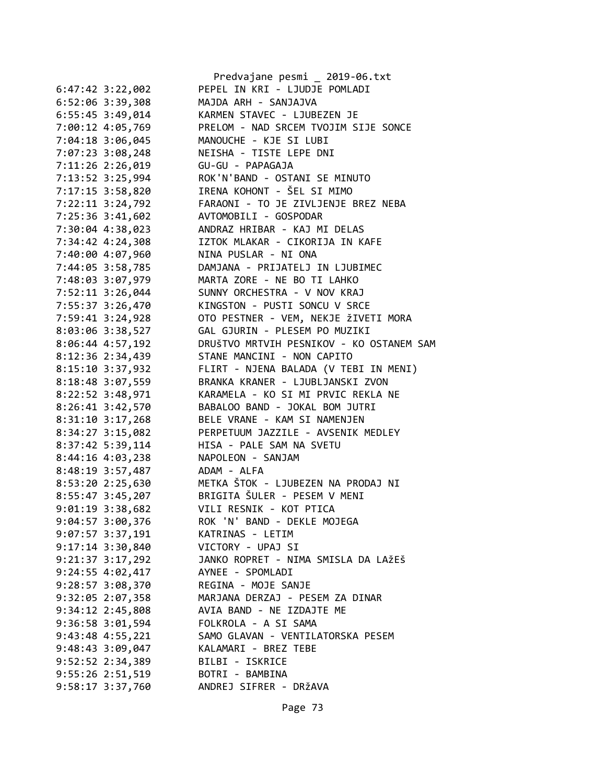|                      | Predvajane pesmi _ 2019-06.txt           |
|----------------------|------------------------------------------|
| $6:47:42$ 3:22,002   | PEPEL IN KRI - LJUDJE POMLADI            |
| 6:52:06 3:39,308     | MAJDA ARH - SANJAJVA                     |
| 6:55:45 3:49,014     | KARMEN STAVEC - LJUBEZEN JE              |
| 7:00:12 4:05,769     | PRELOM - NAD SRCEM TVOJIM SIJE SONCE     |
|                      | MANOUCHE - KJE SI LUBI                   |
| 7:04:18 3:06,045     |                                          |
| 7:07:23 3:08,248     | NEISHA - TISTE LEPE DNI                  |
| 7:11:26 2:26,019     | GU-GU - PAPAGAJA                         |
| 7:13:52 3:25,994     | ROK'N'BAND - OSTANI SE MINUTO            |
| 7:17:15 3:58,820     | IRENA KOHONT - ŠEL SI MIMO               |
| 7:22:11 3:24,792     | FARAONI - TO JE ZIVLJENJE BREZ NEBA      |
| 7:25:36 3:41,602     | AVTOMOBILI - GOSPODAR                    |
| 7:30:04 4:38,023     | ANDRAZ HRIBAR - KAJ MI DELAS             |
| 7:34:42 4:24,308     | IZTOK MLAKAR - CIKORIJA IN KAFE          |
| 7:40:00 4:07,960     | NINA PUSLAR - NI ONA                     |
| 7:44:05 3:58,785     | DAMJANA - PRIJATELJ IN LJUBIMEC          |
| 7:48:03 3:07,979     | MARTA ZORE - NE BO TI LAHKO              |
| 7:52:11 3:26,044     | SUNNY ORCHESTRA - V NOV KRAJ             |
| 7:55:37 3:26,470     | KINGSTON - PUSTI SONCU V SRCE            |
| 7:59:41 3:24,928     | OTO PESTNER - VEM, NEKJE ŽIVETI MORA     |
| 8:03:06 3:38,527     | GAL GJURIN - PLESEM PO MUZIKI            |
| 8:06:44 4:57,192     | DRUŠTVO MRTVIH PESNIKOV - KO OSTANEM SAM |
| 8:12:36 2:34,439     | STANE MANCINI - NON CAPITO               |
| 8:15:10 3:37,932     | FLIRT - NJENA BALADA (V TEBI IN MENI)    |
| 8:18:48 3:07,559     | BRANKA KRANER - LJUBLJANSKI ZVON         |
| 8:22:52 3:48,971     | KARAMELA - KO SI MI PRVIC REKLA NE       |
| 8:26:41 3:42,570     | BABALOO BAND - JOKAL BOM JUTRI           |
| 8:31:10 3:17,268     | BELE VRANE - KAM SI NAMENJEN             |
| 8:34:27 3:15,082     | PERPETUUM JAZZILE - AVSENIK MEDLEY       |
| 8:37:42 5:39,114     | HISA - PALE SAM NA SVETU                 |
| 8:44:16 4:03,238     | NAPOLEON - SANJAM                        |
| 8:48:19 3:57,487     | ADAM - ALFA                              |
|                      |                                          |
| 8:53:20 2:25,630     | METKA ŠTOK - LJUBEZEN NA PRODAJ NI       |
| 8:55:47 3:45,207     | BRIGITA ŠULER - PESEM V MENI             |
| 9:01:19 3:38,682     | VILI RESNIK - KOT PTICA                  |
| $9:04:57$ 3:00,376   | ROK 'N' BAND - DEKLE MOJEGA              |
| $9:07:57$ 3:37,191   | KATRINAS - LETIM                         |
| $9:17:14$ $3:30,840$ | VICTORY - UPAJ SI                        |
| $9:21:37$ $3:17,292$ | JANKO ROPRET - NIMA SMISLA DA LAŽEŠ      |
| $9:24:55$ $4:02,417$ | AYNEE - SPOMLADI                         |
| $9:28:57$ 3:08,370   | REGINA - MOJE SANJE                      |
| $9:32:05$ $2:07,358$ | MARJANA DERZAJ - PESEM ZA DINAR          |
| $9:34:12 \ 2:45,808$ | AVIA BAND - NE IZDAJTE ME                |
| $9:36:58$ $3:01,594$ | FOLKROLA - A SI SAMA                     |
| $9:43:48$ $4:55,221$ | SAMO GLAVAN - VENTILATORSKA PESEM        |
| 9:48:43 3:09,047     | KALAMARI - BREZ TEBE                     |
| 9:52:52 2:34,389     | BILBI - ISKRICE                          |
| $9:55:26$ $2:51,519$ | BOTRI - BAMBINA                          |
| 9:58:17 3:37,760     | ANDREJ SIFRER - DRŽAVA                   |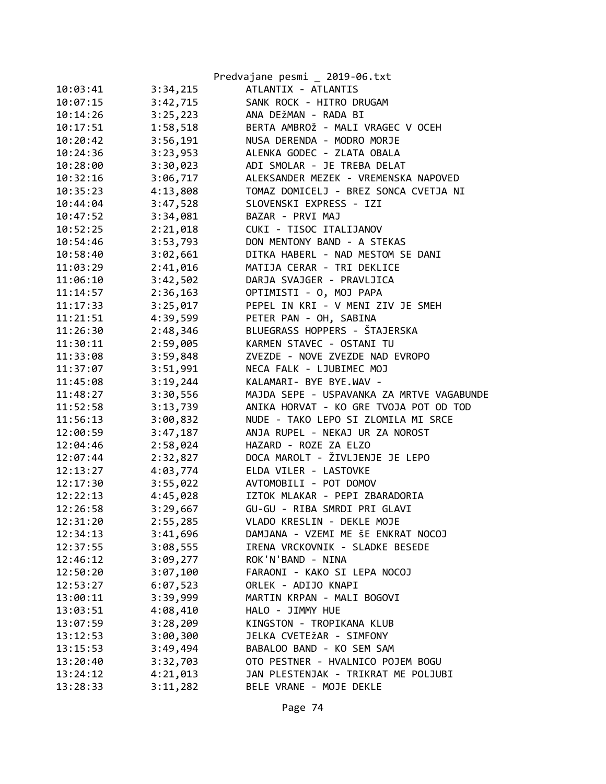|          |          | Predvajane pesmi _ 2019-06.txt            |
|----------|----------|-------------------------------------------|
| 10:03:41 | 3:34,215 | ATLANTIX - ATLANTIS                       |
| 10:07:15 | 3:42,715 | SANK ROCK - HITRO DRUGAM                  |
| 10:14:26 | 3:25,223 | ANA DEŽMAN - RADA BI                      |
| 10:17:51 | 1:58,518 | BERTA AMBROŽ - MALI VRAGEC V OCEH         |
| 10:20:42 | 3:56,191 | NUSA DERENDA - MODRO MORJE                |
| 10:24:36 | 3:23,953 | ALENKA GODEC - ZLATA OBALA                |
| 10:28:00 | 3:30,023 | ADI SMOLAR - JE TREBA DELAT               |
| 10:32:16 | 3:06,717 | ALEKSANDER MEZEK - VREMENSKA NAPOVED      |
| 10:35:23 | 4:13,808 | TOMAZ DOMICELJ - BREZ SONCA CVETJA NI     |
| 10:44:04 | 3:47,528 | SLOVENSKI EXPRESS - IZI                   |
| 10:47:52 | 3:34,081 | BAZAR - PRVI MAJ                          |
| 10:52:25 | 2:21,018 | CUKI - TISOC ITALIJANOV                   |
| 10:54:46 | 3:53,793 | DON MENTONY BAND - A STEKAS               |
| 10:58:40 | 3:02,661 | DITKA HABERL - NAD MESTOM SE DANI         |
| 11:03:29 | 2:41,016 | MATIJA CERAR - TRI DEKLICE                |
| 11:06:10 | 3:42,502 | DARJA SVAJGER - PRAVLJICA                 |
| 11:14:57 | 2:36,163 | OPTIMISTI - O, MOJ PAPA                   |
| 11:17:33 | 3:25,017 | PEPEL IN KRI - V MENI ZIV JE SMEH         |
| 11:21:51 | 4:39,599 | PETER PAN - OH, SABINA                    |
| 11:26:30 | 2:48,346 | BLUEGRASS HOPPERS - ŠTAJERSKA             |
| 11:30:11 | 2:59,005 | KARMEN STAVEC - OSTANI TU                 |
| 11:33:08 | 3:59,848 | ZVEZDE - NOVE ZVEZDE NAD EVROPO           |
| 11:37:07 | 3:51,991 | NECA FALK - LJUBIMEC MOJ                  |
| 11:45:08 | 3:19,244 | KALAMARI- BYE BYE.WAV -                   |
| 11:48:27 | 3:30,556 | MAJDA SEPE - USPAVANKA ZA MRTVE VAGABUNDE |
| 11:52:58 | 3:13,739 | ANIKA HORVAT - KO GRE TVOJA POT OD TOD    |
| 11:56:13 | 3:00,832 | NUDE - TAKO LEPO SI ZLOMILA MI SRCE       |
| 12:00:59 | 3:47,187 | ANJA RUPEL - NEKAJ UR ZA NOROST           |
| 12:04:46 | 2:58,024 | HAZARD - ROZE ZA ELZO                     |
| 12:07:44 | 2:32,827 | DOCA MAROLT - ŽIVLJENJE JE LEPO           |
| 12:13:27 | 4:03,774 | ELDA VILER - LASTOVKE                     |
| 12:17:30 | 3:55,022 | AVTOMOBILI - POT DOMOV                    |
| 12:22:13 | 4:45,028 | IZTOK MLAKAR - PEPI ZBARADORIA            |
| 12:26:58 | 3:29,667 | GU-GU - RIBA SMRDI PRI GLAVI              |
| 12:31:20 | 2:55,285 | VLADO KRESLIN - DEKLE MOJE                |
| 12:34:13 | 3:41,696 | DAMJANA - VZEMI ME ŠE ENKRAT NOCOJ        |
| 12:37:55 | 3:08,555 | IRENA VRCKOVNIK - SLADKE BESEDE           |
| 12:46:12 | 3:09,277 | ROK'N'BAND - NINA                         |
| 12:50:20 | 3:07,100 | FARAONI - KAKO SI LEPA NOCOJ              |
| 12:53:27 | 6:07,523 | ORLEK - ADIJO KNAPI                       |
| 13:00:11 | 3:39,999 | MARTIN KRPAN - MALI BOGOVI                |
| 13:03:51 | 4:08,410 | HALO - JIMMY HUE                          |
| 13:07:59 | 3:28,209 | KINGSTON - TROPIKANA KLUB                 |
| 13:12:53 | 3:00,300 | JELKA CVETEŽAR - SIMFONY                  |
| 13:15:53 | 3:49,494 | BABALOO BAND - KO SEM SAM                 |
| 13:20:40 | 3:32,703 | OTO PESTNER - HVALNICO POJEM BOGU         |
| 13:24:12 | 4:21,013 | JAN PLESTENJAK - TRIKRAT ME POLJUBI       |
| 13:28:33 | 3:11,282 | BELE VRANE - MOJE DEKLE                   |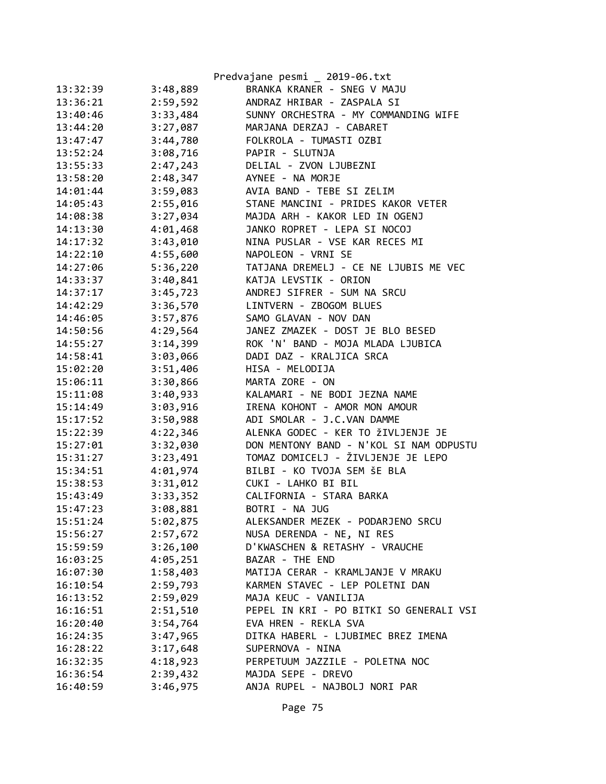|          |          | Predvajane pesmi _ 2019-06.txt          |
|----------|----------|-----------------------------------------|
| 13:32:39 | 3:48,889 | BRANKA KRANER - SNEG V MAJU             |
| 13:36:21 | 2:59,592 | ANDRAZ HRIBAR - ZASPALA SI              |
| 13:40:46 | 3:33,484 | SUNNY ORCHESTRA - MY COMMANDING WIFE    |
| 13:44:20 | 3:27,087 | MARJANA DERZAJ - CABARET                |
| 13:47:47 | 3:44,780 | FOLKROLA - TUMASTI OZBI                 |
| 13:52:24 | 3:08,716 | PAPIR - SLUTNJA                         |
| 13:55:33 | 2:47,243 | DELIAL - ZVON LJUBEZNI                  |
| 13:58:20 | 2:48,347 | AYNEE - NA MORJE                        |
| 14:01:44 | 3:59,083 | AVIA BAND - TEBE SI ZELIM               |
| 14:05:43 | 2:55,016 | STANE MANCINI - PRIDES KAKOR VETER      |
| 14:08:38 | 3:27,034 | MAJDA ARH - KAKOR LED IN OGENJ          |
| 14:13:30 | 4:01,468 | JANKO ROPRET - LEPA SI NOCOJ            |
| 14:17:32 | 3:43,010 | NINA PUSLAR - VSE KAR RECES MI          |
| 14:22:10 | 4:55,600 | NAPOLEON - VRNI SE                      |
| 14:27:06 | 5:36,220 | TATJANA DREMELJ - CE NE LJUBIS ME VEC   |
| 14:33:37 | 3:40,841 | KATJA LEVSTIK - ORION                   |
| 14:37:17 | 3:45,723 | ANDREJ SIFRER - SUM NA SRCU             |
| 14:42:29 | 3:36,570 | LINTVERN - ZBOGOM BLUES                 |
| 14:46:05 | 3:57,876 | SAMO GLAVAN - NOV DAN                   |
| 14:50:56 | 4:29,564 | JANEZ ZMAZEK - DOST JE BLO BESED        |
| 14:55:27 | 3:14,399 | ROK 'N' BAND - MOJA MLADA LJUBICA       |
| 14:58:41 | 3:03,066 | DADI DAZ - KRALJICA SRCA                |
| 15:02:20 | 3:51,406 | HISA - MELODIJA                         |
| 15:06:11 | 3:30,866 | MARTA ZORE - ON                         |
| 15:11:08 | 3:40,933 | KALAMARI - NE BODI JEZNA NAME           |
| 15:14:49 | 3:03,916 | IRENA KOHONT - AMOR MON AMOUR           |
| 15:17:52 | 3:50,988 | ADI SMOLAR - J.C.VAN DAMME              |
| 15:22:39 | 4:22,346 | ALENKA GODEC - KER TO ŽIVLJENJE JE      |
| 15:27:01 | 3:32,030 | DON MENTONY BAND - N'KOL SI NAM ODPUSTU |
| 15:31:27 | 3:23,491 | TOMAZ DOMICELJ - ŽIVLJENJE JE LEPO      |
| 15:34:51 | 4:01,974 | BILBI - KO TVOJA SEM ŠE BLA             |
| 15:38:53 | 3:31,012 | CUKI - LAHKO BI BIL                     |
| 15:43:49 | 3:33,352 | CALIFORNIA - STARA BARKA                |
| 15:47:23 | 3:08,881 | BOTRI - NA JUG                          |
| 15:51:24 | 5:02,875 | ALEKSANDER MEZEK - PODARJENO SRCU       |
| 15:56:27 | 2:57,672 | NUSA DERENDA - NE, NI RES               |
| 15:59:59 | 3:26,100 | D'KWASCHEN & RETASHY - VRAUCHE          |
| 16:03:25 | 4:05,251 | BAZAR - THE END                         |
| 16:07:30 | 1:58,403 | MATIJA CERAR - KRAMLJANJE V MRAKU       |
| 16:10:54 | 2:59,793 | KARMEN STAVEC - LEP POLETNI DAN         |
| 16:13:52 | 2:59,029 | MAJA KEUC - VANILIJA                    |
| 16:16:51 | 2:51,510 | PEPEL IN KRI - PO BITKI SO GENERALI VSI |
| 16:20:40 | 3:54,764 | EVA HREN - REKLA SVA                    |
| 16:24:35 | 3:47,965 | DITKA HABERL - LJUBIMEC BREZ IMENA      |
| 16:28:22 | 3:17,648 | SUPERNOVA - NINA                        |
| 16:32:35 | 4:18,923 | PERPETUUM JAZZILE - POLETNA NOC         |
| 16:36:54 | 2:39,432 | MAJDA SEPE - DREVO                      |
| 16:40:59 | 3:46,975 | ANJA RUPEL - NAJBOLJ NORI PAR           |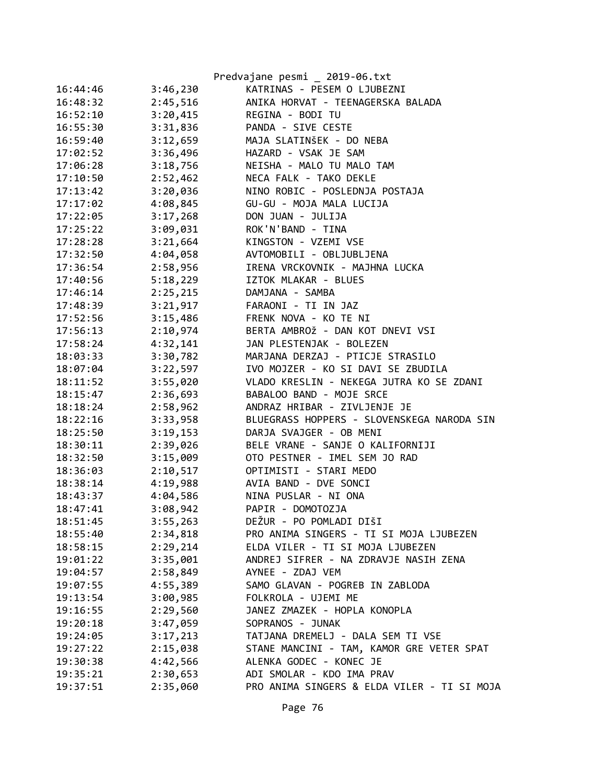|          |          | Predvajane pesmi _ 2019-06.txt              |
|----------|----------|---------------------------------------------|
| 16:44:46 | 3:46,230 | KATRINAS - PESEM O LJUBEZNI                 |
| 16:48:32 | 2:45,516 | ANIKA HORVAT - TEENAGERSKA BALADA           |
| 16:52:10 | 3:20,415 | REGINA - BODI TU                            |
| 16:55:30 | 3:31,836 | PANDA - SIVE CESTE                          |
| 16:59:40 | 3:12,659 | MAJA SLATINŠEK - DO NEBA                    |
| 17:02:52 | 3:36,496 | HAZARD - VSAK JE SAM                        |
| 17:06:28 | 3:18,756 | NEISHA - MALO TU MALO TAM                   |
| 17:10:50 | 2:52,462 | NECA FALK - TAKO DEKLE                      |
| 17:13:42 | 3:20,036 | NINO ROBIC - POSLEDNJA POSTAJA              |
| 17:17:02 | 4:08,845 | GU-GU - MOJA MALA LUCIJA                    |
| 17:22:05 | 3:17,268 | DON JUAN - JULIJA                           |
| 17:25:22 | 3:09,031 | ROK'N'BAND - TINA                           |
| 17:28:28 | 3:21,664 | KINGSTON - VZEMI VSE                        |
| 17:32:50 | 4:04,058 | AVTOMOBILI - OBLJUBLJENA                    |
| 17:36:54 | 2:58,956 | IRENA VRCKOVNIK - MAJHNA LUCKA              |
| 17:40:56 | 5:18,229 | IZTOK MLAKAR - BLUES                        |
| 17:46:14 | 2:25,215 | DAMJANA - SAMBA                             |
| 17:48:39 | 3:21,917 | FARAONI - TI IN JAZ                         |
| 17:52:56 | 3:15,486 | FRENK NOVA - KO TE NI                       |
| 17:56:13 | 2:10,974 | BERTA AMBROŽ - DAN KOT DNEVI VSI            |
| 17:58:24 | 4:32,141 | JAN PLESTENJAK - BOLEZEN                    |
| 18:03:33 | 3:30,782 | MARJANA DERZAJ - PTICJE STRASILO            |
| 18:07:04 | 3:22,597 | IVO MOJZER - KO SI DAVI SE ZBUDILA          |
| 18:11:52 | 3:55,020 | VLADO KRESLIN - NEKEGA JUTRA KO SE ZDANI    |
| 18:15:47 | 2:36,693 | BABALOO BAND - MOJE SRCE                    |
| 18:18:24 | 2:58,962 | ANDRAZ HRIBAR - ZIVLJENJE JE                |
| 18:22:16 | 3:33,958 | BLUEGRASS HOPPERS - SLOVENSKEGA NARODA SIN  |
| 18:25:50 | 3:19,153 | DARJA SVAJGER - OB MENI                     |
| 18:30:11 | 2:39,026 | BELE VRANE - SANJE O KALIFORNIJI            |
| 18:32:50 | 3:15,009 | OTO PESTNER - IMEL SEM JO RAD               |
| 18:36:03 | 2:10,517 | OPTIMISTI - STARI MEDO                      |
| 18:38:14 | 4:19,988 | AVIA BAND - DVE SONCI                       |
| 18:43:37 | 4:04,586 | NINA PUSLAR - NI ONA                        |
| 18:47:41 | 3:08,942 | PAPIR - DOMOTOZJA                           |
| 18:51:45 | 3:55,263 | DEŽUR - PO POMLADI DIŠI                     |
| 18:55:40 | 2:34,818 | PRO ANIMA SINGERS - TI SI MOJA LJUBEZEN     |
| 18:58:15 | 2:29,214 | ELDA VILER - TI SI MOJA LJUBEZEN            |
| 19:01:22 | 3:35,001 | ANDREJ SIFRER - NA ZDRAVJE NASIH ZENA       |
| 19:04:57 | 2:58,849 | AYNEE - ZDAJ VEM                            |
| 19:07:55 | 4:55,389 | SAMO GLAVAN - POGREB IN ZABLODA             |
| 19:13:54 | 3:00,985 | FOLKROLA - UJEMI ME                         |
| 19:16:55 | 2:29,560 | JANEZ ZMAZEK - HOPLA KONOPLA                |
| 19:20:18 | 3:47,059 | SOPRANOS - JUNAK                            |
| 19:24:05 | 3:17,213 | TATJANA DREMELJ - DALA SEM TI VSE           |
| 19:27:22 | 2:15,038 | STANE MANCINI - TAM, KAMOR GRE VETER SPAT   |
| 19:30:38 | 4:42,566 | ALENKA GODEC - KONEC JE                     |
| 19:35:21 | 2:30,653 | ADI SMOLAR - KDO IMA PRAV                   |
| 19:37:51 | 2:35,060 | PRO ANIMA SINGERS & ELDA VILER - TI SI MOJA |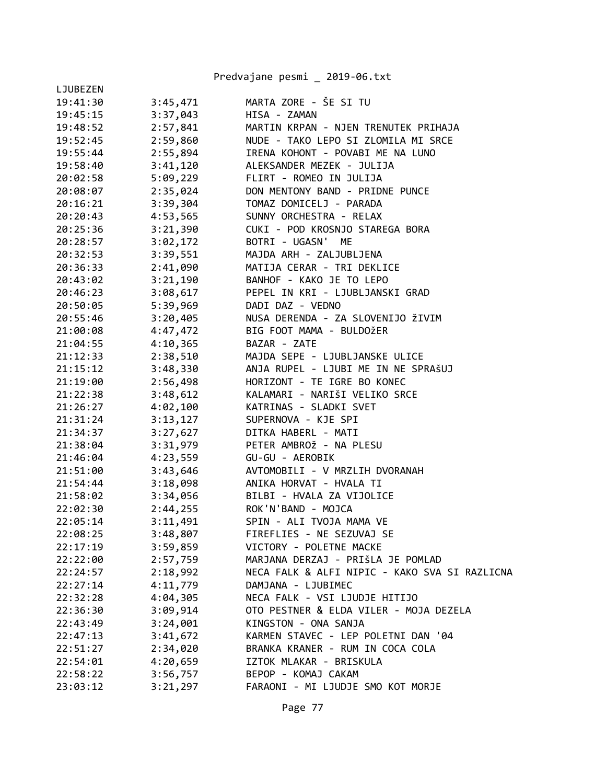|          |          | Predvajane pesmi _ 2019-06.txt                |
|----------|----------|-----------------------------------------------|
| LJUBEZEN |          |                                               |
| 19:41:30 | 3:45,471 | MARTA ZORE - ŠE SI TU                         |
| 19:45:15 | 3:37,043 | HISA - ZAMAN                                  |
| 19:48:52 | 2:57,841 | MARTIN KRPAN - NJEN TRENUTEK PRIHAJA          |
| 19:52:45 | 2:59,860 | NUDE - TAKO LEPO SI ZLOMILA MI SRCE           |
| 19:55:44 | 2:55,894 | IRENA KOHONT - POVABI ME NA LUNO              |
| 19:58:40 | 3:41,120 | ALEKSANDER MEZEK - JULIJA                     |
| 20:02:58 | 5:09,229 | FLIRT - ROMEO IN JULIJA                       |
| 20:08:07 | 2:35,024 | DON MENTONY BAND - PRIDNE PUNCE               |
| 20:16:21 | 3:39,304 | TOMAZ DOMICELJ - PARADA                       |
| 20:20:43 | 4:53,565 | SUNNY ORCHESTRA - RELAX                       |
| 20:25:36 | 3:21,390 | CUKI - POD KROSNJO STAREGA BORA               |
| 20:28:57 | 3:02,172 | BOTRI - UGASN' ME                             |
| 20:32:53 | 3:39,551 | MAJDA ARH - ZALJUBLJENA                       |
| 20:36:33 | 2:41,090 | MATIJA CERAR - TRI DEKLICE                    |
| 20:43:02 | 3:21,190 | BANHOF - KAKO JE TO LEPO                      |
| 20:46:23 | 3:08,617 | PEPEL IN KRI - LJUBLJANSKI GRAD               |
| 20:50:05 | 5:39,969 | DADI DAZ - VEDNO                              |
| 20:55:46 | 3:20,405 | NUSA DERENDA - ZA SLOVENIJO ŽIVIM             |
| 21:00:08 | 4:47,472 | BIG FOOT MAMA - BULDOŽER                      |
| 21:04:55 | 4:10,365 | BAZAR - ZATE                                  |
| 21:12:33 | 2:38,510 | MAJDA SEPE - LJUBLJANSKE ULICE                |
| 21:15:12 | 3:48,330 | ANJA RUPEL - LJUBI ME IN NE SPRAŠUJ           |
| 21:19:00 | 2:56,498 | HORIZONT - TE IGRE BO KONEC                   |
| 21:22:38 | 3:48,612 | KALAMARI - NARIŠI VELIKO SRCE                 |
| 21:26:27 | 4:02,100 | KATRINAS - SLADKI SVET                        |
| 21:31:24 | 3:13,127 | SUPERNOVA - KJE SPI                           |
| 21:34:37 | 3:27,627 | DITKA HABERL - MATI                           |
| 21:38:04 | 3:31,979 | PETER AMBROŽ - NA PLESU                       |
| 21:46:04 | 4:23,559 | GU-GU - AEROBIK                               |
| 21:51:00 | 3:43,646 | AVTOMOBILI - V MRZLIH DVORANAH                |
| 21:54:44 | 3:18,098 | ANIKA HORVAT - HVALA TI                       |
| 21:58:02 | 3:34,056 | BILBI - HVALA ZA VIJOLICE                     |
| 22:02:30 | 2:44,255 | ROK'N'BAND - MOJCA                            |
| 22:05:14 | 3:11,491 | SPIN - ALI TVOJA MAMA VE                      |
| 22:08:25 | 3:48,807 | FIREFLIES - NE SEZUVAJ SE                     |
| 22:17:19 | 3:59,859 | VICTORY - POLETNE MACKE                       |
| 22:22:00 | 2:57,759 | MARJANA DERZAJ - PRIŠLA JE POMLAD             |
| 22:24:57 | 2:18,992 | NECA FALK & ALFI NIPIC - KAKO SVA SI RAZLICNA |
| 22:27:14 | 4:11,779 | DAMJANA - LJUBIMEC                            |
| 22:32:28 | 4:04,305 | NECA FALK - VSI LJUDJE HITIJO                 |
| 22:36:30 | 3:09,914 | OTO PESTNER & ELDA VILER - MOJA DEZELA        |
| 22:43:49 | 3:24,001 | KINGSTON - ONA SANJA                          |
| 22:47:13 | 3:41,672 | KARMEN STAVEC - LEP POLETNI DAN '04           |
| 22:51:27 | 2:34,020 | BRANKA KRANER - RUM IN COCA COLA              |
| 22:54:01 | 4:20,659 | IZTOK MLAKAR - BRISKULA                       |
| 22:58:22 | 3:56,757 | BEPOP - KOMAJ CAKAM                           |
| 23:03:12 | 3:21,297 | FARAONI - MI LJUDJE SMO KOT MORJE             |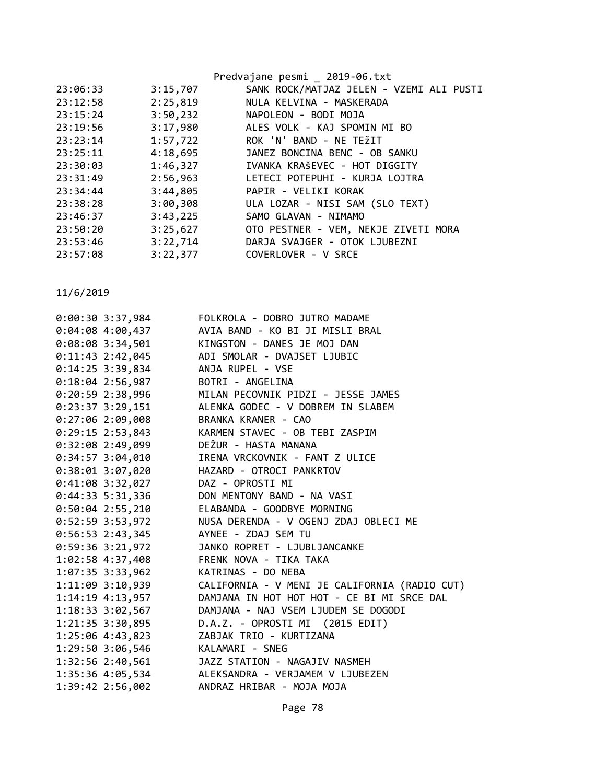|          |          | Predvajane pesmi _ 2019-06.txt           |
|----------|----------|------------------------------------------|
| 23:06:33 | 3:15,707 | SANK ROCK/MATJAZ JELEN - VZEMI ALI PUSTI |
| 23:12:58 | 2:25,819 | NULA KELVINA - MASKERADA                 |
| 23:15:24 | 3:50,232 | NAPOLEON - BODI MOJA                     |
| 23:19:56 | 3:17,980 | ALES VOLK - KAJ SPOMIN MI BO             |
| 23:23:14 | 1:57,722 | ROK 'N' BAND - NE TEŽIT                  |
| 23:25:11 | 4:18,695 | JANEZ BONCINA BENC - OB SANKU            |
| 23:30:03 | 1:46,327 | IVANKA KRAŠEVEC - HOT DIGGITY            |
| 23:31:49 | 2:56,963 | LETECI POTEPUHI - KURJA LOJTRA           |
| 23:34:44 | 3:44,805 | PAPIR - VELIKI KORAK                     |
| 23:38:28 | 3:00,308 | ULA LOZAR - NISI SAM (SLO TEXT)          |
| 23:46:37 | 3:43,225 | SAMO GLAVAN - NIMAMO                     |
| 23:50:20 | 3:25,627 | OTO PESTNER - VEM, NEKJE ZIVETI MORA     |
| 23:53:46 | 3:22,714 | DARJA SVAJGER - OTOK LJUBEZNI            |
| 23:57:08 | 3:22,377 | COVERLOVER - V SRCE                      |
|          |          |                                          |

| $0:00:30$ 3:37,984   | FOLKROLA - DOBRO JUTRO MADAME                       |
|----------------------|-----------------------------------------------------|
| $0:04:08$ 4:00,437   | AVIA BAND - KO BI JI MISLI BRAL                     |
| $0:08:08$ 3:34,501   | KINGSTON - DANES JE MOJ DAN                         |
| $0:11:43$ 2:42,045   | ADI SMOLAR - DVAJSET LJUBIC                         |
| $0:14:25$ 3:39,834   | ANJA RUPEL - VSE                                    |
| $0:18:04$ 2:56,987   | BOTRI - ANGELINA                                    |
| $0:20:59$ 2:38,996   | MILAN PECOVNIK PIDZI - JESSE JAMES                  |
| $0:23:37$ 3:29,151   | ALENKA GODEC - V DOBREM IN SLABEM                   |
| $0:27:06$ 2:09,008   | BRANKA KRANER - CAO                                 |
| $0:29:15$ 2:53,843   | KARMEN STAVEC - OB TEBI ZASPIM                      |
| $0:32:08$ 2:49,099   | DEŽUR - HASTA MANANA                                |
| $0:34:57$ 3:04,010   | IRENA VRCKOVNIK - FANT Z ULICE                      |
| $0:38:01$ 3:07,020   | HAZARD - OTROCI PANKRTOV                            |
| $0:41:08$ 3:32,027   | DAZ - OPROSTI MI                                    |
| $0:44:33 \t5:31,336$ | DON MENTONY BAND - NA VASI                          |
| $0:50:04$ 2:55,210   | ELABANDA - GOODBYE MORNING                          |
| $0:52:59$ 3:53,972   | NUSA DERENDA - V OGENJ ZDAJ OBLECI ME               |
| $0:56:53$ 2:43,345   | AYNEE - ZDAJ SEM TU                                 |
| $0:59:36$ 3:21,972   | JANKO ROPRET - LJUBLJANCANKE                        |
| 1:02:58 4:37,408     | FRENK NOVA - TIKA TAKA                              |
| $1:07:35$ 3:33,962   | KATRINAS - DO NEBA                                  |
| $1:11:09$ 3:10,939   | CALIFORNIA - V MENI JE CALIFORNIA (RADIO CUT)       |
| $1:14:19$ $4:13,957$ | DAMJANA IN HOT HOT HOT - CE BI MI SRCE DAL          |
| 1:18:33 3:02,567     | DAMJANA - NAJ VSEM LJUDEM SE DOGODI                 |
| 1:21:35 3:30,895     | D.A.Z. - OPROSTI MI (2015 EDIT)                     |
| 1:25:06 4:43,823     | ZABJAK TRIO - KURTIZANA                             |
| $1:29:50$ $3:06,546$ | KALAMARI - SNEG                                     |
| 1:32:56 2:40,561     | JAZZ STATION - NAGAJIV NASMEH                       |
|                      | 1:35:36  4:05,534  ALEKSANDRA - VERJAMEM V LJUBEZEN |
| 1:39:42 2:56,002     | ANDRAZ HRIBAR - MOJA MOJA                           |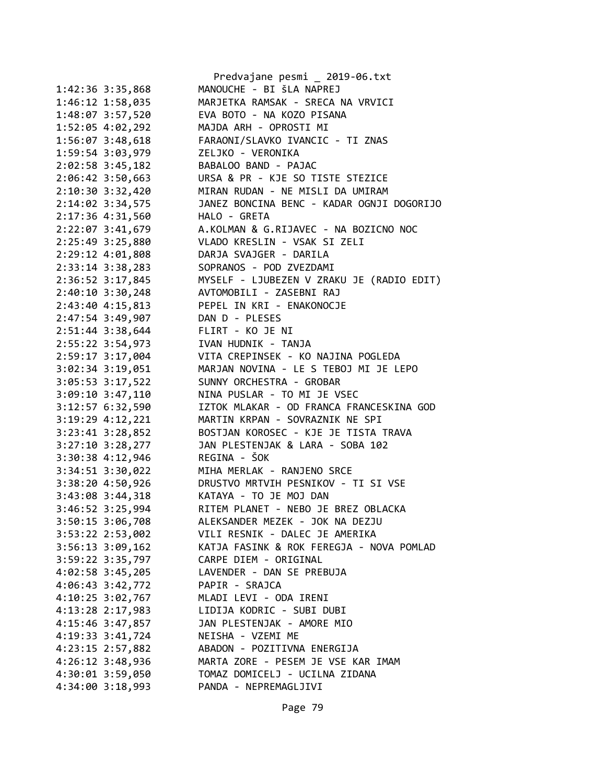|                      | Predvajane pesmi _ 2019-06.txt                                         |
|----------------------|------------------------------------------------------------------------|
| 1:42:36 3:35,868     | MANOUCHE - BI ŠLA NAPREJ                                               |
| 1:46:12 1:58,035     | MARJETKA RAMSAK - SRECA NA VRVICI                                      |
| 1:48:07 3:57,520     | EVA BOTO - NA KOZO PISANA                                              |
| 1:52:05 4:02,292     | MAJDA ARH - OPROSTI MI                                                 |
| 1:56:07 3:48,618     | FARAONI/SLAVKO IVANCIC - TI ZNAS                                       |
| 1:59:54 3:03,979     | ZELJKO - VERONIKA                                                      |
| 2:02:58 3:45,182     | BABALOO BAND - PAJAC                                                   |
| 2:06:42 3:50,663     | URSA & PR - KJE SO TISTE STEZICE                                       |
| 2:10:30 3:32,420     | MIRAN RUDAN - NE MISLI DA UMIRAM                                       |
| 2:14:02 3:34,575     | JANEZ BONCINA BENC - KADAR OGNJI DOGORIJO                              |
| 2:17:36 4:31,560     | HALO - GRETA                                                           |
| 2:22:07 3:41,679     | A.KOLMAN & G.RIJAVEC - NA BOZICNO NOC                                  |
| 2:25:49 3:25,880     | VLADO KRESLIN - VSAK SI ZELI                                           |
| 2:29:12 4:01,808     | DARJA SVAJGER - DARILA                                                 |
| 2:33:14 3:38,283     | SOPRANOS - POD ZVEZDAMI                                                |
| 2:36:52 3:17,845     | MYSELF - LJUBEZEN V ZRAKU JE (RADIO EDIT)                              |
| 2:40:10 3:30,248     | AVTOMOBILI - ZASEBNI RAJ                                               |
| 2:43:40 4:15,813     | PEPEL IN KRI - ENAKONOCJE                                              |
| 2:47:54 3:49,907     | DAN D - PLESES                                                         |
| 2:51:44 3:38,644     | FLIRT - KO JE NI                                                       |
| 2:55:22 3:54,973     | IVAN HUDNIK - TANJA                                                    |
| 2:59:17 3:17,004     | VITA CREPINSEK - KO NAJINA POGLEDA                                     |
| 3:02:34 3:19,051     | MARJAN NOVINA - LE S TEBOJ MI JE LEPO                                  |
| 3:05:53 3:17,522     | SUNNY ORCHESTRA - GROBAR                                               |
| 3:09:10 3:47,110     | NINA PUSLAR - TO MI JE VSEC                                            |
| 3:12:57 6:32,590     | IZTOK MLAKAR - OD FRANCA FRANCESKINA GOD                               |
| 3:19:29 4:12,221     | MARTIN KRPAN - SOVRAZNIK NE SPI                                        |
| 3:23:41 3:28,852     | BOSTJAN KOROSEC - KJE JE TISTA TRAVA                                   |
| 3:27:10 3:28,277     | JAN PLESTENJAK & LARA - SOBA 102                                       |
| 3:30:38 4:12,946     | REGINA - ŠOK                                                           |
| 3:34:51 3:30,022     | MIHA MERLAK - RANJENO SRCE                                             |
|                      | DRUSTVO MRTVIH PESNIKOV - TI SI VSE                                    |
| 3:38:20 4:50,926     |                                                                        |
| 3:43:08 3:44,318     | KATAYA - TO JE MOJ DAN                                                 |
| 3:46:52 3:25,994     | RITEM PLANET - NEBO JE BREZ OBLACKA<br>ALEKSANDER MEZEK - JOK NA DEZJU |
| 3:50:15 3:06,708     |                                                                        |
| 3:53:22 2:53,002     | VILI RESNIK - DALEC JE AMERIKA                                         |
| $3:56:13$ $3:09,162$ | KATJA FASINK & ROK FEREGJA - NOVA POMLAD                               |
| 3:59:22 3:35,797     | CARPE DIEM - ORIGINAL                                                  |
| 4:02:58 3:45,205     | LAVENDER - DAN SE PREBUJA                                              |
| $4:06:43$ 3:42,772   | PAPIR - SRAJCA                                                         |
| $4:10:25$ 3:02,767   | MLADI LEVI - ODA IRENI                                                 |
| 4:13:28 2:17,983     | LIDIJA KODRIC - SUBI DUBI                                              |
| 4:15:46 3:47,857     | JAN PLESTENJAK - AMORE MIO                                             |
| 4:19:33 3:41,724     | NEISHA - VZEMI ME                                                      |
| 4:23:15 2:57,882     | ABADON - POZITIVNA ENERGIJA                                            |
| 4:26:12 3:48,936     | MARTA ZORE - PESEM JE VSE KAR IMAM                                     |
| 4:30:01 3:59,050     | TOMAZ DOMICELJ - UCILNA ZIDANA                                         |
| 4:34:00 3:18,993     | PANDA - NEPREMAGLJIVI                                                  |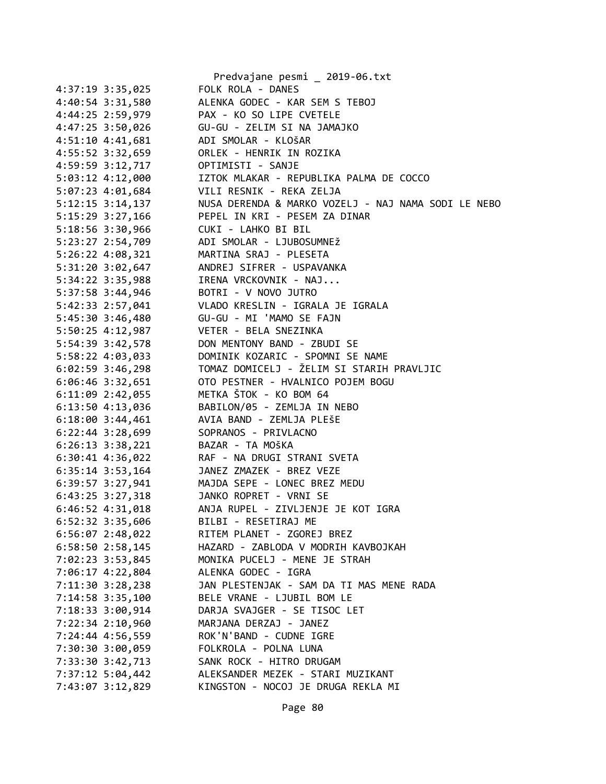|                                      | Predvajane pesmi _ 2019-06.txt                      |
|--------------------------------------|-----------------------------------------------------|
| 4:37:19 3:35,025                     | FOLK ROLA - DANES                                   |
| 4:40:54 3:31,580                     | ALENKA GODEC - KAR SEM S TEBOJ                      |
| 4:44:25 2:59,979                     | PAX - KO SO LIPE CVETELE                            |
| 4:47:25 3:50,026                     | GU-GU - ZELIM SI NA JAMAJKO                         |
| 4:51:10 4:41,681                     | ADI SMOLAR - KLOŠAR                                 |
| 4:55:52 3:32,659                     | ORLEK - HENRIK IN ROZIKA                            |
| 4:59:59 3:12,717                     | OPTIMISTI - SANJE                                   |
| 5:03:12 4:12,000                     | IZTOK MLAKAR - REPUBLIKA PALMA DE COCCO             |
| 5:07:23 4:01,684                     | VILI RESNIK - REKA ZELJA                            |
| $5:12:15$ 3:14,137                   | NUSA DERENDA & MARKO VOZELJ - NAJ NAMA SODI LE NEBO |
| 5:15:29 3:27,166                     | PEPEL IN KRI - PESEM ZA DINAR                       |
| 5:18:56 3:30,966                     | CUKI - LAHKO BI BIL                                 |
| 5:23:27 2:54,709                     | ADI SMOLAR - LJUBOSUMNEŽ                            |
| 5:26:22 4:08,321                     | MARTINA SRAJ - PLESETA                              |
| 5:31:20 3:02,647                     | ANDREJ SIFRER - USPAVANKA                           |
| 5:34:22 3:35,988                     | IRENA VRCKOVNIK - NAJ                               |
| 5:37:58 3:44,946                     | BOTRI - V NOVO JUTRO                                |
| 5:42:33 2:57,041                     | VLADO KRESLIN - IGRALA JE IGRALA                    |
| 5:45:30 3:46,480                     | GU-GU - MI 'MAMO SE FAJN                            |
| 5:50:25 4:12,987                     | VETER - BELA SNEZINKA                               |
| 5:54:39 3:42,578                     | DON MENTONY BAND - ZBUDI SE                         |
| 5:58:22 4:03,033                     | DOMINIK KOZARIC - SPOMNI SE NAME                    |
| 6:02:59 3:46,298                     | TOMAZ DOMICELJ - ŽELIM SI STARIH PRAVLJIC           |
| $6:06:46$ 3:32,651                   | OTO PESTNER - HVALNICO POJEM BOGU                   |
| $6:11:09$ 2:42,055                   | METKA ŠTOK - KO BOM 64                              |
| 6:13:50 4:13,036                     | BABILON/05 - ZEMLJA IN NEBO                         |
| $6:18:00$ 3:44,461                   | AVIA BAND - ZEMLJA PLEŠE                            |
| 6:22:44 3:28,699                     | SOPRANOS - PRIVLACNO                                |
| $6:26:13$ $3:38,221$                 | BAZAR - TA MOŠKA                                    |
| $6:30:41$ $4:36,022$                 | RAF - NA DRUGI STRANI SVETA                         |
| $6:35:14$ 3:53,164                   | JANEZ ZMAZEK - BREZ VEZE                            |
| $6:39:57$ $3:27,941$                 | MAJDA SEPE - LONEC BREZ MEDU                        |
| $6:43:25$ $3:27,318$                 | JANKO ROPRET - VRNI SE                              |
| $6:46:52$ $4:31,018$                 | ANJA RUPEL - ZIVLJENJE JE KOT IGRA                  |
| 6:52:32 3:35,606                     | BILBI - RESETIRAJ ME                                |
| 6:56:07 2:48,022                     | RITEM PLANET - ZGOREJ BREZ                          |
| $6:58:50$ 2:58,145                   | HAZARD - ZABLODA V MODRIH KAVBOJKAH                 |
|                                      | MONIKA PUCELJ - MENE JE STRAH                       |
| 7:02:23 3:53,845<br>7:06:17 4:22,804 | ALENKA GODEC - IGRA                                 |
| 7:11:30 3:28,238                     | JAN PLESTENJAK - SAM DA TI MAS MENE RADA            |
|                                      | BELE VRANE - LJUBIL BOM LE                          |
| 7:14:58 3:35,100                     |                                                     |
| 7:18:33 3:00,914                     | DARJA SVAJGER - SE TISOC LET                        |
| 7:22:34 2:10,960                     | MARJANA DERZAJ - JANEZ                              |
| 7:24:44 4:56,559                     | ROK'N'BAND - CUDNE IGRE                             |
| 7:30:30 3:00,059                     | FOLKROLA - POLNA LUNA                               |
| 7:33:30 3:42,713                     | SANK ROCK - HITRO DRUGAM                            |
| 7:37:12 5:04,442                     | ALEKSANDER MEZEK - STARI MUZIKANT                   |
| 7:43:07 3:12,829                     | KINGSTON - NOCOJ JE DRUGA REKLA MI                  |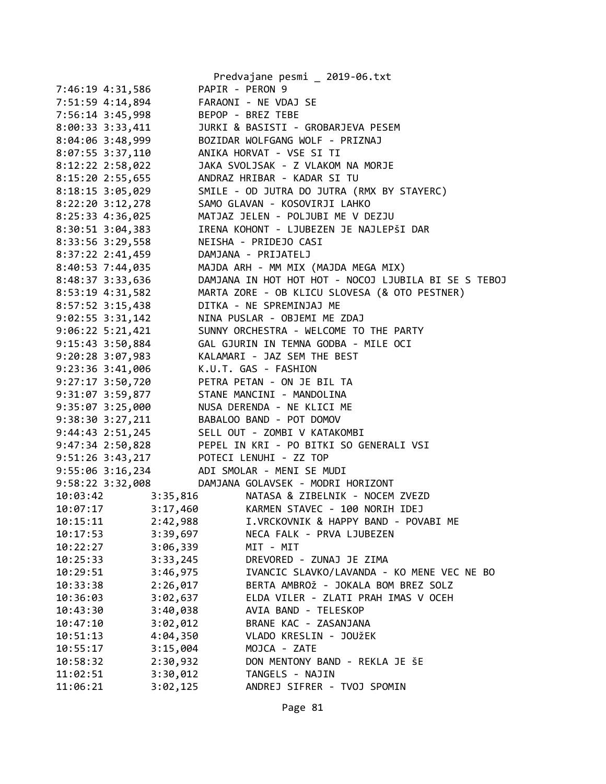|                                         |          | Predvajane pesmi _ 2019-06.txt                       |
|-----------------------------------------|----------|------------------------------------------------------|
| 7:46:19 4:31,586                        |          | PAPIR - PERON 9                                      |
| 7:51:59 4:14,894                        |          | FARAONI - NE VDAJ SE                                 |
| 7:56:14 3:45,998                        |          | BEPOP - BREZ TEBE                                    |
| $8:00:33$ 3:33,411                      |          | JURKI & BASISTI - GROBARJEVA PESEM                   |
| $8:04:06$ 3:48,999                      |          | BOZIDAR WOLFGANG WOLF - PRIZNAJ                      |
| $8:07:55$ 3:37,110                      |          | ANIKA HORVAT - VSE SI TI                             |
| 8:12:22 2:58,022                        |          | JAKA SVOLJSAK - Z VLAKOM NA MORJE                    |
| $8:15:20$ 2:55,655                      |          | ANDRAZ HRIBAR - KADAR SI TU                          |
| $8:18:15$ 3:05,029                      |          | SMILE - OD JUTRA DO JUTRA (RMX BY STAYERC)           |
| 8:22:20 3:12,278                        |          | SAMO GLAVAN - KOSOVIRJI LAHKO                        |
| 8:25:33 4:36,025                        |          | MATJAZ JELEN - POLJUBI ME V DEZJU                    |
| 8:30:51 3:04,383                        |          | IRENA KOHONT - LJUBEZEN JE NAJLEPŠI DAR              |
| 8:33:56 3:29,558                        |          | NEISHA - PRIDEJO CASI                                |
| 8:37:22 2:41,459                        |          | DAMJANA - PRIJATELJ                                  |
| 8:40:53 7:44,035                        |          | MAJDA ARH - MM MIX (MAJDA MEGA MIX)                  |
| 8:48:37 3:33,636                        |          | DAMJANA IN HOT HOT HOT - NOCOJ LJUBILA BI SE S TEBOJ |
| 8:53:19 4:31,582                        |          | MARTA ZORE - OB KLICU SLOVESA (& OTO PESTNER)        |
| 8:57:52 3:15,438                        |          | DITKA - NE SPREMINJAJ ME                             |
| $9:02:55$ $3:31,142$                    |          | NINA PUSLAR - OBJEMI ME ZDAJ                         |
| $9:06:22$ 5:21,421                      |          | SUNNY ORCHESTRA - WELCOME TO THE PARTY               |
| 9:15:43 3:50,884                        |          | GAL GJURIN IN TEMNA GODBA - MILE OCI                 |
| 9:20:28 3:07,983                        |          | KALAMARI - JAZ SEM THE BEST                          |
| 9:23:36 3:41,006                        |          | K.U.T. GAS - FASHION                                 |
| 9:27:17 3:50,720                        |          | PETRA PETAN - ON JE BIL TA                           |
| 9:31:07 3:59,877                        |          | STANE MANCINI - MANDOLINA                            |
| 9:35:07 3:25,000                        |          | NUSA DERENDA - NE KLICI ME                           |
| 9:38:30 3:27,211                        |          | BABALOO BAND - POT DOMOV                             |
| $9:44:43$ $2:51,245$                    |          | SELL OUT - ZOMBI V KATAKOMBI                         |
| 9:47:34 2:50,828                        |          | PEPEL IN KRI - PO BITKI SO GENERALI VSI              |
| 9:51:26 3:43,217 POTECI LENUHI - ZZ TOP |          |                                                      |
|                                         |          | 9:55:06 3:16,234 ADI SMOLAR - MENI SE MUDI           |
| 9:58:22 3:32,008                        |          | DAMJANA GOLAVSEK - MODRI HORIZONT                    |
| 10:03:42                                | 3:35,816 | NATASA & ZIBELNIK - NOCEM ZVEZD                      |
| 10:07:17                                |          | 3:17,460 KARMEN STAVEC - 100 NORIH IDEJ              |
| 10:15:11                                | 2:42,988 | I.VRCKOVNIK & HAPPY BAND - POVABI ME                 |
| 10:17:53                                | 3:39,697 | NECA FALK - PRVA LJUBEZEN                            |
| 10:22:27                                | 3:06,339 | MIT - MIT                                            |
| 10:25:33                                | 3:33,245 | DREVORED - ZUNAJ JE ZIMA                             |
| 10:29:51                                | 3:46,975 | IVANCIC SLAVKO/LAVANDA - KO MENE VEC NE BO           |
| 10:33:38                                | 2:26,017 | BERTA AMBROŽ - JOKALA BOM BREZ SOLZ                  |
| 10:36:03                                | 3:02,637 | ELDA VILER - ZLATI PRAH IMAS V OCEH                  |
| 10:43:30                                | 3:40,038 | AVIA BAND - TELESKOP                                 |
| 10:47:10                                | 3:02,012 | BRANE KAC - ZASANJANA                                |
| 10:51:13                                | 4:04,350 | VLADO KRESLIN - JOUŽEK                               |
| 10:55:17                                | 3:15,004 | MOJCA - ZATE                                         |
| 10:58:32                                | 2:30,932 | DON MENTONY BAND - REKLA JE ŠE                       |
| 11:02:51                                | 3:30,012 | TANGELS - NAJIN                                      |
| 11:06:21                                | 3:02,125 | ANDREJ SIFRER - TVOJ SPOMIN                          |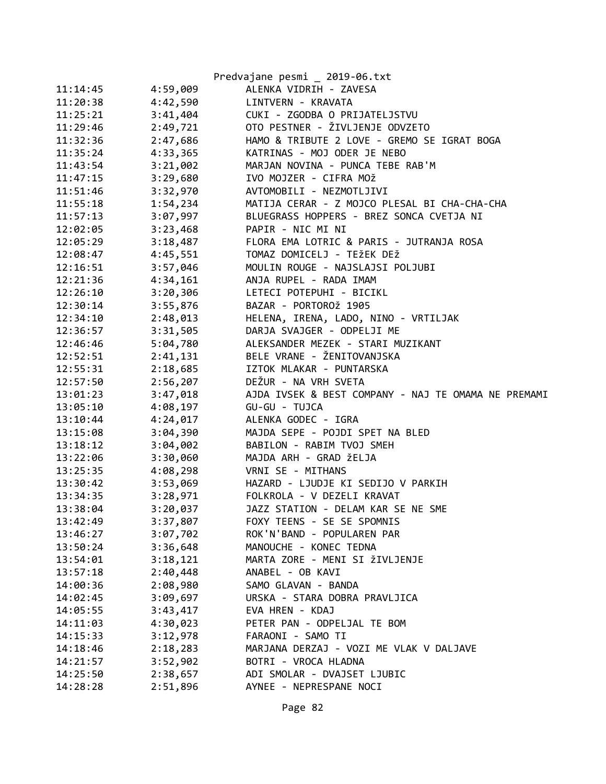|          |          | Predvajane pesmi _ 2019-06.txt                      |
|----------|----------|-----------------------------------------------------|
| 11:14:45 | 4:59,009 | ALENKA VIDRIH - ZAVESA                              |
| 11:20:38 | 4:42,590 | LINTVERN - KRAVATA                                  |
| 11:25:21 | 3:41,404 | CUKI - ZGODBA O PRIJATELJSTVU                       |
| 11:29:46 | 2:49,721 | OTO PESTNER - ŽIVLJENJE ODVZETO                     |
| 11:32:36 | 2:47,686 | HAMO & TRIBUTE 2 LOVE - GREMO SE IGRAT BOGA         |
| 11:35:24 | 4:33,365 | KATRINAS - MOJ ODER JE NEBO                         |
| 11:43:54 | 3:21,002 | MARJAN NOVINA - PUNCA TEBE RAB'M                    |
| 11:47:15 | 3:29,680 | IVO MOJZER - CIFRA MOŽ                              |
| 11:51:46 | 3:32,970 | AVTOMOBILI - NEZMOTLJIVI                            |
| 11:55:18 | 1:54,234 | MATIJA CERAR - Z MOJCO PLESAL BI CHA-CHA-CHA        |
| 11:57:13 | 3:07,997 | BLUEGRASS HOPPERS - BREZ SONCA CVETJA NI            |
| 12:02:05 | 3:23,468 | PAPIR - NIC MI NI                                   |
| 12:05:29 | 3:18,487 | FLORA EMA LOTRIC & PARIS - JUTRANJA ROSA            |
| 12:08:47 | 4:45,551 | TOMAZ DOMICELJ - TEŽEK DEŽ                          |
| 12:16:51 | 3:57,046 | MOULIN ROUGE - NAJSLAJSI POLJUBI                    |
| 12:21:36 | 4:34,161 | ANJA RUPEL - RADA IMAM                              |
| 12:26:10 | 3:20,306 | LETECI POTEPUHI - BICIKL                            |
| 12:30:14 | 3:55,876 | BAZAR - PORTOROŽ 1905                               |
| 12:34:10 | 2:48,013 | HELENA, IRENA, LADO, NINO - VRTILJAK                |
| 12:36:57 | 3:31,505 | DARJA SVAJGER - ODPELJI ME                          |
| 12:46:46 | 5:04,780 | ALEKSANDER MEZEK - STARI MUZIKANT                   |
| 12:52:51 | 2:41,131 | BELE VRANE - ŽENITOVANJSKA                          |
| 12:55:31 | 2:18,685 | IZTOK MLAKAR - PUNTARSKA                            |
| 12:57:50 | 2:56,207 | DEŽUR - NA VRH SVETA                                |
| 13:01:23 | 3:47,018 | AJDA IVSEK & BEST COMPANY - NAJ TE OMAMA NE PREMAMI |
| 13:05:10 | 4:08,197 | GU-GU - TUJCA                                       |
| 13:10:44 | 4:24,017 | ALENKA GODEC - IGRA                                 |
| 13:15:08 | 3:04,390 | MAJDA SEPE - POJDI SPET NA BLED                     |
| 13:18:12 | 3:04,002 | BABILON - RABIM TVOJ SMEH                           |
| 13:22:06 | 3:30,060 | MAJDA ARH - GRAD ŽELJA                              |
| 13:25:35 | 4:08,298 | VRNI SE - MITHANS                                   |
| 13:30:42 | 3:53,069 | HAZARD - LJUDJE KI SEDIJO V PARKIH                  |
| 13:34:35 |          | 3:28,971 FOLKROLA - V DEZELI KRAVAT                 |
| 13:38:04 | 3:20,037 | JAZZ STATION - DELAM KAR SE NE SME                  |
| 13:42:49 | 3:37,807 | FOXY TEENS - SE SE SPOMNIS                          |
| 13:46:27 | 3:07,702 | ROK'N'BAND - POPULAREN PAR                          |
| 13:50:24 | 3:36,648 | MANOUCHE - KONEC TEDNA                              |
| 13:54:01 | 3:18,121 | MARTA ZORE - MENI SI ŽIVLJENJE                      |
| 13:57:18 | 2:40,448 | ANABEL - OB KAVI                                    |
| 14:00:36 | 2:08,980 | SAMO GLAVAN - BANDA                                 |
| 14:02:45 | 3:09,697 | URSKA - STARA DOBRA PRAVLJICA                       |
| 14:05:55 | 3:43,417 | EVA HREN - KDAJ                                     |
| 14:11:03 | 4:30,023 | PETER PAN - ODPELJAL TE BOM                         |
| 14:15:33 | 3:12,978 | FARAONI - SAMO TI                                   |
| 14:18:46 | 2:18,283 | MARJANA DERZAJ - VOZI ME VLAK V DALJAVE             |
| 14:21:57 | 3:52,902 | BOTRI - VROCA HLADNA                                |
| 14:25:50 | 2:38,657 | ADI SMOLAR - DVAJSET LJUBIC                         |
| 14:28:28 | 2:51,896 | AYNEE - NEPRESPANE NOCI                             |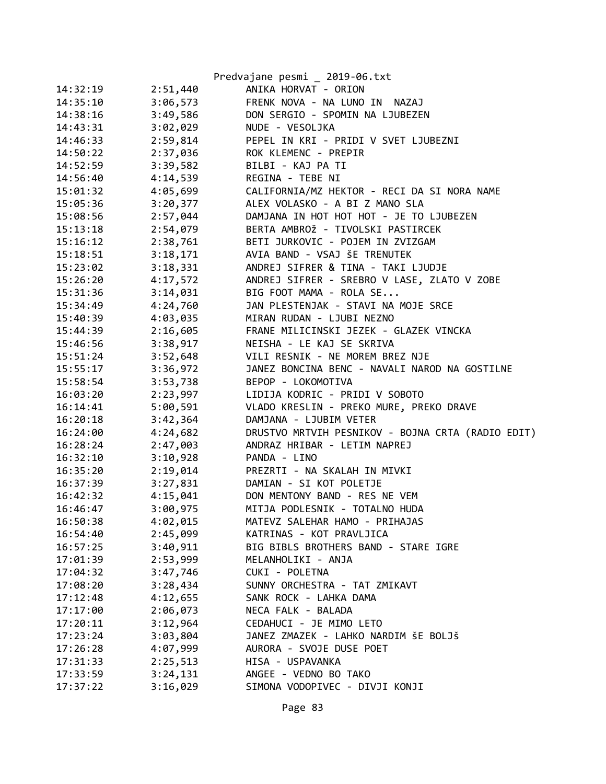|          |          | Predvajane pesmi _ 2019-06.txt                    |
|----------|----------|---------------------------------------------------|
| 14:32:19 | 2:51,440 | ANIKA HORVAT - ORION                              |
| 14:35:10 | 3:06,573 | FRENK NOVA - NA LUNO IN<br>NAZAJ                  |
| 14:38:16 | 3:49,586 | DON SERGIO - SPOMIN NA LJUBEZEN                   |
| 14:43:31 | 3:02,029 | NUDE - VESOLJKA                                   |
| 14:46:33 | 2:59,814 | PEPEL IN KRI - PRIDI V SVET LJUBEZNI              |
| 14:50:22 | 2:37,036 | ROK KLEMENC - PREPIR                              |
| 14:52:59 | 3:39,582 | BILBI - KAJ PA TI                                 |
| 14:56:40 | 4:14,539 | REGINA - TEBE NI                                  |
| 15:01:32 | 4:05,699 | CALIFORNIA/MZ HEKTOR - RECI DA SI NORA NAME       |
| 15:05:36 | 3:20,377 | ALEX VOLASKO - A BI Z MANO SLA                    |
| 15:08:56 | 2:57,044 | DAMJANA IN HOT HOT HOT - JE TO LJUBEZEN           |
| 15:13:18 | 2:54,079 | BERTA AMBROŽ - TIVOLSKI PASTIRCEK                 |
| 15:16:12 | 2:38,761 | BETI JURKOVIC - POJEM IN ZVIZGAM                  |
| 15:18:51 | 3:18,171 | AVIA BAND - VSAJ ŠE TRENUTEK                      |
| 15:23:02 | 3:18,331 | ANDREJ SIFRER & TINA - TAKI LJUDJE                |
| 15:26:20 | 4:17,572 | ANDREJ SIFRER - SREBRO V LASE, ZLATO V ZOBE       |
| 15:31:36 | 3:14,031 | BIG FOOT MAMA - ROLA SE                           |
| 15:34:49 | 4:24,760 | JAN PLESTENJAK - STAVI NA MOJE SRCE               |
| 15:40:39 | 4:03,035 | MIRAN RUDAN - LJUBI NEZNO                         |
| 15:44:39 | 2:16,605 | FRANE MILICINSKI JEZEK - GLAZEK VINCKA            |
| 15:46:56 | 3:38,917 | NEISHA - LE KAJ SE SKRIVA                         |
| 15:51:24 | 3:52,648 | VILI RESNIK - NE MOREM BREZ NJE                   |
| 15:55:17 | 3:36,972 | JANEZ BONCINA BENC - NAVALI NAROD NA GOSTILNE     |
| 15:58:54 | 3:53,738 | BEPOP - LOKOMOTIVA                                |
| 16:03:20 | 2:23,997 | LIDIJA KODRIC - PRIDI V SOBOTO                    |
| 16:14:41 | 5:00,591 | VLADO KRESLIN - PREKO MURE, PREKO DRAVE           |
| 16:20:18 | 3:42,364 | DAMJANA - LJUBIM VETER                            |
| 16:24:00 | 4:24,682 | DRUSTVO MRTVIH PESNIKOV - BOJNA CRTA (RADIO EDIT) |
| 16:28:24 | 2:47,003 | ANDRAZ HRIBAR - LETIM NAPREJ                      |
| 16:32:10 | 3:10,928 | PANDA - LINO                                      |
| 16:35:20 | 2:19,014 | PREZRTI - NA SKALAH IN MIVKI                      |
| 16:37:39 | 3:27,831 | DAMIAN - SI KOT POLETJE                           |
| 16:42:32 | 4:15,041 | DON MENTONY BAND - RES NE VEM                     |
| 16:46:47 | 3:00,975 | MITJA PODLESNIK - TOTALNO HUDA                    |
| 16:50:38 | 4:02,015 | MATEVZ SALEHAR HAMO - PRIHAJAS                    |
| 16:54:40 | 2:45,099 | KATRINAS - KOT PRAVLJICA                          |
| 16:57:25 | 3:40,911 | BIG BIBLS BROTHERS BAND - STARE IGRE              |
| 17:01:39 | 2:53,999 | MELANHOLIKI - ANJA                                |
| 17:04:32 | 3:47,746 | CUKI - POLETNA                                    |
| 17:08:20 | 3:28,434 | SUNNY ORCHESTRA - TAT ZMIKAVT                     |
| 17:12:48 | 4:12,655 | SANK ROCK - LAHKA DAMA                            |
| 17:17:00 | 2:06,073 | NECA FALK - BALADA                                |
| 17:20:11 | 3:12,964 | CEDAHUCI - JE MIMO LETO                           |
| 17:23:24 | 3:03,804 | JANEZ ZMAZEK - LAHKO NARDIM ŠE BOLJŠ              |
| 17:26:28 | 4:07,999 | AURORA - SVOJE DUSE POET                          |
| 17:31:33 | 2:25,513 | HISA - USPAVANKA                                  |
| 17:33:59 | 3:24,131 | ANGEE - VEDNO BO TAKO                             |
| 17:37:22 | 3:16,029 | SIMONA VODOPIVEC - DIVJI KONJI                    |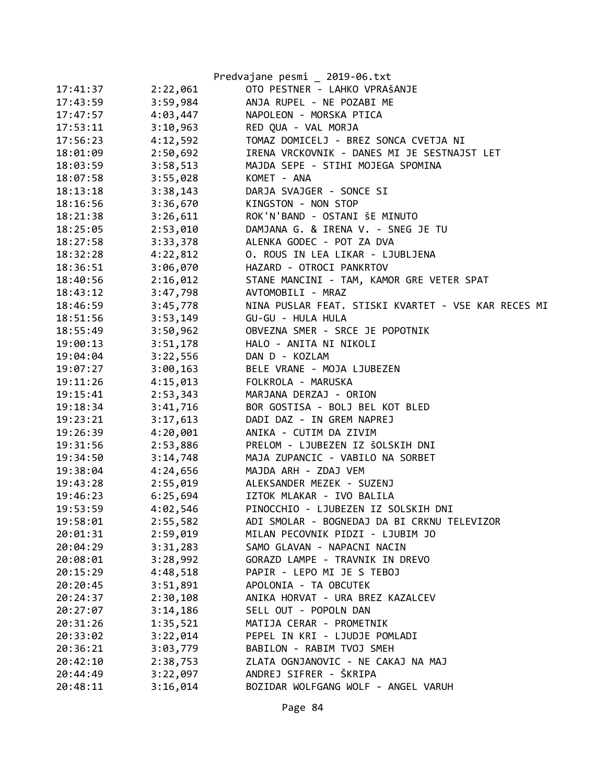|          |          | Predvajane pesmi _ 2019-06.txt                      |
|----------|----------|-----------------------------------------------------|
| 17:41:37 | 2:22,061 | OTO PESTNER - LAHKO VPRAŠANJE                       |
| 17:43:59 | 3:59,984 | ANJA RUPEL - NE POZABI ME                           |
| 17:47:57 | 4:03,447 | NAPOLEON - MORSKA PTICA                             |
| 17:53:11 | 3:10,963 | RED QUA - VAL MORJA                                 |
| 17:56:23 | 4:12,592 | TOMAZ DOMICELJ - BREZ SONCA CVETJA NI               |
| 18:01:09 | 2:50,692 | IRENA VRCKOVNIK - DANES MI JE SESTNAJST LET         |
| 18:03:59 | 3:58,513 | MAJDA SEPE - STIHI MOJEGA SPOMINA                   |
| 18:07:58 | 3:55,028 | KOMET - ANA                                         |
| 18:13:18 | 3:38,143 | DARJA SVAJGER - SONCE SI                            |
| 18:16:56 | 3:36,670 | KINGSTON - NON STOP                                 |
| 18:21:38 | 3:26,611 | ROK'N'BAND - OSTANI ŠE MINUTO                       |
| 18:25:05 | 2:53,010 | DAMJANA G. & IRENA V. - SNEG JE TU                  |
| 18:27:58 | 3:33,378 | ALENKA GODEC - POT ZA DVA                           |
| 18:32:28 | 4:22,812 | O. ROUS IN LEA LIKAR - LJUBLJENA                    |
| 18:36:51 | 3:06,070 | HAZARD - OTROCI PANKRTOV                            |
| 18:40:56 | 2:16,012 | STANE MANCINI - TAM, KAMOR GRE VETER SPAT           |
| 18:43:12 | 3:47,798 | AVTOMOBILI - MRAZ                                   |
| 18:46:59 | 3:45,778 | NINA PUSLAR FEAT. STISKI KVARTET - VSE KAR RECES MI |
| 18:51:56 | 3:53,149 | GU-GU - HULA HULA                                   |
| 18:55:49 | 3:50,962 | OBVEZNA SMER - SRCE JE POPOTNIK                     |
| 19:00:13 | 3:51,178 | HALO - ANITA NI NIKOLI                              |
| 19:04:04 | 3:22,556 | DAN D - KOZLAM                                      |
| 19:07:27 | 3:00,163 | BELE VRANE - MOJA LJUBEZEN                          |
| 19:11:26 | 4:15,013 | FOLKROLA - MARUSKA                                  |
| 19:15:41 | 2:53,343 | MARJANA DERZAJ - ORION                              |
| 19:18:34 | 3:41,716 | BOR GOSTISA - BOLJ BEL KOT BLED                     |
| 19:23:21 | 3:17,613 | DADI DAZ - IN GREM NAPREJ                           |
| 19:26:39 | 4:20,001 | ANIKA - CUTIM DA ZIVIM                              |
| 19:31:56 | 2:53,886 | PRELOM - LJUBEZEN IZ ŠOLSKIH DNI                    |
| 19:34:50 | 3:14,748 | MAJA ZUPANCIC - VABILO NA SORBET                    |
| 19:38:04 | 4:24,656 | MAJDA ARH - ZDAJ VEM                                |
| 19:43:28 | 2:55,019 | ALEKSANDER MEZEK - SUZENJ                           |
| 19:46:23 | 6:25,694 | IZTOK MLAKAR - IVO BALILA                           |
| 19:53:59 | 4:02,546 | PINOCCHIO - LJUBEZEN IZ SOLSKIH DNI                 |
| 19:58:01 | 2:55,582 | ADI SMOLAR - BOGNEDAJ DA BI CRKNU TELEVIZOR         |
| 20:01:31 | 2:59,019 | MILAN PECOVNIK PIDZI - LJUBIM JO                    |
| 20:04:29 | 3:31,283 | SAMO GLAVAN - NAPACNI NACIN                         |
| 20:08:01 | 3:28,992 | GORAZD LAMPE - TRAVNIK IN DREVO                     |
| 20:15:29 | 4:48,518 | PAPIR - LEPO MI JE S TEBOJ                          |
| 20:20:45 | 3:51,891 | APOLONIA - TA OBCUTEK                               |
| 20:24:37 | 2:30,108 | ANIKA HORVAT - URA BREZ KAZALCEV                    |
| 20:27:07 | 3:14,186 | SELL OUT - POPOLN DAN                               |
| 20:31:26 | 1:35,521 | MATIJA CERAR - PROMETNIK                            |
| 20:33:02 | 3:22,014 | PEPEL IN KRI - LJUDJE POMLADI                       |
| 20:36:21 | 3:03,779 | BABILON - RABIM TVOJ SMEH                           |
| 20:42:10 | 2:38,753 | ZLATA OGNJANOVIC - NE CAKAJ NA MAJ                  |
| 20:44:49 | 3:22,097 | ANDREJ SIFRER - ŠKRIPA                              |
| 20:48:11 | 3:16,014 | BOZIDAR WOLFGANG WOLF - ANGEL VARUH                 |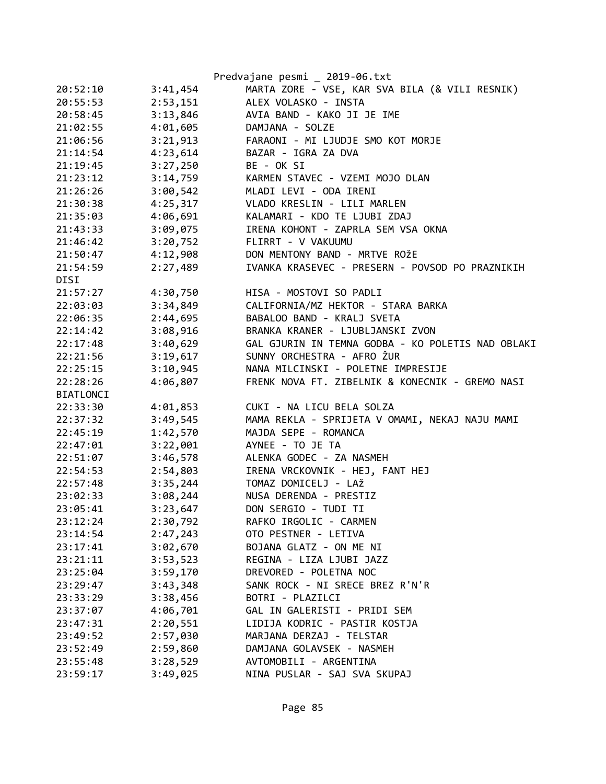|                      | Predvajane pesmi _ 2019-06.txt                    |
|----------------------|---------------------------------------------------|
| 3:41,454<br>20:52:10 | MARTA ZORE - VSE, KAR SVA BILA (& VILI RESNIK)    |
| 20:55:53<br>2:53,151 | ALEX VOLASKO - INSTA                              |
| 20:58:45<br>3:13,846 | AVIA BAND - KAKO JI JE IME                        |
| 4:01,605<br>21:02:55 | DAMJANA - SOLZE                                   |
| 3:21,913<br>21:06:56 | FARAONI - MI LJUDJE SMO KOT MORJE                 |
| 4:23,614<br>21:14:54 | BAZAR - IGRA ZA DVA                               |
| 3:27,250<br>21:19:45 | BE - OK SI                                        |
| 3:14,759<br>21:23:12 | KARMEN STAVEC - VZEMI MOJO DLAN                   |
| 3:00,542<br>21:26:26 | MLADI LEVI - ODA IRENI                            |
| 4:25,317<br>21:30:38 | VLADO KRESLIN - LILI MARLEN                       |
| 4:06,691<br>21:35:03 | KALAMARI - KDO TE LJUBI ZDAJ                      |
| 3:09,075<br>21:43:33 | IRENA KOHONT - ZAPRLA SEM VSA OKNA                |
| 3:20,752<br>21:46:42 | FLIRRT - V VAKUUMU                                |
| 4:12,908<br>21:50:47 | DON MENTONY BAND - MRTVE ROŽE                     |
| 2:27,489<br>21:54:59 | IVANKA KRASEVEC - PRESERN - POVSOD PO PRAZNIKIH   |
| DISI                 |                                                   |
| 21:57:27<br>4:30,750 | HISA - MOSTOVI SO PADLI                           |
| 22:03:03<br>3:34,849 | CALIFORNIA/MZ HEKTOR - STARA BARKA                |
| 2:44,695<br>22:06:35 | BABALOO BAND - KRALJ SVETA                        |
| 3:08,916<br>22:14:42 | BRANKA KRANER - LJUBLJANSKI ZVON                  |
| 3:40,629<br>22:17:48 | GAL GJURIN IN TEMNA GODBA - KO POLETIS NAD OBLAKI |
| 3:19,617<br>22:21:56 | SUNNY ORCHESTRA - AFRO ŽUR                        |
| 3:10,945<br>22:25:15 | NANA MILCINSKI - POLETNE IMPRESIJE                |
| 4:06,807<br>22:28:26 | FRENK NOVA FT. ZIBELNIK & KONECNIK - GREMO NASI   |
| <b>BIATLONCI</b>     |                                                   |
| 22:33:30<br>4:01,853 | CUKI - NA LICU BELA SOLZA                         |
| 3:49,545<br>22:37:32 | MAMA REKLA - SPRIJETA V OMAMI, NEKAJ NAJU MAMI    |
| 1:42,570<br>22:45:19 | MAJDA SEPE - ROMANCA                              |
| 3:22,001<br>22:47:01 | AYNEE - TO JE TA                                  |
| 22:51:07<br>3:46,578 | ALENKA GODEC - ZA NASMEH                          |
| 22:54:53<br>2:54,803 | IRENA VRCKOVNIK - HEJ, FANT HEJ                   |
| 3:35,244<br>22:57:48 | TOMAZ DOMICELJ - LAŽ                              |
| 23:02:33<br>3:08,244 | NUSA DERENDA - PRESTIZ                            |
| 3:23,647<br>23:05:41 | DON SERGIO - TUDI TI                              |
| 2:30,792<br>23:12:24 | RAFKO IRGOLIC - CARMEN                            |
| 2:47,243<br>23:14:54 | OTO PESTNER - LETIVA                              |
| 3:02,670<br>23:17:41 | BOJANA GLATZ - ON ME NI                           |
| 3:53,523<br>23:21:11 | REGINA - LIZA LJUBI JAZZ                          |
| 3:59,170<br>23:25:04 | DREVORED - POLETNA NOC                            |
| 3:43,348<br>23:29:47 | SANK ROCK - NI SRECE BREZ R'N'R                   |
| 3:38,456<br>23:33:29 | BOTRI - PLAZILCI                                  |
| 4:06,701<br>23:37:07 | GAL IN GALERISTI - PRIDI SEM                      |
| 2:20,551<br>23:47:31 | LIDIJA KODRIC - PASTIR KOSTJA                     |
| 2:57,030<br>23:49:52 | MARJANA DERZAJ - TELSTAR                          |
| 2:59,860<br>23:52:49 | DAMJANA GOLAVSEK - NASMEH                         |
| 3:28,529<br>23:55:48 | AVTOMOBILI - ARGENTINA                            |
| 3:49,025<br>23:59:17 | NINA PUSLAR - SAJ SVA SKUPAJ                      |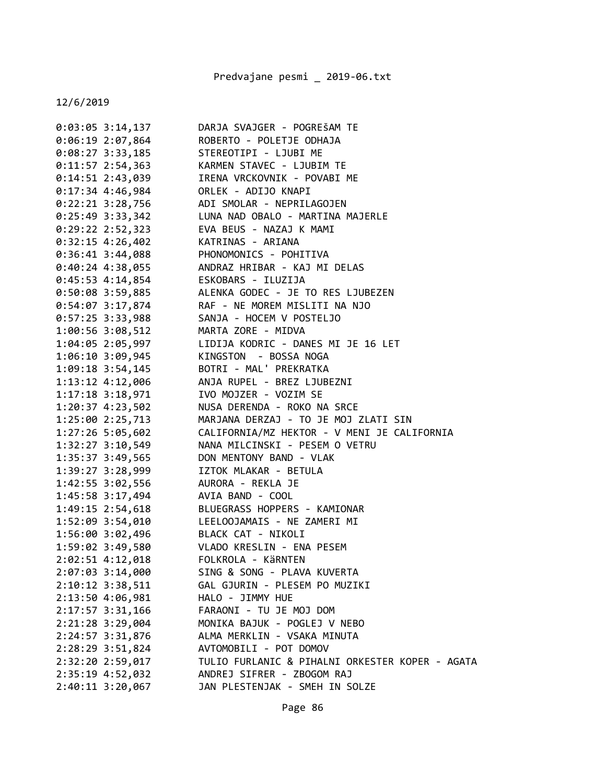| $0:03:05$ 3:14,137                                                                | DARJA SVAJGER - POGREŠAM TE                                                       |
|-----------------------------------------------------------------------------------|-----------------------------------------------------------------------------------|
| $0:06:19$ 2:07,864                                                                | ROBERTO - POLETJE ODHAJA                                                          |
| $0:08:27$ 3:33,185                                                                | STEREOTIPI - LJUBI ME                                                             |
| $0:11:57$ 2:54,363                                                                | KARMEN STAVEC - LJUBIM TE                                                         |
| $0:14:51$ 2:43,039                                                                |                                                                                   |
| $0:17:34$ 4:46,984                                                                | TRENA VRCKOVNIK - POVABI ME<br>ORLEK - ADIJO KNAPI<br>ORLEK - ADIJO KNAPI         |
|                                                                                   | 0:22:21 3:28,756 ADI SMOLAR - NEPRILAGOJEN                                        |
|                                                                                   | 0:25:49 3:33,342 LUNA NAD OBALO - MARTINA MAJERLE                                 |
|                                                                                   | 0:29:22 2:52,323 EVA BEUS - NAZAJ K MAMI                                          |
| $0:32:15$ 4:26,402                                                                | KATRINAS - ARIANA                                                                 |
| $0:36:41$ 3:44,088                                                                | PHONOMONICS - POHITIVA                                                            |
| $0:40:24$ 4:38,055                                                                | ANDRAZ HRIBAR - KAJ MI DELAS                                                      |
| 0:45:53 4:14,854 ESKOBARS - ILUZIJA                                               |                                                                                   |
|                                                                                   | 0:50:08 3:59,885 ALENKA GODEC - JE TO RES LJUBEZEN                                |
|                                                                                   | 0:54:07 3:17,874 RAF - NE MOREM MISLITI NA NJO                                    |
|                                                                                   | 0:57:25 3:33,988 SANJA - HOCEM V POSTELJO                                         |
| 1:00:56 3:08,512 MARTA ZORE - MIDVA                                               |                                                                                   |
|                                                                                   | 1:04:05 2:05,997 LIDIJA KODRIC - DANES MI JE 16 LET                               |
| 1:06:10 3:09,945 KINGSTON - BOSSA NOGA<br>1:09:18 3:54,145 BOTRI - MAL' PREKRATKA |                                                                                   |
|                                                                                   |                                                                                   |
|                                                                                   | 1:13:12 4:12,006 ANJA RUPEL - BREZ LJUBEZNI                                       |
| 1:17:18 3:18,971 IVO MOJZER - VOZIM SE                                            |                                                                                   |
|                                                                                   | 1:20:37 4:23,502 NUSA DERENDA - ROKO NA SRCE                                      |
|                                                                                   | 1:25:00 2:25,713 MARJANA DERZAJ - TO JE MOJ ZLATI SIN                             |
| 1:27:26 5:05,602                                                                  | CALIFORNIA/MZ HEKTOR - V MENI JE CALIFORNIA                                       |
| $1:32:27$ $3:10,549$                                                              | NANA MILCINSKI - PESEM O VETRU                                                    |
| 1:35:37 3:49,565                                                                  | DON MENTONY BAND - VLAK                                                           |
| 1:39:27 3:28,999                                                                  | IZTOK MLAKAR - BETULA                                                             |
| 1:42:55 3:02,556 AURORA - REKLA JE                                                |                                                                                   |
| 1:45:58 3:17,494 AVIA BAND - COOL                                                 |                                                                                   |
|                                                                                   | 1:49:15 2:54,618 BLUEGRASS HOPPERS - KAMIONAR                                     |
|                                                                                   | 1:52:09 3:54,010 LEELOOJAMAIS - NE ZAMERI MI                                      |
|                                                                                   |                                                                                   |
|                                                                                   | 1:56:00 3:02,496 BLACK CAT - NIKOLI<br>1:59:02 3:49,580 VLADO KRESLIN - ENA PESEM |
| 2:02:51 4:12,018                                                                  | FOLKROLA - KÄRNTEN                                                                |
| 2:07:03 3:14,000                                                                  | SING & SONG - PLAVA KUVERTA                                                       |
| 2:10:12 3:38,511                                                                  | GAL GJURIN - PLESEM PO MUZIKI                                                     |
| 2:13:50 4:06,981                                                                  | HALO - JIMMY HUE                                                                  |
| 2:17:57 3:31,166                                                                  | FARAONI - TU JE MOJ DOM                                                           |
| 2:21:28 3:29,004                                                                  | MONIKA BAJUK - POGLEJ V NEBO                                                      |
| 2:24:57 3:31,876                                                                  | ALMA MERKLIN - VSAKA MINUTA                                                       |
| 2:28:29 3:51,824                                                                  | AVTOMOBILI - POT DOMOV                                                            |
| 2:32:20 2:59,017                                                                  | TULIO FURLANIC & PIHALNI ORKESTER KOPER - AGATA                                   |
| 2:35:19 4:52,032                                                                  | ANDREJ SIFRER - ZBOGOM RAJ                                                        |
| $2:40:11$ $3:20,067$                                                              | JAN PLESTENJAK - SMEH IN SOLZE                                                    |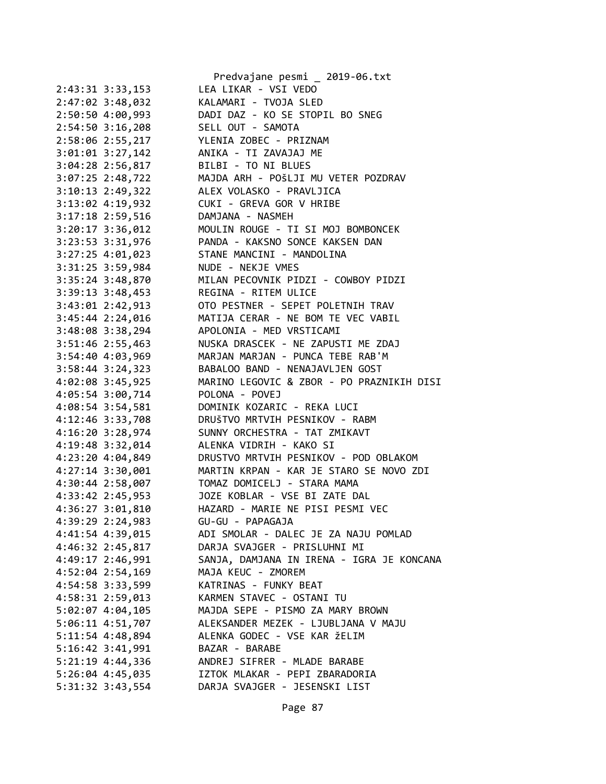|                      | Predvajane pesmi _ 2019-06.txt            |
|----------------------|-------------------------------------------|
| 2:43:31 3:33,153     | LEA LIKAR - VSI VEDO                      |
| 2:47:02 3:48,032     | KALAMARI - TVOJA SLED                     |
| 2:50:50 4:00,993     | DADI DAZ - KO SE STOPIL BO SNEG           |
| $2:54:50$ 3:16,208   | SELL OUT - SAMOTA                         |
| 2:58:06 2:55,217     | YLENIA ZOBEC - PRIZNAM                    |
| $3:01:01$ $3:27,142$ | ANIKA - TI ZAVAJAJ ME                     |
| 3:04:28 2:56,817     | BILBI - TO NI BLUES                       |
| 3:07:25 2:48,722     | MAJDA ARH - POŠLJI MU VETER POZDRAV       |
| 3:10:13 2:49,322     | ALEX VOLASKO - PRAVLJICA                  |
| 3:13:02 4:19,932     | CUKI - GREVA GOR V HRIBE                  |
| 3:17:18 2:59,516     | DAMJANA - NASMEH                          |
| 3:20:17 3:36,012     | MOULIN ROUGE - TI SI MOJ BOMBONCEK        |
| 3:23:53 3:31,976     | PANDA - KAKSNO SONCE KAKSEN DAN           |
| $3:27:25$ 4:01,023   | STANE MANCINI - MANDOLINA                 |
| 3:31:25 3:59,984     | NUDE - NEKJE VMES                         |
| 3:35:24 3:48,870     | MILAN PECOVNIK PIDZI - COWBOY PIDZI       |
| 3:39:13 3:48,453     | REGINA - RITEM ULICE                      |
| 3:43:01 2:42,913     | OTO PESTNER - SEPET POLETNIH TRAV         |
| 3:45:44 2:24,016     | MATIJA CERAR - NE BOM TE VEC VABIL        |
| 3:48:08 3:38,294     | APOLONIA - MED VRSTICAMI                  |
| 3:51:46 2:55,463     | NUSKA DRASCEK - NE ZAPUSTI ME ZDAJ        |
| 3:54:40 4:03,969     | MARJAN MARJAN - PUNCA TEBE RAB'M          |
| 3:58:44 3:24,323     | BABALOO BAND - NENAJAVLJEN GOST           |
| 4:02:08 3:45,925     | MARINO LEGOVIC & ZBOR - PO PRAZNIKIH DISI |
| 4:05:54 3:00,714     | POLONA - POVEJ                            |
| 4:08:54 3:54,581     | DOMINIK KOZARIC - REKA LUCI               |
| 4:12:46 3:33,708     | DRUŠTVO MRTVIH PESNIKOV - RABM            |
| 4:16:20 3:28,974     | SUNNY ORCHESTRA - TAT ZMIKAVT             |
| 4:19:48 3:32,014     | ALENKA VIDRIH - KAKO SI                   |
| 4:23:20 4:04,849     | DRUSTVO MRTVIH PESNIKOV - POD OBLAKOM     |
| 4:27:14 3:30,001     | MARTIN KRPAN - KAR JE STARO SE NOVO ZDI   |
| 4:30:44 2:58,007     | TOMAZ DOMICELJ - STARA MAMA               |
| 4:33:42 2:45,953     | JOZE KOBLAR - VSE BI ZATE DAL             |
| 4:36:27 3:01,810     | HAZARD - MARIE NE PISI PESMI VEC          |
| 4:39:29 2:24,983     | GU-GU - PAPAGAJA                          |
|                      |                                           |
| 4:41:54 4:39,015     | ADI SMOLAR - DALEC JE ZA NAJU POMLAD      |
| 4:46:32 2:45,817     | DARJA SVAJGER - PRISLUHNI MI              |
| 4:49:17 2:46,991     | SANJA, DAMJANA IN IRENA - IGRA JE KONCANA |
| 4:52:04 2:54,169     | MAJA KEUC - ZMOREM                        |
| 4:54:58 3:33,599     | KATRINAS - FUNKY BEAT                     |
| 4:58:31 2:59,013     | KARMEN STAVEC - OSTANI TU                 |
| $5:02:07$ 4:04,105   | MAJDA SEPE - PISMO ZA MARY BROWN          |
| 5:06:11 4:51,707     | ALEKSANDER MEZEK - LJUBLJANA V MAJU       |
| 5:11:54 4:48,894     | ALENKA GODEC - VSE KAR ŽELIM              |
| 5:16:42 3:41,991     | BAZAR - BARABE                            |
| $5:21:19$ 4:44,336   | ANDREJ SIFRER - MLADE BARABE              |
| 5:26:04 4:45,035     | IZTOK MLAKAR - PEPI ZBARADORIA            |
| 5:31:32 3:43,554     | DARJA SVAJGER - JESENSKI LIST             |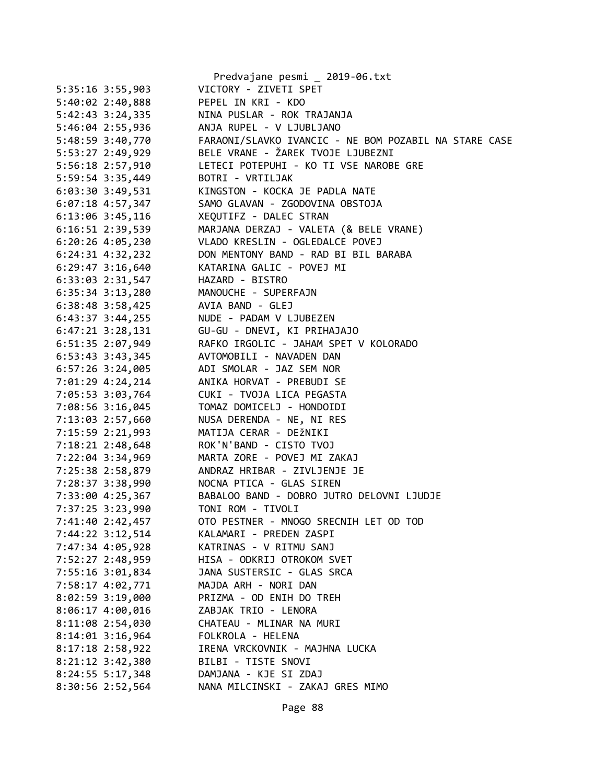|                        | Predvajane pesmi _ 2019-06.txt                        |
|------------------------|-------------------------------------------------------|
| 5:35:16 3:55,903       | VICTORY - ZIVETI SPET                                 |
| 5:40:02 2:40,888       | PEPEL IN KRI - KDO                                    |
| 5:42:43 3:24,335       | NINA PUSLAR - ROK TRAJANJA                            |
| 5:46:04 2:55,936       | ANJA RUPEL - V LJUBLJANO                              |
| 5:48:59 3:40,770       | FARAONI/SLAVKO IVANCIC - NE BOM POZABIL NA STARE CASE |
| 5:53:27 2:49,929       | BELE VRANE - ŽAREK TVOJE LJUBEZNI                     |
| 5:56:18 2:57,910       | LETECI POTEPUHI - KO TI VSE NAROBE GRE                |
| 5:59:54 3:35,449       | BOTRI - VRTILJAK                                      |
| $6:03:30$ 3:49,531     | KINGSTON - KOCKA JE PADLA NATE                        |
| $6:07:18$ 4:57,347     | SAMO GLAVAN - ZGODOVINA OBSTOJA                       |
| $6:13:06$ 3:45,116     | XEQUTIFZ - DALEC STRAN                                |
| 6:16:51 2:39,539       | MARJANA DERZAJ - VALETA (& BELE VRANE)                |
| $6:20:26$ 4:05,230     | VLADO KRESLIN - OGLEDALCE POVEJ                       |
| $6:24:31$ $4:32,232$   | DON MENTONY BAND - RAD BI BIL BARABA                  |
| $6:29:47$ 3:16,640     | KATARINA GALIC - POVEJ MI                             |
| 6:33:03 2:31,547       | HAZARD - BISTRO                                       |
| $6:35:34$ $3:13,280$   | MANOUCHE - SUPERFAJN                                  |
| $6:38:48$ 3:58,425     | AVIA BAND - GLEJ                                      |
| $6:43:37$ $3:44$ , 255 | NUDE - PADAM V LJUBEZEN                               |
| $6:47:21$ $3:28,131$   | GU-GU - DNEVI, KI PRIHAJAJO                           |
| 6:51:35 2:07,949       | RAFKO IRGOLIC - JAHAM SPET V KOLORADO                 |
| $6:53:43$ $3:43,345$   | AVTOMOBILI - NAVADEN DAN                              |
| $6:57:26$ 3:24,005     | ADI SMOLAR - JAZ SEM NOR                              |
|                        |                                                       |
| 7:01:29 4:24,214       | ANIKA HORVAT - PREBUDI SE                             |
| 7:05:53 3:03,764       | CUKI - TVOJA LICA PEGASTA                             |
| 7:08:56 3:16,045       | TOMAZ DOMICELJ - HONDOIDI                             |
| 7:13:03 2:57,660       | NUSA DERENDA - NE, NI RES                             |
| 7:15:59 2:21,993       | MATIJA CERAR - DEŽNIKI                                |
| 7:18:21 2:48,648       | ROK'N'BAND - CISTO TVOJ                               |
| 7:22:04 3:34,969       | MARTA ZORE - POVEJ MI ZAKAJ                           |
| 7:25:38 2:58,879       | ANDRAZ HRIBAR - ZIVLJENJE JE                          |
| 7:28:37 3:38,990       | NOCNA PTICA - GLAS SIREN                              |
| 7:33:00 4:25,367       | BABALOO BAND - DOBRO JUTRO DELOVNI LJUDJE             |
| 7:37:25 3:23,990       | TONI ROM - TIVOLI                                     |
| 7:41:40 2:42,457       | OTO PESTNER - MNOGO SRECNIH LET OD TOD                |
| 7:44:22 3:12,514       | KALAMARI - PREDEN ZASPI                               |
| 7:47:34 4:05,928       | KATRINAS - V RITMU SANJ                               |
| 7:52:27 2:48,959       | HISA - ODKRIJ OTROKOM SVET                            |
| 7:55:16 3:01,834       | JANA SUSTERSIC - GLAS SRCA                            |
| 7:58:17 4:02,771       | MAJDA ARH - NORI DAN                                  |
| 8:02:59 3:19,000       | PRIZMA - OD ENIH DO TREH                              |
| 8:06:17 4:00,016       | ZABJAK TRIO - LENORA                                  |
| 8:11:08 2:54,030       | CHATEAU - MLINAR NA MURI                              |
| $8:14:01$ 3:16,964     | FOLKROLA - HELENA                                     |
| 8:17:18 2:58,922       | IRENA VRCKOVNIK - MAJHNA LUCKA                        |
| 8:21:12 3:42,380       | BILBI - TISTE SNOVI                                   |
| 8:24:55 5:17,348       | DAMJANA - KJE SI ZDAJ                                 |
| 8:30:56 2:52,564       | NANA MILCINSKI - ZAKAJ GRES MIMO                      |
|                        |                                                       |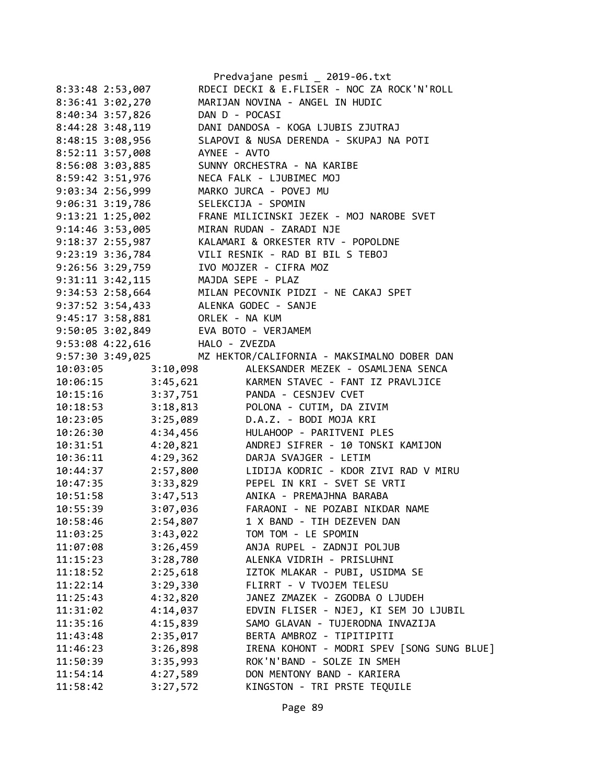|                  |                                 | Predvajane pesmi _ 2019-06.txt              |
|------------------|---------------------------------|---------------------------------------------|
|                  | 8:33:48 2:53,007                | RDECI DECKI & E.FLISER - NOC ZA ROCK'N'ROLL |
|                  | 8:36:41 3:02,270                | MARIJAN NOVINA - ANGEL IN HUDIC             |
|                  | 8:40:34 3:57,826                | DAN D - POCASI                              |
|                  | $8:44:28$ 3:48,119              | DANI DANDOSA - KOGA LJUBIS ZJUTRAJ          |
| 8:48:15 3:08,956 |                                 | SLAPOVI & NUSA DERENDA - SKUPAJ NA POTI     |
| 8:52:11 3:57,008 |                                 | AYNEE - AVTO                                |
|                  | 8:56:08 3:03,885                | SUNNY ORCHESTRA - NA KARIBE                 |
|                  | 8:59:42 3:51,976                | NECA FALK - LJUBIMEC MOJ                    |
| 9:03:34 2:56,999 |                                 | MARKO JURCA - POVEJ MU                      |
|                  | 9:06:31 3:19,786                | SELEKCIJA - SPOMIN                          |
|                  | $9:13:21$ $1:25,002$            | FRANE MILICINSKI JEZEK - MOJ NAROBE SVET    |
|                  | 9:14:46 3:53,005                | MIRAN RUDAN - ZARADI NJE                    |
|                  | $9:18:37$ $2:55,987$            | KALAMARI & ORKESTER RTV - POPOLDNE          |
|                  | 9:23:19 3:36,784                | VILI RESNIK - RAD BI BIL S TEBOJ            |
|                  | $9:26:56$ $3:29,759$            | IVO MOJZER - CIFRA MOZ                      |
|                  | $9:31:11$ $3:42,115$            | MAJDA SEPE - PLAZ                           |
|                  | $9:34:53$ 2:58,664              | MILAN PECOVNIK PIDZI - NE CAKAJ SPET        |
|                  |                                 | 9:37:52 3:54,433 ALENKA GODEC - SANJE       |
|                  | 9:45:17 3:58,881 ORLEK - NA KUM |                                             |
|                  |                                 | 9:50:05 3:02,849 EVA BOTO - VERJAMEM        |
|                  | 9:53:08 4:22,616                | HALO - ZVEZDA                               |
|                  | 9:57:30 3:49,025                | MZ HEKTOR/CALIFORNIA - MAKSIMALNO DOBER DAN |
| 10:03:05         | 3:10,098                        | ALEKSANDER MEZEK - OSAMLJENA SENCA          |
|                  | 10:06:15 3:45,621               | KARMEN STAVEC - FANT IZ PRAVLJICE           |
|                  |                                 | 10:15:16 3:37,751 PANDA - CESNJEV CVET      |
| 10:18:53         |                                 | 3:18,813 POLONA - CUTIM, DA ZIVIM           |
| 10:23:05         | 3:25,089                        | D.A.Z. - BODI MOJA KRI                      |
| 10:26:30         | 4:34,456                        | HULAHOOP - PARITVENI PLES                   |
| 10:31:51         | 4:20,821                        | ANDREJ SIFRER - 10 TONSKI KAMIJON           |
| 10:36:11         | 4:29,362                        | DARJA SVAJGER - LETIM                       |
| 10:44:37         | 2:57,800                        | LIDIJA KODRIC - KDOR ZIVI RAD V MIRU        |
| 10:47:35         | 3:33,829                        | PEPEL IN KRI - SVET SE VRTI                 |
| 10:51:58         | 3:47,513                        | ANIKA - PREMAJHNA BARABA                    |
| 10:55:39         | 3:07,036                        | FARAONI - NE POZABI NIKDAR NAME             |
| 10:58:46         | 2:54,807                        | 1 X BAND - TIH DEZEVEN DAN                  |
| 11:03:25         | 3:43,022                        | TOM TOM - LE SPOMIN                         |
| 11:07:08         | 3:26,459                        | ANJA RUPEL - ZADNJI POLJUB                  |
| 11:15:23         | 3:28,780                        | ALENKA VIDRIH - PRISLUHNI                   |
| 11:18:52         | 2:25,618                        | IZTOK MLAKAR - PUBI, USIDMA SE              |
| 11:22:14         | 3:29,330                        | FLIRRT - V TVOJEM TELESU                    |
| 11:25:43         | 4:32,820                        | JANEZ ZMAZEK - ZGODBA O LJUDEH              |
| 11:31:02         | 4:14,037                        | EDVIN FLISER - NJEJ, KI SEM JO LJUBIL       |
| 11:35:16         | 4:15,839                        | SAMO GLAVAN - TUJERODNA INVAZIJA            |
| 11:43:48         | 2:35,017                        | BERTA AMBROZ - TIPITIPITI                   |
| 11:46:23         | 3:26,898                        | IRENA KOHONT - MODRI SPEV [SONG SUNG BLUE]  |
| 11:50:39         | 3:35,993                        | ROK'N'BAND - SOLZE IN SMEH                  |
| 11:54:14         | 4:27,589                        | DON MENTONY BAND - KARIERA                  |
| 11:58:42         | 3:27,572                        | KINGSTON - TRI PRSTE TEQUILE                |
|                  |                                 |                                             |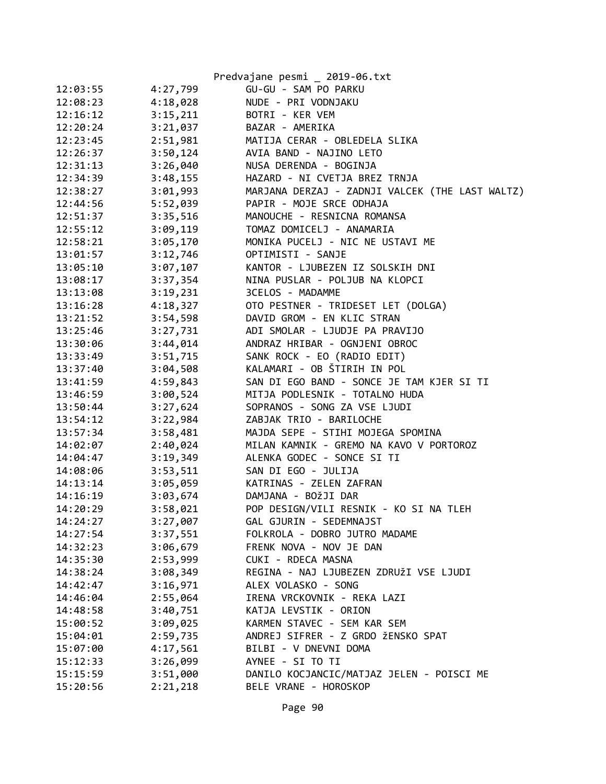|          |          | Predvajane pesmi _ 2019-06.txt                  |
|----------|----------|-------------------------------------------------|
| 12:03:55 | 4:27,799 | GU-GU - SAM PO PARKU                            |
| 12:08:23 | 4:18,028 | NUDE - PRI VODNJAKU                             |
| 12:16:12 | 3:15,211 | BOTRI - KER VEM                                 |
| 12:20:24 | 3:21,037 | BAZAR - AMERIKA                                 |
| 12:23:45 | 2:51,981 | MATIJA CERAR - OBLEDELA SLIKA                   |
| 12:26:37 | 3:50,124 | AVIA BAND - NAJINO LETO                         |
| 12:31:13 | 3:26,040 | NUSA DERENDA - BOGINJA                          |
| 12:34:39 | 3:48,155 | HAZARD - NI CVETJA BREZ TRNJA                   |
| 12:38:27 | 3:01,993 | MARJANA DERZAJ - ZADNJI VALCEK (THE LAST WALTZ) |
| 12:44:56 | 5:52,039 | PAPIR - MOJE SRCE ODHAJA                        |
| 12:51:37 | 3:35,516 | MANOUCHE - RESNICNA ROMANSA                     |
| 12:55:12 | 3:09,119 | TOMAZ DOMICELJ - ANAMARIA                       |
| 12:58:21 | 3:05,170 | MONIKA PUCELJ - NIC NE USTAVI ME                |
| 13:01:57 | 3:12,746 | OPTIMISTI - SANJE                               |
| 13:05:10 | 3:07,107 | KANTOR - LJUBEZEN IZ SOLSKIH DNI                |
| 13:08:17 | 3:37,354 | NINA PUSLAR - POLJUB NA KLOPCI                  |
| 13:13:08 | 3:19,231 | 3CELOS - MADAMME                                |
| 13:16:28 | 4:18,327 | OTO PESTNER - TRIDESET LET (DOLGA)              |
| 13:21:52 | 3:54,598 | DAVID GROM - EN KLIC STRAN                      |
| 13:25:46 | 3:27,731 | ADI SMOLAR - LJUDJE PA PRAVIJO                  |
| 13:30:06 | 3:44,014 | ANDRAZ HRIBAR - OGNJENI OBROC                   |
| 13:33:49 | 3:51,715 | SANK ROCK - EO (RADIO EDIT)                     |
| 13:37:40 | 3:04,508 | KALAMARI - OB ŠTIRIH IN POL                     |
| 13:41:59 | 4:59,843 | SAN DI EGO BAND - SONCE JE TAM KJER SI TI       |
| 13:46:59 | 3:00,524 | MITJA PODLESNIK - TOTALNO HUDA                  |
| 13:50:44 | 3:27,624 | SOPRANOS - SONG ZA VSE LJUDI                    |
| 13:54:12 | 3:22,984 | ZABJAK TRIO - BARILOCHE                         |
| 13:57:34 | 3:58,481 | MAJDA SEPE - STIHI MOJEGA SPOMINA               |
| 14:02:07 | 2:40,024 | MILAN KAMNIK - GREMO NA KAVO V PORTOROZ         |
| 14:04:47 | 3:19,349 | ALENKA GODEC - SONCE SI TI                      |
| 14:08:06 | 3:53,511 | SAN DI EGO - JULIJA                             |
| 14:13:14 | 3:05,059 | KATRINAS - ZELEN ZAFRAN                         |
| 14:16:19 | 3:03,674 | DAMJANA - BOŽJI DAR                             |
| 14:20:29 | 3:58,021 | POP DESIGN/VILI RESNIK - KO SI NA TLEH          |
| 14:24:27 | 3:27,007 | GAL GJURIN - SEDEMNAJST                         |
| 14:27:54 | 3:37,551 | FOLKROLA - DOBRO JUTRO MADAME                   |
| 14:32:23 | 3:06,679 | FRENK NOVA - NOV JE DAN                         |
| 14:35:30 | 2:53,999 | CUKI - RDECA MASNA                              |
| 14:38:24 | 3:08,349 | REGINA - NAJ LJUBEZEN ZDRUŽI VSE LJUDI          |
| 14:42:47 | 3:16,971 | ALEX VOLASKO - SONG                             |
| 14:46:04 | 2:55,064 | IRENA VRCKOVNIK - REKA LAZI                     |
| 14:48:58 | 3:40,751 | KATJA LEVSTIK - ORION                           |
| 15:00:52 | 3:09,025 | KARMEN STAVEC - SEM KAR SEM                     |
| 15:04:01 | 2:59,735 | ANDREJ SIFRER - Z GRDO ŽENSKO SPAT              |
| 15:07:00 | 4:17,561 | BILBI - V DNEVNI DOMA                           |
| 15:12:33 | 3:26,099 | AYNEE - SI TO TI                                |
| 15:15:59 | 3:51,000 | DANILO KOCJANCIC/MATJAZ JELEN - POISCI ME       |
| 15:20:56 | 2:21,218 | BELE VRANE - HOROSKOP                           |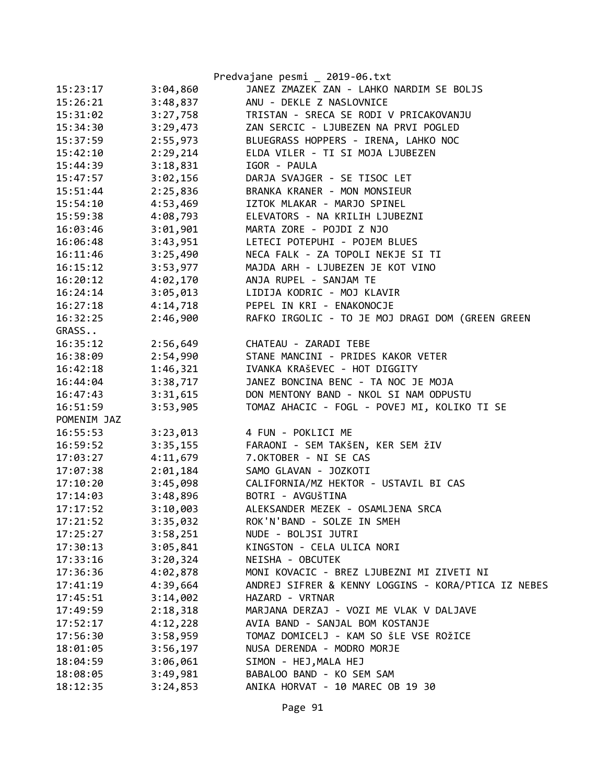|             |          | Predvajane pesmi _ 2019-06.txt                      |
|-------------|----------|-----------------------------------------------------|
| 15:23:17    | 3:04,860 | JANEZ ZMAZEK ZAN - LAHKO NARDIM SE BOLJS            |
| 15:26:21    | 3:48,837 | ANU - DEKLE Z NASLOVNICE                            |
| 15:31:02    | 3:27,758 | TRISTAN - SRECA SE RODI V PRICAKOVANJU              |
| 15:34:30    | 3:29,473 | ZAN SERCIC - LJUBEZEN NA PRVI POGLED                |
| 15:37:59    | 2:55,973 | BLUEGRASS HOPPERS - IRENA, LAHKO NOC                |
| 15:42:10    | 2:29,214 | ELDA VILER - TI SI MOJA LJUBEZEN                    |
| 15:44:39    | 3:18,831 | IGOR - PAULA                                        |
| 15:47:57    | 3:02,156 | DARJA SVAJGER - SE TISOC LET                        |
| 15:51:44    | 2:25,836 | BRANKA KRANER - MON MONSIEUR                        |
| 15:54:10    | 4:53,469 | IZTOK MLAKAR - MARJO SPINEL                         |
| 15:59:38    | 4:08,793 | ELEVATORS - NA KRILIH LJUBEZNI                      |
| 16:03:46    | 3:01,901 | MARTA ZORE - POJDI Z NJO                            |
| 16:06:48    | 3:43,951 | LETECI POTEPUHI - POJEM BLUES                       |
| 16:11:46    | 3:25,490 | NECA FALK - ZA TOPOLI NEKJE SI TI                   |
| 16:15:12    | 3:53,977 | MAJDA ARH - LJUBEZEN JE KOT VINO                    |
| 16:20:12    | 4:02,170 | ANJA RUPEL - SANJAM TE                              |
| 16:24:14    | 3:05,013 | LIDIJA KODRIC - MOJ KLAVIR                          |
| 16:27:18    | 4:14,718 | PEPEL IN KRI - ENAKONOCJE                           |
| 16:32:25    | 2:46,900 | RAFKO IRGOLIC - TO JE MOJ DRAGI DOM (GREEN GREEN    |
| GRASS       |          |                                                     |
| 16:35:12    | 2:56,649 | CHATEAU - ZARADI TEBE                               |
| 16:38:09    | 2:54,990 | STANE MANCINI - PRIDES KAKOR VETER                  |
| 16:42:18    | 1:46,321 | IVANKA KRAŠEVEC - HOT DIGGITY                       |
| 16:44:04    | 3:38,717 | JANEZ BONCINA BENC - TA NOC JE MOJA                 |
| 16:47:43    | 3:31,615 | DON MENTONY BAND - NKOL SI NAM ODPUSTU              |
| 16:51:59    | 3:53,905 | TOMAZ AHACIC - FOGL - POVEJ MI, KOLIKO TI SE        |
| POMENIM JAZ |          |                                                     |
| 16:55:53    | 3:23,013 | 4 FUN - POKLICI ME                                  |
| 16:59:52    | 3:35,155 | FARAONI - SEM TAKŠEN, KER SEM ŽIV                   |
| 17:03:27    | 4:11,679 | 7.OKTOBER - NI SE CAS                               |
| 17:07:38    | 2:01,184 | SAMO GLAVAN - JOZKOTI                               |
| 17:10:20    | 3:45,098 | CALIFORNIA/MZ HEKTOR - USTAVIL BI CAS               |
| 17:14:03    | 3:48,896 | BOTRI - AVGUŠTINA                                   |
| 17:17:52    | 3:10,003 | ALEKSANDER MEZEK - OSAMLJENA SRCA                   |
| 17:21:52    | 3:35,032 | ROK'N'BAND - SOLZE IN SMEH                          |
| 17:25:27    | 3:58,251 | NUDE - BOLJSI JUTRI                                 |
| 17:30:13    | 3:05,841 | KINGSTON - CELA ULICA NORI                          |
| 17:33:16    | 3:20,324 | NEISHA - OBCUTEK                                    |
| 17:36:36    | 4:02,878 | MONI KOVACIC - BREZ LJUBEZNI MI ZIVETI NI           |
| 17:41:19    | 4:39,664 | ANDREJ SIFRER & KENNY LOGGINS - KORA/PTICA IZ NEBES |
| 17:45:51    | 3:14,002 | HAZARD - VRTNAR                                     |
| 17:49:59    | 2:18,318 | MARJANA DERZAJ - VOZI ME VLAK V DALJAVE             |
| 17:52:17    | 4:12,228 | AVIA BAND - SANJAL BOM KOSTANJE                     |
| 17:56:30    | 3:58,959 | TOMAZ DOMICELJ - KAM SO ŠLE VSE ROŽICE              |
| 18:01:05    | 3:56,197 | NUSA DERENDA - MODRO MORJE                          |
| 18:04:59    | 3:06,061 | SIMON - HEJ, MALA HEJ                               |
| 18:08:05    | 3:49,981 | BABALOO BAND - KO SEM SAM                           |
| 18:12:35    | 3:24,853 | ANIKA HORVAT - 10 MAREC OB 19 30                    |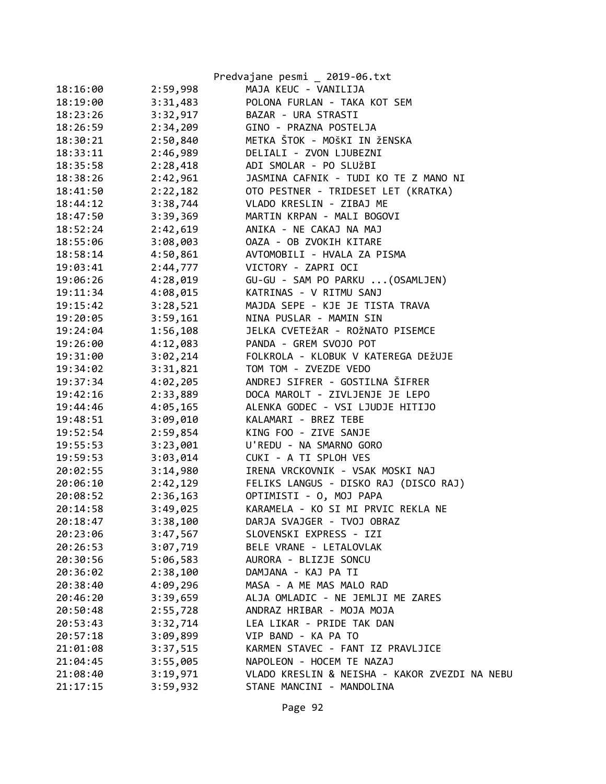|          |          | Predvajane pesmi _ 2019-06.txt                |
|----------|----------|-----------------------------------------------|
| 18:16:00 | 2:59,998 | MAJA KEUC - VANILIJA                          |
| 18:19:00 | 3:31,483 | POLONA FURLAN - TAKA KOT SEM                  |
| 18:23:26 | 3:32,917 | BAZAR - URA STRASTI                           |
| 18:26:59 | 2:34,209 | GINO - PRAZNA POSTELJA                        |
| 18:30:21 | 2:50,840 | METKA ŠTOK - MOŠKI IN ŽENSKA                  |
| 18:33:11 | 2:46,989 | DELIALI - ZVON LJUBEZNI                       |
| 18:35:58 | 2:28,418 | ADI SMOLAR - PO SLUŽBI                        |
| 18:38:26 | 2:42,961 | JASMINA CAFNIK - TUDI KO TE Z MANO NI         |
| 18:41:50 | 2:22,182 | OTO PESTNER - TRIDESET LET (KRATKA)           |
| 18:44:12 | 3:38,744 | VLADO KRESLIN - ZIBAJ ME                      |
| 18:47:50 | 3:39,369 | MARTIN KRPAN - MALI BOGOVI                    |
| 18:52:24 | 2:42,619 | ANIKA - NE CAKAJ NA MAJ                       |
| 18:55:06 | 3:08,003 | OAZA - OB ZVOKIH KITARE                       |
| 18:58:14 | 4:50,861 | AVTOMOBILI - HVALA ZA PISMA                   |
| 19:03:41 | 2:44,777 | VICTORY - ZAPRI OCI                           |
| 19:06:26 | 4:28,019 | GU-GU - SAM PO PARKU  (OSAMLJEN)              |
| 19:11:34 | 4:08,015 | KATRINAS - V RITMU SANJ                       |
| 19:15:42 | 3:28,521 | MAJDA SEPE - KJE JE TISTA TRAVA               |
| 19:20:05 | 3:59,161 | NINA PUSLAR - MAMIN SIN                       |
| 19:24:04 | 1:56,108 | JELKA CVETEŽAR - ROŽNATO PISEMCE              |
| 19:26:00 | 4:12,083 | PANDA - GREM SVOJO POT                        |
| 19:31:00 | 3:02,214 | FOLKROLA - KLOBUK V KATEREGA DEŽUJE           |
| 19:34:02 | 3:31,821 | TOM TOM - ZVEZDE VEDO                         |
| 19:37:34 | 4:02,205 | ANDREJ SIFRER - GOSTILNA ŠIFRER               |
| 19:42:16 | 2:33,889 | DOCA MAROLT - ZIVLJENJE JE LEPO               |
| 19:44:46 | 4:05,165 | ALENKA GODEC - VSI LJUDJE HITIJO              |
| 19:48:51 | 3:09,010 | KALAMARI - BREZ TEBE                          |
| 19:52:54 | 2:59,854 | KING FOO - ZIVE SANJE                         |
| 19:55:53 | 3:23,001 | U'REDU - NA SMARNO GORO                       |
| 19:59:53 | 3:03,014 | CUKI - A TI SPLOH VES                         |
| 20:02:55 | 3:14,980 | IRENA VRCKOVNIK - VSAK MOSKI NAJ              |
| 20:06:10 | 2:42,129 | FELIKS LANGUS - DISKO RAJ (DISCO RAJ)         |
| 20:08:52 | 2:36,163 | OPTIMISTI - 0, MOJ PAPA                       |
| 20:14:58 | 3:49,025 | KARAMELA - KO SI MI PRVIC REKLA NE            |
| 20:18:47 | 3:38,100 | DARJA SVAJGER - TVOJ OBRAZ                    |
| 20:23:06 | 3:47,567 | SLOVENSKI EXPRESS - IZI                       |
| 20:26:53 | 3:07,719 | BELE VRANE - LETALOVLAK                       |
| 20:30:56 | 5:06,583 | AURORA - BLIZJE SONCU                         |
| 20:36:02 | 2:38,100 | DAMJANA - KAJ PA TI                           |
| 20:38:40 | 4:09,296 | MASA - A ME MAS MALO RAD                      |
| 20:46:20 | 3:39,659 | ALJA OMLADIC - NE JEMLJI ME ZARES             |
| 20:50:48 | 2:55,728 | ANDRAZ HRIBAR - MOJA MOJA                     |
| 20:53:43 | 3:32,714 | LEA LIKAR - PRIDE TAK DAN                     |
| 20:57:18 | 3:09,899 | VIP BAND - KA PA TO                           |
| 21:01:08 | 3:37,515 | KARMEN STAVEC - FANT IZ PRAVLJICE             |
| 21:04:45 | 3:55,005 | NAPOLEON - HOCEM TE NAZAJ                     |
| 21:08:40 | 3:19,971 | VLADO KRESLIN & NEISHA - KAKOR ZVEZDI NA NEBU |
| 21:17:15 | 3:59,932 | STANE MANCINI - MANDOLINA                     |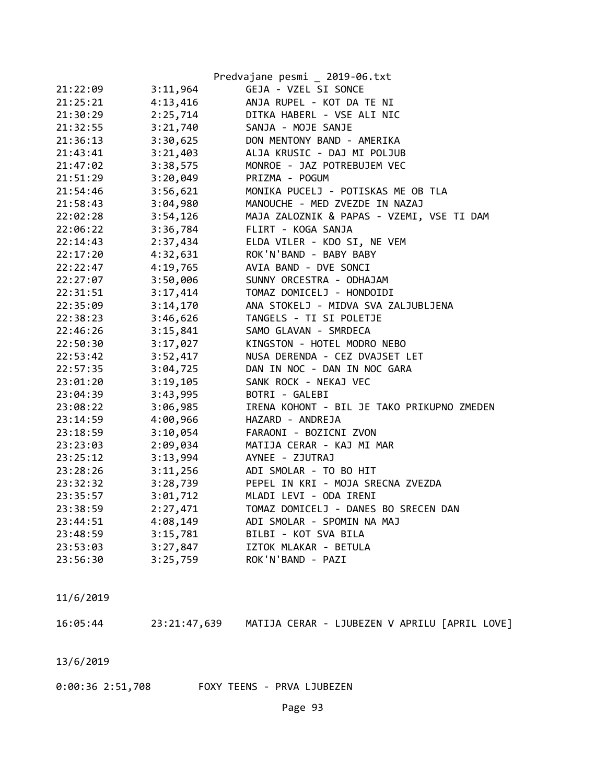|          |          | Predvajane pesmi _ 2019-06.txt             |
|----------|----------|--------------------------------------------|
| 21:22:09 | 3:11,964 | GEJA - VZEL SI SONCE                       |
| 21:25:21 | 4:13,416 | ANJA RUPEL - KOT DA TE NI                  |
| 21:30:29 | 2:25,714 | DITKA HABERL - VSE ALI NIC                 |
| 21:32:55 | 3:21,740 | SANJA - MOJE SANJE                         |
| 21:36:13 | 3:30,625 | DON MENTONY BAND - AMERIKA                 |
| 21:43:41 | 3:21,403 | ALJA KRUSIC - DAJ MI POLJUB                |
| 21:47:02 | 3:38,575 | MONROE - JAZ POTREBUJEM VEC                |
| 21:51:29 | 3:20,049 | PRIZMA - POGUM                             |
| 21:54:46 | 3:56,621 | MONIKA PUCELJ - POTISKAS ME OB TLA         |
| 21:58:43 | 3:04,980 | MANOUCHE - MED ZVEZDE IN NAZAJ             |
| 22:02:28 | 3:54,126 | MAJA ZALOZNIK & PAPAS - VZEMI, VSE TI DAM  |
| 22:06:22 | 3:36,784 | FLIRT - KOGA SANJA                         |
| 22:14:43 | 2:37,434 | ELDA VILER - KDO SI, NE VEM                |
| 22:17:20 | 4:32,631 | ROK'N'BAND - BABY BABY                     |
| 22:22:47 | 4:19,765 | AVIA BAND - DVE SONCI                      |
| 22:27:07 | 3:50,006 | SUNNY ORCESTRA - ODHAJAM                   |
| 22:31:51 | 3:17,414 | TOMAZ DOMICELJ - HONDOIDI                  |
| 22:35:09 | 3:14,170 | ANA STOKELJ - MIDVA SVA ZALJUBLJENA        |
| 22:38:23 | 3:46,626 | TANGELS - TI SI POLETJE                    |
| 22:46:26 | 3:15,841 | SAMO GLAVAN - SMRDECA                      |
| 22:50:30 | 3:17,027 | KINGSTON - HOTEL MODRO NEBO                |
| 22:53:42 | 3:52,417 | NUSA DERENDA - CEZ DVAJSET LET             |
| 22:57:35 | 3:04,725 | DAN IN NOC - DAN IN NOC GARA               |
| 23:01:20 | 3:19,105 | SANK ROCK - NEKAJ VEC                      |
| 23:04:39 | 3:43,995 | BOTRI - GALEBI                             |
| 23:08:22 | 3:06,985 | IRENA KOHONT - BIL JE TAKO PRIKUPNO ZMEDEN |
| 23:14:59 | 4:00,966 | HAZARD - ANDREJA                           |
| 23:18:59 | 3:10,054 | FARAONI - BOZICNI ZVON                     |
| 23:23:03 | 2:09,034 | MATIJA CERAR - KAJ MI MAR                  |
| 23:25:12 | 3:13,994 | AYNEE - ZJUTRAJ                            |
| 23:28:26 | 3:11,256 | ADI SMOLAR - TO BO HIT                     |
| 23:32:32 | 3:28,739 | PEPEL IN KRI - MOJA SRECNA ZVEZDA          |
| 23:35:57 | 3:01,712 | MLADI LEVI - ODA IRENI                     |
| 23:38:59 | 2:27,471 | TOMAZ DOMICELJ - DANES BO SRECEN DAN       |
| 23:44:51 | 4:08,149 | ADI SMOLAR - SPOMIN NA MAJ                 |
| 23:48:59 | 3:15,781 | BILBI - KOT SVA BILA                       |
| 23:53:03 | 3:27,847 | IZTOK MLAKAR - BETULA                      |
| 23:56:30 | 3:25,759 | ROK'N'BAND - PAZI                          |
|          |          |                                            |

16:05:44 23:21:47,639 MATIJA CERAR - LJUBEZEN V APRILU [APRIL LOVE]

13/6/2019

0:00:36 2:51,708 FOXY TEENS - PRVA LJUBEZEN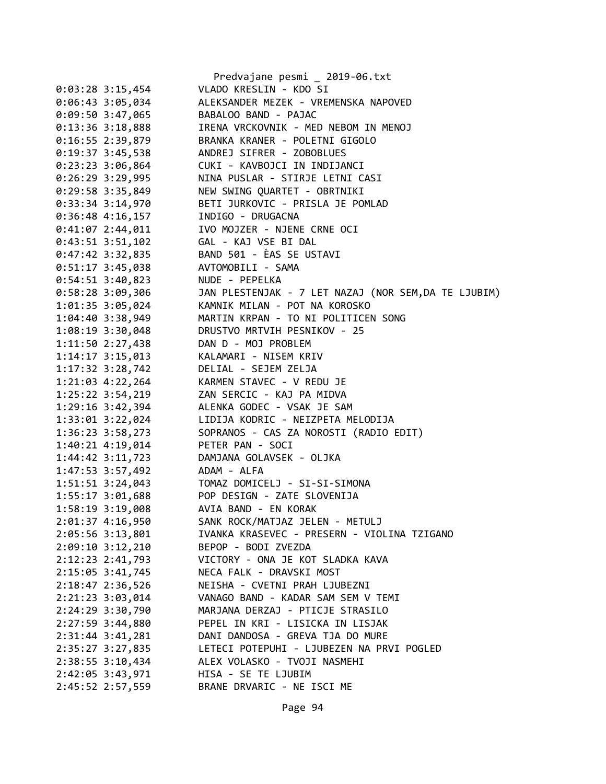|                      | Predvajane pesmi _ 2019-06.txt                       |
|----------------------|------------------------------------------------------|
| $0:03:28$ 3:15,454   | VLADO KRESLIN - KDO SI                               |
| $0:06:43$ 3:05,034   | ALEKSANDER MEZEK - VREMENSKA NAPOVED                 |
| 0:09:50 3:47,065     | BABALOO BAND - PAJAC                                 |
| $0:13:36$ 3:18,888   | IRENA VRCKOVNIK - MED NEBOM IN MENOJ                 |
| $0:16:55$ 2:39,879   | BRANKA KRANER - POLETNI GIGOLO                       |
| $0:19:37$ 3:45,538   | ANDREJ SIFRER - ZOBOBLUES                            |
| $0:23:23$ 3:06,864   | CUKI - KAVBOJCI IN INDIJANCI                         |
| $0:26:29$ 3:29,995   | NINA PUSLAR - STIRJE LETNI CASI                      |
| $0:29:58$ 3:35,849   | NEW SWING QUARTET - OBRTNIKI                         |
| 0:33:34 3:14,970     | BETI JURKOVIC - PRISLA JE POMLAD                     |
| $0:36:48$ 4:16,157   | INDIGO - DRUGACNA                                    |
| $0:41:07$ 2:44,011   | IVO MOJZER - NJENE CRNE OCI                          |
| $0:43:51$ 3:51,102   | GAL - KAJ VSE BI DAL                                 |
| $0:47:42$ 3:32,835   | BAND 501 - ÈAS SE USTAVI                             |
| $0:51:17$ 3:45,038   | AVTOMOBILI - SAMA                                    |
| $0:54:51$ 3:40,823   | NUDE - PEPELKA                                       |
| $0:58:28$ 3:09,306   | JAN PLESTENJAK - 7 LET NAZAJ (NOR SEM, DA TE LJUBIM) |
| 1:01:35 3:05,024     | KAMNIK MILAN - POT NA KOROSKO                        |
| 1:04:40 3:38,949     | MARTIN KRPAN - TO NI POLITICEN SONG                  |
| 1:08:19 3:30,048     | DRUSTVO MRTVIH PESNIKOV - 25                         |
| 1:11:50 2:27,438     | DAN D - MOJ PROBLEM                                  |
| $1:14:17$ $3:15,013$ | KALAMARI - NISEM KRIV                                |
| 1:17:32 3:28,742     | DELIAL - SEJEM ZELJA                                 |
| 1:21:03 4:22,264     | KARMEN STAVEC - V REDU JE                            |
| 1:25:22 3:54,219     | ZAN SERCIC - KAJ PA MIDVA                            |
| 1:29:16 3:42,394     | ALENKA GODEC - VSAK JE SAM                           |
| 1:33:01 3:22,024     | LIDIJA KODRIC - NEIZPETA MELODIJA                    |
| 1:36:23 3:58,273     | SOPRANOS - CAS ZA NOROSTI (RADIO EDIT)               |
| 1:40:21 4:19,014     | PETER PAN - SOCI                                     |
| $1:44:42$ $3:11,723$ | DAMJANA GOLAVSEK - OLJKA                             |
| 1:47:53 3:57,492     | ADAM - ALFA                                          |
| 1:51:51 3:24,043     | TOMAZ DOMICELJ - SI-SI-SIMONA                        |
| 1:55:17 3:01,688     | POP DESIGN - ZATE SLOVENIJA                          |
| 1:58:19 3:19,008     | AVIA BAND - EN KORAK                                 |
| 2:01:37 4:16,950     | SANK ROCK/MATJAZ JELEN - METULJ                      |
| 2:05:56 3:13,801     | IVANKA KRASEVEC - PRESERN - VIOLINA TZIGANO          |
| 2:09:10 3:12,210     | BEPOP - BODI ZVEZDA                                  |
| 2:12:23 2:41,793     | VICTORY - ONA JE KOT SLADKA KAVA                     |
| 2:15:05 3:41,745     | NECA FALK - DRAVSKI MOST                             |
| 2:18:47 2:36,526     | NEISHA - CVETNI PRAH LJUBEZNI                        |
| 2:21:23 3:03,014     | VANAGO BAND - KADAR SAM SEM V TEMI                   |
| 2:24:29 3:30,790     | MARJANA DERZAJ - PTICJE STRASILO                     |
| 2:27:59 3:44,880     | PEPEL IN KRI - LISICKA IN LISJAK                     |
| 2:31:44 3:41,281     | DANI DANDOSA - GREVA TJA DO MURE                     |
| 2:35:27 3:27,835     | LETECI POTEPUHI - LJUBEZEN NA PRVI POGLED            |
| 2:38:55 3:10,434     | ALEX VOLASKO - TVOJI NASMEHI                         |
| 2:42:05 3:43,971     | HISA - SE TE LJUBIM                                  |
| 2:45:52 2:57,559     | BRANE DRVARIC - NE ISCI ME                           |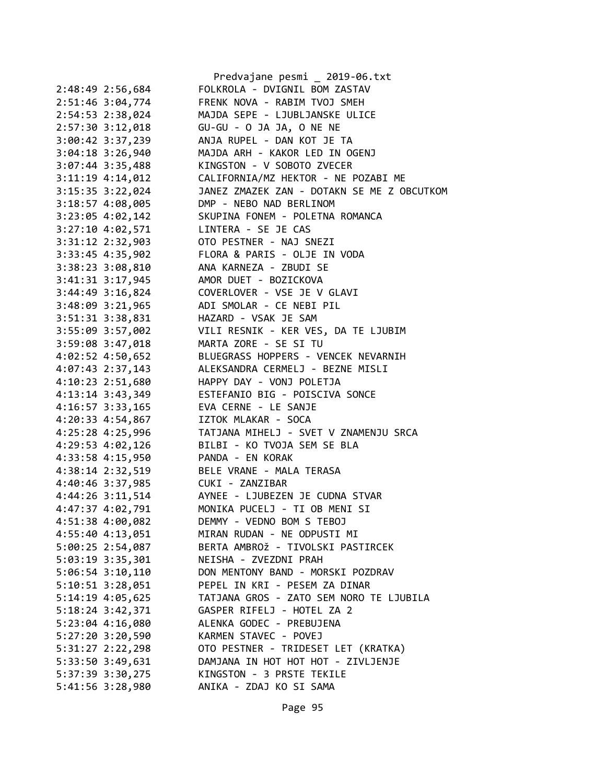|                      | Predvajane pesmi _ 2019-06.txt                   |
|----------------------|--------------------------------------------------|
| 2:48:49 2:56,684     | FOLKROLA - DVIGNIL BOM ZASTAV                    |
| 2:51:46 3:04,774     | FRENK NOVA - RABIM TVOJ SMEH                     |
| 2:54:53 2:38,024     | MAJDA SEPE - LJUBLJANSKE ULICE                   |
| 2:57:30 3:12,018     | GU-GU - O JA JA, O NE NE                         |
| 3:00:42 3:37,239     | ANJA RUPEL - DAN KOT JE TA                       |
| $3:04:18$ 3:26,940   | MAJDA ARH - KAKOR LED IN OGENJ                   |
| 3:07:44 3:35,488     | KINGSTON - V SOBOTO ZVECER                       |
| $3:11:19$ 4:14,012   | CALIFORNIA/MZ HEKTOR - NE POZABI ME              |
| 3:15:35 3:22,024     | JANEZ ZMAZEK ZAN - DOTAKN SE ME Z OBCUTKOM       |
| 3:18:57 4:08,005     | DMP - NEBO NAD BERLINOM                          |
| 3:23:05 4:02,142     | SKUPINA FONEM - POLETNA ROMANCA                  |
| 3:27:10 4:02,571     | LINTERA - SE JE CAS                              |
| $3:31:12$ $2:32,903$ | OTO PESTNER - NAJ SNEZI                          |
| 3:33:45 4:35,902     | FLORA & PARIS - OLJE IN VODA                     |
| 3:38:23 3:08,810     | ANA KARNEZA - ZBUDI SE                           |
| 3:41:31 3:17,945     | AMOR DUET - BOZICKOVA                            |
| 3:44:49 3:16,824     | COVERLOVER - VSE JE V GLAVI                      |
| 3:48:09 3:21,965     | ADI SMOLAR - CE NEBI PIL                         |
| 3:51:31 3:38,831     | HAZARD - VSAK JE SAM                             |
| 3:55:09 3:57,002     | VILI RESNIK - KER VES, DA TE LJUBIM              |
| 3:59:08 3:47,018     | MARTA ZORE - SE SI TU                            |
| $4:02:52$ $4:50,652$ | BLUEGRASS HOPPERS - VENCEK NEVARNIH              |
| 4:07:43 2:37,143     | ALEKSANDRA CERMELJ - BEZNE MISLI                 |
| 4:10:23 2:51,680     | HAPPY DAY - VONJ POLETJA                         |
| 4:13:14 3:43,349     | ESTEFANIO BIG - POISCIVA SONCE                   |
| 4:16:57 3:33,165     | EVA CERNE - LE SANJE                             |
| 4:20:33 4:54,867     | IZTOK MLAKAR - SOCA                              |
| 4:25:28 4:25,996     | TATJANA MIHELJ - SVET V ZNAMENJU SRCA            |
| 4:29:53 4:02,126     | BILBI - KO TVOJA SEM SE BLA                      |
| 4:33:58 4:15,950     | PANDA - EN KORAK                                 |
| 4:38:14 2:32,519     | BELE VRANE - MALA TERASA                         |
| 4:40:46 3:37,985     | CUKI - ZANZIBAR                                  |
|                      | 4:44:26 3:11,514 AYNEE - LJUBEZEN JE CUDNA STVAR |
| 4:47:37 4:02,791     | MONIKA PUCELJ - TI OB MENI SI                    |
| 4:51:38 4:00,082     | DEMMY - VEDNO BOM S TEBOJ                        |
| 4:55:40 4:13,051     | MIRAN RUDAN - NE ODPUSTI MI                      |
| 5:00:25 2:54,087     | BERTA AMBROŽ - TIVOLSKI PASTIRCEK                |
| 5:03:19 3:35,301     | NEISHA - ZVEZDNI PRAH                            |
| $5:06:54$ $3:10,110$ | DON MENTONY BAND - MORSKI POZDRAV                |
| $5:10:51$ $3:28,051$ | PEPEL IN KRI - PESEM ZA DINAR                    |
| 5:14:19 4:05,625     | TATJANA GROS - ZATO SEM NORO TE LJUBILA          |
| 5:18:24 3:42,371     | GASPER RIFELJ - HOTEL ZA 2                       |
| 5:23:04 4:16,080     | ALENKA GODEC - PREBUJENA                         |
| 5:27:20 3:20,590     | KARMEN STAVEC - POVEJ                            |
| 5:31:27 2:22,298     | OTO PESTNER - TRIDESET LET (KRATKA)              |
| 5:33:50 3:49,631     | DAMJANA IN HOT HOT HOT - ZIVLJENJE               |
| 5:37:39 3:30,275     | KINGSTON - 3 PRSTE TEKILE                        |
| 5:41:56 3:28,980     | ANIKA - ZDAJ KO SI SAMA                          |
|                      |                                                  |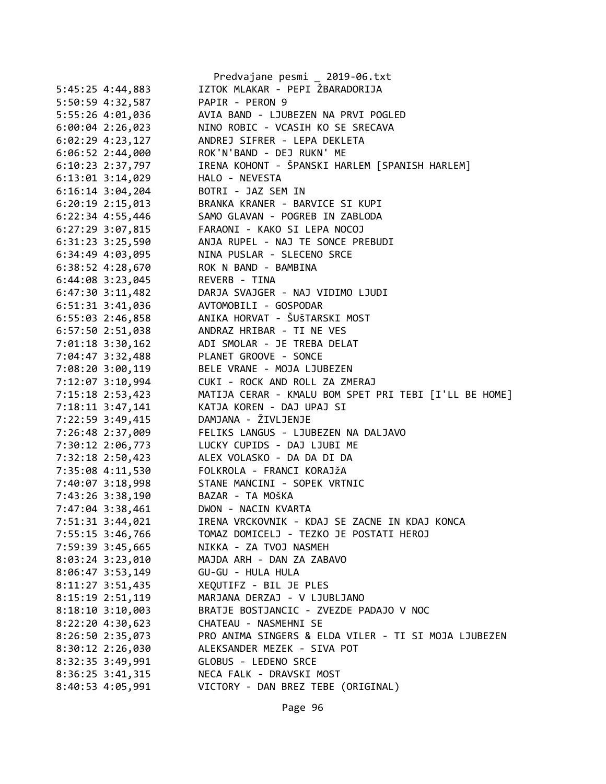|                      | Predvajane pesmi _ 2019-06.txt                        |
|----------------------|-------------------------------------------------------|
| 5:45:25 4:44,883     | IZTOK MLAKAR - PEPI ŽBARADORIJA                       |
| 5:50:59 4:32,587     | PAPIR - PERON 9                                       |
| 5:55:26 4:01,036     | AVIA BAND - LJUBEZEN NA PRVI POGLED                   |
| $6:00:04$ 2:26,023   | NINO ROBIC - VCASIH KO SE SRECAVA                     |
| $6:02:29$ 4:23,127   | ANDREJ SIFRER - LEPA DEKLETA                          |
| $6:06:52$ 2:44,000   | ROK'N'BAND - DEJ RUKN' ME                             |
| $6:10:23$ 2:37,797   | IRENA KOHONT - ŠPANSKI HARLEM [SPANISH HARLEM]        |
| 6:13:01 3:14,029     | HALO - NEVESTA                                        |
| $6:16:14$ 3:04,204   | BOTRI - JAZ SEM IN                                    |
| $6:20:19$ 2:15,013   | BRANKA KRANER - BARVICE SI KUPI                       |
| $6:22:34$ 4:55,446   | SAMO GLAVAN - POGREB IN ZABLODA                       |
| 6:27:29 3:07,815     | FARAONI - KAKO SI LEPA NOCOJ                          |
| $6:31:23$ $3:25,590$ | ANJA RUPEL - NAJ TE SONCE PREBUDI                     |
| $6:34:49$ $4:03,095$ | NINA PUSLAR - SLECENO SRCE                            |
| 6:38:52 4:28,670     | ROK N BAND - BAMBINA                                  |
| 6:44:08 3:23,045     | REVERB - TINA                                         |
| 6:47:30 3:11,482     | DARJA SVAJGER - NAJ VIDIMO LJUDI                      |
| 6:51:31 3:41,036     | AVTOMOBILI - GOSPODAR                                 |
| 6:55:03 2:46,858     | ANIKA HORVAT - ŠUŠTARSKI MOST                         |
| 6:57:50 2:51,038     | ANDRAZ HRIBAR - TI NE VES                             |
| 7:01:18 3:30,162     | ADI SMOLAR - JE TREBA DELAT                           |
| 7:04:47 3:32,488     | PLANET GROOVE - SONCE                                 |
| 7:08:20 3:00,119     | BELE VRANE - MOJA LJUBEZEN                            |
| 7:12:07 3:10,994     | CUKI - ROCK AND ROLL ZA ZMERAJ                        |
| 7:15:18 2:53,423     | MATIJA CERAR - KMALU BOM SPET PRI TEBI [I'LL BE HOME] |
| 7:18:11 3:47,141     | KATJA KOREN - DAJ UPAJ SI                             |
| 7:22:59 3:49,415     | DAMJANA - ŽIVLJENJE                                   |
| 7:26:48 2:37,009     | FELIKS LANGUS - LJUBEZEN NA DALJAVO                   |
| 7:30:12 2:06,773     | LUCKY CUPIDS - DAJ LJUBI ME                           |
| 7:32:18 2:50,423     | ALEX VOLASKO - DA DA DI DA                            |
| 7:35:08 4:11,530     | FOLKROLA - FRANCI KORAJŽA                             |
| 7:40:07 3:18,998     | STANE MANCINI - SOPEK VRTNIC                          |
| 7:43:26 3:38,190     | BAZAR - TA MOŠKA                                      |
| 7:47:04 3:38,461     | DWON - NACIN KVARTA                                   |
| 7:51:31 3:44,021     | IRENA VRCKOVNIK - KDAJ SE ZACNE IN KDAJ KONCA         |
| 7:55:15 3:46,766     | TOMAZ DOMICELJ - TEZKO JE POSTATI HEROJ               |
| 7:59:39 3:45,665     | NIKKA - ZA TVOJ NASMEH                                |
| $8:03:24$ 3:23,010   | MAJDA ARH - DAN ZA ZABAVO                             |
| $8:06:47$ 3:53,149   | GU-GU - HULA HULA                                     |
| 8:11:27 3:51,435     | XEQUTIFZ - BIL JE PLES                                |
| 8:15:19 2:51,119     | MARJANA DERZAJ - V LJUBLJANO                          |
| $8:18:10$ 3:10,003   | BRATJE BOSTJANCIC - ZVEZDE PADAJO V NOC               |
| 8:22:20 4:30,623     | CHATEAU - NASMEHNI SE                                 |
| 8:26:50 2:35,073     | PRO ANIMA SINGERS & ELDA VILER - TI SI MOJA LJUBEZEN  |
| 8:30:12 2:26,030     | ALEKSANDER MEZEK - SIVA POT                           |
| 8:32:35 3:49,991     | GLOBUS - LEDENO SRCE                                  |
| $8:36:25$ 3:41,315   | NECA FALK - DRAVSKI MOST                              |
| 8:40:53 4:05,991     | VICTORY - DAN BREZ TEBE (ORIGINAL)                    |
|                      |                                                       |
|                      |                                                       |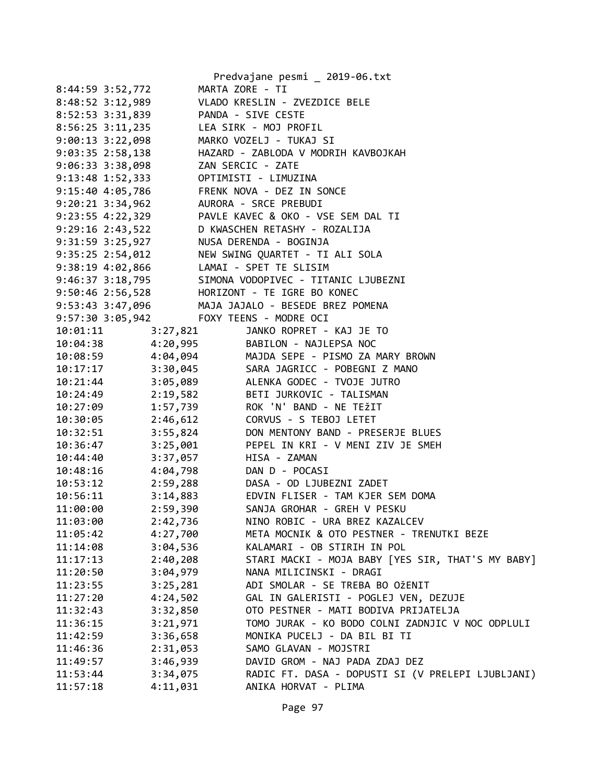|                                           |          | Predvajane pesmi _ 2019-06.txt                                                                  |
|-------------------------------------------|----------|-------------------------------------------------------------------------------------------------|
| 8:44:59 3:52,772                          |          | MARTA ZORE - TI                                                                                 |
| 8:48:52 3:12,989                          |          | VLADO KRESLIN - ZVEZDICE BELE                                                                   |
| 8:52:53 3:31,839                          |          | PANDA - SIVE CESTE                                                                              |
| 8:56:25 3:11,235                          |          | LEA SIRK - MOJ PROFIL                                                                           |
| 9:00:13 3:22,098                          |          | MARKO VOZELJ - TUKAJ SI                                                                         |
| 9:03:35 2:58,138                          |          | HAZARD - ZABLODA V MODRIH KAVBOJKAH                                                             |
| $9:06:33$ $3:38,098$                      |          | ZAN SERCIC - ZATE                                                                               |
| 9:13:48 1:52,333                          |          | OPTIMISTI - LIMUZINA                                                                            |
| 9:15:40 4:05,786                          |          | FRENK NOVA - DEZ IN SONCE                                                                       |
| 9:20:21 3:34,962                          |          | AURORA - SRCE PREBUDI                                                                           |
|                                           |          | 9:23:55 4:22,329 PAVLE KAVEC & OKO - VSE SEM DAL TI                                             |
| 9:29:16 2:43,522                          |          | D KWASCHEN RETASHY - ROZALIJA                                                                   |
|                                           |          | NUSA DERENDA - BOGINJA                                                                          |
| 9:31:59 3:25,927<br>9:35:25 2:54,012      |          | NEW SWING QUARTET - TI ALI SOLA                                                                 |
| 9:38:19  4:02,866  LAMAI - SPET TE SLISIM |          |                                                                                                 |
| 9:46:37 3:18,795                          |          | SIMONA VODOPIVEC - TITANIC LJUBEZNI                                                             |
|                                           |          | 9:50:46 2:56,528 HORIZONT - TE IGRE BO KONEC                                                    |
|                                           |          | 9:53:43 3:47,096 MAJA JAJALO - BESEDE BREZ POMENA                                               |
| 9:57:30 3:05,942 FOXY TEENS - MODRE OCI   |          |                                                                                                 |
| 10:01:11                                  | 3:27,821 | JANKO ROPRET - KAJ JE TO                                                                        |
|                                           |          |                                                                                                 |
|                                           |          | 10:04:38 4:20,995 BABILON - NAJLEPSA NOC<br>10:08:59 4:04,094 MAJDA SEPE - PISMO ZA MARY BROWN  |
|                                           |          |                                                                                                 |
|                                           |          | 10:17:17 3:30,045 SARA JAGRICC - POBEGNI Z MANO<br>10:21:44 3:05,089 ALENKA GODEC - TVOJE JUTRO |
|                                           |          | 10:24:49  2:19,582  BETI JURKOVIC - TALISMAN                                                    |
| 10:27:09 1:57,739                         |          | ROK 'N' BAND - NE TEŽIT                                                                         |
|                                           |          | 10:30:05  2:46,612  CORVUS - S TEBOJ LETET                                                      |
|                                           |          | DON MENTONY BAND - PRESERJE BLUES                                                               |
| $10:32:51$ $3:55,824$                     |          | PEPEL IN KRI - V MENI ZIV JE SMEH                                                               |
| 10:36:47 3:25,001                         |          | HISA - ZAMAN                                                                                    |
| 10:44:40 3:37,057                         |          |                                                                                                 |
| 10:48:16  4:04,798  DAN D - POCASI        |          |                                                                                                 |
|                                           |          | 10:53:12 2:59,288 DASA - OD LJUBEZNI ZADET                                                      |
| 10:56:11                                  |          | 3:14,883 EDVIN FLISER - TAM KJER SEM DOMA                                                       |
| 11:00:00                                  | 2:59,390 | SANJA GROHAR - GREH V PESKU                                                                     |
| 11:03:00                                  | 2:42,736 | NINO ROBIC - URA BREZ KAZALCEV                                                                  |
| 11:05:42                                  | 4:27,700 | META MOCNIK & OTO PESTNER - TRENUTKI BEZE                                                       |
| 11:14:08                                  | 3:04,536 | KALAMARI - OB STIRIH IN POL                                                                     |
| 11:17:13                                  | 2:40,208 | STARI MACKI - MOJA BABY [YES SIR, THAT'S MY BABY]                                               |
| 11:20:50                                  | 3:04,979 | NANA MILICINSKI - DRAGI                                                                         |
| 11:23:55                                  | 3:25,281 | ADI SMOLAR - SE TREBA BO OŽENIT                                                                 |
| 11:27:20                                  | 4:24,502 | GAL IN GALERISTI - POGLEJ VEN, DEZUJE                                                           |
| 11:32:43                                  | 3:32,850 | OTO PESTNER - MATI BODIVA PRIJATELJA                                                            |
| 11:36:15                                  | 3:21,971 | TOMO JURAK - KO BODO COLNI ZADNJIC V NOC ODPLULI                                                |
| 11:42:59                                  | 3:36,658 | MONIKA PUCELJ - DA BIL BI TI                                                                    |
| 11:46:36                                  | 2:31,053 | SAMO GLAVAN - MOJSTRI                                                                           |
| 11:49:57                                  | 3:46,939 | DAVID GROM - NAJ PADA ZDAJ DEZ                                                                  |
| 11:53:44                                  | 3:34,075 | RADIC FT. DASA - DOPUSTI SI (V PRELEPI LJUBLJANI)                                               |
| 11:57:18                                  | 4:11,031 | ANIKA HORVAT - PLIMA                                                                            |
|                                           |          |                                                                                                 |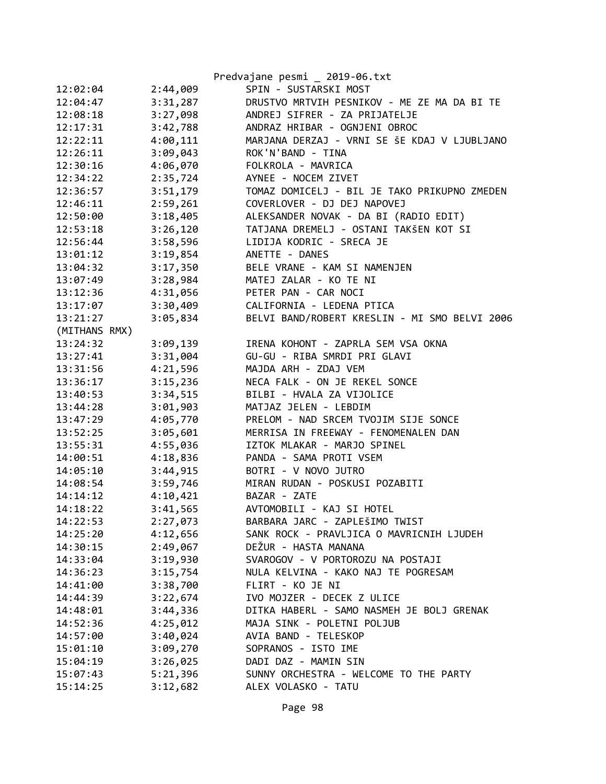|               |          | Predvajane pesmi _ 2019-06.txt                |
|---------------|----------|-----------------------------------------------|
| 12:02:04      | 2:44,009 | SPIN - SUSTARSKI MOST                         |
| 12:04:47      | 3:31,287 | DRUSTVO MRTVIH PESNIKOV - ME ZE MA DA BI TE   |
| 12:08:18      | 3:27,098 | ANDREJ SIFRER - ZA PRIJATELJE                 |
| 12:17:31      | 3:42,788 | ANDRAZ HRIBAR - OGNJENI OBROC                 |
| 12:22:11      | 4:00,111 | MARJANA DERZAJ - VRNI SE ŠE KDAJ V LJUBLJANO  |
| 12:26:11      | 3:09,043 | ROK'N'BAND - TINA                             |
| 12:30:16      | 4:06,070 | FOLKROLA - MAVRICA                            |
| 12:34:22      | 2:35,724 | AYNEE - NOCEM ZIVET                           |
| 12:36:57      | 3:51,179 | TOMAZ DOMICELJ - BIL JE TAKO PRIKUPNO ZMEDEN  |
| 12:46:11      | 2:59,261 | COVERLOVER - DJ DEJ NAPOVEJ                   |
| 12:50:00      | 3:18,405 | ALEKSANDER NOVAK - DA BI (RADIO EDIT)         |
| 12:53:18      | 3:26,120 | TATJANA DREMELJ - OSTANI TAKŠEN KOT SI        |
| 12:56:44      | 3:58,596 | LIDIJA KODRIC - SRECA JE                      |
| 13:01:12      | 3:19,854 | ANETTE - DANES                                |
| 13:04:32      | 3:17,350 | BELE VRANE - KAM SI NAMENJEN                  |
| 13:07:49      | 3:28,984 | MATEJ ZALAR - KO TE NI                        |
| 13:12:36      | 4:31,056 | PETER PAN - CAR NOCI                          |
| 13:17:07      | 3:30,409 | CALIFORNIA - LEDENA PTICA                     |
| 13:21:27      | 3:05,834 | BELVI BAND/ROBERT KRESLIN - MI SMO BELVI 2006 |
| (MITHANS RMX) |          |                                               |
| 13:24:32      | 3:09,139 | IRENA KOHONT - ZAPRLA SEM VSA OKNA            |
| 13:27:41      | 3:31,004 | GU-GU - RIBA SMRDI PRI GLAVI                  |
| 13:31:56      | 4:21,596 | MAJDA ARH - ZDAJ VEM                          |
| 13:36:17      | 3:15,236 | NECA FALK - ON JE REKEL SONCE                 |
| 13:40:53      | 3:34,515 | BILBI - HVALA ZA VIJOLICE                     |
| 13:44:28      | 3:01,903 | MATJAZ JELEN - LEBDIM                         |
| 13:47:29      | 4:05,770 | PRELOM - NAD SRCEM TVOJIM SIJE SONCE          |
| 13:52:25      | 3:05,601 | MERRISA IN FREEWAY - FENOMENALEN DAN          |
| 13:55:31      | 4:55,036 | IZTOK MLAKAR - MARJO SPINEL                   |
| 14:00:51      | 4:18,836 | PANDA - SAMA PROTI VSEM                       |
| 14:05:10      | 3:44,915 | BOTRI - V NOVO JUTRO                          |
| 14:08:54      | 3:59,746 | MIRAN RUDAN - POSKUSI POZABITI                |
| 14:14:12      | 4:10,421 | BAZAR - ZATE                                  |
| 14:18:22      | 3:41,565 | AVTOMOBILI - KAJ SI HOTEL                     |
| 14:22:53      | 2:27,073 | BARBARA JARC - ZAPLEŠIMO TWIST                |
| 14:25:20      | 4:12,656 | SANK ROCK - PRAVLJICA O MAVRICNIH LJUDEH      |
| 14:30:15      | 2:49,067 | DEŽUR - HASTA MANANA                          |
| 14:33:04      | 3:19,930 | SVAROGOV - V PORTOROZU NA POSTAJI             |
| 14:36:23      | 3:15,754 | NULA KELVINA - KAKO NAJ TE POGRESAM           |
| 14:41:00      | 3:38,700 | FLIRT - KO JE NI                              |
| 14:44:39      | 3:22,674 | IVO MOJZER - DECEK Z ULICE                    |
| 14:48:01      | 3:44,336 | DITKA HABERL - SAMO NASMEH JE BOLJ GRENAK     |
| 14:52:36      | 4:25,012 | MAJA SINK - POLETNI POLJUB                    |
| 14:57:00      | 3:40,024 | AVIA BAND - TELESKOP                          |
| 15:01:10      | 3:09,270 | SOPRANOS - ISTO IME                           |
| 15:04:19      | 3:26,025 | DADI DAZ - MAMIN SIN                          |
| 15:07:43      | 5:21,396 | SUNNY ORCHESTRA - WELCOME TO THE PARTY        |
| 15:14:25      | 3:12,682 | ALEX VOLASKO - TATU                           |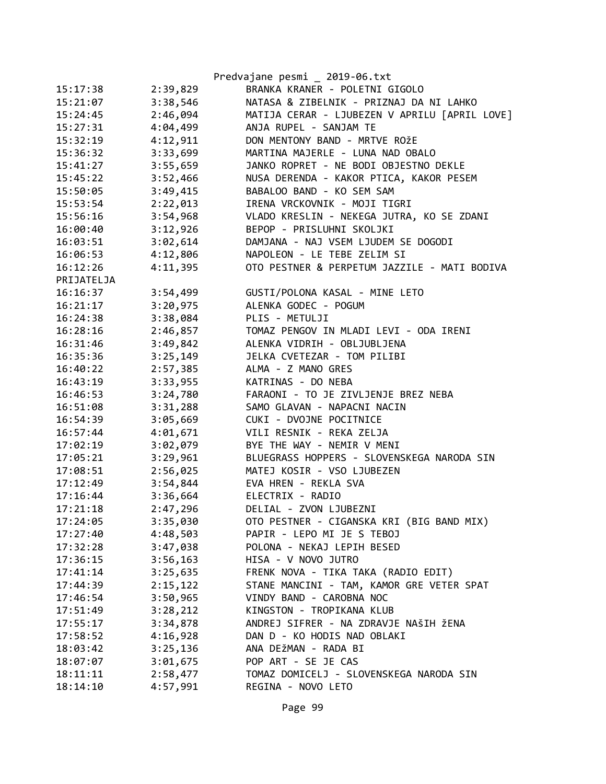|            |          | Predvajane pesmi _ 2019-06.txt                |
|------------|----------|-----------------------------------------------|
| 15:17:38   | 2:39,829 | BRANKA KRANER - POLETNI GIGOLO                |
| 15:21:07   | 3:38,546 | NATASA & ZIBELNIK - PRIZNAJ DA NI LAHKO       |
| 15:24:45   | 2:46,094 | MATIJA CERAR - LJUBEZEN V APRILU [APRIL LOVE] |
| 15:27:31   | 4:04,499 | ANJA RUPEL - SANJAM TE                        |
| 15:32:19   | 4:12,911 | DON MENTONY BAND - MRTVE ROŽE                 |
| 15:36:32   | 3:33,699 | MARTINA MAJERLE - LUNA NAD OBALO              |
| 15:41:27   | 3:55,659 | JANKO ROPRET - NE BODI OBJESTNO DEKLE         |
| 15:45:22   | 3:52,466 | NUSA DERENDA - KAKOR PTICA, KAKOR PESEM       |
| 15:50:05   | 3:49,415 | BABALOO BAND - KO SEM SAM                     |
| 15:53:54   | 2:22,013 | IRENA VRCKOVNIK - MOJI TIGRI                  |
| 15:56:16   | 3:54,968 | VLADO KRESLIN - NEKEGA JUTRA, KO SE ZDANI     |
| 16:00:40   | 3:12,926 | BEPOP - PRISLUHNI SKOLJKI                     |
| 16:03:51   | 3:02,614 | DAMJANA - NAJ VSEM LJUDEM SE DOGODI           |
| 16:06:53   | 4:12,806 | NAPOLEON - LE TEBE ZELIM SI                   |
| 16:12:26   | 4:11,395 | OTO PESTNER & PERPETUM JAZZILE - MATI BODIVA  |
| PRIJATELJA |          |                                               |
| 16:16:37   | 3:54,499 | GUSTI/POLONA KASAL - MINE LETO                |
| 16:21:17   | 3:20,975 | ALENKA GODEC - POGUM                          |
| 16:24:38   | 3:38,084 | PLIS - METULJI                                |
| 16:28:16   | 2:46,857 | TOMAZ PENGOV IN MLADI LEVI - ODA IRENI        |
| 16:31:46   | 3:49,842 | ALENKA VIDRIH - OBLJUBLJENA                   |
| 16:35:36   | 3:25,149 | JELKA CVETEZAR - TOM PILIBI                   |
| 16:40:22   | 2:57,385 | ALMA - Z MANO GRES                            |
| 16:43:19   | 3:33,955 | KATRINAS - DO NEBA                            |
| 16:46:53   | 3:24,780 | FARAONI - TO JE ZIVLJENJE BREZ NEBA           |
| 16:51:08   | 3:31,288 | SAMO GLAVAN - NAPACNI NACIN                   |
| 16:54:39   | 3:05,669 | CUKI - DVOJNE POCITNICE                       |
| 16:57:44   | 4:01,671 | VILI RESNIK - REKA ZELJA                      |
| 17:02:19   | 3:02,079 | BYE THE WAY - NEMIR V MENI                    |
| 17:05:21   | 3:29,961 | BLUEGRASS HOPPERS - SLOVENSKEGA NARODA SIN    |
| 17:08:51   | 2:56,025 | MATEJ KOSIR - VSO LJUBEZEN                    |
| 17:12:49   | 3:54,844 | EVA HREN - REKLA SVA                          |
| 17:16:44   | 3:36,664 | ELECTRIX - RADIO                              |
| 17:21:18   | 2:47,296 | DELIAL - ZVON LJUBEZNI                        |
| 17:24:05   | 3:35,030 | OTO PESTNER - CIGANSKA KRI (BIG BAND MIX)     |
| 17:27:40   | 4:48,503 | PAPIR - LEPO MI JE S TEBOJ                    |
| 17:32:28   | 3:47,038 | POLONA - NEKAJ LEPIH BESED                    |
| 17:36:15   | 3:56,163 | HISA - V NOVO JUTRO                           |
| 17:41:14   | 3:25,635 | FRENK NOVA - TIKA TAKA (RADIO EDIT)           |
| 17:44:39   | 2:15,122 | STANE MANCINI - TAM, KAMOR GRE VETER SPAT     |
| 17:46:54   | 3:50,965 | VINDY BAND - CAROBNA NOC                      |
| 17:51:49   | 3:28,212 | KINGSTON - TROPIKANA KLUB                     |
| 17:55:17   | 3:34,878 | ANDREJ SIFRER - NA ZDRAVJE NAŠIH ŽENA         |
| 17:58:52   | 4:16,928 | DAN D - KO HODIS NAD OBLAKI                   |
| 18:03:42   | 3:25,136 | ANA DEŽMAN - RADA BI                          |
| 18:07:07   | 3:01,675 | POP ART - SE JE CAS                           |
| 18:11:11   | 2:58,477 | TOMAZ DOMICELJ - SLOVENSKEGA NARODA SIN       |
| 18:14:10   | 4:57,991 | REGINA - NOVO LETO                            |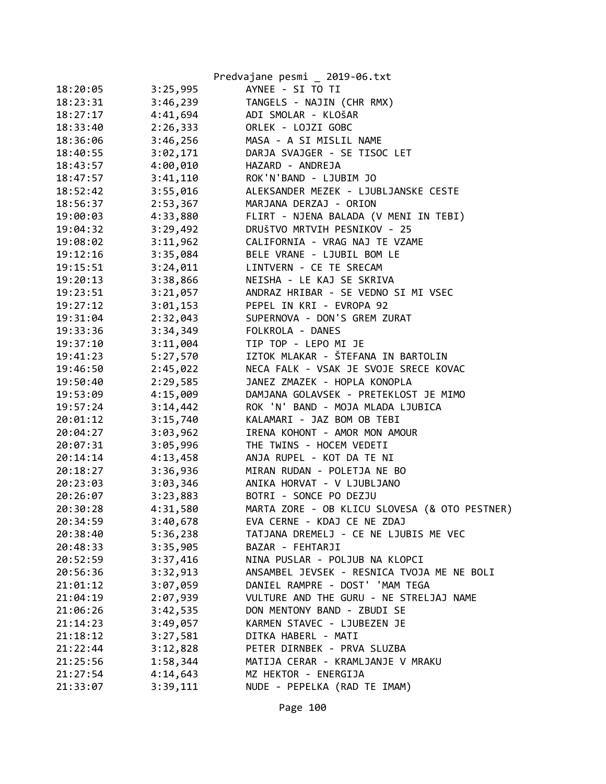|          |          | Predvajane pesmi _ 2019-06.txt                |
|----------|----------|-----------------------------------------------|
| 18:20:05 | 3:25,995 | AYNEE - SI TO TI                              |
| 18:23:31 | 3:46,239 | TANGELS - NAJIN (CHR RMX)                     |
| 18:27:17 | 4:41,694 | ADI SMOLAR - KLOŠAR                           |
| 18:33:40 | 2:26,333 | ORLEK - LOJZI GOBC                            |
| 18:36:06 | 3:46,256 | MASA - A SI MISLIL NAME                       |
| 18:40:55 | 3:02,171 | DARJA SVAJGER - SE TISOC LET                  |
| 18:43:57 | 4:00,010 | HAZARD - ANDREJA                              |
| 18:47:57 | 3:41,110 | ROK'N'BAND - LJUBIM JO                        |
| 18:52:42 | 3:55,016 | ALEKSANDER MEZEK - LJUBLJANSKE CESTE          |
| 18:56:37 | 2:53,367 | MARJANA DERZAJ - ORION                        |
| 19:00:03 | 4:33,880 | FLIRT - NJENA BALADA (V MENI IN TEBI)         |
| 19:04:32 | 3:29,492 | DRUŠTVO MRTVIH PESNIKOV - 25                  |
| 19:08:02 | 3:11,962 | CALIFORNIA - VRAG NAJ TE VZAME                |
| 19:12:16 | 3:35,084 | BELE VRANE - LJUBIL BOM LE                    |
| 19:15:51 | 3:24,011 | LINTVERN - CE TE SRECAM                       |
| 19:20:13 | 3:38,866 | NEISHA - LE KAJ SE SKRIVA                     |
| 19:23:51 | 3:21,057 | ANDRAZ HRIBAR - SE VEDNO SI MI VSEC           |
| 19:27:12 | 3:01,153 | PEPEL IN KRI - EVROPA 92                      |
| 19:31:04 | 2:32,043 | SUPERNOVA - DON'S GREM ZURAT                  |
| 19:33:36 | 3:34,349 | FOLKROLA - DANES                              |
| 19:37:10 | 3:11,004 | TIP TOP - LEPO MI JE                          |
| 19:41:23 | 5:27,570 | IZTOK MLAKAR - ŠTEFANA IN BARTOLIN            |
| 19:46:50 | 2:45,022 | NECA FALK - VSAK JE SVOJE SRECE KOVAC         |
| 19:50:40 | 2:29,585 | JANEZ ZMAZEK - HOPLA KONOPLA                  |
| 19:53:09 | 4:15,009 | DAMJANA GOLAVSEK - PRETEKLOST JE MIMO         |
| 19:57:24 | 3:14,442 | ROK 'N' BAND - MOJA MLADA LJUBICA             |
| 20:01:12 | 3:15,740 | KALAMARI - JAZ BOM OB TEBI                    |
| 20:04:27 | 3:03,962 | IRENA KOHONT - AMOR MON AMOUR                 |
| 20:07:31 | 3:05,996 | THE TWINS - HOCEM VEDETI                      |
| 20:14:14 | 4:13,458 | ANJA RUPEL - KOT DA TE NI                     |
| 20:18:27 | 3:36,936 | MIRAN RUDAN - POLETJA NE BO                   |
| 20:23:03 | 3:03,346 | ANIKA HORVAT - V LJUBLJANO                    |
| 20:26:07 | 3:23,883 | BOTRI - SONCE PO DEZJU                        |
| 20:30:28 | 4:31,580 | MARTA ZORE - OB KLICU SLOVESA (& OTO PESTNER) |
| 20:34:59 | 3:40,678 | EVA CERNE - KDAJ CE NE ZDAJ                   |
| 20:38:40 | 5:36,238 | TATJANA DREMELJ - CE NE LJUBIS ME VEC         |
| 20:48:33 | 3:35,905 | BAZAR - FEHTARJI                              |
| 20:52:59 | 3:37,416 | NINA PUSLAR - POLJUB NA KLOPCI                |
| 20:56:36 | 3:32,913 | ANSAMBEL JEVSEK - RESNICA TVOJA ME NE BOLI    |
| 21:01:12 | 3:07,059 | DANIEL RAMPRE - DOST' 'MAM TEGA               |
| 21:04:19 | 2:07,939 | VULTURE AND THE GURU - NE STRELJAJ NAME       |
| 21:06:26 | 3:42,535 | DON MENTONY BAND - ZBUDI SE                   |
| 21:14:23 | 3:49,057 | KARMEN STAVEC - LJUBEZEN JE                   |
| 21:18:12 | 3:27,581 | DITKA HABERL - MATI                           |
| 21:22:44 | 3:12,828 | PETER DIRNBEK - PRVA SLUZBA                   |
| 21:25:56 | 1:58,344 | MATIJA CERAR - KRAMLJANJE V MRAKU             |
| 21:27:54 | 4:14,643 | MZ HEKTOR - ENERGIJA                          |
| 21:33:07 | 3:39,111 | NUDE - PEPELKA (RAD TE IMAM)                  |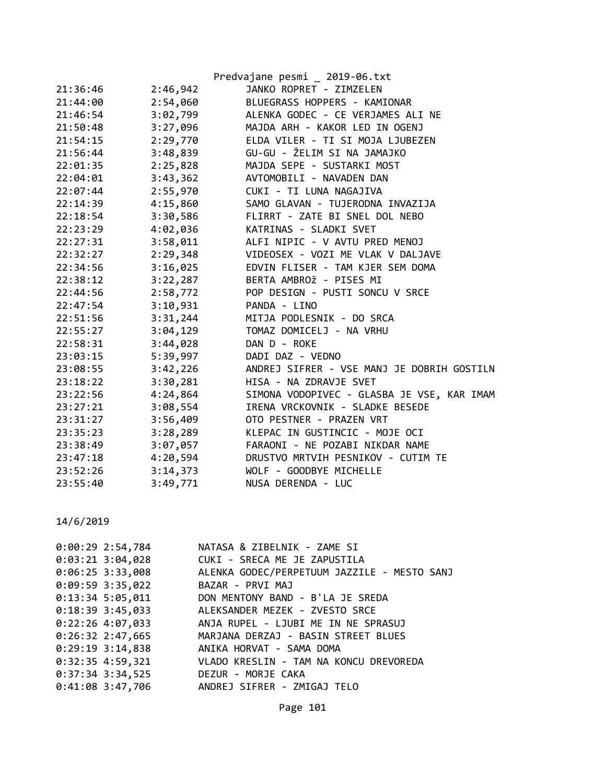| ANDREJ SIFRER - VSE MANJ JE DOBRIH GOSTILN |
|--------------------------------------------|
|                                            |
| SIMONA VODOPIVEC - GLASBA JE VSE, KAR IMAM |
|                                            |
|                                            |
|                                            |
|                                            |
|                                            |
|                                            |
|                                            |
|                                            |

| $0:00:29$ 2:54,784 | NATASA & ZIBELNIK - ZAME SI                             |
|--------------------|---------------------------------------------------------|
|                    | 0:03:21 3:04,028 CUKI - SRECA ME JE ZAPUSTILA           |
| $0:06:25$ 3:33,008 | ALENKA GODEC/PERPETUUM JAZZILE - MESTO SANJ             |
| 0:09:59 3:35,022   | BAZAR - PRVI MAJ                                        |
|                    | 0:13:34 5:05,011 DON MENTONY BAND - B'LA JE SREDA       |
|                    | 0:18:39 3:45,033 ALEKSANDER MEZEK - ZVESTO SRCE         |
|                    | 0:22:26 4:07,033 ANJA RUPEL - LJUBI ME IN NE SPRASUJ    |
|                    | 0:26:32 2:47,665 MARJANA DERZAJ - BASIN STREET BLUES    |
|                    | 0:29:19 3:14,838 ANIKA HORVAT - SAMA DOMA               |
|                    | 0:32:35 4:59,321 VLADO KRESLIN - TAM NA KONCU DREVOREDA |
| 0:37:34 3:34,525   | DEZUR - MORJE CAKA                                      |
|                    | 0:41:08 3:47,706 ANDREJ SIFRER - ZMIGAJ TELO            |
|                    |                                                         |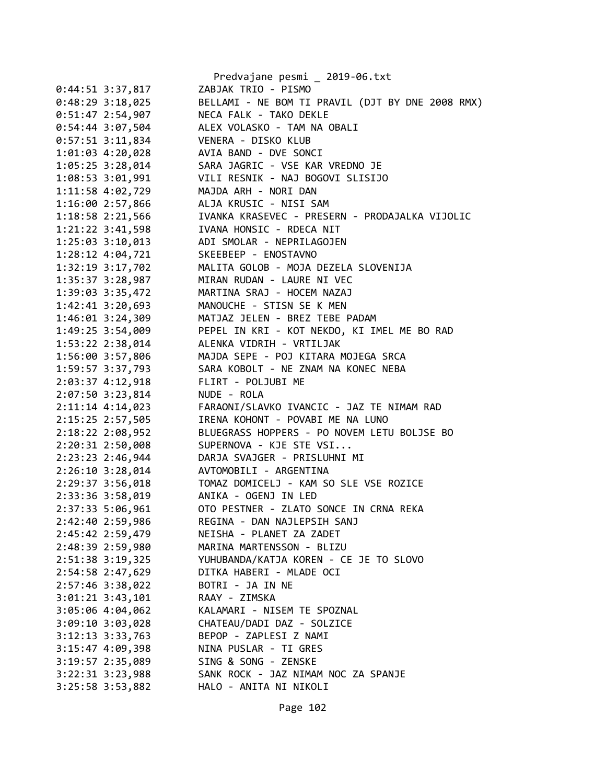|                      | Predvajane pesmi _ 2019-06.txt                   |
|----------------------|--------------------------------------------------|
| $0:44:51$ 3:37,817   | ZABJAK TRIO - PISMO                              |
| $0:48:29$ 3:18,025   | BELLAMI - NE BOM TI PRAVIL (DJT BY DNE 2008 RMX) |
| $0:51:47$ 2:54,907   | NECA FALK - TAKO DEKLE                           |
| 0:54:44 3:07,504     | ALEX VOLASKO - TAM NA OBALI                      |
| $0:57:51$ 3:11,834   | VENERA - DISKO KLUB                              |
| 1:01:03 4:20,028     | AVIA BAND - DVE SONCI                            |
| 1:05:25 3:28,014     | SARA JAGRIC - VSE KAR VREDNO JE                  |
| 1:08:53 3:01,991     | VILI RESNIK - NAJ BOGOVI SLISIJO                 |
| 1:11:58 4:02,729     | MAJDA ARH - NORI DAN                             |
| 1:16:00 2:57,866     | ALJA KRUSIC - NISI SAM                           |
| 1:18:58 2:21,566     | IVANKA KRASEVEC - PRESERN - PRODAJALKA VIJOLIC   |
| $1:21:22$ $3:41,598$ | IVANA HONSIC - RDECA NIT                         |
| $1:25:03$ $3:10,013$ | ADI SMOLAR - NEPRILAGOJEN                        |
| $1:28:12$ $4:04,721$ | SKEEBEEP - ENOSTAVNO                             |
| 1:32:19 3:17,702     | MALITA GOLOB - MOJA DEZELA SLOVENIJA             |
| 1:35:37 3:28,987     | MIRAN RUDAN - LAURE NI VEC                       |
| 1:39:03 3:35,472     | MARTINA SRAJ - HOCEM NAZAJ                       |
| $1:42:41$ $3:20,693$ | MANOUCHE - STISN SE K MEN                        |
| 1:46:01 3:24,309     | MATJAZ JELEN - BREZ TEBE PADAM                   |
| 1:49:25 3:54,009     | PEPEL IN KRI - KOT NEKDO, KI IMEL ME BO RAD      |
| 1:53:22 2:38,014     | ALENKA VIDRIH - VRTILJAK                         |
| 1:56:00 3:57,806     | MAJDA SEPE - POJ KITARA MOJEGA SRCA              |
| 1:59:57 3:37,793     | SARA KOBOLT - NE ZNAM NA KONEC NEBA              |
| 2:03:37 4:12,918     | FLIRT - POLJUBI ME                               |
| 2:07:50 3:23,814     | NUDE - ROLA                                      |
| 2:11:14 4:14,023     | FARAONI/SLAVKO IVANCIC - JAZ TE NIMAM RAD        |
| 2:15:25 2:57,505     | IRENA KOHONT - POVABI ME NA LUNO                 |
| 2:18:22 2:08,952     | BLUEGRASS HOPPERS - PO NOVEM LETU BOLJSE BO      |
| 2:20:31 2:50,008     | SUPERNOVA - KJE STE VSI                          |
| 2:23:23 2:46,944     | DARJA SVAJGER - PRISLUHNI MI                     |
| 2:26:10 3:28,014     | AVTOMOBILI - ARGENTINA                           |
| 2:29:37 3:56,018     | TOMAZ DOMICELJ - KAM SO SLE VSE ROZICE           |
| 2:33:36 3:58,019     | ANIKA - OGENJ IN LED                             |
| 2:37:33 5:06,961     | OTO PESTNER - ZLATO SONCE IN CRNA REKA           |
| 2:42:40 2:59,986     | REGINA - DAN NAJLEPSIH SANJ                      |
| 2:45:42 2:59,479     | NEISHA - PLANET ZA ZADET                         |
| 2:48:39 2:59,980     | MARINA MARTENSSON - BLIZU                        |
| $2:51:38$ 3:19,325   | YUHUBANDA/KATJA KOREN - CE JE TO SLOVO           |
| 2:54:58 2:47,629     | DITKA HABERI - MLADE OCI                         |
| 2:57:46 3:38,022     | BOTRI - JA IN NE                                 |
| $3:01:21$ $3:43,101$ | RAAY - ZIMSKA                                    |
| 3:05:06 4:04,062     | KALAMARI - NISEM TE SPOZNAL                      |
| 3:09:10 3:03,028     | CHATEAU/DADI DAZ - SOLZICE                       |
| $3:12:13$ $3:33,763$ | BEPOP - ZAPLESI Z NAMI                           |
| 3:15:47 4:09,398     | NINA PUSLAR - TI GRES                            |
| 3:19:57 2:35,089     | SING & SONG - ZENSKE                             |
| $3:22:31$ $3:23,988$ | SANK ROCK - JAZ NIMAM NOC ZA SPANJE              |
| 3:25:58 3:53,882     | HALO - ANITA NI NIKOLI                           |
|                      |                                                  |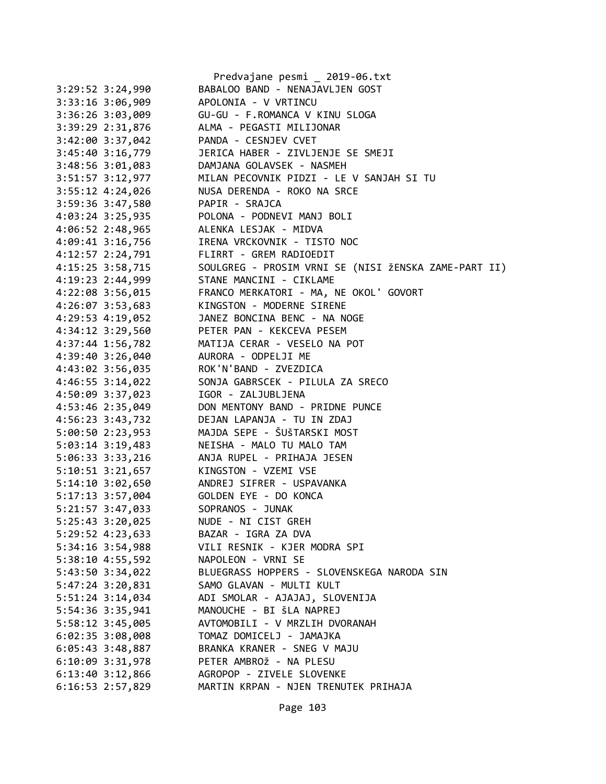|                      | Predvajane pesmi _ 2019-06.txt                       |
|----------------------|------------------------------------------------------|
| $3:29:52$ $3:24,990$ | BABALOO BAND - NENAJAVLJEN GOST                      |
| $3:33:16$ $3:06,909$ | APOLONIA - V VRTINCU                                 |
| $3:36:26$ $3:03,009$ | GU-GU - F.ROMANCA V KINU SLOGA                       |
| 3:39:29 2:31,876     | ALMA - PEGASTI MILIJONAR                             |
| 3:42:00 3:37,042     | PANDA - CESNJEV CVET                                 |
| 3:45:40 3:16,779     | JERICA HABER - ZIVLJENJE SE SMEJI                    |
| 3:48:56 3:01,083     | DAMJANA GOLAVSEK - NASMEH                            |
| 3:51:57 3:12,977     | MILAN PECOVNIK PIDZI - LE V SANJAH SI TU             |
| $3:55:12$ 4:24,026   | NUSA DERENDA - ROKO NA SRCE                          |
| 3:59:36 3:47,580     | PAPIR - SRAJCA                                       |
| 4:03:24 3:25,935     | POLONA - PODNEVI MANJ BOLI                           |
| 4:06:52 2:48,965     | ALENKA LESJAK - MIDVA                                |
| 4:09:41 3:16,756     | IRENA VRCKOVNIK - TISTO NOC                          |
| 4:12:57 2:24,791     | FLIRRT - GREM RADIOEDIT                              |
| 4:15:25 3:58,715     | SOULGREG - PROSIM VRNI SE (NISI ŽENSKA ZAME-PART II) |
| 4:19:23 2:44,999     | STANE MANCINI - CIKLAME                              |
| 4:22:08 3:56,015     | FRANCO MERKATORI - MA, NE OKOL' GOVORT               |
| 4:26:07 3:53,683     | KINGSTON - MODERNE SIRENE                            |
| $4:29:53$ $4:19,052$ | JANEZ BONCINA BENC - NA NOGE                         |
| 4:34:12 3:29,560     | PETER PAN - KEKCEVA PESEM                            |
|                      | MATIJA CERAR - VESELO NA POT                         |
| 4:37:44 1:56,782     |                                                      |
| 4:39:40 3:26,040     | AURORA - ODPELJI ME                                  |
| 4:43:02 3:56,035     | ROK'N'BAND - ZVEZDICA                                |
| 4:46:55 3:14,022     | SONJA GABRSCEK - PILULA ZA SRECO                     |
| 4:50:09 3:37,023     | IGOR - ZALJUBLJENA                                   |
| 4:53:46 2:35,049     | DON MENTONY BAND - PRIDNE PUNCE                      |
| 4:56:23 3:43,732     | DEJAN LAPANJA - TU IN ZDAJ                           |
| 5:00:50 2:23,953     | MAJDA SEPE - ŠUŠTARSKI MOST                          |
| 5:03:14 3:19,483     | NEISHA - MALO TU MALO TAM                            |
| 5:06:33 3:33,216     | ANJA RUPEL - PRIHAJA JESEN                           |
| $5:10:51$ $3:21,657$ | KINGSTON - VZEMI VSE                                 |
| $5:14:10$ $3:02,650$ | ANDREJ SIFRER - USPAVANKA                            |
| $5:17:13$ 3:57,004   | GOLDEN EYE - DO KONCA                                |
| 5:21:57 3:47,033     | SOPRANOS - JUNAK                                     |
| 5:25:43 3:20,025     | NUDE - NI CIST GREH                                  |
| 5:29:52 4:23,633     | BAZAR - IGRA ZA DVA                                  |
| 5:34:16 3:54,988     | VILI RESNIK - KJER MODRA SPI                         |
| 5:38:10 4:55,592     | NAPOLEON - VRNI SE                                   |
| 5:43:50 3:34,022     | BLUEGRASS HOPPERS - SLOVENSKEGA NARODA SIN           |
| 5:47:24 3:20,831     | SAMO GLAVAN - MULTI KULT                             |
| 5:51:24 3:14,034     | ADI SMOLAR - AJAJAJ, SLOVENIJA                       |
| 5:54:36 3:35,941     | MANOUCHE - BI ŠLA NAPREJ                             |
| 5:58:12 3:45,005     | AVTOMOBILI - V MRZLIH DVORANAH                       |
| 6:02:35 3:08,008     | TOMAZ DOMICELJ - JAMAJKA                             |
| $6:05:43$ 3:48,887   | BRANKA KRANER - SNEG V MAJU                          |
| 6:10:09 3:31,978     | PETER AMBROŽ - NA PLESU                              |
| $6:13:40$ $3:12,866$ | AGROPOP - ZIVELE SLOVENKE                            |
| 6:16:53 2:57,829     | MARTIN KRPAN - NJEN TRENUTEK PRIHAJA                 |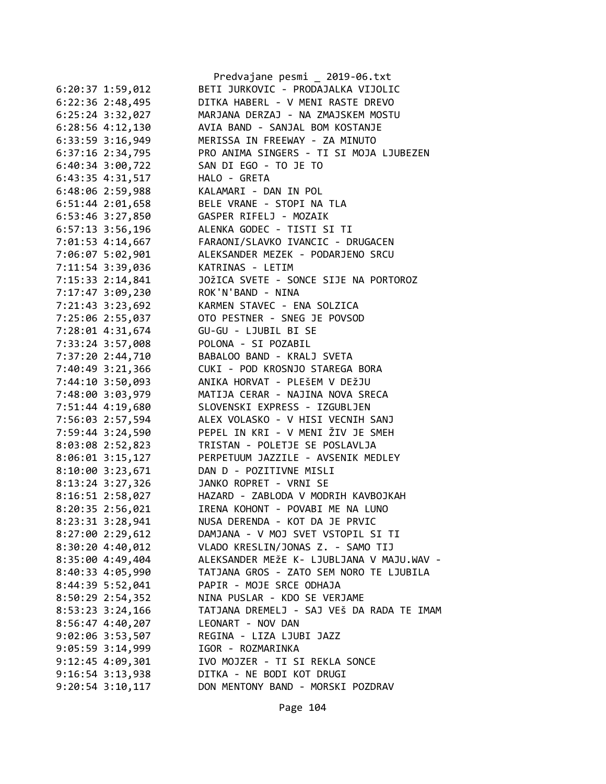|                      | Predvajane pesmi _ 2019-06.txt            |
|----------------------|-------------------------------------------|
| $6:20:37$ 1:59,012   | BETI JURKOVIC - PRODAJALKA VIJOLIC        |
| $6:22:36$ 2:48,495   | DITKA HABERL - V MENI RASTE DREVO         |
| $6:25:24$ 3:32,027   | MARJANA DERZAJ - NA ZMAJSKEM MOSTU        |
| 6:28:56 4:12,130     | AVIA BAND - SANJAL BOM KOSTANJE           |
| 6:33:59 3:16,949     | MERISSA IN FREEWAY - ZA MINUTO            |
| $6:37:16$ $2:34,795$ | PRO ANIMA SINGERS - TI SI MOJA LJUBEZEN   |
| 6:40:34 3:00,722     | SAN DI EGO - TO JE TO                     |
| 6:43:35 4:31,517     | HALO - GRETA                              |
| 6:48:06 2:59,988     | KALAMARI - DAN IN POL                     |
| $6:51:44$ 2:01,658   | BELE VRANE - STOPI NA TLA                 |
| 6:53:46 3:27,850     | GASPER RIFELJ - MOZAIK                    |
| $6:57:13$ 3:56,196   | ALENKA GODEC - TISTI SI TI                |
| 7:01:53 4:14,667     | FARAONI/SLAVKO IVANCIC - DRUGACEN         |
| 7:06:07 5:02,901     | ALEKSANDER MEZEK - PODARJENO SRCU         |
| 7:11:54 3:39,036     | KATRINAS - LETIM                          |
| 7:15:33 2:14,841     | JOŽICA SVETE - SONCE SIJE NA PORTOROZ     |
| 7:17:47 3:09,230     | ROK'N'BAND - NINA                         |
| 7:21:43 3:23,692     | KARMEN STAVEC - ENA SOLZICA               |
| 7:25:06 2:55,037     | OTO PESTNER - SNEG JE POVSOD              |
| 7:28:01 4:31,674     | GU-GU - LJUBIL BI SE                      |
| 7:33:24 3:57,008     | POLONA - SI POZABIL                       |
| 7:37:20 2:44,710     | BABALOO BAND - KRALJ SVETA                |
| 7:40:49 3:21,366     | CUKI - POD KROSNJO STAREGA BORA           |
| 7:44:10 3:50,093     | ANIKA HORVAT - PLEŠEM V DEŽJU             |
|                      | MATIJA CERAR - NAJINA NOVA SRECA          |
| 7:48:00 3:03,979     | SLOVENSKI EXPRESS - IZGUBLJEN             |
| 7:51:44 4:19,680     | ALEX VOLASKO - V HISI VECNIH SANJ         |
| 7:56:03 2:57,594     | PEPEL IN KRI - V MENI ŽIV JE SMEH         |
| 7:59:44 3:24,590     | TRISTAN - POLETJE SE POSLAVLJA            |
| 8:03:08 2:52,823     |                                           |
| 8:06:01 3:15,127     | PERPETUUM JAZZILE - AVSENIK MEDLEY        |
| 8:10:00 3:23,671     | DAN D - POZITIVNE MISLI                   |
| 8:13:24 3:27,326     | JANKO ROPRET - VRNI SE                    |
| 8:16:51 2:58,027     | HAZARD - ZABLODA V MODRIH KAVBOJKAH       |
| 8:20:35 2:56,021     | IRENA KOHONT - POVABI ME NA LUNO          |
| 8:23:31 3:28,941     | NUSA DERENDA - KOT DA JE PRVIC            |
| 8:27:00 2:29,612     | DAMJANA - V MOJ SVET VSTOPIL SI TI        |
| 8:30:204:30,012      | VLADO KRESLIN/JONAS Z. - SAMO TIJ         |
| 8:35:00 4:49,404     | ALEKSANDER MEŽE K- LJUBLJANA V MAJU.WAV - |
| 8:40:33 4:05,990     | TATJANA GROS - ZATO SEM NORO TE LJUBILA   |
| 8:44:39 5:52,041     | PAPIR - MOJE SRCE ODHAJA                  |
| 8:50:29 2:54,352     | NINA PUSLAR - KDO SE VERJAME              |
| $8:53:23$ 3:24,166   | TATJANA DREMELJ - SAJ VEŠ DA RADA TE IMAM |
| 8:56:47 4:40,207     | LEONART - NOV DAN                         |
| 9:02:06 3:53,507     | REGINA - LIZA LJUBI JAZZ                  |
| 9:05:59 3:14,999     | IGOR - ROZMARINKA                         |
| $9:12:45$ 4:09,301   | IVO MOJZER - TI SI REKLA SONCE            |
| $9:16:54$ $3:13,938$ | DITKA - NE BODI KOT DRUGI                 |
| $9:20:54$ $3:10,117$ | DON MENTONY BAND - MORSKI POZDRAV         |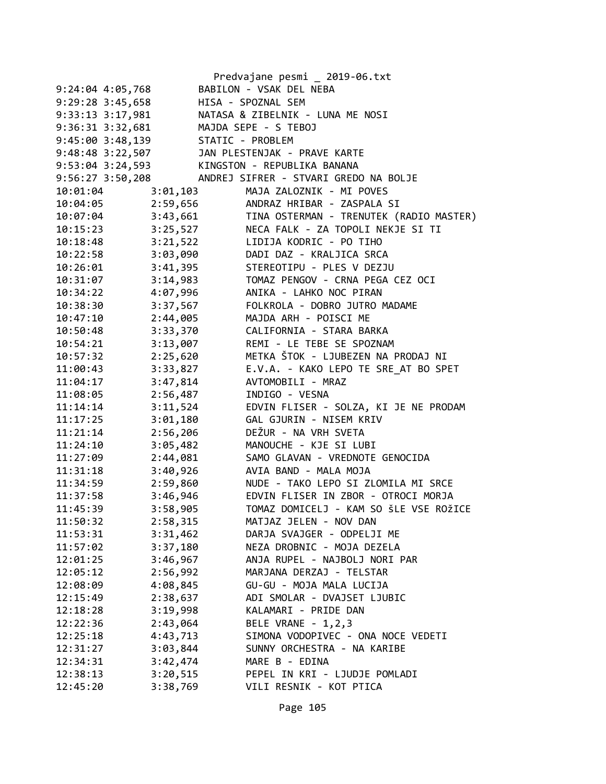|                                   | Predvajane pesmi _ 2019-06.txt                            |
|-----------------------------------|-----------------------------------------------------------|
| $9:24:04$ 4:05,768                | BABILON - VSAK DEL NEBA                                   |
| 9:29:28 3:45,658                  | HISA - SPOZNAL SEM                                        |
| $9:33:13$ $3:17,981$              | NATASA & ZIBELNIK - LUNA ME NOSI                          |
| $9:36:31$ $3:32,681$              | MAJDA SEPE - S TEBOJ                                      |
| 9:45:00 3:48,139 STATIC - PROBLEM |                                                           |
|                                   | 9:48:48 3:22,507 JAN PLESTENJAK - PRAVE KARTE             |
| $9:53:04$ 3:24,593                | KINGSTON - REPUBLIKA BANANA                               |
| 9:56:27 3:50,208                  | ANDREJ SIFRER - STVARI GREDO NA BOLJE                     |
| 10:01:04                          | MAJA ZALOZNIK - MI POVES<br>3:01,103                      |
| 10:04:05                          | 2:59,656<br>ANDRAZ HRIBAR - ZASPALA SI                    |
|                                   | 10:07:04 3:43,661 TINA OSTERMAN - TRENUTEK (RADIO MASTER) |
| 10:15:23                          | 3:25,527<br>NECA FALK - ZA TOPOLI NEKJE SI TI             |
| 3:21,522<br>10:18:48              | LIDIJA KODRIC - PO TIHO                                   |
| 3:03,090<br>10:22:58              | DADI DAZ - KRALJICA SRCA                                  |
| 3:41,395<br>10:26:01              | STEREOTIPU - PLES V DEZJU                                 |
| 10:31:07<br>3:14,983              | TOMAZ PENGOV - CRNA PEGA CEZ OCI                          |
| 10:34:22<br>4:07,996              | ANIKA - LAHKO NOC PIRAN                                   |
| 3:37,567<br>10:38:30              | FOLKROLA - DOBRO JUTRO MADAME                             |
| 2:44,005<br>10:47:10              | MAJDA ARH - POISCI ME                                     |
| 3:33,370<br>10:50:48              | CALIFORNIA - STARA BARKA                                  |
| 10:54:21<br>3:13,007              | REMI - LE TEBE SE SPOZNAM                                 |
| 2:25,620<br>10:57:32              | METKA ŠTOK - LJUBEZEN NA PRODAJ NI                        |
| 3:33,827<br>11:00:43              | E.V.A. - KAKO LEPO TE SRE_AT BO SPET                      |
| 3:47,814<br>11:04:17              | AVTOMOBILI - MRAZ                                         |
| 2:56,487<br>11:08:05              | INDIGO - VESNA                                            |
| 3:11,524<br>11:14:14              | EDVIN FLISER - SOLZA, KI JE NE PRODAM                     |
| 3:01,180<br>11:17:25              | GAL GJURIN - NISEM KRIV                                   |
| 11:21:14<br>2:56,206              | DEŽUR - NA VRH SVETA                                      |
| 11:24:10<br>3:05,482              | MANOUCHE - KJE SI LUBI                                    |
| 2:44,081<br>11:27:09              | SAMO GLAVAN - VREDNOTE GENOCIDA                           |
| 3:40,926<br>11:31:18              | AVIA BAND - MALA MOJA                                     |
| 2:59,860<br>11:34:59              | NUDE - TAKO LEPO SI ZLOMILA MI SRCE                       |
| 11:37:58<br>3:46,946              | EDVIN FLISER IN ZBOR - OTROCI MORJA                       |
| 3:58,905<br>11:45:39              | TOMAZ DOMICELJ - KAM SO ŠLE VSE ROŽICE                    |
| 11:50:32<br>2:58,315              | MATJAZ JELEN - NOV DAN                                    |
| 3:31,462<br>11:53:31              | DARJA SVAJGER - ODPELJI ME                                |
| 3:37,180<br>11:57:02              | NEZA DROBNIC - MOJA DEZELA                                |
| 3:46,967<br>12:01:25              | ANJA RUPEL - NAJBOLJ NORI PAR                             |
| 12:05:12<br>2:56,992              | MARJANA DERZAJ - TELSTAR                                  |
| 4:08,845<br>12:08:09              | GU-GU - MOJA MALA LUCIJA                                  |
| 2:38,637<br>12:15:49              | ADI SMOLAR - DVAJSET LJUBIC                               |
| 3:19,998<br>12:18:28              | KALAMARI - PRIDE DAN                                      |
| 2:43,064<br>12:22:36              | BELE VRANE - 1,2,3                                        |
| 4:43,713<br>12:25:18              | SIMONA VODOPIVEC - ONA NOCE VEDETI                        |
| 3:03,844<br>12:31:27              | SUNNY ORCHESTRA - NA KARIBE                               |
| 3:42,474<br>12:34:31              | MARE B - EDINA                                            |
| 3:20,515<br>12:38:13              | PEPEL IN KRI - LJUDJE POMLADI                             |
| 12:45:20<br>3:38,769              | VILI RESNIK - KOT PTICA                                   |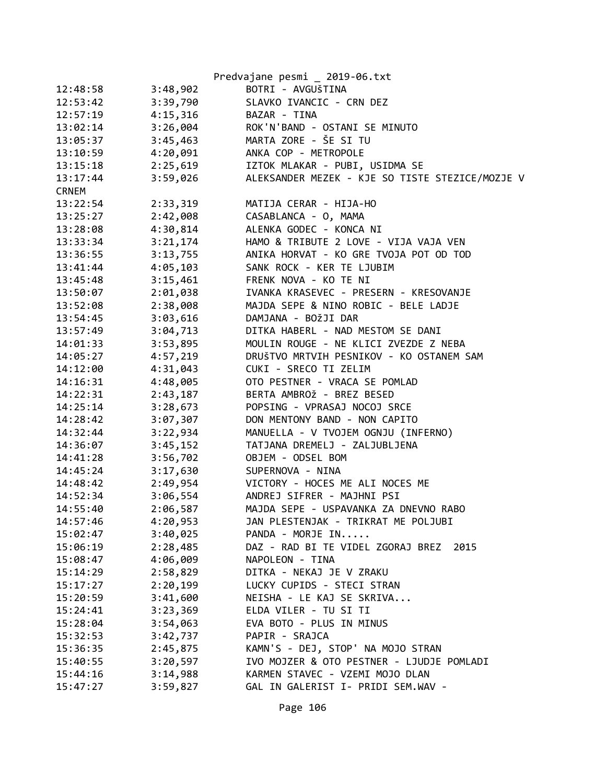|              |          | Predvajane pesmi _ 2019-06.txt                  |
|--------------|----------|-------------------------------------------------|
| 12:48:58     | 3:48,902 | BOTRI - AVGUŠTINA                               |
| 12:53:42     | 3:39,790 | SLAVKO IVANCIC - CRN DEZ                        |
| 12:57:19     | 4:15,316 | BAZAR - TINA                                    |
| 13:02:14     | 3:26,004 | ROK'N'BAND - OSTANI SE MINUTO                   |
| 13:05:37     | 3:45,463 | MARTA ZORE - ŠE SI TU                           |
| 13:10:59     | 4:20,091 | ANKA COP - METROPOLE                            |
| 13:15:18     | 2:25,619 | IZTOK MLAKAR - PUBI, USIDMA SE                  |
| 13:17:44     | 3:59,026 | ALEKSANDER MEZEK - KJE SO TISTE STEZICE/MOZJE V |
| <b>CRNEM</b> |          |                                                 |
| 13:22:54     | 2:33,319 | MATIJA CERAR - HIJA-HO                          |
| 13:25:27     | 2:42,008 | CASABLANCA - O, MAMA                            |
| 13:28:08     | 4:30,814 | ALENKA GODEC - KONCA NI                         |
| 13:33:34     | 3:21,174 | HAMO & TRIBUTE 2 LOVE - VIJA VAJA VEN           |
| 13:36:55     | 3:13,755 | ANIKA HORVAT - KO GRE TVOJA POT OD TOD          |
| 13:41:44     | 4:05,103 | SANK ROCK - KER TE LJUBIM                       |
| 13:45:48     | 3:15,461 | FRENK NOVA - KO TE NI                           |
| 13:50:07     | 2:01,038 | IVANKA KRASEVEC - PRESERN - KRESOVANJE          |
| 13:52:08     | 2:38,008 | MAJDA SEPE & NINO ROBIC - BELE LADJE            |
| 13:54:45     | 3:03,616 | DAMJANA - BOŽJI DAR                             |
| 13:57:49     | 3:04,713 | DITKA HABERL - NAD MESTOM SE DANI               |
| 14:01:33     | 3:53,895 | MOULIN ROUGE - NE KLICI ZVEZDE Z NEBA           |
| 14:05:27     | 4:57,219 | DRUŠTVO MRTVIH PESNIKOV - KO OSTANEM SAM        |
| 14:12:00     | 4:31,043 | CUKI - SRECO TI ZELIM                           |
| 14:16:31     | 4:48,005 | OTO PESTNER - VRACA SE POMLAD                   |
| 14:22:31     | 2:43,187 | BERTA AMBROŽ - BREZ BESED                       |
| 14:25:14     | 3:28,673 | POPSING - VPRASAJ NOCOJ SRCE                    |
| 14:28:42     | 3:07,307 | DON MENTONY BAND - NON CAPITO                   |
| 14:32:44     | 3:22,934 | MANUELLA - V TVOJEM OGNJU (INFERNO)             |
| 14:36:07     | 3:45,152 | TATJANA DREMELJ - ZALJUBLJENA                   |
| 14:41:28     | 3:56,702 | OBJEM - ODSEL BOM                               |
| 14:45:24     | 3:17,630 | SUPERNOVA - NINA                                |
| 14:48:42     | 2:49,954 | VICTORY - HOCES ME ALI NOCES ME                 |
| 14:52:34     | 3:06,554 | ANDREJ SIFRER - MAJHNI PSI                      |
| 14:55:40     | 2:06,587 | MAJDA SEPE - USPAVANKA ZA DNEVNO RABO           |
| 14:57:46     | 4:20,953 | JAN PLESTENJAK - TRIKRAT ME POLJUBI             |
| 15:02:47     | 3:40,025 | PANDA - MORJE IN                                |
| 15:06:19     | 2:28,485 | DAZ - RAD BI TE VIDEL ZGORAJ BREZ 2015          |
| 15:08:47     | 4:06,009 | NAPOLEON - TINA                                 |
| 15:14:29     | 2:58,829 | DITKA - NEKAJ JE V ZRAKU                        |
| 15:17:27     | 2:20,199 | LUCKY CUPIDS - STECI STRAN                      |
| 15:20:59     | 3:41,600 | NEISHA - LE KAJ SE SKRIVA                       |
| 15:24:41     | 3:23,369 | ELDA VILER - TU SI TI                           |
| 15:28:04     | 3:54,063 | EVA BOTO - PLUS IN MINUS                        |
| 15:32:53     | 3:42,737 | PAPIR - SRAJCA                                  |
| 15:36:35     | 2:45,875 | KAMN'S - DEJ, STOP' NA MOJO STRAN               |
| 15:40:55     | 3:20,597 | IVO MOJZER & OTO PESTNER - LJUDJE POMLADI       |
| 15:44:16     | 3:14,988 | KARMEN STAVEC - VZEMI MOJO DLAN                 |
| 15:47:27     | 3:59,827 | GAL IN GALERIST I- PRIDI SEM.WAV -              |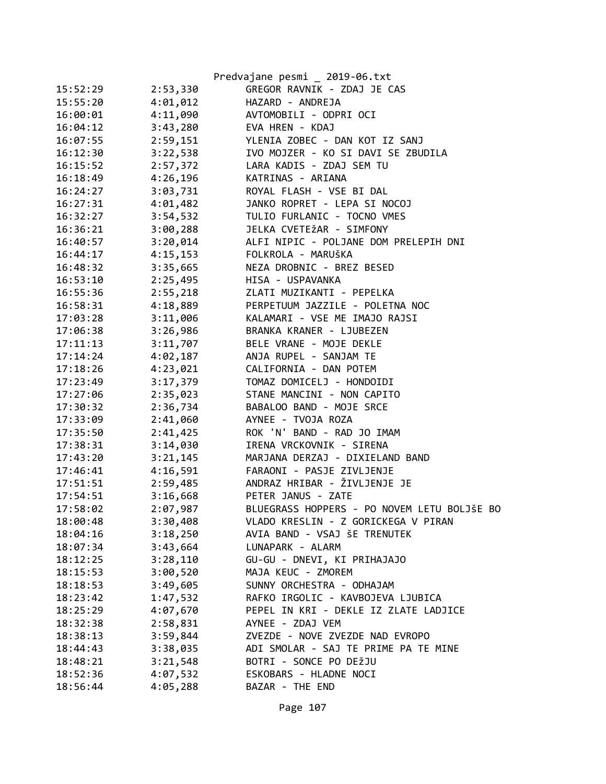|          |          | Predvajane pesmi _ 2019-06.txt              |
|----------|----------|---------------------------------------------|
| 15:52:29 | 2:53,330 | GREGOR RAVNIK - ZDAJ JE CAS                 |
| 15:55:20 | 4:01,012 | HAZARD - ANDREJA                            |
| 16:00:01 | 4:11,090 | AVTOMOBILI - ODPRI OCI                      |
| 16:04:12 | 3:43,280 | EVA HREN - KDAJ                             |
| 16:07:55 | 2:59,151 | YLENIA ZOBEC - DAN KOT IZ SANJ              |
| 16:12:30 | 3:22,538 | IVO MOJZER - KO SI DAVI SE ZBUDILA          |
| 16:15:52 | 2:57,372 | LARA KADIS - ZDAJ SEM TU                    |
| 16:18:49 | 4:26,196 | KATRINAS - ARIANA                           |
| 16:24:27 | 3:03,731 | ROYAL FLASH - VSE BI DAL                    |
| 16:27:31 | 4:01,482 | JANKO ROPRET - LEPA SI NOCOJ                |
| 16:32:27 | 3:54,532 | TULIO FURLANIC - TOCNO VMES                 |
| 16:36:21 | 3:00,288 | JELKA CVETEŽAR - SIMFONY                    |
| 16:40:57 | 3:20,014 | ALFI NIPIC - POLJANE DOM PRELEPIH DNI       |
| 16:44:17 | 4:15,153 | FOLKROLA - MARUŠKA                          |
| 16:48:32 | 3:35,665 | NEZA DROBNIC - BREZ BESED                   |
| 16:53:10 | 2:25,495 | HISA - USPAVANKA                            |
| 16:55:36 | 2:55,218 | ZLATI MUZIKANTI - PEPELKA                   |
| 16:58:31 | 4:18,889 | PERPETUUM JAZZILE - POLETNA NOC             |
| 17:03:28 | 3:11,006 | KALAMARI - VSE ME IMAJO RAJSI               |
| 17:06:38 | 3:26,986 | BRANKA KRANER - LJUBEZEN                    |
| 17:11:13 | 3:11,707 | BELE VRANE - MOJE DEKLE                     |
| 17:14:24 | 4:02,187 | ANJA RUPEL - SANJAM TE                      |
| 17:18:26 | 4:23,021 | CALIFORNIA - DAN POTEM                      |
| 17:23:49 | 3:17,379 | TOMAZ DOMICELJ - HONDOIDI                   |
| 17:27:06 | 2:35,023 | STANE MANCINI - NON CAPITO                  |
| 17:30:32 | 2:36,734 | BABALOO BAND - MOJE SRCE                    |
| 17:33:09 | 2:41,060 | AYNEE - TVOJA ROZA                          |
| 17:35:50 | 2:41,425 | ROK 'N' BAND - RAD JO IMAM                  |
| 17:38:31 | 3:14,030 | IRENA VRCKOVNIK - SIRENA                    |
| 17:43:20 | 3:21,145 | MARJANA DERZAJ - DIXIELAND BAND             |
| 17:46:41 | 4:16,591 | FARAONI - PASJE ZIVLJENJE                   |
| 17:51:51 | 2:59,485 | ANDRAZ HRIBAR - ŽIVLJENJE JE                |
| 17:54:51 | 3:16,668 | PETER JANUS - ZATE                          |
| 17:58:02 | 2:07,987 | BLUEGRASS HOPPERS - PO NOVEM LETU BOLJŠE BO |
| 18:00:48 | 3:30,408 | VLADO KRESLIN - Z GORICKEGA V PIRAN         |
| 18:04:16 | 3:18,250 | AVIA BAND - VSAJ ŠE TRENUTEK                |
| 18:07:34 | 3:43,664 | LUNAPARK - ALARM                            |
| 18:12:25 | 3:28,110 | GU-GU - DNEVI, KI PRIHAJAJO                 |
| 18:15:53 | 3:00,520 | MAJA KEUC - ZMOREM                          |
| 18:18:53 | 3:49,605 | SUNNY ORCHESTRA - ODHAJAM                   |
| 18:23:42 | 1:47,532 | RAFKO IRGOLIC - KAVBOJEVA LJUBICA           |
| 18:25:29 | 4:07,670 | PEPEL IN KRI - DEKLE IZ ZLATE LADJICE       |
| 18:32:38 | 2:58,831 | AYNEE - ZDAJ VEM                            |
| 18:38:13 | 3:59,844 | ZVEZDE - NOVE ZVEZDE NAD EVROPO             |
| 18:44:43 | 3:38,035 | ADI SMOLAR - SAJ TE PRIME PA TE MINE        |
| 18:48:21 | 3:21,548 | BOTRI - SONCE PO DEŽJU                      |
| 18:52:36 | 4:07,532 | ESKOBARS - HLADNE NOCI                      |
| 18:56:44 | 4:05,288 | BAZAR - THE END                             |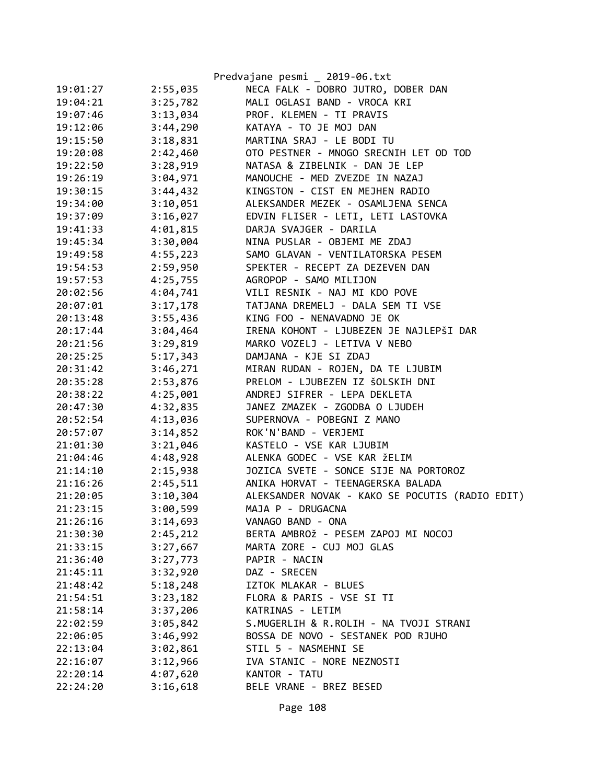|          |          | Predvajane pesmi _ 2019-06.txt                  |
|----------|----------|-------------------------------------------------|
| 19:01:27 | 2:55,035 | NECA FALK - DOBRO JUTRO, DOBER DAN              |
| 19:04:21 | 3:25,782 | MALI OGLASI BAND - VROCA KRI                    |
| 19:07:46 | 3:13,034 | PROF. KLEMEN - TI PRAVIS                        |
| 19:12:06 | 3:44,290 | KATAYA - TO JE MOJ DAN                          |
| 19:15:50 | 3:18,831 | MARTINA SRAJ - LE BODI TU                       |
| 19:20:08 | 2:42,460 | OTO PESTNER - MNOGO SRECNIH LET OD TOD          |
| 19:22:50 | 3:28,919 | NATASA & ZIBELNIK - DAN JE LEP                  |
| 19:26:19 | 3:04,971 | MANOUCHE - MED ZVEZDE IN NAZAJ                  |
| 19:30:15 | 3:44,432 | KINGSTON - CIST EN MEJHEN RADIO                 |
| 19:34:00 | 3:10,051 | ALEKSANDER MEZEK - OSAMLJENA SENCA              |
| 19:37:09 | 3:16,027 | EDVIN FLISER - LETI, LETI LASTOVKA              |
| 19:41:33 | 4:01,815 | DARJA SVAJGER - DARILA                          |
| 19:45:34 | 3:30,004 | NINA PUSLAR - OBJEMI ME ZDAJ                    |
| 19:49:58 | 4:55,223 | SAMO GLAVAN - VENTILATORSKA PESEM               |
| 19:54:53 | 2:59,950 | SPEKTER - RECEPT ZA DEZEVEN DAN                 |
| 19:57:53 | 4:25,755 | AGROPOP - SAMO MILIJON                          |
| 20:02:56 | 4:04,741 | VILI RESNIK - NAJ MI KDO POVE                   |
| 20:07:01 | 3:17,178 | TATJANA DREMELJ - DALA SEM TI VSE               |
| 20:13:48 | 3:55,436 | KING FOO - NENAVADNO JE OK                      |
| 20:17:44 | 3:04,464 | IRENA KOHONT - LJUBEZEN JE NAJLEPŠI DAR         |
| 20:21:56 | 3:29,819 | MARKO VOZELJ - LETIVA V NEBO                    |
| 20:25:25 | 5:17,343 | DAMJANA - KJE SI ZDAJ                           |
| 20:31:42 | 3:46,271 | MIRAN RUDAN - ROJEN, DA TE LJUBIM               |
| 20:35:28 | 2:53,876 | PRELOM - LJUBEZEN IZ ŠOLSKIH DNI                |
| 20:38:22 | 4:25,001 | ANDREJ SIFRER - LEPA DEKLETA                    |
| 20:47:30 | 4:32,835 | JANEZ ZMAZEK - ZGODBA O LJUDEH                  |
| 20:52:54 | 4:13,036 | SUPERNOVA - POBEGNI Z MANO                      |
| 20:57:07 | 3:14,852 | ROK'N'BAND - VERJEMI                            |
| 21:01:30 | 3:21,046 | KASTELO - VSE KAR LJUBIM                        |
| 21:04:46 | 4:48,928 | ALENKA GODEC - VSE KAR ŽELIM                    |
| 21:14:10 | 2:15,938 | JOZICA SVETE - SONCE SIJE NA PORTOROZ           |
| 21:16:26 | 2:45,511 | ANIKA HORVAT - TEENAGERSKA BALADA               |
| 21:20:05 | 3:10,304 | ALEKSANDER NOVAK - KAKO SE POCUTIS (RADIO EDIT) |
| 21:23:15 | 3:00,599 | MAJA P - DRUGACNA                               |
| 21:26:16 | 3:14,693 | VANAGO BAND - ONA                               |
| 21:30:30 | 2:45,212 | BERTA AMBROŽ - PESEM ZAPOJ MI NOCOJ             |
| 21:33:15 | 3:27,667 | MARTA ZORE - CUJ MOJ GLAS                       |
| 21:36:40 | 3:27,773 | PAPIR - NACIN                                   |
| 21:45:11 | 3:32,920 | DAZ - SRECEN                                    |
| 21:48:42 | 5:18,248 | IZTOK MLAKAR - BLUES                            |
| 21:54:51 | 3:23,182 | FLORA & PARIS - VSE SI TI                       |
| 21:58:14 | 3:37,206 | KATRINAS - LETIM                                |
| 22:02:59 | 3:05,842 | S.MUGERLIH & R.ROLIH - NA TVOJI STRANI          |
| 22:06:05 | 3:46,992 | BOSSA DE NOVO - SESTANEK POD RJUHO              |
| 22:13:04 | 3:02,861 | STIL 5 - NASMEHNI SE                            |
| 22:16:07 | 3:12,966 | IVA STANIC - NORE NEZNOSTI                      |
| 22:20:14 | 4:07,620 | KANTOR - TATU                                   |
| 22:24:20 | 3:16,618 | BELE VRANE - BREZ BESED                         |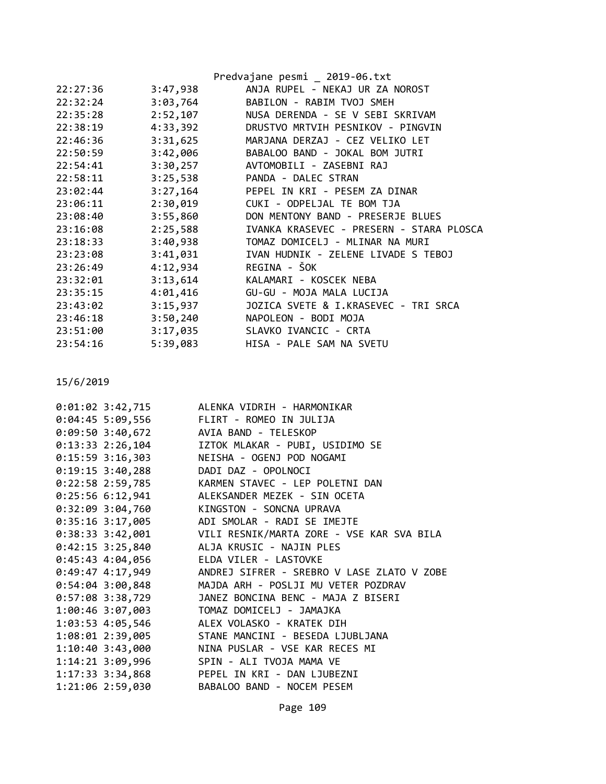|          |          | Predvajane pesmi _ 2019-06.txt           |
|----------|----------|------------------------------------------|
| 22:27:36 | 3:47,938 | ANJA RUPEL - NEKAJ UR ZA NOROST          |
| 22:32:24 | 3:03,764 | BABILON - RABIM TVOJ SMEH                |
| 22:35:28 | 2:52,107 | NUSA DERENDA - SE V SEBI SKRIVAM         |
| 22:38:19 | 4:33,392 | DRUSTVO MRTVIH PESNIKOV - PINGVIN        |
| 22:46:36 | 3:31,625 | MARJANA DERZAJ - CEZ VELIKO LET          |
| 22:50:59 |          | 3:42,006 BABALOO BAND - JOKAL BOM JUTRI  |
| 22:54:41 | 3:30,257 | AVTOMOBILI - ZASEBNI RAJ                 |
| 22:58:11 | 3:25,538 | PANDA - DALEC STRAN                      |
| 23:02:44 |          | 3:27,164 PEPEL IN KRI - PESEM ZA DINAR   |
| 23:06:11 | 2:30,019 | CUKI - ODPELJAL TE BOM TJA               |
| 23:08:40 | 3:55,860 | DON MENTONY BAND - PRESERJE BLUES        |
| 23:16:08 | 2:25,588 | IVANKA KRASEVEC - PRESERN - STARA PLOSCA |
| 23:18:33 | 3:40,938 | TOMAZ DOMICELJ - MLINAR NA MURI          |
| 23:23:08 | 3:41,031 | IVAN HUDNIK - ZELENE LIVADE S TEBOJ      |
| 23:26:49 | 4:12,934 | REGINA - ŠOK                             |
| 23:32:01 | 3:13,614 | KALAMARI - KOSCEK NEBA                   |
| 23:35:15 | 4:01,416 | GU-GU - MOJA MALA LUCIJA                 |
| 23:43:02 | 3:15,937 | JOZICA SVETE & I.KRASEVEC - TRI SRCA     |
| 23:46:18 | 3:50,240 | NAPOLEON - BODI MOJA                     |
| 23:51:00 | 3:17,035 | SLAVKO IVANCIC - CRTA                    |
| 23:54:16 | 5:39,083 | HISA - PALE SAM NA SVETU                 |

| 0:01:02 3:42,715 ALENKA VIDRIH - HARMONIKAR                       |
|-------------------------------------------------------------------|
| 0:04:45 5:09,556 FLIRT - ROMEO IN JULIJA                          |
| 0:09:50 3:40,672 AVIA BAND - TELESKOP                             |
| 0:13:33 2:26,104 IZTOK MLAKAR - PUBI, USIDIMO SE                  |
| 0:15:59 3:16,303 NEISHA - OGENJ POD NOGAMI                        |
| 0:19:15 3:40,288 DADI DAZ - OPOLNOCI                              |
| 0:22:58 2:59,785 KARMEN STAVEC - LEP POLETNI DAN                  |
| 0:25:56 6:12,941 ALEKSANDER MEZEK - SIN OCETA                     |
| 0:32:09 3:04,760 KINGSTON - SONCNA UPRAVA                         |
| 0:35:16 3:17,005 ADI SMOLAR - RADI SE IMEJTE                      |
|                                                                   |
| 0:42:15 3:25,840 ALJA KRUSIC - NAJIN PLES                         |
| 0:45:43 4:04,056 ELDA VILER - LASTOVKE                            |
| 0:49:47 4:17,949       ANDREJ SIFRER - SREBRO V LASE ZLATO V ZOBE |
| 0:54:04 3:00,848 MAJDA ARH - POSLJI MU VETER POZDRAV              |
| 0:57:08 3:38,729 JANEZ BONCINA BENC - MAJA Z BISERI               |
| 1:00:46 3:07,003 TOMAZ DOMICELJ - JAMAJKA                         |
| 1:03:53 4:05,546 ALEX VOLASKO - KRATEK DIH                        |
| 1:08:01 2:39,005 STANE MANCINI - BESEDA LJUBLJANA                 |
| 1:10:40 3:43,000 NINA PUSLAR - VSE KAR RECES MI                   |
| 1:14:21 3:09,996 SPIN - ALI TVOJA MAMA VE                         |
| 1:17:33 3:34,868 PEPEL IN KRI - DAN LJUBEZNI                      |
| 1:21:06 2:59,030 BABALOO BAND - NOCEM PESEM                       |
|                                                                   |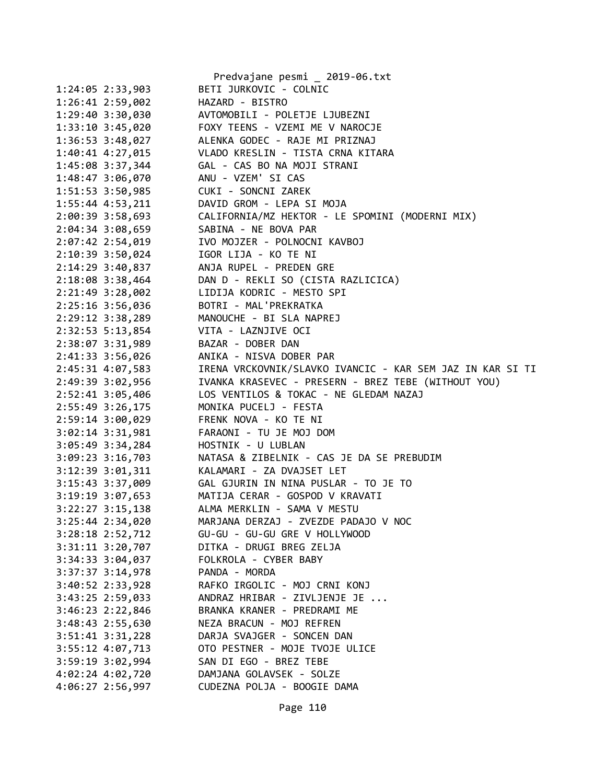|                      | Predvajane pesmi _ 2019-06.txt                            |
|----------------------|-----------------------------------------------------------|
| 1:24:05 2:33,903     | BETI JURKOVIC - COLNIC                                    |
| 1:26:41 2:59,002     | HAZARD - BISTRO                                           |
| 1:29:40 3:30,030     | AVTOMOBILI - POLETJE LJUBEZNI                             |
| 1:33:10 3:45,020     | FOXY TEENS - VZEMI ME V NAROCJE                           |
| $1:36:53$ $3:48,027$ | ALENKA GODEC - RAJE MI PRIZNAJ                            |
| 1:40:41 4:27,015     | VLADO KRESLIN - TISTA CRNA KITARA                         |
| 1:45:08 3:37,344     | GAL - CAS BO NA MOJI STRANI                               |
| 1:48:47 3:06,070     | ANU - VZEM' SI CAS                                        |
| 1:51:53 3:50,985     | CUKI - SONCNI ZAREK                                       |
| $1:55:44$ 4:53,211   | DAVID GROM - LEPA SI MOJA                                 |
| 2:00:39 3:58,693     | CALIFORNIA/MZ HEKTOR - LE SPOMINI (MODERNI MIX)           |
| 2:04:34 3:08,659     | SABINA - NE BOVA PAR                                      |
| 2:07:42 2:54,019     | IVO MOJZER - POLNOCNI KAVBOJ                              |
| 2:10:39 3:50,024     | IGOR LIJA - KO TE NI                                      |
| 2:14:29 3:40,837     | ANJA RUPEL - PREDEN GRE                                   |
| 2:18:08 3:38,464     | DAN D - REKLI SO (CISTA RAZLICICA)                        |
| 2:21:49 3:28,002     | LIDIJA KODRIC - MESTO SPI                                 |
| 2:25:16 3:56,036     | BOTRI - MAL'PREKRATKA                                     |
| 2:29:12 3:38,289     | MANOUCHE - BI SLA NAPREJ                                  |
| 2:32:53 5:13,854     | VITA - LAZNJIVE OCI                                       |
| 2:38:07 3:31,989     | BAZAR - DOBER DAN                                         |
| 2:41:33 3:56,026     | ANIKA - NISVA DOBER PAR                                   |
| 2:45:31 4:07,583     | IRENA VRCKOVNIK/SLAVKO IVANCIC - KAR SEM JAZ IN KAR SI TI |
| 2:49:39 3:02,956     | IVANKA KRASEVEC - PRESERN - BREZ TEBE (WITHOUT YOU)       |
| 2:52:41 3:05,406     | LOS VENTILOS & TOKAC - NE GLEDAM NAZAJ                    |
| 2:55:49 3:26,175     | MONIKA PUCELJ - FESTA                                     |
| 2:59:14 3:00,029     | FRENK NOVA - KO TE NI                                     |
| 3:02:14 3:31,981     | FARAONI - TU JE MOJ DOM                                   |
| 3:05:49 3:34,284     | HOSTNIK - U LUBLAN                                        |
| 3:09:23 3:16,703     | NATASA & ZIBELNIK - CAS JE DA SE PREBUDIM                 |
| 3:12:39 3:01,311     | KALAMARI - ZA DVAJSET LET                                 |
| 3:15:43 3:37,009     | GAL GJURIN IN NINA PUSLAR - TO JE TO                      |
| 3:19:19 3:07,653     | MATIJA CERAR - GOSPOD V KRAVATI                           |
| 3:22:27 3:15,138     | ALMA MERKLIN - SAMA V MESTU                               |
| 3:25:44 2:34,020     | MARJANA DERZAJ - ZVEZDE PADAJO V NOC                      |
| 3:28:18 2:52,712     | GU-GU - GU-GU GRE V HOLLYWOOD                             |
| 3:31:11 3:20,707     | DITKA - DRUGI BREG ZELJA                                  |
| 3:34:33 3:04,037     | FOLKROLA - CYBER BABY                                     |
| 3:37:37 3:14,978     | PANDA - MORDA                                             |
| 3:40:52 2:33,928     | RAFKO IRGOLIC - MOJ CRNI KONJ                             |
| 3:43:25 2:59,033     | ANDRAZ HRIBAR - ZIVLJENJE JE                              |
| 3:46:23 2:22,846     | BRANKA KRANER - PREDRAMI ME                               |
| 3:48:43 2:55,630     | NEZA BRACUN - MOJ REFREN                                  |
| $3:51:41$ $3:31,228$ | DARJA SVAJGER - SONCEN DAN                                |
| 3:55:12 4:07,713     | OTO PESTNER - MOJE TVOJE ULICE                            |
| 3:59:19 3:02,994     | SAN DI EGO - BREZ TEBE                                    |
| 4:02:24 4:02,720     | DAMJANA GOLAVSEK - SOLZE                                  |
| 4:06:27 2:56,997     | CUDEZNA POLJA - BOOGIE DAMA                               |
|                      |                                                           |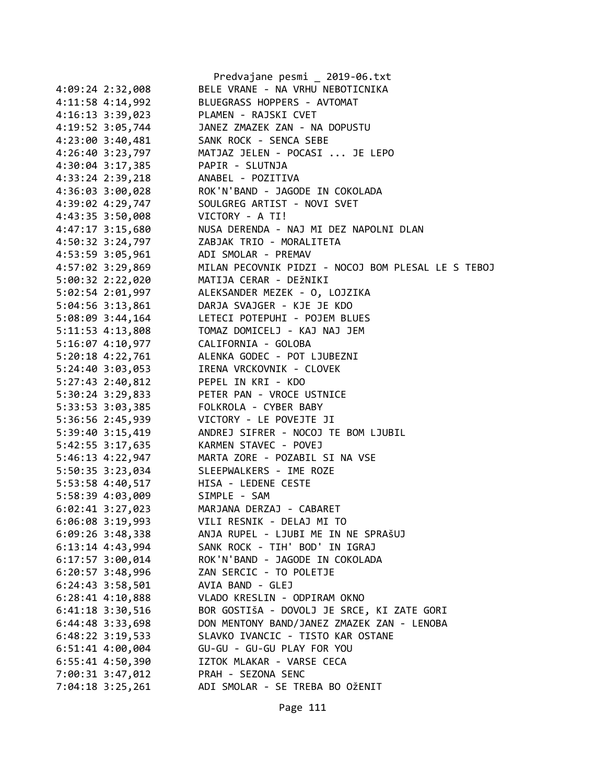|                                      | Predvajane pesmi _ 2019-06.txt                                                                         |
|--------------------------------------|--------------------------------------------------------------------------------------------------------|
| 4:09:24 2:32,008                     | BELE VRANE - NA VRHU NEBOTICNIKA                                                                       |
| 4:11:58 4:14,992                     | BLUEGRASS HOPPERS - AVTOMAT                                                                            |
| 4:16:13 3:39,023                     | PLAMEN - RAJSKI CVET                                                                                   |
| 4:19:52 3:05,744                     | JANEZ ZMAZEK ZAN - NA DOPUSTU                                                                          |
| 4:23:00 3:40,481                     | SANK ROCK - SENCA SEBE                                                                                 |
| 4:26:40 3:23,797                     | MATJAZ JELEN - POCASI  JE LEPO                                                                         |
| 4:30:04 3:17,385                     | PAPIR - SLUTNJA                                                                                        |
| 4:33:24 2:39,218                     |                                                                                                        |
| 4:36:03 3:00,028                     | FAFIN - SEOTNJA<br>ANABEL - POZITIVA<br>ROK'N'BAND - JAGODE IN COKOLADA<br>SOULGREG ARTIST - NOVI SVET |
| 4:39:02 4:29,747                     |                                                                                                        |
| 4:43:35 3:50,008                     | VICTORY - A TI!                                                                                        |
| 4:47:17 3:15,680                     | NUSA DERENDA - NAJ MI DEZ NAPOLNI DLAN                                                                 |
| 4:50:32 3:24,797                     | ZABJAK TRIO - MORALITETA                                                                               |
| 4:53:59 3:05,961                     | ADI SMOLAR - PREMAV                                                                                    |
| 4:57:02 3:29,869                     | MILAN PECOVNIK PIDZI - NOCOJ BOM PLESAL LE S TEBOJ                                                     |
| 5:00:32 2:22,020                     | MATIJA CERAR - DEŽNIKI                                                                                 |
| 5:02:54 2:01,997                     | ALEKSANDER MEZEK - O, LOJZIKA                                                                          |
| 5:04:56 3:13,861                     | DARJA SVAJGER - KJE JE KDO                                                                             |
| 5:08:09 3:44,164                     | LETECI POTEPUHI - POJEM BLUES                                                                          |
|                                      |                                                                                                        |
| 5:16:07 4:10,977 CALIFORNIA - GOLOBA |                                                                                                        |
|                                      |                                                                                                        |
| 5:20:18 4:22,761                     | ALENKA GODEC - POT LJUBEZNI<br>IRENA VRCKOVNIK - CLOVEK                                                |
| 5:24:40 3:03,053                     |                                                                                                        |
| 5:27:43 2:40,812                     | PEPEL IN KRI - KDO                                                                                     |
| 5:30:24 3:29,833                     | PETER PAN - VROCE USTNICE                                                                              |
| 5:33:53 3:03,385                     | FOLKROLA - CYBER BABY                                                                                  |
| 5:36:56 2:45,939                     | VICTORY - LE POVEJTE JI                                                                                |
| 5:39:40 3:15,419                     | ANDREJ SIFRER - NOCOJ TE BOM LJUBIL                                                                    |
| 5:42:55 3:17,635                     | KARMEN STAVEC - POVEJ                                                                                  |
| 5:46:13 4:22,947                     | MARTA ZORE - POZABIL SI NA VSE                                                                         |
| 5:50:35 3:23,034                     | SLEEPWALKERS - IME ROZE                                                                                |
| 5:53:58 4:40,517                     | HISA - LEDENE CESTE                                                                                    |
| 5:58:39 4:03,009                     | SIMPLE - SAM                                                                                           |
| $6:02:41$ 3:27,023                   | MARJANA DERZAJ - CABARET                                                                               |
| 6:06:08 3:19,993                     | VILI RESNIK - DELAJ MI TO                                                                              |
| $6:09:26$ 3:48,338                   | ANJA RUPEL - LJUBI ME IN NE SPRAŠUJ                                                                    |
| $6:13:14$ 4:43,994                   | SANK ROCK - TIH' BOD' IN IGRAJ                                                                         |
| $6:17:57$ 3:00,014                   | ROK'N'BAND - JAGODE IN COKOLADA                                                                        |
| 6:20:57 3:48,996                     | ZAN SERCIC - TO POLETJE                                                                                |
| $6:24:43$ 3:58,501                   | AVIA BAND - GLEJ                                                                                       |
| $6:28:41$ $4:10,888$                 | VLADO KRESLIN - ODPIRAM OKNO                                                                           |
| $6:41:18$ 3:30,516                   | BOR GOSTIŠA - DOVOLJ JE SRCE, KI ZATE GORI                                                             |
| 6:44:48 3:33,698                     | DON MENTONY BAND/JANEZ ZMAZEK ZAN - LENOBA                                                             |
| $6:48:22$ 3:19,533                   | SLAVKO IVANCIC - TISTO KAR OSTANE                                                                      |
| 6:51:41 4:00,004                     | GU-GU - GU-GU PLAY FOR YOU                                                                             |
| 6:55:41 4:50,390                     | IZTOK MLAKAR - VARSE CECA                                                                              |
| 7:00:31 3:47,012                     | PRAH - SEZONA SENC                                                                                     |
| 7:04:18 3:25,261                     | ADI SMOLAR - SE TREBA BO OŽENIT                                                                        |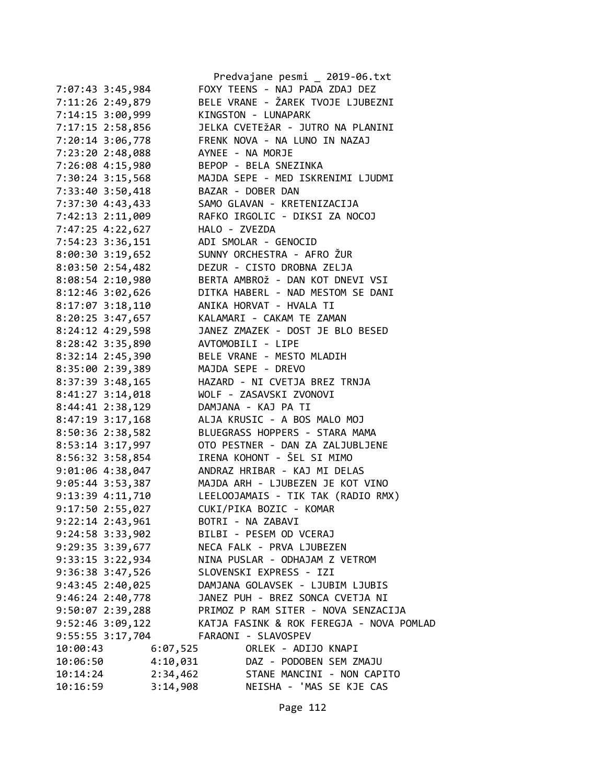|                      |          | Predvajane pesmi _ 2019-06.txt                       |
|----------------------|----------|------------------------------------------------------|
| 7:07:43 3:45,984     |          | FOXY TEENS - NAJ PADA ZDAJ DEZ                       |
| 7:11:26 2:49,879     |          | BELE VRANE - ŽAREK TVOJE LJUBEZNI                    |
| 7:14:15 3:00,999     |          | KINGSTON - LUNAPARK                                  |
| 7:17:15 2:58,856     |          | JELKA CVETEŽAR - JUTRO NA PLANINI                    |
| 7:20:14 3:06,778     |          | FRENK NOVA - NA LUNO IN NAZAJ                        |
| 7:23:20 2:48,088     |          | AYNEE - NA MORJE                                     |
| 7:26:08 4:15,980     |          | BEPOP - BELA SNEZINKA                                |
| 7:30:24 3:15,568     |          | MAJDA SEPE - MED ISKRENIMI LJUDMI                    |
| 7:33:40 3:50,418     |          | BAZAR - DOBER DAN                                    |
| 7:37:30 4:43,433     |          | SAMO GLAVAN - KRETENIZACIJA                          |
| 7:42:13 2:11,009     |          | RAFKO IRGOLIC - DIKSI ZA NOCOJ                       |
| 7:47:25 4:22,627     |          | HALO - ZVEZDA                                        |
| 7:54:23 3:36,151     |          | ADI SMOLAR - GENOCID                                 |
| $8:00:30$ 3:19,652   |          | SUNNY ORCHESTRA - AFRO ŽUR                           |
| $8:03:50$ 2:54,482   |          | DEZUR - CISTO DROBNA ZELJA                           |
| 8:08:54 2:10,980     |          | BERTA AMBROŽ - DAN KOT DNEVI VSI                     |
| $8:12:46$ $3:02,626$ |          | DITKA HABERL - NAD MESTOM SE DANI                    |
|                      |          | 8:17:07 3:18,110 ANIKA HORVAT - HVALA TI             |
|                      |          | 8:20:25 3:47,657 KALAMARI - CAKAM TE ZAMAN           |
| 8:24:12 4:29,598     |          | JANEZ ZMAZEK - DOST JE BLO BESED                     |
| 8:28:42 3:35,890     |          | AVTOMOBILI - LIPE                                    |
| 8:32:14 2:45,390     |          | BELE VRANE - MESTO MLADIH                            |
|                      |          | MAJDA SEPE - DREVO                                   |
| 8:35:00 2:39,389     |          |                                                      |
| 8:37:39 3:48,165     |          | HAZARD - NI CVETJA BREZ TRNJA                        |
| 8:41:27 3:14,018     |          | WOLF - ZASAVSKI ZVONOVI                              |
| 8:44:41 2:38,129     |          | DAMJANA - KAJ PA TI                                  |
| $8:47:19$ 3:17,168   |          | ALJA KRUSIC - A BOS MALO MOJ                         |
| 8:50:36 2:38,582     |          | BLUEGRASS HOPPERS - STARA MAMA                       |
| 8:53:14 3:17,997     |          | OTO PESTNER - DAN ZA ZALJUBLJENE                     |
| 8:56:32 3:58,854     |          | IRENA KOHONT - ŠEL SI MIMO                           |
| $9:01:06$ 4:38,047   |          | ANDRAZ HRIBAR - KAJ MI DELAS                         |
|                      |          | 9:05:44 3:53,387 MAJDA ARH - LJUBEZEN JE KOT VINO    |
| 9:13:39 4:11,710     |          | LEELOOJAMAIS - TIK TAK (RADIO RMX)                   |
| 9:17:50 2:55,027     |          | CUKI/PIKA BOZIC - KOMAR                              |
| $9:22:14$ $2:43,961$ |          | BOTRI - NA ZABAVI                                    |
| $9:24:58$ $3:33,902$ |          | BILBI - PESEM OD VCERAJ                              |
| 9:29:35 3:39,677     |          | NECA FALK - PRVA LJUBEZEN                            |
| 9:33:15 3:22,934     |          | NINA PUSLAR - ODHAJAM Z VETROM                       |
| $9:36:38$ $3:47,526$ |          | SLOVENSKI EXPRESS - IZI                              |
| $9:43:45$ $2:40,025$ |          | DAMJANA GOLAVSEK - LJUBIM LJUBIS                     |
| $9:46:24$ 2:40,778   |          | JANEZ PUH - BREZ SONCA CVETJA NI                     |
|                      |          | 9:50:07 2:39,288 PRIMOZ P RAM SITER - NOVA SENZACIJA |
| $9:52:46$ $3:09,122$ |          | KATJA FASINK & ROK FEREGJA - NOVA POMLAD             |
| 9:55:55 3:17,704     |          | FARAONI - SLAVOSPEV                                  |
| 10:00:43             | 6:07,525 | ORLEK - ADIJO KNAPI                                  |
| 10:06:50             | 4:10,031 | DAZ - PODOBEN SEM ZMAJU                              |
| 10:14:24             |          | 2:34,462 STANE MANCINI - NON CAPITO                  |
| 10:16:59             | 3:14,908 | NEISHA - 'MAS SE KJE CAS                             |
|                      |          |                                                      |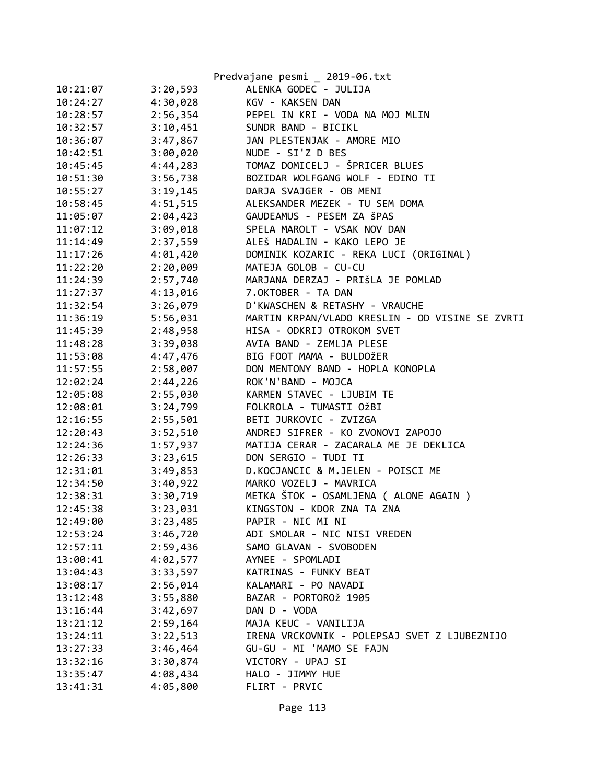|          |          | Predvajane pesmi _ 2019-06.txt                  |
|----------|----------|-------------------------------------------------|
| 10:21:07 | 3:20,593 | ALENKA GODEC - JULIJA                           |
| 10:24:27 | 4:30,028 | KGV - KAKSEN DAN                                |
| 10:28:57 | 2:56,354 | PEPEL IN KRI - VODA NA MOJ MLIN                 |
| 10:32:57 | 3:10,451 | SUNDR BAND - BICIKL                             |
| 10:36:07 | 3:47,867 | JAN PLESTENJAK - AMORE MIO                      |
| 10:42:51 | 3:00,020 | NUDE - SI'Z D BES                               |
| 10:45:45 | 4:44,283 | TOMAZ DOMICELJ - ŠPRICER BLUES                  |
| 10:51:30 | 3:56,738 | BOZIDAR WOLFGANG WOLF - EDINO TI                |
| 10:55:27 | 3:19,145 | DARJA SVAJGER - OB MENI                         |
| 10:58:45 | 4:51,515 | ALEKSANDER MEZEK - TU SEM DOMA                  |
| 11:05:07 | 2:04,423 | GAUDEAMUS - PESEM ZA ŠPAS                       |
| 11:07:12 | 3:09,018 | SPELA MAROLT - VSAK NOV DAN                     |
| 11:14:49 | 2:37,559 | ALEŠ HADALIN - KAKO LEPO JE                     |
| 11:17:26 | 4:01,420 | DOMINIK KOZARIC - REKA LUCI (ORIGINAL)          |
| 11:22:20 | 2:20,009 | MATEJA GOLOB - CU-CU                            |
| 11:24:39 | 2:57,740 | MARJANA DERZAJ - PRIŠLA JE POMLAD               |
| 11:27:37 | 4:13,016 | 7.OKTOBER - TA DAN                              |
| 11:32:54 | 3:26,079 | D'KWASCHEN & RETASHY - VRAUCHE                  |
| 11:36:19 | 5:56,031 | MARTIN KRPAN/VLADO KRESLIN - OD VISINE SE ZVRTI |
| 11:45:39 | 2:48,958 | HISA - ODKRIJ OTROKOM SVET                      |
| 11:48:28 | 3:39,038 | AVIA BAND - ZEMLJA PLESE                        |
| 11:53:08 | 4:47,476 | BIG FOOT MAMA - BULDOŽER                        |
| 11:57:55 | 2:58,007 | DON MENTONY BAND - HOPLA KONOPLA                |
| 12:02:24 | 2:44,226 | ROK'N'BAND - MOJCA                              |
| 12:05:08 | 2:55,030 | KARMEN STAVEC - LJUBIM TE                       |
| 12:08:01 | 3:24,799 | FOLKROLA - TUMASTI OŽBI                         |
| 12:16:55 | 2:55,501 | BETI JURKOVIC - ZVIZGA                          |
| 12:20:43 | 3:52,510 | ANDREJ SIFRER - KO ZVONOVI ZAPOJO               |
| 12:24:36 | 1:57,937 | MATIJA CERAR - ZACARALA ME JE DEKLICA           |
| 12:26:33 | 3:23,615 | DON SERGIO - TUDI TI                            |
| 12:31:01 | 3:49,853 | D.KOCJANCIC & M.JELEN - POISCI ME               |
| 12:34:50 | 3:40,922 | MARKO VOZELJ - MAVRICA                          |
| 12:38:31 | 3:30,719 | METKA ŠTOK - OSAMLJENA ( ALONE AGAIN )          |
| 12:45:38 | 3:23,031 | KINGSTON - KDOR ZNA TA ZNA                      |
| 12:49:00 | 3:23,485 | PAPIR - NIC MI NI                               |
| 12:53:24 | 3:46,720 | ADI SMOLAR - NIC NISI VREDEN                    |
| 12:57:11 | 2:59,436 | SAMO GLAVAN - SVOBODEN                          |
| 13:00:41 | 4:02,577 | AYNEE - SPOMLADI                                |
| 13:04:43 | 3:33,597 | KATRINAS - FUNKY BEAT                           |
| 13:08:17 | 2:56,014 | KALAMARI - PO NAVADI                            |
| 13:12:48 | 3:55,880 | BAZAR - PORTOROŽ 1905                           |
| 13:16:44 | 3:42,697 | DAN D - VODA                                    |
| 13:21:12 | 2:59,164 | MAJA KEUC - VANILIJA                            |
| 13:24:11 | 3:22,513 | IRENA VRCKOVNIK - POLEPSAJ SVET Z LJUBEZNIJO    |
| 13:27:33 | 3:46,464 | GU-GU - MI 'MAMO SE FAJN                        |
| 13:32:16 | 3:30,874 | VICTORY - UPAJ SI                               |
| 13:35:47 | 4:08,434 | HALO - JIMMY HUE                                |
| 13:41:31 | 4:05,800 | FLIRT - PRVIC                                   |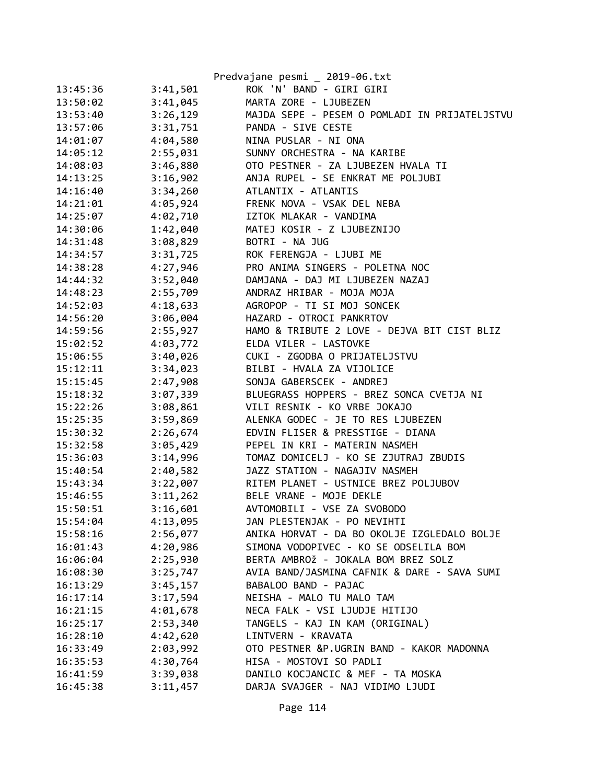|          |          | Predvajane pesmi _ 2019-06.txt                |
|----------|----------|-----------------------------------------------|
| 13:45:36 | 3:41,501 | ROK 'N' BAND - GIRI GIRI                      |
| 13:50:02 | 3:41,045 | MARTA ZORE - LJUBEZEN                         |
| 13:53:40 | 3:26,129 | MAJDA SEPE - PESEM O POMLADI IN PRIJATELJSTVU |
| 13:57:06 | 3:31,751 | PANDA - SIVE CESTE                            |
| 14:01:07 | 4:04,580 | NINA PUSLAR - NI ONA                          |
| 14:05:12 | 2:55,031 | SUNNY ORCHESTRA - NA KARIBE                   |
| 14:08:03 | 3:46,880 | OTO PESTNER - ZA LJUBEZEN HVALA TI            |
| 14:13:25 | 3:16,902 | ANJA RUPEL - SE ENKRAT ME POLJUBI             |
| 14:16:40 | 3:34,260 | ATLANTIX - ATLANTIS                           |
| 14:21:01 | 4:05,924 | FRENK NOVA - VSAK DEL NEBA                    |
| 14:25:07 | 4:02,710 | IZTOK MLAKAR - VANDIMA                        |
| 14:30:06 | 1:42,040 | MATEJ KOSIR - Z LJUBEZNIJO                    |
| 14:31:48 | 3:08,829 | BOTRI - NA JUG                                |
| 14:34:57 | 3:31,725 | ROK FERENGJA - LJUBI ME                       |
| 14:38:28 | 4:27,946 | PRO ANIMA SINGERS - POLETNA NOC               |
| 14:44:32 | 3:52,040 | DAMJANA - DAJ MI LJUBEZEN NAZAJ               |
| 14:48:23 | 2:55,709 | ANDRAZ HRIBAR - MOJA MOJA                     |
| 14:52:03 | 4:18,633 | AGROPOP - TI SI MOJ SONCEK                    |
| 14:56:20 | 3:06,004 | HAZARD - OTROCI PANKRTOV                      |
| 14:59:56 | 2:55,927 | HAMO & TRIBUTE 2 LOVE - DEJVA BIT CIST BLIZ   |
| 15:02:52 | 4:03,772 | ELDA VILER - LASTOVKE                         |
| 15:06:55 | 3:40,026 | CUKI - ZGODBA O PRIJATELJSTVU                 |
| 15:12:11 | 3:34,023 | BILBI - HVALA ZA VIJOLICE                     |
| 15:15:45 | 2:47,908 | SONJA GABERSCEK - ANDREJ                      |
| 15:18:32 | 3:07,339 | BLUEGRASS HOPPERS - BREZ SONCA CVETJA NI      |
| 15:22:26 | 3:08,861 | VILI RESNIK - KO VRBE JOKAJO                  |
| 15:25:35 | 3:59,869 | ALENKA GODEC - JE TO RES LJUBEZEN             |
| 15:30:32 | 2:26,674 | EDVIN FLISER & PRESSTIGE - DIANA              |
| 15:32:58 | 3:05,429 | PEPEL IN KRI - MATERIN NASMEH                 |
| 15:36:03 | 3:14,996 | TOMAZ DOMICELJ - KO SE ZJUTRAJ ZBUDIS         |
| 15:40:54 | 2:40,582 | JAZZ STATION - NAGAJIV NASMEH                 |
| 15:43:34 | 3:22,007 | RITEM PLANET - USTNICE BREZ POLJUBOV          |
| 15:46:55 | 3:11,262 | BELE VRANE - MOJE DEKLE                       |
| 15:50:51 | 3:16,601 | AVTOMOBILI - VSE ZA SVOBODO                   |
| 15:54:04 | 4:13,095 | JAN PLESTENJAK - PO NEVIHTI                   |
| 15:58:16 | 2:56,077 | ANIKA HORVAT - DA BO OKOLJE IZGLEDALO BOLJE   |
| 16:01:43 | 4:20,986 | SIMONA VODOPIVEC - KO SE ODSELILA BOM         |
| 16:06:04 | 2:25,930 | BERTA AMBROŽ - JOKALA BOM BREZ SOLZ           |
| 16:08:30 | 3:25,747 | AVIA BAND/JASMINA CAFNIK & DARE - SAVA SUMI   |
| 16:13:29 | 3:45,157 | BABALOO BAND - PAJAC                          |
| 16:17:14 | 3:17,594 | NEISHA - MALO TU MALO TAM                     |
| 16:21:15 | 4:01,678 | NECA FALK - VSI LJUDJE HITIJO                 |
| 16:25:17 | 2:53,340 | TANGELS - KAJ IN KAM (ORIGINAL)               |
| 16:28:10 | 4:42,620 | LINTVERN - KRAVATA                            |
| 16:33:49 | 2:03,992 | OTO PESTNER &P.UGRIN BAND - KAKOR MADONNA     |
| 16:35:53 | 4:30,764 | HISA - MOSTOVI SO PADLI                       |
| 16:41:59 | 3:39,038 | DANILO KOCJANCIC & MEF - TA MOSKA             |
| 16:45:38 | 3:11,457 | DARJA SVAJGER - NAJ VIDIMO LJUDI              |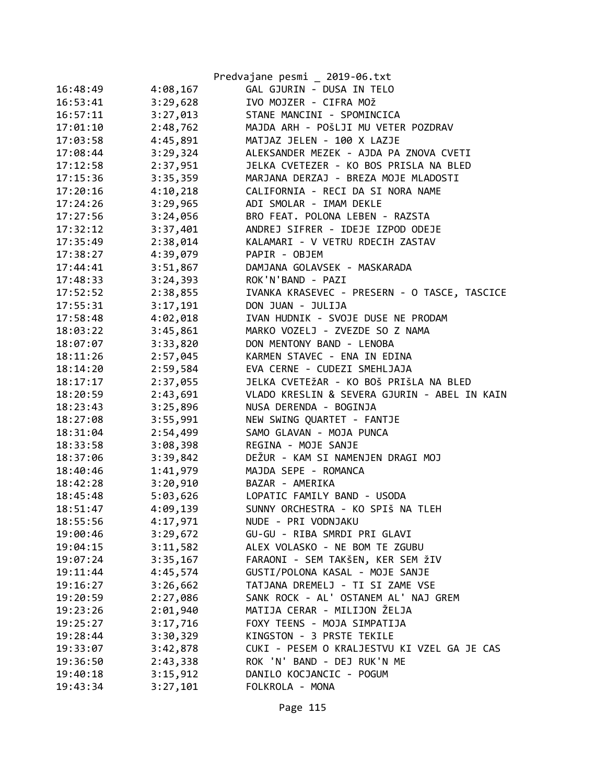|          |          | Predvajane pesmi _ 2019-06.txt               |
|----------|----------|----------------------------------------------|
| 16:48:49 | 4:08,167 | GAL GJURIN - DUSA IN TELO                    |
| 16:53:41 | 3:29,628 | IVO MOJZER - CIFRA MOŽ                       |
| 16:57:11 | 3:27,013 | STANE MANCINI - SPOMINCICA                   |
| 17:01:10 | 2:48,762 | MAJDA ARH - POŠLJI MU VETER POZDRAV          |
| 17:03:58 | 4:45,891 | MATJAZ JELEN - 100 X LAZJE                   |
| 17:08:44 | 3:29,324 | ALEKSANDER MEZEK - AJDA PA ZNOVA CVETI       |
| 17:12:58 | 2:37,951 | JELKA CVETEZER - KO BOS PRISLA NA BLED       |
| 17:15:36 | 3:35,359 | MARJANA DERZAJ - BREZA MOJE MLADOSTI         |
| 17:20:16 | 4:10,218 | CALIFORNIA - RECI DA SI NORA NAME            |
| 17:24:26 | 3:29,965 | ADI SMOLAR - IMAM DEKLE                      |
| 17:27:56 | 3:24,056 | BRO FEAT. POLONA LEBEN - RAZSTA              |
| 17:32:12 | 3:37,401 | ANDREJ SIFRER - IDEJE IZPOD ODEJE            |
| 17:35:49 | 2:38,014 | KALAMARI - V VETRU RDECIH ZASTAV             |
| 17:38:27 | 4:39,079 | PAPIR - OBJEM                                |
| 17:44:41 | 3:51,867 | DAMJANA GOLAVSEK - MASKARADA                 |
| 17:48:33 | 3:24,393 | ROK'N'BAND - PAZI                            |
| 17:52:52 | 2:38,855 | IVANKA KRASEVEC - PRESERN - O TASCE, TASCICE |
| 17:55:31 | 3:17,191 | DON JUAN - JULIJA                            |
| 17:58:48 | 4:02,018 | IVAN HUDNIK - SVOJE DUSE NE PRODAM           |
| 18:03:22 | 3:45,861 | MARKO VOZELJ - ZVEZDE SO Z NAMA              |
| 18:07:07 | 3:33,820 | DON MENTONY BAND - LENOBA                    |
| 18:11:26 | 2:57,045 | KARMEN STAVEC - ENA IN EDINA                 |
| 18:14:20 | 2:59,584 | EVA CERNE - CUDEZI SMEHLJAJA                 |
| 18:17:17 | 2:37,055 | JELKA CVETEŽAR - KO BOŠ PRIŠLA NA BLED       |
| 18:20:59 | 2:43,691 | VLADO KRESLIN & SEVERA GJURIN - ABEL IN KAIN |
| 18:23:43 | 3:25,896 | NUSA DERENDA - BOGINJA                       |
| 18:27:08 | 3:55,991 | NEW SWING QUARTET - FANTJE                   |
| 18:31:04 | 2:54,499 | SAMO GLAVAN - MOJA PUNCA                     |
| 18:33:58 | 3:08,398 | REGINA - MOJE SANJE                          |
| 18:37:06 | 3:39,842 | DEŽUR - KAM SI NAMENJEN DRAGI MOJ            |
| 18:40:46 | 1:41,979 | MAJDA SEPE - ROMANCA                         |
| 18:42:28 | 3:20,910 | BAZAR - AMERIKA                              |
| 18:45:48 | 5:03,626 | LOPATIC FAMILY BAND - USODA                  |
| 18:51:47 | 4:09,139 | SUNNY ORCHESTRA - KO SPIŠ NA TLEH            |
| 18:55:56 | 4:17,971 | NUDE - PRI VODNJAKU                          |
| 19:00:46 | 3:29,672 | GU-GU - RIBA SMRDI PRI GLAVI                 |
| 19:04:15 | 3:11,582 | ALEX VOLASKO - NE BOM TE ZGUBU               |
| 19:07:24 | 3:35,167 | FARAONI - SEM TAKŠEN, KER SEM ŽIV            |
| 19:11:44 | 4:45,574 | GUSTI/POLONA KASAL - MOJE SANJE              |
| 19:16:27 | 3:26,662 | TATJANA DREMELJ - TI SI ZAME VSE             |
| 19:20:59 | 2:27,086 | SANK ROCK - AL' OSTANEM AL' NAJ GREM         |
| 19:23:26 | 2:01,940 | MATIJA CERAR - MILIJON ŽELJA                 |
| 19:25:27 | 3:17,716 | FOXY TEENS - MOJA SIMPATIJA                  |
| 19:28:44 | 3:30,329 | KINGSTON - 3 PRSTE TEKILE                    |
| 19:33:07 | 3:42,878 | CUKI - PESEM O KRALJESTVU KI VZEL GA JE CAS  |
| 19:36:50 | 2:43,338 | ROK 'N' BAND - DEJ RUK'N ME                  |
| 19:40:18 | 3:15,912 | DANILO KOCJANCIC - POGUM                     |
| 19:43:34 | 3:27,101 | FOLKROLA - MONA                              |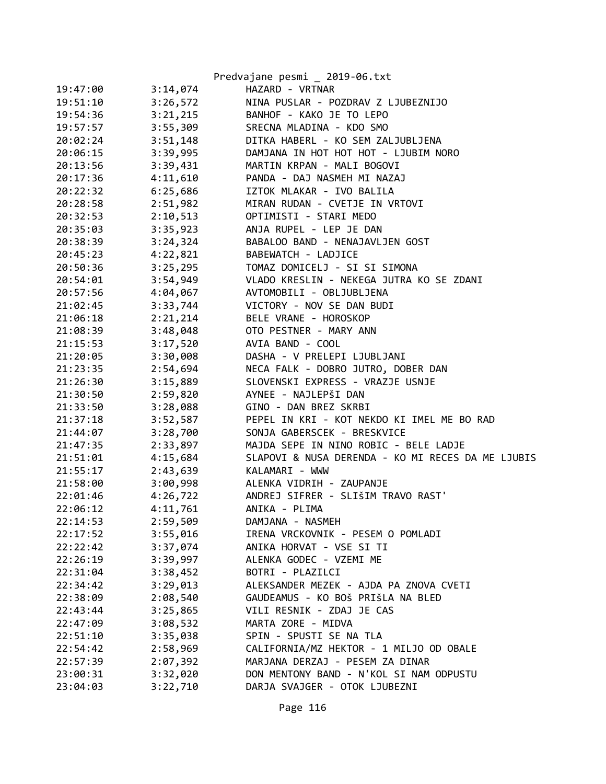|          |          | Predvajane pesmi _ 2019-06.txt                    |
|----------|----------|---------------------------------------------------|
| 19:47:00 | 3:14,074 | HAZARD - VRTNAR                                   |
| 19:51:10 | 3:26,572 | NINA PUSLAR - POZDRAV Z LJUBEZNIJO                |
| 19:54:36 | 3:21,215 | BANHOF - KAKO JE TO LEPO                          |
| 19:57:57 | 3:55,309 | SRECNA MLADINA - KDO SMO                          |
| 20:02:24 | 3:51,148 | DITKA HABERL - KO SEM ZALJUBLJENA                 |
| 20:06:15 | 3:39,995 | DAMJANA IN HOT HOT HOT - LJUBIM NORO              |
| 20:13:56 | 3:39,431 | MARTIN KRPAN - MALI BOGOVI                        |
| 20:17:36 | 4:11,610 | PANDA - DAJ NASMEH MI NAZAJ                       |
| 20:22:32 | 6:25,686 | IZTOK MLAKAR - IVO BALILA                         |
| 20:28:58 | 2:51,982 | MIRAN RUDAN - CVETJE IN VRTOVI                    |
| 20:32:53 | 2:10,513 | OPTIMISTI - STARI MEDO                            |
| 20:35:03 | 3:35,923 | ANJA RUPEL - LEP JE DAN                           |
| 20:38:39 | 3:24,324 | BABALOO BAND - NENAJAVLJEN GOST                   |
| 20:45:23 | 4:22,821 | BABEWATCH - LADJICE                               |
| 20:50:36 | 3:25,295 | TOMAZ DOMICELJ - SI SI SIMONA                     |
| 20:54:01 | 3:54,949 | VLADO KRESLIN - NEKEGA JUTRA KO SE ZDANI          |
| 20:57:56 | 4:04,067 | AVTOMOBILI - OBLJUBLJENA                          |
| 21:02:45 | 3:33,744 | VICTORY - NOV SE DAN BUDI                         |
| 21:06:18 | 2:21,214 | BELE VRANE - HOROSKOP                             |
| 21:08:39 | 3:48,048 | OTO PESTNER - MARY ANN                            |
| 21:15:53 | 3:17,520 | AVIA BAND - COOL                                  |
| 21:20:05 | 3:30,008 | DASHA - V PRELEPI LJUBLJANI                       |
| 21:23:35 | 2:54,694 | NECA FALK - DOBRO JUTRO, DOBER DAN                |
| 21:26:30 | 3:15,889 | SLOVENSKI EXPRESS - VRAZJE USNJE                  |
| 21:30:50 | 2:59,820 | AYNEE - NAJLEPŠI DAN                              |
| 21:33:50 | 3:28,088 | GINO - DAN BREZ SKRBI                             |
| 21:37:18 | 3:52,587 | PEPEL IN KRI - KOT NEKDO KI IMEL ME BO RAD        |
| 21:44:07 | 3:28,700 | SONJA GABERSCEK - BRESKVICE                       |
| 21:47:35 | 2:33,897 | MAJDA SEPE IN NINO ROBIC - BELE LADJE             |
| 21:51:01 | 4:15,684 | SLAPOVI & NUSA DERENDA - KO MI RECES DA ME LJUBIS |
| 21:55:17 | 2:43,639 | KALAMARI - WWW                                    |
| 21:58:00 | 3:00,998 | ALENKA VIDRIH - ZAUPANJE                          |
| 22:01:46 | 4:26,722 | ANDREJ SIFRER - SLIŠIM TRAVO RAST'                |
| 22:06:12 | 4:11,761 | ANIKA - PLIMA                                     |
| 22:14:53 | 2:59,509 | DAMJANA - NASMEH                                  |
| 22:17:52 | 3:55,016 | IRENA VRCKOVNIK - PESEM O POMLADI                 |
| 22:22:42 | 3:37,074 | ANIKA HORVAT - VSE SI TI                          |
| 22:26:19 | 3:39,997 | ALENKA GODEC - VZEMI ME                           |
| 22:31:04 | 3:38,452 | BOTRI - PLAZILCI                                  |
| 22:34:42 | 3:29,013 | ALEKSANDER MEZEK - AJDA PA ZNOVA CVETI            |
| 22:38:09 | 2:08,540 | GAUDEAMUS - KO BOŠ PRIŠLA NA BLED                 |
| 22:43:44 | 3:25,865 | VILI RESNIK - ZDAJ JE CAS                         |
| 22:47:09 | 3:08,532 | MARTA ZORE - MIDVA                                |
| 22:51:10 | 3:35,038 | SPIN - SPUSTI SE NA TLA                           |
| 22:54:42 | 2:58,969 | CALIFORNIA/MZ HEKTOR - 1 MILJO OD OBALE           |
| 22:57:39 | 2:07,392 | MARJANA DERZAJ - PESEM ZA DINAR                   |
| 23:00:31 | 3:32,020 | DON MENTONY BAND - N'KOL SI NAM ODPUSTU           |
| 23:04:03 | 3:22,710 | DARJA SVAJGER - OTOK LJUBEZNI                     |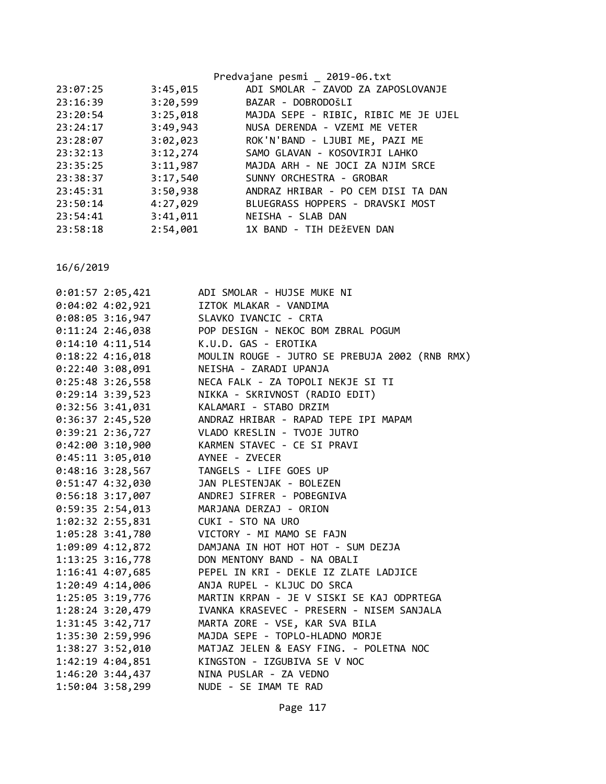|          |          | Predvajane pesmi _ 2019-06.txt       |
|----------|----------|--------------------------------------|
| 23:07:25 | 3:45,015 | ADI SMOLAR - ZAVOD ZA ZAPOSLOVANJE   |
| 23:16:39 | 3:20,599 | BAZAR - DOBRODOŠLI                   |
| 23:20:54 | 3:25,018 | MAJDA SEPE - RIBIC, RIBIC ME JE UJEL |
| 23:24:17 | 3:49,943 | NUSA DERENDA - VZEMI ME VETER        |
| 23:28:07 | 3:02,023 | ROK'N'BAND - LJUBI ME, PAZI ME       |
| 23:32:13 | 3:12,274 | SAMO GLAVAN - KOSOVIRJI LAHKO        |
| 23:35:25 | 3:11,987 | MAJDA ARH - NE JOCI ZA NJIM SRCE     |
| 23:38:37 | 3:17,540 | SUNNY ORCHESTRA - GROBAR             |
| 23:45:31 | 3:50,938 | ANDRAZ HRIBAR - PO CEM DISI TA DAN   |
| 23:50:14 | 4:27,029 | BLUEGRASS HOPPERS - DRAVSKI MOST     |
| 23:54:41 | 3:41,011 | NEISHA - SLAB DAN                    |
| 23:58:18 | 2:54,001 | 1X BAND - TIH DEŽEVEN DAN            |
|          |          |                                      |

| $0:01:57$ 2:05,421 | ADI SMOLAR - HUJSE MUKE NI                     |
|--------------------|------------------------------------------------|
| $0:04:02$ 4:02,921 | IZTOK MLAKAR - VANDIMA                         |
| $0:08:05$ 3:16,947 | SLAVKO IVANCIC - CRTA                          |
| $0:11:24$ 2:46,038 | POP DESIGN - NEKOC BOM ZBRAL POGUM             |
| $0:14:10$ 4:11,514 | K.U.D. GAS - EROTIKA                           |
| $0:18:22$ 4:16,018 | MOULIN ROUGE - JUTRO SE PREBUJA 2002 (RNB RMX) |
| $0:22:40$ 3:08,091 | NEISHA - ZARADI UPANJA                         |
| $0:25:48$ 3:26,558 | NECA FALK - ZA TOPOLI NEKJE SI TI              |
| $0:29:14$ 3:39,523 | NIKKA - SKRIVNOST (RADIO EDIT)                 |
| $0:32:56$ 3:41,031 | KALAMARI - STABO DRZIM                         |
| $0:36:37$ 2:45,520 | ANDRAZ HRIBAR - RAPAD TEPE IPI MAPAM           |
| $0:39:21$ 2:36,727 | VLADO KRESLIN - TVOJE JUTRO                    |
| $0:42:00$ 3:10,900 | KARMEN STAVEC - CE SI PRAVI                    |
| $0:45:11$ 3:05,010 | AYNEE - ZVECER                                 |
| $0:48:16$ 3:28,567 | TANGELS - LIFE GOES UP                         |
| $0:51:47$ 4:32,030 | JAN PLESTENJAK - BOLEZEN                       |
| $0:56:18$ 3:17,007 | ANDREJ SIFRER - POBEGNIVA                      |
| $0:59:35$ 2:54,013 | MARJANA DERZAJ - ORION                         |
| 1:02:32 2:55,831   | CUKI - STO NA URO                              |
| 1:05:28 3:41,780   | VICTORY - MI MAMO SE FAJN                      |
| 1:09:09 4:12,872   | DAMJANA IN HOT HOT HOT - SUM DEZJA             |
| 1:13:25 3:16,778   | DON MENTONY BAND - NA OBALI                    |
| 1:16:41 4:07,685   | PEPEL IN KRI - DEKLE IZ ZLATE LADJICE          |
| 1:20:49 4:14,006   | ANJA RUPEL - KLJUC DO SRCA                     |
| 1:25:05 3:19,776   | MARTIN KRPAN - JE V SISKI SE KAJ ODPRTEGA      |
| 1:28:24 3:20,479   | IVANKA KRASEVEC - PRESERN - NISEM SANJALA      |
| 1:31:45 3:42,717   | MARTA ZORE - VSE, KAR SVA BILA                 |
| 1:35:30 2:59,996   | MAJDA SEPE - TOPLO-HLADNO MORJE                |
| 1:38:27 3:52,010   | MATJAZ JELEN & EASY FING. - POLETNA NOC        |
| 1:42:19 4:04,851   | KINGSTON - IZGUBIVA SE V NOC                   |
| $1:46:20$ 3:44,437 | NINA PUSLAR - ZA VEDNO                         |
| 1:50:04 3:58,299   | NUDE - SE IMAM TE RAD                          |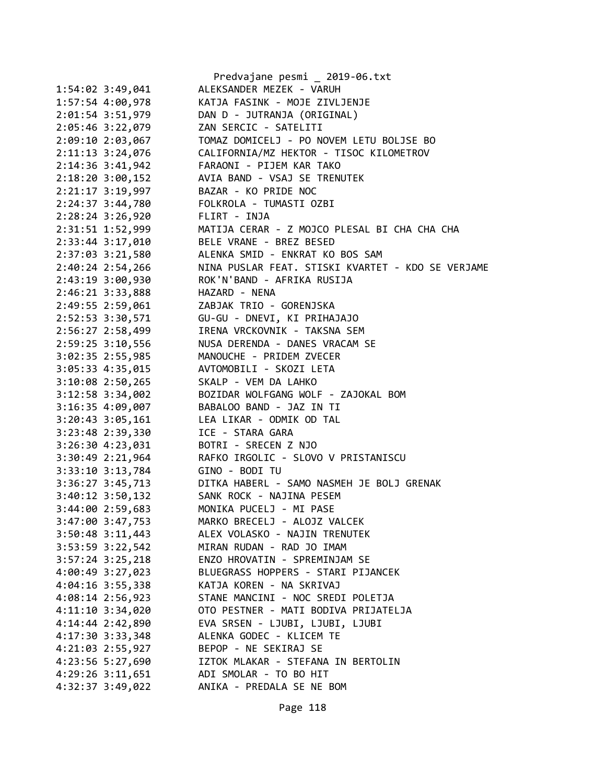|                      | Predvajane pesmi _ 2019-06.txt                             |
|----------------------|------------------------------------------------------------|
| $1:54:02$ 3:49,041   | ALEKSANDER MEZEK - VARUH                                   |
| $1:57:54$ $4:00,978$ | KATJA FASINK - MOJE ZIVLJENJE                              |
| 2:01:54 3:51,979     | DAN D - JUTRANJA (ORIGINAL)                                |
| 2:05:46 3:22,079     | ZAN SERCIC - SATELITI                                      |
| 2:09:10 2:03,067     | TOMAZ DOMICELJ - PO NOVEM LETU BOLJSE BO                   |
| 2:11:13 3:24,076     | CALIFORNIA/MZ HEKTOR - TISOC KILOMETROV                    |
| 2:14:36 3:41,942     | FARAONI - PIJEM KAR TAKO                                   |
| $2:18:20$ 3:00,152   | AVIA BAND - VSAJ SE TRENUTEK                               |
| $2:21:17$ 3:19,997   | BAZAR - KO PRIDE NOC                                       |
| 2:24:37 3:44,780     | FOLKROLA - TUMASTI OZBI                                    |
| $2:28:24$ 3:26,920   | FLIRT - INJA                                               |
| 2:31:51 1:52,999     | MATIJA CERAR - Z MOJCO PLESAL BI CHA CHA CHA               |
| 2:33:44 3:17,010     | BELE VRANE - BREZ BESED                                    |
| 2:37:03 3:21,580     | ALENKA SMID - ENKRAT KO BOS SAM                            |
|                      | NINA PUSLAR FEAT. STISKI KVARTET - KDO SE VERJAME          |
| $2:40:24$ $2:54,266$ |                                                            |
| 2:43:19 3:00,930     | ROK'N'BAND - AFRIKA RUSIJA                                 |
| 2:46:21 3:33,888     | HAZARD - NENA                                              |
| 2:49:55 2:59,061     | ZABJAK TRIO - GORENJSKA                                    |
| 2:52:53 3:30,571     | GU-GU - DNEVI, KI PRIHAJAJO                                |
| 2:56:27 2:58,499     | IRENA VRCKOVNIK - TAKSNA SEM                               |
| $2:59:25$ 3:10,556   | NUSA DERENDA - DANES VRACAM SE                             |
| $3:02:35$ 2:55,985   | MANOUCHE - PRIDEM ZVECER                                   |
| $3:05:33$ 4:35,015   | AVTOMOBILI - SKOZI LETA                                    |
| $3:10:08$ 2:50,265   | SKALP - VEM DA LAHKO                                       |
| 3:12:58 3:34,002     | BOZIDAR WOLFGANG WOLF - ZAJOKAL BOM                        |
| 3:16:35 4:09,007     | BABALOO BAND - JAZ IN TI                                   |
| $3:20:43$ $3:05,161$ | LEA LIKAR - ODMIK OD TAL                                   |
| 3:23:48 2:39,330     | ICE - STARA GARA                                           |
| 3:26:30 4:23,031     | BOTRI - SRECEN Z NJO                                       |
| 3:30:49 2:21,964     | RAFKO IRGOLIC - SLOVO V PRISTANISCU                        |
| $3:33:10$ $3:13,784$ | GINO - BODI TU                                             |
|                      | 3:36:27 3:45,713 DITKA HABERL - SAMO NASMEH JE BOLJ GRENAK |
|                      | 3:40:12 3:50,132 SANK ROCK - NAJINA PESEM                  |
| 3:44:00 2:59,683     | MONIKA PUCELJ - MI PASE                                    |
| 3:47:00 3:47,753     | MARKO BRECELJ - ALOJZ VALCEK                               |
| $3:50:48$ 3:11,443   | ALEX VOLASKO - NAJIN TRENUTEK                              |
| 3:53:59 3:22,542     | MIRAN RUDAN - RAD JO IMAM                                  |
| $3:57:24$ $3:25,218$ | ENZO HROVATIN - SPREMINJAM SE                              |
| 4:00:49 3:27,023     | BLUEGRASS HOPPERS - STARI PIJANCEK                         |
| $4:04:16$ 3:55,338   | KATJA KOREN - NA SKRIVAJ                                   |
| $4:08:14$ 2:56,923   | STANE MANCINI - NOC SREDI POLETJA                          |
| $4:11:10$ 3:34,020   | OTO PESTNER - MATI BODIVA PRIJATELJA                       |
| 4:14:44 2:42,890     | EVA SRSEN - LJUBI, LJUBI, LJUBI                            |
| $4:17:30$ 3:33,348   | ALENKA GODEC - KLICEM TE                                   |
| 4:21:03 2:55,927     | BEPOP - NE SEKIRAJ SE                                      |
| 4:23:56 5:27,690     | IZTOK MLAKAR - STEFANA IN BERTOLIN                         |
| 4:29:26 3:11,651     | ADI SMOLAR - TO BO HIT                                     |
| 4:32:37 3:49,022     | ANIKA - PREDALA SE NE BOM                                  |
|                      |                                                            |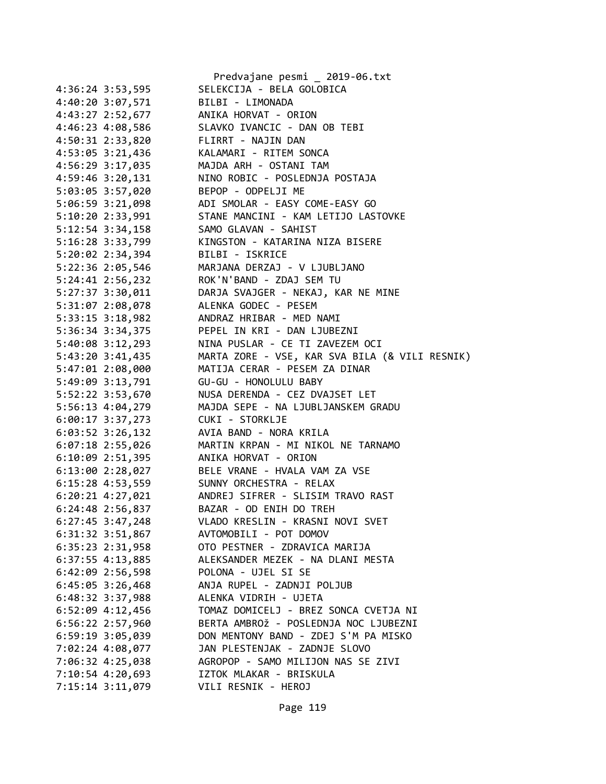|                                      | Predvajane pesmi _ 2019-06.txt                 |
|--------------------------------------|------------------------------------------------|
| 4:36:24 3:53,595                     | SELEKCIJA - BELA GOLOBICA                      |
| 4:40:20 3:07,571                     | BILBI - LIMONADA                               |
| 4:43:27 2:52,677                     | ANIKA HORVAT - ORION                           |
| 4:46:23 4:08,586                     | SLAVKO IVANCIC - DAN OB TEBI                   |
| 4:50:31 2:33,820                     | FLIRRT - NAJIN DAN                             |
| 4:53:05 3:21,436                     | KALAMARI - RITEM SONCA                         |
| 4:56:29 3:17,035                     | MAJDA ARH - OSTANI TAM                         |
| 4:59:46 3:20,131                     | NINO ROBIC - POSLEDNJA POSTAJA                 |
| 5:03:05 3:57,020                     | BEPOP - ODPELJI ME                             |
| 5:06:59 3:21,098                     | ADI SMOLAR - EASY COME-EASY GO                 |
| 5:10:20 2:33,991                     | STANE MANCINI - KAM LETIJO LASTOVKE            |
| 5:12:54 3:34,158                     | SAMO GLAVAN - SAHIST                           |
| 5:16:28 3:33,799                     | KINGSTON - KATARINA NIZA BISERE                |
| 5:20:02 2:34,394                     | BILBI - ISKRICE                                |
| 5:22:36 2:05,546                     | MARJANA DERZAJ - V LJUBLJANO                   |
| $5:24:41$ $2:56,232$                 | ROK'N'BAND - ZDAJ SEM TU                       |
| 5:27:37 3:30,011                     | DARJA SVAJGER - NEKAJ, KAR NE MINE             |
| 5:31:07 2:08,078                     | ALENKA GODEC - PESEM                           |
| 5:33:15 3:18,982                     | ANDRAZ HRIBAR - MED NAMI                       |
| 5:36:34 3:34,375                     | PEPEL IN KRI - DAN LJUBEZNI                    |
| 5:40:08 3:12,293                     | NINA PUSLAR - CE TI ZAVEZEM OCI                |
| 5:43:20 3:41,435                     | MARTA ZORE - VSE, KAR SVA BILA (& VILI RESNIK) |
| 5:47:01 2:08,000                     | MATIJA CERAR - PESEM ZA DINAR                  |
| 5:49:09 3:13,791                     | GU-GU - HONOLULU BABY                          |
| 5:52:22 3:53,670                     | NUSA DERENDA - CEZ DVAJSET LET                 |
| 5:56:13 4:04,279                     | MAJDA SEPE - NA LJUBLJANSKEM GRADU             |
| $6:00:17$ 3:37,273                   | CUKI - STORKLJE                                |
| $6:03:52$ 3:26,132                   | AVIA BAND - NORA KRILA                         |
| $6:07:18$ 2:55,026                   | MARTIN KRPAN - MI NIKOL NE TARNAMO             |
| 6:10:09 2:51,395                     | ANIKA HORVAT - ORION                           |
| $6:13:00$ 2:28,027                   | BELE VRANE - HVALA VAM ZA VSE                  |
| $6:15:28$ 4:53,559                   | SUNNY ORCHESTRA - RELAX                        |
| $6:20:21$ $4:27,021$                 | ANDREJ SIFRER - SLISIM TRAVO RAST              |
| 6:24:48 2:56,837                     | BAZAR - OD ENIH DO TREH                        |
| 6:27:45 3:47,248                     | VLADO KRESLIN - KRASNI NOVI SVET               |
| 6:31:32 3:51,867                     | AVTOMOBILI - POT DOMOV                         |
| $6:35:23$ 2:31,958                   | OTO PESTNER - ZDRAVICA MARIJA                  |
|                                      | ALEKSANDER MEZEK - NA DLANI MESTA              |
| 6:37:55 4:13,885                     | POLONA - UJEL SI SE                            |
| 6:42:09 2:56,598                     | ANJA RUPEL - ZADNJI POLJUB                     |
| $6:45:05$ 3:26,468                   | ALENKA VIDRIH - UJETA                          |
| 6:48:32 3:37,988                     |                                                |
| $6:52:09$ 4:12,456                   | TOMAZ DOMICELJ - BREZ SONCA CVETJA NI          |
| 6:56:22 2:57,960                     | BERTA AMBROŽ - POSLEDNJA NOC LJUBEZNI          |
| 6:59:19 3:05,039                     | DON MENTONY BAND - ZDEJ S'M PA MISKO           |
| 7:02:24 4:08,077                     | JAN PLESTENJAK - ZADNJE SLOVO                  |
|                                      |                                                |
| 7:06:32 4:25,038                     | AGROPOP - SAMO MILIJON NAS SE ZIVI             |
| 7:10:54 4:20,693<br>7:15:14 3:11,079 | IZTOK MLAKAR - BRISKULA<br>VILI RESNIK - HEROJ |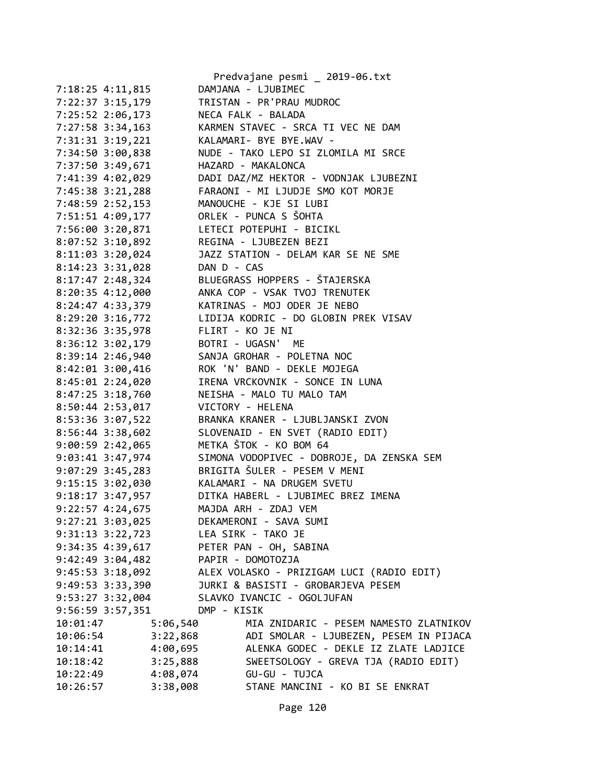|                      |                        | Predvajane pesmi _ 2019-06.txt            |
|----------------------|------------------------|-------------------------------------------|
| 7:18:25 4:11,815     |                        | DAMJANA - LJUBIMEC                        |
| 7:22:37 3:15,179     |                        | TRISTAN - PR'PRAU MUDROC                  |
| 7:25:52 2:06,173     |                        | NECA FALK - BALADA                        |
| $7:27:58$ 3:34,163   |                        | KARMEN STAVEC - SRCA TI VEC NE DAM        |
| 7:31:31 3:19,221     |                        | KALAMARI- BYE BYE.WAV -                   |
| 7:34:50 3:00,838     |                        | NUDE - TAKO LEPO SI ZLOMILA MI SRCE       |
| 7:37:50 3:49,671     |                        | HAZARD - MAKALONCA                        |
| 7:41:39 4:02,029     |                        | DADI DAZ/MZ HEKTOR - VODNJAK LJUBEZNI     |
| 7:45:38 3:21,288     |                        | FARAONI - MI LJUDJE SMO KOT MORJE         |
| 7:48:59 2:52,153     |                        | MANOUCHE - KJE SI LUBI                    |
| 7:51:51 4:09,177     |                        | ORLEK - PUNCA S ŠOHTA                     |
| 7:56:00 3:20,871     |                        | LETECI POTEPUHI - BICIKL                  |
| $8:07:52$ 3:10,892   |                        | REGINA - LJUBEZEN BEZI                    |
| $8:11:03$ 3:20,024   |                        | JAZZ STATION - DELAM KAR SE NE SME        |
| 8:14:23 3:31,028     | DAN D - CAS            |                                           |
| $8:17:47$ 2:48,324   |                        | BLUEGRASS HOPPERS - ŠTAJERSKA             |
| 8:20:35 4:12,000     |                        | ANKA COP - VSAK TVOJ TRENUTEK             |
| 8:24:47 4:33,379     |                        | KATRINAS - MOJ ODER JE NEBO               |
| $8:29:20$ 3:16,772   |                        | LIDIJA KODRIC - DO GLOBIN PREK VISAV      |
| 8:32:36 3:35,978     |                        | FLIRT - KO JE NI                          |
| $8:36:12$ $3:02,179$ |                        | BOTRI - UGASN' ME                         |
| 8:39:14 2:46,940     |                        | SANJA GROHAR - POLETNA NOC                |
| 8:42:01 3:00,416     |                        | ROK 'N' BAND - DEKLE MOJEGA               |
| 8:45:01 2:24,020     |                        | IRENA VRCKOVNIK - SONCE IN LUNA           |
| $8:47:25$ 3:18,760   |                        | NEISHA - MALO TU MALO TAM                 |
| 8:50:44 2:53,017     |                        | VICTORY - HELENA                          |
| 8:53:36 3:07,522     |                        | BRANKA KRANER - LJUBLJANSKI ZVON          |
| 8:56:44 3:38,602     |                        | SLOVENAID - EN SVET (RADIO EDIT)          |
| 9:00:59 2:42,065     |                        | METKA ŠTOK - KO BOM 64                    |
| 9:03:41 3:47,974     |                        | SIMONA VODOPIVEC - DOBROJE, DA ZENSKA SEM |
| $9:07:29$ 3:45,283   |                        | BRIGITA ŠULER - PESEM V MENI              |
| $9:15:15$ 3:02,030   |                        | KALAMARI - NA DRUGEM SVETU                |
| $9:18:17$ 3:47,957   |                        | DITKA HABERL - LJUBIMEC BREZ IMENA        |
| 9:22:57 4:24,675     |                        | MAJDA ARH - ZDAJ VEM                      |
| $9:27:21$ $3:03,025$ |                        | DEKAMERONI - SAVA SUMI                    |
| $9:31:13$ $3:22,723$ |                        | LEA SIRK - TAKO JE                        |
| 9:34:35 4:39,617     |                        | PETER PAN - OH, SABINA                    |
| $9:42:49$ $3:04,482$ |                        | PAPIR - DOMOTOZJA                         |
| $9:45:53$ $3:18,092$ |                        | ALEX VOLASKO - PRIZIGAM LUCI (RADIO EDIT) |
| 9:49:53 3:33,390     |                        | JURKI & BASISTI - GROBARJEVA PESEM        |
| 9:53:27 3:32,004     |                        | SLAVKO IVANCIC - OGOLJUFAN                |
| $9:56:59$ $3:57,351$ | DMP - KISIK            |                                           |
| 10:01:47             | 5:06,540               | MIA ZNIDARIC - PESEM NAMESTO ZLATNIKOV    |
| 10:06:54             | 3:22,868               | ADI SMOLAR - LJUBEZEN, PESEM IN PIJACA    |
| 10:14:41             | 4:00,695               | ALENKA GODEC - DEKLE IZ ZLATE LADJICE     |
| 10:18:42             | 3:25,888               | SWEETSOLOGY - GREVA TJA (RADIO EDIT)      |
| 10:22:49             | 4:08,074 GU-GU - TUJCA |                                           |
| 10:26:57             | 3:38,008               | STANE MANCINI - KO BI SE ENKRAT           |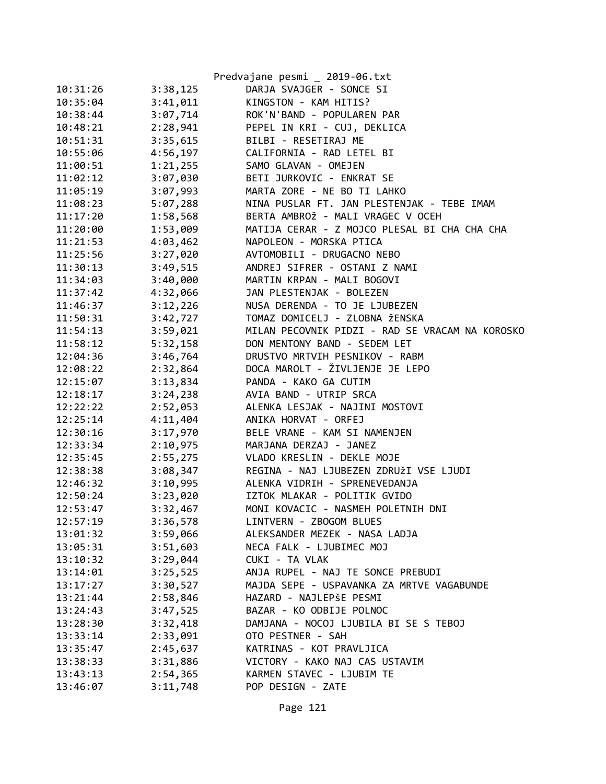|                      |          | Predvajane pesmi _ 2019-06.txt                  |
|----------------------|----------|-------------------------------------------------|
| 10:31:26             | 3:38,125 | DARJA SVAJGER - SONCE SI                        |
| 10:35:04             | 3:41,011 | KINGSTON - KAM HITIS?                           |
| 10:38:44             | 3:07,714 | ROK'N'BAND - POPULAREN PAR                      |
| 10:48:21             | 2:28,941 | PEPEL IN KRI - CUJ, DEKLICA                     |
| 10:51:31             | 3:35,615 | BILBI - RESETIRAJ ME                            |
| 10:55:06             | 4:56,197 | CALIFORNIA - RAD LETEL BI                       |
| 11:00:51             | 1:21,255 | SAMO GLAVAN - OMEJEN                            |
| 11:02:12             | 3:07,030 | BETI JURKOVIC - ENKRAT SE                       |
| 11:05:19             | 3:07,993 | MARTA ZORE - NE BO TI LAHKO                     |
| 11:08:23             | 5:07,288 | NINA PUSLAR FT. JAN PLESTENJAK - TEBE IMAM      |
| 11:17:20             | 1:58,568 | BERTA AMBROŽ - MALI VRAGEC V OCEH               |
| 11:20:00             | 1:53,009 | MATIJA CERAR - Z MOJCO PLESAL BI CHA CHA CHA    |
| 11:21:53             | 4:03,462 | NAPOLEON - MORSKA PTICA                         |
| 11:25:56             | 3:27,020 | AVTOMOBILI - DRUGACNO NEBO                      |
| 11:30:13             | 3:49,515 | ANDREJ SIFRER - OSTANI Z NAMI                   |
| 11:34:03             | 3:40,000 | MARTIN KRPAN - MALI BOGOVI                      |
| 11:37:42             | 4:32,066 | JAN PLESTENJAK - BOLEZEN                        |
| 11:46:37             | 3:12,226 | NUSA DERENDA - TO JE LJUBEZEN                   |
| 11:50:31             | 3:42,727 | TOMAZ DOMICELJ - ZLOBNA ŽENSKA                  |
| 11:54:13             | 3:59,021 | MILAN PECOVNIK PIDZI - RAD SE VRACAM NA KOROSKO |
| 11:58:12             | 5:32,158 | DON MENTONY BAND - SEDEM LET                    |
| 12:04:36             | 3:46,764 | DRUSTVO MRTVIH PESNIKOV - RABM                  |
| 12:08:22             | 2:32,864 | DOCA MAROLT - ŽIVLJENJE JE LEPO                 |
| 12:15:07             | 3:13,834 | PANDA - KAKO GA CUTIM                           |
| 12:18:17             | 3:24,238 | AVIA BAND - UTRIP SRCA                          |
| 12:22:22             | 2:52,053 | ALENKA LESJAK - NAJINI MOSTOVI                  |
| 12:25:14             | 4:11,404 | ANIKA HORVAT - ORFEJ                            |
| 12:30:16             | 3:17,970 | BELE VRANE - KAM SI NAMENJEN                    |
| 12:33:34             | 2:10,975 | MARJANA DERZAJ - JANEZ                          |
| 12:35:45             | 2:55,275 | VLADO KRESLIN - DEKLE MOJE                      |
| 12:38:38             | 3:08,347 | REGINA - NAJ LJUBEZEN ZDRUŽI VSE LJUDI          |
| 12:46:32             | 3:10,995 | ALENKA VIDRIH - SPRENEVEDANJA                   |
| 12:50:24             | 3:23,020 | IZTOK MLAKAR - POLITIK GVIDO                    |
| 12:53:47             | 3:32,467 | MONI KOVACIC - NASMEH POLETNIH DNI              |
| 12:57:19             | 3:36,578 | LINTVERN - ZBOGOM BLUES                         |
| 13:01:32             | 3:59,066 | ALEKSANDER MEZEK - NASA LADJA                   |
| 13:05:31             | 3:51,603 | NECA FALK - LJUBIMEC MOJ                        |
| 13:10:32             | 3:29,044 | CUKI - TA VLAK                                  |
| 13:14:01             | 3:25,525 | ANJA RUPEL - NAJ TE SONCE PREBUDI               |
| 13:17:27             | 3:30,527 | MAJDA SEPE - USPAVANKA ZA MRTVE VAGABUNDE       |
|                      | 2:58,846 | HAZARD - NAJLEPŠE PESMI                         |
| 13:21:44<br>13:24:43 | 3:47,525 | BAZAR - KO ODBIJE POLNOC                        |
| 13:28:30             | 3:32,418 | DAMJANA - NOCOJ LJUBILA BI SE S TEBOJ           |
|                      |          |                                                 |
| 13:33:14             | 2:33,091 | OTO PESTNER - SAH                               |
| 13:35:47             | 2:45,637 | KATRINAS - KOT PRAVLJICA                        |
| 13:38:33             | 3:31,886 | VICTORY - KAKO NAJ CAS USTAVIM                  |
| 13:43:13             | 2:54,365 | KARMEN STAVEC - LJUBIM TE                       |
| 13:46:07             | 3:11,748 | POP DESIGN - ZATE                               |

Page 121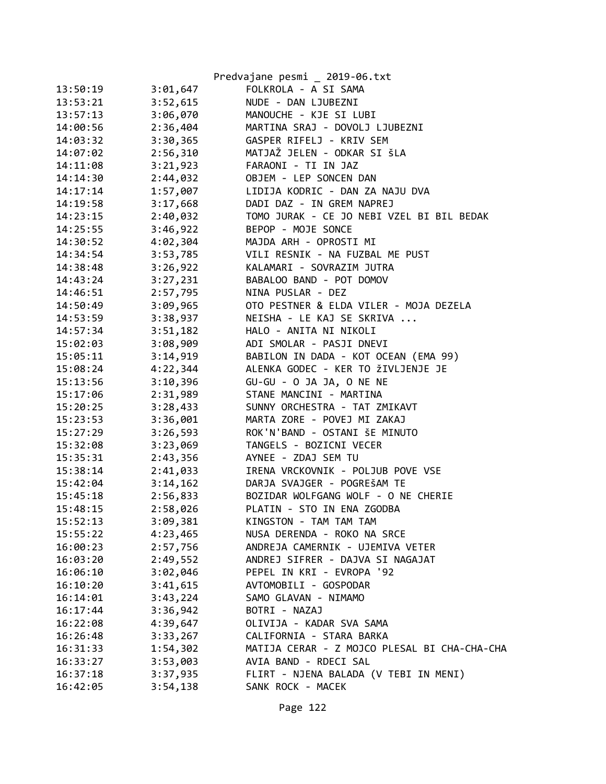|          |                      | Predvajane pesmi _ 2019-06.txt               |
|----------|----------------------|----------------------------------------------|
| 13:50:19 | 3:01,647             | FOLKROLA - A SI SAMA                         |
| 13:53:21 | 3:52,615             | NUDE - DAN LJUBEZNI                          |
| 13:57:13 | 3:06,070             | MANOUCHE - KJE SI LUBI                       |
| 14:00:56 | 2:36,404             | MARTINA SRAJ - DOVOLJ LJUBEZNI               |
| 14:03:32 | 3:30,365             | GASPER RIFELJ - KRIV SEM                     |
| 14:07:02 | 2:56,310             | MATJAŽ JELEN - ODKAR SI ŠLA                  |
| 14:11:08 | 3:21,923             | FARAONI - TI IN JAZ                          |
| 14:14:30 | 2:44,032             | OBJEM - LEP SONCEN DAN                       |
| 14:17:14 | 1:57,007             | LIDIJA KODRIC - DAN ZA NAJU DVA              |
| 14:19:58 | 3:17,668             | DADI DAZ - IN GREM NAPREJ                    |
| 14:23:15 | 2:40,032             | TOMO JURAK - CE JO NEBI VZEL BI BIL BEDAK    |
| 14:25:55 | 3:46,922             | BEPOP - MOJE SONCE                           |
| 14:30:52 | 4:02,304             | MAJDA ARH - OPROSTI MI                       |
| 14:34:54 | 3:53,785             | VILI RESNIK - NA FUZBAL ME PUST              |
| 14:38:48 | 3:26,922             | KALAMARI - SOVRAZIM JUTRA                    |
| 14:43:24 | 3:27,231             | BABALOO BAND - POT DOMOV                     |
| 14:46:51 | 2:57,795             | NINA PUSLAR - DEZ                            |
| 14:50:49 | 3:09,965             | OTO PESTNER & ELDA VILER - MOJA DEZELA       |
| 14:53:59 | 3:38,937             | NEISHA - LE KAJ SE SKRIVA                    |
| 14:57:34 | 3:51,182             | HALO - ANITA NI NIKOLI                       |
| 15:02:03 | 3:08,909             | ADI SMOLAR - PASJI DNEVI                     |
| 15:05:11 | 3:14,919             | BABILON IN DADA - KOT OCEAN (EMA 99)         |
| 15:08:24 | 4:22,344             | ALENKA GODEC - KER TO ŽIVLJENJE JE           |
| 15:13:56 | 3:10,396             | GU-GU - O JA JA, O NE NE                     |
| 15:17:06 | 2:31,989             | STANE MANCINI - MARTINA                      |
| 15:20:25 | 3:28,433             | SUNNY ORCHESTRA - TAT ZMIKAVT                |
| 15:23:53 | 3:36,001             | MARTA ZORE - POVEJ MI ZAKAJ                  |
| 15:27:29 | 3:26,593             | ROK'N'BAND - OSTANI ŠE MINUTO                |
| 15:32:08 | 3:23,069             | TANGELS - BOZICNI VECER                      |
| 15:35:31 | 2:43,356             | AYNEE - ZDAJ SEM TU                          |
| 15:38:14 | 2:41,033             | IRENA VRCKOVNIK - POLJUB POVE VSE            |
| 15:42:04 | 3:14,162             | DARJA SVAJGER - POGREŠAM TE                  |
| 15:45:18 | 2:56,833             | BOZIDAR WOLFGANG WOLF - O NE CHERIE          |
| 15:48:15 | 2:58,026             | PLATIN - STO IN ENA ZGODBA                   |
| 15:52:13 | 3:09,381             | KINGSTON - TAM TAM TAM                       |
| 15:55:22 | 4:23,465             | NUSA DERENDA - ROKO NA SRCE                  |
| 16:00:23 | 2:57,756             | ANDREJA CAMERNIK - UJEMIVA VETER             |
| 16:03:20 | 2:49,552             | ANDREJ SIFRER - DAJVA SI NAGAJAT             |
| 16:06:10 | 3:02,046             | PEPEL IN KRI - EVROPA '92                    |
| 16:10:20 | 3:41,615             | AVTOMOBILI - GOSPODAR                        |
| 16:14:01 | 3:43,224             | SAMO GLAVAN - NIMAMO                         |
| 16:17:44 | 3:36,942             | BOTRI - NAZAJ                                |
| 16:22:08 | 4:39,647             | OLIVIJA - KADAR SVA SAMA                     |
| 16:26:48 |                      | CALIFORNIA - STARA BARKA                     |
| 16:31:33 | 3:33,267<br>1:54,302 | MATIJA CERAR - Z MOJCO PLESAL BI CHA-CHA-CHA |
| 16:33:27 | 3:53,003             | AVIA BAND - RDECI SAL                        |
| 16:37:18 | 3:37,935             | FLIRT - NJENA BALADA (V TEBI IN MENI)        |
|          |                      |                                              |
| 16:42:05 | 3:54,138             | SANK ROCK - MACEK                            |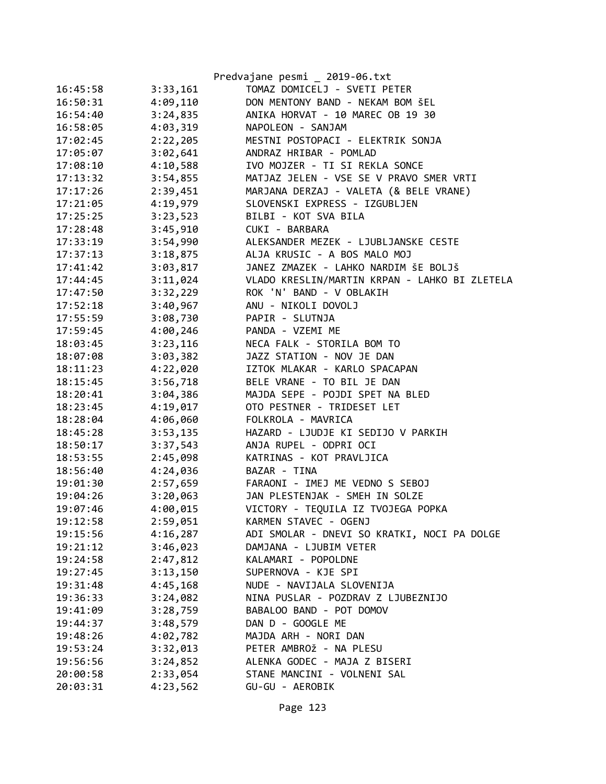|          |          | Predvajane pesmi _ 2019-06.txt                |
|----------|----------|-----------------------------------------------|
| 16:45:58 | 3:33,161 | TOMAZ DOMICELJ - SVETI PETER                  |
| 16:50:31 | 4:09,110 | DON MENTONY BAND - NEKAM BOM ŠEL              |
| 16:54:40 | 3:24,835 | ANIKA HORVAT - 10 MAREC OB 19 30              |
| 16:58:05 | 4:03,319 | NAPOLEON - SANJAM                             |
| 17:02:45 | 2:22,205 | MESTNI POSTOPACI - ELEKTRIK SONJA             |
| 17:05:07 | 3:02,641 | ANDRAZ HRIBAR - POMLAD                        |
| 17:08:10 | 4:10,588 | IVO MOJZER - TI SI REKLA SONCE                |
| 17:13:32 | 3:54,855 | MATJAZ JELEN - VSE SE V PRAVO SMER VRTI       |
| 17:17:26 | 2:39,451 | MARJANA DERZAJ - VALETA (& BELE VRANE)        |
| 17:21:05 | 4:19,979 | SLOVENSKI EXPRESS - IZGUBLJEN                 |
| 17:25:25 | 3:23,523 | BILBI - KOT SVA BILA                          |
| 17:28:48 | 3:45,910 | CUKI - BARBARA                                |
| 17:33:19 | 3:54,990 | ALEKSANDER MEZEK - LJUBLJANSKE CESTE          |
| 17:37:13 | 3:18,875 | ALJA KRUSIC - A BOS MALO MOJ                  |
| 17:41:42 | 3:03,817 | JANEZ ZMAZEK - LAHKO NARDIM ŠE BOLJŠ          |
| 17:44:45 | 3:11,024 | VLADO KRESLIN/MARTIN KRPAN - LAHKO BI ZLETELA |
| 17:47:50 | 3:32,229 | ROK 'N' BAND - V OBLAKIH                      |
| 17:52:18 | 3:40,967 | ANU - NIKOLI DOVOLJ                           |
| 17:55:59 | 3:08,730 | PAPIR - SLUTNJA                               |
| 17:59:45 | 4:00,246 | PANDA - VZEMI ME                              |
| 18:03:45 | 3:23,116 | NECA FALK - STORILA BOM TO                    |
| 18:07:08 | 3:03,382 | JAZZ STATION - NOV JE DAN                     |
| 18:11:23 | 4:22,020 | IZTOK MLAKAR - KARLO SPACAPAN                 |
| 18:15:45 | 3:56,718 | BELE VRANE - TO BIL JE DAN                    |
| 18:20:41 | 3:04,386 | MAJDA SEPE - POJDI SPET NA BLED               |
| 18:23:45 | 4:19,017 | OTO PESTNER - TRIDESET LET                    |
| 18:28:04 | 4:06,060 | FOLKROLA - MAVRICA                            |
| 18:45:28 | 3:53,135 | HAZARD - LJUDJE KI SEDIJO V PARKIH            |
| 18:50:17 | 3:37,543 | ANJA RUPEL - ODPRI OCI                        |
| 18:53:55 | 2:45,098 | KATRINAS - KOT PRAVLJICA                      |
| 18:56:40 | 4:24,036 | BAZAR - TINA                                  |
| 19:01:30 | 2:57,659 | FARAONI - IMEJ ME VEDNO S SEBOJ               |
| 19:04:26 | 3:20,063 | JAN PLESTENJAK - SMEH IN SOLZE                |
| 19:07:46 | 4:00,015 | VICTORY - TEQUILA IZ TVOJEGA POPKA            |
| 19:12:58 | 2:59,051 | KARMEN STAVEC - OGENJ                         |
| 19:15:56 | 4:16,287 | ADI SMOLAR - DNEVI SO KRATKI, NOCI PA DOLGE   |
| 19:21:12 | 3:46,023 | DAMJANA - LJUBIM VETER                        |
| 19:24:58 | 2:47,812 | KALAMARI - POPOLDNE                           |
| 19:27:45 | 3:13,150 | SUPERNOVA - KJE SPI                           |
| 19:31:48 | 4:45,168 | NUDE - NAVIJALA SLOVENIJA                     |
| 19:36:33 | 3:24,082 | NINA PUSLAR - POZDRAV Z LJUBEZNIJO            |
| 19:41:09 | 3:28,759 | BABALOO BAND - POT DOMOV                      |
| 19:44:37 | 3:48,579 | DAN D - GOOGLE ME                             |
| 19:48:26 | 4:02,782 | MAJDA ARH - NORI DAN                          |
| 19:53:24 | 3:32,013 | PETER AMBROŽ - NA PLESU                       |
| 19:56:56 | 3:24,852 | ALENKA GODEC - MAJA Z BISERI                  |
| 20:00:58 | 2:33,054 | STANE MANCINI - VOLNENI SAL                   |
| 20:03:31 | 4:23,562 | GU-GU - AEROBIK                               |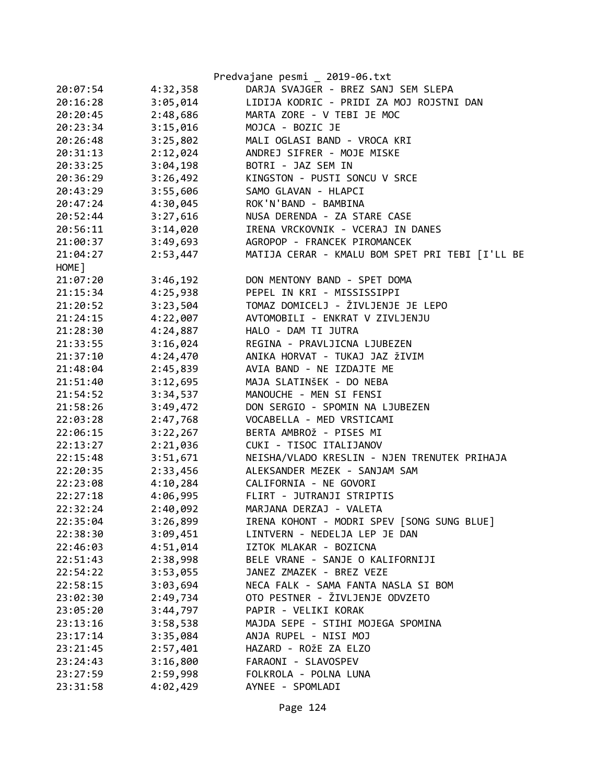|          |          | Predvajane pesmi _ 2019-06.txt                  |
|----------|----------|-------------------------------------------------|
| 20:07:54 | 4:32,358 | DARJA SVAJGER - BREZ SANJ SEM SLEPA             |
| 20:16:28 | 3:05,014 | LIDIJA KODRIC - PRIDI ZA MOJ ROJSTNI DAN        |
| 20:20:45 | 2:48,686 | MARTA ZORE - V TEBI JE MOC                      |
| 20:23:34 | 3:15,016 | MOJCA - BOZIC JE                                |
| 20:26:48 | 3:25,802 | MALI OGLASI BAND - VROCA KRI                    |
| 20:31:13 | 2:12,024 | ANDREJ SIFRER - MOJE MISKE                      |
| 20:33:25 | 3:04,198 | BOTRI - JAZ SEM IN                              |
| 20:36:29 | 3:26,492 | KINGSTON - PUSTI SONCU V SRCE                   |
| 20:43:29 | 3:55,606 | SAMO GLAVAN - HLAPCI                            |
| 20:47:24 | 4:30,045 | ROK'N'BAND - BAMBINA                            |
| 20:52:44 | 3:27,616 | NUSA DERENDA - ZA STARE CASE                    |
| 20:56:11 | 3:14,020 | IRENA VRCKOVNIK - VCERAJ IN DANES               |
| 21:00:37 | 3:49,693 | AGROPOP - FRANCEK PIROMANCEK                    |
| 21:04:27 | 2:53,447 | MATIJA CERAR - KMALU BOM SPET PRI TEBI [I'LL BE |
| HOME ]   |          |                                                 |
| 21:07:20 | 3:46,192 | DON MENTONY BAND - SPET DOMA                    |
| 21:15:34 | 4:25,938 | PEPEL IN KRI - MISSISSIPPI                      |
| 21:20:52 | 3:23,504 | TOMAZ DOMICELJ - ŽIVLJENJE JE LEPO              |
| 21:24:15 | 4:22,007 | AVTOMOBILI - ENKRAT V ZIVLJENJU                 |
| 21:28:30 | 4:24,887 | HALO - DAM TI JUTRA                             |
| 21:33:55 | 3:16,024 | REGINA - PRAVLJICNA LJUBEZEN                    |
| 21:37:10 | 4:24,470 | ANIKA HORVAT - TUKAJ JAZ ŽIVIM                  |
| 21:48:04 | 2:45,839 | AVIA BAND - NE IZDAJTE ME                       |
| 21:51:40 | 3:12,695 | MAJA SLATINŠEK - DO NEBA                        |
| 21:54:52 | 3:34,537 | MANOUCHE - MEN SI FENSI                         |
| 21:58:26 | 3:49,472 | DON SERGIO - SPOMIN NA LJUBEZEN                 |
| 22:03:28 | 2:47,768 | VOCABELLA - MED VRSTICAMI                       |
| 22:06:15 | 3:22,267 | BERTA AMBROŽ - PISES MI                         |
| 22:13:27 | 2:21,036 | CUKI - TISOC ITALIJANOV                         |
| 22:15:48 | 3:51,671 | NEISHA/VLADO KRESLIN - NJEN TRENUTEK PRIHAJA    |
| 22:20:35 | 2:33,456 | ALEKSANDER MEZEK - SANJAM SAM                   |
| 22:23:08 | 4:10,284 | CALIFORNIA - NE GOVORI                          |
| 22:27:18 | 4:06,995 | FLIRT - JUTRANJI STRIPTIS                       |
| 22:32:24 | 2:40,092 | MARJANA DERZAJ - VALETA                         |
| 22:35:04 | 3:26,899 | IRENA KOHONT - MODRI SPEV [SONG SUNG BLUE]      |
| 22:38:30 | 3:09,451 | LINTVERN - NEDELJA LEP JE DAN                   |
| 22:46:03 | 4:51,014 | IZTOK MLAKAR - BOZICNA                          |
| 22:51:43 | 2:38,998 | BELE VRANE - SANJE O KALIFORNIJI                |
| 22:54:22 | 3:53,055 | JANEZ ZMAZEK - BREZ VEZE                        |
| 22:58:15 | 3:03,694 | NECA FALK - SAMA FANTA NASLA SI BOM             |
| 23:02:30 | 2:49,734 | OTO PESTNER - ŽIVLJENJE ODVZETO                 |
| 23:05:20 | 3:44,797 | PAPIR - VELIKI KORAK                            |
| 23:13:16 | 3:58,538 | MAJDA SEPE - STIHI MOJEGA SPOMINA               |
| 23:17:14 | 3:35,084 | ANJA RUPEL - NISI MOJ                           |
| 23:21:45 | 2:57,401 | HAZARD - ROŽE ZA ELZO                           |
| 23:24:43 | 3:16,800 | FARAONI - SLAVOSPEV                             |
| 23:27:59 | 2:59,998 | FOLKROLA - POLNA LUNA                           |
| 23:31:58 | 4:02,429 | AYNEE - SPOMLADI                                |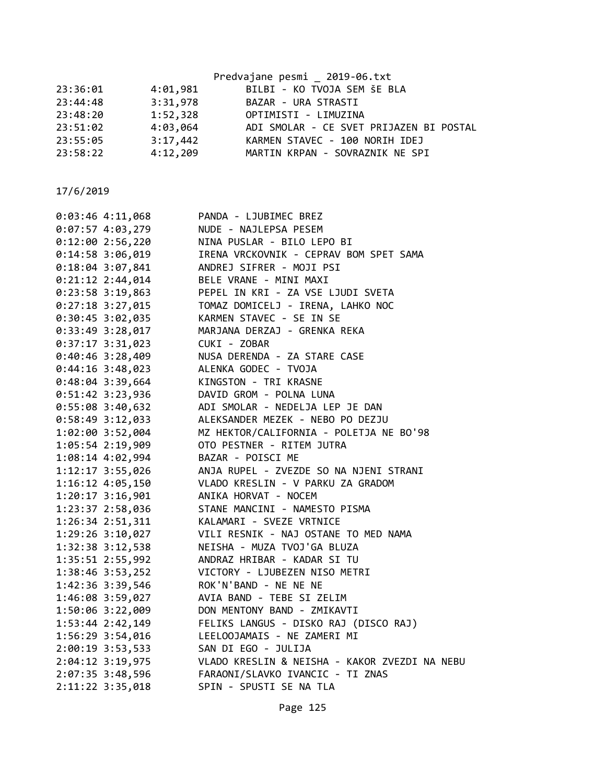|          |          | Predvajane pesmi _ 2019-06.txt          |
|----------|----------|-----------------------------------------|
| 23:36:01 | 4:01,981 | BILBI - KO TVOJA SEM ŠE BLA             |
| 23:44:48 | 3:31,978 | BAZAR - URA STRASTI                     |
| 23:48:20 | 1:52,328 | OPTIMISTI - LIMUZINA                    |
| 23:51:02 | 4:03,064 | ADI SMOLAR - CE SVET PRIJAZEN BI POSTAL |
| 23:55:05 | 3:17,442 | KARMEN STAVEC - 100 NORIH IDEJ          |
| 23:58:22 | 4:12,209 | MARTIN KRPAN - SOVRAZNIK NE SPI         |
|          |          |                                         |

| $0:03:46$ 4:11,068 | PANDA - LJUBIMEC BREZ                         |
|--------------------|-----------------------------------------------|
| $0:07:57$ 4:03,279 | NUDE - NAJLEPSA PESEM                         |
| $0:12:00$ 2:56,220 | NINA PUSLAR - BILO LEPO BI                    |
| 0:14:58 3:06,019   | IRENA VRCKOVNIK - CEPRAV BOM SPET SAMA        |
| 0:18:04 3:07,841   | ANDREJ SIFRER - MOJI PSI                      |
| $0:21:12$ 2:44,014 | BELE VRANE - MINI MAXI                        |
| 0:23:58 3:19,863   | PEPEL IN KRI - ZA VSE LJUDI SVETA             |
| $0:27:18$ 3:27,015 | TOMAZ DOMICELJ - IRENA, LAHKO NOC             |
| 0:30:45 3:02,035   | KARMEN STAVEC - SE IN SE                      |
| 0:33:49 3:28,017   | MARJANA DERZAJ - GRENKA REKA                  |
| $0:37:17$ 3:31,023 | CUKI - ZOBAR                                  |
| $0:40:46$ 3:28,409 | NUSA DERENDA - ZA STARE CASE                  |
| 0:44:16 3:48,023   | ALENKA GODEC - TVOJA                          |
| $0:48:04$ 3:39,664 | KINGSTON - TRI KRASNE                         |
| $0:51:42$ 3:23,936 | DAVID GROM - POLNA LUNA                       |
| 0:55:08 3:40,632   | ADI SMOLAR - NEDELJA LEP JE DAN               |
| 0:58:49 3:12,033   | ALEKSANDER MEZEK - NEBO PO DEZJU              |
| 1:02:00 3:52,004   | MZ HEKTOR/CALIFORNIA - POLETJA NE BO'98       |
| 1:05:54 2:19,909   | OTO PESTNER - RITEM JUTRA                     |
| 1:08:14 4:02,994   | BAZAR - POISCI ME                             |
| 1:12:17 3:55,026   | ANJA RUPEL - ZVEZDE SO NA NJENI STRANI        |
| 1:16:12 4:05,150   | VLADO KRESLIN - V PARKU ZA GRADOM             |
| 1:20:17 3:16,901   | ANIKA HORVAT - NOCEM                          |
| 1:23:37 2:58,036   | STANE MANCINI - NAMESTO PISMA                 |
| 1:26:34 2:51,311   | KALAMARI - SVEZE VRTNICE                      |
| 1:29:26 3:10,027   | VILI RESNIK - NAJ OSTANE TO MED NAMA          |
| 1:32:38 3:12,538   | NEISHA - MUZA TVOJ'GA BLUZA                   |
| 1:35:51 2:55,992   | ANDRAZ HRIBAR - KADAR SI TU                   |
| 1:38:46 3:53,252   | VICTORY - LJUBEZEN NISO METRI                 |
| 1:42:36 3:39,546   | ROK'N'BAND - NE NE NE                         |
| 1:46:08 3:59,027   | AVIA BAND - TEBE SI ZELIM                     |
| 1:50:06 3:22,009   | DON MENTONY BAND - ZMIKAVTI                   |
| 1:53:44 2:42,149   | FELIKS LANGUS - DISKO RAJ (DISCO RAJ)         |
| 1:56:29 3:54,016   | LEELOOJAMAIS - NE ZAMERI MI                   |
| $2:00:19$ 3:53,533 | SAN DI EGO - JULIJA                           |
| $2:04:12$ 3:19,975 | VLADO KRESLIN & NEISHA - KAKOR ZVEZDI NA NEBU |
| 2:07:35 3:48,596   | FARAONI/SLAVKO IVANCIC - TI ZNAS              |
| 2:11:22 3:35,018   | SPIN - SPUSTI SE NA TLA                       |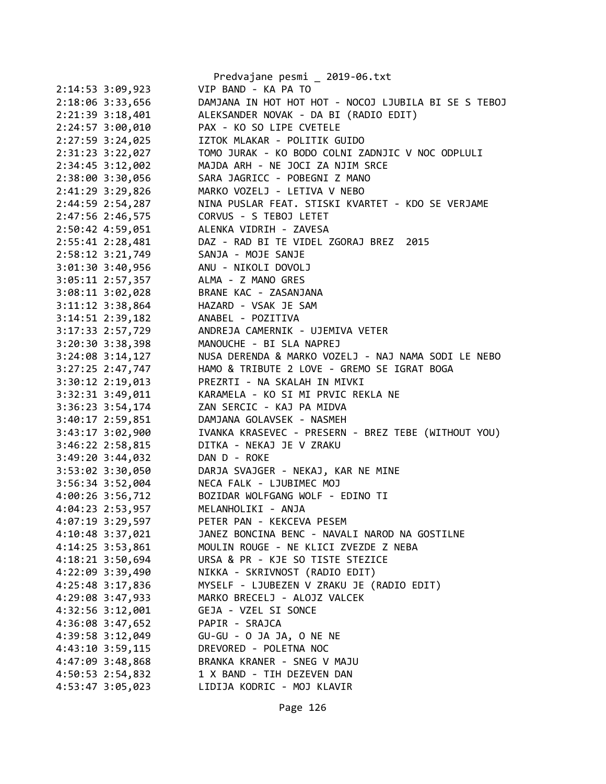|                      | Predvajane pesmi _ 2019-06.txt                       |
|----------------------|------------------------------------------------------|
| 2:14:53 3:09,923     | VIP BAND - KA PA TO                                  |
| 2:18:06 3:33,656     | DAMJANA IN HOT HOT HOT - NOCOJ LJUBILA BI SE S TEBOJ |
| 2:21:39 3:18,401     | ALEKSANDER NOVAK - DA BI (RADIO EDIT)                |
| 2:24:57 3:00,010     | PAX - KO SO LIPE CVETELE                             |
| 2:27:59 3:24,025     | IZTOK MLAKAR - POLITIK GUIDO                         |
| 2:31:23 3:22,027     | TOMO JURAK - KO BODO COLNI ZADNJIC V NOC ODPLULI     |
| 2:34:45 3:12,002     | MAJDA ARH - NE JOCI ZA NJIM SRCE                     |
| 2:38:00 3:30,056     | SARA JAGRICC - POBEGNI Z MANO                        |
| 2:41:29 3:29,826     | MARKO VOZELJ - LETIVA V NEBO                         |
| 2:44:59 2:54,287     | NINA PUSLAR FEAT. STISKI KVARTET - KDO SE VERJAME    |
| 2:47:56 2:46,575     | CORVUS - S TEBOJ LETET                               |
| 2:50:42 4:59,051     | ALENKA VIDRIH - ZAVESA                               |
| 2:55:41 2:28,481     | DAZ - RAD BI TE VIDEL ZGORAJ BREZ 2015               |
| 2:58:12 3:21,749     | SANJA - MOJE SANJE                                   |
| $3:01:30$ $3:40,956$ | ANU - NIKOLI DOVOLJ                                  |
| 3:05:11 2:57,357     | ALMA - Z MANO GRES                                   |
| 3:08:11 3:02,028     | BRANE KAC - ZASANJANA                                |
| 3:11:12 3:38,864     | HAZARD - VSAK JE SAM                                 |
| 3:14:51 2:39,182     | ANABEL - POZITIVA                                    |
| 3:17:33 2:57,729     | ANDREJA CAMERNIK - UJEMIVA VETER                     |
| 3:20:30 3:38,398     | MANOUCHE - BI SLA NAPREJ                             |
| $3:24:08$ 3:14,127   | NUSA DERENDA & MARKO VOZELJ - NAJ NAMA SODI LE NEBO  |
| 3:27:25 2:47,747     | HAMO & TRIBUTE 2 LOVE - GREMO SE IGRAT BOGA          |
| 3:30:12 2:19,013     | PREZRTI - NA SKALAH IN MIVKI                         |
| 3:32:31 3:49,011     | KARAMELA - KO SI MI PRVIC REKLA NE                   |
| 3:36:23 3:54,174     | ZAN SERCIC - KAJ PA MIDVA                            |
| 3:40:17 2:59,851     | DAMJANA GOLAVSEK - NASMEH                            |
| 3:43:17 3:02,900     | IVANKA KRASEVEC - PRESERN - BREZ TEBE (WITHOUT YOU)  |
| 3:46:22 2:58,815     | DITKA - NEKAJ JE V ZRAKU                             |
| 3:49:20 3:44,032     | DAN D - ROKE                                         |
| 3:53:02 3:30,050     | DARJA SVAJGER - NEKAJ, KAR NE MINE                   |
| 3:56:34 3:52,004     | NECA FALK - LJUBIMEC MOJ                             |
| 4:00:26 3:56,712     | BOZIDAR WOLFGANG WOLF - EDINO TI                     |
| 4:04:23 2:53,957     | MELANHOLIKI - ANJA                                   |
| 4:07:19 3:29,597     | PETER PAN - KEKCEVA PESEM                            |
| $4:10:48$ 3:37,021   | JANEZ BONCINA BENC - NAVALI NAROD NA GOSTILNE        |
|                      | MOULIN ROUGE - NE KLICI ZVEZDE Z NEBA                |
| 4:14:25 3:53,861     |                                                      |
| 4:18:21 3:50,694     | URSA & PR - KJE SO TISTE STEZICE                     |
| 4:22:09 3:39,490     | NIKKA - SKRIVNOST (RADIO EDIT)                       |
| 4:25:48 3:17,836     | MYSELF - LJUBEZEN V ZRAKU JE (RADIO EDIT)            |
| 4:29:08 3:47,933     | MARKO BRECELJ - ALOJZ VALCEK                         |
| 4:32:56 3:12,001     | GEJA - VZEL SI SONCE                                 |
| 4:36:08 3:47,652     | PAPIR - SRAJCA                                       |
| 4:39:58 3:12,049     | GU-GU - O JA JA, O NE NE                             |
| 4:43:10 3:59,115     | DREVORED - POLETNA NOC                               |
| 4:47:09 3:48,868     | BRANKA KRANER - SNEG V MAJU                          |
| 4:50:53 2:54,832     | 1 X BAND - TIH DEZEVEN DAN                           |
| 4:53:47 3:05,023     | LIDIJA KODRIC - MOJ KLAVIR                           |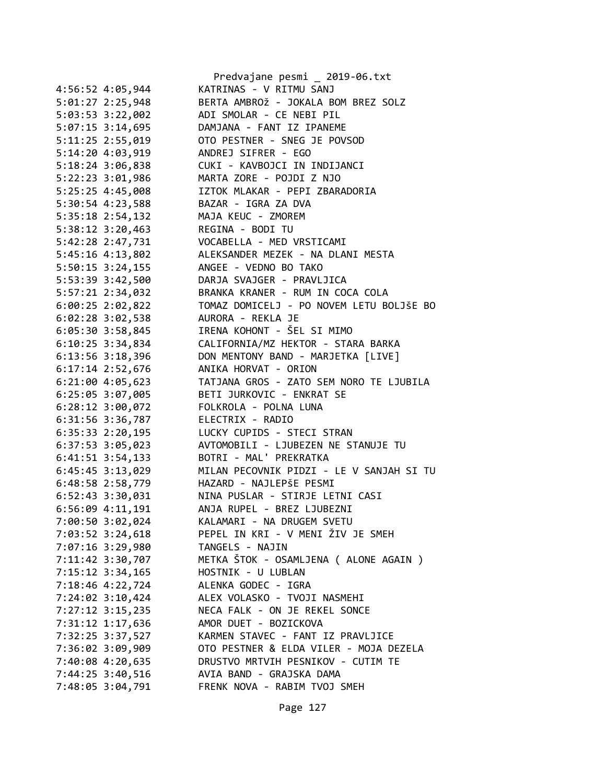|                      | Predvajane pesmi _ 2019-06.txt           |
|----------------------|------------------------------------------|
| 4:56:52 4:05,944     | KATRINAS - V RITMU SANJ                  |
| 5:01:27 2:25,948     | BERTA AMBROŽ - JOKALA BOM BREZ SOLZ      |
| 5:03:53 3:22,002     | ADI SMOLAR - CE NEBI PIL                 |
| 5:07:15 3:14,695     | DAMJANA - FANT IZ IPANEME                |
| 5:11:25 2:55,019     | OTO PESTNER - SNEG JE POVSOD             |
| 5:14:20 4:03,919     | ANDREJ SIFRER - EGO                      |
| 5:18:24 3:06,838     | CUKI - KAVBOJCI IN INDIJANCI             |
| 5:22:23 3:01,986     | MARTA ZORE - POJDI Z NJO                 |
| 5:25:25 4:45,008     | IZTOK MLAKAR - PEPI ZBARADORIA           |
| 5:30:54 4:23,588     | BAZAR - IGRA ZA DVA                      |
| 5:35:18 2:54,132     | MAJA KEUC - ZMOREM                       |
| 5:38:12 3:20,463     | REGINA - BODI TU                         |
| 5:42:28 2:47,731     | VOCABELLA - MED VRSTICAMI                |
| 5:45:16 4:13,802     | ALEKSANDER MEZEK - NA DLANI MESTA        |
| 5:50:15 3:24,155     | ANGEE - VEDNO BO TAKO                    |
| 5:53:39 3:42,500     | DARJA SVAJGER - PRAVLJICA                |
| 5:57:21 2:34,032     | BRANKA KRANER - RUM IN COCA COLA         |
| $6:00:25$ 2:02,822   | TOMAZ DOMICELJ - PO NOVEM LETU BOLJŠE BO |
| $6:02:28$ 3:02,538   | AURORA - REKLA JE                        |
|                      | IRENA KOHONT - ŠEL SI MIMO               |
| 6:05:30 3:58,845     |                                          |
| 6:10:25 3:34,834     | CALIFORNIA/MZ HEKTOR - STARA BARKA       |
| 6:13:56 3:18,396     | DON MENTONY BAND - MARJETKA [LIVE]       |
| 6:17:14 2:52,676     | ANIKA HORVAT - ORION                     |
| $6:21:00$ 4:05,623   | TATJANA GROS - ZATO SEM NORO TE LJUBILA  |
| 6:25:05 3:07,005     | BETI JURKOVIC - ENKRAT SE                |
| 6:28:12 3:00,072     | FOLKROLA - POLNA LUNA                    |
| 6:31:56 3:36,787     | ELECTRIX - RADIO                         |
| 6:35:33 2:20,195     | LUCKY CUPIDS - STECI STRAN               |
| 6:37:53 3:05,023     | AVTOMOBILI - LJUBEZEN NE STANUJE TU      |
| $6:41:51$ $3:54,133$ | BOTRI - MAL' PREKRATKA                   |
| 6:45:45 3:13,029     | MILAN PECOVNIK PIDZI - LE V SANJAH SI TU |
| 6:48:58 2:58,779     | HAZARD - NAJLEPŠE PESMI                  |
| 6:52:43 3:30,031     | NINA PUSLAR - STIRJE LETNI CASI          |
| 6:56:09 4:11,191     | ANJA RUPEL - BREZ LJUBEZNI               |
| 7:00:50 3:02,024     | KALAMARI - NA DRUGEM SVETU               |
| 7:03:52 3:24,618     | PEPEL IN KRI - V MENI ŽIV JE SMEH        |
| 7:07:16 3:29,980     | TANGELS - NAJIN                          |
| 7:11:42 3:30,707     | METKA ŠTOK - OSAMLJENA ( ALONE AGAIN )   |
| 7:15:12 3:34,165     | HOSTNIK - U LUBLAN                       |
| 7:18:46 4:22,724     | ALENKA GODEC - IGRA                      |
| $7:24:02$ 3:10,424   | ALEX VOLASKO - TVOJI NASMEHI             |
| $7:27:12$ 3:15,235   | NECA FALK - ON JE REKEL SONCE            |
| 7:31:12 1:17,636     | AMOR DUET - BOZICKOVA                    |
| 7:32:25 3:37,527     | KARMEN STAVEC - FANT IZ PRAVLJICE        |
| 7:36:02 3:09,909     | OTO PESTNER & ELDA VILER - MOJA DEZELA   |
| 7:40:08 4:20,635     | DRUSTVO MRTVIH PESNIKOV - CUTIM TE       |
| 7:44:25 3:40,516     | AVIA BAND - GRAJSKA DAMA                 |
| 7:48:05 3:04,791     | FRENK NOVA - RABIM TVOJ SMEH             |
|                      |                                          |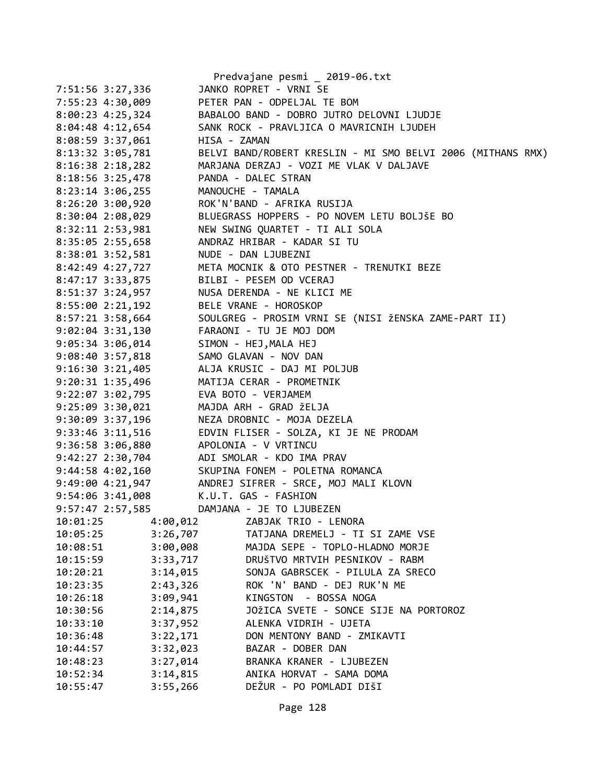|                      |          | Predvajane pesmi _ 2019-06.txt                              |
|----------------------|----------|-------------------------------------------------------------|
| 7:51:56 3:27,336     |          | JANKO ROPRET - VRNI SE                                      |
| 7:55:23 4:30,009     |          | PETER PAN - ODPELJAL TE BOM                                 |
| 8:00:23 4:25,324     |          | BABALOO BAND - DOBRO JUTRO DELOVNI LJUDJE                   |
| 8:04:48 4:12,654     |          | SANK ROCK - PRAVLJICA O MAVRICNIH LJUDEH                    |
| $8:08:59$ 3:37,061   |          | HISA - ZAMAN                                                |
| 8:13:32 3:05,781     |          | BELVI BAND/ROBERT KRESLIN - MI SMO BELVI 2006 (MITHANS RMX) |
| 8:16:38 2:18,282     |          | MARJANA DERZAJ - VOZI ME VLAK V DALJAVE                     |
| 8:18:56 3:25,478     |          | PANDA - DALEC STRAN                                         |
| 8:23:14 3:06,255     |          | MANOUCHE - TAMALA                                           |
| 8:26:20 3:00,920     |          | ROK'N'BAND - AFRIKA RUSIJA                                  |
| 8:30:04 2:08,029     |          | BLUEGRASS HOPPERS - PO NOVEM LETU BOLJŠE BO                 |
| 8:32:11 2:53,981     |          | NEW SWING QUARTET - TI ALI SOLA                             |
| 8:35:05 2:55,658     |          | ANDRAZ HRIBAR - KADAR SI TU                                 |
| 8:38:01 3:52,581     |          | NUDE - DAN LJUBEZNI                                         |
| 8:42:49 4:27,727     |          | META MOCNIK & OTO PESTNER - TRENUTKI BEZE                   |
| 8:47:17 3:33,875     |          | BILBI - PESEM OD VCERAJ                                     |
| 8:51:37 3:24,957     |          | NUSA DERENDA - NE KLICI ME                                  |
| 8:55:002:21,192      |          | BELE VRANE - HOROSKOP                                       |
| 8:57:21 3:58,664     |          | SOULGREG - PROSIM VRNI SE (NISI ŽENSKA ZAME-PART II)        |
| 9:02:04 3:31,130     |          | FARAONI - TU JE MOJ DOM                                     |
| 9:05:34 3:06,014     |          | SIMON - HEJ, MALA HEJ                                       |
| 9:08:40 3:57,818     |          | SAMO GLAVAN - NOV DAN                                       |
| 9:16:30 3:21,405     |          | ALJA KRUSIC - DAJ MI POLJUB                                 |
| 9:20:31 1:35,496     |          | MATIJA CERAR - PROMETNIK                                    |
| 9:22:07 3:02,795     |          | EVA BOTO - VERJAMEM                                         |
| 9:25:09 3:30,021     |          | MAJDA ARH - GRAD ŽELJA                                      |
| 9:30:09 3:37,196     |          | NEZA DROBNIC - MOJA DEZELA                                  |
| 9:33:46 3:11,516     |          | EDVIN FLISER - SOLZA, KI JE NE PRODAM                       |
| 9:36:58 3:06,880     |          | APOLONIA - V VRTINCU                                        |
| 9:42:27 2:30,704     |          | ADI SMOLAR - KDO IMA PRAV                                   |
| 9:44:58 4:02,160     |          | SKUPINA FONEM - POLETNA ROMANCA                             |
| $9:49:00$ $4:21,947$ |          | ANDREJ SIFRER - SRCE, MOJ MALI KLOVN                        |
| 9:54:06 3:41,008     |          | K.U.T. GAS - FASHION                                        |
| 9:57:47 2:57,585     |          | DAMJANA - JE TO LJUBEZEN                                    |
| 10:01:25             | 4:00,012 | ZABJAK TRIO - LENORA                                        |
| 10:05:25             | 3:26,707 | TATJANA DREMELJ - TI SI ZAME VSE                            |
| 10:08:51             | 3:00,008 | MAJDA SEPE - TOPLO-HLADNO MORJE                             |
| 10:15:59             | 3:33,717 | DRUŠTVO MRTVIH PESNIKOV - RABM                              |
| 10:20:21             | 3:14,015 | SONJA GABRSCEK - PILULA ZA SRECO                            |
| 10:23:35             | 2:43,326 | ROK 'N' BAND - DEJ RUK'N ME                                 |
| 10:26:18             | 3:09,941 | KINGSTON - BOSSA NOGA                                       |
| 10:30:56             | 2:14,875 | JOŽICA SVETE - SONCE SIJE NA PORTOROZ                       |
| 10:33:10             | 3:37,952 | ALENKA VIDRIH - UJETA                                       |
| 10:36:48             | 3:22,171 | DON MENTONY BAND - ZMIKAVTI                                 |
| 10:44:57             | 3:32,023 | BAZAR - DOBER DAN                                           |
| 10:48:23             | 3:27,014 | BRANKA KRANER - LJUBEZEN                                    |
| 10:52:34             | 3:14,815 | ANIKA HORVAT - SAMA DOMA                                    |
| 10:55:47             | 3:55,266 | DEŽUR - PO POMLADI DIŠI                                     |
|                      |          |                                                             |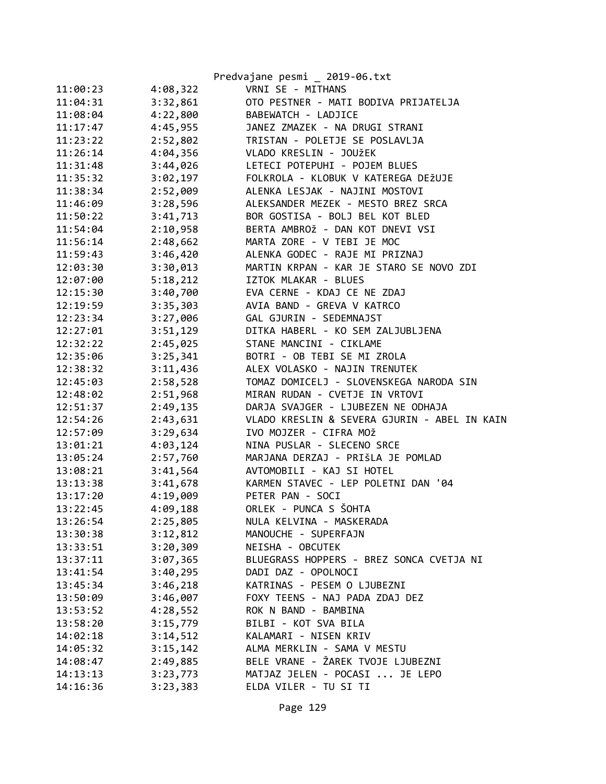|          |          | Predvajane pesmi _ 2019-06.txt               |
|----------|----------|----------------------------------------------|
| 11:00:23 | 4:08,322 | VRNI SE - MITHANS                            |
| 11:04:31 | 3:32,861 | OTO PESTNER - MATI BODIVA PRIJATELJA         |
| 11:08:04 | 4:22,800 | BABEWATCH - LADJICE                          |
| 11:17:47 | 4:45,955 | JANEZ ZMAZEK - NA DRUGI STRANI               |
| 11:23:22 | 2:52,802 | TRISTAN - POLETJE SE POSLAVLJA               |
| 11:26:14 | 4:04,356 | VLADO KRESLIN - JOUŽEK                       |
| 11:31:48 | 3:44,026 | LETECI POTEPUHI - POJEM BLUES                |
| 11:35:32 | 3:02,197 | FOLKROLA - KLOBUK V KATEREGA DEŽUJE          |
| 11:38:34 | 2:52,009 | ALENKA LESJAK - NAJINI MOSTOVI               |
| 11:46:09 | 3:28,596 | ALEKSANDER MEZEK - MESTO BREZ SRCA           |
| 11:50:22 | 3:41,713 | BOR GOSTISA - BOLJ BEL KOT BLED              |
| 11:54:04 | 2:10,958 | BERTA AMBROŽ - DAN KOT DNEVI VSI             |
| 11:56:14 | 2:48,662 | MARTA ZORE - V TEBI JE MOC                   |
| 11:59:43 | 3:46,420 | ALENKA GODEC - RAJE MI PRIZNAJ               |
| 12:03:30 | 3:30,013 | MARTIN KRPAN - KAR JE STARO SE NOVO ZDI      |
| 12:07:00 | 5:18,212 | IZTOK MLAKAR - BLUES                         |
| 12:15:30 | 3:40,700 | EVA CERNE - KDAJ CE NE ZDAJ                  |
| 12:19:59 | 3:35,303 | AVIA BAND - GREVA V KATRCO                   |
| 12:23:34 | 3:27,006 | GAL GJURIN - SEDEMNAJST                      |
| 12:27:01 | 3:51,129 | DITKA HABERL - KO SEM ZALJUBLJENA            |
| 12:32:22 | 2:45,025 | STANE MANCINI - CIKLAME                      |
| 12:35:06 | 3:25,341 | BOTRI - OB TEBI SE MI ZROLA                  |
| 12:38:32 | 3:11,436 | ALEX VOLASKO - NAJIN TRENUTEK                |
| 12:45:03 | 2:58,528 | TOMAZ DOMICELJ - SLOVENSKEGA NARODA SIN      |
| 12:48:02 | 2:51,968 | MIRAN RUDAN - CVETJE IN VRTOVI               |
| 12:51:37 | 2:49,135 | DARJA SVAJGER - LJUBEZEN NE ODHAJA           |
| 12:54:26 | 2:43,631 | VLADO KRESLIN & SEVERA GJURIN - ABEL IN KAIN |
| 12:57:09 | 3:29,634 | IVO MOJZER - CIFRA MOŽ                       |
| 13:01:21 | 4:03,124 | NINA PUSLAR - SLECENO SRCE                   |
| 13:05:24 | 2:57,760 | MARJANA DERZAJ - PRIŠLA JE POMLAD            |
| 13:08:21 | 3:41,564 | AVTOMOBILI - KAJ SI HOTEL                    |
| 13:13:38 | 3:41,678 | KARMEN STAVEC - LEP POLETNI DAN '04          |
| 13:17:20 | 4:19,009 | PETER PAN - SOCI                             |
| 13:22:45 | 4:09,188 | ORLEK - PUNCA S ŠOHTA                        |
| 13:26:54 | 2:25,805 | NULA KELVINA - MASKERADA                     |
| 13:30:38 | 3:12,812 | MANOUCHE - SUPERFAJN                         |
| 13:33:51 | 3:20,309 | NEISHA - OBCUTEK                             |
| 13:37:11 | 3:07,365 | BLUEGRASS HOPPERS - BREZ SONCA CVETJA NI     |
| 13:41:54 | 3:40,295 | DADI DAZ - OPOLNOCI                          |
| 13:45:34 | 3:46,218 | KATRINAS - PESEM O LJUBEZNI                  |
| 13:50:09 | 3:46,007 | FOXY TEENS - NAJ PADA ZDAJ DEZ               |
| 13:53:52 | 4:28,552 | ROK N BAND - BAMBINA                         |
| 13:58:20 | 3:15,779 | BILBI - KOT SVA BILA                         |
| 14:02:18 | 3:14,512 | KALAMARI - NISEN KRIV                        |
| 14:05:32 | 3:15,142 | ALMA MERKLIN - SAMA V MESTU                  |
| 14:08:47 | 2:49,885 | BELE VRANE - ŽAREK TVOJE LJUBEZNI            |
| 14:13:13 | 3:23,773 | MATJAZ JELEN - POCASI  JE LEPO               |
| 14:16:36 | 3:23,383 | ELDA VILER - TU SI TI                        |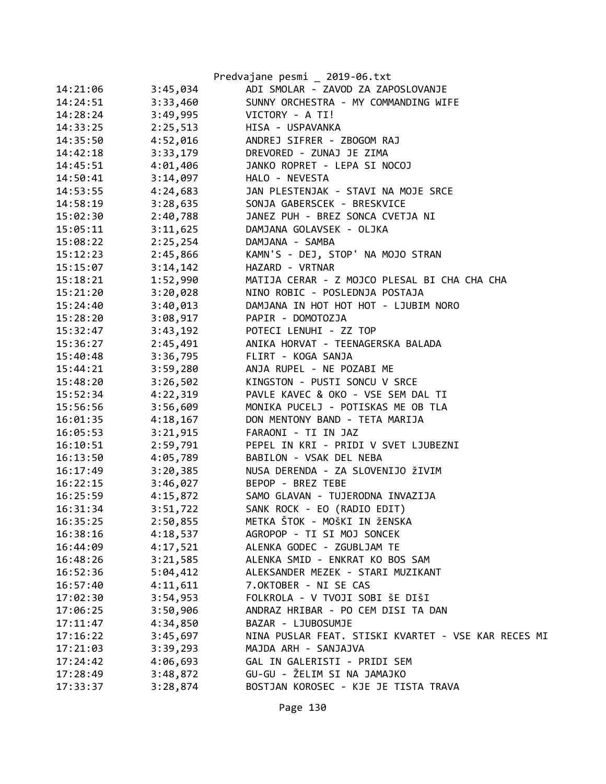|          |          | Predvajane pesmi _ 2019-06.txt                      |
|----------|----------|-----------------------------------------------------|
| 14:21:06 | 3:45,034 | ADI SMOLAR - ZAVOD ZA ZAPOSLOVANJE                  |
| 14:24:51 | 3:33,460 | SUNNY ORCHESTRA - MY COMMANDING WIFE                |
| 14:28:24 | 3:49,995 | VICTORY - A TI!                                     |
| 14:33:25 | 2:25,513 | HISA - USPAVANKA                                    |
| 14:35:50 | 4:52,016 | ANDREJ SIFRER - ZBOGOM RAJ                          |
| 14:42:18 | 3:33,179 | DREVORED - ZUNAJ JE ZIMA                            |
| 14:45:51 | 4:01,406 | JANKO ROPRET - LEPA SI NOCOJ                        |
| 14:50:41 | 3:14,097 | HALO - NEVESTA                                      |
| 14:53:55 | 4:24,683 | JAN PLESTENJAK - STAVI NA MOJE SRCE                 |
| 14:58:19 |          | 3:28,635 SONJA GABERSCEK - BRESKVICE                |
| 15:02:30 | 2:40,788 | JANEZ PUH - BREZ SONCA CVETJA NI                    |
| 15:05:11 | 3:11,625 | DAMJANA GOLAVSEK - OLJKA                            |
| 15:08:22 | 2:25,254 | DAMJANA - SAMBA                                     |
| 15:12:23 | 2:45,866 | KAMN'S - DEJ, STOP' NA MOJO STRAN                   |
| 15:15:07 | 3:14,142 | HAZARD - VRTNAR                                     |
| 15:18:21 | 1:52,990 | MATIJA CERAR - Z MOJCO PLESAL BI CHA CHA CHA        |
| 15:21:20 | 3:20,028 | NINO ROBIC - POSLEDNJA POSTAJA                      |
| 15:24:40 | 3:40,013 | DAMJANA IN HOT HOT HOT - LJUBIM NORO                |
| 15:28:20 | 3:08,917 | PAPIR - DOMOTOZJA                                   |
| 15:32:47 | 3:43,192 | POTECI LENUHI - ZZ TOP                              |
| 15:36:27 | 2:45,491 | ANIKA HORVAT - TEENAGERSKA BALADA                   |
| 15:40:48 | 3:36,795 | FLIRT - KOGA SANJA                                  |
| 15:44:21 | 3:59,280 | ANJA RUPEL - NE POZABI ME                           |
| 15:48:20 | 3:26,502 | KINGSTON - PUSTI SONCU V SRCE                       |
| 15:52:34 | 4:22,319 | PAVLE KAVEC & OKO - VSE SEM DAL TI                  |
| 15:56:56 | 3:56,609 | MONIKA PUCELJ - POTISKAS ME OB TLA                  |
| 16:01:35 | 4:18,167 | DON MENTONY BAND - TETA MARIJA                      |
| 16:05:53 | 3:21,915 | FARAONI - TI IN JAZ                                 |
| 16:10:51 | 2:59,791 | PEPEL IN KRI - PRIDI V SVET LJUBEZNI                |
| 16:13:50 | 4:05,789 | BABILON - VSAK DEL NEBA                             |
| 16:17:49 | 3:20,385 | NUSA DERENDA - ZA SLOVENIJO ŽIVIM                   |
| 16:22:15 | 3:46,027 | BEPOP - BREZ TEBE                                   |
| 16:25:59 |          | 4:15,872 SAMO GLAVAN - TUJERODNA INVAZIJA           |
| 16:31:34 | 3:51,722 | SANK ROCK - EO (RADIO EDIT)                         |
| 16:35:25 | 2:50,855 | METKA ŠTOK - MOŠKI IN ŽENSKA                        |
| 16:38:16 | 4:18,537 | AGROPOP - TI SI MOJ SONCEK                          |
| 16:44:09 | 4:17,521 | ALENKA GODEC - ZGUBLJAM TE                          |
| 16:48:26 | 3:21,585 | ALENKA SMID - ENKRAT KO BOS SAM                     |
| 16:52:36 | 5:04,412 | ALEKSANDER MEZEK - STARI MUZIKANT                   |
| 16:57:40 | 4:11,611 | 7.OKTOBER - NI SE CAS                               |
| 17:02:30 | 3:54,953 | FOLKROLA - V TVOJI SOBI ŠE DIŠI                     |
| 17:06:25 | 3:50,906 | ANDRAZ HRIBAR - PO CEM DISI TA DAN                  |
| 17:11:47 | 4:34,850 | BAZAR - LJUBOSUMJE                                  |
| 17:16:22 | 3:45,697 | NINA PUSLAR FEAT. STISKI KVARTET - VSE KAR RECES MI |
| 17:21:03 | 3:39,293 | MAJDA ARH - SANJAJVA                                |
| 17:24:42 | 4:06,693 | GAL IN GALERISTI - PRIDI SEM                        |
| 17:28:49 | 3:48,872 | GU-GU - ŽELIM SI NA JAMAJKO                         |
| 17:33:37 | 3:28,874 | BOSTJAN KOROSEC - KJE JE TISTA TRAVA                |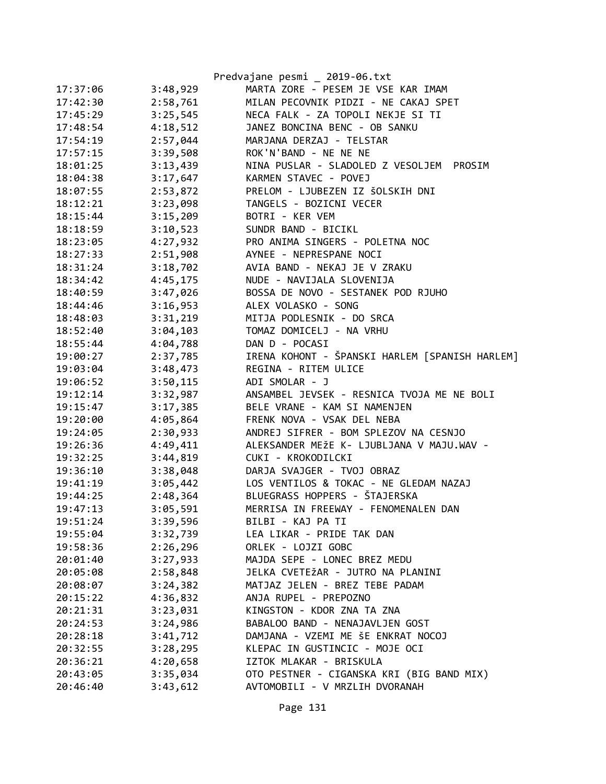|          |          | Predvajane pesmi _ 2019-06.txt                  |
|----------|----------|-------------------------------------------------|
| 17:37:06 | 3:48,929 | MARTA ZORE - PESEM JE VSE KAR IMAM              |
| 17:42:30 | 2:58,761 | MILAN PECOVNIK PIDZI - NE CAKAJ SPET            |
| 17:45:29 | 3:25,545 | NECA FALK - ZA TOPOLI NEKJE SI TI               |
| 17:48:54 | 4:18,512 | JANEZ BONCINA BENC - OB SANKU                   |
| 17:54:19 | 2:57,044 | MARJANA DERZAJ - TELSTAR                        |
| 17:57:15 | 3:39,508 | ROK'N'BAND - NE NE NE                           |
| 18:01:25 | 3:13,439 | NINA PUSLAR - SLADOLED Z VESOLJEM PROSIM        |
| 18:04:38 | 3:17,647 | KARMEN STAVEC - POVEJ                           |
| 18:07:55 | 2:53,872 | PRELOM - LJUBEZEN IZ ŠOLSKIH DNI                |
| 18:12:21 | 3:23,098 | TANGELS - BOZICNI VECER                         |
| 18:15:44 | 3:15,209 | BOTRI - KER VEM                                 |
| 18:18:59 | 3:10,523 | SUNDR BAND - BICIKL                             |
| 18:23:05 | 4:27,932 | PRO ANIMA SINGERS - POLETNA NOC                 |
| 18:27:33 | 2:51,908 | AYNEE - NEPRESPANE NOCI                         |
| 18:31:24 | 3:18,702 | AVIA BAND - NEKAJ JE V ZRAKU                    |
| 18:34:42 | 4:45,175 | NUDE - NAVIJALA SLOVENIJA                       |
| 18:40:59 | 3:47,026 | BOSSA DE NOVO - SESTANEK POD RJUHO              |
| 18:44:46 | 3:16,953 | ALEX VOLASKO - SONG                             |
| 18:48:03 | 3:31,219 | MITJA PODLESNIK - DO SRCA                       |
| 18:52:40 | 3:04,103 | TOMAZ DOMICELJ - NA VRHU                        |
| 18:55:44 | 4:04,788 | DAN D - POCASI                                  |
| 19:00:27 | 2:37,785 | IRENA KOHONT - ŠPANSKI HARLEM [SPANISH HARLEM]  |
| 19:03:04 | 3:48,473 | REGINA - RITEM ULICE                            |
| 19:06:52 | 3:50,115 | ADI SMOLAR - J                                  |
| 19:12:14 | 3:32,987 | ANSAMBEL JEVSEK - RESNICA TVOJA ME NE BOLI      |
| 19:15:47 | 3:17,385 | BELE VRANE - KAM SI NAMENJEN                    |
| 19:20:00 | 4:05,864 | FRENK NOVA - VSAK DEL NEBA                      |
| 19:24:05 | 2:30,933 | ANDREJ SIFRER - BOM SPLEZOV NA CESNJO           |
| 19:26:36 | 4:49,411 | ALEKSANDER MEŽE K- LJUBLJANA V MAJU.WAV -       |
| 19:32:25 | 3:44,819 | CUKI - KROKODILCKI                              |
| 19:36:10 | 3:38,048 | DARJA SVAJGER - TVOJ OBRAZ                      |
| 19:41:19 |          | 3:05,442 LOS VENTILOS & TOKAC - NE GLEDAM NAZAJ |
| 19:44:25 |          | 2:48,364 BLUEGRASS HOPPERS - ŠTAJERSKA          |
| 19:47:13 | 3:05,591 | MERRISA IN FREEWAY - FENOMENALEN DAN            |
| 19:51:24 | 3:39,596 | BILBI - KAJ PA TI                               |
| 19:55:04 | 3:32,739 | LEA LIKAR - PRIDE TAK DAN                       |
| 19:58:36 | 2:26,296 | ORLEK - LOJZI GOBC                              |
| 20:01:40 | 3:27,933 | MAJDA SEPE - LONEC BREZ MEDU                    |
| 20:05:08 | 2:58,848 | JELKA CVETEŽAR - JUTRO NA PLANINI               |
| 20:08:07 | 3:24,382 | MATJAZ JELEN - BREZ TEBE PADAM                  |
| 20:15:22 | 4:36,832 | ANJA RUPEL - PREPOZNO                           |
| 20:21:31 | 3:23,031 | KINGSTON - KDOR ZNA TA ZNA                      |
| 20:24:53 | 3:24,986 | BABALOO BAND - NENAJAVLJEN GOST                 |
| 20:28:18 | 3:41,712 | DAMJANA - VZEMI ME ŠE ENKRAT NOCOJ              |
| 20:32:55 | 3:28,295 | KLEPAC IN GUSTINCIC - MOJE OCI                  |
| 20:36:21 | 4:20,658 | IZTOK MLAKAR - BRISKULA                         |
| 20:43:05 | 3:35,034 | OTO PESTNER - CIGANSKA KRI (BIG BAND MIX)       |
| 20:46:40 | 3:43,612 | AVTOMOBILI - V MRZLIH DVORANAH                  |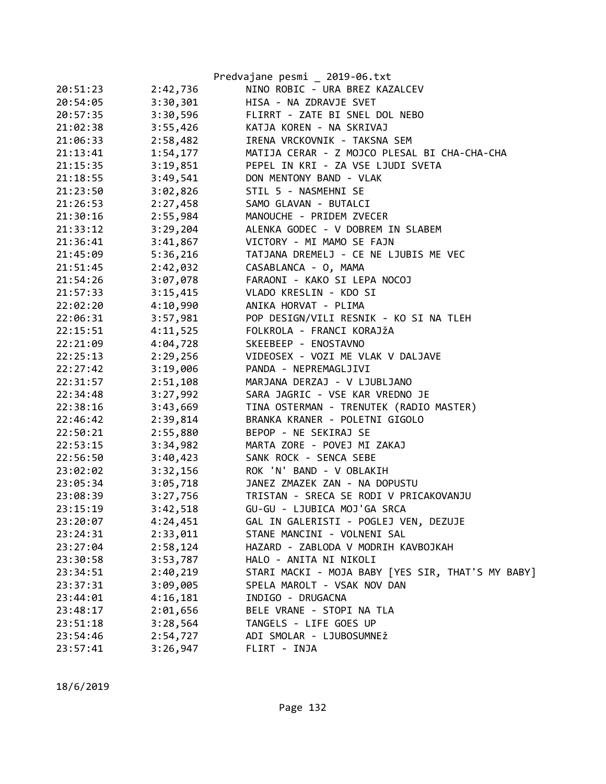|          |          | Predvajane pesmi _ 2019-06.txt                    |
|----------|----------|---------------------------------------------------|
| 20:51:23 | 2:42,736 | NINO ROBIC - URA BREZ KAZALCEV                    |
| 20:54:05 | 3:30,301 | HISA - NA ZDRAVJE SVET                            |
| 20:57:35 | 3:30,596 | FLIRRT - ZATE BI SNEL DOL NEBO                    |
| 21:02:38 | 3:55,426 | KATJA KOREN - NA SKRIVAJ                          |
| 21:06:33 | 2:58,482 | IRENA VRCKOVNIK - TAKSNA SEM                      |
| 21:13:41 | 1:54,177 | MATIJA CERAR - Z MOJCO PLESAL BI CHA-CHA-CHA      |
| 21:15:35 | 3:19,851 | PEPEL IN KRI - ZA VSE LJUDI SVETA                 |
| 21:18:55 | 3:49,541 | DON MENTONY BAND - VLAK                           |
| 21:23:50 | 3:02,826 | STIL 5 - NASMEHNI SE                              |
| 21:26:53 | 2:27,458 | SAMO GLAVAN - BUTALCI                             |
| 21:30:16 | 2:55,984 | MANOUCHE - PRIDEM ZVECER                          |
| 21:33:12 | 3:29,204 | ALENKA GODEC - V DOBREM IN SLABEM                 |
| 21:36:41 | 3:41,867 | VICTORY - MI MAMO SE FAJN                         |
| 21:45:09 | 5:36,216 | TATJANA DREMELJ - CE NE LJUBIS ME VEC             |
| 21:51:45 | 2:42,032 | CASABLANCA - O, MAMA                              |
| 21:54:26 | 3:07,078 | FARAONI - KAKO SI LEPA NOCOJ                      |
| 21:57:33 | 3:15,415 | VLADO KRESLIN - KDO SI                            |
| 22:02:20 | 4:10,990 | ANIKA HORVAT - PLIMA                              |
| 22:06:31 | 3:57,981 | POP DESIGN/VILI RESNIK - KO SI NA TLEH            |
| 22:15:51 | 4:11,525 | FOLKROLA - FRANCI KORAJŽA                         |
| 22:21:09 | 4:04,728 | SKEEBEEP - ENOSTAVNO                              |
| 22:25:13 | 2:29,256 | VIDEOSEX - VOZI ME VLAK V DALJAVE                 |
| 22:27:42 | 3:19,006 | PANDA - NEPREMAGLJIVI                             |
| 22:31:57 | 2:51,108 | MARJANA DERZAJ - V LJUBLJANO                      |
| 22:34:48 | 3:27,992 | SARA JAGRIC - VSE KAR VREDNO JE                   |
| 22:38:16 | 3:43,669 | TINA OSTERMAN - TRENUTEK (RADIO MASTER)           |
| 22:46:42 | 2:39,814 | BRANKA KRANER - POLETNI GIGOLO                    |
| 22:50:21 | 2:55,880 | BEPOP - NE SEKIRAJ SE                             |
| 22:53:15 | 3:34,982 | MARTA ZORE - POVEJ MI ZAKAJ                       |
| 22:56:50 | 3:40,423 | SANK ROCK - SENCA SEBE                            |
| 23:02:02 | 3:32,156 | ROK 'N' BAND - V OBLAKIH                          |
| 23:05:34 | 3:05,718 | JANEZ ZMAZEK ZAN - NA DOPUSTU                     |
| 23:08:39 | 3:27,756 | TRISTAN - SRECA SE RODI V PRICAKOVANJU            |
| 23:15:19 | 3:42,518 | GU-GU - LJUBICA MOJ'GA SRCA                       |
| 23:20:07 | 4:24,451 | GAL IN GALERISTI - POGLEJ VEN, DEZUJE             |
| 23:24:31 | 2:33,011 | STANE MANCINI - VOLNENI SAL                       |
| 23:27:04 | 2:58,124 | HAZARD - ZABLODA V MODRIH KAVBOJKAH               |
| 23:30:58 | 3:53,787 | HALO - ANITA NI NIKOLI                            |
| 23:34:51 | 2:40,219 | STARI MACKI - MOJA BABY [YES SIR, THAT'S MY BABY] |
| 23:37:31 | 3:09,005 | SPELA MAROLT - VSAK NOV DAN                       |
| 23:44:01 | 4:16,181 | INDIGO - DRUGACNA                                 |
| 23:48:17 | 2:01,656 | BELE VRANE - STOPI NA TLA                         |
| 23:51:18 | 3:28,564 | TANGELS - LIFE GOES UP                            |
| 23:54:46 | 2:54,727 | ADI SMOLAR - LJUBOSUMNEŽ                          |
| 23:57:41 | 3:26,947 | FLIRT - INJA                                      |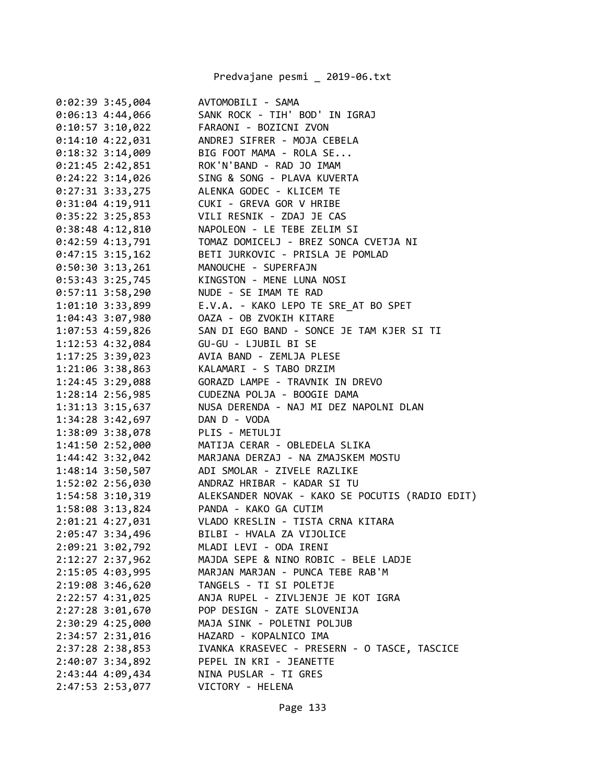Predvajane pesmi \_ 2019-06.txt

| 0:02:39 3:45,004   | AVTOMOBILI - SAMA                               |
|--------------------|-------------------------------------------------|
| $0:06:13$ 4:44,066 | SANK ROCK - TIH' BOD' IN IGRAJ                  |
| $0:10:57$ 3:10,022 | FARAONI - BOZICNI ZVON                          |
| $0:14:10$ 4:22,031 | ANDREJ SIFRER - MOJA CEBELA                     |
| $0:18:32$ 3:14,009 | BIG FOOT MAMA - ROLA SE                         |
| $0:21:45$ 2:42,851 | ROK'N'BAND - RAD JO IMAM                        |
| $0:24:22$ 3:14,026 | SING & SONG - PLAVA KUVERTA                     |
| 0:27:31 3:33,275   | ALENKA GODEC - KLICEM TE                        |
| $0:31:04$ 4:19,911 | CUKI - GREVA GOR V HRIBE                        |
| $0:35:22$ 3:25,853 | VILI RESNIK - ZDAJ JE CAS                       |
| $0:38:48$ 4:12,810 | NAPOLEON - LE TEBE ZELIM SI                     |
| $0:42:59$ 4:13,791 | TOMAZ DOMICELJ - BREZ SONCA CVETJA NI           |
| $0:47:15$ 3:15,162 | BETI JURKOVIC - PRISLA JE POMLAD                |
| $0:50:30$ 3:13,261 | MANOUCHE - SUPERFAJN                            |
| $0:53:43$ 3:25,745 | KINGSTON - MENE LUNA NOSI                       |
| 0:57:11 3:58,290   | NUDE - SE IMAM TE RAD                           |
| 1:01:10 3:33,899   | E.V.A. - KAKO LEPO TE SRE_AT BO SPET            |
| $1:04:43$ 3:07,980 | OAZA - OB ZVOKIH KITARE                         |
| 1:07:53 4:59,826   | SAN DI EGO BAND - SONCE JE TAM KJER SI TI       |
| 1:12:53 4:32,084   | GU-GU - LJUBIL BI SE                            |
| $1:17:25$ 3:39,023 | AVIA BAND - ZEMLJA PLESE                        |
| 1:21:06 3:38,863   | KALAMARI - S TABO DRZIM                         |
|                    |                                                 |
| 1:28:14 2:56,985   | CUDEZNA POLJA - BOOGIE DAMA                     |
| 1:31:13 3:15,637   | NUSA DERENDA - NAJ MI DEZ NAPOLNI DLAN          |
| 1:34:28 3:42,697   | DAN D - VODA                                    |
| 1:38:09 3:38,078   | PLIS - METULJI                                  |
| 1:41:50 2:52,000   | MATIJA CERAR - OBLEDELA SLIKA                   |
| 1:44:42 3:32,042   | MARJANA DERZAJ - NA ZMAJSKEM MOSTU              |
| 1:48:14 3:50,507   | ADI SMOLAR - ZIVELE RAZLIKE                     |
| 1:52:02 2:56,030   | ANDRAZ HRIBAR - KADAR SI TU                     |
| 1:54:58 3:10,319   | ALEKSANDER NOVAK - KAKO SE POCUTIS (RADIO EDIT) |
| 1:58:08 3:13,824   | PANDA - KAKO GA CUTIM                           |
| 2:01:21 4:27,031   | VLADO KRESLIN - TISTA CRNA KITARA               |
| 2:05:47 3:34,496   | BILBI - HVALA ZA VIJOLICE                       |
| 2:09:21 3:02,792   | MLADI LEVI - ODA IRENI                          |
| 2:12:27 2:37,962   | MAJDA SEPE & NINO ROBIC - BELE LADJE            |
| 2:15:05 4:03,995   | MARJAN MARJAN - PUNCA TEBE RAB'M                |
| 2:19:08 3:46,620   | TANGELS - TI SI POLETJE                         |
| 2:22:57 4:31,025   | ANJA RUPEL - ZIVLJENJE JE KOT IGRA              |
| 2:27:28 3:01,670   | POP DESIGN - ZATE SLOVENIJA                     |
| 2:30:29 4:25,000   | MAJA SINK - POLETNI POLJUB                      |
| 2:34:57 2:31,016   | HAZARD - KOPALNICO IMA                          |
| 2:37:28 2:38,853   | IVANKA KRASEVEC - PRESERN - O TASCE, TASCICE    |
| 2:40:07 3:34,892   | PEPEL IN KRI - JEANETTE                         |
| 2:43:44 4:09,434   | NINA PUSLAR - TI GRES                           |
| 2:47:53 2:53,077   | VICTORY - HELENA                                |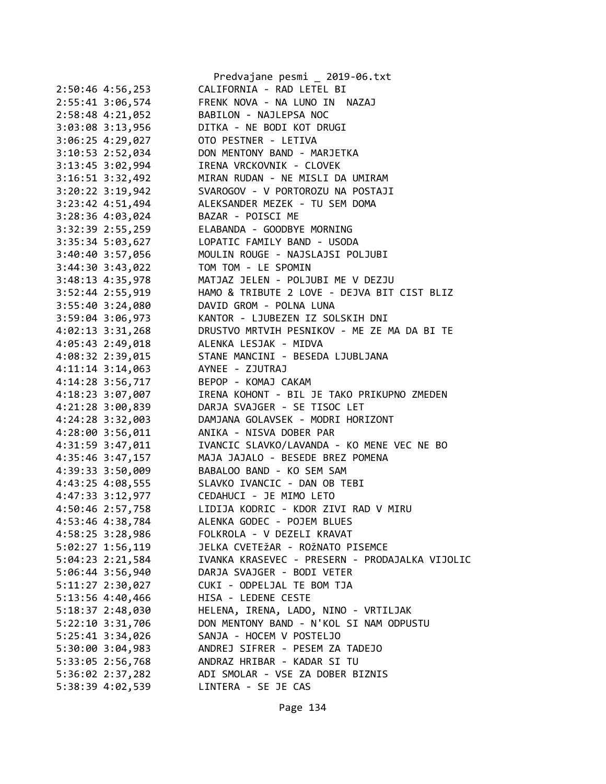|                                      | Predvajane pesmi _ 2019-06.txt                 |
|--------------------------------------|------------------------------------------------|
| 2:50:46 4:56,253                     | CALIFORNIA - RAD LETEL BI                      |
| 2:55:41 3:06,574                     | FRENK NOVA - NA LUNO IN NAZAJ                  |
| 2:58:48 4:21,052                     | BABILON - NAJLEPSA NOC                         |
| 3:03:08 3:13,956                     | DITKA - NE BODI KOT DRUGI                      |
| 3:06:25 4:29,027                     | OTO PESTNER - LETIVA                           |
| 3:10:53 2:52,034                     | DON MENTONY BAND - MARJETKA                    |
| 3:13:45 3:02,994                     | IRENA VRCKOVNIK - CLOVEK                       |
| 3:16:51 3:32,492                     | MIRAN RUDAN - NE MISLI DA UMIRAM               |
| 3:20:22 3:19,942                     | SVAROGOV - V PORTOROZU NA POSTAJI              |
| 3:23:42 4:51,494                     | ALEKSANDER MEZEK - TU SEM DOMA                 |
| 3:28:36 4:03,024                     | BAZAR - POISCI ME                              |
| 3:32:39 2:55,259                     | ELABANDA - GOODBYE MORNING                     |
| 3:35:34 5:03,627                     | LOPATIC FAMILY BAND - USODA                    |
| 3:40:40 3:57,056                     | MOULIN ROUGE - NAJSLAJSI POLJUBI               |
| 3:44:30 3:43,022                     | TOM TOM - LE SPOMIN                            |
| 3:48:13 4:35,978                     | MATJAZ JELEN - POLJUBI ME V DEZJU              |
| 3:52:44 2:55,919                     | HAMO & TRIBUTE 2 LOVE - DEJVA BIT CIST BLIZ    |
| $3:55:40$ $3:24,080$                 | DAVID GROM - POLNA LUNA                        |
| 3:59:04 3:06,973                     | KANTOR - LJUBEZEN IZ SOLSKIH DNI               |
| $4:02:13$ $3:31,268$                 | DRUSTVO MRTVIH PESNIKOV - ME ZE MA DA BI TE    |
| 4:05:43 2:49,018                     | ALENKA LESJAK - MIDVA                          |
| 4:08:32 2:39,015                     | STANE MANCINI - BESEDA LJUBLJANA               |
| 4:11:14 3:14,063                     | AYNEE - ZJUTRAJ                                |
| 4:14:28 3:56,717                     | BEPOP - KOMAJ CAKAM                            |
| 4:18:23 3:07,007                     | IRENA KOHONT - BIL JE TAKO PRIKUPNO ZMEDEN     |
| 4:21:28 3:00,839                     | DARJA SVAJGER - SE TISOC LET                   |
| 4:24:28 3:32,003                     | DAMJANA GOLAVSEK - MODRI HORIZONT              |
| 4:28:00 3:56,011                     | ANIKA - NISVA DOBER PAR                        |
| 4:31:59 3:47,011                     | IVANCIC SLAVKO/LAVANDA - KO MENE VEC NE BO     |
| 4:35:46 3:47,157                     | MAJA JAJALO - BESEDE BREZ POMENA               |
| 4:39:33 3:50,009                     | BABALOO BAND - KO SEM SAM                      |
| 4:43:25 4:08,555                     | SLAVKO IVANCIC - DAN OB TEBI                   |
|                                      | CEDAHUCI - JE MIMO LETO                        |
| 4:47:33 3:12,977<br>4:50:46 2:57,758 | LIDIJA KODRIC - KDOR ZIVI RAD V MIRU           |
| 4:53:46 4:38,784                     | ALENKA GODEC - POJEM BLUES                     |
|                                      | FOLKROLA - V DEZELI KRAVAT                     |
| 4:58:25 3:28,986                     | JELKA CVETEŽAR - ROŽNATO PISEMCE               |
| 5:02:27 1:56,119                     |                                                |
| 5:04:23 2:21,584                     | IVANKA KRASEVEC - PRESERN - PRODAJALKA VIJOLIC |
| 5:06:44 3:56,940                     | DARJA SVAJGER - BODI VETER                     |
| $5:11:27$ $2:30,027$                 | CUKI - ODPELJAL TE BOM TJA                     |
| 5:13:56 4:40,466                     | HISA - LEDENE CESTE                            |
| 5:18:37 2:48,030                     | HELENA, IRENA, LADO, NINO - VRTILJAK           |
| $5:22:10$ $3:31,706$                 | DON MENTONY BAND - N'KOL SI NAM ODPUSTU        |
| 5:25:41 3:34,026                     | SANJA - HOCEM V POSTELJO                       |
| 5:30:00 3:04,983                     | ANDREJ SIFRER - PESEM ZA TADEJO                |
| 5:33:05 2:56,768                     | ANDRAZ HRIBAR - KADAR SI TU                    |
| 5:36:02 2:37,282                     | ADI SMOLAR - VSE ZA DOBER BIZNIS               |
| 5:38:39 4:02,539                     | LINTERA - SE JE CAS                            |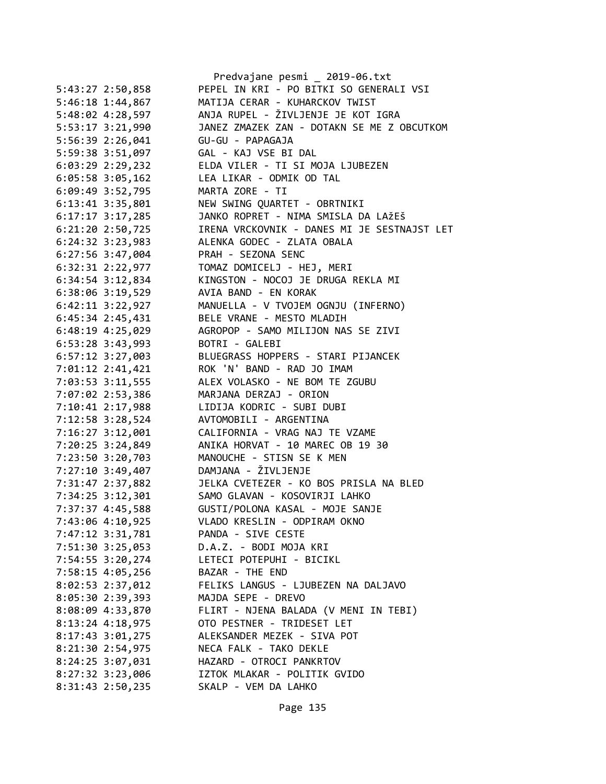|                      | Predvajane pesmi _ 2019-06.txt                                   |
|----------------------|------------------------------------------------------------------|
| 5:43:27 2:50,858     | PEPEL IN KRI - PO BITKI SO GENERALI VSI                          |
| 5:46:18 1:44,867     | MATIJA CERAR - KUHARCKOV TWIST                                   |
| 5:48:02 4:28,597     | ANJA RUPEL - ŽIVLJENJE JE KOT IGRA                               |
| 5:53:17 3:21,990     | JANEZ ZMAZEK ZAN - DOTAKN SE ME Z OBCUTKOM                       |
| 5:56:39 2:26,041     | GU-GU - PAPAGAJA                                                 |
| 5:59:38 3:51,097     | GAL - KAJ VSE BI DAL                                             |
| 6:03:29 2:29,232     | ELDA VILER - TI SI MOJA LJUBEZEN                                 |
| $6:05:58$ 3:05,162   | LEA LIKAR - ODMIK OD TAL                                         |
| 6:09:49 3:52,795     | MARTA ZORE - TI                                                  |
| 6:13:41 3:35,801     | NEW SWING QUARTET - OBRTNIKI                                     |
| $6:17:17$ 3:17,285   | JANKO ROPRET - NIMA SMISLA DA LAŽEŠ                              |
| $6:21:20$ $2:50,725$ | IRENA VRCKOVNIK - DANES MI JE SESTNAJST LET                      |
| 6:24:32 3:23,983     | ALENKA GODEC - ZLATA OBALA                                       |
| $6:27:56$ 3:47,004   | PRAH - SEZONA SENC                                               |
| 6:32:31 2:22,977     | TOMAZ DOMICELJ - HEJ, MERI                                       |
|                      | KINGSTON - NOCOJ JE DRUGA REKLA MI                               |
| 6:34:54 3:12,834     | AVIA BAND - EN KORAK                                             |
| 6:38:06 3:19,529     |                                                                  |
| $6:42:11$ $3:22,927$ | MANUELLA - V TVOJEM OGNJU (INFERNO)<br>BELE VRANE - MESTO MLADIH |
| $6:45:34$ 2:45,431   | AGROPOP - SAMO MILIJON NAS SE ZIVI                               |
| 6:48:19 4:25,029     |                                                                  |
| 6:53:28 3:43,993     | BOTRI - GALEBI                                                   |
| 6:57:12 3:27,003     | BLUEGRASS HOPPERS - STARI PIJANCEK                               |
| 7:01:12 2:41,421     | ROK 'N' BAND - RAD JO IMAM                                       |
| 7:03:53 3:11,555     | ALEX VOLASKO - NE BOM TE ZGUBU                                   |
| 7:07:02 2:53,386     | MARJANA DERZAJ - ORION                                           |
| 7:10:41 2:17,988     | LIDIJA KODRIC - SUBI DUBI                                        |
| 7:12:58 3:28,524     | AVTOMOBILI - ARGENTINA                                           |
| 7:16:27 3:12,001     | CALIFORNIA - VRAG NAJ TE VZAME                                   |
| 7:20:25 3:24,849     | ANIKA HORVAT - 10 MAREC OB 19 30                                 |
| 7:23:50 3:20,703     | MANOUCHE - STISN SE K MEN                                        |
| 7:27:10 3:49,407     | DAMJANA - ŽIVLJENJE                                              |
| 7:31:47 2:37,882     | JELKA CVETEZER - KO BOS PRISLA NA BLED                           |
| 7:34:25 3:12,301     | SAMO GLAVAN - KOSOVIRJI LAHKO                                    |
| 7:37:37 4:45,588     | GUSTI/POLONA KASAL - MOJE SANJE                                  |
| 7:43:06 4:10,925     | VLADO KRESLIN - ODPIRAM OKNO                                     |
| 7:47:12 3:31,781     | PANDA - SIVE CESTE                                               |
| 7:51:30 3:25,053     | D.A.Z. - BODI MOJA KRI                                           |
| 7:54:55 3:20,274     | LETECI POTEPUHI - BICIKL                                         |
| 7:58:15 4:05,256     | BAZAR - THE END                                                  |
| 8:02:53 2:37,012     | FELIKS LANGUS - LJUBEZEN NA DALJAVO                              |
| 8:05:30 2:39,393     | MAJDA SEPE - DREVO                                               |
| 8:08:09 4:33,870     | FLIRT - NJENA BALADA (V MENI IN TEBI)                            |
| 8:13:24 4:18,975     | OTO PESTNER - TRIDESET LET                                       |
| 8:17:43 3:01,275     | ALEKSANDER MEZEK - SIVA POT                                      |
| 8:21:30 2:54,975     | NECA FALK - TAKO DEKLE                                           |
| 8:24:25 3:07,031     | HAZARD - OTROCI PANKRTOV                                         |
| 8:27:32 3:23,006     | IZTOK MLAKAR - POLITIK GVIDO                                     |
| 8:31:43 2:50,235     | SKALP - VEM DA LAHKO                                             |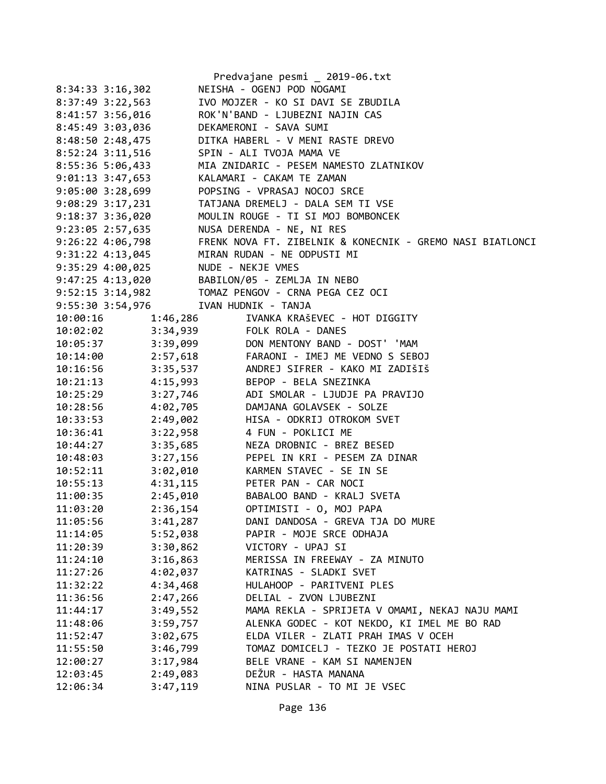|                                      |          | Predvajane pesmi _ 2019-06.txt                                                                       |
|--------------------------------------|----------|------------------------------------------------------------------------------------------------------|
| $8:34:33$ $3:16,302$                 |          | NEISHA - OGENJ POD NOGAMI                                                                            |
| 8:37:49 3:22,563                     |          | IVO MOJZER - KO SI DAVI SE ZBUDILA                                                                   |
| 8:41:57 3:56,016                     |          | ROK'N'BAND - LJUBEZNI NAJIN CAS                                                                      |
| 8:45:49 3:03,036                     |          | DEKAMERONI - SAVA SUMI                                                                               |
| 8:48:50 2:48,475                     |          | DITKA HABERL - V MENI RASTE DREVO                                                                    |
| 8:52:24 3:11,516                     |          | SPIN - ALI TVOJA MAMA VE                                                                             |
| 8:55:36 5:06,433                     |          | MIA ZNIDARIC - PESEM NAMESTO ZLATNIKOV                                                               |
| $9:01:13$ $3:47,653$                 |          | KALAMARI - CAKAM TE ZAMAN                                                                            |
| 9:05:00 3:28,699                     |          | POPSING - VPRASAJ NOCOJ SRCE                                                                         |
| 9:08:29 3:17,231                     |          | TATJANA DREMELJ - DALA SEM TI VSE                                                                    |
| $9:18:37$ 3:36,020                   |          | MOULIN ROUGE - TI SI MOJ BOMBONCEK                                                                   |
| 9:23:05 2:57,635                     |          | NUSA DERENDA - NE, NI RES                                                                            |
| 9:26:22 4:06,798                     |          | FRENK NOVA FT. ZIBELNIK & KONECNIK - GREMO NASI BIATLONCI                                            |
| 9:31:22 4:13,045                     |          | MIRAN RUDAN - NE ODPUSTI MI                                                                          |
| 9:35:29 4:00,025                     |          | NUDE - NEKJE VMES                                                                                    |
|                                      |          | 9:47:25 4:13,020 BABILON/05 - ZEMLJA IN NEBO                                                         |
|                                      |          |                                                                                                      |
| 9:55:30 3:54,976 IVAN HUDNIK - TANJA |          |                                                                                                      |
| 10:00:16                             | 1:46,286 | IVANKA KRAŠEVEC - HOT DIGGITY                                                                        |
|                                      |          | 10:02:02 3:34,939 FOLK ROLA - DANES                                                                  |
|                                      |          |                                                                                                      |
|                                      |          | 10:05:37 3:39,099 DON MENTONY BAND - DOST' 'MAM<br>10:14:00 2:57,618 FARAONI - IMEJ ME VEDNO S SEBOJ |
|                                      |          | 10:16:56 3:35,537 ANDREJ SIFRER - KAKO MI ZADIŠIŠ                                                    |
| 10:21:13 4:15,993                    |          | BEPOP - BELA SNEZINKA                                                                                |
| $10:25:29$ $3:27,746$                |          | ADI SMOLAR - LJUDJE PA PRAVIJO                                                                       |
| 10:28:56                             | 4:02,705 | DAMJANA GOLAVSEK - SOLZE                                                                             |
| 10:33:53                             | 2:49,002 | HISA - ODKRIJ OTROKOM SVET                                                                           |
| 10:36:41                             | 3:22,958 | 4 FUN - POKLICI ME                                                                                   |
| 10:44:27                             | 3:35,685 | NEZA DROBNIC - BREZ BESED                                                                            |
| $10:48:03$ $3:27,156$                |          | PEPEL IN KRI - PESEM ZA DINAR                                                                        |
| 10:52:11                             | 3:02,010 | KARMEN STAVEC - SE IN SE                                                                             |
| 10:55:13                             |          | 4:31,115 PETER PAN - CAR NOCI                                                                        |
| 11:00:35                             | 2:45,010 | BABALOO BAND - KRALJ SVETA                                                                           |
| 11:03:20                             | 2:36,154 | OPTIMISTI - 0, MOJ PAPA                                                                              |
| 11:05:56                             | 3:41,287 | DANI DANDOSA - GREVA TJA DO MURE                                                                     |
| 11:14:05                             | 5:52,038 | PAPIR - MOJE SRCE ODHAJA                                                                             |
| 11:20:39                             | 3:30,862 | VICTORY - UPAJ SI                                                                                    |
| 11:24:10                             | 3:16,863 | MERISSA IN FREEWAY - ZA MINUTO                                                                       |
| 11:27:26                             | 4:02,037 | KATRINAS - SLADKI SVET                                                                               |
| 11:32:22                             | 4:34,468 | HULAHOOP - PARITVENI PLES                                                                            |
| 11:36:56                             | 2:47,266 | DELIAL - ZVON LJUBEZNI                                                                               |
| 11:44:17                             | 3:49,552 | MAMA REKLA - SPRIJETA V OMAMI, NEKAJ NAJU MAMI                                                       |
| 11:48:06                             | 3:59,757 | ALENKA GODEC - KOT NEKDO, KI IMEL ME BO RAD                                                          |
| 11:52:47                             | 3:02,675 | ELDA VILER - ZLATI PRAH IMAS V OCEH                                                                  |
| 11:55:50                             | 3:46,799 | TOMAZ DOMICELJ - TEZKO JE POSTATI HEROJ                                                              |
| 12:00:27                             | 3:17,984 | BELE VRANE - KAM SI NAMENJEN                                                                         |
| 12:03:45                             | 2:49,083 | DEŽUR - HASTA MANANA                                                                                 |
| 12:06:34                             | 3:47,119 | NINA PUSLAR - TO MI JE VSEC                                                                          |
|                                      |          |                                                                                                      |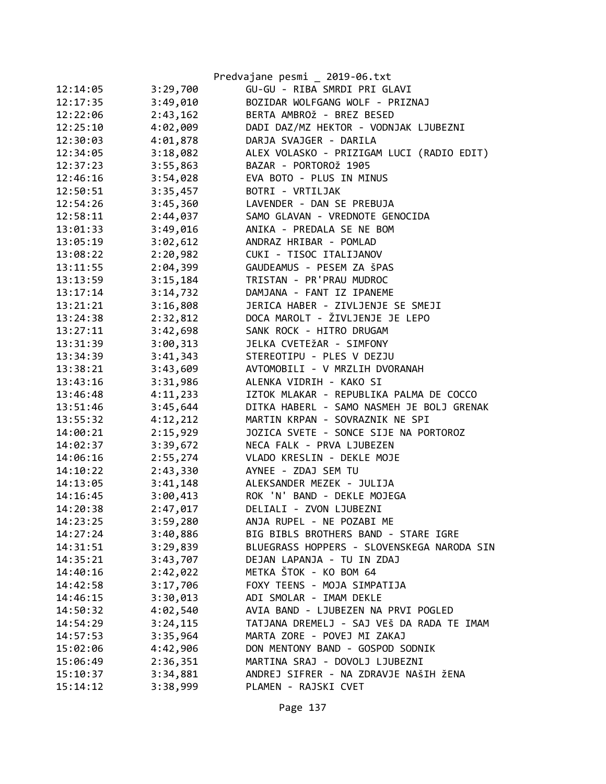|          |          | Predvajane pesmi _ 2019-06.txt             |
|----------|----------|--------------------------------------------|
| 12:14:05 | 3:29,700 | GU-GU - RIBA SMRDI PRI GLAVI               |
| 12:17:35 | 3:49,010 | BOZIDAR WOLFGANG WOLF - PRIZNAJ            |
| 12:22:06 | 2:43,162 | BERTA AMBROŽ - BREZ BESED                  |
| 12:25:10 | 4:02,009 | DADI DAZ/MZ HEKTOR - VODNJAK LJUBEZNI      |
| 12:30:03 | 4:01,878 | DARJA SVAJGER - DARILA                     |
| 12:34:05 | 3:18,082 | ALEX VOLASKO - PRIZIGAM LUCI (RADIO EDIT)  |
| 12:37:23 | 3:55,863 | BAZAR - PORTOROŽ 1905                      |
| 12:46:16 | 3:54,028 | EVA BOTO - PLUS IN MINUS                   |
| 12:50:51 | 3:35,457 | BOTRI - VRTILJAK                           |
| 12:54:26 | 3:45,360 | LAVENDER - DAN SE PREBUJA                  |
| 12:58:11 | 2:44,037 | SAMO GLAVAN - VREDNOTE GENOCIDA            |
| 13:01:33 | 3:49,016 | ANIKA - PREDALA SE NE BOM                  |
| 13:05:19 | 3:02,612 | ANDRAZ HRIBAR - POMLAD                     |
| 13:08:22 | 2:20,982 | CUKI - TISOC ITALIJANOV                    |
| 13:11:55 | 2:04,399 | GAUDEAMUS - PESEM ZA ŠPAS                  |
| 13:13:59 | 3:15,184 | TRISTAN - PR'PRAU MUDROC                   |
| 13:17:14 | 3:14,732 | DAMJANA - FANT IZ IPANEME                  |
| 13:21:21 | 3:16,808 | JERICA HABER - ZIVLJENJE SE SMEJI          |
| 13:24:38 | 2:32,812 | DOCA MAROLT - ŽIVLJENJE JE LEPO            |
| 13:27:11 | 3:42,698 | SANK ROCK - HITRO DRUGAM                   |
| 13:31:39 | 3:00,313 | JELKA CVETEŽAR - SIMFONY                   |
| 13:34:39 | 3:41,343 | STEREOTIPU - PLES V DEZJU                  |
| 13:38:21 | 3:43,609 | AVTOMOBILI - V MRZLIH DVORANAH             |
| 13:43:16 | 3:31,986 | ALENKA VIDRIH - KAKO SI                    |
| 13:46:48 | 4:11,233 | IZTOK MLAKAR - REPUBLIKA PALMA DE COCCO    |
| 13:51:46 | 3:45,644 | DITKA HABERL - SAMO NASMEH JE BOLJ GRENAK  |
| 13:55:32 | 4:12,212 | MARTIN KRPAN - SOVRAZNIK NE SPI            |
| 14:00:21 | 2:15,929 | JOZICA SVETE - SONCE SIJE NA PORTOROZ      |
| 14:02:37 | 3:39,672 | NECA FALK - PRVA LJUBEZEN                  |
| 14:06:16 | 2:55,274 | VLADO KRESLIN - DEKLE MOJE                 |
| 14:10:22 | 2:43,330 | AYNEE - ZDAJ SEM TU                        |
| 14:13:05 | 3:41,148 | ALEKSANDER MEZEK - JULIJA                  |
| 14:16:45 | 3:00,413 | ROK 'N' BAND - DEKLE MOJEGA                |
| 14:20:38 | 2:47,017 | DELIALI - ZVON LJUBEZNI                    |
| 14:23:25 | 3:59,280 | ANJA RUPEL - NE POZABI ME                  |
| 14:27:24 | 3:40,886 | BIG BIBLS BROTHERS BAND - STARE IGRE       |
| 14:31:51 | 3:29,839 | BLUEGRASS HOPPERS - SLOVENSKEGA NARODA SIN |
| 14:35:21 | 3:43,707 | DEJAN LAPANJA - TU IN ZDAJ                 |
| 14:40:16 | 2:42,022 | METKA ŠTOK - KO BOM 64                     |
| 14:42:58 | 3:17,706 | FOXY TEENS - MOJA SIMPATIJA                |
| 14:46:15 | 3:30,013 | ADI SMOLAR - IMAM DEKLE                    |
| 14:50:32 | 4:02,540 | AVIA BAND - LJUBEZEN NA PRVI POGLED        |
| 14:54:29 | 3:24,115 | TATJANA DREMELJ - SAJ VEŠ DA RADA TE IMAM  |
| 14:57:53 | 3:35,964 | MARTA ZORE - POVEJ MI ZAKAJ                |
| 15:02:06 | 4:42,906 | DON MENTONY BAND - GOSPOD SODNIK           |
| 15:06:49 | 2:36,351 | MARTINA SRAJ - DOVOLJ LJUBEZNI             |
| 15:10:37 | 3:34,881 | ANDREJ SIFRER - NA ZDRAVJE NAŠIH ŽENA      |
| 15:14:12 | 3:38,999 | PLAMEN - RAJSKI CVET                       |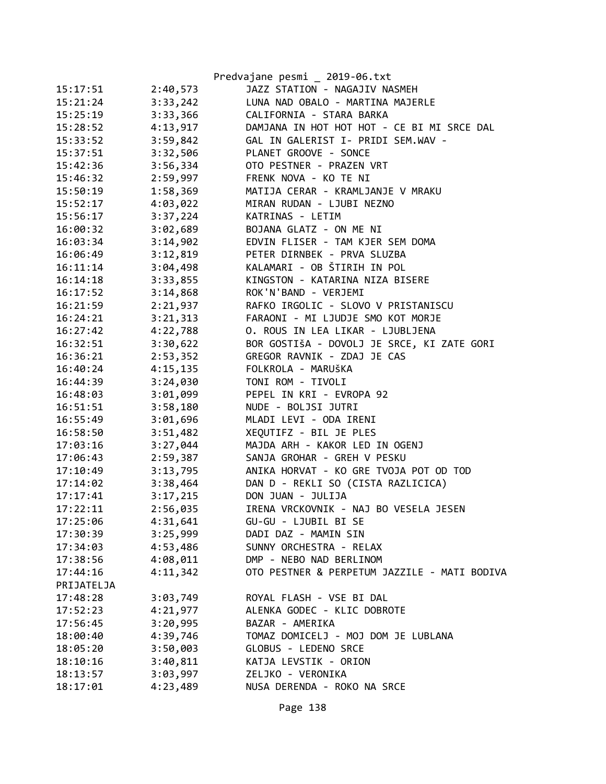|            |          | Predvajane pesmi _ 2019-06.txt               |
|------------|----------|----------------------------------------------|
| 15:17:51   | 2:40,573 | JAZZ STATION - NAGAJIV NASMEH                |
| 15:21:24   | 3:33,242 | LUNA NAD OBALO - MARTINA MAJERLE             |
| 15:25:19   | 3:33,366 | CALIFORNIA - STARA BARKA                     |
| 15:28:52   | 4:13,917 | DAMJANA IN HOT HOT HOT - CE BI MI SRCE DAL   |
| 15:33:52   | 3:59,842 | GAL IN GALERIST I- PRIDI SEM.WAV -           |
| 15:37:51   | 3:32,506 | PLANET GROOVE - SONCE                        |
| 15:42:36   | 3:56,334 | OTO PESTNER - PRAZEN VRT                     |
| 15:46:32   | 2:59,997 | FRENK NOVA - KO TE NI                        |
| 15:50:19   | 1:58,369 | MATIJA CERAR - KRAMLJANJE V MRAKU            |
| 15:52:17   | 4:03,022 | MIRAN RUDAN - LJUBI NEZNO                    |
| 15:56:17   | 3:37,224 | KATRINAS - LETIM                             |
| 16:00:32   | 3:02,689 | BOJANA GLATZ - ON ME NI                      |
| 16:03:34   | 3:14,902 | EDVIN FLISER - TAM KJER SEM DOMA             |
| 16:06:49   | 3:12,819 | PETER DIRNBEK - PRVA SLUZBA                  |
| 16:11:14   | 3:04,498 | KALAMARI - OB ŠTIRIH IN POL                  |
| 16:14:18   | 3:33,855 | KINGSTON - KATARINA NIZA BISERE              |
| 16:17:52   | 3:14,868 | ROK'N'BAND - VERJEMI                         |
| 16:21:59   | 2:21,937 | RAFKO IRGOLIC - SLOVO V PRISTANISCU          |
| 16:24:21   | 3:21,313 | FARAONI - MI LJUDJE SMO KOT MORJE            |
| 16:27:42   | 4:22,788 | O. ROUS IN LEA LIKAR - LJUBLJENA             |
| 16:32:51   | 3:30,622 | BOR GOSTIŠA - DOVOLJ JE SRCE, KI ZATE GORI   |
| 16:36:21   | 2:53,352 | GREGOR RAVNIK - ZDAJ JE CAS                  |
| 16:40:24   | 4:15,135 | FOLKROLA - MARUŠKA                           |
| 16:44:39   | 3:24,030 | TONI ROM - TIVOLI                            |
| 16:48:03   | 3:01,099 | PEPEL IN KRI - EVROPA 92                     |
| 16:51:51   | 3:58,180 | NUDE - BOLJSI JUTRI                          |
| 16:55:49   | 3:01,696 | MLADI LEVI - ODA IRENI                       |
| 16:58:50   | 3:51,482 | XEQUTIFZ - BIL JE PLES                       |
| 17:03:16   | 3:27,044 | MAJDA ARH - KAKOR LED IN OGENJ               |
| 17:06:43   | 2:59,387 | SANJA GROHAR - GREH V PESKU                  |
| 17:10:49   | 3:13,795 | ANIKA HORVAT - KO GRE TVOJA POT OD TOD       |
| 17:14:02   | 3:38,464 | DAN D - REKLI SO (CISTA RAZLICICA)           |
| 17:17:41   | 3:17,215 | DON JUAN - JULIJA                            |
| 17:22:11   | 2:56,035 | IRENA VRCKOVNIK - NAJ BO VESELA JESEN        |
| 17:25:06   | 4:31,641 | GU-GU - LJUBIL BI SE                         |
| 17:30:39   | 3:25,999 | DADI DAZ - MAMIN SIN                         |
| 17:34:03   | 4:53,486 | SUNNY ORCHESTRA - RELAX                      |
| 17:38:56   | 4:08,011 | DMP - NEBO NAD BERLINOM                      |
| 17:44:16   | 4:11,342 | OTO PESTNER & PERPETUM JAZZILE - MATI BODIVA |
| PRIJATELJA |          |                                              |
| 17:48:28   | 3:03,749 | ROYAL FLASH - VSE BI DAL                     |
| 17:52:23   | 4:21,977 | ALENKA GODEC - KLIC DOBROTE                  |
| 17:56:45   | 3:20,995 | BAZAR - AMERIKA                              |
| 18:00:40   | 4:39,746 | TOMAZ DOMICELJ - MOJ DOM JE LUBLANA          |
| 18:05:20   | 3:50,003 | GLOBUS - LEDENO SRCE                         |
| 18:10:16   | 3:40,811 | KATJA LEVSTIK - ORION                        |
| 18:13:57   | 3:03,997 | ZELJKO - VERONIKA                            |
| 18:17:01   | 4:23,489 | NUSA DERENDA - ROKO NA SRCE                  |

Page 138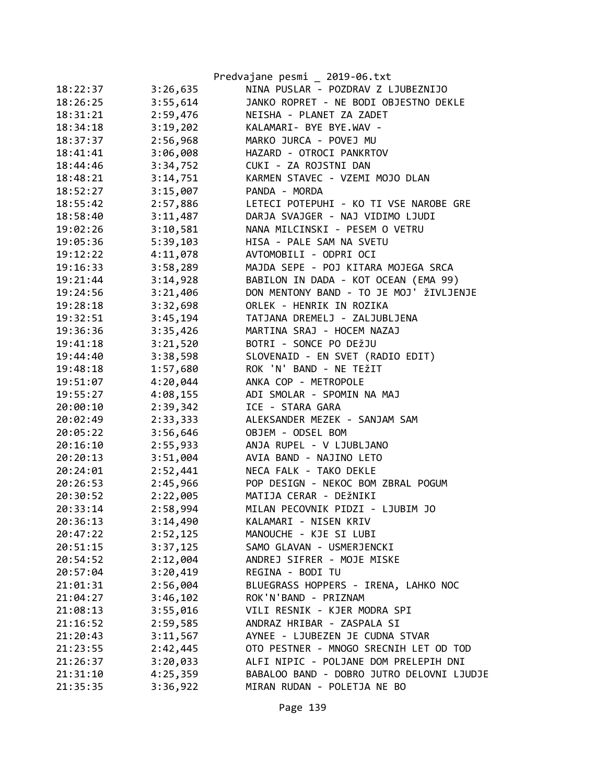|          |          | Predvajane pesmi _ 2019-06.txt            |
|----------|----------|-------------------------------------------|
| 18:22:37 | 3:26,635 | NINA PUSLAR - POZDRAV Z LJUBEZNIJO        |
| 18:26:25 | 3:55,614 | JANKO ROPRET - NE BODI OBJESTNO DEKLE     |
| 18:31:21 | 2:59,476 | NEISHA - PLANET ZA ZADET                  |
| 18:34:18 | 3:19,202 | KALAMARI- BYE BYE.WAV -                   |
| 18:37:37 | 2:56,968 | MARKO JURCA - POVEJ MU                    |
| 18:41:41 | 3:06,008 | HAZARD - OTROCI PANKRTOV                  |
| 18:44:46 | 3:34,752 | CUKI - ZA ROJSTNI DAN                     |
| 18:48:21 | 3:14,751 | KARMEN STAVEC - VZEMI MOJO DLAN           |
| 18:52:27 | 3:15,007 | PANDA - MORDA                             |
| 18:55:42 | 2:57,886 | LETECI POTEPUHI - KO TI VSE NAROBE GRE    |
| 18:58:40 | 3:11,487 | DARJA SVAJGER - NAJ VIDIMO LJUDI          |
| 19:02:26 | 3:10,581 | NANA MILCINSKI - PESEM O VETRU            |
| 19:05:36 | 5:39,103 | HISA - PALE SAM NA SVETU                  |
| 19:12:22 | 4:11,078 | AVTOMOBILI - ODPRI OCI                    |
| 19:16:33 | 3:58,289 | MAJDA SEPE - POJ KITARA MOJEGA SRCA       |
| 19:21:44 | 3:14,928 | BABILON IN DADA - KOT OCEAN (EMA 99)      |
| 19:24:56 | 3:21,406 | DON MENTONY BAND - TO JE MOJ' ŽIVLJENJE   |
| 19:28:18 | 3:32,698 | ORLEK - HENRIK IN ROZIKA                  |
| 19:32:51 | 3:45,194 | TATJANA DREMELJ - ZALJUBLJENA             |
| 19:36:36 | 3:35,426 | MARTINA SRAJ - HOCEM NAZAJ                |
| 19:41:18 | 3:21,520 | BOTRI - SONCE PO DEŽJU                    |
| 19:44:40 | 3:38,598 | SLOVENAID - EN SVET (RADIO EDIT)          |
| 19:48:18 | 1:57,680 | ROK 'N' BAND - NE TEŽIT                   |
| 19:51:07 | 4:20,044 | ANKA COP - METROPOLE                      |
| 19:55:27 | 4:08,155 | ADI SMOLAR - SPOMIN NA MAJ                |
| 20:00:10 | 2:39,342 | ICE - STARA GARA                          |
| 20:02:49 | 2:33,333 | ALEKSANDER MEZEK - SANJAM SAM             |
| 20:05:22 | 3:56,646 | OBJEM - ODSEL BOM                         |
| 20:16:10 | 2:55,933 | ANJA RUPEL - V LJUBLJANO                  |
| 20:20:13 | 3:51,004 | AVIA BAND - NAJINO LETO                   |
| 20:24:01 | 2:52,441 | NECA FALK - TAKO DEKLE                    |
| 20:26:53 | 2:45,966 | POP DESIGN - NEKOC BOM ZBRAL POGUM        |
| 20:30:52 | 2:22,005 | MATIJA CERAR - DEŽNIKI                    |
| 20:33:14 | 2:58,994 | MILAN PECOVNIK PIDZI - LJUBIM JO          |
| 20:36:13 | 3:14,490 | KALAMARI - NISEN KRIV                     |
| 20:47:22 | 2:52,125 | MANOUCHE - KJE SI LUBI                    |
| 20:51:15 | 3:37,125 | SAMO GLAVAN - USMERJENCKI                 |
| 20:54:52 | 2:12,004 | ANDREJ SIFRER - MOJE MISKE                |
| 20:57:04 | 3:20,419 | REGINA - BODI TU                          |
| 21:01:31 | 2:56,004 | BLUEGRASS HOPPERS - IRENA, LAHKO NOC      |
| 21:04:27 | 3:46,102 | ROK'N'BAND - PRIZNAM                      |
| 21:08:13 | 3:55,016 | VILI RESNIK - KJER MODRA SPI              |
| 21:16:52 | 2:59,585 | ANDRAZ HRIBAR - ZASPALA SI                |
| 21:20:43 | 3:11,567 | AYNEE - LJUBEZEN JE CUDNA STVAR           |
| 21:23:55 | 2:42,445 | OTO PESTNER - MNOGO SRECNIH LET OD TOD    |
| 21:26:37 | 3:20,033 | ALFI NIPIC - POLJANE DOM PRELEPIH DNI     |
| 21:31:10 | 4:25,359 | BABALOO BAND - DOBRO JUTRO DELOVNI LJUDJE |
| 21:35:35 | 3:36,922 | MIRAN RUDAN - POLETJA NE BO               |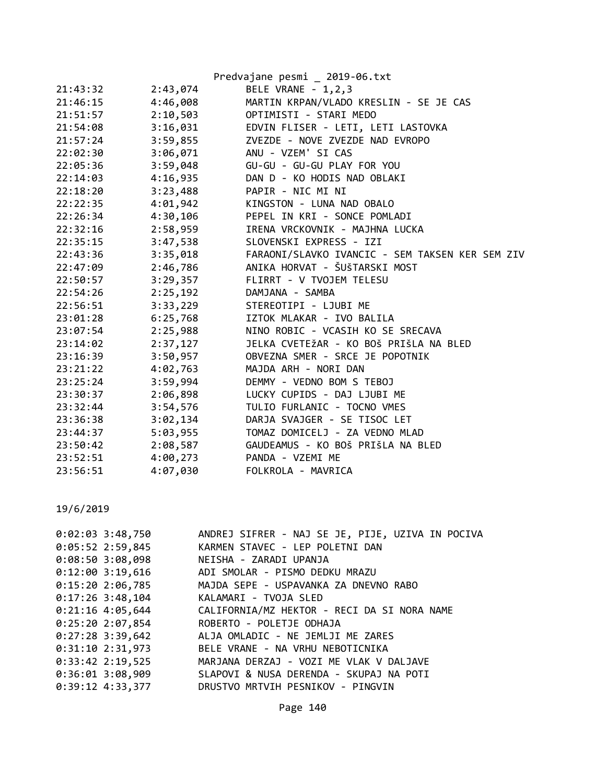|                      | Predvajane pesmi _ 2019-06.txt                  |
|----------------------|-------------------------------------------------|
| 2:43,074             | BELE VRANE - 1, 2, 3                            |
| 4:46,008             | MARTIN KRPAN/VLADO KRESLIN - SE JE CAS          |
| 2:10,503             | OPTIMISTI - STARI MEDO                          |
| 3:16,031             | EDVIN FLISER - LETI, LETI LASTOVKA              |
| 3:59,855             | ZVEZDE - NOVE ZVEZDE NAD EVROPO                 |
| 3:06,071             | ANU - VZEM' SI CAS                              |
| 3:59,048             | GU-GU - GU-GU PLAY FOR YOU                      |
| 4:16,935             | DAN D - KO HODIS NAD OBLAKI                     |
| 3:23,488             | PAPIR - NIC MI NI                               |
| 4:01,942             | KINGSTON - LUNA NAD OBALO                       |
| 4:30,106             | PEPEL IN KRI - SONCE POMLADI                    |
| 2:58,959             | IRENA VRCKOVNIK - MAJHNA LUCKA                  |
| 3:47,538<br>22:35:15 | SLOVENSKI EXPRESS - IZI                         |
| 3:35,018             | FARAONI/SLAVKO IVANCIC - SEM TAKSEN KER SEM ZIV |
| 2:46,786             | ANIKA HORVAT - ŠUŠTARSKI MOST                   |
| 3:29,357             | FLIRRT - V TVOJEM TELESU                        |
| 2:25,192             | DAMJANA - SAMBA                                 |
| 3:33,229             | STEREOTIPI - LJUBI ME                           |
| 6:25,768             | IZTOK MLAKAR - IVO BALILA                       |
| 2:25,988             | NINO ROBIC - VCASIH KO SE SRECAVA               |
| 2:37,127             | JELKA CVETEŽAR - KO BOŠ PRIŠLA NA BLED          |
| 3:50,957             | OBVEZNA SMER - SRCE JE POPOTNIK                 |
| 4:02,763             | MAJDA ARH - NORI DAN                            |
| 3:59,994             | DEMMY - VEDNO BOM S TEBOJ                       |
| 2:06,898             | LUCKY CUPIDS - DAJ LJUBI ME                     |
| 3:54,576             | TULIO FURLANIC - TOCNO VMES                     |
| 3:02,134             | DARJA SVAJGER - SE TISOC LET                    |
| 5:03,955             | TOMAZ DOMICELJ - ZA VEDNO MLAD                  |
| 2:08,587             | GAUDEAMUS - KO BOŠ PRIŠLA NA BLED               |
| 4:00,273             | PANDA - VZEMI ME                                |
| 4:07,030             | FOLKROLA - MAVRICA                              |
|                      |                                                 |

| 0:02:03 3:48,750   | ANDREJ SIFRER - NAJ SE JE, PIJE, UZIVA IN POCIVA |
|--------------------|--------------------------------------------------|
| $0:05:52$ 2:59,845 | KARMEN STAVEC - LEP POLETNI DAN                  |
| 0:08:503:08,098    | NEISHA - ZARADI UPANJA                           |
| $0:12:00$ 3:19,616 | ADI SMOLAR - PISMO DEDKU MRAZU                   |
| 0:15:202:06,785    | MAJDA SEPE - USPAVANKA ZA DNEVNO RABO            |
| $0:17:26$ 3:48,104 | KALAMARI - TVOJA SLED                            |
| $0:21:16$ 4:05,644 | CALIFORNIA/MZ HEKTOR - RECI DA SI NORA NAME      |
| 0:25:20 2:07,854   | ROBERTO - POLETJE ODHAJA                         |
| $0:27:28$ 3:39,642 | ALJA OMLADIC - NE JEMLJI ME ZARES                |
| $0:31:10$ 2:31,973 | BELE VRANE - NA VRHU NEBOTICNIKA                 |
| $0:33:42$ 2:19,525 | MARJANA DERZAJ - VOZI ME VLAK V DALJAVE          |
| 0:36:01 3:08,909   | SLAPOVI & NUSA DERENDA - SKUPAJ NA POTI          |
| 0:39:12 4:33,377   | DRUSTVO MRTVIH PESNIKOV - PINGVIN                |
|                    |                                                  |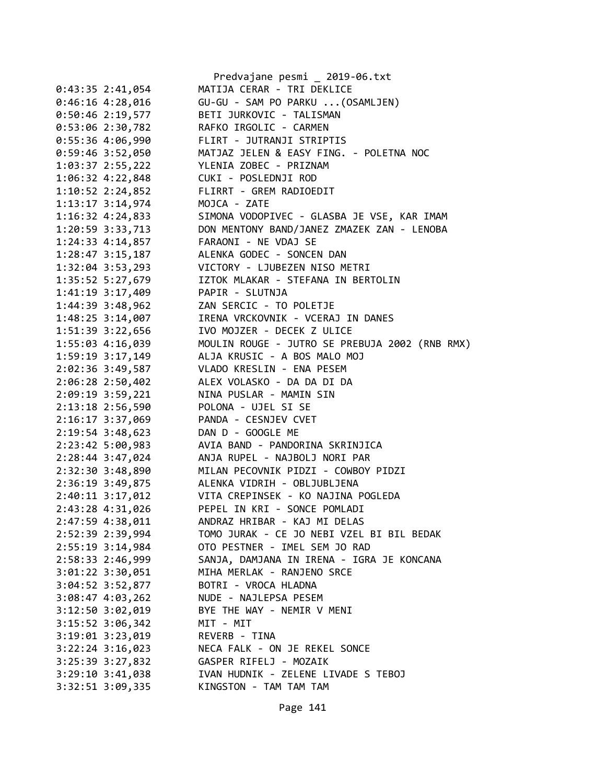|                      | Predvajane pesmi _ 2019-06.txt                 |
|----------------------|------------------------------------------------|
| $0:43:35$ 2:41,054   | MATIJA CERAR - TRI DEKLICE                     |
| $0:46:16$ 4:28,016   | GU-GU - SAM PO PARKU  (OSAMLJEN)               |
| $0:50:46$ 2:19,577   | BETI JURKOVIC - TALISMAN                       |
| 0:53:06 2:30,782     | RAFKO IRGOLIC - CARMEN                         |
| $0:55:36$ 4:06,990   | FLIRT - JUTRANJI STRIPTIS                      |
| $0:59:46$ 3:52,050   | MATJAZ JELEN & EASY FING. - POLETNA NOC        |
| 1:03:37 2:55,222     | YLENIA ZOBEC - PRIZNAM                         |
| 1:06:32 4:22,848     | CUKI - POSLEDNJI ROD                           |
| $1:10:52$ $2:24,852$ | FLIRRT - GREM RADIOEDIT                        |
| 1:13:17 3:14,974     | MOJCA - ZATE                                   |
| 1:16:32 4:24,833     | SIMONA VODOPIVEC - GLASBA JE VSE, KAR IMAM     |
| 1:20:59 3:33,713     | DON MENTONY BAND/JANEZ ZMAZEK ZAN - LENOBA     |
| 1:24:33 4:14,857     | FARAONI - NE VDAJ SE                           |
| 1:28:47 3:15,187     | ALENKA GODEC - SONCEN DAN                      |
| 1:32:04 3:53,293     | VICTORY - LJUBEZEN NISO METRI                  |
|                      | IZTOK MLAKAR - STEFANA IN BERTOLIN             |
| 1:35:52 5:27,679     |                                                |
| 1:41:19 3:17,409     | PAPIR - SLUTNJA                                |
| 1:44:39 3:48,962     | ZAN SERCIC - TO POLETJE                        |
| 1:48:25 3:14,007     | IRENA VRCKOVNIK - VCERAJ IN DANES              |
| 1:51:39 3:22,656     | IVO MOJZER - DECEK Z ULICE                     |
| 1:55:03 4:16,039     | MOULIN ROUGE - JUTRO SE PREBUJA 2002 (RNB RMX) |
| 1:59:19 3:17,149     | ALJA KRUSIC - A BOS MALO MOJ                   |
| 2:02:36 3:49,587     | VLADO KRESLIN - ENA PESEM                      |
| 2:06:28 2:50,402     | ALEX VOLASKO - DA DA DI DA                     |
| 2:09:19 3:59,221     | NINA PUSLAR - MAMIN SIN                        |
| 2:13:18 2:56,590     | POLONA - UJEL SI SE                            |
| 2:16:17 3:37,069     | PANDA - CESNJEV CVET                           |
| 2:19:54 3:48,623     | DAN D - GOOGLE ME                              |
| 2:23:42 5:00,983     | AVIA BAND - PANDORINA SKRINJICA                |
| 2:28:44 3:47,024     | ANJA RUPEL - NAJBOLJ NORI PAR                  |
| 2:32:30 3:48,890     | MILAN PECOVNIK PIDZI - COWBOY PIDZI            |
| 2:36:19 3:49,875     | ALENKA VIDRIH - OBLJUBLJENA                    |
| 2:40:11 3:17,012     | VITA CREPINSEK - KO NAJINA POGLEDA             |
| 2:43:28 4:31,026     | PEPEL IN KRI - SONCE POMLADI                   |
| 2:47:59 4:38,011     | ANDRAZ HRIBAR - KAJ MI DELAS                   |
| 2:52:39 2:39,994     | TOMO JURAK - CE JO NEBI VZEL BI BIL BEDAK      |
| 2:55:19 3:14,984     | OTO PESTNER - IMEL SEM JO RAD                  |
| 2:58:33 2:46,999     | SANJA, DAMJANA IN IRENA - IGRA JE KONCANA      |
| 3:01:22 3:30,051     | MIHA MERLAK - RANJENO SRCE                     |
| 3:04:52 3:52,877     | BOTRI - VROCA HLADNA                           |
| 3:08:47 4:03,262     | NUDE - NAJLEPSA PESEM                          |
| 3:12:50 3:02,019     | BYE THE WAY - NEMIR V MENI                     |
| 3:15:52 3:06,342     | MIT - MIT                                      |
| 3:19:01 3:23,019     | REVERB - TINA                                  |
| 3:22:24 3:16,023     | NECA FALK - ON JE REKEL SONCE                  |
|                      | GASPER RIFELJ - MOZAIK                         |
| 3:25:39 3:27,832     |                                                |
| $3:29:10$ $3:41,038$ | IVAN HUDNIK - ZELENE LIVADE S TEBOJ            |
| 3:32:51 3:09,335     | KINGSTON - TAM TAM TAM                         |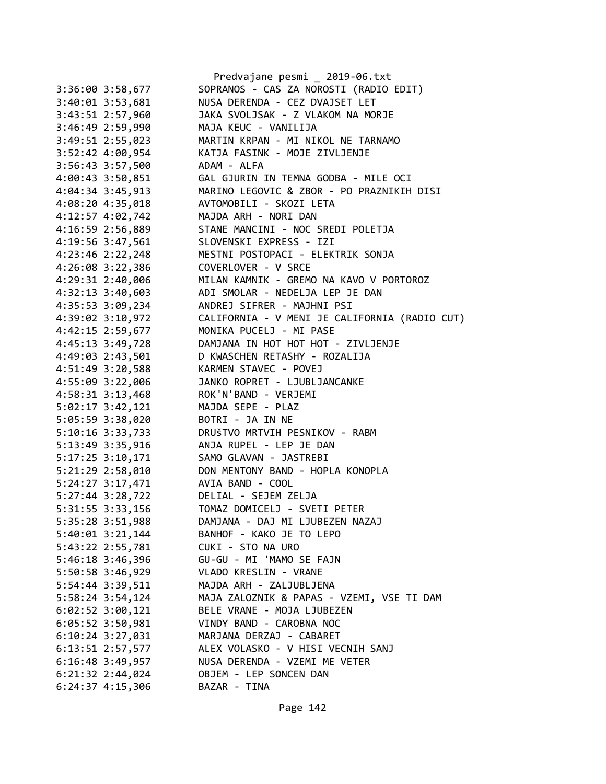|                      | Predvajane pesmi _ 2019-06.txt                |
|----------------------|-----------------------------------------------|
| 3:36:00 3:58,677     | SOPRANOS - CAS ZA NOROSTI (RADIO EDIT)        |
| 3:40:01 3:53,681     | NUSA DERENDA - CEZ DVAJSET LET                |
| 3:43:51 2:57,960     | JAKA SVOLJSAK - Z VLAKOM NA MORJE             |
| 3:46:49 2:59,990     | MAJA KEUC - VANILIJA                          |
| 3:49:51 2:55,023     | MARTIN KRPAN - MI NIKOL NE TARNAMO            |
| 3:52:42 4:00,954     | KATJA FASINK - MOJE ZIVLJENJE                 |
| 3:56:43 3:57,500     | ADAM - ALFA                                   |
| 4:00:43 3:50,851     | GAL GJURIN IN TEMNA GODBA - MILE OCI          |
| 4:04:34 3:45,913     | MARINO LEGOVIC & ZBOR - PO PRAZNIKIH DISI     |
| 4:08:20 4:35,018     | AVTOMOBILI - SKOZI LETA                       |
| 4:12:57 4:02,742     | MAJDA ARH - NORI DAN                          |
| 4:16:59 2:56,889     | STANE MANCINI - NOC SREDI POLETJA             |
| 4:19:56 3:47,561     | SLOVENSKI EXPRESS - IZI                       |
| 4:23:46 2:22,248     | MESTNI POSTOPACI - ELEKTRIK SONJA             |
| 4:26:08 3:22,386     | COVERLOVER - V SRCE                           |
| 4:29:31 2:40,006     | MILAN KAMNIK - GREMO NA KAVO V PORTOROZ       |
| 4:32:13 3:40,603     | ADI SMOLAR - NEDELJA LEP JE DAN               |
| 4:35:53 3:09,234     | ANDREJ SIFRER - MAJHNI PSI                    |
| 4:39:02 3:10,972     | CALIFORNIA - V MENI JE CALIFORNIA (RADIO CUT) |
| 4:42:15 2:59,677     | MONIKA PUCELJ - MI PASE                       |
| 4:45:13 3:49,728     | DAMJANA IN HOT HOT HOT - ZIVLJENJE            |
| 4:49:03 2:43,501     | D KWASCHEN RETASHY - ROZALIJA                 |
| 4:51:49 3:20,588     | KARMEN STAVEC - POVEJ                         |
| 4:55:09 3:22,006     | JANKO ROPRET - LJUBLJANCANKE                  |
| 4:58:31 3:13,468     | ROK'N'BAND - VERJEMI                          |
| 5:02:17 3:42,121     | MAJDA SEPE - PLAZ                             |
| 5:05:59 3:38,020     | BOTRI - JA IN NE                              |
|                      | DRUŠTVO MRTVIH PESNIKOV - RABM                |
| 5:10:16 3:33,733     | ANJA RUPEL - LEP JE DAN                       |
| 5:13:49 3:35,916     | SAMO GLAVAN - JASTREBI                        |
| 5:17:25 3:10,171     |                                               |
| 5:21:29 2:58,010     | DON MENTONY BAND - HOPLA KONOPLA              |
| 5:24:27 3:17,471     | AVIA BAND - COOL                              |
| 5:27:44 3:28,722     | DELIAL - SEJEM ZELJA                          |
| 5:31:55 3:33,156     | TOMAZ DOMICELJ - SVETI PETER                  |
| 5:35:28 3:51,988     | DAMJANA - DAJ MI LJUBEZEN NAZAJ               |
| 5:40:01 3:21,144     | BANHOF - KAKO JE TO LEPO                      |
| 5:43:22 2:55,781     | CUKI - STO NA URO                             |
| 5:46:18 3:46,396     | GU-GU - MI 'MAMO SE FAJN                      |
| 5:50:58 3:46,929     | VLADO KRESLIN - VRANE                         |
| 5:54:44 3:39,511     | MAJDA ARH - ZALJUBLJENA                       |
| 5:58:24 3:54,124     | MAJA ZALOZNIK & PAPAS - VZEMI, VSE TI DAM     |
| $6:02:52$ 3:00,121   | BELE VRANE - MOJA LJUBEZEN                    |
| 6:05:52 3:50,981     | VINDY BAND - CAROBNA NOC                      |
| 6:10:24 3:27,031     | MARJANA DERZAJ - CABARET                      |
| 6:13:51 2:57,577     | ALEX VOLASKO - V HISI VECNIH SANJ             |
| $6:16:48$ 3:49,957   | NUSA DERENDA - VZEMI ME VETER                 |
| $6:21:32$ $2:44,024$ | OBJEM - LEP SONCEN DAN                        |
| $6:24:37$ $4:15,306$ | BAZAR - TINA                                  |
|                      |                                               |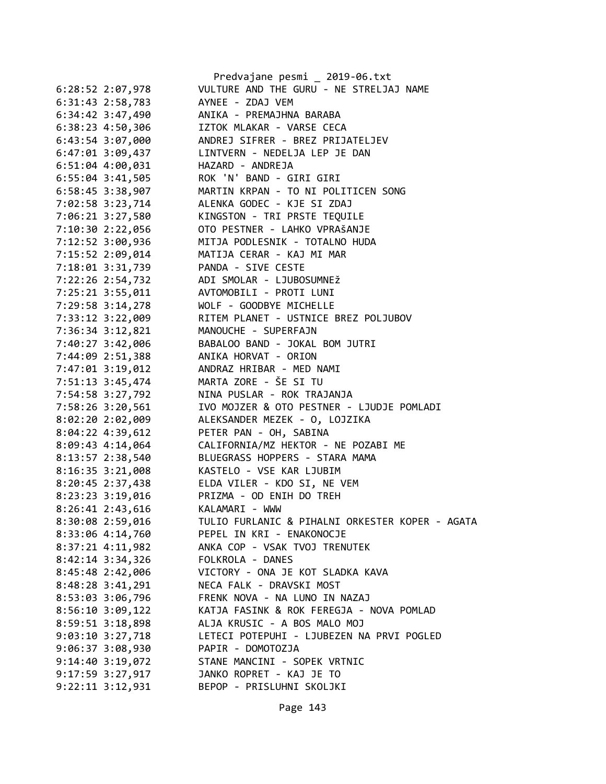|                      | Predvajane pesmi _ 2019-06.txt                  |
|----------------------|-------------------------------------------------|
| 6:28:52 2:07,978     | VULTURE AND THE GURU - NE STRELJAJ NAME         |
| 6:31:43 2:58,783     | AYNEE - ZDAJ VEM                                |
| $6:34:42$ 3:47,490   | ANIKA - PREMAJHNA BARABA                        |
| $6:38:23$ 4:50,306   | IZTOK MLAKAR - VARSE CECA                       |
| 6:43:54 3:07,000     | ANDREJ SIFRER - BREZ PRIJATELJEV                |
| $6:47:01$ 3:09,437   | LINTVERN - NEDELJA LEP JE DAN                   |
| $6:51:04$ $4:00,031$ | HAZARD - ANDREJA                                |
| $6:55:04$ 3:41,505   | ROK 'N' BAND - GIRI GIRI                        |
| $6:58:45$ 3:38,907   | MARTIN KRPAN - TO NI POLITICEN SONG             |
| 7:02:58 3:23,714     | ALENKA GODEC - KJE SI ZDAJ                      |
| 7:06:21 3:27,580     | KINGSTON - TRI PRSTE TEQUILE                    |
| 7:10:30 2:22,056     | OTO PESTNER - LAHKO VPRAŠANJE                   |
| 7:12:52 3:00,936     | MITJA PODLESNIK - TOTALNO HUDA                  |
| 7:15:52 2:09,014     | MATIJA CERAR - KAJ MI MAR                       |
| 7:18:01 3:31,739     | PANDA - SIVE CESTE                              |
| 7:22:26 2:54,732     | ADI SMOLAR - LJUBOSUMNEŽ                        |
| 7:25:21 3:55,011     | AVTOMOBILI - PROTI LUNI                         |
| 7:29:58 3:14,278     | WOLF - GOODBYE MICHELLE                         |
| 7:33:12 3:22,009     | RITEM PLANET - USTNICE BREZ POLJUBOV            |
| 7:36:34 3:12,821     | MANOUCHE - SUPERFAJN                            |
| 7:40:27 3:42,006     | BABALOO BAND - JOKAL BOM JUTRI                  |
| 7:44:09 2:51,388     | ANIKA HORVAT - ORION                            |
| 7:47:01 3:19,012     | ANDRAZ HRIBAR - MED NAMI                        |
| 7:51:13 3:45,474     | MARTA ZORE - ŠE SI TU                           |
| 7:54:58 3:27,792     | NINA PUSLAR - ROK TRAJANJA                      |
| 7:58:26 3:20,561     | IVO MOJZER & OTO PESTNER - LJUDJE POMLADI       |
| 8:02:20 2:02,009     | ALEKSANDER MEZEK - 0, LOJZIKA                   |
| 8:04:22 4:39,612     | PETER PAN - OH, SABINA                          |
| 8:09:43 4:14,064     | CALIFORNIA/MZ HEKTOR - NE POZABI ME             |
| 8:13:57 2:38,540     | BLUEGRASS HOPPERS - STARA MAMA                  |
| $8:16:35$ 3:21,008   | KASTELO - VSE KAR LJUBIM                        |
| 8:20:45 2:37,438     | ELDA VILER - KDO SI, NE VEM                     |
|                      | 8:23:23 3:19,016 PRIZMA - OD ENIH DO TREH       |
| 8:26:41 2:43,616     | KALAMARI - WWW                                  |
| 8:30:08 2:59,016     | TULIO FURLANIC & PIHALNI ORKESTER KOPER - AGATA |
| 8:33:06 4:14,760     | PEPEL IN KRI - ENAKONOCJE                       |
| $8:37:21$ 4:11,982   | ANKA COP - VSAK TVOJ TRENUTEK                   |
| 8:42:14 3:34,326     | FOLKROLA - DANES                                |
| 8:45:48 2:42,006     | VICTORY - ONA JE KOT SLADKA KAVA                |
| $8:48:28$ 3:41,291   | NECA FALK - DRAVSKI MOST                        |
| 8:53:03 3:06,796     | FRENK NOVA - NA LUNO IN NAZAJ                   |
| $8:56:10$ $3:09,122$ | KATJA FASINK & ROK FEREGJA - NOVA POMLAD        |
| 8:59:51 3:18,898     | ALJA KRUSIC - A BOS MALO MOJ                    |
| $9:03:10$ $3:27,718$ | LETECI POTEPUHI - LJUBEZEN NA PRVI POGLED       |
| $9:06:37$ 3:08,930   | PAPIR - DOMOTOZJA                               |
| $9:14:40$ $3:19,072$ | STANE MANCINI - SOPEK VRTNIC                    |
| $9:17:59$ $3:27,917$ | JANKO ROPRET - KAJ JE TO                        |
|                      | BEPOP - PRISLUHNI SKOLJKI                       |
| $9:22:11$ $3:12,931$ |                                                 |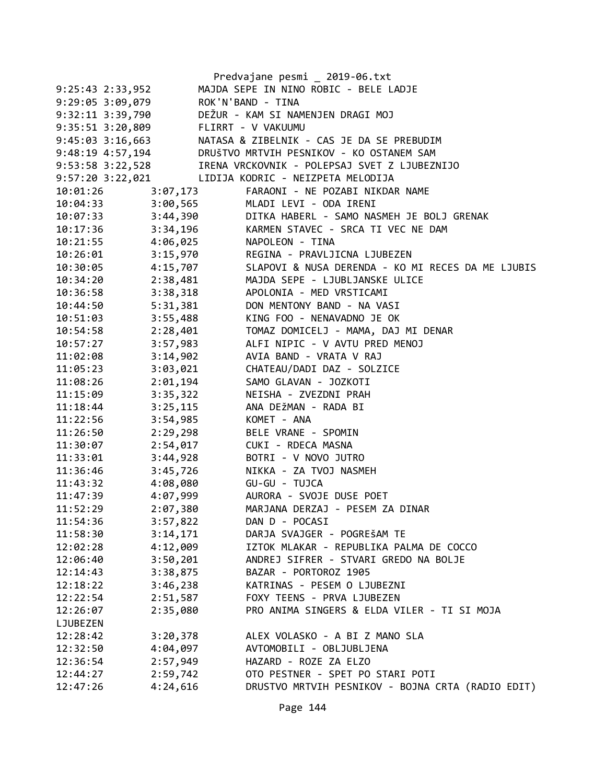|                      |          | Predvajane pesmi _ 2019-06.txt                    |
|----------------------|----------|---------------------------------------------------|
| $9:25:43$ $2:33,952$ |          | MAJDA SEPE IN NINO ROBIC - BELE LADJE             |
| 9:29:05 3:09,079     |          | ROK'N'BAND - TINA                                 |
| 9:32:11 3:39,790     |          | DEŽUR - KAM SI NAMENJEN DRAGI MOJ                 |
| 9:35:51 3:20,809     |          | FLIRRT - V VAKUUMU                                |
| $9:45:03$ 3:16,663   |          | NATASA & ZIBELNIK - CAS JE DA SE PREBUDIM         |
| 9:48:19 4:57,194     |          | DRUŠTVO MRTVIH PESNIKOV - KO OSTANEM SAM          |
| 9:53:58 3:22,528     |          | IRENA VRCKOVNIK - POLEPSAJ SVET Z LJUBEZNIJO      |
| $9:57:20$ 3:22,021   |          | LIDIJA KODRIC - NEIZPETA MELODIJA                 |
| 10:01:26             | 3:07,173 | FARAONI - NE POZABI NIKDAR NAME                   |
| 10:04:33             | 3:00,565 | MLADI LEVI - ODA IRENI                            |
| 10:07:33             | 3:44,390 | DITKA HABERL - SAMO NASMEH JE BOLJ GRENAK         |
| 10:17:36             | 3:34,196 | KARMEN STAVEC - SRCA TI VEC NE DAM                |
| 10:21:55             | 4:06,025 | NAPOLEON - TINA                                   |
| 10:26:01             | 3:15,970 | REGINA - PRAVLJICNA LJUBEZEN                      |
| 10:30:05             | 4:15,707 | SLAPOVI & NUSA DERENDA - KO MI RECES DA ME LJUBIS |
| 10:34:20             | 2:38,481 | MAJDA SEPE - LJUBLJANSKE ULICE                    |
| 10:36:58             | 3:38,318 | APOLONIA - MED VRSTICAMI                          |
| 10:44:50 5:31,381    |          | DON MENTONY BAND - NA VASI                        |
| 10:51:03             | 3:55,488 | KING FOO - NENAVADNO JE OK                        |
| 10:54:58             | 2:28,401 | TOMAZ DOMICELJ - MAMA, DAJ MI DENAR               |
| 10:57:27             | 3:57,983 | ALFI NIPIC - V AVTU PRED MENOJ                    |
| 11:02:08             | 3:14,902 | AVIA BAND - VRATA V RAJ                           |
| 11:05:23             | 3:03,021 | CHATEAU/DADI DAZ - SOLZICE                        |
| 11:08:26             | 2:01,194 | SAMO GLAVAN - JOZKOTI                             |
| 11:15:09             | 3:35,322 | NEISHA - ZVEZDNI PRAH                             |
| 11:18:44             | 3:25,115 | ANA DEŽMAN - RADA BI                              |
| 11:22:56             | 3:54,985 | KOMET - ANA                                       |
| 11:26:50             | 2:29,298 | BELE VRANE - SPOMIN                               |
| 11:30:07             | 2:54,017 | CUKI - RDECA MASNA                                |
| 11:33:01             | 3:44,928 | BOTRI - V NOVO JUTRO                              |
| 11:36:46             | 3:45,726 | NIKKA - ZA TVOJ NASMEH                            |
| 11:43:32             | 4:08,080 | GU-GU - TUJCA                                     |
| 11:47:39             | 4:07,999 | AURORA - SVOJE DUSE POET                          |
| 11:52:29             | 2:07,380 | MARJANA DERZAJ - PESEM ZA DINAR                   |
| 11:54:36             | 3:57,822 | DAN D - POCASI                                    |
| 11:58:30             | 3:14,171 | DARJA SVAJGER - POGREŠAM TE                       |
| 12:02:28             | 4:12,009 | IZTOK MLAKAR - REPUBLIKA PALMA DE COCCO           |
| 12:06:40             | 3:50,201 | ANDREJ SIFRER - STVARI GREDO NA BOLJE             |
| 12:14:43             | 3:38,875 | BAZAR - PORTOROZ 1905                             |
| 12:18:22             | 3:46,238 | KATRINAS - PESEM O LJUBEZNI                       |
| 12:22:54             | 2:51,587 | FOXY TEENS - PRVA LJUBEZEN                        |
| 12:26:07             | 2:35,080 | PRO ANIMA SINGERS & ELDA VILER - TI SI MOJA       |
| LJUBEZEN             |          |                                                   |
| 12:28:42             | 3:20,378 | ALEX VOLASKO - A BI Z MANO SLA                    |
| 12:32:50             | 4:04,097 | AVTOMOBILI - OBLJUBLJENA                          |
| 12:36:54             | 2:57,949 | HAZARD - ROZE ZA ELZO                             |
| 12:44:27             | 2:59,742 | OTO PESTNER - SPET PO STARI POTI                  |
| 12:47:26             | 4:24,616 | DRUSTVO MRTVIH PESNIKOV - BOJNA CRTA (RADIO EDIT) |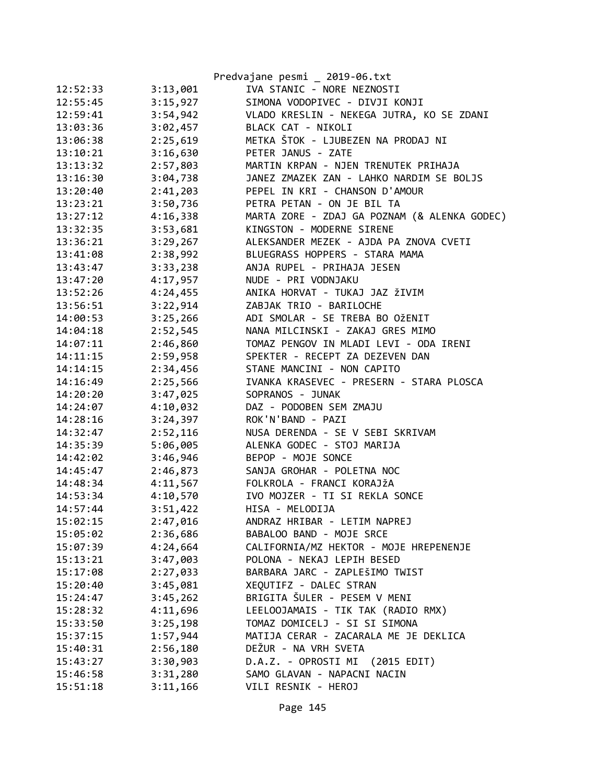|          |          | Predvajane pesmi _ 2019-06.txt               |
|----------|----------|----------------------------------------------|
| 12:52:33 | 3:13,001 | IVA STANIC - NORE NEZNOSTI                   |
| 12:55:45 | 3:15,927 | SIMONA VODOPIVEC - DIVJI KONJI               |
| 12:59:41 | 3:54,942 | VLADO KRESLIN - NEKEGA JUTRA, KO SE ZDANI    |
| 13:03:36 | 3:02,457 | BLACK CAT - NIKOLI                           |
| 13:06:38 | 2:25,619 | METKA ŠTOK - LJUBEZEN NA PRODAJ NI           |
| 13:10:21 | 3:16,630 | PETER JANUS - ZATE                           |
| 13:13:32 | 2:57,803 | MARTIN KRPAN - NJEN TRENUTEK PRIHAJA         |
| 13:16:30 | 3:04,738 | JANEZ ZMAZEK ZAN - LAHKO NARDIM SE BOLJS     |
| 13:20:40 | 2:41,203 | PEPEL IN KRI - CHANSON D'AMOUR               |
| 13:23:21 | 3:50,736 | PETRA PETAN - ON JE BIL TA                   |
| 13:27:12 | 4:16,338 | MARTA ZORE - ZDAJ GA POZNAM (& ALENKA GODEC) |
| 13:32:35 | 3:53,681 | KINGSTON - MODERNE SIRENE                    |
| 13:36:21 | 3:29,267 | ALEKSANDER MEZEK - AJDA PA ZNOVA CVETI       |
| 13:41:08 | 2:38,992 | BLUEGRASS HOPPERS - STARA MAMA               |
| 13:43:47 | 3:33,238 | ANJA RUPEL - PRIHAJA JESEN                   |
| 13:47:20 | 4:17,957 | NUDE - PRI VODNJAKU                          |
| 13:52:26 | 4:24,455 | ANIKA HORVAT - TUKAJ JAZ ŽIVIM               |
| 13:56:51 | 3:22,914 | ZABJAK TRIO - BARILOCHE                      |
| 14:00:53 | 3:25,266 | ADI SMOLAR - SE TREBA BO OŽENIT              |
| 14:04:18 | 2:52,545 | NANA MILCINSKI - ZAKAJ GRES MIMO             |
| 14:07:11 | 2:46,860 | TOMAZ PENGOV IN MLADI LEVI - ODA IRENI       |
| 14:11:15 | 2:59,958 | SPEKTER - RECEPT ZA DEZEVEN DAN              |
| 14:14:15 | 2:34,456 | STANE MANCINI - NON CAPITO                   |
| 14:16:49 | 2:25,566 | IVANKA KRASEVEC - PRESERN - STARA PLOSCA     |
| 14:20:20 | 3:47,025 | SOPRANOS - JUNAK                             |
| 14:24:07 | 4:10,032 | DAZ - PODOBEN SEM ZMAJU                      |
| 14:28:16 | 3:24,397 | ROK'N'BAND - PAZI                            |
| 14:32:47 | 2:52,116 | NUSA DERENDA - SE V SEBI SKRIVAM             |
| 14:35:39 | 5:06,005 | ALENKA GODEC - STOJ MARIJA                   |
| 14:42:02 | 3:46,946 | BEPOP - MOJE SONCE                           |
| 14:45:47 | 2:46,873 | SANJA GROHAR - POLETNA NOC                   |
| 14:48:34 | 4:11,567 | FOLKROLA - FRANCI KORAJŽA                    |
| 14:53:34 | 4:10,570 | IVO MOJZER - TI SI REKLA SONCE               |
| 14:57:44 | 3:51,422 | HISA - MELODIJA                              |
| 15:02:15 | 2:47,016 | ANDRAZ HRIBAR - LETIM NAPREJ                 |
| 15:05:02 | 2:36,686 | BABALOO BAND - MOJE SRCE                     |
| 15:07:39 | 4:24,664 | CALIFORNIA/MZ HEKTOR - MOJE HREPENENJE       |
| 15:13:21 | 3:47,003 | POLONA - NEKAJ LEPIH BESED                   |
| 15:17:08 | 2:27,033 | BARBARA JARC - ZAPLEŠIMO TWIST               |
| 15:20:40 | 3:45,081 | XEOUTIFZ - DALEC STRAN                       |
| 15:24:47 | 3:45,262 | BRIGITA ŠULER - PESEM V MENI                 |
| 15:28:32 | 4:11,696 | LEELOOJAMAIS - TIK TAK (RADIO RMX)           |
| 15:33:50 | 3:25,198 | TOMAZ DOMICELJ - SI SI SIMONA                |
| 15:37:15 | 1:57,944 | MATIJA CERAR - ZACARALA ME JE DEKLICA        |
| 15:40:31 | 2:56,180 | DEŽUR - NA VRH SVETA                         |
| 15:43:27 | 3:30,903 | D.A.Z. - OPROSTI MI (2015 EDIT)              |
| 15:46:58 | 3:31,280 | SAMO GLAVAN - NAPACNI NACIN                  |
| 15:51:18 | 3:11,166 | VILI RESNIK - HEROJ                          |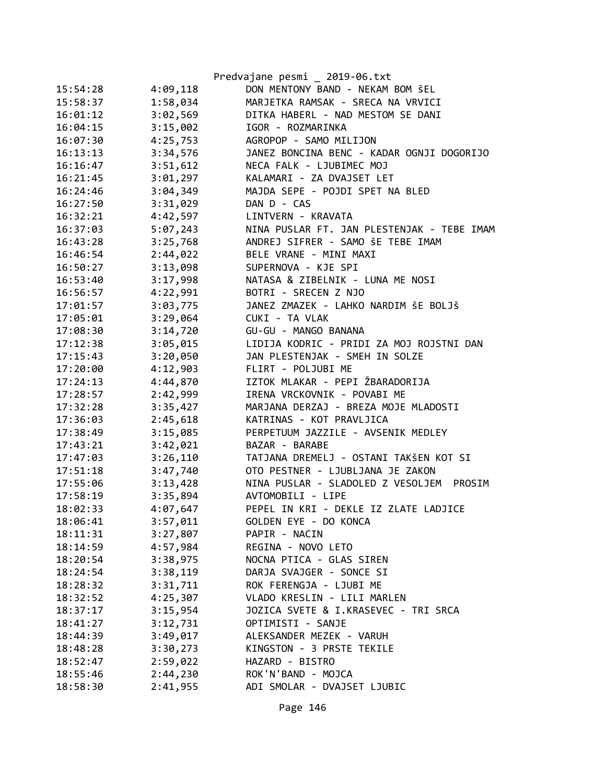|          |          | Predvajane pesmi _ 2019-06.txt              |
|----------|----------|---------------------------------------------|
| 15:54:28 | 4:09,118 | DON MENTONY BAND - NEKAM BOM ŠEL            |
| 15:58:37 | 1:58,034 | MARJETKA RAMSAK - SRECA NA VRVICI           |
| 16:01:12 | 3:02,569 | DITKA HABERL - NAD MESTOM SE DANI           |
| 16:04:15 | 3:15,002 | IGOR - ROZMARINKA                           |
| 16:07:30 | 4:25,753 | AGROPOP - SAMO MILIJON                      |
| 16:13:13 | 3:34,576 | JANEZ BONCINA BENC - KADAR OGNJI DOGORIJO   |
| 16:16:47 | 3:51,612 | NECA FALK - LJUBIMEC MOJ                    |
| 16:21:45 | 3:01,297 | KALAMARI - ZA DVAJSET LET                   |
| 16:24:46 | 3:04,349 | MAJDA SEPE - POJDI SPET NA BLED             |
| 16:27:50 | 3:31,029 | DAN D - CAS                                 |
| 16:32:21 | 4:42,597 | LINTVERN - KRAVATA                          |
| 16:37:03 | 5:07,243 | NINA PUSLAR FT. JAN PLESTENJAK - TEBE IMAM  |
| 16:43:28 | 3:25,768 | ANDREJ SIFRER - SAMO ŠE TEBE IMAM           |
| 16:46:54 | 2:44,022 | BELE VRANE - MINI MAXI                      |
| 16:50:27 | 3:13,098 | SUPERNOVA - KJE SPI                         |
| 16:53:40 | 3:17,998 | NATASA & ZIBELNIK - LUNA ME NOSI            |
| 16:56:57 | 4:22,991 | BOTRI - SRECEN Z NJO                        |
| 17:01:57 | 3:03,775 | JANEZ ZMAZEK - LAHKO NARDIM ŠE BOLJŠ        |
| 17:05:01 | 3:29,064 | CUKI - TA VLAK                              |
| 17:08:30 | 3:14,720 | GU-GU - MANGO BANANA                        |
| 17:12:38 | 3:05,015 | LIDIJA KODRIC - PRIDI ZA MOJ ROJSTNI DAN    |
| 17:15:43 | 3:20,050 | JAN PLESTENJAK - SMEH IN SOLZE              |
| 17:20:00 | 4:12,903 | FLIRT - POLJUBI ME                          |
| 17:24:13 | 4:44,870 | IZTOK MLAKAR - PEPI ŽBARADORIJA             |
| 17:28:57 | 2:42,999 | IRENA VRCKOVNIK - POVABI ME                 |
| 17:32:28 | 3:35,427 | MARJANA DERZAJ - BREZA MOJE MLADOSTI        |
| 17:36:03 | 2:45,618 | KATRINAS - KOT PRAVLJICA                    |
| 17:38:49 | 3:15,085 | PERPETUUM JAZZILE - AVSENIK MEDLEY          |
| 17:43:21 | 3:42,021 | BAZAR - BARABE                              |
| 17:47:03 | 3:26,110 | TATJANA DREMELJ - OSTANI TAKŠEN KOT SI      |
| 17:51:18 | 3:47,740 | OTO PESTNER - LJUBLJANA JE ZAKON            |
| 17:55:06 | 3:13,428 | NINA PUSLAR - SLADOLED Z VESOLJEM<br>PROSIM |
| 17:58:19 | 3:35,894 | AVTOMOBILI - LIPE                           |
| 18:02:33 | 4:07,647 | PEPEL IN KRI - DEKLE IZ ZLATE LADJICE       |
| 18:06:41 | 3:57,011 | GOLDEN EYE - DO KONCA                       |
| 18:11:31 | 3:27,807 | PAPIR - NACIN                               |
| 18:14:59 | 4:57,984 | REGINA - NOVO LETO                          |
| 18:20:54 | 3:38,975 | NOCNA PTICA - GLAS SIREN                    |
| 18:24:54 | 3:38,119 | DARJA SVAJGER - SONCE SI                    |
| 18:28:32 | 3:31,711 | ROK FERENGJA - LJUBI ME                     |
| 18:32:52 | 4:25,307 | VLADO KRESLIN - LILI MARLEN                 |
| 18:37:17 | 3:15,954 | JOZICA SVETE & I.KRASEVEC - TRI SRCA        |
| 18:41:27 | 3:12,731 | OPTIMISTI - SANJE                           |
| 18:44:39 | 3:49,017 | ALEKSANDER MEZEK - VARUH                    |
| 18:48:28 | 3:30,273 | KINGSTON - 3 PRSTE TEKILE                   |
| 18:52:47 | 2:59,022 | HAZARD - BISTRO                             |
| 18:55:46 | 2:44,230 | ROK'N'BAND - MOJCA                          |
| 18:58:30 | 2:41,955 | ADI SMOLAR - DVAJSET LJUBIC                 |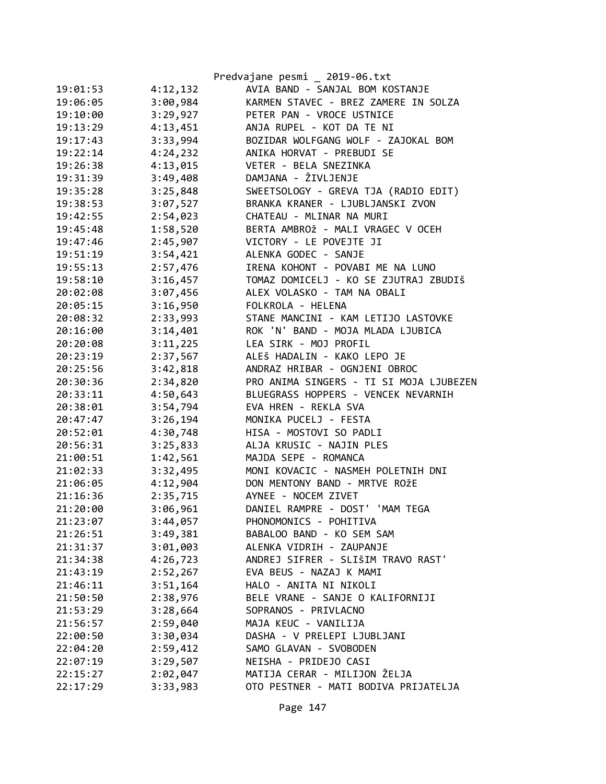|          |          | Predvajane pesmi _ 2019-06.txt          |
|----------|----------|-----------------------------------------|
| 19:01:53 | 4:12,132 | AVIA BAND - SANJAL BOM KOSTANJE         |
| 19:06:05 | 3:00,984 | KARMEN STAVEC - BREZ ZAMERE IN SOLZA    |
| 19:10:00 | 3:29,927 | PETER PAN - VROCE USTNICE               |
| 19:13:29 | 4:13,451 | ANJA RUPEL - KOT DA TE NI               |
| 19:17:43 | 3:33,994 | BOZIDAR WOLFGANG WOLF - ZAJOKAL BOM     |
| 19:22:14 | 4:24,232 | ANIKA HORVAT - PREBUDI SE               |
| 19:26:38 | 4:13,015 | VETER - BELA SNEZINKA                   |
| 19:31:39 | 3:49,408 | DAMJANA - ŽIVLJENJE                     |
| 19:35:28 | 3:25,848 | SWEETSOLOGY - GREVA TJA (RADIO EDIT)    |
| 19:38:53 | 3:07,527 | BRANKA KRANER - LJUBLJANSKI ZVON        |
| 19:42:55 | 2:54,023 | CHATEAU - MLINAR NA MURI                |
| 19:45:48 | 1:58,520 | BERTA AMBROŽ - MALI VRAGEC V OCEH       |
| 19:47:46 | 2:45,907 | VICTORY - LE POVEJTE JI                 |
| 19:51:19 | 3:54,421 | ALENKA GODEC - SANJE                    |
| 19:55:13 | 2:57,476 | IRENA KOHONT - POVABI ME NA LUNO        |
| 19:58:10 | 3:16,457 | TOMAZ DOMICELJ - KO SE ZJUTRAJ ZBUDIŠ   |
| 20:02:08 | 3:07,456 | ALEX VOLASKO - TAM NA OBALI             |
| 20:05:15 | 3:16,950 | FOLKROLA - HELENA                       |
| 20:08:32 | 2:33,993 | STANE MANCINI - KAM LETIJO LASTOVKE     |
| 20:16:00 | 3:14,401 | ROK 'N' BAND - MOJA MLADA LJUBICA       |
| 20:20:08 | 3:11,225 | LEA SIRK - MOJ PROFIL                   |
| 20:23:19 | 2:37,567 | ALEŠ HADALIN - KAKO LEPO JE             |
| 20:25:56 | 3:42,818 | ANDRAZ HRIBAR - OGNJENI OBROC           |
| 20:30:36 | 2:34,820 | PRO ANIMA SINGERS - TI SI MOJA LJUBEZEN |
| 20:33:11 | 4:50,643 | BLUEGRASS HOPPERS - VENCEK NEVARNIH     |
| 20:38:01 | 3:54,794 | EVA HREN - REKLA SVA                    |
| 20:47:47 | 3:26,194 | MONIKA PUCELJ - FESTA                   |
| 20:52:01 | 4:30,748 | HISA - MOSTOVI SO PADLI                 |
| 20:56:31 | 3:25,833 | ALJA KRUSIC - NAJIN PLES                |
| 21:00:51 | 1:42,561 | MAJDA SEPE - ROMANCA                    |
| 21:02:33 | 3:32,495 | MONI KOVACIC - NASMEH POLETNIH DNI      |
| 21:06:05 | 4:12,904 | DON MENTONY BAND - MRTVE ROŽE           |
| 21:16:36 | 2:35,715 | AYNEE - NOCEM ZIVET                     |
| 21:20:00 | 3:06,961 | DANIEL RAMPRE - DOST' 'MAM TEGA         |
| 21:23:07 | 3:44,057 | PHONOMONICS - POHITIVA                  |
| 21:26:51 | 3:49,381 | BABALOO BAND - KO SEM SAM               |
| 21:31:37 | 3:01,003 | ALENKA VIDRIH - ZAUPANJE                |
| 21:34:38 | 4:26,723 | ANDREJ SIFRER - SLIŠIM TRAVO RAST'      |
| 21:43:19 | 2:52,267 | EVA BEUS - NAZAJ K MAMI                 |
| 21:46:11 | 3:51,164 | HALO - ANITA NI NIKOLI                  |
| 21:50:50 | 2:38,976 | BELE VRANE - SANJE O KALIFORNIJI        |
| 21:53:29 | 3:28,664 | SOPRANOS - PRIVLACNO                    |
| 21:56:57 | 2:59,040 | MAJA KEUC - VANILIJA                    |
| 22:00:50 | 3:30,034 | DASHA - V PRELEPI LJUBLJANI             |
| 22:04:20 | 2:59,412 | SAMO GLAVAN - SVOBODEN                  |
| 22:07:19 | 3:29,507 | NEISHA - PRIDEJO CASI                   |
| 22:15:27 | 2:02,047 | MATIJA CERAR - MILIJON ŽELJA            |
| 22:17:29 | 3:33,983 | OTO PESTNER - MATI BODIVA PRIJATELJA    |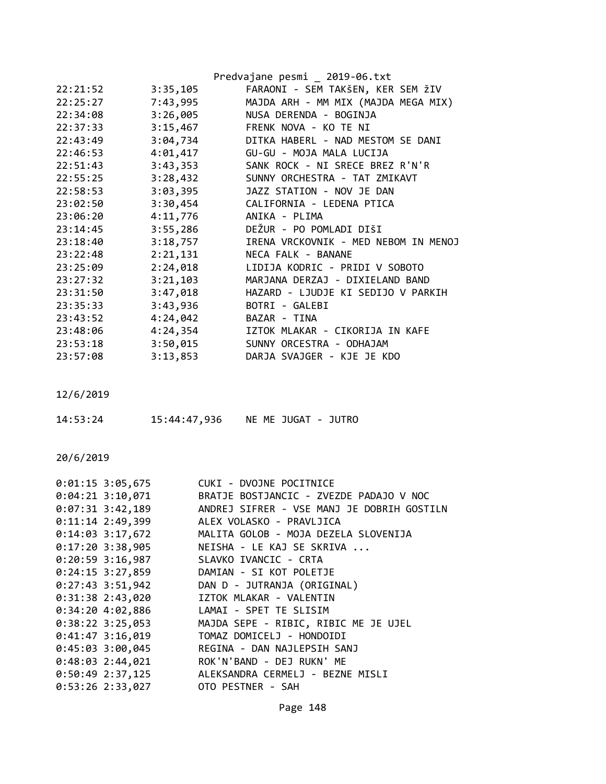|          |          | Predvajane pesmi _ 2019-06.txt       |
|----------|----------|--------------------------------------|
| 22:21:52 | 3:35,105 | FARAONI - SEM TAKŠEN, KER SEM ŽIV    |
| 22:25:27 | 7:43,995 | MAJDA ARH - MM MIX (MAJDA MEGA MIX)  |
| 22:34:08 | 3:26,005 | NUSA DERENDA - BOGINJA               |
| 22:37:33 | 3:15,467 | FRENK NOVA - KO TE NI                |
| 22:43:49 | 3:04,734 | DITKA HABERL - NAD MESTOM SE DANI    |
| 22:46:53 | 4:01,417 | GU-GU - MOJA MALA LUCIJA             |
| 22:51:43 | 3:43,353 | SANK ROCK - NI SRECE BREZ R'N'R      |
| 22:55:25 | 3:28,432 | SUNNY ORCHESTRA - TAT ZMIKAVT        |
| 22:58:53 | 3:03,395 | JAZZ STATION - NOV JE DAN            |
| 23:02:50 |          | 3:30,454 CALIFORNIA - LEDENA PTICA   |
| 23:06:20 | 4:11,776 | ANIKA - PLIMA                        |
| 23:14:45 | 3:55,286 | DEŽUR - PO POMLADI DIŠI              |
| 23:18:40 | 3:18,757 | IRENA VRCKOVNIK - MED NEBOM IN MENOJ |
| 23:22:48 | 2:21,131 | NECA FALK - BANANE                   |
| 23:25:09 | 2:24,018 | LIDIJA KODRIC - PRIDI V SOBOTO       |
| 23:27:32 | 3:21,103 | MARJANA DERZAJ - DIXIELAND BAND      |
| 23:31:50 | 3:47,018 | HAZARD - LJUDJE KI SEDIJO V PARKIH   |
| 23:35:33 | 3:43,936 | BOTRI - GALEBI                       |
| 23:43:52 | 4:24,042 | BAZAR - TINA                         |
| 23:48:06 | 4:24,354 | IZTOK MLAKAR - CIKORIJA IN KAFE      |
| 23:53:18 | 3:50,015 | SUNNY ORCESTRA - ODHAJAM             |
| 23:57:08 | 3:13,853 | DARJA SVAJGER - KJE JE KDO           |

| 14:53:24 | 15:44:47,936 | NE ME JUGAT - JUTRO |  |
|----------|--------------|---------------------|--|
|          |              |                     |  |

|                    | 0:01:15 3:05,675 CUKI - DVOJNE POCITNICE              |
|--------------------|-------------------------------------------------------|
| $0:04:21$ 3:10,071 | BRATJE BOSTJANCIC - ZVEZDE PADAJO V NOC               |
| $0:07:31$ 3:42,189 | ANDREJ SIFRER - VSE MANJ JE DOBRIH GOSTILN            |
| $0:11:14$ 2:49,399 | ALEX VOLASKO - PRAVLJICA                              |
|                    | 0:14:03 3:17,672 MALITA GOLOB - MOJA DEZELA SLOVENIJA |
| $0:17:20$ 3:38,905 | NEISHA - LE KAJ SE SKRIVA                             |
|                    | 0:20:59 3:16,987 SLAVKO IVANCIC - CRTA                |
| $0:24:15$ 3:27,859 | DAMIAN - SI KOT POLETJE                               |
| $0:27:43$ 3:51,942 | DAN D - JUTRANJA (ORIGINAL)                           |
| $0:31:38$ 2:43,020 | IZTOK MLAKAR - VALENTIN                               |
|                    | 0:34:20 4:02,886 LAMAI - SPET TE SLISIM               |
| $0:38:22$ 3:25,053 | MAJDA SEPE - RIBIC, RIBIC ME JE UJEL                  |
| $0:41:47$ 3:16,019 | TOMAZ DOMICELJ - HONDOIDI                             |
| $0:45:03$ 3:00,045 | REGINA - DAN NAJLEPSIH SANJ                           |
| $0:48:03$ 2:44,021 | ROK'N'BAND - DEJ RUKN' ME                             |
|                    | 0:50:49 2:37,125 ALEKSANDRA CERMELJ - BEZNE MISLI     |
|                    | 0:53:26 2:33,027 OTO PESTNER - SAH                    |
|                    |                                                       |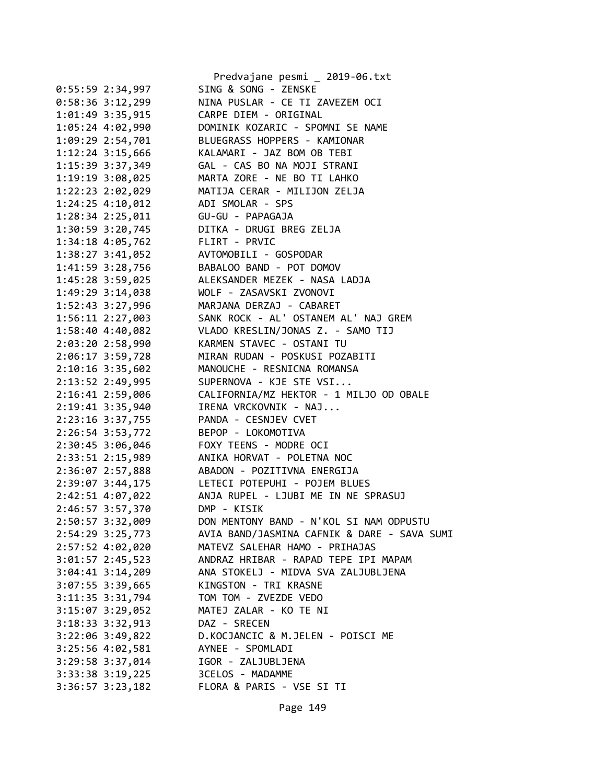|                                      | Predvajane pesmi _ 2019-06.txt              |
|--------------------------------------|---------------------------------------------|
| $0:55:59$ 2:34,997                   | SING & SONG - ZENSKE                        |
| $0:58:36$ 3:12,299                   | NINA PUSLAR - CE TI ZAVEZEM OCI             |
| 1:01:49 3:35,915                     | CARPE DIEM - ORIGINAL                       |
| 1:05:24 4:02,990                     | DOMINIK KOZARIC - SPOMNI SE NAME            |
| 1:09:29 2:54,701                     | BLUEGRASS HOPPERS - KAMIONAR                |
| 1:12:24 3:15,666                     | KALAMARI - JAZ BOM OB TEBI                  |
| 1:15:39 3:37,349                     | GAL - CAS BO NA MOJI STRANI                 |
| 1:19:19 3:08,025                     | MARTA ZORE - NE BO TI LAHKO                 |
| 1:22:23 2:02,029                     | MATIJA CERAR - MILIJON ZELJA                |
| 1:24:25 4:10,012                     | ADI SMOLAR - SPS                            |
| 1:28:34 2:25,011                     | GU-GU - PAPAGAJA                            |
| 1:30:59 3:20,745                     | DITKA - DRUGI BREG ZELJA                    |
| 1:34:18 4:05,762                     | FLIRT - PRVIC                               |
| 1:38:27 3:41,052                     | AVTOMOBILI - GOSPODAR                       |
| 1:41:59 3:28,756                     | BABALOO BAND - POT DOMOV                    |
| 1:45:28 3:59,025                     | ALEKSANDER MEZEK - NASA LADJA               |
| 1:49:29 3:14,038                     | WOLF - ZASAVSKI ZVONOVI                     |
| 1:52:43 3:27,996                     | MARJANA DERZAJ - CABARET                    |
| $1:56:11$ $2:27,003$                 | SANK ROCK - AL' OSTANEM AL' NAJ GREM        |
| 1:58:40 4:40,082                     | VLADO KRESLIN/JONAS Z. - SAMO TIJ           |
| 2:03:20 2:58,990                     | KARMEN STAVEC - OSTANI TU                   |
| 2:06:17 3:59,728                     | MIRAN RUDAN - POSKUSI POZABITI              |
| 2:10:16 3:35,602                     | MANOUCHE - RESNICNA ROMANSA                 |
| 2:13:52 2:49,995                     | SUPERNOVA - KJE STE VSI                     |
| 2:16:41 2:59,006                     | CALIFORNIA/MZ HEKTOR - 1 MILJO OD OBALE     |
| 2:19:41 3:35,940                     | IRENA VRCKOVNIK - NAJ                       |
| 2:23:16 3:37,755                     | PANDA - CESNJEV CVET                        |
| 2:26:54 3:53,772                     | BEPOP - LOKOMOTIVA                          |
| 2:30:45 3:06,046                     | FOXY TEENS - MODRE OCI                      |
| 2:33:51 2:15,989                     | ANIKA HORVAT - POLETNA NOC                  |
| 2:36:07 2:57,888                     | ABADON - POZITIVNA ENERGIJA                 |
|                                      | LETECI POTEPUHI - POJEM BLUES               |
| 2:39:07 3:44,175                     | ANJA RUPEL - LJUBI ME IN NE SPRASUJ         |
| 2:42:51 4:07,022                     | DMP - KISIK                                 |
| 2:46:57 3:57,370<br>2:50:57 3:32,009 | DON MENTONY BAND - N'KOL SI NAM ODPUSTU     |
|                                      | AVIA BAND/JASMINA CAFNIK & DARE - SAVA SUMI |
| 2:54:29 3:25,773                     | MATEVZ SALEHAR HAMO - PRIHAJAS              |
| 2:57:52 4:02,020                     |                                             |
| $3:01:57$ 2:45,523                   | ANDRAZ HRIBAR - RAPAD TEPE IPI MAPAM        |
| $3:04:41$ $3:14,209$                 | ANA STOKELJ - MIDVA SVA ZALJUBLJENA         |
| $3:07:55$ 3:39,665                   | KINGSTON - TRI KRASNE                       |
| 3:11:35 3:31,794                     | TOM TOM - ZVEZDE VEDO                       |
| $3:15:07$ $3:29,052$                 | MATEJ ZALAR - KO TE NI                      |
| 3:18:33 3:32,913                     | DAZ - SRECEN                                |
| $3:22:06$ $3:49,822$                 | D.KOCJANCIC & M.JELEN - POISCI ME           |
| 3:25:56 4:02,581                     | AYNEE - SPOMLADI                            |
| 3:29:58 3:37,014                     | IGOR - ZALJUBLJENA                          |
| $3:33:38$ $3:19,225$                 | 3CELOS - MADAMME                            |
| $3:36:57$ $3:23,182$                 | FLORA & PARIS - VSE SI TI                   |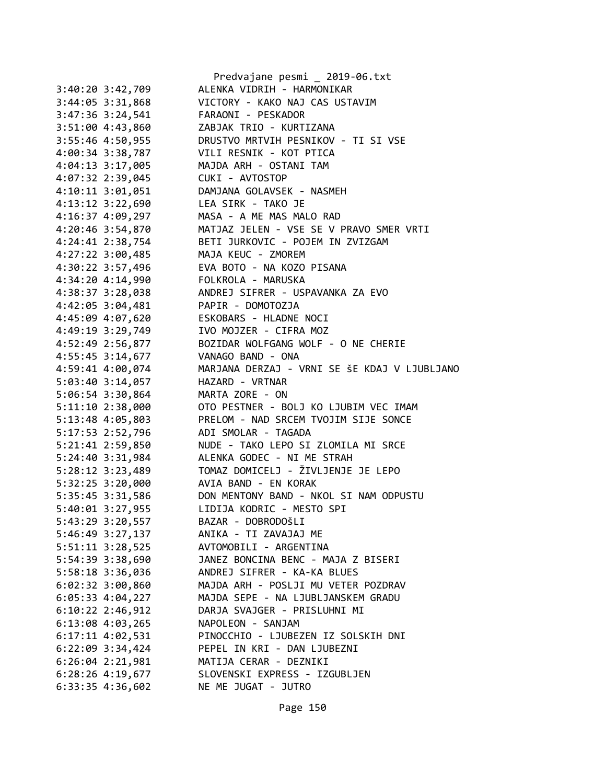|                                      | Predvajane pesmi _ 2019-06.txt               |
|--------------------------------------|----------------------------------------------|
| $3:40:20$ $3:42,709$                 | ALENKA VIDRIH - HARMONIKAR                   |
| 3:44:05 3:31,868                     | VICTORY - KAKO NAJ CAS USTAVIM               |
| 3:47:36 3:24,541                     | FARAONI - PESKADOR                           |
| 3:51:00 4:43,860                     | ZABJAK TRIO - KURTIZANA                      |
| 3:55:46 4:50,955                     | DRUSTVO MRTVIH PESNIKOV - TI SI VSE          |
| 4:00:34 3:38,787                     | VILI RESNIK - KOT PTICA                      |
| 4:04:13 3:17,005                     | MAJDA ARH - OSTANI TAM                       |
| 4:07:32 2:39,045                     | CUKI - AVTOSTOP                              |
| 4:10:11 3:01,051                     | DAMJANA GOLAVSEK - NASMEH                    |
| 4:13:12 3:22,690                     | LEA SIRK - TAKO JE                           |
| 4:16:37 4:09,297                     | MASA - A ME MAS MALO RAD                     |
| 4:20:46 3:54,870                     | MATJAZ JELEN - VSE SE V PRAVO SMER VRTI      |
| 4:24:41 2:38,754                     | BETI JURKOVIC - POJEM IN ZVIZGAM             |
| 4:27:22 3:00,485                     | MAJA KEUC - ZMOREM                           |
| 4:30:22 3:57,496                     | EVA BOTO - NA KOZO PISANA                    |
| 4:34:20 4:14,990                     | FOLKROLA - MARUSKA                           |
| 4:38:37 3:28,038                     | ANDREJ SIFRER - USPAVANKA ZA EVO             |
| 4:42:05 3:04,481                     | PAPIR - DOMOTOZJA                            |
|                                      | ESKOBARS - HLADNE NOCI                       |
| 4:45:09 4:07,620<br>4:49:19 3:29,749 | IVO MOJZER - CIFRA MOZ                       |
|                                      |                                              |
| 4:52:49 2:56,877                     | BOZIDAR WOLFGANG WOLF - O NE CHERIE          |
| 4:55:45 3:14,677                     | VANAGO BAND - ONA                            |
| 4:59:41 4:00,074                     | MARJANA DERZAJ - VRNI SE ŠE KDAJ V LJUBLJANO |
| 5:03:40 3:14,057                     | HAZARD - VRTNAR                              |
| 5:06:54 3:30,864                     | MARTA ZORE - ON                              |
| 5:11:10 2:38,000                     | OTO PESTNER - BOLJ KO LJUBIM VEC IMAM        |
| 5:13:48 4:05,803                     | PRELOM - NAD SRCEM TVOJIM SIJE SONCE         |
| 5:17:53 2:52,796                     | ADI SMOLAR - TAGADA                          |
| 5:21:41 2:59,850                     | NUDE - TAKO LEPO SI ZLOMILA MI SRCE          |
| 5:24:40 3:31,984                     | ALENKA GODEC - NI ME STRAH                   |
| 5:28:12 3:23,489                     | TOMAZ DOMICELJ - ŽIVLJENJE JE LEPO           |
| 5:32:25 3:20,000                     | AVIA BAND - EN KORAK                         |
| 5:35:45 3:31,586                     | DON MENTONY BAND - NKOL SI NAM ODPUSTU       |
| 5:40:01 3:27,955                     | LIDIJA KODRIC - MESTO SPI                    |
| 5:43:29 3:20,557                     | BAZAR - DOBRODOŠLI                           |
| 5:46:49 3:27,137                     | ANIKA - TI ZAVAJAJ ME                        |
| $5:51:11$ $3:28,525$                 | AVTOMOBILI - ARGENTINA                       |
| 5:54:39 3:38,690                     | JANEZ BONCINA BENC - MAJA Z BISERI           |
| 5:58:18 3:36,036                     | ANDREJ SIFRER - KA-KA BLUES                  |
| $6:02:32$ 3:00,860                   | MAJDA ARH - POSLJI MU VETER POZDRAV          |
| $6:05:33$ $4:04,227$                 | MAJDA SEPE - NA LJUBLJANSKEM GRADU           |
| $6:10:22$ 2:46,912                   | DARJA SVAJGER - PRISLUHNI MI                 |
| $6:13:08$ 4:03,265                   | NAPOLEON - SANJAM                            |
| $6:17:11$ $4:02,531$                 | PINOCCHIO - LJUBEZEN IZ SOLSKIH DNI          |
| $6:22:09$ 3:34,424                   | PEPEL IN KRI - DAN LJUBEZNI                  |
| $6:26:04$ $2:21,981$                 | MATIJA CERAR - DEZNIKI                       |
| $6:28:26$ 4:19,677                   | SLOVENSKI EXPRESS - IZGUBLJEN                |
| 6:33:35 4:36,602                     | NE ME JUGAT - JUTRO                          |
|                                      |                                              |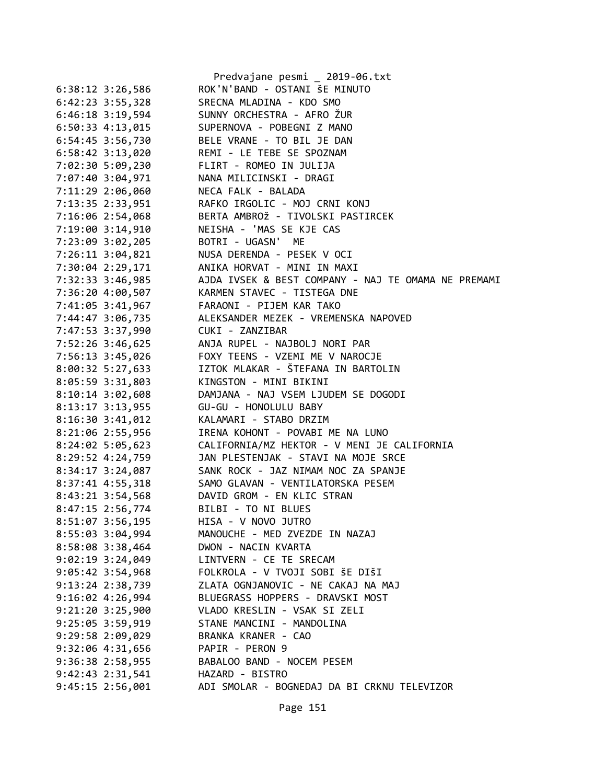|                      | Predvajane pesmi _ 2019-06.txt                      |
|----------------------|-----------------------------------------------------|
| $6:38:12$ 3:26,586   | ROK'N'BAND - OSTANI ŠE MINUTO                       |
| $6:42:23$ $3:55,328$ | SRECNA MLADINA - KDO SMO                            |
| 6:46:18 3:19,594     | SUNNY ORCHESTRA - AFRO ŽUR                          |
| $6:50:33$ $4:13,015$ | SUPERNOVA - POBEGNI Z MANO                          |
| 6:54:45 3:56,730     | BELE VRANE - TO BIL JE DAN                          |
| 6:58:42 3:13,020     | REMI - LE TEBE SE SPOZNAM                           |
| 7:02:30 5:09,230     | FLIRT - ROMEO IN JULIJA                             |
| 7:07:40 3:04,971     | NANA MILICINSKI - DRAGI                             |
| 7:11:29 2:06,060     | NECA FALK - BALADA                                  |
| 7:13:35 2:33,951     | RAFKO IRGOLIC - MOJ CRNI KONJ                       |
| 7:16:06 2:54,068     | BERTA AMBROŽ - TIVOLSKI PASTIRCEK                   |
| 7:19:00 3:14,910     | NEISHA - 'MAS SE KJE CAS                            |
| 7:23:09 3:02,205     | BOTRI - UGASN' ME                                   |
| 7:26:11 3:04,821     | NUSA DERENDA - PESEK V OCI                          |
| 7:30:04 2:29,171     | ANIKA HORVAT - MINI IN MAXI                         |
| 7:32:33 3:46,985     | AJDA IVSEK & BEST COMPANY - NAJ TE OMAMA NE PREMAMI |
| 7:36:20 4:00,507     | KARMEN STAVEC - TISTEGA DNE                         |
| 7:41:05 3:41,967     | FARAONI - PIJEM KAR TAKO                            |
| 7:44:47 3:06,735     | ALEKSANDER MEZEK - VREMENSKA NAPOVED                |
| 7:47:53 3:37,990     | CUKI - ZANZIBAR                                     |
| 7:52:26 3:46,625     | ANJA RUPEL - NAJBOLJ NORI PAR                       |
| 7:56:13 3:45,026     | FOXY TEENS - VZEMI ME V NAROCJE                     |
| 8:00:32 5:27,633     | IZTOK MLAKAR - ŠTEFANA IN BARTOLIN                  |
| 8:05:59 3:31,803     | KINGSTON - MINI BIKINI                              |
| 8:10:14 3:02,608     | DAMJANA - NAJ VSEM LJUDEM SE DOGODI                 |
| 8:13:17 3:13,955     | GU-GU - HONOLULU BABY                               |
| 8:16:30 3:41,012     | KALAMARI - STABO DRZIM                              |
| 8:21:06 2:55,956     | IRENA KOHONT - POVABI ME NA LUNO                    |
| 8:24:02 5:05,623     | CALIFORNIA/MZ HEKTOR - V MENI JE CALIFORNIA         |
| 8:29:52 4:24,759     | JAN PLESTENJAK - STAVI NA MOJE SRCE                 |
| $8:34:17$ 3:24,087   | SANK ROCK - JAZ NIMAM NOC ZA SPANJE                 |
| 8:37:41 4:55,318     | SAMO GLAVAN - VENTILATORSKA PESEM                   |
| 8:43:21 3:54,568     | DAVID GROM - EN KLIC STRAN                          |
| 8:47:15 2:56,774     | BILBI - TO NI BLUES                                 |
| 8:51:07 3:56,195     | HISA - V NOVO JUTRO                                 |
| 8:55:03 3:04,994     | MANOUCHE - MED ZVEZDE IN NAZAJ                      |
|                      | DWON - NACIN KVARTA                                 |
| 8:58:08 3:38,464     |                                                     |
| $9:02:19$ 3:24,049   | LINTVERN - CE TE SRECAM                             |
| 9:05:42 3:54,968     | FOLKROLA - V TVOJI SOBI ŠE DIŠI                     |
| 9:13:24 2:38,739     | ZLATA OGNJANOVIC - NE CAKAJ NA MAJ                  |
| 9:16:02 4:26,994     | BLUEGRASS HOPPERS - DRAVSKI MOST                    |
| 9:21:20 3:25,900     | VLADO KRESLIN - VSAK SI ZELI                        |
| 9:25:05 3:59,919     | STANE MANCINI - MANDOLINA                           |
| 9:29:58 2:09,029     | BRANKA KRANER - CAO                                 |
| 9:32:06 4:31,656     | PAPIR - PERON 9                                     |
| 9:36:38 2:58,955     | BABALOO BAND - NOCEM PESEM                          |
| 9:42:43 2:31,541     | HAZARD - BISTRO                                     |
| 9:45:15 2:56,001     | ADI SMOLAR - BOGNEDAJ DA BI CRKNU TELEVIZOR         |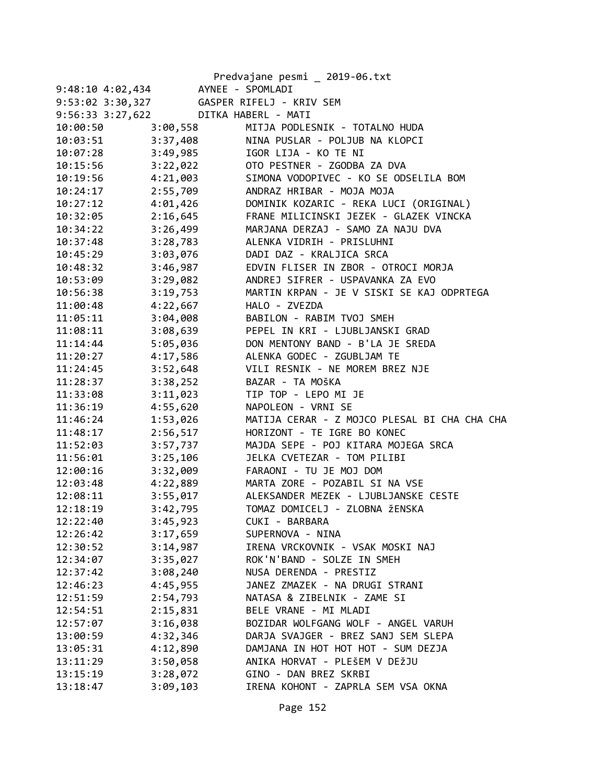|                      |          | Predvajane pesmi _ 2019-06.txt               |
|----------------------|----------|----------------------------------------------|
| $9:48:10$ $4:02,434$ |          | AYNEE - SPOMLADI                             |
| 9:53:02 3:30,327     |          | GASPER RIFELJ - KRIV SEM                     |
| $9:56:33$ $3:27,622$ |          | DITKA HABERL - MATI                          |
| 10:00:50             | 3:00,558 | MITJA PODLESNIK - TOTALNO HUDA               |
| 10:03:51             | 3:37,408 | NINA PUSLAR - POLJUB NA KLOPCI               |
| 10:07:28             | 3:49,985 | IGOR LIJA - KO TE NI                         |
| 10:15:56             | 3:22,022 | OTO PESTNER - ZGODBA ZA DVA                  |
| 10:19:56             | 4:21,003 | SIMONA VODOPIVEC - KO SE ODSELILA BOM        |
| 10:24:17             | 2:55,709 | ANDRAZ HRIBAR - MOJA MOJA                    |
| 10:27:12             | 4:01,426 | DOMINIK KOZARIC - REKA LUCI (ORIGINAL)       |
| 10:32:05             | 2:16,645 | FRANE MILICINSKI JEZEK - GLAZEK VINCKA       |
| 10:34:22             | 3:26,499 | MARJANA DERZAJ - SAMO ZA NAJU DVA            |
| 10:37:48             | 3:28,783 | ALENKA VIDRIH - PRISLUHNI                    |
| 10:45:29             | 3:03,076 | DADI DAZ - KRALJICA SRCA                     |
| 10:48:32             | 3:46,987 | EDVIN FLISER IN ZBOR - OTROCI MORJA          |
| 10:53:09             | 3:29,082 | ANDREJ SIFRER - USPAVANKA ZA EVO             |
| 10:56:38             | 3:19,753 | MARTIN KRPAN - JE V SISKI SE KAJ ODPRTEGA    |
| 11:00:48             | 4:22,667 | HALO - ZVEZDA                                |
| 11:05:11             | 3:04,008 | BABILON - RABIM TVOJ SMEH                    |
| 11:08:11             | 3:08,639 | PEPEL IN KRI - LJUBLJANSKI GRAD              |
| 11:14:44             | 5:05,036 | DON MENTONY BAND - B'LA JE SREDA             |
| 11:20:27             | 4:17,586 | ALENKA GODEC - ZGUBLJAM TE                   |
| 11:24:45             | 3:52,648 | VILI RESNIK - NE MOREM BREZ NJE              |
| 11:28:37             | 3:38,252 | BAZAR - TA MOŠKA                             |
| 11:33:08             | 3:11,023 | TIP TOP - LEPO MI JE                         |
| 11:36:19             | 4:55,620 | NAPOLEON - VRNI SE                           |
| 11:46:24             | 1:53,026 | MATIJA CERAR - Z MOJCO PLESAL BI CHA CHA CHA |
| 11:48:17             | 2:56,517 | HORIZONT - TE IGRE BO KONEC                  |
| 11:52:03             | 3:57,737 | MAJDA SEPE - POJ KITARA MOJEGA SRCA          |
| 11:56:01             | 3:25,106 | JELKA CVETEZAR - TOM PILIBI                  |
| 12:00:16             | 3:32,009 | FARAONI - TU JE MOJ DOM                      |
| 12:03:48             | 4:22,889 | MARTA ZORE - POZABIL SI NA VSE               |
| 12:08:11             | 3:55,017 | ALEKSANDER MEZEK - LJUBLJANSKE CESTE         |
| 12:18:19             | 3:42,795 | TOMAZ DOMICELJ - ZLOBNA ŽENSKA               |
| 12:22:40             | 3:45,923 | CUKI - BARBARA                               |
| 12:26:42             | 3:17,659 | SUPERNOVA - NINA                             |
| 12:30:52             | 3:14,987 | IRENA VRCKOVNIK - VSAK MOSKI NAJ             |
| 12:34:07             | 3:35,027 | ROK'N'BAND - SOLZE IN SMEH                   |
| 12:37:42             | 3:08,240 | NUSA DERENDA - PRESTIZ                       |
| 12:46:23             | 4:45,955 | JANEZ ZMAZEK - NA DRUGI STRANI               |
| 12:51:59             | 2:54,793 | NATASA & ZIBELNIK - ZAME SI                  |
| 12:54:51             | 2:15,831 | BELE VRANE - MI MLADI                        |
| 12:57:07             | 3:16,038 | BOZIDAR WOLFGANG WOLF - ANGEL VARUH          |
| 13:00:59             | 4:32,346 | DARJA SVAJGER - BREZ SANJ SEM SLEPA          |
| 13:05:31             | 4:12,890 | DAMJANA IN HOT HOT HOT - SUM DEZJA           |
| 13:11:29             | 3:50,058 | ANIKA HORVAT - PLEŠEM V DEŽJU                |
| 13:15:19             | 3:28,072 | GINO - DAN BREZ SKRBI                        |
| 13:18:47             | 3:09,103 | IRENA KOHONT - ZAPRLA SEM VSA OKNA           |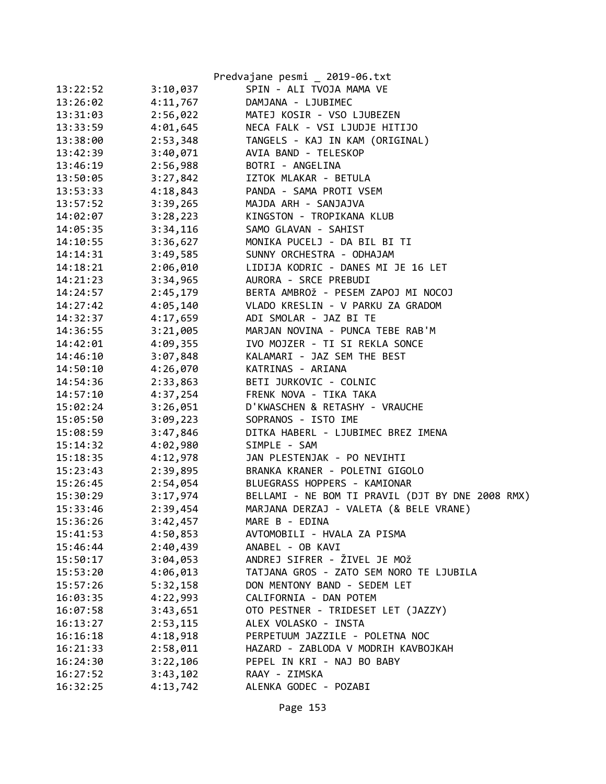|          |          | Predvajane pesmi _ 2019-06.txt                   |
|----------|----------|--------------------------------------------------|
| 13:22:52 | 3:10,037 | SPIN - ALI TVOJA MAMA VE                         |
| 13:26:02 | 4:11,767 | DAMJANA - LJUBIMEC                               |
| 13:31:03 | 2:56,022 | MATEJ KOSIR - VSO LJUBEZEN                       |
| 13:33:59 | 4:01,645 | NECA FALK - VSI LJUDJE HITIJO                    |
| 13:38:00 | 2:53,348 | TANGELS - KAJ IN KAM (ORIGINAL)                  |
| 13:42:39 | 3:40,071 | AVIA BAND - TELESKOP                             |
| 13:46:19 | 2:56,988 | BOTRI - ANGELINA                                 |
| 13:50:05 | 3:27,842 | IZTOK MLAKAR - BETULA                            |
| 13:53:33 | 4:18,843 | PANDA - SAMA PROTI VSEM                          |
| 13:57:52 | 3:39,265 | MAJDA ARH - SANJAJVA                             |
| 14:02:07 | 3:28,223 | KINGSTON - TROPIKANA KLUB                        |
| 14:05:35 | 3:34,116 | SAMO GLAVAN - SAHIST                             |
| 14:10:55 | 3:36,627 | MONIKA PUCELJ - DA BIL BI TI                     |
| 14:14:31 | 3:49,585 | SUNNY ORCHESTRA - ODHAJAM                        |
| 14:18:21 | 2:06,010 | LIDIJA KODRIC - DANES MI JE 16 LET               |
| 14:21:23 | 3:34,965 | AURORA - SRCE PREBUDI                            |
| 14:24:57 | 2:45,179 | BERTA AMBROŽ - PESEM ZAPOJ MI NOCOJ              |
| 14:27:42 | 4:05,140 | VLADO KRESLIN - V PARKU ZA GRADOM                |
| 14:32:37 | 4:17,659 | ADI SMOLAR - JAZ BI TE                           |
| 14:36:55 | 3:21,005 | MARJAN NOVINA - PUNCA TEBE RAB'M                 |
| 14:42:01 | 4:09,355 | IVO MOJZER - TI SI REKLA SONCE                   |
| 14:46:10 | 3:07,848 | KALAMARI - JAZ SEM THE BEST                      |
| 14:50:10 | 4:26,070 | KATRINAS - ARIANA                                |
| 14:54:36 | 2:33,863 | BETI JURKOVIC - COLNIC                           |
| 14:57:10 | 4:37,254 | FRENK NOVA - TIKA TAKA                           |
| 15:02:24 | 3:26,051 | D'KWASCHEN & RETASHY - VRAUCHE                   |
| 15:05:50 | 3:09,223 | SOPRANOS - ISTO IME                              |
| 15:08:59 | 3:47,846 | DITKA HABERL - LJUBIMEC BREZ IMENA               |
| 15:14:32 | 4:02,980 | SIMPLE - SAM                                     |
| 15:18:35 | 4:12,978 | JAN PLESTENJAK - PO NEVIHTI                      |
| 15:23:43 | 2:39,895 | BRANKA KRANER - POLETNI GIGOLO                   |
| 15:26:45 | 2:54,054 | BLUEGRASS HOPPERS - KAMIONAR                     |
| 15:30:29 | 3:17,974 | BELLAMI - NE BOM TI PRAVIL (DJT BY DNE 2008 RMX) |
| 15:33:46 | 2:39,454 | MARJANA DERZAJ - VALETA (& BELE VRANE)           |
| 15:36:26 | 3:42,457 | MARE B - EDINA                                   |
| 15:41:53 | 4:50,853 | AVTOMOBILI - HVALA ZA PISMA                      |
| 15:46:44 | 2:40,439 | ANABEL - OB KAVI                                 |
| 15:50:17 | 3:04,053 | ANDREJ SIFRER - ŽIVEL JE MOŽ                     |
| 15:53:20 | 4:06,013 | TATJANA GROS - ZATO SEM NORO TE LJUBILA          |
| 15:57:26 | 5:32,158 | DON MENTONY BAND - SEDEM LET                     |
| 16:03:35 | 4:22,993 | CALIFORNIA - DAN POTEM                           |
| 16:07:58 | 3:43,651 | OTO PESTNER - TRIDESET LET (JAZZY)               |
| 16:13:27 | 2:53,115 | ALEX VOLASKO - INSTA                             |
| 16:16:18 | 4:18,918 | PERPETUUM JAZZILE - POLETNA NOC                  |
| 16:21:33 | 2:58,011 | HAZARD - ZABLODA V MODRIH KAVBOJKAH              |
| 16:24:30 | 3:22,106 | PEPEL IN KRI - NAJ BO BABY                       |
| 16:27:52 | 3:43,102 | RAAY - ZIMSKA                                    |
| 16:32:25 | 4:13,742 | ALENKA GODEC - POZABI                            |
|          |          |                                                  |

Page 153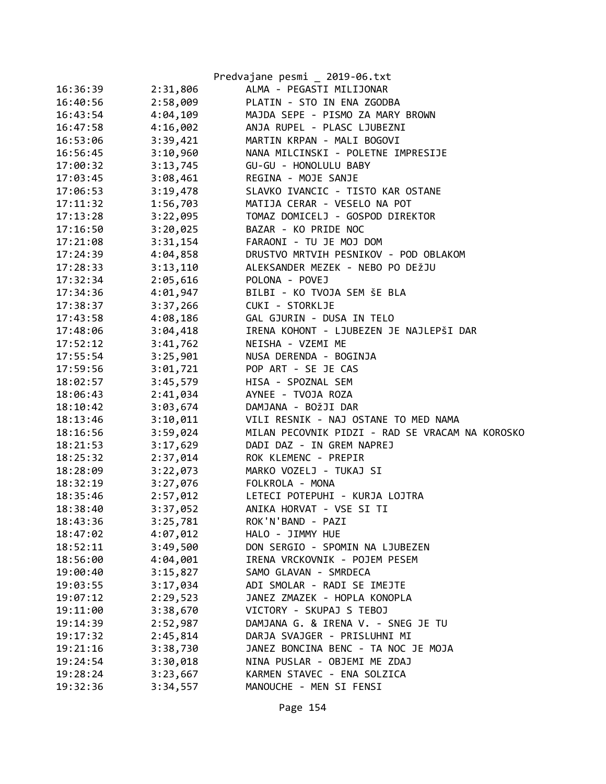|          |          | Predvajane pesmi _ 2019-06.txt                  |
|----------|----------|-------------------------------------------------|
| 16:36:39 | 2:31,806 | ALMA - PEGASTI MILIJONAR                        |
| 16:40:56 | 2:58,009 | PLATIN - STO IN ENA ZGODBA                      |
| 16:43:54 | 4:04,109 | MAJDA SEPE - PISMO ZA MARY BROWN                |
| 16:47:58 | 4:16,002 | ANJA RUPEL - PLASC LJUBEZNI                     |
| 16:53:06 | 3:39,421 | MARTIN KRPAN - MALI BOGOVI                      |
| 16:56:45 | 3:10,960 | NANA MILCINSKI - POLETNE IMPRESIJE              |
| 17:00:32 | 3:13,745 | GU-GU - HONOLULU BABY                           |
| 17:03:45 | 3:08,461 | REGINA - MOJE SANJE                             |
| 17:06:53 | 3:19,478 | SLAVKO IVANCIC - TISTO KAR OSTANE               |
| 17:11:32 | 1:56,703 | MATIJA CERAR - VESELO NA POT                    |
| 17:13:28 | 3:22,095 | TOMAZ DOMICELJ - GOSPOD DIREKTOR                |
| 17:16:50 | 3:20,025 | BAZAR - KO PRIDE NOC                            |
| 17:21:08 | 3:31,154 | FARAONI - TU JE MOJ DOM                         |
| 17:24:39 | 4:04,858 | DRUSTVO MRTVIH PESNIKOV - POD OBLAKOM           |
| 17:28:33 | 3:13,110 | ALEKSANDER MEZEK - NEBO PO DEŽJU                |
| 17:32:34 | 2:05,616 | POLONA - POVEJ                                  |
| 17:34:36 | 4:01,947 | BILBI - KO TVOJA SEM ŠE BLA                     |
| 17:38:37 | 3:37,266 | CUKI - STORKLJE                                 |
| 17:43:58 | 4:08,186 | GAL GJURIN - DUSA IN TELO                       |
| 17:48:06 | 3:04,418 | IRENA KOHONT - LJUBEZEN JE NAJLEPŠI DAR         |
| 17:52:12 | 3:41,762 | NEISHA - VZEMI ME                               |
| 17:55:54 | 3:25,901 | NUSA DERENDA - BOGINJA                          |
| 17:59:56 | 3:01,721 | POP ART - SE JE CAS                             |
| 18:02:57 | 3:45,579 | HISA - SPOZNAL SEM                              |
| 18:06:43 | 2:41,034 | AYNEE - TVOJA ROZA                              |
| 18:10:42 | 3:03,674 | DAMJANA - BOŽJI DAR                             |
| 18:13:46 | 3:10,011 | VILI RESNIK - NAJ OSTANE TO MED NAMA            |
| 18:16:56 | 3:59,024 | MILAN PECOVNIK PIDZI - RAD SE VRACAM NA KOROSKO |
| 18:21:53 | 3:17,629 | DADI DAZ - IN GREM NAPREJ                       |
| 18:25:32 | 2:37,014 | ROK KLEMENC - PREPIR                            |
| 18:28:09 | 3:22,073 | MARKO VOZELJ - TUKAJ SI                         |
| 18:32:19 | 3:27,076 | FOLKROLA - MONA                                 |
| 18:35:46 | 2:57,012 | LETECI POTEPUHI - KURJA LOJTRA                  |
| 18:38:40 | 3:37,052 | ANIKA HORVAT - VSE SI TI                        |
| 18:43:36 | 3:25,781 | ROK'N'BAND - PAZI                               |
| 18:47:02 | 4:07,012 | HALO - JIMMY HUE                                |
| 18:52:11 | 3:49,500 | DON SERGIO - SPOMIN NA LJUBEZEN                 |
| 18:56:00 | 4:04,001 | IRENA VRCKOVNIK - POJEM PESEM                   |
| 19:00:40 | 3:15,827 | SAMO GLAVAN - SMRDECA                           |
| 19:03:55 | 3:17,034 | ADI SMOLAR - RADI SE IMEJTE                     |
| 19:07:12 | 2:29,523 | JANEZ ZMAZEK - HOPLA KONOPLA                    |
| 19:11:00 | 3:38,670 | VICTORY - SKUPAJ S TEBOJ                        |
| 19:14:39 | 2:52,987 | DAMJANA G. & IRENA V. - SNEG JE TU              |
| 19:17:32 | 2:45,814 | DARJA SVAJGER - PRISLUHNI MI                    |
| 19:21:16 | 3:38,730 | JANEZ BONCINA BENC - TA NOC JE MOJA             |
| 19:24:54 | 3:30,018 | NINA PUSLAR - OBJEMI ME ZDAJ                    |
| 19:28:24 | 3:23,667 | KARMEN STAVEC - ENA SOLZICA                     |
| 19:32:36 | 3:34,557 | MANOUCHE - MEN SI FENSI                         |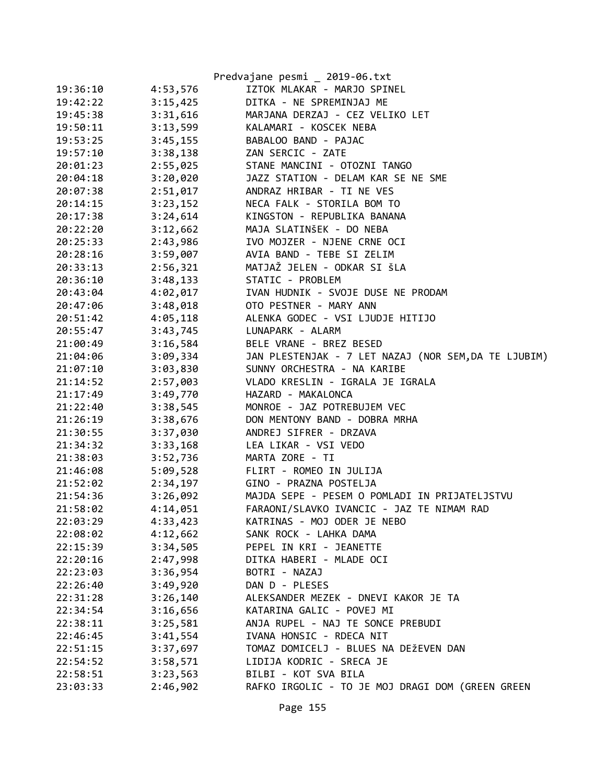|          |          | Predvajane pesmi _ 2019-06.txt                      |
|----------|----------|-----------------------------------------------------|
| 19:36:10 | 4:53,576 | IZTOK MLAKAR - MARJO SPINEL                         |
| 19:42:22 | 3:15,425 | DITKA - NE SPREMINJAJ ME                            |
| 19:45:38 | 3:31,616 | MARJANA DERZAJ - CEZ VELIKO LET                     |
| 19:50:11 | 3:13,599 | KALAMARI - KOSCEK NEBA                              |
| 19:53:25 | 3:45,155 | BABALOO BAND - PAJAC                                |
| 19:57:10 | 3:38,138 | ZAN SERCIC - ZATE                                   |
| 20:01:23 | 2:55,025 | STANE MANCINI - OTOZNI TANGO                        |
| 20:04:18 | 3:20,020 | JAZZ STATION - DELAM KAR SE NE SME                  |
| 20:07:38 | 2:51,017 | ANDRAZ HRIBAR - TI NE VES                           |
| 20:14:15 | 3:23,152 | NECA FALK - STORILA BOM TO                          |
| 20:17:38 | 3:24,614 | KINGSTON - REPUBLIKA BANANA                         |
| 20:22:20 | 3:12,662 | MAJA SLATINŠEK - DO NEBA                            |
| 20:25:33 | 2:43,986 | IVO MOJZER - NJENE CRNE OCI                         |
| 20:28:16 | 3:59,007 | AVIA BAND - TEBE SI ZELIM                           |
| 20:33:13 | 2:56,321 | MATJAŽ JELEN - ODKAR SI ŠLA                         |
| 20:36:10 | 3:48,133 | STATIC - PROBLEM                                    |
| 20:43:04 | 4:02,017 | IVAN HUDNIK - SVOJE DUSE NE PRODAM                  |
| 20:47:06 | 3:48,018 | OTO PESTNER - MARY ANN                              |
| 20:51:42 | 4:05,118 | ALENKA GODEC - VSI LJUDJE HITIJO                    |
| 20:55:47 | 3:43,745 | LUNAPARK - ALARM                                    |
| 21:00:49 | 3:16,584 | BELE VRANE - BREZ BESED                             |
| 21:04:06 | 3:09,334 | JAN PLESTENJAK - 7 LET NAZAJ (NOR SEM,DA TE LJUBIM) |
| 21:07:10 | 3:03,830 | SUNNY ORCHESTRA - NA KARIBE                         |
| 21:14:52 | 2:57,003 | VLADO KRESLIN - IGRALA JE IGRALA                    |
| 21:17:49 | 3:49,770 | HAZARD - MAKALONCA                                  |
| 21:22:40 | 3:38,545 | MONROE - JAZ POTREBUJEM VEC                         |
| 21:26:19 | 3:38,676 | DON MENTONY BAND - DOBRA MRHA                       |
| 21:30:55 | 3:37,030 | ANDREJ SIFRER - DRZAVA                              |
| 21:34:32 | 3:33,168 | LEA LIKAR - VSI VEDO                                |
| 21:38:03 | 3:52,736 | MARTA ZORE - TI                                     |
| 21:46:08 | 5:09,528 | FLIRT - ROMEO IN JULIJA                             |
| 21:52:02 | 2:34,197 | GINO - PRAZNA POSTELJA                              |
| 21:54:36 | 3:26,092 | MAJDA SEPE - PESEM O POMLADI IN PRIJATELJSTVU       |
| 21:58:02 | 4:14,051 | FARAONI/SLAVKO IVANCIC - JAZ TE NIMAM RAD           |
| 22:03:29 | 4:33,423 | KATRINAS - MOJ ODER JE NEBO                         |
| 22:08:02 | 4:12,662 | SANK ROCK - LAHKA DAMA                              |
| 22:15:39 | 3:34,505 | PEPEL IN KRI - JEANETTE                             |
| 22:20:16 | 2:47,998 | DITKA HABERI - MLADE OCI                            |
| 22:23:03 | 3:36,954 | BOTRI - NAZAJ                                       |
| 22:26:40 | 3:49,920 | DAN D - PLESES                                      |
| 22:31:28 | 3:26,140 | ALEKSANDER MEZEK - DNEVI KAKOR JE TA                |
| 22:34:54 | 3:16,656 | KATARINA GALIC - POVEJ MI                           |
| 22:38:11 | 3:25,581 | ANJA RUPEL - NAJ TE SONCE PREBUDI                   |
| 22:46:45 | 3:41,554 | IVANA HONSIC - RDECA NIT                            |
| 22:51:15 | 3:37,697 | TOMAZ DOMICELJ - BLUES NA DEŽEVEN DAN               |
| 22:54:52 | 3:58,571 | LIDIJA KODRIC - SRECA JE                            |
| 22:58:51 | 3:23,563 | BILBI - KOT SVA BILA                                |
| 23:03:33 | 2:46,902 | RAFKO IRGOLIC - TO JE MOJ DRAGI DOM (GREEN GREEN    |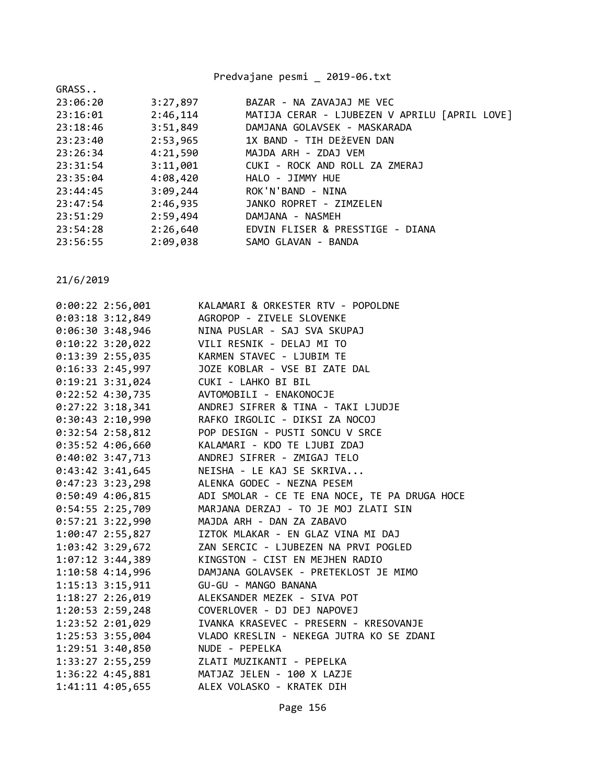|                      | Predvajane pesmi _ 2019-06.txt                |
|----------------------|-----------------------------------------------|
| GRASS                |                                               |
| 3:27,897<br>23:06:20 | BAZAR - NA ZAVAJAJ ME VEC                     |
| 2:46,114<br>23:16:01 | MATIJA CERAR - LJUBEZEN V APRILU [APRIL LOVE] |
| 3:51,849<br>23:18:46 | DAMJANA GOLAVSEK - MASKARADA                  |
| 2:53,965<br>23:23:40 | 1X BAND - TIH DEŽEVEN DAN                     |
| 4:21,590<br>23:26:34 | MAJDA ARH - ZDAJ VEM                          |
| 3:11,001<br>23:31:54 | CUKI - ROCK AND ROLL ZA ZMERAJ                |
| 4:08,420<br>23:35:04 | HALO - JIMMY HUE                              |
| 3:09,244<br>23:44:45 | ROK'N'BAND - NINA                             |
| 2:46,935<br>23:47:54 | JANKO ROPRET - ZIMZELEN                       |
| 2:59,494<br>23:51:29 | DAMJANA - NASMEH                              |
| 2:26,640<br>23:54:28 | EDVIN FLISER & PRESSTIGE - DIANA              |
| 2:09,038<br>23:56:55 | SAMO GLAVAN - BANDA                           |

| $0:00:22$ 2:56,001   | KALAMARI & ORKESTER RTV - POPOLDNE            |
|----------------------|-----------------------------------------------|
| $0:03:18$ 3:12,849   | AGROPOP - ZIVELE SLOVENKE                     |
| $0:06:30$ 3:48,946   | NINA PUSLAR - SAJ SVA SKUPAJ                  |
| $0:10:22$ 3:20,022   | VILI RESNIK - DELAJ MI TO                     |
| $0:13:39$ 2:55,035   | KARMEN STAVEC - LJUBIM TE                     |
| $0:16:33$ 2:45,997   | JOZE KOBLAR - VSE BI ZATE DAL                 |
| $0:19:21$ 3:31,024   | CUKI - LAHKO BI BIL                           |
| 0:22:52 4:30,735     | AVTOMOBILI - ENAKONOCJE                       |
| $0:27:22$ 3:18,341   | ANDREJ SIFRER & TINA - TAKI LJUDJE            |
| $0:30:43$ 2:10,990   | RAFKO IRGOLIC - DIKSI ZA NOCOJ                |
| $0:32:54$ 2:58,812   | POP DESIGN - PUSTI SONCU V SRCE               |
| $0:35:52$ 4:06,660   | KALAMARI - KDO TE LJUBI ZDAJ                  |
| $0:40:02$ 3:47,713   | ANDREJ SIFRER - ZMIGAJ TELO                   |
| $0:43:42$ 3:41,645   | NEISHA - LE KAJ SE SKRIVA                     |
| $0:47:23$ 3:23,298   | ALENKA GODEC - NEZNA PESEM                    |
| $0:50:49$ 4:06,815   | ADI SMOLAR - CE TE ENA NOCE, TE PA DRUGA HOCE |
| $0:54:55$ 2:25,709   | MARJANA DERZAJ - TO JE MOJ ZLATI SIN          |
| 0:57:21 3:22,990     | MAJDA ARH - DAN ZA ZABAVO                     |
| 1:00:47 2:55,827     | IZTOK MLAKAR - EN GLAZ VINA MI DAJ            |
| 1:03:42 3:29,672     | ZAN SERCIC - LJUBEZEN NA PRVI POGLED          |
| $1:07:12$ 3:44,389   | KINGSTON - CIST EN MEJHEN RADIO               |
| 1:10:58 4:14,996     | DAMJANA GOLAVSEK - PRETEKLOST JE MIMO         |
| 1:15:13 3:15,911     | GU-GU - MANGO BANANA                          |
| 1:18:27 2:26,019     | ALEKSANDER MEZEK - SIVA POT                   |
| 1:20:53 2:59,248     | COVERLOVER - DJ DEJ NAPOVEJ                   |
| 1:23:52 2:01,029     | IVANKA KRASEVEC - PRESERN - KRESOVANJE        |
| $1:25:53$ 3:55,004   | VLADO KRESLIN - NEKEGA JUTRA KO SE ZDANI      |
| $1:29:51$ $3:40,850$ | NUDE - PEPELKA                                |
| 1:33:27 2:55,259     | ZLATI MUZIKANTI - PEPELKA                     |
| 1:36:22 4:45,881     | MATJAZ JELEN - 100 X LAZJE                    |
| 1:41:11 4:05,655     | ALEX VOLASKO - KRATEK DIH                     |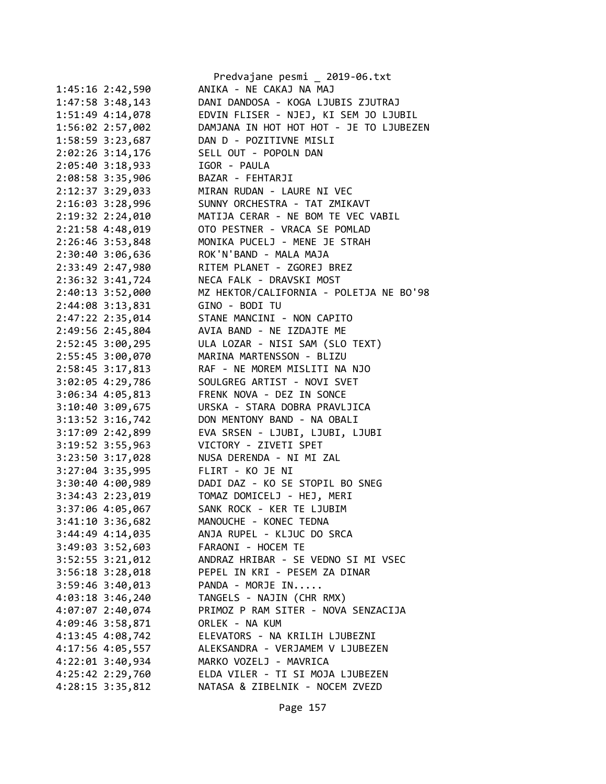|                                         | Predvajane pesmi _ 2019-06.txt                                                                 |
|-----------------------------------------|------------------------------------------------------------------------------------------------|
| 1:45:16 2:42,590                        | ANIKA - NE CAKAJ NA MAJ                                                                        |
| 1:47:58 3:48,143                        | DANI DANDOSA - KOGA LJUBIS ZJUTRAJ                                                             |
|                                         |                                                                                                |
| 1:56:02 2:57,002                        | DAMJANA IN HOT HOT HOT - JE TO LJUBEZEN                                                        |
|                                         | 1:58:59 3:23,687 DAN D - POZITIVNE MISLI                                                       |
| 2:02:26 3:14,176                        | SELL OUT - POPOLN DAN                                                                          |
| $2:05:40$ 3:18,933                      | IGOR - PAULA                                                                                   |
| 2:08:58 3:35,906                        | BAZAR - FEHTARJI                                                                               |
| 2:12:37 3:29,033                        |                                                                                                |
| 2:16:03 3:28,996                        | MIRAN RUDAN - LAURE NI VEC<br>SUNNY ORCHESTRA - TAT ZMIKAVT                                    |
|                                         | 2:19:32 2:24,010 MATIJA CERAR - NE BOM TE VEC VABIL                                            |
| 2:21:58 4:48,019                        | OTO PESTNER - VRACA SE POMLAD                                                                  |
|                                         | 2:26:46 3:53,848 MONIKA PUCELJ - MENE JE STRAH                                                 |
| 2:30:40 3:06,636 ROK'N'BAND - MALA MAJA |                                                                                                |
| 2:33:49 2:47,980                        | RITEM PLANET - ZGOREJ BREZ                                                                     |
| $2:36:32$ $3:41,724$                    | NECA FALK - DRAVSKI MOST                                                                       |
| 2:40:13 3:52,000                        | MZ HEKTOR/CALIFORNIA - POLETJA NE BO'98                                                        |
| 2:44:08 3:13,831 GINO - BODI TU         |                                                                                                |
|                                         | 2:47:22 2:35,014 STANE MANCINI - NON CAPITO                                                    |
|                                         | 2:49:56 2:45,804 AVIA BAND - NE IZDAJTE ME                                                     |
|                                         | 2:52:45 3:00,295 ULA LOZAR - NISI SAM (SLO TEXT)                                               |
|                                         | 2:55:45 3:00,070 MARINA MARTENSSON - BLIZU                                                     |
|                                         | 2:58:45 3:17,813 RAF - NE MOREM MISLITI NA NJO<br>3:02:05 4:29,786 SOULGREG ARTIST - NOVI SVET |
|                                         |                                                                                                |
|                                         | 3:06:34 4:05,813 FRENK NOVA - DEZ IN SONCE                                                     |
| 3:10:40 3:09,675                        | URSKA - STARA DOBRA PRAVLJICA                                                                  |
| $3:13:52$ $3:16,742$                    | DON MENTONY BAND - NA OBALI                                                                    |
|                                         | 3:17:09 2:42,899 EVA SRSEN - LJUBI, LJUBI, LJUBI                                               |
| 3:19:52 3:55,963                        | VICTORY - ZIVETI SPET                                                                          |
| $3:23:50$ $3:17,028$                    | NUSA DERENDA - NI MI ZAL                                                                       |
| 3:27:04 3:35,995 FLIRT - KO JE NI       |                                                                                                |
|                                         | 3:30:40 4:00,989 DADI DAZ - KO SE STOPIL BO SNEG                                               |
|                                         |                                                                                                |
| 3:37:06 4:05,067                        | SANK ROCK - KER TE LJUBIM                                                                      |
| 3:41:10 3:36,682                        | MANOUCHE - KONEC TEDNA                                                                         |
| $3:44:49$ $4:14,035$                    | ANJA RUPEL - KLJUC DO SRCA                                                                     |
| $3:49:03$ $3:52,603$                    | FARAONI - HOCEM TE                                                                             |
| 3:52:55 3:21,012                        | ANDRAZ HRIBAR - SE VEDNO SI MI VSEC                                                            |
| $3:56:18$ $3:28,018$                    | PEPEL IN KRI - PESEM ZA DINAR                                                                  |
| $3:59:46$ $3:40,013$                    | PANDA - MORJE IN                                                                               |
| $4:03:18$ 3:46,240                      | TANGELS - NAJIN (CHR RMX)                                                                      |
| 4:07:07 2:40,074                        | PRIMOZ P RAM SITER - NOVA SENZACIJA                                                            |
| 4:09:46 3:58,871                        | ORLEK - NA KUM                                                                                 |
| 4:13:45 4:08,742                        | ELEVATORS - NA KRILIH LJUBEZNI                                                                 |
| 4:17:56 4:05,557                        | ALEKSANDRA - VERJAMEM V LJUBEZEN                                                               |
| 4:22:01 3:40,934                        | MARKO VOZELJ - MAVRICA                                                                         |
| 4:25:42 2:29,760                        | ELDA VILER - TI SI MOJA LJUBEZEN                                                               |
| $4:28:15$ 3:35,812                      | NATASA & ZIBELNIK - NOCEM ZVEZD                                                                |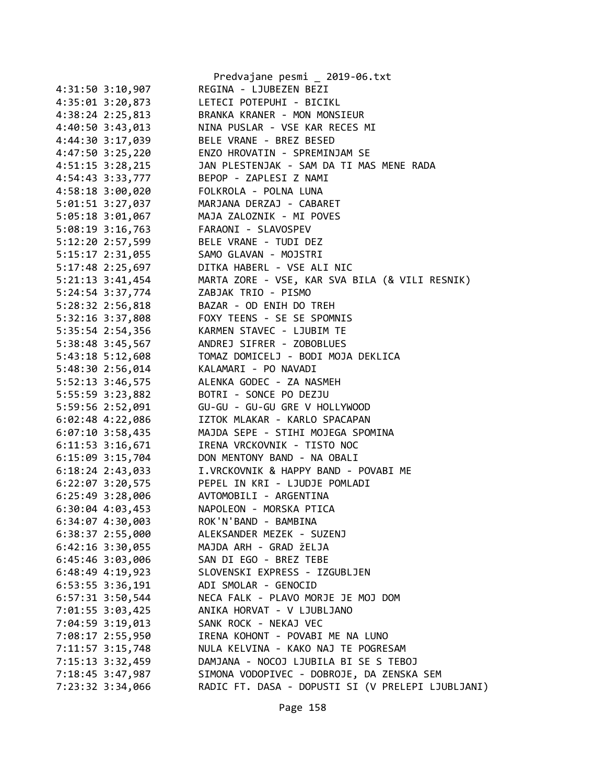|                      | Predvajane pesmi _ 2019-06.txt                                                                                                     |
|----------------------|------------------------------------------------------------------------------------------------------------------------------------|
| 4:31:50 3:10,907     | REGINA - LJUBEZEN BEZI                                                                                                             |
| 4:35:01 3:20,873     | LETECI POTEPUHI - BICIKL                                                                                                           |
| 4:38:24 2:25,813     | BRANKA KRANER - MON MONSIEUR                                                                                                       |
| 4:40:50 3:43,013     | NINA PUSLAR - VSE KAR RECES MI                                                                                                     |
|                      | 4:44:30 3:17,039 BELE VRANE - BREZ BESED                                                                                           |
|                      | 4:47:50 3:25,220 ENZO HROVATIN - SPREMINJAM SE                                                                                     |
| $4:51:15$ $3:28,215$ | JAN PLESTENJAK - SAM DA TI MAS MENE RADA                                                                                           |
| 4:54:43 3:33,777     | BEPOP - ZAPLESI Z NAMI                                                                                                             |
| 4:58:18 3:00,020     | FOLKROLA - POLNA LUNA                                                                                                              |
| 5:01:51 3:27,037     | MARJANA DERZAJ - CABARET                                                                                                           |
| 5:05:18 3:01,067     | MAJA ZALOZNIK - MI POVES                                                                                                           |
|                      | 5:08:19 3:16,763 FARAONI - SLAVOSPEV                                                                                               |
|                      | 5:12:20 2:57,599 BELE VRANE - TUDI DEZ                                                                                             |
|                      | 5:15:17 2:31,055 SAMO GLAVAN - MOJSTRI                                                                                             |
|                      |                                                                                                                                    |
|                      | 5:17:48 2:25,697<br>5:17:48 2:25,697 DITKA HABERL - VSE ALI NIC<br>5:21:13 3:41,454 MARTA ZORE - VSE, KAR SVA BILA (& VILI RESNIK) |
| 5:24:54 3:37,774     | ZABJAK TRIO - PISMO                                                                                                                |
| 5:28:32 2:56,818     | BAZAR - OD ENIH DO TREH                                                                                                            |
|                      | 5:32:16 3:37,808 FOXY TEENS - SE SE SPOMNIS                                                                                        |
|                      | 5:35:54 2:54,356 KARMEN STAVEC - LJUBIM TE                                                                                         |
| 5:38:48 3:45,567     | ANDREJ SIFRER - ZOBOBLUES                                                                                                          |
| 5:43:18 5:12,608     |                                                                                                                                    |
| 5:48:30 2:56,014     | TOMAZ DOMICELJ - BODI MOJA DEKLICA<br>KALAMARI - PO NAVADI                                                                         |
| 5:52:13 3:46,575     | ALENKA GODEC - ZA NASMEH                                                                                                           |
| 5:55:59 3:23,882     | BOTRI - SONCE PO DEZJU                                                                                                             |
| 5:59:56 2:52,091     | GU-GU - GU-GU GRE V HOLLYWOOD                                                                                                      |
| $6:02:48$ 4:22,086   | IZTOK MLAKAR - KARLO SPACAPAN                                                                                                      |
|                      | MAJDA SEPE - STIHI MOJEGA SPOMINA                                                                                                  |
| $6:07:10$ 3:58,435   | IRENA VRCKOVNIK - TISTO NOC                                                                                                        |
| 6:11:53 3:16,671     | DON MENTONY BAND - NA OBALI                                                                                                        |
| $6:15:09$ 3:15,704   |                                                                                                                                    |
| $6:18:24$ 2:43,033   | I.VRCKOVNIK & HAPPY BAND - POVABI ME                                                                                               |
| $6:22:07$ 3:20,575   | PEPEL IN KRI - LJUDJE POMLADI                                                                                                      |
| $6:25:49$ 3:28,006   | AVTOMOBILI - ARGENTINA                                                                                                             |
| $6:30:04$ 4:03,453   | NAPOLEON - MORSKA PTICA<br>ROK'N'BAND - BAMBINA                                                                                    |
| 6:34:07 4:30,003     |                                                                                                                                    |
| 6:38:37 2:55,000     | ALEKSANDER MEZEK - SUZENJ                                                                                                          |
| $6:42:16$ 3:30,055   | MAJDA ARH - GRAD ŽELJA                                                                                                             |
| $6:45:46$ 3:03,006   | SAN DI EGO - BREZ TEBE                                                                                                             |
| $6:48:49$ 4:19,923   | SLOVENSKI EXPRESS - IZGUBLJEN                                                                                                      |
| $6:53:55$ 3:36,191   | ADI SMOLAR - GENOCID                                                                                                               |
| $6:57:31$ 3:50,544   | NECA FALK - PLAVO MORJE JE MOJ DOM                                                                                                 |
| 7:01:55 3:03,425     | ANIKA HORVAT - V LJUBLJANO                                                                                                         |
| 7:04:59 3:19,013     | SANK ROCK - NEKAJ VEC                                                                                                              |
| 7:08:17 2:55,950     | IRENA KOHONT - POVABI ME NA LUNO                                                                                                   |
| 7:11:57 3:15,748     | NULA KELVINA - KAKO NAJ TE POGRESAM                                                                                                |
| 7:15:13 3:32,459     | DAMJANA - NOCOJ LJUBILA BI SE S TEBOJ                                                                                              |
| 7:18:45 3:47,987     | SIMONA VODOPIVEC - DOBROJE, DA ZENSKA SEM                                                                                          |
| 7:23:32 3:34,066     | RADIC FT. DASA - DOPUSTI SI (V PRELEPI LJUBLJANI)                                                                                  |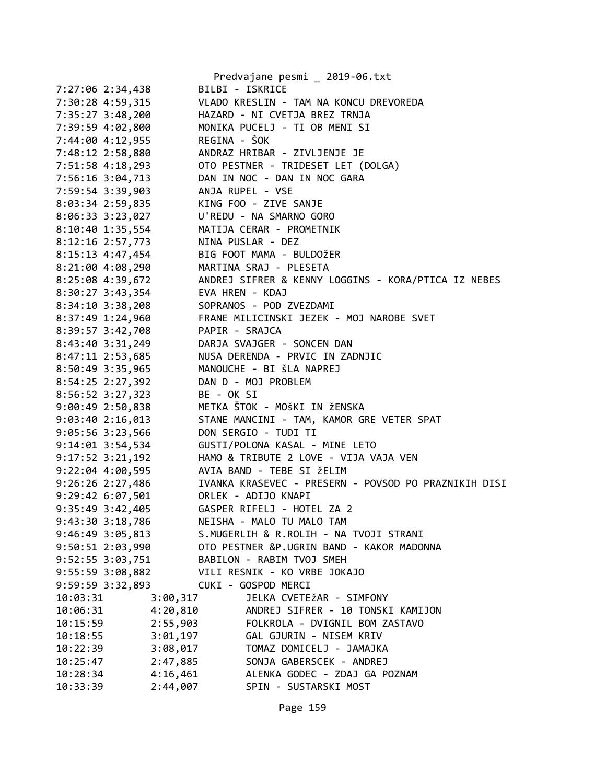|                      |              | Predvajane pesmi _ 2019-06.txt                       |
|----------------------|--------------|------------------------------------------------------|
| 7:27:06 2:34,438     |              | BILBI - ISKRICE                                      |
| 7:30:28 4:59,315     |              | VLADO KRESLIN - TAM NA KONCU DREVOREDA               |
| 7:35:27 3:48,200     |              | HAZARD - NI CVETJA BREZ TRNJA                        |
| 7:39:59 4:02,800     |              | MONIKA PUCELJ - TI OB MENI SI                        |
| 7:44:00 4:12,955     | REGINA - ŠOK |                                                      |
| 7:48:12 2:58,880     |              | ANDRAZ HRIBAR - ZIVLJENJE JE                         |
| 7:51:58 4:18,293     |              | OTO PESTNER - TRIDESET LET (DOLGA)                   |
| 7:56:16 3:04,713     |              | DAN IN NOC - DAN IN NOC GARA                         |
| 7:59:54 3:39,903     |              | ANJA RUPEL - VSE                                     |
| 8:03:34 2:59,835     |              | KING FOO - ZIVE SANJE                                |
| 8:06:33 3:23,027     |              | U'REDU - NA SMARNO GORO                              |
| 8:10:40 1:35,554     |              | MATIJA CERAR - PROMETNIK                             |
| 8:12:16 2:57,773     |              | NINA PUSLAR - DEZ                                    |
| 8:15:13 4:47,454     |              | BIG FOOT MAMA - BULDOŽER                             |
| $8:21:00$ 4:08,290   |              | MARTINA SRAJ - PLESETA                               |
| 8:25:08 4:39,672     |              | ANDREJ SIFRER & KENNY LOGGINS - KORA/PTICA IZ NEBES  |
| 8:30:27 3:43,354     |              | EVA HREN - KDAJ                                      |
| 8:34:10 3:38,208     |              | SOPRANOS - POD ZVEZDAMI                              |
| $8:37:49$ 1:24,960   |              | FRANE MILICINSKI JEZEK - MOJ NAROBE SVET             |
| 8:39:57 3:42,708     |              | PAPIR - SRAJCA                                       |
| 8:43:40 3:31,249     |              | DARJA SVAJGER - SONCEN DAN                           |
| 8:47:11 2:53,685     |              | NUSA DERENDA - PRVIC IN ZADNJIC                      |
| 8:50:49 3:35,965     |              | MANOUCHE - BI ŠLA NAPREJ                             |
| 8:54:25 2:27,392     |              | DAN D - MOJ PROBLEM                                  |
| 8:56:52 3:27,323     | BE - OK SI   |                                                      |
| 9:00:49 2:50,838     |              | METKA ŠTOK - MOŠKI IN ŽENSKA                         |
| 9:03:40 2:16,013     |              | STANE MANCINI - TAM, KAMOR GRE VETER SPAT            |
| $9:05:56$ 3:23,566   |              | DON SERGIO - TUDI TI                                 |
| 9:14:01 3:54,534     |              | GUSTI/POLONA KASAL - MINE LETO                       |
| $9:17:52$ $3:21,192$ |              | HAMO & TRIBUTE 2 LOVE - VIJA VAJA VEN                |
| $9:22:04$ 4:00,595   |              | AVIA BAND - TEBE SI ŽELIM                            |
| $9:26:26$ 2:27,486   |              | IVANKA KRASEVEC - PRESERN - POVSOD PO PRAZNIKIH DISI |
| 9:29:42 6:07,501     |              | ORLEK - ADIJO KNAPI                                  |
| 9:35:49 3:42,405     |              | GASPER RIFELJ - HOTEL ZA 2                           |
| 9:43:30 3:18,786     |              | NEISHA - MALO TU MALO TAM                            |
| 9:46:49 3:05,813     |              | S.MUGERLIH & R.ROLIH - NA TVOJI STRANI               |
| 9:50:51 2:03,990     |              | OTO PESTNER &P.UGRIN BAND - KAKOR MADONNA            |
| 9:52:55 3:03,751     |              | BABILON - RABIM TVOJ SMEH                            |
| 9:55:59 3:08,882     |              | VILI RESNIK - KO VRBE JOKAJO                         |
| 9:59:59 3:32,893     |              | CUKI - GOSPOD MERCI                                  |
| 10:03:31             | 3:00,317     | JELKA CVETEŽAR - SIMFONY                             |
| 10:06:31             | 4:20,810     | ANDREJ SIFRER - 10 TONSKI KAMIJON                    |
| 10:15:59             | 2:55,903     | FOLKROLA - DVIGNIL BOM ZASTAVO                       |
| 10:18:55             | 3:01,197     | GAL GJURIN - NISEM KRIV                              |
| 10:22:39             | 3:08,017     | TOMAZ DOMICELJ - JAMAJKA                             |
| 10:25:47             | 2:47,885     | SONJA GABERSCEK - ANDREJ                             |
| 10:28:34             | 4:16,461     | ALENKA GODEC - ZDAJ GA POZNAM                        |
| 10:33:39             | 2:44,007     | SPIN - SUSTARSKI MOST                                |
|                      |              |                                                      |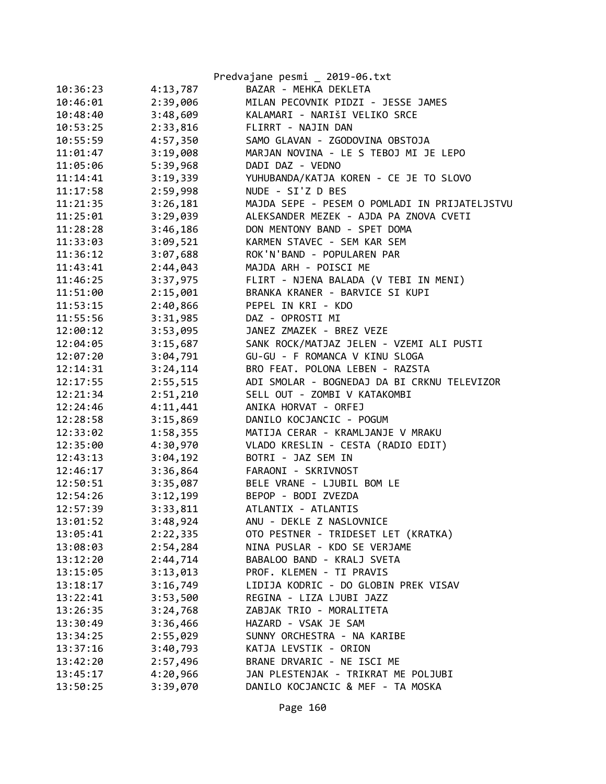|          |          | Predvajane pesmi _ 2019-06.txt                |
|----------|----------|-----------------------------------------------|
| 10:36:23 | 4:13,787 | BAZAR - MEHKA DEKLETA                         |
| 10:46:01 | 2:39,006 | MILAN PECOVNIK PIDZI - JESSE JAMES            |
| 10:48:40 | 3:48,609 | KALAMARI - NARIŠI VELIKO SRCE                 |
| 10:53:25 | 2:33,816 | FLIRRT - NAJIN DAN                            |
| 10:55:59 | 4:57,350 | SAMO GLAVAN - ZGODOVINA OBSTOJA               |
| 11:01:47 | 3:19,008 | MARJAN NOVINA - LE S TEBOJ MI JE LEPO         |
| 11:05:06 | 5:39,968 | DADI DAZ - VEDNO                              |
| 11:14:41 | 3:19,339 | YUHUBANDA/KATJA KOREN - CE JE TO SLOVO        |
| 11:17:58 | 2:59,998 | NUDE - SI'Z D BES                             |
| 11:21:35 | 3:26,181 | MAJDA SEPE - PESEM O POMLADI IN PRIJATELJSTVU |
| 11:25:01 | 3:29,039 | ALEKSANDER MEZEK - AJDA PA ZNOVA CVETI        |
| 11:28:28 | 3:46,186 | DON MENTONY BAND - SPET DOMA                  |
| 11:33:03 | 3:09,521 | KARMEN STAVEC - SEM KAR SEM                   |
| 11:36:12 | 3:07,688 | ROK'N'BAND - POPULAREN PAR                    |
| 11:43:41 | 2:44,043 | MAJDA ARH - POISCI ME                         |
| 11:46:25 | 3:37,975 | FLIRT - NJENA BALADA (V TEBI IN MENI)         |
| 11:51:00 | 2:15,001 | BRANKA KRANER - BARVICE SI KUPI               |
| 11:53:15 | 2:40,866 | PEPEL IN KRI - KDO                            |
| 11:55:56 | 3:31,985 | DAZ - OPROSTI MI                              |
| 12:00:12 | 3:53,095 | JANEZ ZMAZEK - BREZ VEZE                      |
| 12:04:05 | 3:15,687 | SANK ROCK/MATJAZ JELEN - VZEMI ALI PUSTI      |
| 12:07:20 | 3:04,791 | GU-GU - F ROMANCA V KINU SLOGA                |
| 12:14:31 | 3:24,114 | BRO FEAT. POLONA LEBEN - RAZSTA               |
| 12:17:55 | 2:55,515 | ADI SMOLAR - BOGNEDAJ DA BI CRKNU TELEVIZOR   |
| 12:21:34 | 2:51,210 | SELL OUT - ZOMBI V KATAKOMBI                  |
| 12:24:46 | 4:11,441 | ANIKA HORVAT - ORFEJ                          |
| 12:28:58 | 3:15,869 | DANILO KOCJANCIC - POGUM                      |
| 12:33:02 | 1:58,355 | MATIJA CERAR - KRAMLJANJE V MRAKU             |
| 12:35:00 | 4:30,970 | VLADO KRESLIN - CESTA (RADIO EDIT)            |
| 12:43:13 | 3:04,192 | BOTRI - JAZ SEM IN                            |
| 12:46:17 | 3:36,864 | FARAONI - SKRIVNOST                           |
| 12:50:51 | 3:35,087 | BELE VRANE - LJUBIL BOM LE                    |
| 12:54:26 | 3:12,199 | BEPOP - BODI ZVEZDA                           |
| 12:57:39 | 3:33,811 | ATLANTIX - ATLANTIS                           |
| 13:01:52 | 3:48,924 | ANU - DEKLE Z NASLOVNICE                      |
| 13:05:41 | 2:22,335 | OTO PESTNER - TRIDESET LET (KRATKA)           |
| 13:08:03 | 2:54,284 | NINA PUSLAR - KDO SE VERJAME                  |
| 13:12:20 | 2:44,714 | BABALOO BAND - KRALJ SVETA                    |
| 13:15:05 | 3:13,013 | PROF. KLEMEN - TI PRAVIS                      |
| 13:18:17 | 3:16,749 | LIDIJA KODRIC - DO GLOBIN PREK VISAV          |
| 13:22:41 | 3:53,500 | REGINA - LIZA LJUBI JAZZ                      |
| 13:26:35 | 3:24,768 | ZABJAK TRIO - MORALITETA                      |
| 13:30:49 | 3:36,466 | HAZARD - VSAK JE SAM                          |
| 13:34:25 | 2:55,029 | SUNNY ORCHESTRA - NA KARIBE                   |
| 13:37:16 | 3:40,793 | KATJA LEVSTIK - ORION                         |
| 13:42:20 | 2:57,496 | BRANE DRVARIC - NE ISCI ME                    |
| 13:45:17 | 4:20,966 | JAN PLESTENJAK - TRIKRAT ME POLJUBI           |
| 13:50:25 | 3:39,070 | DANILO KOCJANCIC & MEF - TA MOSKA             |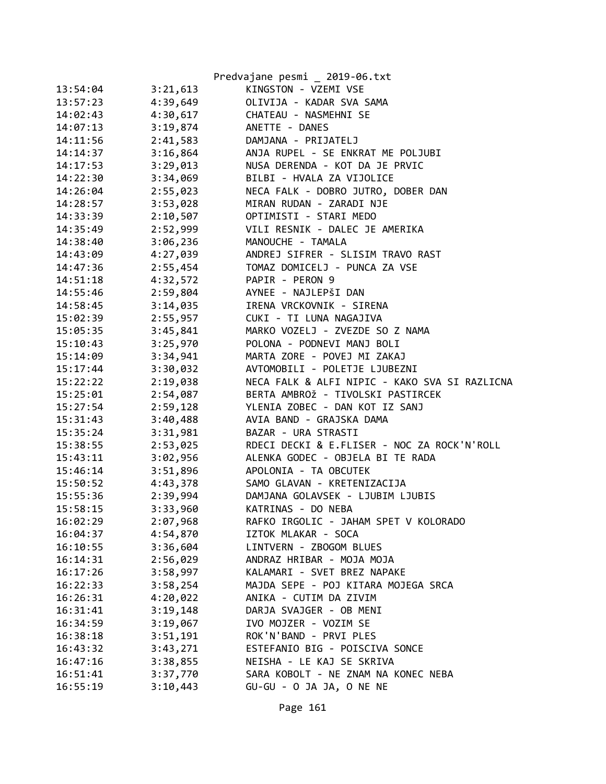|          |          | Predvajane pesmi _ 2019-06.txt                |
|----------|----------|-----------------------------------------------|
| 13:54:04 | 3:21,613 | KINGSTON - VZEMI VSE                          |
| 13:57:23 | 4:39,649 | OLIVIJA - KADAR SVA SAMA                      |
| 14:02:43 | 4:30,617 | CHATEAU - NASMEHNI SE                         |
| 14:07:13 | 3:19,874 | ANETTE - DANES                                |
| 14:11:56 | 2:41,583 | DAMJANA - PRIJATELJ                           |
| 14:14:37 | 3:16,864 | ANJA RUPEL - SE ENKRAT ME POLJUBI             |
| 14:17:53 | 3:29,013 | NUSA DERENDA - KOT DA JE PRVIC                |
| 14:22:30 | 3:34,069 | BILBI - HVALA ZA VIJOLICE                     |
| 14:26:04 | 2:55,023 | NECA FALK - DOBRO JUTRO, DOBER DAN            |
| 14:28:57 | 3:53,028 | MIRAN RUDAN - ZARADI NJE                      |
| 14:33:39 | 2:10,507 | OPTIMISTI - STARI MEDO                        |
| 14:35:49 | 2:52,999 | VILI RESNIK - DALEC JE AMERIKA                |
| 14:38:40 | 3:06,236 | MANOUCHE - TAMALA                             |
| 14:43:09 | 4:27,039 | ANDREJ SIFRER - SLISIM TRAVO RAST             |
| 14:47:36 | 2:55,454 | TOMAZ DOMICELJ - PUNCA ZA VSE                 |
| 14:51:18 | 4:32,572 | PAPIR - PERON 9                               |
| 14:55:46 | 2:59,804 | AYNEE - NAJLEPŠI DAN                          |
| 14:58:45 | 3:14,035 | IRENA VRCKOVNIK - SIRENA                      |
| 15:02:39 | 2:55,957 | CUKI - TI LUNA NAGAJIVA                       |
| 15:05:35 | 3:45,841 | MARKO VOZELJ - ZVEZDE SO Z NAMA               |
| 15:10:43 | 3:25,970 | POLONA - PODNEVI MANJ BOLI                    |
| 15:14:09 | 3:34,941 | MARTA ZORE - POVEJ MI ZAKAJ                   |
| 15:17:44 | 3:30,032 | AVTOMOBILI - POLETJE LJUBEZNI                 |
| 15:22:22 | 2:19,038 | NECA FALK & ALFI NIPIC - KAKO SVA SI RAZLICNA |
| 15:25:01 | 2:54,087 | BERTA AMBROŽ - TIVOLSKI PASTIRCEK             |
| 15:27:54 | 2:59,128 | YLENIA ZOBEC - DAN KOT IZ SANJ                |
| 15:31:43 | 3:40,488 | AVIA BAND - GRAJSKA DAMA                      |
| 15:35:24 | 3:31,981 | BAZAR - URA STRASTI                           |
| 15:38:55 | 2:53,025 | RDECI DECKI & E.FLISER - NOC ZA ROCK'N'ROLL   |
| 15:43:11 | 3:02,956 | ALENKA GODEC - OBJELA BI TE RADA              |
| 15:46:14 | 3:51,896 | APOLONIA - TA OBCUTEK                         |
| 15:50:52 |          | 4:43,378 SAMO GLAVAN - KRETENIZACIJA          |
| 15:55:36 |          | 2:39,994 DAMJANA GOLAVSEK - LJUBIM LJUBIS     |
| 15:58:15 | 3:33,960 | KATRINAS - DO NEBA                            |
| 16:02:29 | 2:07,968 | RAFKO IRGOLIC - JAHAM SPET V KOLORADO         |
| 16:04:37 | 4:54,870 | IZTOK MLAKAR - SOCA                           |
| 16:10:55 | 3:36,604 | LINTVERN - ZBOGOM BLUES                       |
| 16:14:31 | 2:56,029 | ANDRAZ HRIBAR - MOJA MOJA                     |
| 16:17:26 | 3:58,997 | KALAMARI - SVET BREZ NAPAKE                   |
| 16:22:33 | 3:58,254 | MAJDA SEPE - POJ KITARA MOJEGA SRCA           |
| 16:26:31 | 4:20,022 | ANIKA - CUTIM DA ZIVIM                        |
| 16:31:41 | 3:19,148 | DARJA SVAJGER - OB MENI                       |
| 16:34:59 | 3:19,067 | IVO MOJZER - VOZIM SE                         |
| 16:38:18 | 3:51,191 | ROK'N'BAND - PRVI PLES                        |
| 16:43:32 | 3:43,271 | ESTEFANIO BIG - POISCIVA SONCE                |
| 16:47:16 | 3:38,855 | NEISHA - LE KAJ SE SKRIVA                     |
| 16:51:41 | 3:37,770 | SARA KOBOLT - NE ZNAM NA KONEC NEBA           |
| 16:55:19 | 3:10,443 | GU-GU - O JA JA, O NE NE                      |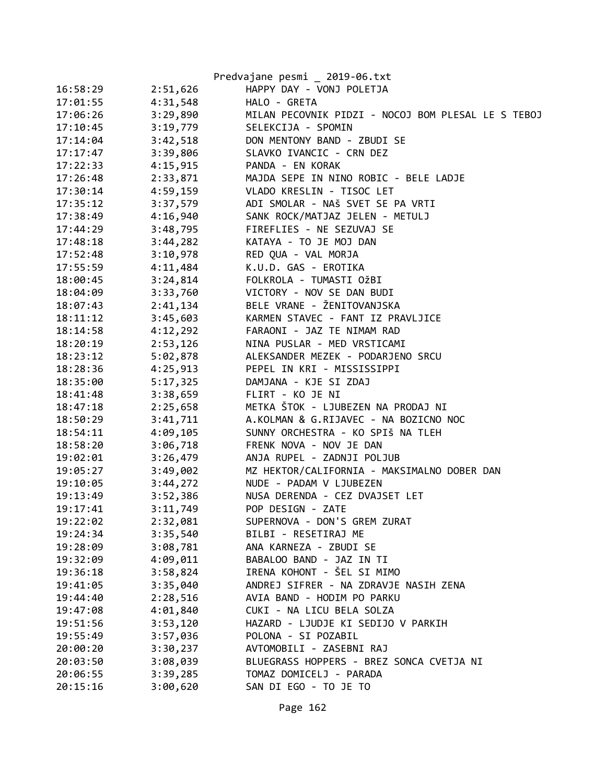|          |          | Predvajane pesmi _ 2019-06.txt                     |
|----------|----------|----------------------------------------------------|
| 16:58:29 | 2:51,626 | HAPPY DAY - VONJ POLETJA                           |
| 17:01:55 | 4:31,548 | HALO - GRETA                                       |
| 17:06:26 | 3:29,890 | MILAN PECOVNIK PIDZI - NOCOJ BOM PLESAL LE S TEBOJ |
| 17:10:45 | 3:19,779 | SELEKCIJA - SPOMIN                                 |
| 17:14:04 | 3:42,518 | DON MENTONY BAND - ZBUDI SE                        |
| 17:17:47 | 3:39,806 | SLAVKO IVANCIC - CRN DEZ                           |
| 17:22:33 | 4:15,915 | PANDA - EN KORAK                                   |
| 17:26:48 | 2:33,871 | MAJDA SEPE IN NINO ROBIC - BELE LADJE              |
| 17:30:14 | 4:59,159 | VLADO KRESLIN - TISOC LET                          |
| 17:35:12 | 3:37,579 | ADI SMOLAR - NAŠ SVET SE PA VRTI                   |
| 17:38:49 | 4:16,940 | SANK ROCK/MATJAZ JELEN - METULJ                    |
| 17:44:29 | 3:48,795 | FIREFLIES - NE SEZUVAJ SE                          |
| 17:48:18 | 3:44,282 | KATAYA - TO JE MOJ DAN                             |
| 17:52:48 | 3:10,978 | RED QUA - VAL MORJA                                |
| 17:55:59 | 4:11,484 | K.U.D. GAS - EROTIKA                               |
| 18:00:45 | 3:24,814 | FOLKROLA - TUMASTI OŽBI                            |
| 18:04:09 | 3:33,760 | VICTORY - NOV SE DAN BUDI                          |
| 18:07:43 | 2:41,134 | BELE VRANE - ŽENITOVANJSKA                         |
| 18:11:12 | 3:45,603 | KARMEN STAVEC - FANT IZ PRAVLJICE                  |
| 18:14:58 | 4:12,292 | FARAONI - JAZ TE NIMAM RAD                         |
| 18:20:19 | 2:53,126 | NINA PUSLAR - MED VRSTICAMI                        |
| 18:23:12 | 5:02,878 | ALEKSANDER MEZEK - PODARJENO SRCU                  |
| 18:28:36 | 4:25,913 | PEPEL IN KRI - MISSISSIPPI                         |
| 18:35:00 | 5:17,325 | DAMJANA - KJE SI ZDAJ                              |
| 18:41:48 | 3:38,659 | FLIRT - KO JE NI                                   |
| 18:47:18 | 2:25,658 | METKA ŠTOK - LJUBEZEN NA PRODAJ NI                 |
| 18:50:29 | 3:41,711 | A.KOLMAN & G.RIJAVEC - NA BOZICNO NOC              |
| 18:54:11 | 4:09,105 | SUNNY ORCHESTRA - KO SPIŠ NA TLEH                  |
| 18:58:20 | 3:06,718 | FRENK NOVA - NOV JE DAN                            |
| 19:02:01 | 3:26,479 | ANJA RUPEL - ZADNJI POLJUB                         |
| 19:05:27 | 3:49,002 | MZ HEKTOR/CALIFORNIA - MAKSIMALNO DOBER DAN        |
| 19:10:05 | 3:44,272 | NUDE - PADAM V LJUBEZEN                            |
| 19:13:49 | 3:52,386 | NUSA DERENDA - CEZ DVAJSET LET                     |
| 19:17:41 | 3:11,749 | POP DESIGN - ZATE                                  |
| 19:22:02 | 2:32,081 | SUPERNOVA - DON'S GREM ZURAT                       |
| 19:24:34 | 3:35,540 | BILBI - RESETIRAJ ME                               |
| 19:28:09 | 3:08,781 | ANA KARNEZA - ZBUDI SE                             |
| 19:32:09 | 4:09,011 | BABALOO BAND - JAZ IN TI                           |
| 19:36:18 | 3:58,824 | IRENA KOHONT - ŠEL SI MIMO                         |
| 19:41:05 | 3:35,040 | ANDREJ SIFRER - NA ZDRAVJE NASIH ZENA              |
| 19:44:40 | 2:28,516 | AVIA BAND - HODIM PO PARKU                         |
| 19:47:08 | 4:01,840 | CUKI - NA LICU BELA SOLZA                          |
| 19:51:56 | 3:53,120 | HAZARD - LJUDJE KI SEDIJO V PARKIH                 |
| 19:55:49 | 3:57,036 | POLONA - SI POZABIL                                |
| 20:00:20 | 3:30,237 | AVTOMOBILI - ZASEBNI RAJ                           |
| 20:03:50 | 3:08,039 | BLUEGRASS HOPPERS - BREZ SONCA CVETJA NI           |
| 20:06:55 | 3:39,285 | TOMAZ DOMICELJ - PARADA                            |
| 20:15:16 | 3:00,620 | SAN DI EGO - TO JE TO                              |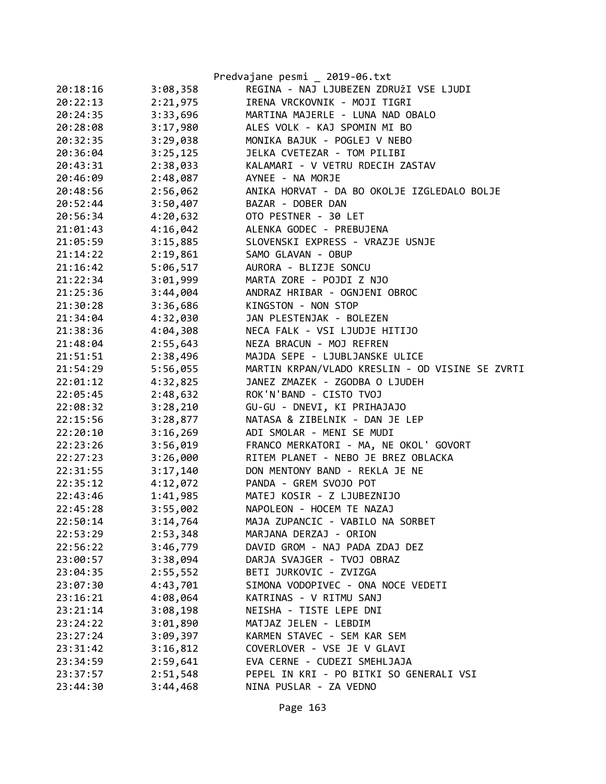|          |          | Predvajane pesmi _ 2019-06.txt                  |
|----------|----------|-------------------------------------------------|
| 20:18:16 | 3:08,358 | REGINA - NAJ LJUBEZEN ZDRUŽI VSE LJUDI          |
| 20:22:13 | 2:21,975 | IRENA VRCKOVNIK - MOJI TIGRI                    |
| 20:24:35 | 3:33,696 | MARTINA MAJERLE - LUNA NAD OBALO                |
| 20:28:08 | 3:17,980 | ALES VOLK - KAJ SPOMIN MI BO                    |
| 20:32:35 | 3:29,038 | MONIKA BAJUK - POGLEJ V NEBO                    |
| 20:36:04 | 3:25,125 | JELKA CVETEZAR - TOM PILIBI                     |
| 20:43:31 | 2:38,033 | KALAMARI - V VETRU RDECIH ZASTAV                |
| 20:46:09 | 2:48,087 | AYNEE - NA MORJE                                |
| 20:48:56 | 2:56,062 | ANIKA HORVAT - DA BO OKOLJE IZGLEDALO BOLJE     |
| 20:52:44 | 3:50,407 | BAZAR - DOBER DAN                               |
| 20:56:34 | 4:20,632 | OTO PESTNER - 30 LET                            |
| 21:01:43 | 4:16,042 | ALENKA GODEC - PREBUJENA                        |
| 21:05:59 | 3:15,885 | SLOVENSKI EXPRESS - VRAZJE USNJE                |
| 21:14:22 | 2:19,861 | SAMO GLAVAN - OBUP                              |
| 21:16:42 | 5:06,517 | AURORA - BLIZJE SONCU                           |
| 21:22:34 | 3:01,999 | MARTA ZORE - POJDI Z NJO                        |
| 21:25:36 | 3:44,004 | ANDRAZ HRIBAR - OGNJENI OBROC                   |
| 21:30:28 | 3:36,686 | KINGSTON - NON STOP                             |
| 21:34:04 | 4:32,030 | JAN PLESTENJAK - BOLEZEN                        |
| 21:38:36 | 4:04,308 | NECA FALK - VSI LJUDJE HITIJO                   |
| 21:48:04 | 2:55,643 | NEZA BRACUN - MOJ REFREN                        |
| 21:51:51 | 2:38,496 | MAJDA SEPE - LJUBLJANSKE ULICE                  |
| 21:54:29 | 5:56,055 | MARTIN KRPAN/VLADO KRESLIN - OD VISINE SE ZVRTI |
| 22:01:12 | 4:32,825 | JANEZ ZMAZEK - ZGODBA O LJUDEH                  |
| 22:05:45 | 2:48,632 | ROK'N'BAND - CISTO TVOJ                         |
| 22:08:32 | 3:28,210 | GU-GU - DNEVI, KI PRIHAJAJO                     |
| 22:15:56 | 3:28,877 | NATASA & ZIBELNIK - DAN JE LEP                  |
| 22:20:10 | 3:16,269 | ADI SMOLAR - MENI SE MUDI                       |
| 22:23:26 | 3:56,019 | FRANCO MERKATORI - MA, NE OKOL' GOVORT          |
| 22:27:23 | 3:26,000 | RITEM PLANET - NEBO JE BREZ OBLACKA             |
| 22:31:55 | 3:17,140 | DON MENTONY BAND - REKLA JE NE                  |
| 22:35:12 | 4:12,072 | PANDA - GREM SVOJO POT                          |
| 22:43:46 | 1:41,985 | MATEJ KOSIR - Z LJUBEZNIJO                      |
| 22:45:28 | 3:55,002 | NAPOLEON - HOCEM TE NAZAJ                       |
| 22:50:14 | 3:14,764 | MAJA ZUPANCIC - VABILO NA SORBET                |
| 22:53:29 | 2:53,348 | MARJANA DERZAJ - ORION                          |
| 22:56:22 | 3:46,779 | DAVID GROM - NAJ PADA ZDAJ DEZ                  |
| 23:00:57 | 3:38,094 | DARJA SVAJGER - TVOJ OBRAZ                      |
| 23:04:35 | 2:55,552 | BETI JURKOVIC - ZVIZGA                          |
| 23:07:30 | 4:43,701 | SIMONA VODOPIVEC - ONA NOCE VEDETI              |
| 23:16:21 | 4:08,064 | KATRINAS - V RITMU SANJ                         |
| 23:21:14 | 3:08,198 | NEISHA - TISTE LEPE DNI                         |
| 23:24:22 | 3:01,890 | MATJAZ JELEN - LEBDIM                           |
| 23:27:24 | 3:09,397 | KARMEN STAVEC - SEM KAR SEM                     |
| 23:31:42 | 3:16,812 | COVERLOVER - VSE JE V GLAVI                     |
| 23:34:59 | 2:59,641 | EVA CERNE - CUDEZI SMEHLJAJA                    |
| 23:37:57 | 2:51,548 | PEPEL IN KRI - PO BITKI SO GENERALI VSI         |
| 23:44:30 | 3:44,468 | NINA PUSLAR - ZA VEDNO                          |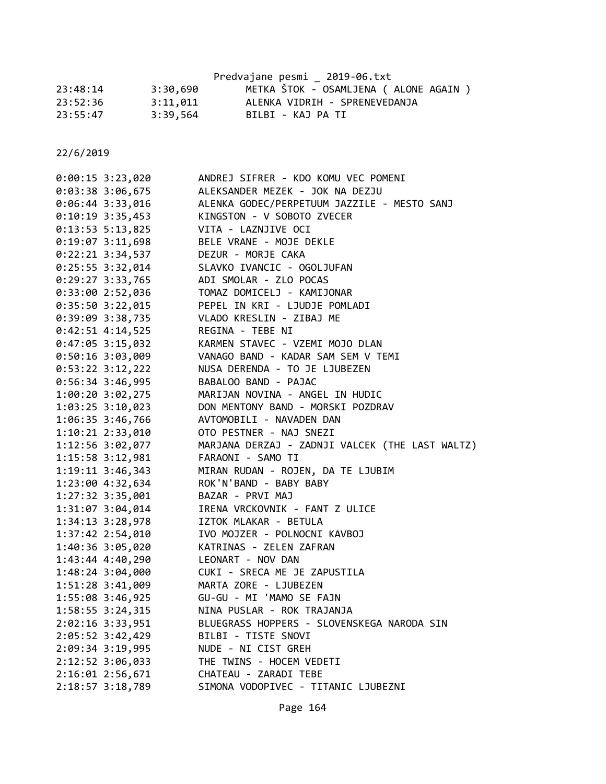|          |          | Predvajane pesmi _ 2019-06.txt         |
|----------|----------|----------------------------------------|
| 23:48:14 | 3:30,690 | METKA ŠTOK - OSAMLJENA ( ALONE AGAIN ) |
| 23:52:36 | 3:11,011 | ALENKA VIDRIH - SPRENEVEDANJA          |
| 23:55:47 | 3:39,564 | BILBI - KAJ PA TI                      |

| $0:00:15$ 3:23,020   | ANDREJ SIFRER - KDO KOMU VEC POMENI             |
|----------------------|-------------------------------------------------|
| $0:03:38$ 3:06,675   | ALEKSANDER MEZEK - JOK NA DEZJU                 |
| $0:06:44$ 3:33,016   | ALENKA GODEC/PERPETUUM JAZZILE - MESTO SANJ     |
| $0:10:19$ 3:35,453   | KINGSTON - V SOBOTO ZVECER                      |
| $0:13:53$ 5:13,825   | VITA - LAZNJIVE OCI                             |
| $0:19:07$ 3:11,698   | BELE VRANE - MOJE DEKLE                         |
| $0:22:21$ 3:34,537   | DEZUR - MORJE CAKA                              |
| $0:25:55$ 3:32,014   | SLAVKO IVANCIC - OGOLJUFAN                      |
| $0:29:27$ 3:33,765   | ADI SMOLAR - ZLO POCAS                          |
| $0:33:00$ 2:52,036   | TOMAZ DOMICELJ - KAMIJONAR                      |
| $0:35:50$ 3:22,015   | PEPEL IN KRI - LJUDJE POMLADI                   |
| $0:39:09$ 3:38,735   | VLADO KRESLIN - ZIBAJ ME                        |
| $0:42:51$ 4:14,525   | REGINA - TEBE NI                                |
| $0:47:05$ 3:15,032   | KARMEN STAVEC - VZEMI MOJO DLAN                 |
| $0:50:16$ 3:03,009   | VANAGO BAND - KADAR SAM SEM V TEMI              |
| $0:53:22$ 3:12,222   | NUSA DERENDA - TO JE LJUBEZEN                   |
| 0:56:34 3:46,995     | BABALOO BAND - PAJAC                            |
| 1:00:20 3:02,275     | MARIJAN NOVINA - ANGEL IN HUDIC                 |
| $1:03:25$ 3:10,023   | DON MENTONY BAND - MORSKI POZDRAV               |
| 1:06:35 3:46,766     | AVTOMOBILI - NAVADEN DAN                        |
| 1:10:21 2:33,010     | OTO PESTNER - NAJ SNEZI                         |
| 1:12:56 3:02,077     | MARJANA DERZAJ - ZADNJI VALCEK (THE LAST WALTZ) |
| $1:15:58$ $3:12,981$ | FARAONI - SAMO TI                               |
| 1:19:11 3:46,343     | MIRAN RUDAN - ROJEN, DA TE LJUBIM               |
| 1:23:00 4:32,634     | ROK'N'BAND - BABY BABY                          |
| 1:27:32 3:35,001     | BAZAR - PRVI MAJ                                |
| 1:31:07 3:04,014     | IRENA VRCKOVNIK - FANT Z ULICE                  |
| 1:34:13 3:28,978     | IZTOK MLAKAR - BETULA                           |
| 1:37:42 2:54,010     | IVO MOJZER - POLNOCNI KAVBOJ                    |
| 1:40:36 3:05,020     | KATRINAS - ZELEN ZAFRAN                         |
| 1:43:44 4:40,290     | LEONART - NOV DAN                               |
| 1:48:24 3:04,000     | CUKI - SRECA ME JE ZAPUSTILA                    |
| 1:51:28 3:41,009     | MARTA ZORE - LJUBEZEN                           |
| 1:55:08 3:46,925     | GU-GU - MI 'MAMO SE FAJN                        |
| 1:58:55 3:24,315     | NINA PUSLAR - ROK TRAJANJA                      |
| 2:02:16 3:33,951     | BLUEGRASS HOPPERS - SLOVENSKEGA NARODA SIN      |
| 2:05:52 3:42,429     | BILBI - TISTE SNOVI                             |
| 2:09:34 3:19,995     | NUDE - NI CIST GREH                             |
| 2:12:52 3:06,033     | THE TWINS - HOCEM VEDETI                        |
| 2:16:01 2:56,671     | CHATEAU - ZARADI TEBE                           |
| 2:18:57 3:18,789     | SIMONA VODOPIVEC - TITANIC LJUBEZNI             |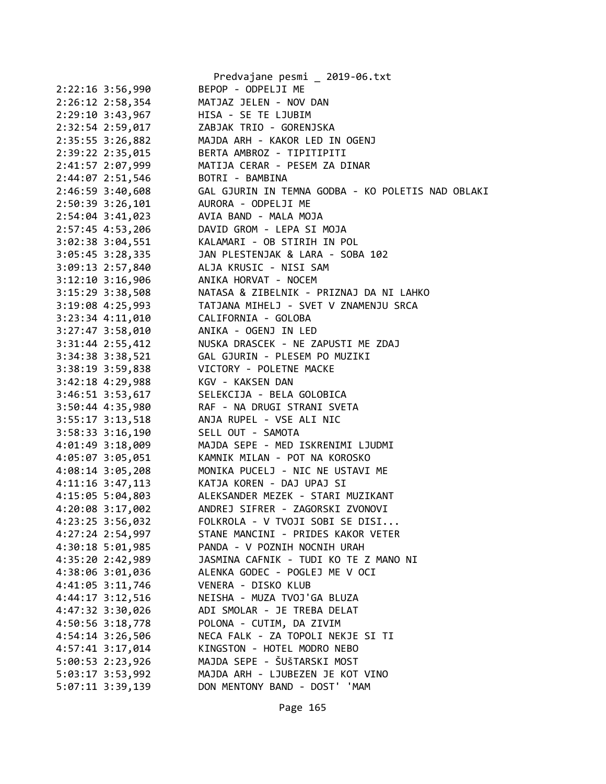|                                      | Predvajane pesmi _ 2019-06.txt                         |
|--------------------------------------|--------------------------------------------------------|
| 2:22:16 3:56,990                     | BEPOP - ODPELJI ME                                     |
| 2:26:12 2:58,354                     | MATJAZ JELEN - NOV DAN                                 |
| $2:29:10$ $3:43,967$                 | HISA - SE TE LJUBIM                                    |
| 2:32:54 2:59,017                     | ZABJAK TRIO - GORENJSKA                                |
| 2:35:55 3:26,882                     | MAJDA ARH - KAKOR LED IN OGENJ                         |
| 2:39:22 2:35,015                     | BERTA AMBROZ - TIPITIPITI                              |
| 2:41:57 2:07,999                     | MATIJA CERAR - PESEM ZA DINAR                          |
| 2:44:07 2:51,546                     | BOTRI - BAMBINA                                        |
| 2:46:59 3:40,608                     | GAL GJURIN IN TEMNA GODBA - KO POLETIS NAD OBLAKI      |
| 2:50:39 3:26,101                     | AURORA - ODPELJI ME                                    |
| 2:54:04 3:41,023                     | AVIA BAND - MALA MOJA                                  |
| 2:57:45 4:53,206                     | DAVID GROM - LEPA SI MOJA                              |
| 3:02:38 3:04,551                     | KALAMARI - OB STIRIH IN POL                            |
| $3:05:45$ 3:28,335                   | JAN PLESTENJAK & LARA - SOBA 102                       |
| $3:09:13$ 2:57,840                   | ALJA KRUSIC - NISI SAM                                 |
| $3:12:10$ $3:16,906$                 | ANIKA HORVAT - NOCEM                                   |
| $3:15:29$ $3:38,508$                 | NATASA & ZIBELNIK - PRIZNAJ DA NI LAHKO                |
|                                      | 3:19:08 4:25,993 TATJANA MIHELJ - SVET V ZNAMENJU SRCA |
| 3:23:34 4:11,010 CALIFORNIA - GOLOBA |                                                        |
| $3:27:47$ $3:58,010$                 | ANIKA - OGENJ IN LED                                   |
| $3:31:44$ $2:55,412$                 | NUSKA DRASCEK - NE ZAPUSTI ME ZDAJ                     |
| 3:34:38 3:38,521                     | GAL GJURIN - PLESEM PO MUZIKI                          |
| 3:38:19 3:59,838                     | VICTORY - POLETNE MACKE                                |
| $3:42:18$ 4:29,988                   | KGV - KAKSEN DAN                                       |
| 3:46:51 3:53,617                     | SELEKCIJA - BELA GOLOBICA                              |
| 3:50:44 4:35,980                     | RAF - NA DRUGI STRANI SVETA                            |
| 3:55:17 3:13,518                     | ANJA RUPEL - VSE ALI NIC                               |
| $3:58:33$ $3:16,190$                 | SELL OUT - SAMOTA                                      |
| $4:01:49$ 3:18,009                   | MAJDA SEPE - MED ISKRENIMI LJUDMI                      |
| 4:05:07 3:05,051                     | KAMNIK MILAN - POT NA KOROSKO                          |
| 4:08:14 3:05,208                     | MONIKA PUCELJ - NIC NE USTAVI ME                       |
|                                      | 4:11:16 3:47,113 KATJA KOREN - DAJ UPAJ SI             |
| 4:15:05 5:04,803                     | ALEKSANDER MEZEK - STARI MUZIKANT                      |
| 4:20:08 3:17,002                     | ANDREJ SIFRER - ZAGORSKI ZVONOVI                       |
| 4:23:25 3:56,032                     | FOLKROLA - V TVOJI SOBI SE DISI                        |
|                                      | STANE MANCINI - PRIDES KAKOR VETER                     |
| 4:27:24 2:54,997                     |                                                        |
| 4:30:18 5:01,985                     | PANDA - V POZNIH NOCNIH URAH                           |
| 4:35:20 2:42,989                     | JASMINA CAFNIK - TUDI KO TE Z MANO NI                  |
| 4:38:06 3:01,036                     | ALENKA GODEC - POGLEJ ME V OCI                         |
| 4:41:05 3:11,746                     | VENERA - DISKO KLUB                                    |
| $4:44:17$ $3:12,516$                 | NEISHA - MUZA TVOJ'GA BLUZA                            |
| 4:47:32 3:30,026                     | ADI SMOLAR - JE TREBA DELAT                            |
| 4:50:56 3:18,778                     | POLONA - CUTIM, DA ZIVIM                               |
| 4:54:14 3:26,506                     | NECA FALK - ZA TOPOLI NEKJE SI TI                      |
| 4:57:41 3:17,014                     | KINGSTON - HOTEL MODRO NEBO                            |
| 5:00:53 2:23,926                     | MAJDA SEPE - ŠUŠTARSKI MOST                            |
| 5:03:17 3:53,992                     | MAJDA ARH - LJUBEZEN JE KOT VINO                       |
| 5:07:11 3:39,139                     | DON MENTONY BAND - DOST' 'MAM                          |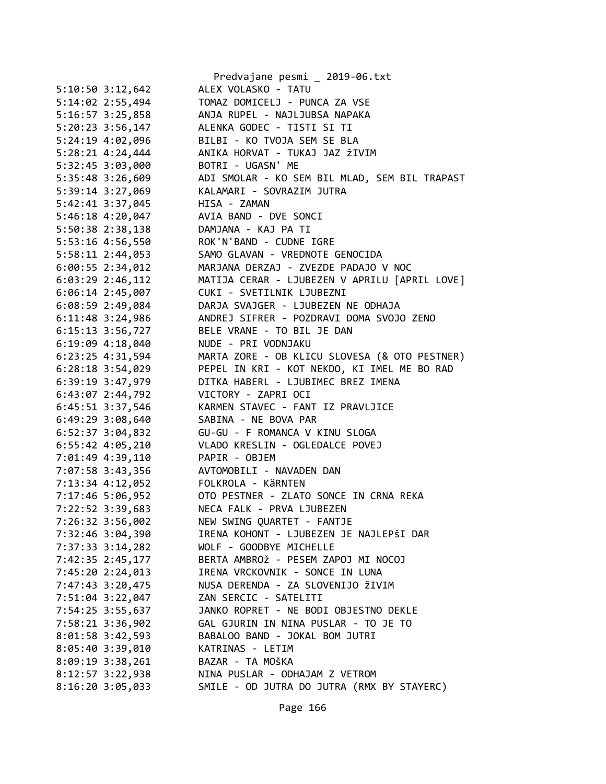|                      | Predvajane pesmi _ 2019-06.txt                |
|----------------------|-----------------------------------------------|
| $5:10:50$ $3:12,642$ | ALEX VOLASKO - TATU                           |
| 5:14:02 2:55,494     | TOMAZ DOMICELJ - PUNCA ZA VSE                 |
| 5:16:57 3:25,858     | ANJA RUPEL - NAJLJUBSA NAPAKA                 |
| $5:20:23$ 3:56,147   | ALENKA GODEC - TISTI SI TI                    |
| 5:24:19 4:02,096     | BILBI - KO TVOJA SEM SE BLA                   |
| $5:28:21$ 4:24,444   | ANIKA HORVAT - TUKAJ JAZ ŽIVIM                |
| 5:32:45 3:03,000     | BOTRI - UGASN' ME                             |
| 5:35:48 3:26,609     | ADI SMOLAR - KO SEM BIL MLAD, SEM BIL TRAPAST |
| 5:39:14 3:27,069     | KALAMARI - SOVRAZIM JUTRA                     |
| 5:42:41 3:37,045     | HISA - ZAMAN                                  |
| 5:46:18 4:20,047     | AVIA BAND - DVE SONCI                         |
| 5:50:38 2:38,138     | DAMJANA - KAJ PA TI                           |
| 5:53:16 4:56,550     | ROK'N'BAND - CUDNE IGRE                       |
| 5:58:11 2:44,053     | SAMO GLAVAN - VREDNOTE GENOCIDA               |
| $6:00:55$ 2:34,012   | MARJANA DERZAJ - ZVEZDE PADAJO V NOC          |
| $6:03:29$ 2:46,112   | MATIJA CERAR - LJUBEZEN V APRILU [APRIL LOVE] |
| $6:06:14$ 2:45,007   | CUKI - SVETILNIK LJUBEZNI                     |
| 6:08:59 2:49,084     | DARJA SVAJGER - LJUBEZEN NE ODHAJA            |
| $6:11:48$ 3:24,986   | ANDREJ SIFRER - POZDRAVI DOMA SVOJO ZENO      |
| 6:15:13 3:56,727     | BELE VRANE - TO BIL JE DAN                    |
| 6:19:09 4:18,040     | NUDE - PRI VODNJAKU                           |
| 6:23:25 4:31,594     | MARTA ZORE - OB KLICU SLOVESA (& OTO PESTNER) |
| $6:28:18$ 3:54,029   | PEPEL IN KRI - KOT NEKDO, KI IMEL ME BO RAD   |
| 6:39:19 3:47,979     | DITKA HABERL - LJUBIMEC BREZ IMENA            |
| 6:43:07 2:44,792     | VICTORY - ZAPRI OCI                           |
| 6:45:51 3:37,546     | KARMEN STAVEC - FANT IZ PRAVLJICE             |
| 6:49:29 3:08,640     | SABINA - NE BOVA PAR                          |
| 6:52:37 3:04,832     | GU-GU - F ROMANCA V KINU SLOGA                |
| 6:55:42 4:05,210     | VLADO KRESLIN - OGLEDALCE POVEJ               |
|                      | PAPIR - OBJEM                                 |
| 7:01:49 4:39,110     | AVTOMOBILI - NAVADEN DAN                      |
| 7:07:58 3:43,356     |                                               |
| 7:13:34 4:12,052     | FOLKROLA - KÄRNTEN                            |
| 7:17:46 5:06,952     | OTO PESTNER - ZLATO SONCE IN CRNA REKA        |
| 7:22:52 3:39,683     | NECA FALK - PRVA LJUBEZEN                     |
| 7:26:32 3:56,002     | NEW SWING QUARTET - FANTJE                    |
| 7:32:46 3:04,390     | IRENA KOHONT - LJUBEZEN JE NAJLEPŠI DAR       |
| 7:37:33 3:14,282     | WOLF - GOODBYE MICHELLE                       |
| 7:42:35 2:45,177     | BERTA AMBROŽ - PESEM ZAPOJ MI NOCOJ           |
| 7:45:20 2:24,013     | IRENA VRCKOVNIK - SONCE IN LUNA               |
| 7:47:43 3:20,475     | NUSA DERENDA - ZA SLOVENIJO ŽIVIM             |
| 7:51:04 3:22,047     | ZAN SERCIC - SATELITI                         |
| 7:54:25 3:55,637     | JANKO ROPRET - NE BODI OBJESTNO DEKLE         |
| 7:58:21 3:36,902     | GAL GJURIN IN NINA PUSLAR - TO JE TO          |
| 8:01:58 3:42,593     | BABALOO BAND - JOKAL BOM JUTRI                |
| 8:05:40 3:39,010     | KATRINAS - LETIM                              |
| 8:09:19 3:38,261     | BAZAR - TA MOŠKA                              |
| 8:12:57 3:22,938     | NINA PUSLAR - ODHAJAM Z VETROM                |
| $8:16:20$ 3:05,033   | SMILE - OD JUTRA DO JUTRA (RMX BY STAYERC)    |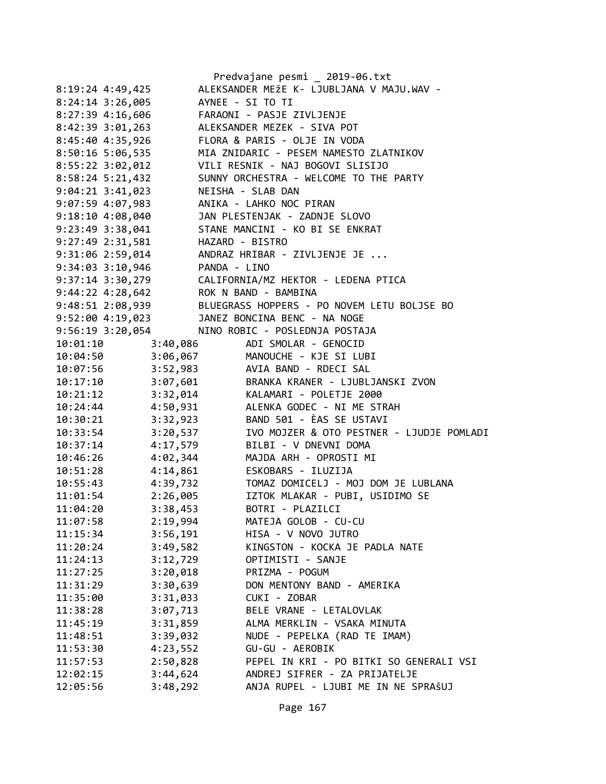|                                                                                |                 | Predvajane pesmi _ 2019-06.txt                                                                                               |
|--------------------------------------------------------------------------------|-----------------|------------------------------------------------------------------------------------------------------------------------------|
| 8:19:24 4:49,425                                                               |                 | ALEKSANDER MEŽE K- LJUBLJANA V MAJU.WAV -                                                                                    |
| $8:24:14$ 3:26,005                                                             |                 | AYNEE - SI TO TI                                                                                                             |
| 8:27:39 4:16,606                                                               |                 | FARAONI - PASJE ZIVLJENJE                                                                                                    |
| 8:42:39 3:01,263                                                               |                 | ALEKSANDER MEZEK - SIVA POT                                                                                                  |
|                                                                                |                 | 8:45:40 4:35,926 FLORA & PARIS - OLJE IN VODA                                                                                |
| 8:50:16 5:06,535                                                               |                 | MIA ZNIDARIC - PESEM NAMESTO ZLATNIKOV                                                                                       |
| 8:55:22 3:02,012                                                               |                 | VILI RESNIK - NAJ BOGOVI SLISIJO<br>SUNNY ORCHESTRA - WELCOME TO THE PARTY                                                   |
| 8:58:24 5:21,432                                                               |                 |                                                                                                                              |
|                                                                                |                 |                                                                                                                              |
| 9:04:21 3:41,023 NEISHA - SLAB DAN<br>9:07:59 4:07,983 ANIKA - LAHKO NOC PIRAN |                 |                                                                                                                              |
|                                                                                |                 | 9:18:10 4:08,040 JAN PLESTENJAK - ZADNJE SLOVO                                                                               |
| 9:23:49 3:38,041                                                               |                 | STANE MANCINI - KO BI SE ENKRAT                                                                                              |
| 9:27:49 2:31,581                                                               | HAZARD - BISTRO |                                                                                                                              |
|                                                                                |                 |                                                                                                                              |
|                                                                                |                 |                                                                                                                              |
|                                                                                |                 | 9:31:06 2:59,014<br>9:34:03 3:10,946<br>9:37:14 3:30,279<br>9:44:22 4:28,642<br>ROK N BAND - BAMBINA<br>ROK N BAND - BAMBINA |
|                                                                                |                 |                                                                                                                              |
|                                                                                |                 | 9:48:51 2:08,939 BLUEGRASS HOPPERS - PO NOVEM LETU BOLJSE BO                                                                 |
|                                                                                |                 | 9:52:00 4:19,023 JANEZ BONCINA BENC - NA NOGE                                                                                |
|                                                                                |                 | 9:56:19 3:20,054 NINO ROBIC - POSLEDNJA POSTAJA                                                                              |
|                                                                                |                 | 3:40,086 ADI SMOLAR - GENOCID                                                                                                |
| 10:01:10<br>10:04:50                                                           |                 | 3:06,067 MANOUCHE - KJE SI LUBI<br>3:52,983 AVIA BAND - RDECI SAL                                                            |
| 10:07:56                                                                       |                 |                                                                                                                              |
|                                                                                |                 | 10:17:10 3:07,601 BRANKA KRANER - LJUBLJANSKI ZVON                                                                           |
|                                                                                |                 | 10:21:12 3:32,014 KALAMARI - POLETJE 2000                                                                                    |
| 10:24:44                                                                       |                 | 4:50,931 ALENKA GODEC - NI ME STRAH                                                                                          |
| 10:30:21                                                                       |                 | 3:32,923 BAND 501 - ÈAS SE USTAVI                                                                                            |
| 10:33:54                                                                       |                 | 3:20,537 IVO MOJZER & OTO PESTNER - LJUDJE POMLADI                                                                           |
| 10:37:14                                                                       |                 | 4:17,579 BILBI - V DNEVNI DOMA                                                                                               |
| 10:46:26                                                                       |                 | 4:02,344 MAJDA ARH - OPROSTI MI                                                                                              |
| 10:51:28                                                                       |                 | 4:14,861 ESKOBARS - ILUZIJA                                                                                                  |
| 10:55:43                                                                       |                 | 4:39,732 TOMAZ DOMICELJ - MOJ DOM JE LUBLANA                                                                                 |
| 11:01:54                                                                       |                 | 2:26,005 IZTOK MLAKAR - PUBI, USIDIMO SE                                                                                     |
| 11:04:20                                                                       | 3:38,453        | BOTRI - PLAZILCI                                                                                                             |
| 11:07:58                                                                       | 2:19,994        | MATEJA GOLOB - CU-CU                                                                                                         |
| 11:15:34                                                                       | 3:56,191        | HISA - V NOVO JUTRO                                                                                                          |
| 11:20:24                                                                       | 3:49,582        | KINGSTON - KOCKA JE PADLA NATE                                                                                               |
| 11:24:13                                                                       | 3:12,729        | OPTIMISTI - SANJE                                                                                                            |
| 11:27:25                                                                       | 3:20,018        | PRIZMA - POGUM                                                                                                               |
| 11:31:29                                                                       | 3:30,639        | DON MENTONY BAND - AMERIKA                                                                                                   |
| 11:35:00                                                                       | 3:31,033        | CUKI - ZOBAR                                                                                                                 |
| 11:38:28                                                                       | 3:07,713        | BELE VRANE - LETALOVLAK                                                                                                      |
| 11:45:19                                                                       | 3:31,859        | ALMA MERKLIN - VSAKA MINUTA                                                                                                  |
| 11:48:51                                                                       | 3:39,032        | NUDE - PEPELKA (RAD TE IMAM)                                                                                                 |
| 11:53:30                                                                       | 4:23,552        | GU-GU - AEROBIK                                                                                                              |
| 11:57:53                                                                       | 2:50,828        | PEPEL IN KRI - PO BITKI SO GENERALI VSI                                                                                      |
| 12:02:15                                                                       | 3:44,624        | ANDREJ SIFRER - ZA PRIJATELJE                                                                                                |
| 12:05:56                                                                       | 3:48,292        | ANJA RUPEL - LJUBI ME IN NE SPRAŠUJ                                                                                          |
|                                                                                |                 |                                                                                                                              |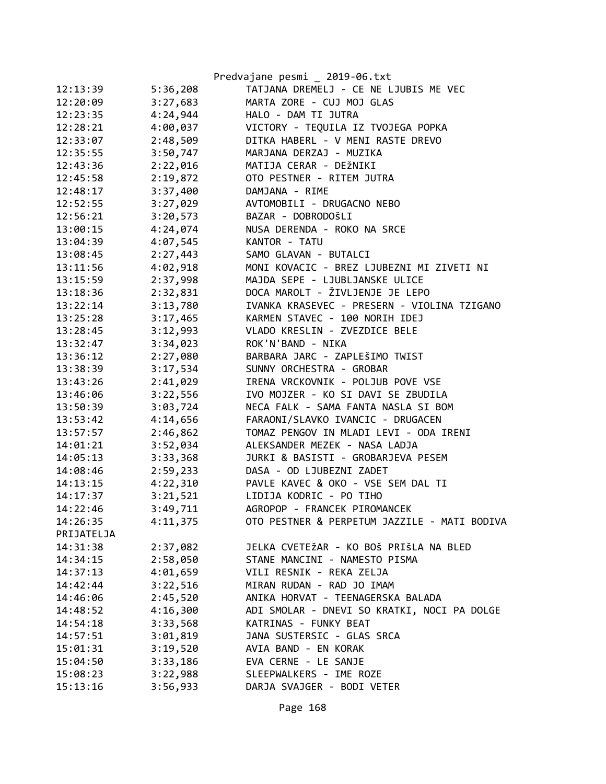|            |          | Predvajane pesmi _ 2019-06.txt               |
|------------|----------|----------------------------------------------|
| 12:13:39   | 5:36,208 | TATJANA DREMELJ - CE NE LJUBIS ME VEC        |
| 12:20:09   | 3:27,683 | MARTA ZORE - CUJ MOJ GLAS                    |
| 12:23:35   | 4:24,944 | HALO - DAM TI JUTRA                          |
| 12:28:21   | 4:00,037 | VICTORY - TEQUILA IZ TVOJEGA POPKA           |
| 12:33:07   | 2:48,509 | DITKA HABERL - V MENI RASTE DREVO            |
| 12:35:55   | 3:50,747 | MARJANA DERZAJ - MUZIKA                      |
| 12:43:36   | 2:22,016 | MATIJA CERAR - DEŽNIKI                       |
| 12:45:58   | 2:19,872 | OTO PESTNER - RITEM JUTRA                    |
| 12:48:17   | 3:37,400 | DAMJANA - RIME                               |
| 12:52:55   | 3:27,029 | AVTOMOBILI - DRUGACNO NEBO                   |
| 12:56:21   | 3:20,573 | BAZAR - DOBRODOŠLI                           |
| 13:00:15   | 4:24,074 | NUSA DERENDA - ROKO NA SRCE                  |
| 13:04:39   | 4:07,545 | KANTOR - TATU                                |
| 13:08:45   | 2:27,443 | SAMO GLAVAN - BUTALCI                        |
| 13:11:56   | 4:02,918 | MONI KOVACIC - BREZ LJUBEZNI MI ZIVETI NI    |
| 13:15:59   | 2:37,998 | MAJDA SEPE - LJUBLJANSKE ULICE               |
| 13:18:36   | 2:32,831 | DOCA MAROLT - ŽIVLJENJE JE LEPO              |
| 13:22:14   | 3:13,780 | IVANKA KRASEVEC - PRESERN - VIOLINA TZIGANO  |
| 13:25:28   | 3:17,465 | KARMEN STAVEC - 100 NORIH IDEJ               |
| 13:28:45   | 3:12,993 | VLADO KRESLIN - ZVEZDICE BELE                |
| 13:32:47   | 3:34,023 | ROK'N'BAND - NIKA                            |
| 13:36:12   | 2:27,080 | BARBARA JARC - ZAPLEŠIMO TWIST               |
| 13:38:39   | 3:17,534 | SUNNY ORCHESTRA - GROBAR                     |
| 13:43:26   | 2:41,029 | IRENA VRCKOVNIK - POLJUB POVE VSE            |
| 13:46:06   | 3:22,556 | IVO MOJZER - KO SI DAVI SE ZBUDILA           |
| 13:50:39   | 3:03,724 | NECA FALK - SAMA FANTA NASLA SI BOM          |
| 13:53:42   | 4:14,656 | FARAONI/SLAVKO IVANCIC - DRUGACEN            |
| 13:57:57   | 2:46,862 | TOMAZ PENGOV IN MLADI LEVI - ODA IRENI       |
| 14:01:21   | 3:52,034 | ALEKSANDER MEZEK - NASA LADJA                |
| 14:05:13   | 3:33,368 | JURKI & BASISTI - GROBARJEVA PESEM           |
| 14:08:46   | 2:59,233 | DASA - OD LJUBEZNI ZADET                     |
| 14:13:15   | 4:22,310 | PAVLE KAVEC & OKO - VSE SEM DAL TI           |
| 14:17:37   | 3:21,521 | LIDIJA KODRIC - PO TIHO                      |
| 14:22:46   | 3:49,711 | AGROPOP - FRANCEK PIROMANCEK                 |
| 14:26:35   | 4:11,375 | OTO PESTNER & PERPETUM JAZZILE - MATI BODIVA |
| PRIJATELJA |          |                                              |
| 14:31:38   | 2:37,082 | JELKA CVETEŽAR - KO BOŠ PRIŠLA NA BLED       |
| 14:34:15   | 2:58,050 | STANE MANCINI - NAMESTO PISMA                |
| 14:37:13   | 4:01,659 | VILI RESNIK - REKA ZELJA                     |
| 14:42:44   | 3:22,516 | MIRAN RUDAN - RAD JO IMAM                    |
| 14:46:06   | 2:45,520 | ANIKA HORVAT - TEENAGERSKA BALADA            |
| 14:48:52   | 4:16,300 | ADI SMOLAR - DNEVI SO KRATKI, NOCI PA DOLGE  |
| 14:54:18   | 3:33,568 | KATRINAS - FUNKY BEAT                        |
| 14:57:51   | 3:01,819 | JANA SUSTERSIC - GLAS SRCA                   |
| 15:01:31   | 3:19,520 | AVIA BAND - EN KORAK                         |
| 15:04:50   | 3:33,186 | EVA CERNE - LE SANJE                         |
| 15:08:23   | 3:22,988 | SLEEPWALKERS - IME ROZE                      |
| 15:13:16   | 3:56,933 | DARJA SVAJGER - BODI VETER                   |
|            |          |                                              |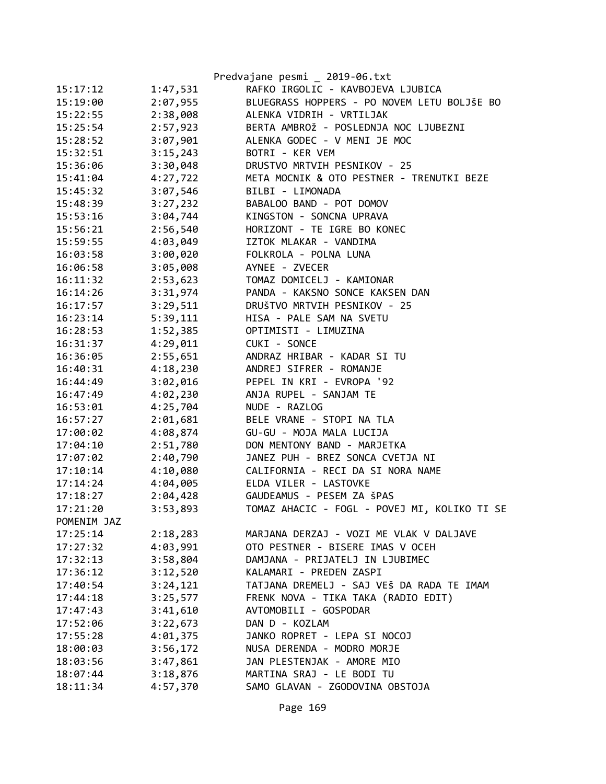|             |          | Predvajane pesmi _ 2019-06.txt               |
|-------------|----------|----------------------------------------------|
| 15:17:12    | 1:47,531 | RAFKO IRGOLIC - KAVBOJEVA LJUBICA            |
| 15:19:00    | 2:07,955 | BLUEGRASS HOPPERS - PO NOVEM LETU BOLJŠE BO  |
| 15:22:55    | 2:38,008 | ALENKA VIDRIH - VRTILJAK                     |
| 15:25:54    | 2:57,923 | BERTA AMBROŽ - POSLEDNJA NOC LJUBEZNI        |
| 15:28:52    | 3:07,901 | ALENKA GODEC - V MENI JE MOC                 |
| 15:32:51    | 3:15,243 | BOTRI - KER VEM                              |
| 15:36:06    | 3:30,048 | DRUSTVO MRTVIH PESNIKOV - 25                 |
| 15:41:04    | 4:27,722 | META MOCNIK & OTO PESTNER - TRENUTKI BEZE    |
| 15:45:32    | 3:07,546 | BILBI - LIMONADA                             |
| 15:48:39    | 3:27,232 | BABALOO BAND - POT DOMOV                     |
| 15:53:16    | 3:04,744 | KINGSTON - SONCNA UPRAVA                     |
| 15:56:21    | 2:56,540 | HORIZONT - TE IGRE BO KONEC                  |
| 15:59:55    | 4:03,049 | IZTOK MLAKAR - VANDIMA                       |
| 16:03:58    | 3:00,020 | FOLKROLA - POLNA LUNA                        |
| 16:06:58    | 3:05,008 | AYNEE - ZVECER                               |
| 16:11:32    | 2:53,623 | TOMAZ DOMICELJ - KAMIONAR                    |
| 16:14:26    | 3:31,974 | PANDA - KAKSNO SONCE KAKSEN DAN              |
| 16:17:57    | 3:29,511 | DRUŠTVO MRTVIH PESNIKOV - 25                 |
| 16:23:14    | 5:39,111 | HISA - PALE SAM NA SVETU                     |
| 16:28:53    | 1:52,385 | OPTIMISTI - LIMUZINA                         |
| 16:31:37    | 4:29,011 | CUKI - SONCE                                 |
| 16:36:05    | 2:55,651 | ANDRAZ HRIBAR - KADAR SI TU                  |
| 16:40:31    | 4:18,230 | ANDREJ SIFRER - ROMANJE                      |
| 16:44:49    | 3:02,016 | PEPEL IN KRI - EVROPA '92                    |
| 16:47:49    | 4:02,230 | ANJA RUPEL - SANJAM TE                       |
| 16:53:01    | 4:25,704 | NUDE - RAZLOG                                |
| 16:57:27    | 2:01,681 | BELE VRANE - STOPI NA TLA                    |
| 17:00:02    | 4:08,874 | GU-GU - MOJA MALA LUCIJA                     |
| 17:04:10    | 2:51,780 | DON MENTONY BAND - MARJETKA                  |
| 17:07:02    | 2:40,790 | JANEZ PUH - BREZ SONCA CVETJA NI             |
| 17:10:14    | 4:10,080 | CALIFORNIA - RECI DA SI NORA NAME            |
| 17:14:24    | 4:04,005 | ELDA VILER - LASTOVKE                        |
| 17:18:27    | 2:04,428 | GAUDEAMUS - PESEM ZA ŠPAS                    |
| 17:21:20    | 3:53,893 | TOMAZ AHACIC - FOGL - POVEJ MI, KOLIKO TI SE |
| POMENIM JAZ |          |                                              |
| 17:25:14    | 2:18,283 | MARJANA DERZAJ - VOZI ME VLAK V DALJAVE      |
| 17:27:32    | 4:03,991 | OTO PESTNER - BISERE IMAS V OCEH             |
| 17:32:13    | 3:58,804 | DAMJANA - PRIJATELJ IN LJUBIMEC              |
| 17:36:12    | 3:12,520 | KALAMARI - PREDEN ZASPI                      |
| 17:40:54    | 3:24,121 | TATJANA DREMELJ - SAJ VEŠ DA RADA TE IMAM    |
| 17:44:18    | 3:25,577 | FRENK NOVA - TIKA TAKA (RADIO EDIT)          |
| 17:47:43    | 3:41,610 | AVTOMOBILI - GOSPODAR                        |
| 17:52:06    | 3:22,673 | DAN D - KOZLAM                               |
| 17:55:28    | 4:01,375 | JANKO ROPRET - LEPA SI NOCOJ                 |
| 18:00:03    | 3:56,172 | NUSA DERENDA - MODRO MORJE                   |
| 18:03:56    | 3:47,861 | JAN PLESTENJAK - AMORE MIO                   |
| 18:07:44    | 3:18,876 | MARTINA SRAJ - LE BODI TU                    |
| 18:11:34    | 4:57,370 | SAMO GLAVAN - ZGODOVINA OBSTOJA              |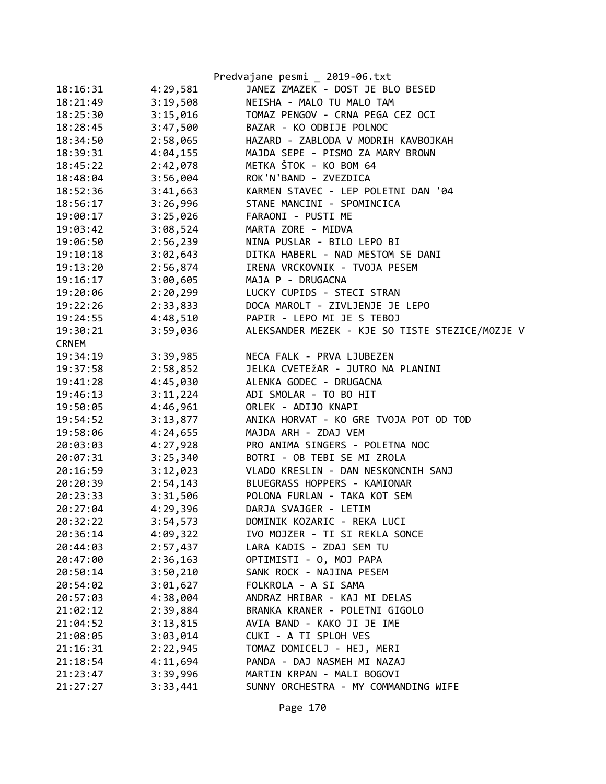|              |          | Predvajane pesmi _ 2019-06.txt                  |
|--------------|----------|-------------------------------------------------|
| 18:16:31     | 4:29,581 | JANEZ ZMAZEK - DOST JE BLO BESED                |
| 18:21:49     | 3:19,508 | NEISHA - MALO TU MALO TAM                       |
| 18:25:30     | 3:15,016 | TOMAZ PENGOV - CRNA PEGA CEZ OCI                |
| 18:28:45     | 3:47,500 | BAZAR - KO ODBIJE POLNOC                        |
| 18:34:50     | 2:58,065 | HAZARD - ZABLODA V MODRIH KAVBOJKAH             |
| 18:39:31     | 4:04,155 | MAJDA SEPE - PISMO ZA MARY BROWN                |
| 18:45:22     | 2:42,078 | METKA ŠTOK - KO BOM 64                          |
| 18:48:04     | 3:56,004 | ROK'N'BAND - ZVEZDICA                           |
| 18:52:36     | 3:41,663 | KARMEN STAVEC - LEP POLETNI DAN '04             |
| 18:56:17     | 3:26,996 | STANE MANCINI - SPOMINCICA                      |
| 19:00:17     | 3:25,026 | FARAONI - PUSTI ME                              |
| 19:03:42     | 3:08,524 | MARTA ZORE - MIDVA                              |
| 19:06:50     | 2:56,239 | NINA PUSLAR - BILO LEPO BI                      |
| 19:10:18     | 3:02,643 | DITKA HABERL - NAD MESTOM SE DANI               |
| 19:13:20     | 2:56,874 | IRENA VRCKOVNIK - TVOJA PESEM                   |
| 19:16:17     | 3:00,605 | MAJA P - DRUGACNA                               |
| 19:20:06     | 2:20,299 | LUCKY CUPIDS - STECI STRAN                      |
| 19:22:26     | 2:33,833 | DOCA MAROLT - ZIVLJENJE JE LEPO                 |
| 19:24:55     | 4:48,510 | PAPIR - LEPO MI JE S TEBOJ                      |
| 19:30:21     | 3:59,036 | ALEKSANDER MEZEK - KJE SO TISTE STEZICE/MOZJE V |
| <b>CRNEM</b> |          |                                                 |
| 19:34:19     | 3:39,985 | NECA FALK - PRVA LJUBEZEN                       |
| 19:37:58     | 2:58,852 | JELKA CVETEŽAR - JUTRO NA PLANINI               |
| 19:41:28     | 4:45,030 | ALENKA GODEC - DRUGACNA                         |
| 19:46:13     | 3:11,224 | ADI SMOLAR - TO BO HIT                          |
| 19:50:05     | 4:46,961 | ORLEK - ADIJO KNAPI                             |
| 19:54:52     | 3:13,877 | ANIKA HORVAT - KO GRE TVOJA POT OD TOD          |
| 19:58:06     | 4:24,655 | MAJDA ARH - ZDAJ VEM                            |
| 20:03:03     | 4:27,928 | PRO ANIMA SINGERS - POLETNA NOC                 |
| 20:07:31     | 3:25,340 | BOTRI - OB TEBI SE MI ZROLA                     |
| 20:16:59     | 3:12,023 | VLADO KRESLIN - DAN NESKONCNIH SANJ             |
| 20:20:39     | 2:54,143 | BLUEGRASS HOPPERS - KAMIONAR                    |
| 20:23:33     | 3:31,506 | POLONA FURLAN - TAKA KOT SEM                    |
| 20:27:04     | 4:29,396 | DARJA SVAJGER - LETIM                           |
| 20:32:22     | 3:54,573 | DOMINIK KOZARIC - REKA LUCI                     |
| 20:36:14     | 4:09,322 | IVO MOJZER - TI SI REKLA SONCE                  |
| 20:44:03     | 2:57,437 | LARA KADIS - ZDAJ SEM TU                        |
| 20:47:00     | 2:36,163 | OPTIMISTI - O, MOJ PAPA                         |
| 20:50:14     | 3:50,210 | SANK ROCK - NAJINA PESEM                        |
| 20:54:02     | 3:01,627 | FOLKROLA - A SI SAMA                            |
| 20:57:03     | 4:38,004 | ANDRAZ HRIBAR - KAJ MI DELAS                    |
| 21:02:12     | 2:39,884 | BRANKA KRANER - POLETNI GIGOLO                  |
| 21:04:52     | 3:13,815 | AVIA BAND - KAKO JI JE IME                      |
| 21:08:05     | 3:03,014 | CUKI - A TI SPLOH VES                           |
| 21:16:31     | 2:22,945 | TOMAZ DOMICELJ - HEJ, MERI                      |
| 21:18:54     | 4:11,694 | PANDA - DAJ NASMEH MI NAZAJ                     |
| 21:23:47     | 3:39,996 | MARTIN KRPAN - MALI BOGOVI                      |
| 21:27:27     | 3:33,441 | SUNNY ORCHESTRA - MY COMMANDING WIFE            |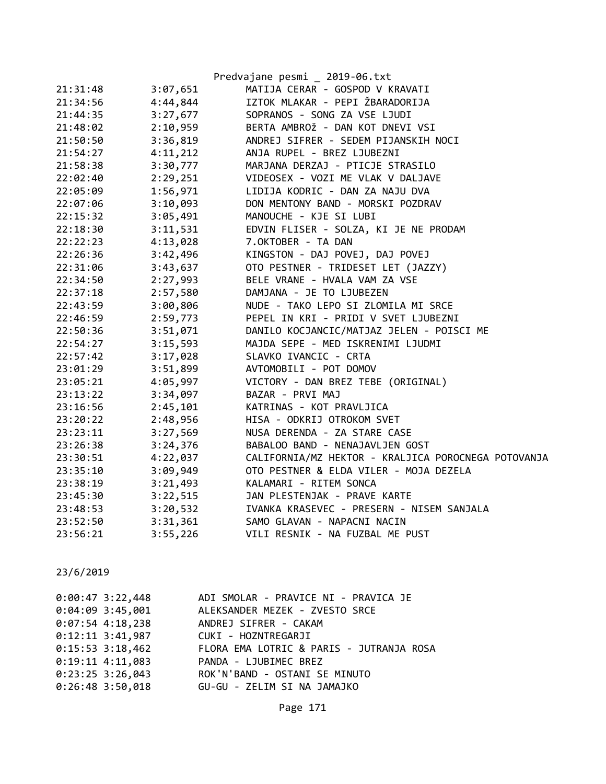|          |          | Predvajane pesmi _ 2019-06.txt                      |
|----------|----------|-----------------------------------------------------|
| 21:31:48 | 3:07,651 | MATIJA CERAR - GOSPOD V KRAVATI                     |
| 21:34:56 | 4:44,844 | IZTOK MLAKAR - PEPI ŽBARADORIJA                     |
| 21:44:35 | 3:27,677 | SOPRANOS - SONG ZA VSE LJUDI                        |
| 21:48:02 | 2:10,959 | BERTA AMBROŽ - DAN KOT DNEVI VSI                    |
| 21:50:50 | 3:36,819 | ANDREJ SIFRER - SEDEM PIJANSKIH NOCI                |
| 21:54:27 | 4:11,212 | ANJA RUPEL - BREZ LJUBEZNI                          |
| 21:58:38 | 3:30,777 | MARJANA DERZAJ - PTICJE STRASILO                    |
| 22:02:40 | 2:29,251 | VIDEOSEX - VOZI ME VLAK V DALJAVE                   |
| 22:05:09 | 1:56,971 | LIDIJA KODRIC - DAN ZA NAJU DVA                     |
| 22:07:06 | 3:10,093 | DON MENTONY BAND - MORSKI POZDRAV                   |
| 22:15:32 | 3:05,491 | MANOUCHE - KJE SI LUBI                              |
| 22:18:30 | 3:11,531 | EDVIN FLISER - SOLZA, KI JE NE PRODAM               |
| 22:22:23 | 4:13,028 | 7.OKTOBER - TA DAN                                  |
| 22:26:36 | 3:42,496 | KINGSTON - DAJ POVEJ, DAJ POVEJ                     |
| 22:31:06 | 3:43,637 | OTO PESTNER - TRIDESET LET (JAZZY)                  |
| 22:34:50 | 2:27,993 | BELE VRANE - HVALA VAM ZA VSE                       |
| 22:37:18 | 2:57,580 | DAMJANA - JE TO LJUBEZEN                            |
| 22:43:59 |          | 3:00,806 NUDE - TAKO LEPO SI ZLOMILA MI SRCE        |
| 22:46:59 |          | 2:59,773 PEPEL IN KRI - PRIDI V SVET LJUBEZNI       |
| 22:50:36 | 3:51,071 | DANILO KOCJANCIC/MATJAZ JELEN - POISCI ME           |
| 22:54:27 |          | 3:15,593 MAJDA SEPE - MED ISKRENIMI LJUDMI          |
| 22:57:42 |          | 3:17,028 SLAVKO IVANCIC - CRTA                      |
| 23:01:29 | 3:51,899 | AVTOMOBILI - POT DOMOV                              |
| 23:05:21 | 4:05,997 | VICTORY - DAN BREZ TEBE (ORIGINAL)                  |
| 23:13:22 | 3:34,097 | BAZAR - PRVI MAJ                                    |
| 23:16:56 | 2:45,101 | KATRINAS - KOT PRAVLJICA                            |
| 23:20:22 | 2:48,956 | HISA - ODKRIJ OTROKOM SVET                          |
| 23:23:11 | 3:27,569 | NUSA DERENDA - ZA STARE CASE                        |
| 23:26:38 | 3:24,376 | BABALOO BAND - NENAJAVLJEN GOST                     |
| 23:30:51 | 4:22,037 | CALIFORNIA/MZ HEKTOR - KRALJICA POROCNEGA POTOVANJA |
| 23:35:10 | 3:09,949 | OTO PESTNER & ELDA VILER - MOJA DEZELA              |
| 23:38:19 | 3:21,493 | KALAMARI - RITEM SONCA                              |
| 23:45:30 | 3:22,515 | JAN PLESTENJAK - PRAVE KARTE                        |
| 23:48:53 | 3:20,532 | IVANKA KRASEVEC - PRESERN - NISEM SANJALA           |
| 23:52:50 | 3:31,361 | -------------------<br>SAMO GLAVAN - NAPACNI NACIN  |
| 23:56:21 | 3:55,226 | VILI RESNIK - NA FUZBAL ME PUST                     |

| $0:00:47$ 3:22,448 | ADI SMOLAR - PRAVICE NI - PRAVICA JE     |
|--------------------|------------------------------------------|
| $0:04:09$ 3:45,001 | ALEKSANDER MEZEK - ZVESTO SRCE           |
| $0:07:54$ 4:18,238 | ANDREJ SIFRER - CAKAM                    |
|                    | 0:12:11 3:41,987 CUKI - HOZNTREGARJI     |
| $0:15:53$ 3:18,462 | FLORA EMA LOTRIC & PARIS - JUTRANJA ROSA |
| $0:19:11$ 4:11,083 | PANDA - LJUBIMEC BREZ                    |
| $0:23:25$ 3:26,043 | ROK'N'BAND - OSTANI SE MINUTO            |
| $0:26:48$ 3:50,018 | GU-GU - ZELIM SI NA JAMAJKO              |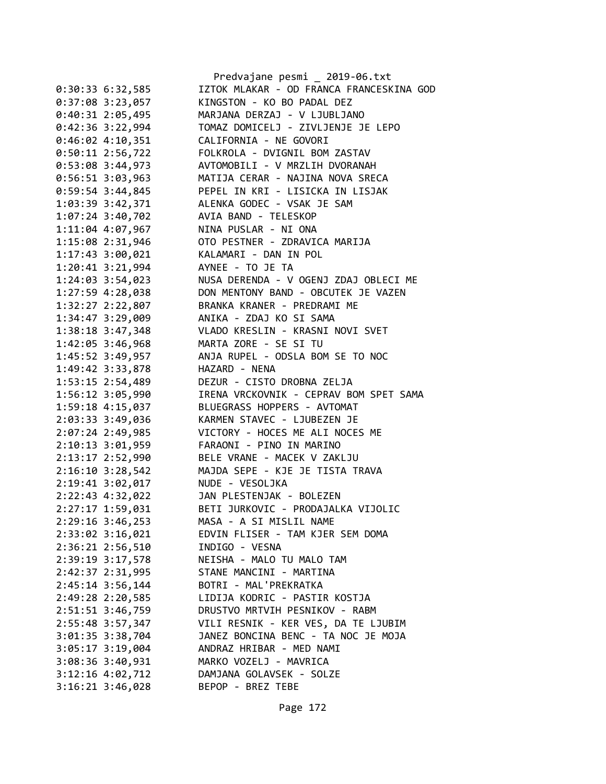|                                       | Predvajane pesmi _ 2019-06.txt                                                                |
|---------------------------------------|-----------------------------------------------------------------------------------------------|
| $0:30:33$ 6:32,585                    | IZTOK MLAKAR - OD FRANCA FRANCESKINA GOD                                                      |
| $0:37:08$ 3:23,057                    | KINGSTON - KO BO PADAL DEZ                                                                    |
| 0:40:31 2:05,495                      | MARJANA DERZAJ - V LJUBLJANO                                                                  |
|                                       |                                                                                               |
| $0:46:02$ 4:10,351                    | CALIFORNIA - NE GOVORI                                                                        |
| $0:50:11$ 2:56,722                    | FOLKROLA - DVIGNIL BOM ZASTAV                                                                 |
| $0:53:08$ 3:44,973                    | AVTOMOBILI - V MRZLIH DVORANAH                                                                |
| $0:56:51$ 3:03,963                    | MATIJA CERAR - NAJINA NOVA SRECA                                                              |
| $0:59:54$ 3:44,845                    | PEPEL IN KRI - LISICKA IN LISJAK                                                              |
|                                       | 1:03:39 3:42,371 ALENKA GODEC - VSAK JE SAM                                                   |
| 1:07:24 3:40,702 AVIA BAND - TELESKOP |                                                                                               |
| 1:11:04 4:07,967 NINA PUSLAR - NI ONA |                                                                                               |
|                                       | 1:15:08 2:31,946 OTO PESTNER - ZDRAVICA MARIJA                                                |
|                                       |                                                                                               |
|                                       |                                                                                               |
| 1:24:03 3:54,023                      |                                                                                               |
|                                       | NUSA DERENDA - V OGENJ ZDAJ OBLECI ME<br>1:27:59 4:28,038 DON MENTONY BAND - OBCUTEK JE VAZEN |
|                                       | 1:32:27 2:22,807 BRANKA KRANER - PREDRAMI ME                                                  |
|                                       | 1:34:47 3:29,009 ANIKA - ZDAJ KO SI SAMA                                                      |
|                                       | 1:38:18 3:47,348 VLADO KRESLIN - KRASNI NOVI SVET                                             |
|                                       | MARTA ZORE - SE SI TU                                                                         |
| 1:42:05 3:46,968                      |                                                                                               |
| 1:45:52 3:49,957                      | ANJA RUPEL - ODSLA BOM SE TO NOC                                                              |
| 1:49:42 3:33,878                      | HAZARD - NENA                                                                                 |
|                                       | 1:53:15 2:54,489 DEZUR - CISTO DROBNA ZELJA                                                   |
|                                       | 1:56:12 3:05,990 IRENA VRCKOVNIK - CEPRAV BOM SPET SAMA                                       |
|                                       | 1:59:18 4:15,037 BLUEGRASS HOPPERS - AVTOMAT                                                  |
| 2:03:33 3:49,036                      | KARMEN STAVEC - LJUBEZEN JE                                                                   |
| 2:07:24 2:49,985                      | VICTORY - HOCES ME ALI NOCES ME<br>FARAONI - PINO IN MARINO<br>PELE VRANE - MASEK MUZIKUZIL   |
| $2:10:13$ $3:01,959$                  |                                                                                               |
|                                       | 2:13:17 2:52,990 BELE VRANE - MACEK V ZAKLJU                                                  |
|                                       | 2:16:10 3:28,542 MAJDA SEPE - KJE JE TISTA TRAVA                                              |
| 2:19:41 3:02,017 NUDE - VESOLJKA      |                                                                                               |
|                                       | 2:22:43 4:32,022 JAN PLESTENJAK - BOLEZEN                                                     |
| 2:27:17 1:59,031                      | BETI JURKOVIC - PRODAJALKA VIJOLIC                                                            |
| 2:29:16 3:46,253                      | MASA - A SI MISLIL NAME                                                                       |
| $2:33:02$ $3:16,021$                  | EDVIN FLISER - TAM KJER SEM DOMA                                                              |
| $2:36:21$ $2:56,510$                  | INDIGO - VESNA                                                                                |
| 2:39:19 3:17,578                      | NEISHA - MALO TU MALO TAM                                                                     |
| 2:42:37 2:31,995                      | STANE MANCINI - MARTINA                                                                       |
| $2:45:14$ 3:56,144                    | BOTRI - MAL'PREKRATKA                                                                         |
| 2:49:28 2:20,585                      | LIDIJA KODRIC - PASTIR KOSTJA                                                                 |
| 2:51:51 3:46,759                      | DRUSTVO MRTVIH PESNIKOV - RABM                                                                |
| 2:55:48 3:57,347                      | VILI RESNIK - KER VES, DA TE LJUBIM                                                           |
| 3:01:35 3:38,704                      | JANEZ BONCINA BENC - TA NOC JE MOJA                                                           |
| 3:05:17 3:19,004                      | ANDRAZ HRIBAR - MED NAMI                                                                      |
| $3:08:36$ $3:40,931$                  | MARKO VOZELJ - MAVRICA                                                                        |
| $3:12:16$ 4:02,712                    | DAMJANA GOLAVSEK - SOLZE                                                                      |
| $3:16:21$ $3:46,028$                  | BEPOP - BREZ TEBE                                                                             |
|                                       |                                                                                               |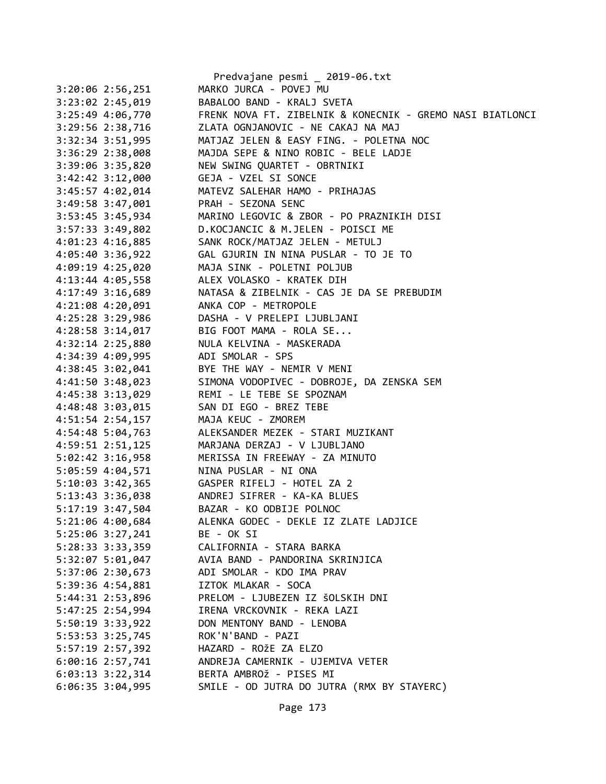|                      | Predvajane pesmi _ 2019-06.txt                             |
|----------------------|------------------------------------------------------------|
| 3:20:06 2:56,251     | MARKO JURCA - POVEJ MU                                     |
| 3:23:02 2:45,019     | BABALOO BAND - KRALJ SVETA                                 |
| 3:25:49 4:06,770     | FRENK NOVA FT. ZIBELNIK & KONECNIK - GREMO NASI BIATLONCI  |
| 3:29:56 2:38,716     | ZLATA OGNJANOVIC - NE CAKAJ NA MAJ                         |
| $3:32:34$ $3:51,995$ | MATJAZ JELEN & EASY FING. - POLETNA NOC                    |
| 3:36:29 2:38,008     | MAJDA SEPE & NINO ROBIC - BELE LADJE                       |
| 3:39:06 3:35,820     | NEW SWING QUARTET - OBRTNIKI                               |
| 3:42:42 3:12,000     | GEJA - VZEL SI SONCE                                       |
| 3:45:57 4:02,014     | MATEVZ SALEHAR HAMO - PRIHAJAS                             |
| 3:49:58 3:47,001     | PRAH - SEZONA SENC                                         |
| 3:53:45 3:45,934     | MARINO LEGOVIC & ZBOR - PO PRAZNIKIH DISI                  |
| 3:57:33 3:49,802     | D.KOCJANCIC & M.JELEN - POISCI ME                          |
| $4:01:23$ $4:16,885$ | SANK ROCK/MATJAZ JELEN - METULJ                            |
| 4:05:40 3:36,922     | GAL GJURIN IN NINA PUSLAR - TO JE TO                       |
| 4:09:19 4:25,020     | MAJA SINK - POLETNI POLJUB                                 |
| 4:13:44 4:05,558     | ALEX VOLASKO - KRATEK DIH                                  |
| 4:17:49 3:16,689     | NATASA & ZIBELNIK - CAS JE DA SE PREBUDIM                  |
| 4:21:08 4:20,091     | ANKA COP - METROPOLE                                       |
| 4:25:28 3:29,986     | DASHA - V PRELEPI LJUBLJANI                                |
| $4:28:58$ 3:14,017   | BIG FOOT MAMA - ROLA SE                                    |
| 4:32:14 2:25,880     | NULA KELVINA - MASKERADA                                   |
| 4:34:39 4:09,995     | ADI SMOLAR - SPS                                           |
| 4:38:45 3:02,041     | BYE THE WAY - NEMIR V MENI                                 |
|                      | 4:41:50 3:48,023 SIMONA VODOPIVEC - DOBROJE, DA ZENSKA SEM |
|                      | 4:45:38 3:13,029 REMI - LE TEBE SE SPOZNAM                 |
| $4:48:48$ 3:03,015   | SAN DI EGO - BREZ TEBE                                     |
| 4:51:54 2:54,157     | MAJA KEUC - ZMOREM                                         |
| 4:54:48 5:04,763     | ALEKSANDER MEZEK - STARI MUZIKANT                          |
| 4:59:51 2:51,125     | MARJANA DERZAJ - V LJUBLJANO                               |
| 5:02:42 3:16,958     | MERISSA IN FREEWAY - ZA MINUTO                             |
| 5:05:59 4:04,571     | NINA PUSLAR - NI ONA                                       |
|                      |                                                            |
|                      | 5:13:43 3:36,038 ANDREJ SIFRER - KA-KA BLUES               |
| 5:17:19 3:47,504     | BAZAR - KO ODBIJE POLNOC                                   |
| 5:21:06 4:00,684     | ALENKA GODEC - DEKLE IZ ZLATE LADJICE                      |
| 5:25:06 3:27,241     | BE - OK SI                                                 |
| 5:28:33 3:33,359     | CALIFORNIA - STARA BARKA                                   |
| 5:32:07 5:01,047     | AVIA BAND - PANDORINA SKRINJICA                            |
| 5:37:06 2:30,673     | ADI SMOLAR - KDO IMA PRAV                                  |
|                      | IZTOK MLAKAR - SOCA                                        |
| 5:39:36 4:54,881     | PRELOM - LJUBEZEN IZ ŠOLSKIH DNI                           |
| 5:44:31 2:53,896     |                                                            |
| 5:47:25 2:54,994     | IRENA VRCKOVNIK - REKA LAZI                                |
| 5:50:19 3:33,922     | DON MENTONY BAND - LENOBA                                  |
| 5:53:53 3:25,745     | ROK'N'BAND - PAZI                                          |
| 5:57:19 2:57,392     | HAZARD - ROŽE ZA ELZO                                      |
| $6:00:16$ 2:57,741   | ANDREJA CAMERNIK - UJEMIVA VETER                           |
| $6:03:13$ $3:22,314$ | BERTA AMBROŽ - PISES MI                                    |
| $6:06:35$ 3:04,995   | SMILE - OD JUTRA DO JUTRA (RMX BY STAYERC)                 |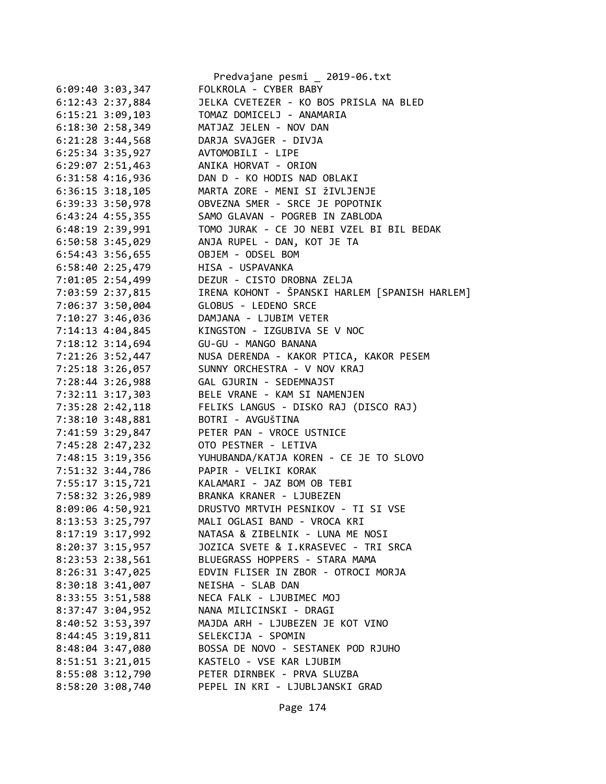|                    | Predvajane pesmi _ 2019-06.txt                 |
|--------------------|------------------------------------------------|
| $6:09:40$ 3:03,347 | FOLKROLA - CYBER BABY                          |
| 6:12:43 2:37,884   | JELKA CVETEZER - KO BOS PRISLA NA BLED         |
| $6:15:21$ 3:09,103 | TOMAZ DOMICELJ - ANAMARIA                      |
| 6:18:30 2:58,349   | MATJAZ JELEN - NOV DAN                         |
| $6:21:28$ 3:44,568 | DARJA SVAJGER - DIVJA                          |
| 6:25:34 3:35,927   | AVTOMOBILI - LIPE                              |
| 6:29:07 2:51,463   | ANIKA HORVAT - ORION                           |
| 6:31:58 4:16,936   | DAN D - KO HODIS NAD OBLAKI                    |
| $6:36:15$ 3:18,105 | MARTA ZORE - MENI SI ŽIVLJENJE                 |
| 6:39:33 3:50,978   | OBVEZNA SMER - SRCE JE POPOTNIK                |
| $6:43:24$ 4:55,355 | SAMO GLAVAN - POGREB IN ZABLODA                |
| 6:48:19 2:39,991   | TOMO JURAK - CE JO NEBI VZEL BI BIL BEDAK      |
| $6:50:58$ 3:45,029 | ANJA RUPEL - DAN, KOT JE TA                    |
| 6:54:43 3:56,655   | OBJEM - ODSEL BOM                              |
| 6:58:40 2:25,479   | HISA - USPAVANKA                               |
| 7:01:05 2:54,499   | DEZUR - CISTO DROBNA ZELJA                     |
| 7:03:59 2:37,815   | IRENA KOHONT - ŠPANSKI HARLEM [SPANISH HARLEM] |
| 7:06:37 3:50,004   | GLOBUS - LEDENO SRCE                           |
| 7:10:27 3:46,036   | DAMJANA - LJUBIM VETER                         |
|                    | KINGSTON - IZGUBIVA SE V NOC                   |
| 7:14:13 4:04,845   |                                                |
| 7:18:12 3:14,694   | GU-GU - MANGO BANANA                           |
| 7:21:26 3:52,447   | NUSA DERENDA - KAKOR PTICA, KAKOR PESEM        |
| 7:25:18 3:26,057   | SUNNY ORCHESTRA - V NOV KRAJ                   |
| 7:28:44 3:26,988   | GAL GJURIN - SEDEMNAJST                        |
| 7:32:11 3:17,303   | BELE VRANE - KAM SI NAMENJEN                   |
| 7:35:28 2:42,118   | FELIKS LANGUS - DISKO RAJ (DISCO RAJ)          |
| 7:38:10 3:48,881   | BOTRI - AVGUŠTINA                              |
| 7:41:59 3:29,847   | PETER PAN - VROCE USTNICE                      |
| 7:45:28 2:47,232   | OTO PESTNER - LETIVA                           |
| 7:48:15 3:19,356   | YUHUBANDA/KATJA KOREN - CE JE TO SLOVO         |
| 7:51:32 3:44,786   | PAPIR - VELIKI KORAK                           |
| 7:55:17 3:15,721   | KALAMARI - JAZ BOM OB TEBI                     |
| 7:58:32 3:26,989   | BRANKA KRANER - LJUBEZEN                       |
| 8:09:06 4:50,921   | DRUSTVO MRTVIH PESNIKOV - TI SI VSE            |
| 8:13:53 3:25,797   | MALI OGLASI BAND - VROCA KRI                   |
| $8:17:19$ 3:17,992 | NATASA & ZIBELNIK - LUNA ME NOSI               |
| 8:20:37 3:15,957   | JOZICA SVETE & I.KRASEVEC - TRI SRCA           |
| 8:23:53 2:38,561   | BLUEGRASS HOPPERS - STARA MAMA                 |
| 8:26:31 3:47,025   | EDVIN FLISER IN ZBOR - OTROCI MORJA            |
| $8:30:18$ 3:41,007 | NEISHA - SLAB DAN                              |
| 8:33:55 3:51,588   | NECA FALK - LJUBIMEC MOJ                       |
| 8:37:47 3:04,952   | NANA MILICINSKI - DRAGI                        |
| 8:40:52 3:53,397   | MAJDA ARH - LJUBEZEN JE KOT VINO               |
| 8:44:45 3:19,811   | SELEKCIJA - SPOMIN                             |
| 8:48:04 3:47,080   | BOSSA DE NOVO - SESTANEK POD RJUHO             |
| 8:51:51 3:21,015   | KASTELO - VSE KAR LJUBIM                       |
| 8:55:08 3:12,790   | PETER DIRNBEK - PRVA SLUZBA                    |
| 8:58:20 3:08,740   | PEPEL IN KRI - LJUBLJANSKI GRAD                |
|                    |                                                |

Page 174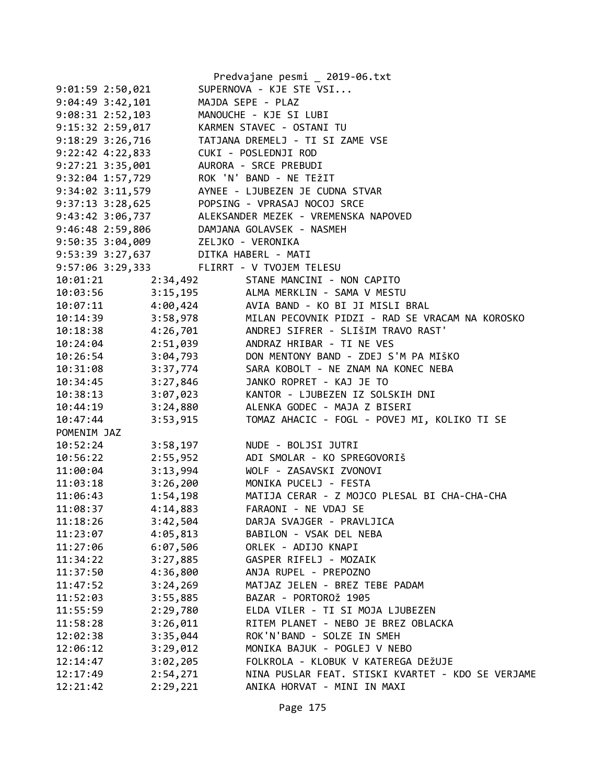|                                           |          | Predvajane pesmi _ 2019-06.txt                                                             |
|-------------------------------------------|----------|--------------------------------------------------------------------------------------------|
| $9:01:59$ 2:50,021                        |          | SUPERNOVA - KJE STE VSI                                                                    |
| $9:04:49$ 3:42,101                        |          | MAJDA SEPE - PLAZ                                                                          |
| $9:08:31$ $2:52,103$                      |          | MANOUCHE - KJE SI LUBI                                                                     |
| $9:15:32$ 2:59,017                        |          | KARMEN STAVEC - OSTANI TU                                                                  |
| $9:18:29$ $3:26,716$                      |          | TATJANA DREMELJ - TI SI ZAME VSE                                                           |
| $9:22:42 \ 4:22,833$                      |          | CUKI - POSLEDNJI ROD                                                                       |
| $9:27:21$ $3:35,001$                      |          | AURORA - SRCE PREBUDI                                                                      |
| 9:32:04 1:57,729                          |          | ROK 'N' BAND - NE TEŽIT                                                                    |
| 9:34:02 3:11,579                          |          | AYNEE - LJUBEZEN JE CUDNA STVAR                                                            |
|                                           |          | 9:37:13 3:28,625 POPSING - VPRASAJ NOCOJ SRCE                                              |
| 9:43:42 3:06,737                          |          | ALEKSANDER MEZEK - VREMENSKA NAPOVED                                                       |
| 9:46:48 2:59,806                          |          | DAMJANA GOLAVSEK - NASMEH                                                                  |
| 9:50:35 3:04,009                          |          | ZELJKO - VERONIKA                                                                          |
| 9:53:39 3:27,637                          |          | DITKA HABERL - MATI                                                                        |
| 9:57:06 3:29,333 FLIRRT - V TVOJEM TELESU |          |                                                                                            |
| 10:01:21                                  |          | 2:34,492 STANE MANCINI - NON CAPITO                                                        |
| 10:03:56                                  |          | 3:15,195 ALMA MERKLIN - SAMA V MESTU                                                       |
|                                           |          | 10:07:11 4:00,424 AVIA BAND - KO BI JI MISLI BRAL                                          |
| $10:14:39$ $3:58,978$                     |          | MILAN PECOVNIK PIDZI - RAD SE VRACAM NA KOROSKO                                            |
|                                           |          | 10:18:38 4:26,701 ANDREJ SIFRER - SLIŠIM TRAVO RAST'                                       |
|                                           |          | 10:24:04 2:51,039 ANDRAZ HRIBAR - TI NE VES<br>10:26:54 3:04,793 DON MENTONY BAND - ZDEJ S |
|                                           |          | DON MENTONY BAND - ZDEJ S'M PA MIŠKO                                                       |
| 10:31:08                                  | 3:37,774 | SARA KOBOLT - NE ZNAM NA KONEC NEBA                                                        |
| 10:34:45                                  | 3:27,846 | JANKO ROPRET - KAJ JE TO                                                                   |
| 10:38:13                                  | 3:07,023 | KANTOR - LJUBEZEN IZ SOLSKIH DNI                                                           |
| 10:44:19                                  | 3:24,880 | ALENKA GODEC - MAJA Z BISERI                                                               |
| 10:47:44                                  | 3:53,915 | TOMAZ AHACIC - FOGL - POVEJ MI, KOLIKO TI SE                                               |
| POMENIM JAZ                               |          |                                                                                            |
| 10:52:24                                  | 3:58,197 | NUDE - BOLJSI JUTRI                                                                        |
| 10:56:22                                  | 2:55,952 | ADI SMOLAR - KO SPREGOVORIŠ                                                                |
| 11:00:04                                  | 3:13,994 | WOLF - ZASAVSKI ZVONOVI                                                                    |
| 11:03:18                                  | 3:26,200 | MONIKA PUCELJ - FESTA                                                                      |
| 11:06:43                                  | 1:54,198 | MATIJA CERAR - Z MOJCO PLESAL BI CHA-CHA-CHA                                               |
| 11:08:37                                  | 4:14,883 | FARAONI - NE VDAJ SE                                                                       |
| 11:18:26                                  | 3:42,504 | DARJA SVAJGER - PRAVLJICA                                                                  |
| 11:23:07                                  | 4:05,813 | BABILON - VSAK DEL NEBA                                                                    |
| 11:27:06                                  | 6:07,506 | ORLEK - ADIJO KNAPI                                                                        |
| 11:34:22                                  | 3:27,885 | GASPER RIFELJ - MOZAIK                                                                     |
| 11:37:50                                  | 4:36,800 | ANJA RUPEL - PREPOZNO                                                                      |
| 11:47:52                                  | 3:24,269 | MATJAZ JELEN - BREZ TEBE PADAM                                                             |
| 11:52:03                                  | 3:55,885 | BAZAR - PORTOROŽ 1905                                                                      |
| 11:55:59                                  | 2:29,780 | ELDA VILER - TI SI MOJA LJUBEZEN                                                           |
| 11:58:28                                  | 3:26,011 | RITEM PLANET - NEBO JE BREZ OBLACKA                                                        |
| 12:02:38                                  | 3:35,044 | ROK'N'BAND - SOLZE IN SMEH                                                                 |
| 12:06:12                                  | 3:29,012 | MONIKA BAJUK - POGLEJ V NEBO                                                               |
| 12:14:47                                  | 3:02,205 | FOLKROLA - KLOBUK V KATEREGA DEŽUJE                                                        |
| 12:17:49                                  | 2:54,271 | NINA PUSLAR FEAT. STISKI KVARTET - KDO SE VERJAME                                          |
| 12:21:42                                  | 2:29,221 | ANIKA HORVAT - MINI IN MAXI                                                                |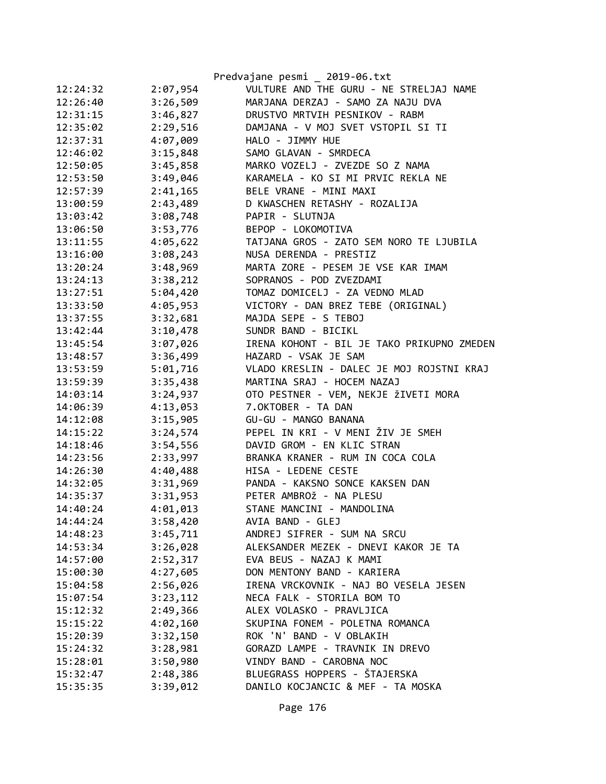|          |          | Predvajane pesmi _ 2019-06.txt             |
|----------|----------|--------------------------------------------|
| 12:24:32 | 2:07,954 | VULTURE AND THE GURU - NE STRELJAJ NAME    |
| 12:26:40 | 3:26,509 | MARJANA DERZAJ - SAMO ZA NAJU DVA          |
| 12:31:15 | 3:46,827 | DRUSTVO MRTVIH PESNIKOV - RABM             |
| 12:35:02 | 2:29,516 | DAMJANA - V MOJ SVET VSTOPIL SI TI         |
| 12:37:31 | 4:07,009 | HALO - JIMMY HUE                           |
| 12:46:02 | 3:15,848 | SAMO GLAVAN - SMRDECA                      |
| 12:50:05 | 3:45,858 | MARKO VOZELJ - ZVEZDE SO Z NAMA            |
| 12:53:50 | 3:49,046 | KARAMELA - KO SI MI PRVIC REKLA NE         |
| 12:57:39 | 2:41,165 | BELE VRANE - MINI MAXI                     |
| 13:00:59 | 2:43,489 | D KWASCHEN RETASHY - ROZALIJA              |
| 13:03:42 | 3:08,748 | PAPIR - SLUTNJA                            |
| 13:06:50 | 3:53,776 | BEPOP - LOKOMOTIVA                         |
| 13:11:55 | 4:05,622 | TATJANA GROS - ZATO SEM NORO TE LJUBILA    |
| 13:16:00 | 3:08,243 | NUSA DERENDA - PRESTIZ                     |
| 13:20:24 | 3:48,969 | MARTA ZORE - PESEM JE VSE KAR IMAM         |
| 13:24:13 | 3:38,212 | SOPRANOS - POD ZVEZDAMI                    |
| 13:27:51 | 5:04,420 | TOMAZ DOMICELJ - ZA VEDNO MLAD             |
| 13:33:50 | 4:05,953 | VICTORY - DAN BREZ TEBE (ORIGINAL)         |
| 13:37:55 | 3:32,681 | MAJDA SEPE - S TEBOJ                       |
| 13:42:44 | 3:10,478 | SUNDR BAND - BICIKL                        |
| 13:45:54 | 3:07,026 | IRENA KOHONT - BIL JE TAKO PRIKUPNO ZMEDEN |
| 13:48:57 | 3:36,499 | HAZARD - VSAK JE SAM                       |
| 13:53:59 | 5:01,716 | VLADO KRESLIN - DALEC JE MOJ ROJSTNI KRAJ  |
| 13:59:39 | 3:35,438 | MARTINA SRAJ - HOCEM NAZAJ                 |
| 14:03:14 | 3:24,937 | OTO PESTNER - VEM, NEKJE ŽIVETI MORA       |
| 14:06:39 | 4:13,053 | 7.OKTOBER - TA DAN                         |
| 14:12:08 | 3:15,905 | GU-GU - MANGO BANANA                       |
| 14:15:22 | 3:24,574 | PEPEL IN KRI - V MENI ŽIV JE SMEH          |
| 14:18:46 | 3:54,556 | DAVID GROM - EN KLIC STRAN                 |
| 14:23:56 | 2:33,997 | BRANKA KRANER - RUM IN COCA COLA           |
| 14:26:30 | 4:40,488 | HISA - LEDENE CESTE                        |
| 14:32:05 | 3:31,969 | PANDA - KAKSNO SONCE KAKSEN DAN            |
| 14:35:37 | 3:31,953 | PETER AMBROŽ - NA PLESU                    |
| 14:40:24 | 4:01,013 | STANE MANCINI - MANDOLINA                  |
| 14:44:24 | 3:58,420 | AVIA BAND - GLEJ                           |
| 14:48:23 | 3:45,711 | ANDREJ SIFRER - SUM NA SRCU                |
| 14:53:34 | 3:26,028 | ALEKSANDER MEZEK - DNEVI KAKOR JE TA       |
| 14:57:00 | 2:52,317 | EVA BEUS - NAZAJ K MAMI                    |
| 15:00:30 | 4:27,605 | DON MENTONY BAND - KARIERA                 |
| 15:04:58 | 2:56,026 | IRENA VRCKOVNIK - NAJ BO VESELA JESEN      |
| 15:07:54 | 3:23,112 | NECA FALK - STORILA BOM TO                 |
| 15:12:32 | 2:49,366 | ALEX VOLASKO - PRAVLJICA                   |
| 15:15:22 | 4:02,160 | SKUPINA FONEM - POLETNA ROMANCA            |
| 15:20:39 | 3:32,150 | ROK 'N' BAND - V OBLAKIH                   |
| 15:24:32 | 3:28,981 | GORAZD LAMPE - TRAVNIK IN DREVO            |
| 15:28:01 | 3:50,980 | VINDY BAND - CAROBNA NOC                   |
| 15:32:47 | 2:48,386 | BLUEGRASS HOPPERS - ŠTAJERSKA              |
| 15:35:35 | 3:39,012 | DANILO KOCJANCIC & MEF - TA MOSKA          |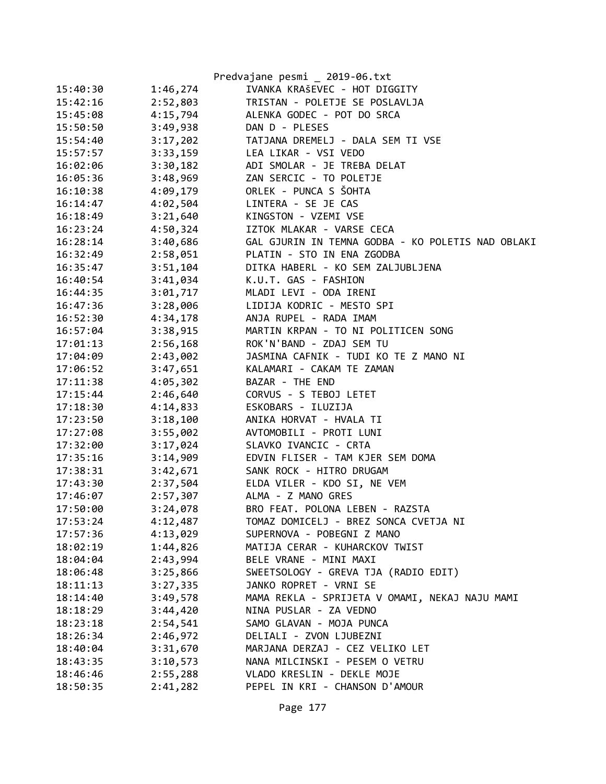|          |          | Predvajane pesmi _ 2019-06.txt                    |
|----------|----------|---------------------------------------------------|
| 15:40:30 | 1:46,274 | IVANKA KRAŠEVEC - HOT DIGGITY                     |
| 15:42:16 | 2:52,803 | TRISTAN - POLETJE SE POSLAVLJA                    |
| 15:45:08 | 4:15,794 | ALENKA GODEC - POT DO SRCA                        |
| 15:50:50 | 3:49,938 | DAN D - PLESES                                    |
| 15:54:40 | 3:17,202 | TATJANA DREMELJ - DALA SEM TI VSE                 |
| 15:57:57 | 3:33,159 | LEA LIKAR - VSI VEDO                              |
| 16:02:06 | 3:30,182 | ADI SMOLAR - JE TREBA DELAT                       |
| 16:05:36 | 3:48,969 | ZAN SERCIC - TO POLETJE                           |
| 16:10:38 | 4:09,179 | ORLEK - PUNCA S ŠOHTA                             |
| 16:14:47 | 4:02,504 | LINTERA - SE JE CAS                               |
| 16:18:49 | 3:21,640 | KINGSTON - VZEMI VSE                              |
| 16:23:24 | 4:50,324 | IZTOK MLAKAR - VARSE CECA                         |
| 16:28:14 | 3:40,686 | GAL GJURIN IN TEMNA GODBA - KO POLETIS NAD OBLAKI |
| 16:32:49 | 2:58,051 | PLATIN - STO IN ENA ZGODBA                        |
| 16:35:47 | 3:51,104 | DITKA HABERL - KO SEM ZALJUBLJENA                 |
| 16:40:54 | 3:41,034 | K.U.T. GAS - FASHION                              |
| 16:44:35 | 3:01,717 | MLADI LEVI - ODA IRENI                            |
| 16:47:36 | 3:28,006 | LIDIJA KODRIC - MESTO SPI                         |
| 16:52:30 | 4:34,178 | ANJA RUPEL - RADA IMAM                            |
| 16:57:04 | 3:38,915 | MARTIN KRPAN - TO NI POLITICEN SONG               |
| 17:01:13 | 2:56,168 | ROK'N'BAND - ZDAJ SEM TU                          |
| 17:04:09 | 2:43,002 | JASMINA CAFNIK - TUDI KO TE Z MANO NI             |
| 17:06:52 | 3:47,651 | KALAMARI - CAKAM TE ZAMAN                         |
| 17:11:38 | 4:05,302 | BAZAR - THE END                                   |
| 17:15:44 | 2:46,640 | CORVUS - S TEBOJ LETET                            |
| 17:18:30 | 4:14,833 | ESKOBARS - ILUZIJA                                |
| 17:23:50 | 3:18,100 | ANIKA HORVAT - HVALA TI                           |
| 17:27:08 | 3:55,002 | AVTOMOBILI - PROTI LUNI                           |
| 17:32:00 | 3:17,024 | SLAVKO IVANCIC - CRTA                             |
| 17:35:16 | 3:14,909 | EDVIN FLISER - TAM KJER SEM DOMA                  |
| 17:38:31 | 3:42,671 | SANK ROCK - HITRO DRUGAM                          |
| 17:43:30 | 2:37,504 | ELDA VILER - KDO SI, NE VEM                       |
| 17:46:07 | 2:57,307 | ALMA - Z MANO GRES                                |
| 17:50:00 | 3:24,078 | BRO FEAT. POLONA LEBEN - RAZSTA                   |
| 17:53:24 | 4:12,487 | TOMAZ DOMICELJ - BREZ SONCA CVETJA NI             |
| 17:57:36 | 4:13,029 | SUPERNOVA - POBEGNI Z MANO                        |
| 18:02:19 | 1:44,826 | MATIJA CERAR - KUHARCKOV TWIST                    |
| 18:04:04 | 2:43,994 | BELE VRANE - MINI MAXI                            |
| 18:06:48 | 3:25,866 | SWEETSOLOGY - GREVA TJA (RADIO EDIT)              |
| 18:11:13 | 3:27,335 | JANKO ROPRET - VRNI SE                            |
| 18:14:40 | 3:49,578 | MAMA REKLA - SPRIJETA V OMAMI, NEKAJ NAJU MAMI    |
| 18:18:29 | 3:44,420 | NINA PUSLAR - ZA VEDNO                            |
| 18:23:18 | 2:54,541 | SAMO GLAVAN - MOJA PUNCA                          |
| 18:26:34 | 2:46,972 | DELIALI - ZVON LJUBEZNI                           |
| 18:40:04 | 3:31,670 | MARJANA DERZAJ - CEZ VELIKO LET                   |
| 18:43:35 | 3:10,573 | NANA MILCINSKI - PESEM O VETRU                    |
| 18:46:46 | 2:55,288 | VLADO KRESLIN - DEKLE MOJE                        |
| 18:50:35 | 2:41,282 | PEPEL IN KRI - CHANSON D'AMOUR                    |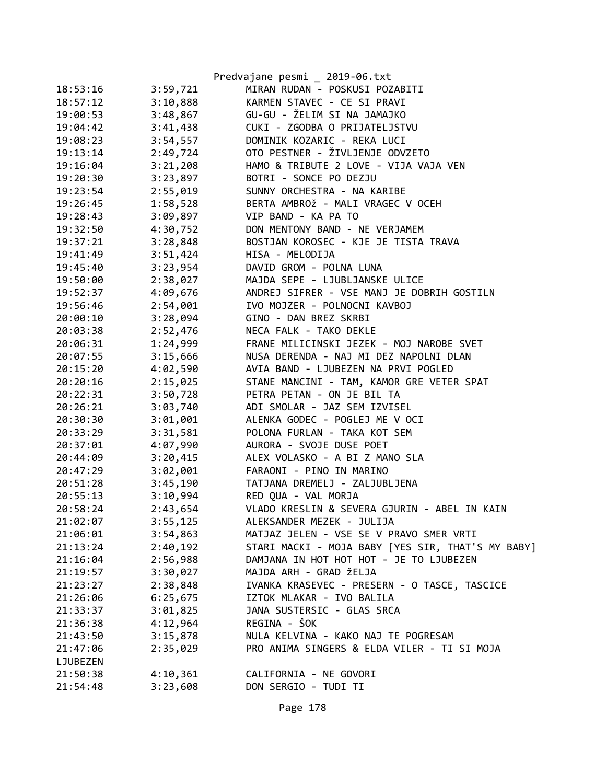|          |          | Predvajane pesmi _ 2019-06.txt                    |
|----------|----------|---------------------------------------------------|
| 18:53:16 | 3:59,721 | MIRAN RUDAN - POSKUSI POZABITI                    |
| 18:57:12 | 3:10,888 | KARMEN STAVEC - CE SI PRAVI                       |
| 19:00:53 | 3:48,867 | GU-GU - ŽELIM SI NA JAMAJKO                       |
| 19:04:42 | 3:41,438 | CUKI - ZGODBA O PRIJATELJSTVU                     |
| 19:08:23 | 3:54,557 | DOMINIK KOZARIC - REKA LUCI                       |
| 19:13:14 | 2:49,724 | OTO PESTNER - ŽIVLJENJE ODVZETO                   |
| 19:16:04 | 3:21,208 | HAMO & TRIBUTE 2 LOVE - VIJA VAJA VEN             |
| 19:20:30 | 3:23,897 | BOTRI - SONCE PO DEZJU                            |
| 19:23:54 | 2:55,019 | SUNNY ORCHESTRA - NA KARIBE                       |
| 19:26:45 | 1:58,528 | BERTA AMBROŽ - MALI VRAGEC V OCEH                 |
| 19:28:43 | 3:09,897 | VIP BAND - KA PA TO                               |
| 19:32:50 | 4:30,752 | DON MENTONY BAND - NE VERJAMEM                    |
| 19:37:21 | 3:28,848 | BOSTJAN KOROSEC - KJE JE TISTA TRAVA              |
| 19:41:49 | 3:51,424 | HISA - MELODIJA                                   |
| 19:45:40 | 3:23,954 | DAVID GROM - POLNA LUNA                           |
| 19:50:00 | 2:38,027 | MAJDA SEPE - LJUBLJANSKE ULICE                    |
| 19:52:37 | 4:09,676 | ANDREJ SIFRER - VSE MANJ JE DOBRIH GOSTILN        |
| 19:56:46 | 2:54,001 | IVO MOJZER - POLNOCNI KAVBOJ                      |
| 20:00:10 | 3:28,094 | GINO - DAN BREZ SKRBI                             |
| 20:03:38 | 2:52,476 | NECA FALK - TAKO DEKLE                            |
| 20:06:31 | 1:24,999 | FRANE MILICINSKI JEZEK - MOJ NAROBE SVET          |
| 20:07:55 | 3:15,666 | NUSA DERENDA - NAJ MI DEZ NAPOLNI DLAN            |
| 20:15:20 | 4:02,590 | AVIA BAND - LJUBEZEN NA PRVI POGLED               |
| 20:20:16 | 2:15,025 | STANE MANCINI - TAM, KAMOR GRE VETER SPAT         |
| 20:22:31 | 3:50,728 | PETRA PETAN - ON JE BIL TA                        |
| 20:26:21 | 3:03,740 | ADI SMOLAR - JAZ SEM IZVISEL                      |
| 20:30:30 | 3:01,001 | ALENKA GODEC - POGLEJ ME V OCI                    |
| 20:33:29 | 3:31,581 | POLONA FURLAN - TAKA KOT SEM                      |
| 20:37:01 | 4:07,990 | AURORA - SVOJE DUSE POET                          |
| 20:44:09 | 3:20,415 | ALEX VOLASKO - A BI Z MANO SLA                    |
| 20:47:29 | 3:02,001 | FARAONI - PINO IN MARINO                          |
| 20:51:28 | 3:45,190 | TATJANA DREMELJ - ZALJUBLJENA                     |
| 20:55:13 | 3:10,994 | RED QUA - VAL MORJA                               |
| 20:58:24 | 2:43,654 | VLADO KRESLIN & SEVERA GJURIN - ABEL IN KAIN      |
| 21:02:07 | 3:55,125 | ALEKSANDER MEZEK - JULIJA                         |
| 21:06:01 | 3:54,863 | MATJAZ JELEN - VSE SE V PRAVO SMER VRTI           |
| 21:13:24 | 2:40,192 | STARI MACKI - MOJA BABY [YES SIR, THAT'S MY BABY] |
| 21:16:04 | 2:56,988 | DAMJANA IN HOT HOT HOT - JE TO LJUBEZEN           |
| 21:19:57 | 3:30,027 | MAJDA ARH - GRAD ŽELJA                            |
| 21:23:27 | 2:38,848 | IVANKA KRASEVEC - PRESERN - O TASCE, TASCICE      |
| 21:26:06 | 6:25,675 | IZTOK MLAKAR - IVO BALILA                         |
| 21:33:37 | 3:01,825 | JANA SUSTERSIC - GLAS SRCA                        |
| 21:36:38 | 4:12,964 | REGINA - ŠOK                                      |
| 21:43:50 | 3:15,878 | NULA KELVINA - KAKO NAJ TE POGRESAM               |
| 21:47:06 | 2:35,029 | PRO ANIMA SINGERS & ELDA VILER - TI SI MOJA       |
| LJUBEZEN |          |                                                   |
| 21:50:38 | 4:10,361 | CALIFORNIA - NE GOVORI                            |
| 21:54:48 | 3:23,608 | DON SERGIO - TUDI TI                              |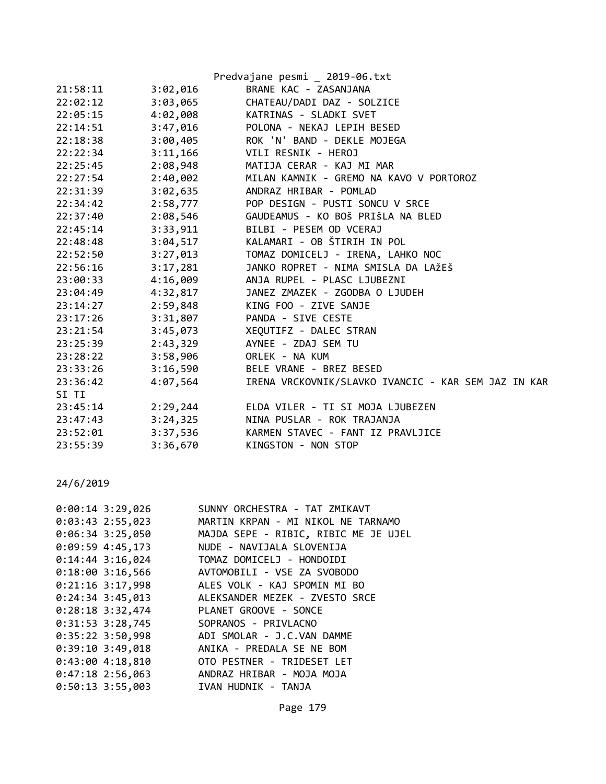| Predvajane pesmi _ 2019-06.txt |          |                                                     |
|--------------------------------|----------|-----------------------------------------------------|
| 21:58:11                       | 3:02,016 | BRANE KAC - ZASANJANA                               |
| 22:02:12                       | 3:03,065 | CHATEAU/DADI DAZ - SOLZICE                          |
| 22:05:15                       | 4:02,008 | KATRINAS - SLADKI SVET                              |
| 22:14:51                       | 3:47,016 | POLONA - NEKAJ LEPIH BESED                          |
| 22:18:38                       | 3:00,405 | ROK 'N' BAND - DEKLE MOJEGA                         |
| 22:22:34                       | 3:11,166 | VILI RESNIK - HEROJ                                 |
| 22:25:45                       | 2:08,948 | MATIJA CERAR - KAJ MI MAR                           |
| 22:27:54                       | 2:40,002 | MILAN KAMNIK - GREMO NA KAVO V PORTOROZ             |
| 22:31:39                       |          | 3:02,635 ANDRAZ HRIBAR - POMLAD                     |
| 22:34:42                       | 2:58,777 | POP DESIGN - PUSTI SONCU V SRCE                     |
| 22:37:40                       | 2:08,546 | GAUDEAMUS - KO BOŠ PRIŠLA NA BLED                   |
| 22:45:14                       |          | 3:33,911 BILBI - PESEM OD VCERAJ                    |
| 22:48:48                       |          | 3:04,517 KALAMARI - OB ŠTIRIH IN POL                |
| 22:52:50                       | 3:27,013 | TOMAZ DOMICELJ - IRENA, LAHKO NOC                   |
| 22:56:16                       | 3:17,281 | JANKO ROPRET - NIMA SMISLA DA LAŽEŠ                 |
| 23:00:33                       | 4:16,009 | ANJA RUPEL - PLASC LJUBEZNI                         |
| 23:04:49                       | 4:32,817 | JANEZ ZMAZEK - ZGODBA O LJUDEH                      |
| 23:14:27                       | 2:59,848 | KING FOO - ZIVE SANJE                               |
| 23:17:26                       | 3:31,807 | PANDA - SIVE CESTE                                  |
| 23:21:54                       | 3:45,073 | XEQUTIFZ - DALEC STRAN                              |
| 23:25:39                       | 2:43,329 | AYNEE - ZDAJ SEM TU                                 |
| 23:28:22                       | 3:58,906 | ORLEK - NA KUM                                      |
| 23:33:26                       | 3:16,590 | BELE VRANE - BREZ BESED                             |
| 23:36:42                       | 4:07,564 | IRENA VRCKOVNIK/SLAVKO IVANCIC - KAR SEM JAZ IN KAR |
| SI TI                          |          |                                                     |
| 23:45:14                       |          | 2:29,244 ELDA VILER - TI SI MOJA LJUBEZEN           |
| 23:47:43                       |          | 3:24,325 NINA PUSLAR - ROK TRAJANJA                 |
| 23:52:01                       |          | 3:37,536 KARMEN STAVEC - FANT IZ PRAVLJICE          |
| 23:55:39                       |          | 3:36,670 KINGSTON - NON STOP                        |
|                                |          |                                                     |

| $0:00:14$ 3:29,026 | SUNNY ORCHESTRA - TAT ZMIKAVT        |
|--------------------|--------------------------------------|
| $0:03:43$ 2:55,023 | MARTIN KRPAN - MI NIKOL NE TARNAMO   |
| $0:06:34$ 3:25,050 | MAJDA SEPE - RIBIC, RIBIC ME JE UJEL |
| $0:09:59$ 4:45,173 | NUDE - NAVIJALA SLOVENIJA            |
| $0:14:44$ 3:16,024 | TOMAZ DOMICELJ - HONDOIDI            |
| $0:18:00$ 3:16,566 | AVTOMOBILI - VSE ZA SVOBODO          |
| $0:21:16$ 3:17,998 | ALES VOLK - KAJ SPOMIN MI BO         |
| $0:24:34$ 3:45,013 | ALEKSANDER MEZEK - ZVESTO SRCE       |
| $0:28:18$ 3:32,474 | PLANET GROOVE - SONCE                |
| $0:31:53$ 3:28,745 | SOPRANOS - PRIVLACNO                 |
| $0:35:22$ 3:50,998 | ADI SMOLAR - J.C.VAN DAMME           |
| $0:39:10$ 3:49,018 | ANIKA - PREDALA SE NE BOM            |
| $0:43:00$ 4:18,810 | OTO PESTNER - TRIDESET LET           |
| $0:47:18$ 2:56,063 | ANDRAZ HRIBAR - MOJA MOJA            |
| $0:50:13$ 3:55,003 | IVAN HUDNIK - TANJA                  |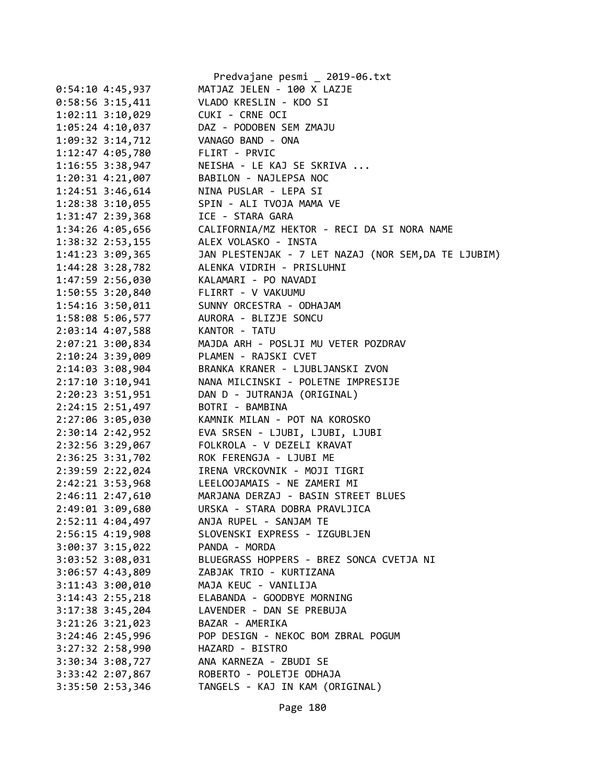|                                      | Predvajane pesmi _ 2019-06.txt                          |
|--------------------------------------|---------------------------------------------------------|
| $0:54:10$ 4:45,937                   | MATJAZ JELEN - 100 X LAZJE                              |
| $0:58:56$ 3:15,411                   | VLADO KRESLIN - KDO SI                                  |
| 1:02:11 3:10,029                     | CUKI - CRNE OCI                                         |
| 1:05:24 4:10,037                     | DAZ - PODOBEN SEM ZMAJU                                 |
| 1:09:32 3:14,712                     | VANAGO BAND - ONA                                       |
| 1:12:47 4:05,780                     | FLIRT - PRVIC                                           |
| 1:16:55 3:38,947                     | NEISHA - LE KAJ SE SKRIVA                               |
| 1:20:31 4:21,007                     | BABILON - NAJLEPSA NOC                                  |
| 1:24:51 3:46,614                     | NINA PUSLAR - LEPA SI                                   |
| 1:28:38 3:10,055                     | SPIN - ALI TVOJA MAMA VE                                |
| 1:31:47 2:39,368                     | ICE - STARA GARA                                        |
| 1:34:26 4:05,656                     | CALIFORNIA/MZ HEKTOR - RECI DA SI NORA NAME             |
| 1:38:32 2:53,155                     | ALEX VOLASKO - INSTA                                    |
| 1:41:23 3:09,365                     | JAN PLESTENJAK - 7 LET NAZAJ (NOR SEM, DA TE LJUBIM)    |
| 1:44:28 3:28,782                     | ALENKA VIDRIH - PRISLUHNI                               |
| 1:47:59 2:56,030                     | KALAMARI - PO NAVADI                                    |
| 1:50:55 3:20,840                     | FLIRRT - V VAKUUMU                                      |
| 1:54:16 3:50,011                     | SUNNY ORCESTRA - ODHAJAM                                |
| 1:58:08 5:06,577                     | AURORA - BLIZJE SONCU                                   |
| 2:03:14 4:07,588                     | KANTOR - TATU                                           |
| 2:07:21 3:00,834                     | MAJDA ARH - POSLJI MU VETER POZDRAV                     |
| 2:10:24 3:39,009                     | PLAMEN - RAJSKI CVET                                    |
| 2:14:03 3:08,904                     | BRANKA KRANER - LJUBLJANSKI ZVON                        |
| 2:17:10 3:10,941                     | NANA MILCINSKI - POLETNE IMPRESIJE                      |
| 2:20:23 3:51,951                     | DAN D - JUTRANJA (ORIGINAL)                             |
| 2:24:15 2:51,497                     | BOTRI - BAMBINA                                         |
| 2:27:06 3:05,030                     | KAMNIK MILAN - POT NA KOROSKO                           |
| 2:30:14 2:42,952                     | EVA SRSEN - LJUBI, LJUBI, LJUBI                         |
| 2:32:56 3:29,067                     | FOLKROLA - V DEZELI KRAVAT                              |
| 2:36:25 3:31,702                     | ROK FERENGJA - LJUBI ME                                 |
|                                      | IRENA VRCKOVNIK - MOJI TIGRI                            |
| 2:39:59 2:22,024                     | LEELOOJAMAIS - NE ZAMERI MI                             |
| 2:42:21 3:53,968                     | MARJANA DERZAJ - BASIN STREET BLUES                     |
| 2:46:11 2:47,610                     |                                                         |
| 2:49:01 3:09,680<br>2:52:11 4:04,497 | URSKA - STARA DOBRA PRAVLJICA<br>ANJA RUPEL - SANJAM TE |
|                                      | SLOVENSKI EXPRESS - IZGUBLJEN                           |
| 2:56:15 4:19,908                     |                                                         |
| 3:00:37 3:15,022                     | PANDA - MORDA                                           |
| 3:03:52 3:08,031                     | BLUEGRASS HOPPERS - BREZ SONCA CVETJA NI                |
| 3:06:57 4:43,809                     | ZABJAK TRIO - KURTIZANA                                 |
| $3:11:43$ $3:00,010$                 | MAJA KEUC - VANILIJA                                    |
| 3:14:43 2:55,218                     | ELABANDA - GOODBYE MORNING                              |
| $3:17:38$ $3:45,204$                 | LAVENDER - DAN SE PREBUJA                               |
| $3:21:26$ $3:21,023$                 | BAZAR - AMERIKA                                         |
| 3:24:46 2:45,996                     | POP DESIGN - NEKOC BOM ZBRAL POGUM                      |
| 3:27:32 2:58,990                     | HAZARD - BISTRO                                         |
| 3:30:34 3:08,727                     | ANA KARNEZA - ZBUDI SE                                  |
| 3:33:42 2:07,867                     | ROBERTO - POLETJE ODHAJA                                |
| 3:35:50 2:53,346                     | TANGELS - KAJ IN KAM (ORIGINAL)                         |

Page 180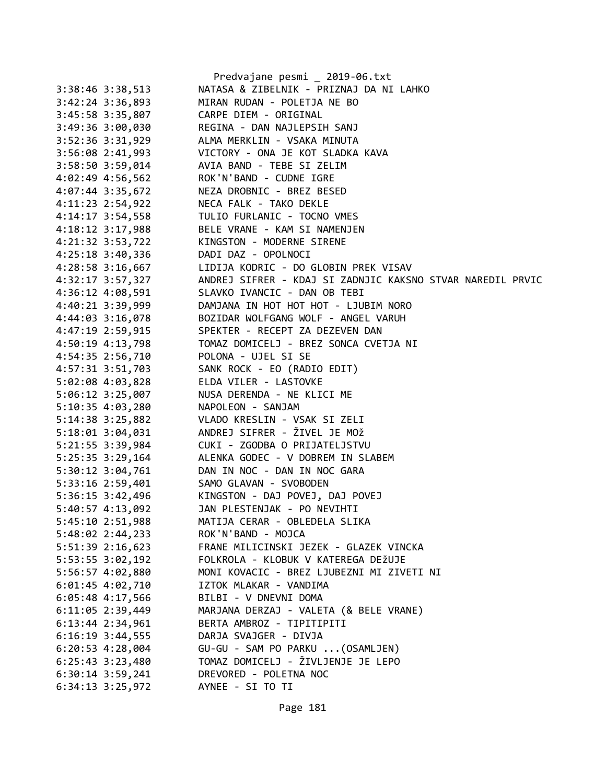|                      | Predvajane pesmi _ 2019-06.txt                               |
|----------------------|--------------------------------------------------------------|
| $3:38:46$ $3:38,513$ | NATASA & ZIBELNIK - PRIZNAJ DA NI LAHKO                      |
| 3:42:24 3:36,893     | MIRAN RUDAN - POLETJA NE BO                                  |
| 3:45:58 3:35,807     | CARPE DIEM - ORIGINAL                                        |
| 3:49:36 3:00,030     | REGINA - DAN NAJLEPSIH SANJ                                  |
| 3:52:36 3:31,929     | ALMA MERKLIN - VSAKA MINUTA                                  |
| $3:56:08$ 2:41,993   | VICTORY - ONA JE KOT SLADKA KAVA                             |
| 3:58:50 3:59,014     | AVIA BAND - TEBE SI ZELIM                                    |
| 4:02:49 4:56,562     | ROK'N'BAND - CUDNE IGRE                                      |
| 4:07:44 3:35,672     | NEZA DROBNIC - BREZ BESED                                    |
| 4:11:23 2:54,922     | NECA FALK - TAKO DEKLE                                       |
| $4:14:17$ 3:54,558   | TULIO FURLANIC - TOCNO VMES                                  |
| $4:18:12$ 3:17,988   | BELE VRANE - KAM SI NAMENJEN                                 |
| 4:21:32 3:53,722     | KINGSTON - MODERNE SIRENE                                    |
| 4:25:18 3:40,336     | DADI DAZ - OPOLNOCI                                          |
| 4:28:58 3:16,667     | LIDIJA KODRIC - DO GLOBIN PREK VISAV                         |
| 4:32:17 3:57,327     | ANDREJ SIFRER - KDAJ SI ZADNJIC KAKSNO STVAR NAREDIL PRVIC   |
| 4:36:12 4:08,591     | SLAVKO IVANCIC - DAN OB TEBI                                 |
| 4:40:21 3:39,999     | DAMJANA IN HOT HOT HOT - LJUBIM NORO                         |
| 4:44:03 3:16,078     | BOZIDAR WOLFGANG WOLF - ANGEL VARUH                          |
| 4:47:19 2:59,915     | SPEKTER - RECEPT ZA DEZEVEN DAN                              |
| $4:50:19$ $4:13,798$ | TOMAZ DOMICELJ - BREZ SONCA CVETJA NI                        |
| 4:54:35 2:56,710     | POLONA - UJEL SI SE                                          |
| 4:57:31 3:51,703     | SANK ROCK - EO (RADIO EDIT)                                  |
| 5:02:08 4:03,828     | ELDA VILER - LASTOVKE                                        |
| 5:06:12 3:25,007     | NUSA DERENDA - NE KLICI ME                                   |
| 5:10:35 4:03,280     | NAPOLEON - SANJAM                                            |
| 5:14:38 3:25,882     | VLADO KRESLIN - VSAK SI ZELI                                 |
| 5:18:01 3:04,031     | ANDREJ SIFRER - ŽIVEL JE MOŽ                                 |
| 5:21:55 3:39,984     | CUKI - ZGODBA O PRIJATELJSTVU                                |
| 5:25:35 3:29,164     | ALENKA GODEC - V DOBREM IN SLABEM                            |
| 5:30:12 3:04,761     | DAN IN NOC - DAN IN NOC GARA                                 |
|                      |                                                              |
| 5:33:16 2:59,401     | SAMO GLAVAN - SVOBODEN                                       |
| 5:36:15 3:42,496     | KINGSTON - DAJ POVEJ, DAJ POVEJ                              |
| 5:40:57 4:13,092     | JAN PLESTENJAK - PO NEVIHTI<br>MATIJA CERAR - OBLEDELA SLIKA |
| 5:45:10 2:51,988     |                                                              |
| 5:48:02 2:44,233     | ROK'N'BAND - MOJCA                                           |
| $5:51:39$ $2:16,623$ | FRANE MILICINSKI JEZEK - GLAZEK VINCKA                       |
| 5:53:55 3:02,192     | FOLKROLA - KLOBUK V KATEREGA DEŽUJE                          |
| 5:56:57 4:02,880     | MONI KOVACIC - BREZ LJUBEZNI MI ZIVETI NI                    |
| 6:01:45 4:02,710     | IZTOK MLAKAR - VANDIMA                                       |
| 6:05:48 4:17,566     | BILBI - V DNEVNI DOMA                                        |
| $6:11:05$ 2:39,449   | MARJANA DERZAJ - VALETA (& BELE VRANE)                       |
| 6:13:44 2:34,961     | BERTA AMBROZ - TIPITIPITI                                    |
| $6:16:19$ 3:44,555   | DARJA SVAJGER - DIVJA                                        |
| $6:20:53$ 4:28,004   | GU-GU - SAM PO PARKU  (OSAMLJEN)                             |
| $6:25:43$ $3:23,480$ | TOMAZ DOMICELJ - ŽIVLJENJE JE LEPO                           |
| $6:30:14$ 3:59,241   | DREVORED - POLETNA NOC                                       |
| 6:34:13 3:25,972     | AYNEE - SI TO TI                                             |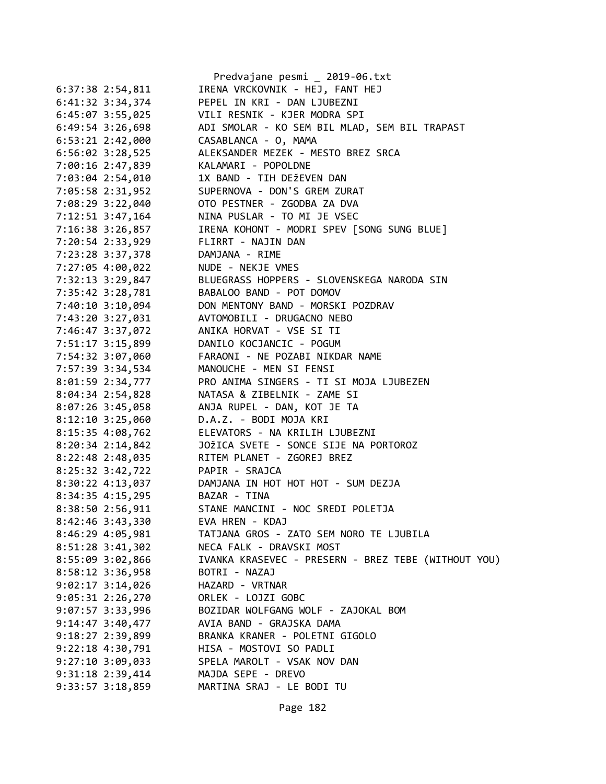|                      | Predvajane pesmi _ 2019-06.txt                      |
|----------------------|-----------------------------------------------------|
| $6:37:38$ $2:54,811$ | IRENA VRCKOVNIK - HEJ, FANT HEJ                     |
| 6:41:32 3:34,374     | PEPEL IN KRI - DAN LJUBEZNI                         |
| $6:45:07$ 3:55,025   | VILI RESNIK - KJER MODRA SPI                        |
| 6:49:54 3:26,698     | ADI SMOLAR - KO SEM BIL MLAD, SEM BIL TRAPAST       |
| $6:53:21$ $2:42,000$ | CASABLANCA - 0, MAMA                                |
| $6:56:02$ 3:28,525   | ALEKSANDER MEZEK - MESTO BREZ SRCA                  |
| 7:00:16 2:47,839     | KALAMARI - POPOLDNE                                 |
| 7:03:04 2:54,010     | 1X BAND - TIH DEŽEVEN DAN                           |
| 7:05:58 2:31,952     | SUPERNOVA - DON'S GREM ZURAT                        |
| 7:08:29 3:22,040     | OTO PESTNER - ZGODBA ZA DVA                         |
| 7:12:51 3:47,164     | NINA PUSLAR - TO MI JE VSEC                         |
| 7:16:38 3:26,857     | IRENA KOHONT - MODRI SPEV [SONG SUNG BLUE]          |
| 7:20:54 2:33,929     | FLIRRT - NAJIN DAN                                  |
| 7:23:28 3:37,378     | DAMJANA - RIME                                      |
| 7:27:05 4:00,022     | NUDE - NEKJE VMES                                   |
| 7:32:13 3:29,847     | BLUEGRASS HOPPERS - SLOVENSKEGA NARODA SIN          |
| 7:35:42 3:28,781     | BABALOO BAND - POT DOMOV                            |
| 7:40:10 3:10,094     | DON MENTONY BAND - MORSKI POZDRAV                   |
| 7:43:20 3:27,031     | AVTOMOBILI - DRUGACNO NEBO                          |
| 7:46:47 3:37,072     | ANIKA HORVAT - VSE SI TI                            |
| 7:51:17 3:15,899     | DANILO KOCJANCIC - POGUM                            |
| 7:54:32 3:07,060     | FARAONI - NE POZABI NIKDAR NAME                     |
| 7:57:39 3:34,534     | MANOUCHE - MEN SI FENSI                             |
| 8:01:59 2:34,777     | PRO ANIMA SINGERS - TI SI MOJA LJUBEZEN             |
| 8:04:34 2:54,828     | NATASA & ZIBELNIK - ZAME SI                         |
| 8:07:26 3:45,058     | ANJA RUPEL - DAN, KOT JE TA                         |
| $8:12:10$ 3:25,060   | D.A.Z. - BODI MOJA KRI                              |
| 8:15:35 4:08,762     | ELEVATORS - NA KRILIH LJUBEZNI                      |
| 8:20:34 2:14,842     | JOŽICA SVETE - SONCE SIJE NA PORTOROZ               |
|                      | RITEM PLANET - ZGOREJ BREZ                          |
| 8:22:48 2:48,035     | PAPIR - SRAJCA                                      |
| 8:25:32 3:42,722     | DAMJANA IN HOT HOT HOT - SUM DEZJA                  |
| 8:30:22 4:13,037     | BAZAR - TINA                                        |
| 8:34:35 4:15,295     | STANE MANCINI - NOC SREDI POLETJA                   |
| 8:38:50 2:56,911     | EVA HREN - KDAJ                                     |
| 8:42:46 3:43,330     |                                                     |
| 8:46:29 4:05,981     | TATJANA GROS - ZATO SEM NORO TE LJUBILA             |
| $8:51:28$ 3:41,302   | NECA FALK - DRAVSKI MOST                            |
| 8:55:09 3:02,866     | IVANKA KRASEVEC - PRESERN - BREZ TEBE (WITHOUT YOU) |
| 8:58:12 3:36,958     | BOTRI - NAZAJ                                       |
| $9:02:17$ 3:14,026   | HAZARD - VRTNAR                                     |
| $9:05:31$ $2:26,270$ | ORLEK - LOJZI GOBC                                  |
| $9:07:57$ 3:33,996   | BOZIDAR WOLFGANG WOLF - ZAJOKAL BOM                 |
| $9:14:47$ $3:40,477$ | AVIA BAND - GRAJSKA DAMA                            |
| 9:18:27 2:39,899     | BRANKA KRANER - POLETNI GIGOLO                      |
| $9:22:18$ $4:30,791$ | HISA - MOSTOVI SO PADLI                             |
| $9:27:10$ 3:09,033   | SPELA MAROLT - VSAK NOV DAN                         |
| 9:31:18 2:39,414     | MAJDA SEPE - DREVO                                  |
| 9:33:57 3:18,859     | MARTINA SRAJ - LE BODI TU                           |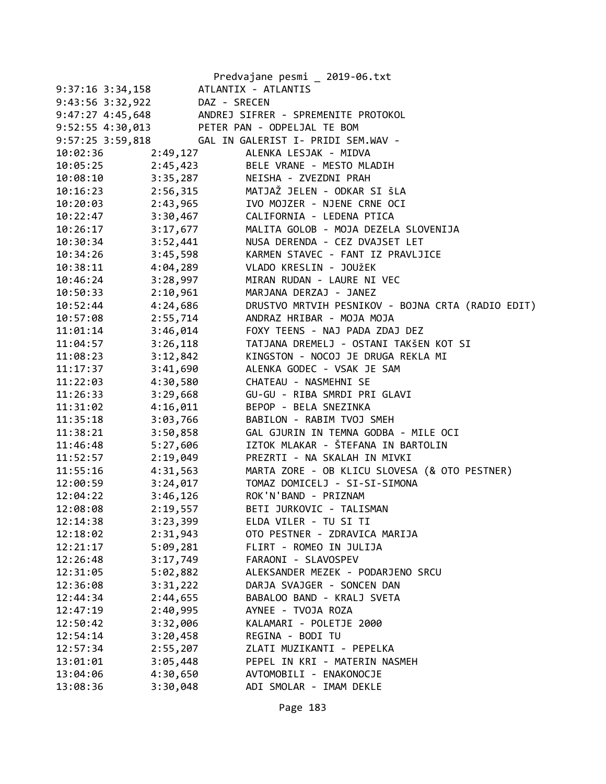|                  |          | Predvajane pesmi _ 2019-06.txt                    |
|------------------|----------|---------------------------------------------------|
| 9:37:16 3:34,158 |          | ATLANTIX - ATLANTIS                               |
| 9:43:56 3:32,922 |          | DAZ - SRECEN                                      |
| 9:47:27 4:45,648 |          | ANDREJ SIFRER - SPREMENITE PROTOKOL               |
| 9:52:55 4:30,013 |          | PETER PAN - ODPELJAL TE BOM                       |
| 9:57:25 3:59,818 |          | GAL IN GALERIST I- PRIDI SEM.WAV -                |
| 10:02:36         | 2:49,127 | ALENKA LESJAK - MIDVA                             |
| 10:05:25         | 2:45,423 | BELE VRANE - MESTO MLADIH                         |
| 10:08:10         | 3:35,287 | NEISHA - ZVEZDNI PRAH                             |
| 10:16:23         |          |                                                   |
| 10:20:03         | 2:43,965 | IVO MOJZER - NJENE CRNE OCI                       |
| 10:22:47         |          | 3:30,467 CALIFORNIA - LEDENA PTICA                |
| 10:26:17         | 3:17,677 | MALITA GOLOB - MOJA DEZELA SLOVENIJA              |
| 10:30:34         | 3:52,441 | NUSA DERENDA - CEZ DVAJSET LET                    |
| 10:34:26         | 3:45,598 | KARMEN STAVEC - FANT IZ PRAVLJICE                 |
| 10:38:11         | 4:04,289 | VLADO KRESLIN - JOUŽEK                            |
| 10:46:24         | 3:28,997 | MIRAN RUDAN - LAURE NI VEC                        |
| 10:50:33         | 2:10,961 | MARJANA DERZAJ - JANEZ                            |
| 10:52:44         | 4:24,686 | DRUSTVO MRTVIH PESNIKOV - BOJNA CRTA (RADIO EDIT) |
| 10:57:08         | 2:55,714 | ANDRAZ HRIBAR - MOJA MOJA                         |
| 11:01:14         | 3:46,014 | FOXY TEENS - NAJ PADA ZDAJ DEZ                    |
| 11:04:57         | 3:26,118 | TATJANA DREMELJ - OSTANI TAKŠEN KOT SI            |
| 11:08:23         | 3:12,842 | KINGSTON - NOCOJ JE DRUGA REKLA MI                |
| 11:17:37         | 3:41,690 | ALENKA GODEC - VSAK JE SAM                        |
| 11:22:03         | 4:30,580 | CHATEAU - NASMEHNI SE                             |
| 11:26:33         | 3:29,668 | GU-GU - RIBA SMRDI PRI GLAVI                      |
| 11:31:02         | 4:16,011 | BEPOP - BELA SNEZINKA                             |
| 11:35:18         | 3:03,766 | BABILON - RABIM TVOJ SMEH                         |
| 11:38:21         | 3:50,858 | GAL GJURIN IN TEMNA GODBA - MILE OCI              |
| 11:46:48         | 5:27,606 | IZTOK MLAKAR - ŠTEFANA IN BARTOLIN                |
| 11:52:57         | 2:19,049 | PREZRTI - NA SKALAH IN MIVKI                      |
| 11:55:16         | 4:31,563 | MARTA ZORE - OB KLICU SLOVESA (& OTO PESTNER)     |
| 12:00:59         | 3:24,017 | TOMAZ DOMICELJ - SI-SI-SIMONA                     |
| 12:04:22         | 3:46,126 | ROK'N'BAND - PRIZNAM                              |
| 12:08:08         | 2:19,557 | BETI JURKOVIC - TALISMAN                          |
| 12:14:38         | 3:23,399 | ELDA VILER - TU SI TI                             |
| 12:18:02         | 2:31,943 | OTO PESTNER - ZDRAVICA MARIJA                     |
| 12:21:17         | 5:09,281 | FLIRT - ROMEO IN JULIJA                           |
| 12:26:48         | 3:17,749 | FARAONI - SLAVOSPEV                               |
| 12:31:05         | 5:02,882 | ALEKSANDER MEZEK - PODARJENO SRCU                 |
| 12:36:08         | 3:31,222 | DARJA SVAJGER - SONCEN DAN                        |
| 12:44:34         | 2:44,655 | BABALOO BAND - KRALJ SVETA                        |
| 12:47:19         | 2:40,995 | AYNEE - TVOJA ROZA                                |
| 12:50:42         | 3:32,006 | KALAMARI - POLETJE 2000                           |
| 12:54:14         | 3:20,458 | REGINA - BODI TU                                  |
| 12:57:34         | 2:55,207 | ZLATI MUZIKANTI - PEPELKA                         |
| 13:01:01         | 3:05,448 | PEPEL IN KRI - MATERIN NASMEH                     |
| 13:04:06         | 4:30,650 | AVTOMOBILI - ENAKONOCJE                           |
| 13:08:36         | 3:30,048 | ADI SMOLAR - IMAM DEKLE                           |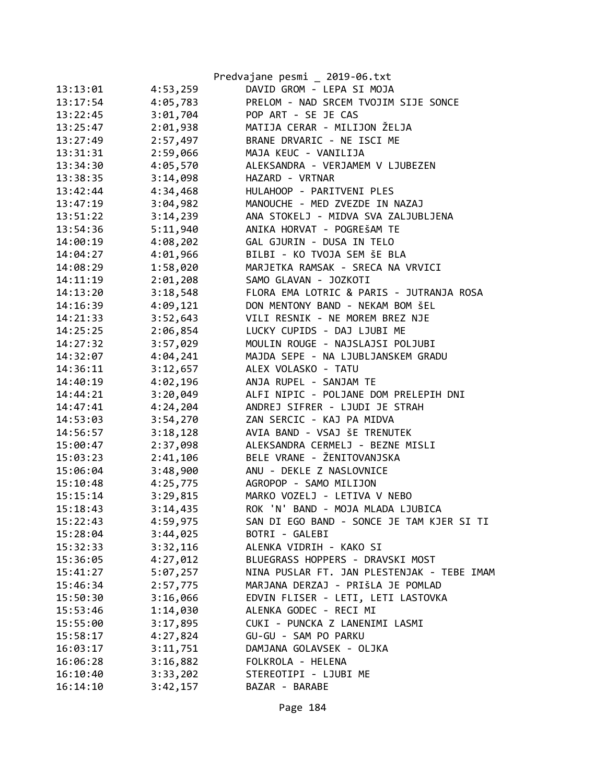|          |          | Predvajane pesmi _ 2019-06.txt             |
|----------|----------|--------------------------------------------|
| 13:13:01 | 4:53,259 | DAVID GROM - LEPA SI MOJA                  |
| 13:17:54 | 4:05,783 | PRELOM - NAD SRCEM TVOJIM SIJE SONCE       |
| 13:22:45 | 3:01,704 | POP ART - SE JE CAS                        |
| 13:25:47 | 2:01,938 | MATIJA CERAR - MILIJON ŽELJA               |
| 13:27:49 | 2:57,497 | BRANE DRVARIC - NE ISCI ME                 |
| 13:31:31 | 2:59,066 | MAJA KEUC - VANILIJA                       |
| 13:34:30 | 4:05,570 | ALEKSANDRA - VERJAMEM V LJUBEZEN           |
| 13:38:35 | 3:14,098 | HAZARD - VRTNAR                            |
| 13:42:44 | 4:34,468 | HULAHOOP - PARITVENI PLES                  |
| 13:47:19 | 3:04,982 | MANOUCHE - MED ZVEZDE IN NAZAJ             |
| 13:51:22 | 3:14,239 | ANA STOKELJ - MIDVA SVA ZALJUBLJENA        |
| 13:54:36 | 5:11,940 | ANIKA HORVAT - POGREŠAM TE                 |
| 14:00:19 | 4:08,202 | GAL GJURIN - DUSA IN TELO                  |
| 14:04:27 | 4:01,966 | BILBI - KO TVOJA SEM ŠE BLA                |
| 14:08:29 | 1:58,020 | MARJETKA RAMSAK - SRECA NA VRVICI          |
| 14:11:19 | 2:01,208 | SAMO GLAVAN - JOZKOTI                      |
| 14:13:20 | 3:18,548 | FLORA EMA LOTRIC & PARIS - JUTRANJA ROSA   |
| 14:16:39 | 4:09,121 | DON MENTONY BAND - NEKAM BOM ŠEL           |
| 14:21:33 | 3:52,643 | VILI RESNIK - NE MOREM BREZ NJE            |
| 14:25:25 | 2:06,854 | LUCKY CUPIDS - DAJ LJUBI ME                |
| 14:27:32 | 3:57,029 | MOULIN ROUGE - NAJSLAJSI POLJUBI           |
| 14:32:07 | 4:04,241 | MAJDA SEPE - NA LJUBLJANSKEM GRADU         |
| 14:36:11 | 3:12,657 | ALEX VOLASKO - TATU                        |
| 14:40:19 | 4:02,196 | ANJA RUPEL - SANJAM TE                     |
| 14:44:21 | 3:20,049 | ALFI NIPIC - POLJANE DOM PRELEPIH DNI      |
| 14:47:41 | 4:24,204 | ANDREJ SIFRER - LJUDI JE STRAH             |
| 14:53:03 | 3:54,270 | ZAN SERCIC - KAJ PA MIDVA                  |
| 14:56:57 | 3:18,128 | AVIA BAND - VSAJ ŠE TRENUTEK               |
| 15:00:47 | 2:37,098 | ALEKSANDRA CERMELJ - BEZNE MISLI           |
| 15:03:23 | 2:41,106 | BELE VRANE - ŽENITOVANJSKA                 |
| 15:06:04 | 3:48,900 | ANU - DEKLE Z NASLOVNICE                   |
| 15:10:48 | 4:25,775 | AGROPOP - SAMO MILIJON                     |
| 15:15:14 | 3:29,815 | MARKO VOZELJ - LETIVA V NEBO               |
| 15:18:43 | 3:14,435 | ROK 'N' BAND - MOJA MLADA LJUBICA          |
| 15:22:43 | 4:59,975 | SAN DI EGO BAND - SONCE JE TAM KJER SI TI  |
| 15:28:04 | 3:44,025 | BOTRI - GALEBI                             |
| 15:32:33 | 3:32,116 | ALENKA VIDRIH - KAKO SI                    |
| 15:36:05 | 4:27,012 | BLUEGRASS HOPPERS - DRAVSKI MOST           |
| 15:41:27 | 5:07,257 | NINA PUSLAR FT. JAN PLESTENJAK - TEBE IMAM |
| 15:46:34 | 2:57,775 | MARJANA DERZAJ - PRIŠLA JE POMLAD          |
| 15:50:30 | 3:16,066 | EDVIN FLISER - LETI, LETI LASTOVKA         |
| 15:53:46 | 1:14,030 | ALENKA GODEC - RECI MI                     |
| 15:55:00 | 3:17,895 | CUKI - PUNCKA Z LANENIMI LASMI             |
| 15:58:17 | 4:27,824 | GU-GU - SAM PO PARKU                       |
| 16:03:17 | 3:11,751 | DAMJANA GOLAVSEK - OLJKA                   |
| 16:06:28 | 3:16,882 | FOLKROLA - HELENA                          |
| 16:10:40 | 3:33,202 | STEREOTIPI - LJUBI ME                      |
| 16:14:10 | 3:42,157 | BAZAR - BARABE                             |
|          |          |                                            |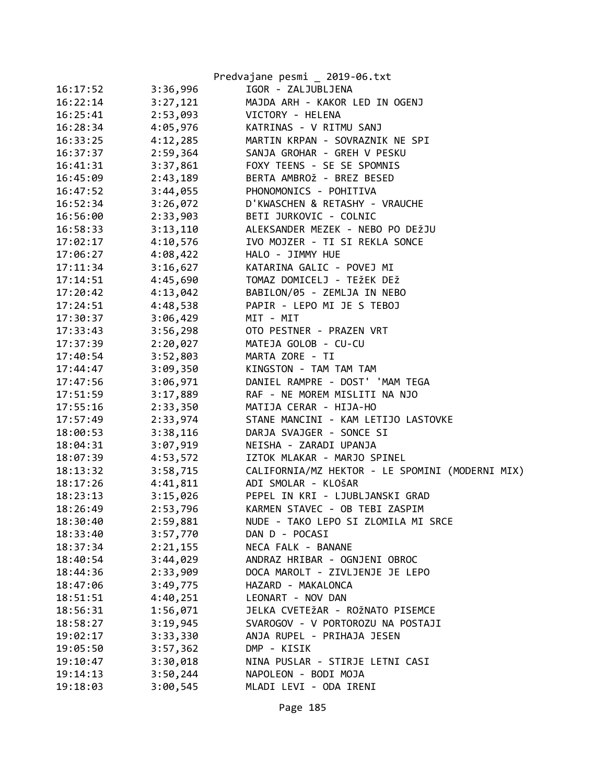|          |          | Predvajane pesmi _ 2019-06.txt                  |
|----------|----------|-------------------------------------------------|
| 16:17:52 | 3:36,996 | IGOR - ZALJUBLJENA                              |
| 16:22:14 | 3:27,121 | MAJDA ARH - KAKOR LED IN OGENJ                  |
| 16:25:41 | 2:53,093 | VICTORY - HELENA                                |
| 16:28:34 | 4:05,976 | KATRINAS - V RITMU SANJ                         |
| 16:33:25 | 4:12,285 | MARTIN KRPAN - SOVRAZNIK NE SPI                 |
| 16:37:37 | 2:59,364 | SANJA GROHAR - GREH V PESKU                     |
| 16:41:31 | 3:37,861 | FOXY TEENS - SE SE SPOMNIS                      |
| 16:45:09 | 2:43,189 | BERTA AMBROŽ - BREZ BESED                       |
| 16:47:52 | 3:44,055 | PHONOMONICS - POHITIVA                          |
| 16:52:34 | 3:26,072 | D'KWASCHEN & RETASHY - VRAUCHE                  |
| 16:56:00 | 2:33,903 | BETI JURKOVIC - COLNIC                          |
| 16:58:33 | 3:13,110 | ALEKSANDER MEZEK - NEBO PO DEŽJU                |
| 17:02:17 | 4:10,576 | IVO MOJZER - TI SI REKLA SONCE                  |
| 17:06:27 | 4:08,422 | HALO - JIMMY HUE                                |
| 17:11:34 | 3:16,627 | KATARINA GALIC - POVEJ MI                       |
| 17:14:51 | 4:45,690 | TOMAZ DOMICELJ - TEŽEK DEŽ                      |
| 17:20:42 | 4:13,042 | BABILON/05 - ZEMLJA IN NEBO                     |
| 17:24:51 | 4:48,538 | PAPIR - LEPO MI JE S TEBOJ                      |
| 17:30:37 | 3:06,429 | MIT - MIT                                       |
| 17:33:43 | 3:56,298 | OTO PESTNER - PRAZEN VRT                        |
| 17:37:39 | 2:20,027 | MATEJA GOLOB - CU-CU                            |
| 17:40:54 | 3:52,803 | MARTA ZORE - TI                                 |
| 17:44:47 | 3:09,350 | KINGSTON - TAM TAM TAM                          |
| 17:47:56 | 3:06,971 | DANIEL RAMPRE - DOST' 'MAM TEGA                 |
| 17:51:59 | 3:17,889 | RAF - NE MOREM MISLITI NA NJO                   |
| 17:55:16 | 2:33,350 | MATIJA CERAR - HIJA-HO                          |
| 17:57:49 | 2:33,974 | STANE MANCINI - KAM LETIJO LASTOVKE             |
| 18:00:53 | 3:38,116 | DARJA SVAJGER - SONCE SI                        |
| 18:04:31 | 3:07,919 | NEISHA - ZARADI UPANJA                          |
| 18:07:39 | 4:53,572 | IZTOK MLAKAR - MARJO SPINEL                     |
| 18:13:32 | 3:58,715 | CALIFORNIA/MZ HEKTOR - LE SPOMINI (MODERNI MIX) |
| 18:17:26 | 4:41,811 | ADI SMOLAR - KLOŠAR                             |
| 18:23:13 | 3:15,026 | PEPEL IN KRI - LJUBLJANSKI GRAD                 |
| 18:26:49 | 2:53,796 | KARMEN STAVEC - OB TEBI ZASPIM                  |
| 18:30:40 | 2:59,881 | NUDE - TAKO LEPO SI ZLOMILA MI SRCE             |
| 18:33:40 | 3:57,770 | DAN D - POCASI                                  |
| 18:37:34 | 2:21,155 | NECA FALK - BANANE                              |
| 18:40:54 | 3:44,029 | ANDRAZ HRIBAR - OGNJENI OBROC                   |
| 18:44:36 | 2:33,909 | DOCA MAROLT - ZIVLJENJE JE LEPO                 |
| 18:47:06 | 3:49,775 | HAZARD - MAKALONCA                              |
| 18:51:51 | 4:40,251 | LEONART - NOV DAN                               |
| 18:56:31 | 1:56,071 | JELKA CVETEŽAR - ROŽNATO PISEMCE                |
| 18:58:27 | 3:19,945 | SVAROGOV - V PORTOROZU NA POSTAJI               |
| 19:02:17 | 3:33,330 | ANJA RUPEL - PRIHAJA JESEN                      |
| 19:05:50 | 3:57,362 | DMP - KISIK                                     |
| 19:10:47 | 3:30,018 | NINA PUSLAR - STIRJE LETNI CASI                 |
| 19:14:13 | 3:50,244 | NAPOLEON - BODI MOJA                            |
| 19:18:03 | 3:00,545 | MLADI LEVI - ODA IRENI                          |
|          |          |                                                 |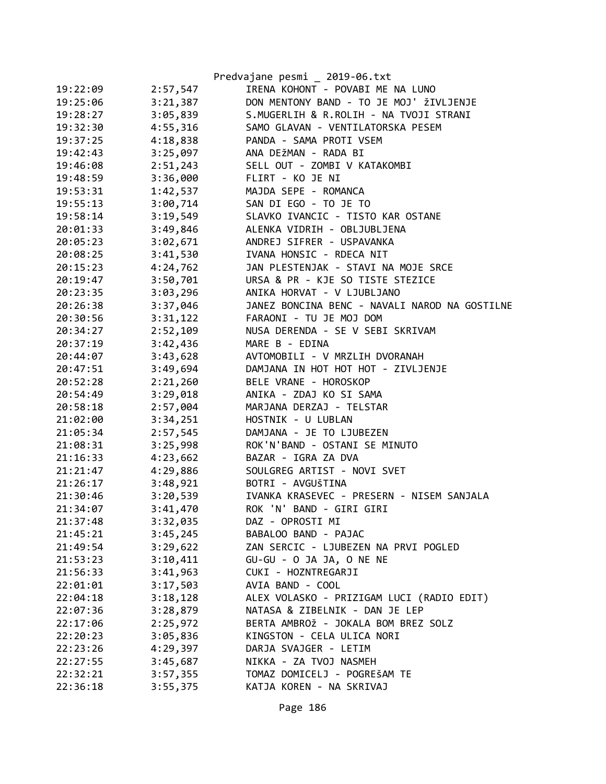|          |          | Predvajane pesmi _ 2019-06.txt                |
|----------|----------|-----------------------------------------------|
| 19:22:09 | 2:57,547 | IRENA KOHONT - POVABI ME NA LUNO              |
| 19:25:06 | 3:21,387 | DON MENTONY BAND - TO JE MOJ' ŽIVLJENJE       |
| 19:28:27 | 3:05,839 | S.MUGERLIH & R.ROLIH - NA TVOJI STRANI        |
| 19:32:30 | 4:55,316 | SAMO GLAVAN - VENTILATORSKA PESEM             |
| 19:37:25 | 4:18,838 | PANDA - SAMA PROTI VSEM                       |
| 19:42:43 | 3:25,097 | ANA DEŽMAN - RADA BI                          |
| 19:46:08 | 2:51,243 | SELL OUT - ZOMBI V KATAKOMBI                  |
| 19:48:59 | 3:36,000 | FLIRT - KO JE NI                              |
| 19:53:31 | 1:42,537 | MAJDA SEPE - ROMANCA                          |
| 19:55:13 | 3:00,714 | SAN DI EGO - TO JE TO                         |
| 19:58:14 | 3:19,549 | SLAVKO IVANCIC - TISTO KAR OSTANE             |
| 20:01:33 | 3:49,846 | ALENKA VIDRIH - OBLJUBLJENA                   |
| 20:05:23 | 3:02,671 | ANDREJ SIFRER - USPAVANKA                     |
| 20:08:25 | 3:41,530 | IVANA HONSIC - RDECA NIT                      |
| 20:15:23 | 4:24,762 | JAN PLESTENJAK - STAVI NA MOJE SRCE           |
| 20:19:47 | 3:50,701 | URSA & PR - KJE SO TISTE STEZICE              |
| 20:23:35 | 3:03,296 | ANIKA HORVAT - V LJUBLJANO                    |
| 20:26:38 | 3:37,046 | JANEZ BONCINA BENC - NAVALI NAROD NA GOSTILNE |
| 20:30:56 | 3:31,122 | FARAONI - TU JE MOJ DOM                       |
| 20:34:27 | 2:52,109 | NUSA DERENDA - SE V SEBI SKRIVAM              |
| 20:37:19 | 3:42,436 | MARE B - EDINA                                |
| 20:44:07 | 3:43,628 | AVTOMOBILI - V MRZLIH DVORANAH                |
| 20:47:51 | 3:49,694 | DAMJANA IN HOT HOT HOT - ZIVLJENJE            |
| 20:52:28 | 2:21,260 | BELE VRANE - HOROSKOP                         |
| 20:54:49 | 3:29,018 | ANIKA - ZDAJ KO SI SAMA                       |
| 20:58:18 | 2:57,004 | MARJANA DERZAJ - TELSTAR                      |
| 21:02:00 | 3:34,251 | HOSTNIK - U LUBLAN                            |
| 21:05:34 | 2:57,545 | DAMJANA - JE TO LJUBEZEN                      |
| 21:08:31 | 3:25,998 | ROK'N'BAND - OSTANI SE MINUTO                 |
| 21:16:33 | 4:23,662 | BAZAR - IGRA ZA DVA                           |
| 21:21:47 | 4:29,886 | SOULGREG ARTIST - NOVI SVET                   |
| 21:26:17 | 3:48,921 | BOTRI - AVGUŠTINA                             |
| 21:30:46 | 3:20,539 | IVANKA KRASEVEC - PRESERN - NISEM SANJALA     |
| 21:34:07 | 3:41,470 | ROK 'N' BAND - GIRI GIRI                      |
| 21:37:48 | 3:32,035 | DAZ - OPROSTI MI                              |
| 21:45:21 | 3:45,245 | BABALOO BAND - PAJAC                          |
| 21:49:54 | 3:29,622 | ZAN SERCIC - LJUBEZEN NA PRVI POGLED          |
| 21:53:23 | 3:10,411 | GU-GU - O JA JA, O NE NE                      |
| 21:56:33 | 3:41,963 | CUKI - HOZNTREGARJI                           |
| 22:01:01 | 3:17,503 | AVIA BAND - COOL                              |
| 22:04:18 | 3:18,128 | ALEX VOLASKO - PRIZIGAM LUCI (RADIO EDIT)     |
| 22:07:36 | 3:28,879 | NATASA & ZIBELNIK - DAN JE LEP                |
| 22:17:06 | 2:25,972 | BERTA AMBROŽ - JOKALA BOM BREZ SOLZ           |
| 22:20:23 | 3:05,836 | KINGSTON - CELA ULICA NORI                    |
| 22:23:26 | 4:29,397 | DARJA SVAJGER - LETIM                         |
| 22:27:55 | 3:45,687 | NIKKA - ZA TVOJ NASMEH                        |
| 22:32:21 | 3:57,355 | TOMAZ DOMICELJ - POGREŠAM TE                  |
| 22:36:18 | 3:55,375 | KATJA KOREN - NA SKRIVAJ                      |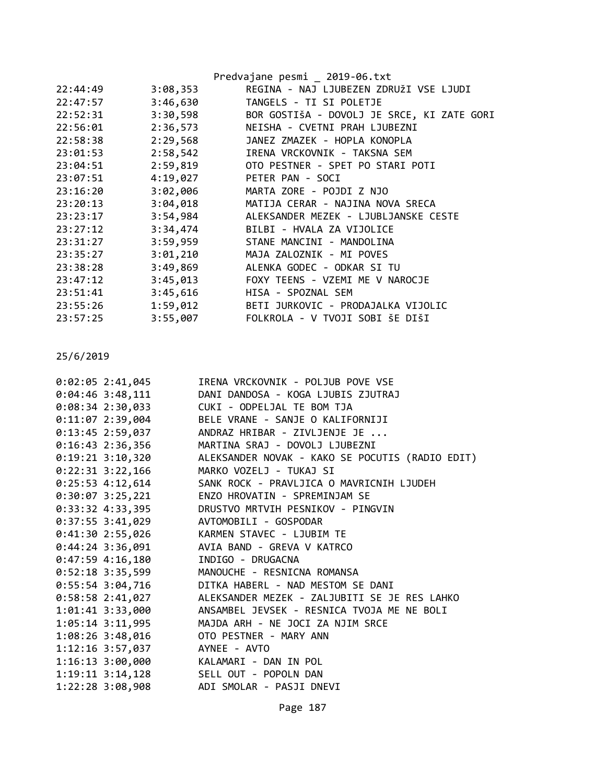|          |          | Predvajane pesmi _ 2019-06.txt             |
|----------|----------|--------------------------------------------|
| 22:44:49 | 3:08,353 | REGINA - NAJ LJUBEZEN ZDRUŽI VSE LJUDI     |
| 22:47:57 | 3:46,630 | TANGELS - TI SI POLETJE                    |
| 22:52:31 | 3:30,598 | BOR GOSTIŠA - DOVOLJ JE SRCE, KI ZATE GORI |
| 22:56:01 | 2:36,573 | NEISHA - CVETNI PRAH LJUBEZNI              |
| 22:58:38 | 2:29,568 | JANEZ ZMAZEK - HOPLA KONOPLA               |
| 23:01:53 | 2:58,542 | IRENA VRCKOVNIK - TAKSNA SEM               |
| 23:04:51 | 2:59,819 | OTO PESTNER - SPET PO STARI POTI           |
| 23:07:51 | 4:19,027 | PETER PAN - SOCI                           |
| 23:16:20 | 3:02,006 | MARTA ZORE - POJDI Z NJO                   |
| 23:20:13 | 3:04,018 | MATIJA CERAR - NAJINA NOVA SRECA           |
| 23:23:17 | 3:54,984 | ALEKSANDER MEZEK - LJUBLJANSKE CESTE       |
| 23:27:12 | 3:34,474 | BILBI - HVALA ZA VIJOLICE                  |
| 23:31:27 | 3:59,959 | STANE MANCINI - MANDOLINA                  |
| 23:35:27 | 3:01,210 | MAJA ZALOZNIK - MI POVES                   |
| 23:38:28 | 3:49,869 | ALENKA GODEC - ODKAR SI TU                 |
| 23:47:12 | 3:45,013 | FOXY TEENS - VZEMI ME V NAROCJE            |
| 23:51:41 | 3:45,616 | HISA - SPOZNAL SEM                         |
| 23:55:26 | 1:59,012 | BETI JURKOVIC - PRODAJALKA VIJOLIC         |
| 23:57:25 | 3:55,007 | FOLKROLA - V TVOJI SOBI ŠE DIŠI            |
|          |          |                                            |

| 0:02:05 2:41,045                       | IRENA VRCKOVNIK - POLJUB POVE VSE                                |
|----------------------------------------|------------------------------------------------------------------|
| $0:04:46$ 3:48,111                     | DANI DANDOSA - KOGA LJUBIS ZJUTRAJ                               |
| $0:08:34$ 2:30,033                     | CUKI - ODPELJAL TE BOM TJA                                       |
|                                        | 0:11:07 2:39,004 BELE VRANE - SANJE O KALIFORNIJI                |
| $0:13:45$ 2:59,037                     | ANDRAZ HRIBAR - ZIVLJENJE JE                                     |
|                                        | 0:16:43 2:36,356 MARTINA SRAJ - DOVOLJ LJUBEZNI                  |
|                                        | 0:19:21 3:10,320 ALEKSANDER NOVAK - KAKO SE POCUTIS (RADIO EDIT) |
|                                        | 0:22:31 3:22,166 MARKO VOZELJ - TUKAJ SI                         |
|                                        | 0:25:53 4:12,614 SANK ROCK - PRAVLJICA O MAVRICNIH LJUDEH        |
|                                        | 0:30:07 3:25,221 ENZO HROVATIN - SPREMINJAM SE                   |
| $0:33:32$ 4:33,395                     | DRUSTVO MRTVIH PESNIKOV - PINGVIN                                |
| 0:37:55 3:41,029 AVTOMOBILI - GOSPODAR |                                                                  |
| 0:41:302:55,026                        | KARMEN STAVEC - LJUBIM TE                                        |
|                                        | 0:44:24 3:36,091 AVIA BAND - GREVA V KATRCO                      |
| $0:47:59$ 4:16,180                     | INDIGO - DRUGACNA                                                |
|                                        | 0:52:18 3:35,599 MANOUCHE - RESNICNA ROMANSA                     |
| $0:55:54$ 3:04,716                     | DITKA HABERL - NAD MESTOM SE DANI                                |
| $0:58:58$ 2:41,027                     | ALEKSANDER MEZEK - ZALJUBITI SE JE RES LAHKO                     |
|                                        | 1:01:41 3:33,000 ANSAMBEL JEVSEK - RESNICA TVOJA ME NE BOLI      |
|                                        | 1:05:14 3:11,995 MAJDA ARH - NE JOCI ZA NJIM SRCE                |
| $1:08:26$ 3:48,016                     | OTO PESTNER - MARY ANN                                           |
| 1:12:16 3:57,037                       | AYNEE - AVTO                                                     |
| 1:16:13 3:00,000 KALAMARI - DAN IN POL |                                                                  |
| 1:19:11 3:14,128 SELL OUT - POPOLN DAN |                                                                  |
|                                        | 1:22:28 3:08,908 ADI SMOLAR - PASJI DNEVI                        |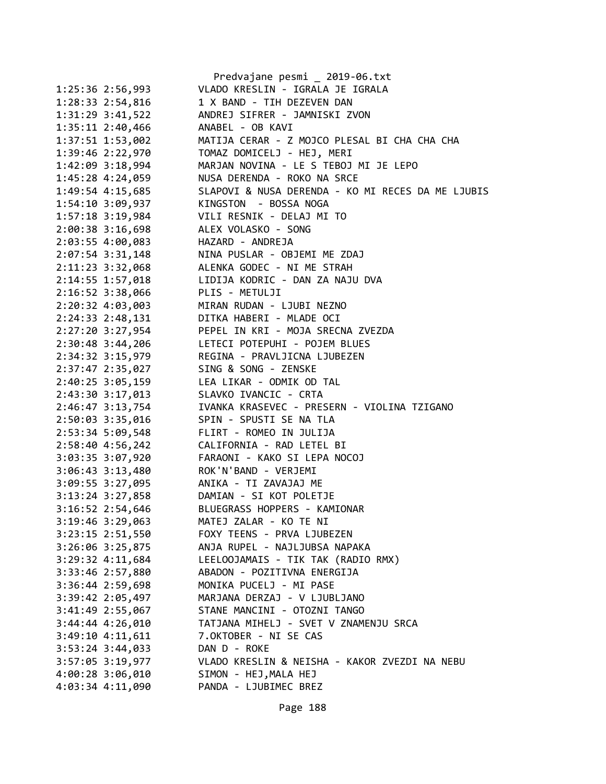|                    |                                 | Predvajane pesmi _ 2019-06.txt                                                                                                                               |
|--------------------|---------------------------------|--------------------------------------------------------------------------------------------------------------------------------------------------------------|
|                    | 1:25:36 2:56,993                | VLADO KRESLIN - IGRALA JE IGRALA                                                                                                                             |
|                    |                                 | 1:28:33 2:54,816 1 X BAND - TIH DEZEVEN DAN                                                                                                                  |
|                    |                                 | 1:31:29 3:41,522 ANDREJ SIFRER - JAMNISKI ZVON                                                                                                               |
|                    |                                 | 1:35:11 2:40,466 ANABEL - OB KAVI                                                                                                                            |
|                    | 1:37:51 1:53,002                | MATIJA CERAR - Z MOJCO PLESAL BI CHA CHA CHA                                                                                                                 |
|                    |                                 |                                                                                                                                                              |
|                    | $1:42:09$ 3:18,994              | MARJAN NOVINA - LE S TEBOJ MI JE LEPO                                                                                                                        |
|                    |                                 |                                                                                                                                                              |
|                    |                                 | 1:45:28 4:24,059<br>1:49:54 4:15,685 SLAPOVI & NUSA DERENDA - KO MI RECES DA ME LJUBIS<br>1:49:54 4:15,685 SLAPOVI & NUSA DERENDA - KO MI RECES DA ME LJUBIS |
|                    |                                 | 1:54:10 3:09,937 KINGSTON - BOSSA NOGA                                                                                                                       |
|                    |                                 | 1:57:18 3:19,984 VILI RESNIK - DELAJ MI TO                                                                                                                   |
|                    |                                 | 2:00:38 3:16,698 ALEX VOLASKO - SONG                                                                                                                         |
|                    |                                 | 2:03:55 4:00,083 HAZARD - ANDREJA                                                                                                                            |
|                    |                                 |                                                                                                                                                              |
|                    |                                 |                                                                                                                                                              |
|                    |                                 | 2:07:54 3:31,148<br>2:11:23 3:32,068<br>2:11:23 3:32,068<br>2:14:55 1:57,018<br>LIDIJA KODRIC - DAN ZA NAJU DVA                                              |
|                    | 2:16:52 3:38,066 PLIS - METULJI |                                                                                                                                                              |
|                    |                                 | 2:20:32 4:03,003 MIRAN RUDAN - LJUBI NEZNO                                                                                                                   |
|                    |                                 | 2:24:33 2:48,131 DITKA HABERI - MLADE OCI                                                                                                                    |
|                    |                                 | 2:27:20 3:27,954 PEPEL IN KRI - MOJA SRECNA ZVEZDA                                                                                                           |
|                    | 2:30:48 3:44,206                | LETECI POTEPUHI - POJEM BLUES                                                                                                                                |
|                    |                                 |                                                                                                                                                              |
|                    |                                 | 2:34:32 3:15,979<br>2:37:47 2:35,027 SING & SONG - ZENSKE                                                                                                    |
|                    |                                 | 2:40:25 3:05,159 LEA LIKAR - ODMIK OD TAL                                                                                                                    |
|                    |                                 | 2:43:30 3:17,013 SLAVKO IVANCIC - CRTA                                                                                                                       |
|                    |                                 | 2:46:47 3:13,754 IVANKA KRASEVEC - PRESERN - VIOLINA TZIGANO                                                                                                 |
|                    |                                 | 2:50:03 3:35,016 SPIN - SPUSTI SE NA TLA                                                                                                                     |
|                    |                                 | 2:53:34 5:09,548 FLIRT - ROMEO IN JULIJA                                                                                                                     |
| 2:58:40 4:56,242   |                                 |                                                                                                                                                              |
|                    | 3:03:35 3:07,920                |                                                                                                                                                              |
|                    |                                 | 3:06:43 3:13,480 ROK'N'BAND - VERJEMI                                                                                                                        |
|                    |                                 | 3:09:55 3:27,095 ANIKA - TI ZAVAJAJ ME                                                                                                                       |
|                    |                                 | 3:13:24 3:27,858 DAMIAN - SI KOT POLETJE                                                                                                                     |
| 3:16:52 2:54,646   |                                 | BLUEGRASS HOPPERS - KAMIONAR                                                                                                                                 |
| 3:19:46 3:29,063   |                                 | MATEJ ZALAR - KO TE NI                                                                                                                                       |
|                    | 3:23:15 2:51,550                | FOXY TEENS - PRVA LJUBEZEN                                                                                                                                   |
| 3:26:06 3:25,875   |                                 | ANJA RUPEL - NAJLJUBSA NAPAKA                                                                                                                                |
| 3:29:32 4:11,684   |                                 | LEELOOJAMAIS - TIK TAK (RADIO RMX)                                                                                                                           |
|                    | 3:33:46 2:57,880                | ABADON - POZITIVNA ENERGIJA                                                                                                                                  |
|                    | 3:36:44 2:59,698                | MONIKA PUCELJ - MI PASE                                                                                                                                      |
|                    | 3:39:42 2:05,497                | MARJANA DERZAJ - V LJUBLJANO                                                                                                                                 |
| 3:41:49 2:55,067   |                                 | STANE MANCINI - OTOZNI TANGO                                                                                                                                 |
| 3:44:44 4:26,010   |                                 | TATJANA MIHELJ - SVET V ZNAMENJU SRCA                                                                                                                        |
| $3:49:10$ 4:11,611 |                                 | 7.OKTOBER - NI SE CAS                                                                                                                                        |
| 3:53:24 3:44,033   |                                 | DAN D - ROKE                                                                                                                                                 |
|                    | 3:57:05 3:19,977                | VLADO KRESLIN & NEISHA - KAKOR ZVEZDI NA NEBU                                                                                                                |
| 4:00:28 3:06,010   |                                 | SIMON - HEJ, MALA HEJ                                                                                                                                        |
|                    | 4:03:34 4:11,090                | PANDA - LJUBIMEC BREZ                                                                                                                                        |
|                    |                                 |                                                                                                                                                              |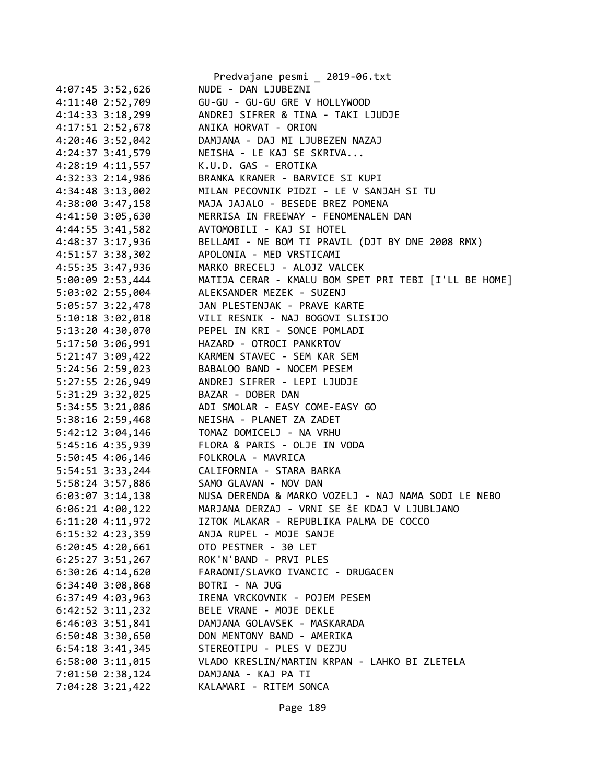|                      | Predvajane pesmi _ 2019-06.txt                        |
|----------------------|-------------------------------------------------------|
| 4:07:45 3:52,626     | NUDE - DAN LJUBEZNI                                   |
| 4:11:40 2:52,709     | GU-GU - GU-GU GRE V HOLLYWOOD                         |
| 4:14:33 3:18,299     | ANDREJ SIFRER & TINA - TAKI LJUDJE                    |
| 4:17:51 2:52,678     | ANIKA HORVAT - ORION                                  |
| 4:20:46 3:52,042     | DAMJANA - DAJ MI LJUBEZEN NAZAJ                       |
| 4:24:37 3:41,579     | NEISHA - LE KAJ SE SKRIVA                             |
| $4:28:19$ $4:11,557$ | K.U.D. GAS - EROTIKA                                  |
| 4:32:33 2:14,986     | BRANKA KRANER - BARVICE SI KUPI                       |
| 4:34:48 3:13,002     | MILAN PECOVNIK PIDZI - LE V SANJAH SI TU              |
| 4:38:00 3:47,158     | MAJA JAJALO - BESEDE BREZ POMENA                      |
| 4:41:50 3:05,630     | MERRISA IN FREEWAY - FENOMENALEN DAN                  |
| 4:44:55 3:41,582     | AVTOMOBILI - KAJ SI HOTEL                             |
| 4:48:37 3:17,936     | BELLAMI - NE BOM TI PRAVIL (DJT BY DNE 2008 RMX)      |
| 4:51:57 3:38,302     | APOLONIA - MED VRSTICAMI                              |
| 4:55:35 3:47,936     | MARKO BRECELJ - ALOJZ VALCEK                          |
| 5:00:09 2:53,444     | MATIJA CERAR - KMALU BOM SPET PRI TEBI [I'LL BE HOME] |
| 5:03:02 2:55,004     | ALEKSANDER MEZEK - SUZENJ                             |
| 5:05:57 3:22,478     | JAN PLESTENJAK - PRAVE KARTE                          |
| $5:10:18$ $3:02,018$ | VILI RESNIK - NAJ BOGOVI SLISIJO                      |
| 5:13:20 4:30,070     | PEPEL IN KRI - SONCE POMLADI                          |
| 5:17:50 3:06,991     | HAZARD - OTROCI PANKRTOV                              |
| 5:21:47 3:09,422     | KARMEN STAVEC - SEM KAR SEM                           |
| 5:24:56 2:59,023     | BABALOO BAND - NOCEM PESEM                            |
| 5:27:55 2:26,949     | ANDREJ SIFRER - LEPI LJUDJE                           |
| 5:31:29 3:32,025     | BAZAR - DOBER DAN                                     |
| 5:34:55 3:21,086     | ADI SMOLAR - EASY COME-EASY GO                        |
| 5:38:16 2:59,468     | NEISHA - PLANET ZA ZADET                              |
| 5:42:12 3:04,146     | TOMAZ DOMICELJ - NA VRHU                              |
| 5:45:16 4:35,939     | FLORA & PARIS - OLJE IN VODA                          |
| 5:50:45 4:06,146     | FOLKROLA - MAVRICA                                    |
| 5:54:51 3:33,244     | CALIFORNIA - STARA BARKA                              |
| 5:58:24 3:57,886     | SAMO GLAVAN - NOV DAN                                 |
| $6:03:07$ 3:14,138   | NUSA DERENDA & MARKO VOZELJ - NAJ NAMA SODI LE NEBO   |
| $6:06:21$ $4:00,122$ | MARJANA DERZAJ - VRNI SE ŠE KDAJ V LJUBLJANO          |
| 6:11:20 4:11,972     | IZTOK MLAKAR - REPUBLIKA PALMA DE COCCO               |
| $6:15:32$ $4:23,359$ | ANJA RUPEL - MOJE SANJE                               |
| $6:20:45$ 4:20,661   | OTO PESTNER - 30 LET                                  |
| $6:25:27$ 3:51,267   | ROK'N'BAND - PRVI PLES                                |
| $6:30:26$ 4:14,620   | FARAONI/SLAVKO IVANCIC - DRUGACEN                     |
| $6:34:40$ $3:08,868$ | BOTRI - NA JUG                                        |
| 6:37:49 4:03,963     | IRENA VRCKOVNIK - POJEM PESEM                         |
| $6:42:52$ $3:11,232$ | BELE VRANE - MOJE DEKLE                               |
| $6:46:03$ 3:51,841   | DAMJANA GOLAVSEK - MASKARADA                          |
| 6:50:48 3:30,650     | DON MENTONY BAND - AMERIKA                            |
| $6:54:18$ 3:41,345   | STEREOTIPU - PLES V DEZJU                             |
| $6:58:00$ $3:11,015$ | VLADO KRESLIN/MARTIN KRPAN - LAHKO BI ZLETELA         |
| 7:01:50 2:38,124     | DAMJANA - KAJ PA TI                                   |
| 7:04:28 3:21,422     | KALAMARI - RITEM SONCA                                |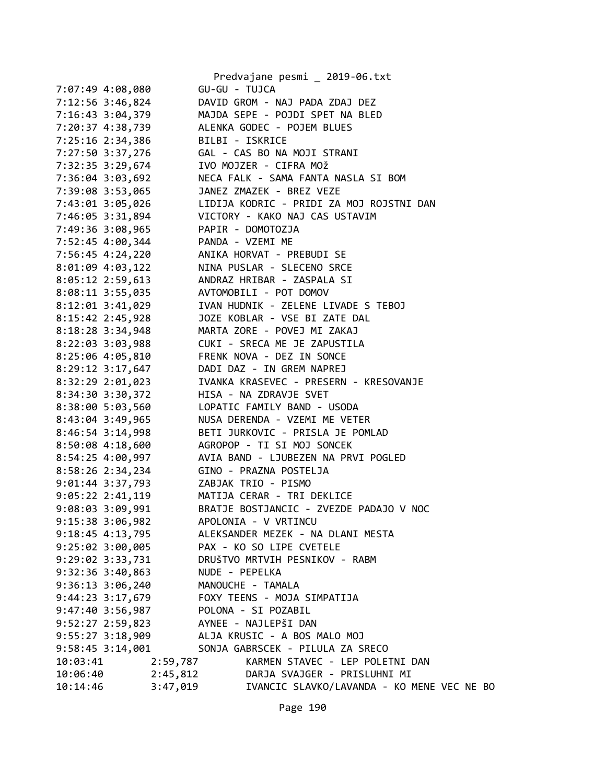|                      | Predvajane pesmi _ 2019-06.txt                                                                                                                           |
|----------------------|----------------------------------------------------------------------------------------------------------------------------------------------------------|
| 7:07:49 4:08,080     | GU-GU - TUJCA                                                                                                                                            |
| 7:12:56 3:46,824     | DAVID GROM - NAJ PADA ZDAJ DEZ                                                                                                                           |
|                      | 7:16:43 3:04,379 MAJDA SEPE - POJDI SPET NA BLED                                                                                                         |
|                      | 7:20:37 4:38,739 ALENKA GODEC - POJEM BLUES                                                                                                              |
|                      | 7:25:16 2:34,386 BILBI - ISKRICE                                                                                                                         |
|                      | 7:27:50 3:37,276   GAL - CAS BO NA MOJI STRANI                                                                                                           |
|                      |                                                                                                                                                          |
|                      |                                                                                                                                                          |
|                      | 7:32:35 3:29,674<br>7:36:04 3:03,692<br>7:36:04 3:03,692<br>7:39:08 3:53,065<br>7:39:08 3:53,065<br>1ANEZ ZMAZEK - BREZ VEZE<br>1ANEZ ZMAZEK - BREZ VEZE |
|                      | 7:43:01 3:05,026 LIDIJA KODRIC - PRIDI ZA MOJ ROJSTNI DAN                                                                                                |
|                      | 7:46:05 3:31,894 VICTORY - KAKO NAJ CAS USTAVIM                                                                                                          |
|                      | 7:49:36 3:08,965 PAPIR - DOMOTOZJA                                                                                                                       |
|                      | 7:52:45 4:00,344 PANDA - VZEMI ME                                                                                                                        |
|                      |                                                                                                                                                          |
|                      |                                                                                                                                                          |
|                      | 7:56:45 4:24,220<br>8:01:09 4:03,122 MINA HORVAT - PREBUDI SE<br>8:05:12 2:59,613 ANDRAZ HRIBAR - ZASPALA SI                                             |
|                      |                                                                                                                                                          |
|                      | 8:08:11 3:55,035 AVTOMOBILI - POT DOMOV                                                                                                                  |
|                      | 8:12:01 3:41,029 IVAN HUDNIK - ZELENE LIVADE S TEBOJ                                                                                                     |
|                      | 8:15:42 2:45,928 JOZE KOBLAR - VSE BI ZATE DAL                                                                                                           |
|                      | 8:18:28 3:34,948 MARTA ZORE - POVEJ MI ZAKAJ                                                                                                             |
|                      |                                                                                                                                                          |
|                      |                                                                                                                                                          |
|                      | 8:22:03 3:03,988<br>8:25:06 4:05,810<br>8:29:12 3:17,647<br>8:29:12 3:17,647<br>PADI DAZ - IN GREM NAPREJ                                                |
| 8:32:29 2:01,023     | IVANKA KRASEVEC - PRESERN - KRESOVANJE                                                                                                                   |
| 8:34:30 3:30,372     | HISA - NA ZDRAVJE SVET                                                                                                                                   |
|                      | 8:38:00 5:03,560 LOPATIC FAMILY BAND - USODA                                                                                                             |
| 8:43:04 3:49,965     | NUSA DERENDA - VZEMI ME VETER                                                                                                                            |
| 8:46:54 3:14,998     | BETI JURKOVIC - PRISLA JE POMLAD                                                                                                                         |
| 8:50:08 4:18,600     | AGROPOP - TI SI MOJ SONCEK<br>AVIA BAND - LJUBEZEN NA PRVI POGLED                                                                                        |
| 8:54:25 4:00,997     |                                                                                                                                                          |
| 8:58:26 2:34,234     | GINO - PRAZNA POSTELJA                                                                                                                                   |
|                      | 9:01:44 3:37,793 ZABJAK TRIO - PISMO                                                                                                                     |
|                      | 9:05:22 2:41,119 MATIJA CERAR - TRI DEKLICE                                                                                                              |
| 9:08:03 3:09,991     | BRATJE BOSTJANCIC - ZVEZDE PADAJO V NOC                                                                                                                  |
| 9:15:38 3:06,982     | APOLONIA - V VRTINCU                                                                                                                                     |
| 9:18:45 4:13,795     | ALEKSANDER MEZEK - NA DLANI MESTA                                                                                                                        |
| 9:25:02 3:00,005     | PAX - KO SO LIPE CVETELE                                                                                                                                 |
| 9:29:02 3:33,731     | DRUŠTVO MRTVIH PESNIKOV - RABM                                                                                                                           |
| $9:32:36$ 3:40,863   | NUDE - PEPELKA                                                                                                                                           |
| $9:36:13$ $3:06,240$ | MANOUCHE - TAMALA                                                                                                                                        |
| 9:44:23 3:17,679     | FOXY TEENS - MOJA SIMPATIJA                                                                                                                              |
| 9:47:40 3:56,987     | POLONA - SI POZABIL                                                                                                                                      |
| 9:52:27 2:59,823     | AYNEE - NAJLEPŠI DAN                                                                                                                                     |
|                      |                                                                                                                                                          |
| 9:55:27 3:18,909     | ALJA KRUSIC - A BOS MALO MOJ                                                                                                                             |
| 9:58:45 3:14,001     | SONJA GABRSCEK - PILULA ZA SRECO                                                                                                                         |
| 10:03:41             | KARMEN STAVEC - LEP POLETNI DAN<br>2:59,787                                                                                                              |
| 10:06:40             | 2:45,812<br>DARJA SVAJGER - PRISLUHNI MI                                                                                                                 |
| 10:14:46             | 3:47,019<br>IVANCIC SLAVKO/LAVANDA - KO MENE VEC NE BO                                                                                                   |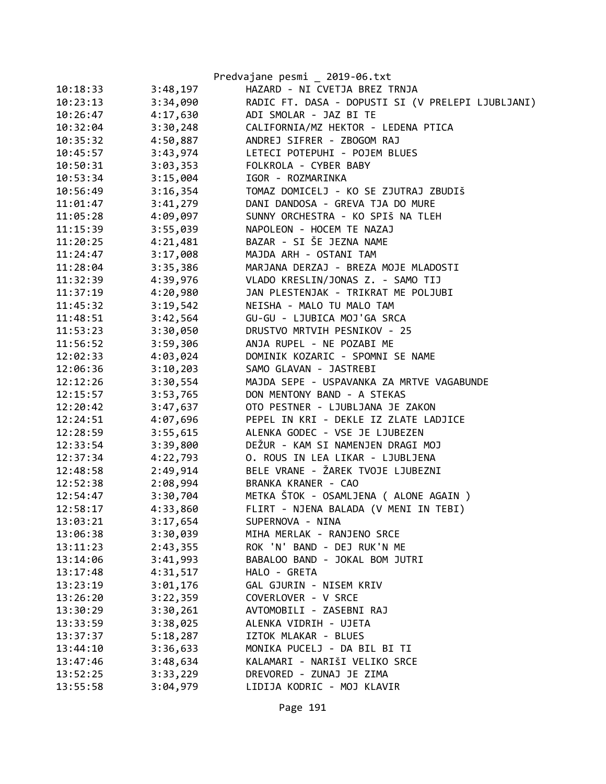|          |          | Predvajane pesmi _ 2019-06.txt                    |
|----------|----------|---------------------------------------------------|
| 10:18:33 | 3:48,197 | HAZARD - NI CVETJA BREZ TRNJA                     |
| 10:23:13 | 3:34,090 | RADIC FT. DASA - DOPUSTI SI (V PRELEPI LJUBLJANI) |
| 10:26:47 | 4:17,630 | ADI SMOLAR - JAZ BI TE                            |
| 10:32:04 | 3:30,248 | CALIFORNIA/MZ HEKTOR - LEDENA PTICA               |
| 10:35:32 | 4:50,887 | ANDREJ SIFRER - ZBOGOM RAJ                        |
| 10:45:57 | 3:43,974 | LETECI POTEPUHI - POJEM BLUES                     |
| 10:50:31 | 3:03,353 | FOLKROLA - CYBER BABY                             |
| 10:53:34 | 3:15,004 | IGOR - ROZMARINKA                                 |
| 10:56:49 | 3:16,354 | TOMAZ DOMICELJ - KO SE ZJUTRAJ ZBUDIŠ             |
| 11:01:47 | 3:41,279 | DANI DANDOSA - GREVA TJA DO MURE                  |
| 11:05:28 | 4:09,097 | SUNNY ORCHESTRA - KO SPIŠ NA TLEH                 |
| 11:15:39 | 3:55,039 | NAPOLEON - HOCEM TE NAZAJ                         |
| 11:20:25 | 4:21,481 | BAZAR - SI ŠE JEZNA NAME                          |
| 11:24:47 | 3:17,008 | MAJDA ARH - OSTANI TAM                            |
| 11:28:04 | 3:35,386 | MARJANA DERZAJ - BREZA MOJE MLADOSTI              |
| 11:32:39 | 4:39,976 | VLADO KRESLIN/JONAS Z. - SAMO TIJ                 |
| 11:37:19 | 4:20,980 | JAN PLESTENJAK - TRIKRAT ME POLJUBI               |
| 11:45:32 | 3:19,542 | NEISHA - MALO TU MALO TAM                         |
| 11:48:51 | 3:42,564 | GU-GU - LJUBICA MOJ'GA SRCA                       |
| 11:53:23 | 3:30,050 | DRUSTVO MRTVIH PESNIKOV - 25                      |
| 11:56:52 | 3:59,306 | ANJA RUPEL - NE POZABI ME                         |
| 12:02:33 | 4:03,024 | DOMINIK KOZARIC - SPOMNI SE NAME                  |
| 12:06:36 | 3:10,203 | SAMO GLAVAN - JASTREBI                            |
| 12:12:26 | 3:30,554 | MAJDA SEPE - USPAVANKA ZA MRTVE VAGABUNDE         |
| 12:15:57 | 3:53,765 | DON MENTONY BAND - A STEKAS                       |
| 12:20:42 | 3:47,637 | OTO PESTNER - LJUBLJANA JE ZAKON                  |
| 12:24:51 | 4:07,696 | PEPEL IN KRI - DEKLE IZ ZLATE LADJICE             |
| 12:28:59 | 3:55,615 | ALENKA GODEC - VSE JE LJUBEZEN                    |
| 12:33:54 | 3:39,800 | DEŽUR - KAM SI NAMENJEN DRAGI MOJ                 |
| 12:37:34 | 4:22,793 | O. ROUS IN LEA LIKAR - LJUBLJENA                  |
| 12:48:58 | 2:49,914 | BELE VRANE - ŽAREK TVOJE LJUBEZNI                 |
| 12:52:38 | 2:08,994 | BRANKA KRANER - CAO                               |
| 12:54:47 | 3:30,704 | METKA ŠTOK - OSAMLJENA ( ALONE AGAIN )            |
| 12:58:17 | 4:33,860 | FLIRT - NJENA BALADA (V MENI IN TEBI)             |
| 13:03:21 | 3:17,654 | SUPERNOVA - NINA                                  |
| 13:06:38 | 3:30,039 | MIHA MERLAK - RANJENO SRCE                        |
| 13:11:23 | 2:43,355 | ROK 'N' BAND - DEJ RUK'N ME                       |
| 13:14:06 | 3:41,993 | BABALOO BAND - JOKAL BOM JUTRI                    |
| 13:17:48 | 4:31,517 | HALO - GRETA                                      |
| 13:23:19 | 3:01,176 | GAL GJURIN - NISEM KRIV                           |
| 13:26:20 | 3:22,359 | COVERLOVER - V SRCE                               |
| 13:30:29 | 3:30,261 | AVTOMOBILI - ZASEBNI RAJ                          |
| 13:33:59 | 3:38,025 | ALENKA VIDRIH - UJETA                             |
| 13:37:37 | 5:18,287 | IZTOK MLAKAR - BLUES                              |
| 13:44:10 | 3:36,633 | MONIKA PUCELJ - DA BIL BI TI                      |
| 13:47:46 | 3:48,634 | KALAMARI - NARIŠI VELIKO SRCE                     |
| 13:52:25 | 3:33,229 | DREVORED - ZUNAJ JE ZIMA                          |
| 13:55:58 | 3:04,979 | LIDIJA KODRIC - MOJ KLAVIR                        |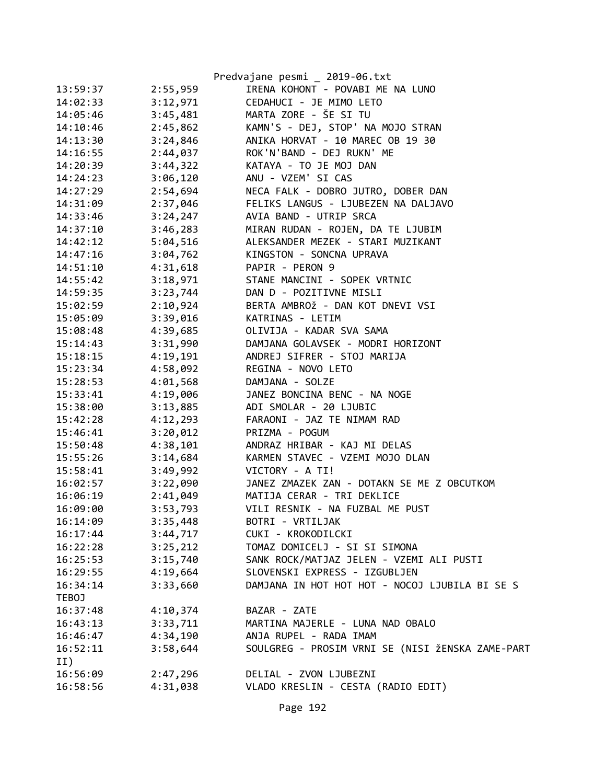|          |          | Predvajane pesmi _ 2019-06.txt                   |
|----------|----------|--------------------------------------------------|
| 13:59:37 | 2:55,959 | IRENA KOHONT - POVABI ME NA LUNO                 |
| 14:02:33 | 3:12,971 | CEDAHUCI - JE MIMO LETO                          |
| 14:05:46 | 3:45,481 | MARTA ZORE - ŠE SI TU                            |
| 14:10:46 | 2:45,862 | KAMN'S - DEJ, STOP' NA MOJO STRAN                |
| 14:13:30 | 3:24,846 | ANIKA HORVAT - 10 MAREC OB 19 30                 |
| 14:16:55 | 2:44,037 | ROK'N'BAND - DEJ RUKN' ME                        |
| 14:20:39 | 3:44,322 | KATAYA - TO JE MOJ DAN                           |
| 14:24:23 | 3:06,120 | ANU - VZEM' SI CAS                               |
| 14:27:29 | 2:54,694 | NECA FALK - DOBRO JUTRO, DOBER DAN               |
| 14:31:09 | 2:37,046 | FELIKS LANGUS - LJUBEZEN NA DALJAVO              |
| 14:33:46 | 3:24,247 | AVIA BAND - UTRIP SRCA                           |
| 14:37:10 | 3:46,283 | MIRAN RUDAN - ROJEN, DA TE LJUBIM                |
| 14:42:12 | 5:04,516 | ALEKSANDER MEZEK - STARI MUZIKANT                |
| 14:47:16 | 3:04,762 | KINGSTON - SONCNA UPRAVA                         |
| 14:51:10 | 4:31,618 | PAPIR - PERON 9                                  |
| 14:55:42 | 3:18,971 | STANE MANCINI - SOPEK VRTNIC                     |
| 14:59:35 | 3:23,744 | DAN D - POZITIVNE MISLI                          |
| 15:02:59 | 2:10,924 | BERTA AMBROŽ - DAN KOT DNEVI VSI                 |
| 15:05:09 | 3:39,016 | KATRINAS - LETIM                                 |
| 15:08:48 | 4:39,685 | OLIVIJA - KADAR SVA SAMA                         |
| 15:14:43 | 3:31,990 | DAMJANA GOLAVSEK - MODRI HORIZONT                |
| 15:18:15 | 4:19,191 | ANDREJ SIFRER - STOJ MARIJA                      |
| 15:23:34 | 4:58,092 | REGINA - NOVO LETO                               |
| 15:28:53 | 4:01,568 | DAMJANA - SOLZE                                  |
| 15:33:41 | 4:19,006 | JANEZ BONCINA BENC - NA NOGE                     |
| 15:38:00 | 3:13,885 | ADI SMOLAR - 20 LJUBIC                           |
| 15:42:28 | 4:12,293 | FARAONI - JAZ TE NIMAM RAD                       |
| 15:46:41 | 3:20,012 | PRIZMA - POGUM                                   |
| 15:50:48 | 4:38,101 | ANDRAZ HRIBAR - KAJ MI DELAS                     |
| 15:55:26 | 3:14,684 | KARMEN STAVEC - VZEMI MOJO DLAN                  |
| 15:58:41 | 3:49,992 | VICTORY - A TI!                                  |
| 16:02:57 | 3:22,090 | JANEZ ZMAZEK ZAN - DOTAKN SE ME Z OBCUTKOM       |
| 16:06:19 | 2:41,049 | MATIJA CERAR - TRI DEKLICE                       |
| 16:09:00 | 3:53,793 | VILI RESNIK - NA FUZBAL ME PUST                  |
| 16:14:09 | 3:35,448 | BOTRI - VRTILJAK                                 |
| 16:17:44 | 3:44,717 | CUKI - KROKODILCKI                               |
| 16:22:28 | 3:25,212 | TOMAZ DOMICELJ - SI SI SIMONA                    |
| 16:25:53 | 3:15,740 | SANK ROCK/MATJAZ JELEN - VZEMI ALI PUSTI         |
| 16:29:55 | 4:19,664 | SLOVENSKI EXPRESS - IZGUBLJEN                    |
| 16:34:14 | 3:33,660 | DAMJANA IN HOT HOT HOT - NOCOJ LJUBILA BI SE S   |
| TEBOJ    |          |                                                  |
| 16:37:48 | 4:10,374 | BAZAR - ZATE                                     |
| 16:43:13 | 3:33,711 | MARTINA MAJERLE - LUNA NAD OBALO                 |
| 16:46:47 | 4:34,190 | ANJA RUPEL - RADA IMAM                           |
| 16:52:11 | 3:58,644 | SOULGREG - PROSIM VRNI SE (NISI ŽENSKA ZAME-PART |
| II)      |          |                                                  |
| 16:56:09 | 2:47,296 | DELIAL - ZVON LJUBEZNI                           |
| 16:58:56 | 4:31,038 | VLADO KRESLIN - CESTA (RADIO EDIT)               |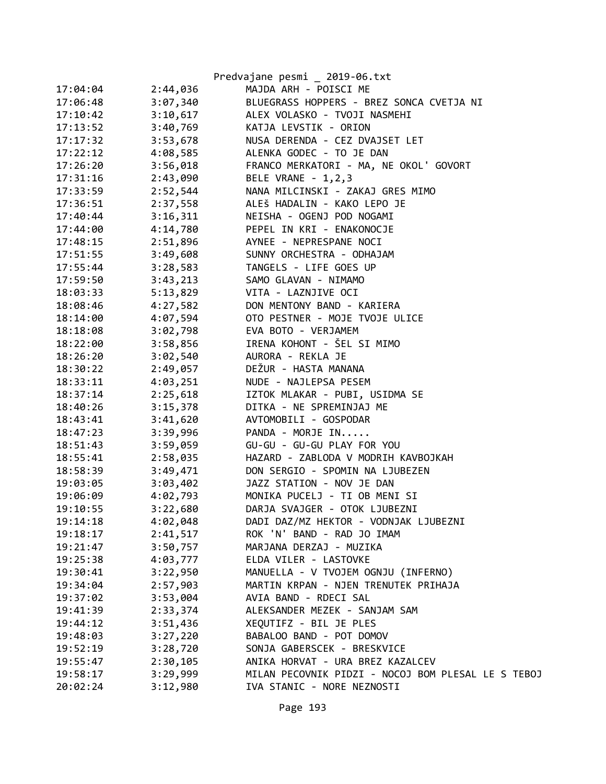|          |          | Predvajane pesmi _ 2019-06.txt                     |
|----------|----------|----------------------------------------------------|
| 17:04:04 | 2:44,036 | MAJDA ARH - POISCI ME                              |
| 17:06:48 | 3:07,340 | BLUEGRASS HOPPERS - BREZ SONCA CVETJA NI           |
| 17:10:42 | 3:10,617 | ALEX VOLASKO - TVOJI NASMEHI                       |
| 17:13:52 | 3:40,769 | KATJA LEVSTIK - ORION                              |
| 17:17:32 | 3:53,678 | NUSA DERENDA - CEZ DVAJSET LET                     |
| 17:22:12 | 4:08,585 | ALENKA GODEC - TO JE DAN                           |
| 17:26:20 | 3:56,018 | FRANCO MERKATORI - MA, NE OKOL' GOVORT             |
| 17:31:16 | 2:43,090 | BELE VRANE - 1,2,3                                 |
| 17:33:59 | 2:52,544 | NANA MILCINSKI - ZAKAJ GRES MIMO                   |
| 17:36:51 | 2:37,558 | ALEŠ HADALIN - KAKO LEPO JE                        |
| 17:40:44 | 3:16,311 | NEISHA - OGENJ POD NOGAMI                          |
| 17:44:00 | 4:14,780 | PEPEL IN KRI - ENAKONOCJE                          |
| 17:48:15 | 2:51,896 | AYNEE - NEPRESPANE NOCI                            |
| 17:51:55 | 3:49,608 | SUNNY ORCHESTRA - ODHAJAM                          |
| 17:55:44 | 3:28,583 | TANGELS - LIFE GOES UP                             |
| 17:59:50 | 3:43,213 | SAMO GLAVAN - NIMAMO                               |
| 18:03:33 | 5:13,829 | VITA - LAZNJIVE OCI                                |
| 18:08:46 | 4:27,582 | DON MENTONY BAND - KARIERA                         |
| 18:14:00 | 4:07,594 | OTO PESTNER - MOJE TVOJE ULICE                     |
| 18:18:08 | 3:02,798 | EVA BOTO - VERJAMEM                                |
| 18:22:00 | 3:58,856 | IRENA KOHONT - ŠEL SI MIMO                         |
| 18:26:20 | 3:02,540 | AURORA - REKLA JE                                  |
| 18:30:22 | 2:49,057 | DEŽUR - HASTA MANANA                               |
| 18:33:11 | 4:03,251 | NUDE - NAJLEPSA PESEM                              |
| 18:37:14 | 2:25,618 | IZTOK MLAKAR - PUBI, USIDMA SE                     |
| 18:40:26 | 3:15,378 | DITKA - NE SPREMINJAJ ME                           |
| 18:43:41 | 3:41,620 | AVTOMOBILI - GOSPODAR                              |
| 18:47:23 | 3:39,996 | PANDA - MORJE IN                                   |
| 18:51:43 | 3:59,059 | GU-GU - GU-GU PLAY FOR YOU                         |
| 18:55:41 | 2:58,035 | HAZARD - ZABLODA V MODRIH KAVBOJKAH                |
| 18:58:39 | 3:49,471 | DON SERGIO - SPOMIN NA LJUBEZEN                    |
| 19:03:05 | 3:03,402 | JAZZ STATION - NOV JE DAN                          |
| 19:06:09 | 4:02,793 | MONIKA PUCELJ - TI OB MENI SI                      |
| 19:10:55 | 3:22,680 | DARJA SVAJGER - OTOK LJUBEZNI                      |
| 19:14:18 | 4:02,048 | DADI DAZ/MZ HEKTOR - VODNJAK LJUBEZNI              |
| 19:18:17 | 2:41,517 | ROK 'N' BAND - RAD JO IMAM                         |
| 19:21:47 | 3:50,757 | MARJANA DERZAJ - MUZIKA                            |
| 19:25:38 | 4:03,777 | ELDA VILER - LASTOVKE                              |
| 19:30:41 | 3:22,950 | MANUELLA - V TVOJEM OGNJU (INFERNO)                |
| 19:34:04 | 2:57,903 | MARTIN KRPAN - NJEN TRENUTEK PRIHAJA               |
| 19:37:02 | 3:53,004 | AVIA BAND - RDECI SAL                              |
| 19:41:39 | 2:33,374 | ALEKSANDER MEZEK - SANJAM SAM                      |
| 19:44:12 | 3:51,436 | XEQUTIFZ - BIL JE PLES                             |
| 19:48:03 | 3:27,220 | BABALOO BAND - POT DOMOV                           |
| 19:52:19 | 3:28,720 | SONJA GABERSCEK - BRESKVICE                        |
| 19:55:47 | 2:30,105 | ANIKA HORVAT - URA BREZ KAZALCEV                   |
| 19:58:17 | 3:29,999 | MILAN PECOVNIK PIDZI - NOCOJ BOM PLESAL LE S TEBOJ |
| 20:02:24 | 3:12,980 | IVA STANIC - NORE NEZNOSTI                         |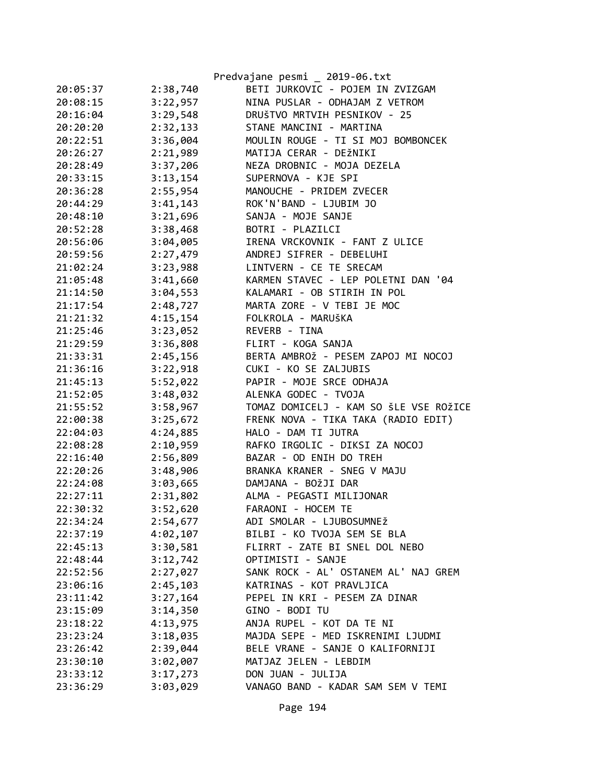|          |          | Predvajane pesmi _ 2019-06.txt         |
|----------|----------|----------------------------------------|
| 20:05:37 | 2:38,740 | BETI JURKOVIC - POJEM IN ZVIZGAM       |
| 20:08:15 | 3:22,957 | NINA PUSLAR - ODHAJAM Z VETROM         |
| 20:16:04 | 3:29,548 | DRUŠTVO MRTVIH PESNIKOV - 25           |
| 20:20:20 | 2:32,133 | STANE MANCINI - MARTINA                |
| 20:22:51 | 3:36,004 | MOULIN ROUGE - TI SI MOJ BOMBONCEK     |
| 20:26:27 | 2:21,989 | MATIJA CERAR - DEŽNIKI                 |
| 20:28:49 | 3:37,206 | NEZA DROBNIC - MOJA DEZELA             |
| 20:33:15 | 3:13,154 | SUPERNOVA - KJE SPI                    |
| 20:36:28 | 2:55,954 | MANOUCHE - PRIDEM ZVECER               |
| 20:44:29 | 3:41,143 | ROK'N'BAND - LJUBIM JO                 |
| 20:48:10 | 3:21,696 | SANJA - MOJE SANJE                     |
| 20:52:28 | 3:38,468 | BOTRI - PLAZILCI                       |
| 20:56:06 | 3:04,005 | IRENA VRCKOVNIK - FANT Z ULICE         |
| 20:59:56 | 2:27,479 | ANDREJ SIFRER - DEBELUHI               |
| 21:02:24 | 3:23,988 | LINTVERN - CE TE SRECAM                |
| 21:05:48 | 3:41,660 | KARMEN STAVEC - LEP POLETNI DAN '04    |
| 21:14:50 | 3:04,553 | KALAMARI - OB STIRIH IN POL            |
| 21:17:54 | 2:48,727 | MARTA ZORE - V TEBI JE MOC             |
| 21:21:32 | 4:15,154 | FOLKROLA - MARUŠKA                     |
| 21:25:46 | 3:23,052 | REVERB - TINA                          |
| 21:29:59 | 3:36,808 | FLIRT - KOGA SANJA                     |
| 21:33:31 | 2:45,156 | BERTA AMBROŽ - PESEM ZAPOJ MI NOCOJ    |
| 21:36:16 | 3:22,918 | CUKI - KO SE ZALJUBIS                  |
| 21:45:13 | 5:52,022 | PAPIR - MOJE SRCE ODHAJA               |
| 21:52:05 | 3:48,032 | ALENKA GODEC - TVOJA                   |
| 21:55:52 | 3:58,967 | TOMAZ DOMICELJ - KAM SO ŠLE VSE ROŽICE |
| 22:00:38 | 3:25,672 | FRENK NOVA - TIKA TAKA (RADIO EDIT)    |
| 22:04:03 | 4:24,885 | HALO - DAM TI JUTRA                    |
| 22:08:28 | 2:10,959 | RAFKO IRGOLIC - DIKSI ZA NOCOJ         |
| 22:16:40 | 2:56,809 | BAZAR - OD ENIH DO TREH                |
| 22:20:26 | 3:48,906 | BRANKA KRANER - SNEG V MAJU            |
| 22:24:08 | 3:03,665 | DAMJANA - BOŽJI DAR                    |
| 22:27:11 | 2:31,802 | ALMA - PEGASTI MILIJONAR               |
| 22:30:32 | 3:52,620 | FARAONI - HOCEM TE                     |
| 22:34:24 | 2:54,677 | ADI SMOLAR - LJUBOSUMNEŽ               |
| 22:37:19 | 4:02,107 | BILBI - KO TVOJA SEM SE BLA            |
| 22:45:13 | 3:30,581 | FLIRRT - ZATE BI SNEL DOL NEBO         |
| 22:48:44 | 3:12,742 | OPTIMISTI - SANJE                      |
| 22:52:56 | 2:27,027 | SANK ROCK - AL' OSTANEM AL' NAJ GREM   |
| 23:06:16 | 2:45,103 | KATRINAS - KOT PRAVLJICA               |
| 23:11:42 | 3:27,164 | PEPEL IN KRI - PESEM ZA DINAR          |
| 23:15:09 | 3:14,350 | GINO - BODI TU                         |
| 23:18:22 | 4:13,975 | ANJA RUPEL - KOT DA TE NI              |
| 23:23:24 | 3:18,035 | MAJDA SEPE - MED ISKRENIMI LJUDMI      |
| 23:26:42 | 2:39,044 | BELE VRANE - SANJE O KALIFORNIJI       |
| 23:30:10 | 3:02,007 | MATJAZ JELEN - LEBDIM                  |
| 23:33:12 | 3:17,273 | DON JUAN - JULIJA                      |
| 23:36:29 | 3:03,029 | VANAGO BAND - KADAR SAM SEM V TEMI     |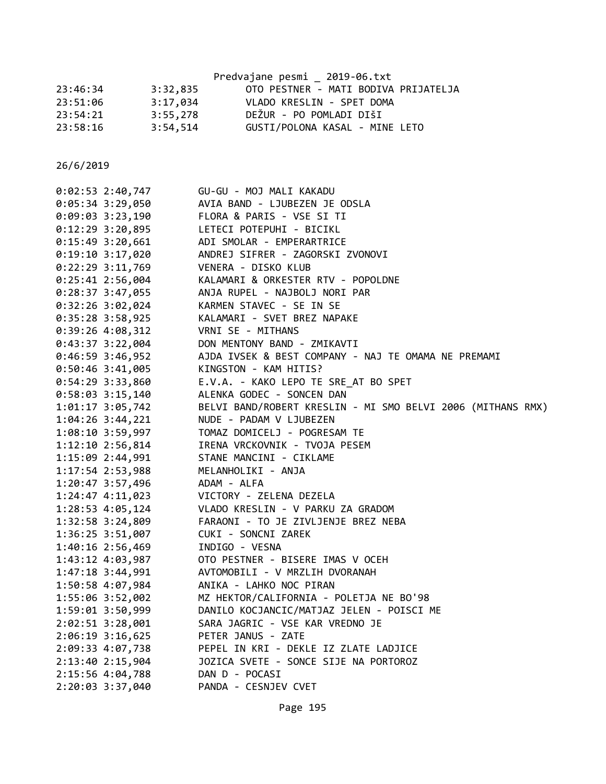|          |          | Predvajane pesmi _ 2019-06.txt       |
|----------|----------|--------------------------------------|
| 23:46:34 | 3:32,835 | OTO PESTNER - MATI BODIVA PRIJATELJA |
| 23:51:06 | 3:17,034 | VLADO KRESLIN - SPET DOMA            |
| 23:54:21 | 3:55,278 | DEŽUR - PO POMLADI DIŠI              |
| 23:58:16 | 3:54,514 | GUSTI/POLONA KASAL - MINE LETO       |

| $0:02:53$ 2:40,747   |                    | GU-GU - MOJ MALI KAKADU                                     |
|----------------------|--------------------|-------------------------------------------------------------|
| $0:05:34$ 3:29,050   |                    | AVIA BAND - LJUBEZEN JE ODSLA                               |
| $0:09:03$ 3:23,190   |                    | FLORA & PARIS - VSE SI TI                                   |
| $0:12:29$ 3:20,895   |                    | LETECI POTEPUHI - BICIKL                                    |
| $0:15:49$ 3:20,661   |                    | ADI SMOLAR - EMPERARTRICE                                   |
| $0:19:10$ 3:17,020   |                    | ANDREJ SIFRER - ZAGORSKI ZVONOVI                            |
| $0:22:29$ 3:11,769   |                    | VENERA - DISKO KLUB                                         |
| $0:25:41$ 2:56,004   |                    | KALAMARI & ORKESTER RTV - POPOLDNE                          |
| $0:28:37$ 3:47,055   |                    | ANJA RUPEL - NAJBOLJ NORI PAR                               |
| 0:32:26 3:02,024     |                    | KARMEN STAVEC - SE IN SE                                    |
| $0:35:28$ 3:58,925   |                    | KALAMARI - SVET BREZ NAPAKE                                 |
|                      | 0:39:26 4:08,312   | VRNI SE - MITHANS                                           |
|                      | $0:43:37$ 3:22,004 | DON MENTONY BAND - ZMIKAVTI                                 |
| $0:46:59$ 3:46,952   |                    | AJDA IVSEK & BEST COMPANY - NAJ TE OMAMA NE PREMAMI         |
| $0:50:46$ 3:41,005   |                    | KINGSTON - KAM HITIS?                                       |
| $0:54:29$ 3:33,860   |                    | E.V.A. - KAKO LEPO TE SRE_AT BO SPET                        |
| $0:58:03$ 3:15,140   |                    | ALENKA GODEC - SONCEN DAN                                   |
| $1:01:17$ 3:05,742   |                    | BELVI BAND/ROBERT KRESLIN - MI SMO BELVI 2006 (MITHANS RMX) |
|                      | 1:04:26 3:44,221   | NUDE - PADAM V LJUBEZEN                                     |
| $1:08:10$ 3:59,997   |                    | TOMAZ DOMICELJ - POGRESAM TE                                |
|                      | 1:12:10 2:56,814   | IRENA VRCKOVNIK - TVOJA PESEM                               |
| 1:15:09 2:44,991     |                    | STANE MANCINI - CIKLAME                                     |
| $1:17:54$ $2:53,988$ |                    | MELANHOLIKI - ANJA                                          |
| $1:20:47$ 3:57,496   |                    | ADAM - ALFA                                                 |
|                      |                    | 1:24:47 4:11,023 VICTORY - ZELENA DEZELA                    |
|                      | 1:28:53 4:05,124   | VLADO KRESLIN - V PARKU ZA GRADOM                           |
|                      | 1:32:58 3:24,809   | FARAONI - TO JE ZIVLJENJE BREZ NEBA                         |
|                      | 1:36:25 3:51,007   | CUKI - SONCNI ZAREK                                         |
| 1:40:16 2:56,469     |                    | INDIGO - VESNA                                              |
| 1:43:12 4:03,987     |                    | OTO PESTNER - BISERE IMAS V OCEH                            |
| $1:47:18$ 3:44,991   |                    | AVTOMOBILI - V MRZLIH DVORANAH                              |
| 1:50:58 4:07,984     |                    | ANIKA - LAHKO NOC PIRAN                                     |
| 1:55:06 3:52,002     |                    | MZ HEKTOR/CALIFORNIA - POLETJA NE BO'98                     |
| 1:59:01 3:50,999     |                    | DANILO KOCJANCIC/MATJAZ JELEN - POISCI ME                   |
| $2:02:51$ 3:28,001   |                    | SARA JAGRIC - VSE KAR VREDNO JE                             |
|                      | 2:06:19 3:16,625   | PETER JANUS - ZATE                                          |
| 2:09:33 4:07,738     |                    | PEPEL IN KRI - DEKLE IZ ZLATE LADJICE                       |
| 2:13:40 2:15,904     |                    | JOZICA SVETE - SONCE SIJE NA PORTOROZ                       |
| 2:15:56 4:04,788     |                    | DAN D - POCASI                                              |
| 2:20:03 3:37,040     |                    | PANDA - CESNJEV CVET                                        |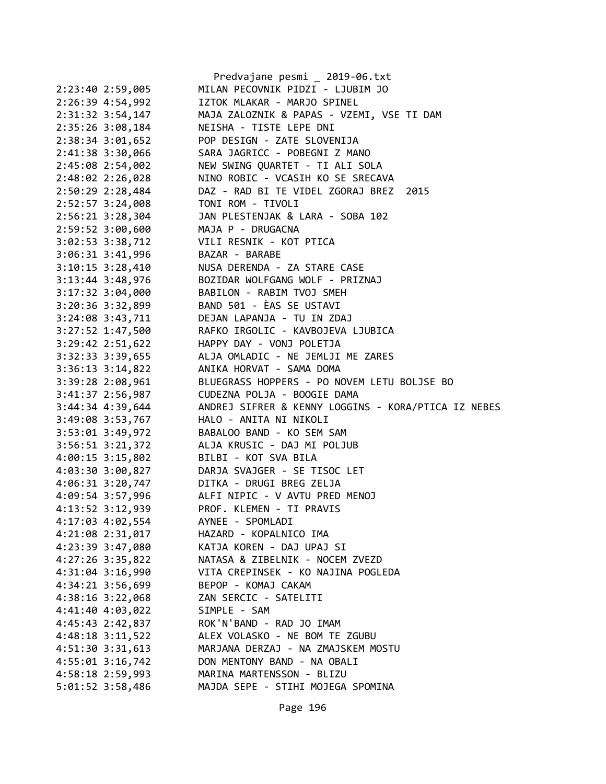|                  |                                      | Predvajane pesmi _ 2019-06.txt                                 |
|------------------|--------------------------------------|----------------------------------------------------------------|
|                  | 2:23:40 2:59,005                     | MILAN PECOVNIK PIDZI - LJUBIM JO                               |
|                  | 2:26:39 4:54,992                     | IZTOK MLAKAR - MARJO SPINEL                                    |
|                  | 2:31:32 3:54,147                     | MAJA ZALOZNIK & PAPAS - VZEMI, VSE TI DAM                      |
|                  | 2:35:26 3:08,184                     | NEISHA - TISTE LEPE DNI                                        |
|                  | $2:38:34$ $3:01,652$                 | POP DESIGN - ZATE SLOVENIJA                                    |
|                  | 2:41:38 3:30,066                     | SARA JAGRICC - POBEGNI Z MANO                                  |
|                  | 2:45:08 2:54,002                     | NEW SWING QUARTET - TI ALI SOLA                                |
|                  | 2:48:02 2:26,028                     | NINO ROBIC - VCASIH KO SE SRECAVA                              |
|                  | 2:50:29 2:28,484                     | DAZ - RAD BI TE VIDEL ZGORAJ BREZ 2015                         |
|                  | 2:52:57 3:24,008                     | TONI ROM - TIVOLI                                              |
|                  | $2:56:21$ $3:28,304$                 | JAN PLESTENJAK & LARA - SOBA 102                               |
|                  | 2:59:52 3:00,600                     | MAJA P - DRUGACNA                                              |
|                  | 3:02:53 3:38,712                     | VILI RESNIK - KOT PTICA                                        |
|                  | $3:06:31$ $3:41,996$                 | BAZAR - BARABE                                                 |
|                  | $3:10:15$ $3:28,410$                 | NUSA DERENDA - ZA STARE CASE                                   |
|                  | $3:13:44$ $3:48,976$                 | BOZIDAR WOLFGANG WOLF - PRIZNAJ                                |
|                  | $3:17:32$ $3:04,000$                 | BABILON - RABIM TVOJ SMEH                                      |
|                  | 3:20:36 3:32,899                     | BAND 501 - ÈAS SE USTAVI                                       |
|                  | $3:24:08$ $3:43,711$                 | DEJAN LAPANJA - TU IN ZDAJ                                     |
|                  | $3:27:52$ 1:47,500                   | RAFKO IRGOLIC - KAVBOJEVA LJUBICA                              |
|                  | $3:29:42$ $2:51,622$                 | HAPPY DAY - VONJ POLETJA                                       |
|                  | $3:32:33$ $3:39,655$                 | ALJA OMLADIC - NE JEMLJI ME ZARES                              |
|                  |                                      | ANIKA HORVAT - SAMA DOMA                                       |
|                  | $3:36:13$ $3:14,822$                 |                                                                |
|                  |                                      |                                                                |
|                  | $3:39:28$ $2:08,961$                 | BLUEGRASS HOPPERS - PO NOVEM LETU BOLJSE BO                    |
|                  | 3:41:37 2:56,987                     | CUDEZNA POLJA - BOOGIE DAMA                                    |
|                  | $3:44:34$ 4:39,644                   | ANDREJ SIFRER & KENNY LOGGINS - KORA/PTICA IZ NEBES            |
|                  | 3:49:08 3:53,767                     | HALO - ANITA NI NIKOLI                                         |
|                  | 3:53:01 3:49,972                     | BABALOO BAND - KO SEM SAM                                      |
|                  | $3:56:51$ $3:21,372$                 | ALJA KRUSIC - DAJ MI POLJUB                                    |
|                  | 4:00:15 3:15,802                     | BILBI - KOT SVA BILA                                           |
|                  | 4:03:30 3:00,827                     | DARJA SVAJGER - SE TISOC LET                                   |
|                  | 4:06:31 3:20,747                     | DITKA - DRUGI BREG ZELJA                                       |
|                  | 4:09:54 3:57,996                     | ALFI NIPIC - V AVTU PRED MENOJ                                 |
|                  | 4:13:52 3:12,939                     | PROF. KLEMEN - TI PRAVIS                                       |
| 4:17:03 4:02,554 |                                      | AYNEE - SPOMLADI                                               |
|                  | 4:21:08 2:31,017                     | HAZARD - KOPALNICO IMA                                         |
|                  | 4:23:39 3:47,080                     | KATJA KOREN - DAJ UPAJ SI                                      |
|                  | $4:27:26$ 3:35,822                   | NATASA & ZIBELNIK - NOCEM ZVEZD                                |
|                  | 4:31:04 3:16,990                     | VITA CREPINSEK - KO NAJINA POGLEDA                             |
|                  | $4:34:21$ $3:56,699$                 | BEPOP - KOMAJ CAKAM                                            |
|                  | 4:38:16 3:22,068                     | ZAN SERCIC - SATELITI                                          |
|                  | 4:41:40 4:03,022                     | SIMPLE - SAM                                                   |
|                  | 4:45:43 2:42,837                     | ROK'N'BAND - RAD JO IMAM                                       |
|                  | $4:48:18$ $3:11,522$                 | ALEX VOLASKO - NE BOM TE ZGUBU                                 |
|                  | 4:51:30 3:31,613                     | MARJANA DERZAJ - NA ZMAJSKEM MOSTU                             |
|                  | 4:55:01 3:16,742                     | DON MENTONY BAND - NA OBALI                                    |
|                  | 4:58:18 2:59,993<br>5:01:52 3:58,486 | MARINA MARTENSSON - BLIZU<br>MAJDA SEPE - STIHI MOJEGA SPOMINA |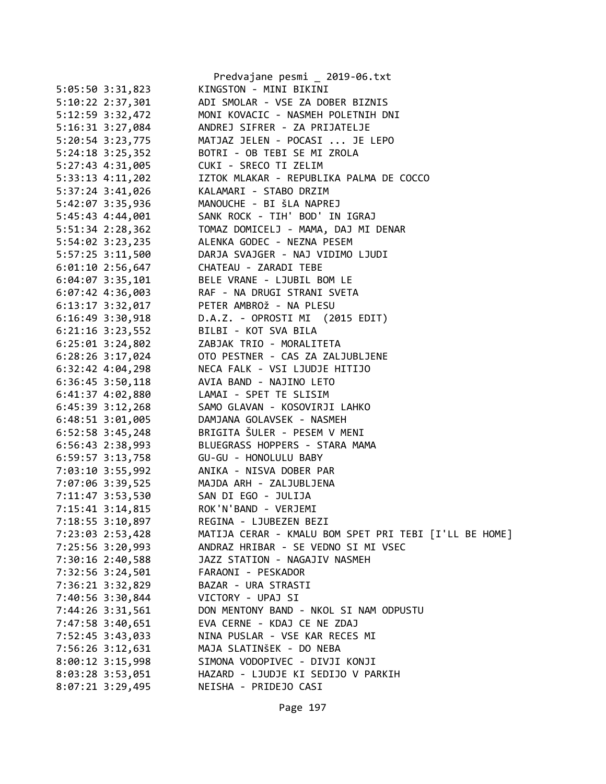|                                      | Predvajane pesmi _ 2019-06.txt                        |
|--------------------------------------|-------------------------------------------------------|
| 5:05:50 3:31,823                     | KINGSTON - MINI BIKINI                                |
| 5:10:22 2:37,301                     | ADI SMOLAR - VSE ZA DOBER BIZNIS                      |
| 5:12:59 3:32,472                     | MONI KOVACIC - NASMEH POLETNIH DNI                    |
| 5:16:31 3:27,084                     | ANDREJ SIFRER - ZA PRIJATELJE                         |
| 5:20:54 3:23,775                     | MATJAZ JELEN - POCASI  JE LEPO                        |
| 5:24:18 3:25,352                     | BOTRI - OB TEBI SE MI ZROLA                           |
| 5:27:43 4:31,005                     | CUKI - SRECO TI ZELIM                                 |
| $5:33:13$ $4:11,202$                 | IZTOK MLAKAR - REPUBLIKA PALMA DE COCCO               |
|                                      | 5:37:24 3:41,026 KALAMARI - STABO DRZIM               |
|                                      | 5:42:07 3:35,936 MANOUCHE - BI ŠLA NAPREJ             |
| 5:45:43 4:44,001                     | SANK ROCK - TIH' BOD' IN IGRAJ                        |
| 5:51:34 2:28,362                     | TOMAZ DOMICELJ - MAMA, DAJ MI DENAR                   |
| 5:54:02 3:23,235                     | ALENKA GODEC - NEZNA PESEM                            |
| 5:57:25 3:11,500                     | DARJA SVAJGER - NAJ VIDIMO LJUDI                      |
|                                      | 6:01:10 2:56,647 CHATEAU - ZARADI TEBE                |
|                                      | 6:04:07 3:35,101 BELE VRANE - LJUBIL BOM LE           |
|                                      | 6:07:42 4:36,003 RAF - NA DRUGI STRANI SVETA          |
|                                      | 6:13:17 3:32,017 PETER AMBROŽ - NA PLESU              |
| 6:16:49 3:30,918                     | D.A.Z. - OPROSTI MI (2015 EDIT)                       |
| $6:21:16$ $3:23,552$                 | BILBI - KOT SVA BILA                                  |
| $6:25:01$ $3:24,802$                 | ZABJAK TRIO - MORALITETA                              |
| $6:28:26$ 3:17,024                   | OTO PESTNER - CAS ZA ZALJUBLJENE                      |
| $6:32:42$ $4:04,298$                 | NECA FALK - VSI LJUDJE HITIJO                         |
|                                      |                                                       |
|                                      | 6:36:45 3:50,118 AVIA BAND - NAJINO LETO              |
|                                      | 6:41:37 4:02,880 LAMAI - SPET TE SLISIM               |
| $6:45:39$ $3:12,268$                 | SAMO GLAVAN - KOSOVIRJI LAHKO                         |
| $6:48:51$ $3:01,005$                 | DAMJANA GOLAVSEK - NASMEH                             |
| $6:52:58$ 3:45,248                   | BRIGITA ŠULER - PESEM V MENI                          |
| 6:56:43 2:38,993                     | BLUEGRASS HOPPERS - STARA MAMA                        |
|                                      |                                                       |
|                                      | 7:03:10 3:55,992 ANIKA - NISVA DOBER PAR              |
|                                      | 7:07:06 3:39,525 MAJDA ARH - ZALJUBLJENA              |
| 7:11:47 3:53,530 SAN DI EGO - JULIJA |                                                       |
| 7:15:41 3:14,815                     | ROK'N'BAND - VERJEMI                                  |
| 7:18:55 3:10,897                     | REGINA - LJUBEZEN BEZI                                |
| 7:23:03 2:53,428                     | MATIJA CERAR - KMALU BOM SPET PRI TEBI [I'LL BE HOME] |
| 7:25:56 3:20,993                     | ANDRAZ HRIBAR - SE VEDNO SI MI VSEC                   |
| 7:30:16 2:40,588                     | JAZZ STATION - NAGAJIV NASMEH                         |
| 7:32:56 3:24,501                     | FARAONI - PESKADOR                                    |
| 7:36:21 3:32,829                     | BAZAR - URA STRASTI                                   |
| 7:40:56 3:30,844                     | VICTORY - UPAJ SI                                     |
| 7:44:26 3:31,561                     | DON MENTONY BAND - NKOL SI NAM ODPUSTU                |
| 7:47:58 3:40,651                     | EVA CERNE - KDAJ CE NE ZDAJ                           |
| 7:52:45 3:43,033                     | NINA PUSLAR - VSE KAR RECES MI                        |
| 7:56:26 3:12,631                     | MAJA SLATINŠEK - DO NEBA                              |
| $8:00:12$ 3:15,998                   | SIMONA VODOPIVEC - DIVJI KONJI                        |
| 8:03:28 3:53,051                     | HAZARD - LJUDJE KI SEDIJO V PARKIH                    |
| $8:07:21$ 3:29,495                   | NEISHA - PRIDEJO CASI                                 |
|                                      |                                                       |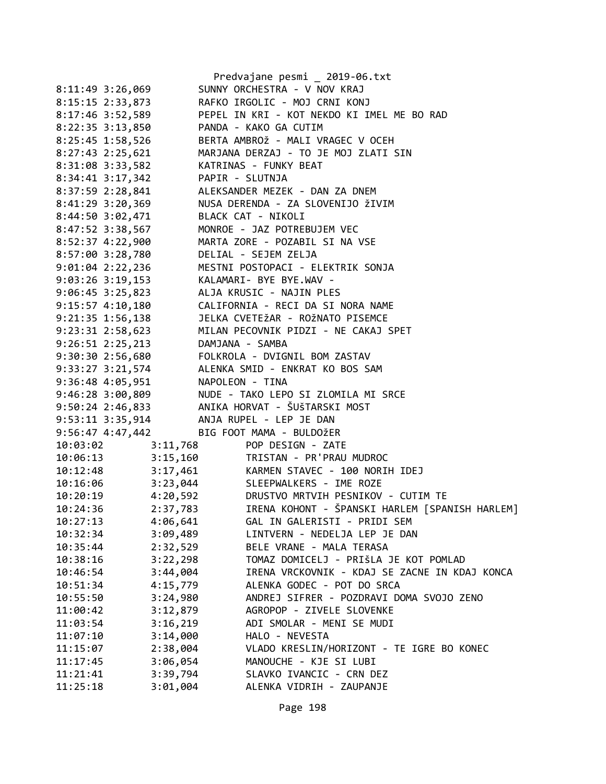|          |                                  | Predvajane pesmi _ 2019-06.txt                                                              |
|----------|----------------------------------|---------------------------------------------------------------------------------------------|
|          | 8:11:49 3:26,069                 | SUNNY ORCHESTRA - V NOV KRAJ                                                                |
|          | 8:15:15 2:33,873                 | RAFKO IRGOLIC - MOJ CRNI KONJ                                                               |
|          |                                  | 8:17:46 3:52,589 PEPEL IN KRI - KOT NEKDO KI IMEL ME BO RAD                                 |
|          |                                  | 8:22:35 3:13,850 PANDA - KAKO GA CUTIM                                                      |
|          | 8:25:45 1:58,526                 | BERTA AMBROŽ - MALI VRAGEC V OCEH                                                           |
|          | 8:27:43 2:25,621                 | MARJANA DERZAJ - TO JE MOJ ZLATI SIN                                                        |
|          |                                  | 8:31:08 3:33,582 KATRINAS - FUNKY BEAT                                                      |
|          |                                  | 8:34:41 3:17,342 PAPIR - SLUTNJA<br>8:37:59 2:28,841 ALEKSANDER MEZEK - DAN ZA DNEM         |
|          |                                  |                                                                                             |
|          |                                  | 8:41:29 3:20,369 NUSA DERENDA - ZA SLOVENIJO ŽIVIM                                          |
|          |                                  | 8:44:50 3:02,471 BLACK CAT - NIKOLI                                                         |
|          | 8:47:52 3:38,567                 | MONROE - JAZ POTREBUJEM VEC                                                                 |
|          | 8:52:37 4:22,900                 | MARTA ZORE - POZABIL SI NA VSE                                                              |
|          | 8:57:00 3:28,780                 | DELIAL - SEJEM ZELJA                                                                        |
|          |                                  | 9:01:04 2:22,236 MESTNI POSTOPACI - ELEKTRIK SONJA                                          |
|          |                                  | 9:03:26 3:19,153 KALAMARI- BYE BYE.WAV -                                                    |
|          |                                  | 9:06:45 3:25,823 ALJA KRUSIC - NAJIN PLES                                                   |
|          |                                  | 9:15:57  4:10,180   CALIFORNIA - RECI DA SI NORA NAME                                       |
|          |                                  | 9:21:35 1:56,138 JELKA CVETEŽAR - ROŽNATO PISEMCE                                           |
|          |                                  | 9:23:31 2:58,623 MILAN PECOVNIK PIDZI - NE CAKAJ SPET                                       |
|          |                                  |                                                                                             |
|          |                                  |                                                                                             |
|          |                                  | 9:26:51 2:25,213<br>9:30:30 2:56,680<br>9:33:27 3:21,574<br>ALENKA SMID - ENKRAT KO BOS SAM |
|          | 9:36:48 4:05,951 NAPOLEON - TINA |                                                                                             |
|          |                                  | 9:46:28 3:00,809 NUDE - TAKO LEPO SI ZLOMILA MI SRCE                                        |
|          |                                  | 9:50:24 2:46,833 ANIKA HORVAT - ŠUŠTARSKI MOST                                              |
|          |                                  | 9:53:11 3:35,914 ANJA RUPEL - LEP JE DAN                                                    |
|          |                                  | 9:56:47 4:47,442 BIG FOOT MAMA - BULDOŽER                                                   |
|          |                                  | 10:03:02 3:11,768 POP DESIGN - ZATE<br>10:06:13 3:15,160 TRISTAN - PR'PRAU MUDROC           |
|          |                                  |                                                                                             |
|          |                                  | 10:12:48 3:17,461 KARMEN STAVEC - 100 NORIH IDEJ                                            |
|          |                                  | 10:16:06 3:23,044 SLEEPWALKERS - IME ROZE                                                   |
|          |                                  | 10:20:19 4:20,592 DRUSTVO MRTVIH PESNIKOV - CUTIM TE                                        |
| 10:24:36 |                                  | 2:37,783 IRENA KOHONT - ŠPANSKI HARLEM [SPANISH HARLEM]                                     |
| 10:27:13 | 4:06,641                         | GAL IN GALERISTI - PRIDI SEM                                                                |
| 10:32:34 | 3:09,489                         | LINTVERN - NEDELJA LEP JE DAN                                                               |
| 10:35:44 | 2:32,529                         | BELE VRANE - MALA TERASA                                                                    |
| 10:38:16 | 3:22,298                         | TOMAZ DOMICELJ - PRIŠLA JE KOT POMLAD                                                       |
| 10:46:54 | 3:44,004                         | IRENA VRCKOVNIK - KDAJ SE ZACNE IN KDAJ KONCA                                               |
| 10:51:34 | 4:15,779                         | ALENKA GODEC - POT DO SRCA                                                                  |
| 10:55:50 | 3:24,980                         | ANDREJ SIFRER - POZDRAVI DOMA SVOJO ZENO                                                    |
| 11:00:42 | 3:12,879                         | AGROPOP - ZIVELE SLOVENKE                                                                   |
| 11:03:54 | 3:16,219                         | ADI SMOLAR - MENI SE MUDI                                                                   |
| 11:07:10 | 3:14,000                         | HALO - NEVESTA                                                                              |
| 11:15:07 | 2:38,004                         | VLADO KRESLIN/HORIZONT - TE IGRE BO KONEC                                                   |
| 11:17:45 | 3:06,054                         | MANOUCHE - KJE SI LUBI                                                                      |
| 11:21:41 | 3:39,794                         | SLAVKO IVANCIC - CRN DEZ                                                                    |
| 11:25:18 | 3:01,004                         | ALENKA VIDRIH - ZAUPANJE                                                                    |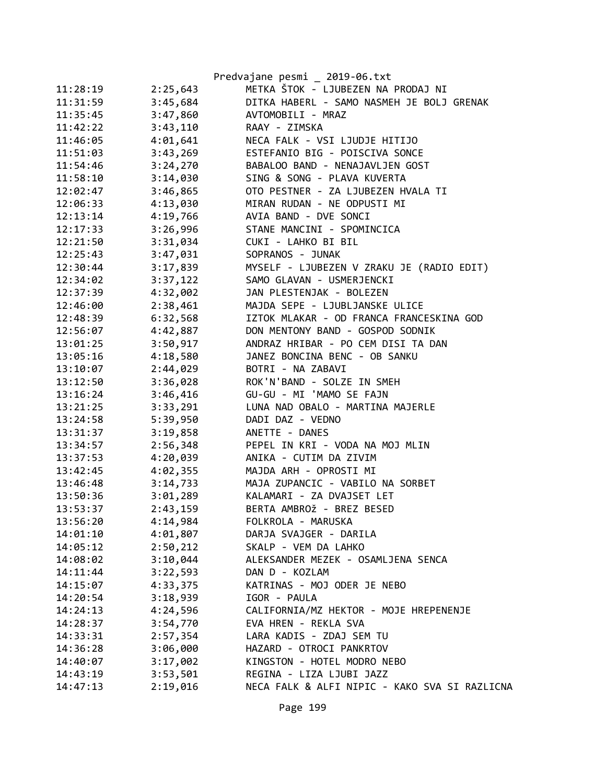|          |          | Predvajane pesmi _ 2019-06.txt                |
|----------|----------|-----------------------------------------------|
| 11:28:19 | 2:25,643 | METKA ŠTOK - LJUBEZEN NA PRODAJ NI            |
| 11:31:59 | 3:45,684 | DITKA HABERL - SAMO NASMEH JE BOLJ GRENAK     |
| 11:35:45 | 3:47,860 | AVTOMOBILI - MRAZ                             |
| 11:42:22 | 3:43,110 | RAAY - ZIMSKA                                 |
| 11:46:05 | 4:01,641 | NECA FALK - VSI LJUDJE HITIJO                 |
| 11:51:03 | 3:43,269 | ESTEFANIO BIG - POISCIVA SONCE                |
| 11:54:46 | 3:24,270 | BABALOO BAND - NENAJAVLJEN GOST               |
| 11:58:10 | 3:14,030 | SING & SONG - PLAVA KUVERTA                   |
| 12:02:47 | 3:46,865 | OTO PESTNER - ZA LJUBEZEN HVALA TI            |
| 12:06:33 | 4:13,030 | MIRAN RUDAN - NE ODPUSTI MI                   |
| 12:13:14 | 4:19,766 | AVIA BAND - DVE SONCI                         |
| 12:17:33 | 3:26,996 | STANE MANCINI - SPOMINCICA                    |
| 12:21:50 | 3:31,034 | CUKI - LAHKO BI BIL                           |
| 12:25:43 | 3:47,031 | SOPRANOS - JUNAK                              |
| 12:30:44 | 3:17,839 | MYSELF - LJUBEZEN V ZRAKU JE (RADIO EDIT)     |
| 12:34:02 | 3:37,122 | SAMO GLAVAN - USMERJENCKI                     |
| 12:37:39 | 4:32,002 | JAN PLESTENJAK - BOLEZEN                      |
| 12:46:00 | 2:38,461 | MAJDA SEPE - LJUBLJANSKE ULICE                |
| 12:48:39 | 6:32,568 | IZTOK MLAKAR - OD FRANCA FRANCESKINA GOD      |
| 12:56:07 | 4:42,887 | DON MENTONY BAND - GOSPOD SODNIK              |
| 13:01:25 | 3:50,917 | ANDRAZ HRIBAR - PO CEM DISI TA DAN            |
| 13:05:16 | 4:18,580 | JANEZ BONCINA BENC - OB SANKU                 |
| 13:10:07 | 2:44,029 | BOTRI - NA ZABAVI                             |
| 13:12:50 | 3:36,028 | ROK'N'BAND - SOLZE IN SMEH                    |
| 13:16:24 | 3:46,416 | GU-GU - MI 'MAMO SE FAJN                      |
| 13:21:25 | 3:33,291 | LUNA NAD OBALO - MARTINA MAJERLE              |
| 13:24:58 | 5:39,950 | DADI DAZ - VEDNO                              |
| 13:31:37 | 3:19,858 | ANETTE - DANES                                |
| 13:34:57 | 2:56,348 | PEPEL IN KRI - VODA NA MOJ MLIN               |
| 13:37:53 | 4:20,039 | ANIKA - CUTIM DA ZIVIM                        |
| 13:42:45 | 4:02,355 | MAJDA ARH - OPROSTI MI                        |
| 13:46:48 | 3:14,733 | MAJA ZUPANCIC - VABILO NA SORBET              |
| 13:50:36 | 3:01,289 | KALAMARI - ZA DVAJSET LET                     |
| 13:53:37 | 2:43,159 | BERTA AMBROŽ - BREZ BESED                     |
| 13:56:20 | 4:14,984 | FOLKROLA - MARUSKA                            |
| 14:01:10 | 4:01,807 | DARJA SVAJGER - DARILA                        |
| 14:05:12 | 2:50,212 | SKALP - VEM DA LAHKO                          |
| 14:08:02 | 3:10,044 | ALEKSANDER MEZEK - OSAMLJENA SENCA            |
| 14:11:44 | 3:22,593 | DAN D - KOZLAM                                |
| 14:15:07 | 4:33,375 | KATRINAS - MOJ ODER JE NEBO                   |
| 14:20:54 | 3:18,939 | IGOR - PAULA                                  |
| 14:24:13 | 4:24,596 | CALIFORNIA/MZ HEKTOR - MOJE HREPENENJE        |
| 14:28:37 | 3:54,770 | EVA HREN - REKLA SVA                          |
| 14:33:31 | 2:57,354 | LARA KADIS - ZDAJ SEM TU                      |
| 14:36:28 | 3:06,000 | HAZARD - OTROCI PANKRTOV                      |
| 14:40:07 | 3:17,002 | KINGSTON - HOTEL MODRO NEBO                   |
| 14:43:19 | 3:53,501 | REGINA - LIZA LJUBI JAZZ                      |
| 14:47:13 | 2:19,016 | NECA FALK & ALFI NIPIC - KAKO SVA SI RAZLICNA |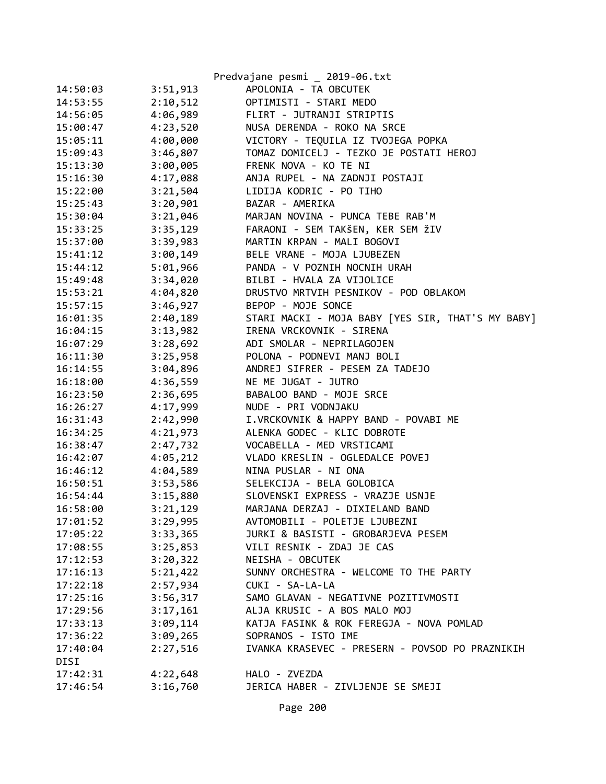|          |          | Predvajane pesmi _ 2019-06.txt                    |
|----------|----------|---------------------------------------------------|
| 14:50:03 | 3:51,913 | APOLONIA - TA OBCUTEK                             |
| 14:53:55 | 2:10,512 | OPTIMISTI - STARI MEDO                            |
| 14:56:05 | 4:06,989 | FLIRT - JUTRANJI STRIPTIS                         |
| 15:00:47 | 4:23,520 | NUSA DERENDA - ROKO NA SRCE                       |
| 15:05:11 | 4:00,000 | VICTORY - TEQUILA IZ TVOJEGA POPKA                |
| 15:09:43 | 3:46,807 | TOMAZ DOMICELJ - TEZKO JE POSTATI HEROJ           |
| 15:13:30 | 3:00,005 | FRENK NOVA - KO TE NI                             |
| 15:16:30 | 4:17,088 | ANJA RUPEL - NA ZADNJI POSTAJI                    |
| 15:22:00 | 3:21,504 | LIDIJA KODRIC - PO TIHO                           |
| 15:25:43 | 3:20,901 | BAZAR - AMERIKA                                   |
| 15:30:04 | 3:21,046 | MARJAN NOVINA - PUNCA TEBE RAB'M                  |
| 15:33:25 | 3:35,129 | FARAONI - SEM TAKŠEN, KER SEM ŽIV                 |
| 15:37:00 | 3:39,983 | MARTIN KRPAN - MALI BOGOVI                        |
| 15:41:12 | 3:00,149 | BELE VRANE - MOJA LJUBEZEN                        |
| 15:44:12 | 5:01,966 | PANDA - V POZNIH NOCNIH URAH                      |
| 15:49:48 | 3:34,020 | BILBI - HVALA ZA VIJOLICE                         |
| 15:53:21 | 4:04,820 | DRUSTVO MRTVIH PESNIKOV - POD OBLAKOM             |
| 15:57:15 | 3:46,927 | BEPOP - MOJE SONCE                                |
| 16:01:35 | 2:40,189 | STARI MACKI - MOJA BABY [YES SIR, THAT'S MY BABY] |
| 16:04:15 | 3:13,982 | IRENA VRCKOVNIK - SIRENA                          |
| 16:07:29 | 3:28,692 | ADI SMOLAR - NEPRILAGOJEN                         |
| 16:11:30 | 3:25,958 | POLONA - PODNEVI MANJ BOLI                        |
| 16:14:55 | 3:04,896 | ANDREJ SIFRER - PESEM ZA TADEJO                   |
| 16:18:00 | 4:36,559 | NE ME JUGAT - JUTRO                               |
| 16:23:50 | 2:36,695 | BABALOO BAND - MOJE SRCE                          |
| 16:26:27 | 4:17,999 | NUDE - PRI VODNJAKU                               |
| 16:31:43 | 2:42,990 | I.VRCKOVNIK & HAPPY BAND - POVABI ME              |
| 16:34:25 | 4:21,973 | ALENKA GODEC - KLIC DOBROTE                       |
| 16:38:47 | 2:47,732 | VOCABELLA - MED VRSTICAMI                         |
| 16:42:07 | 4:05,212 | VLADO KRESLIN - OGLEDALCE POVEJ                   |
| 16:46:12 | 4:04,589 | NINA PUSLAR - NI ONA                              |
| 16:50:51 | 3:53,586 | SELEKCIJA - BELA GOLOBICA                         |
| 16:54:44 | 3:15,880 | SLOVENSKI EXPRESS - VRAZJE USNJE                  |
| 16:58:00 | 3:21,129 | MARJANA DERZAJ - DIXIELAND BAND                   |
| 17:01:52 | 3:29,995 | AVTOMOBILI - POLETJE LJUBEZNI                     |
| 17:05:22 | 3:33,365 | JURKI & BASISTI - GROBARJEVA PESEM                |
| 17:08:55 | 3:25,853 | VILI RESNIK - ZDAJ JE CAS                         |
| 17:12:53 | 3:20,322 | NEISHA - OBCUTEK                                  |
| 17:16:13 | 5:21,422 | SUNNY ORCHESTRA - WELCOME TO THE PARTY            |
| 17:22:18 | 2:57,934 | CUKI - SA-LA-LA                                   |
| 17:25:16 | 3:56,317 | SAMO GLAVAN - NEGATIVNE POZITIVMOSTI              |
| 17:29:56 | 3:17,161 | ALJA KRUSIC - A BOS MALO MOJ                      |
| 17:33:13 | 3:09,114 | KATJA FASINK & ROK FEREGJA - NOVA POMLAD          |
| 17:36:22 | 3:09,265 | SOPRANOS - ISTO IME                               |
| 17:40:04 | 2:27,516 | IVANKA KRASEVEC - PRESERN - POVSOD PO PRAZNIKIH   |
| DISI     |          |                                                   |
| 17:42:31 | 4:22,648 | HALO - ZVEZDA                                     |
| 17:46:54 | 3:16,760 | JERICA HABER - ZIVLJENJE SE SMEJI                 |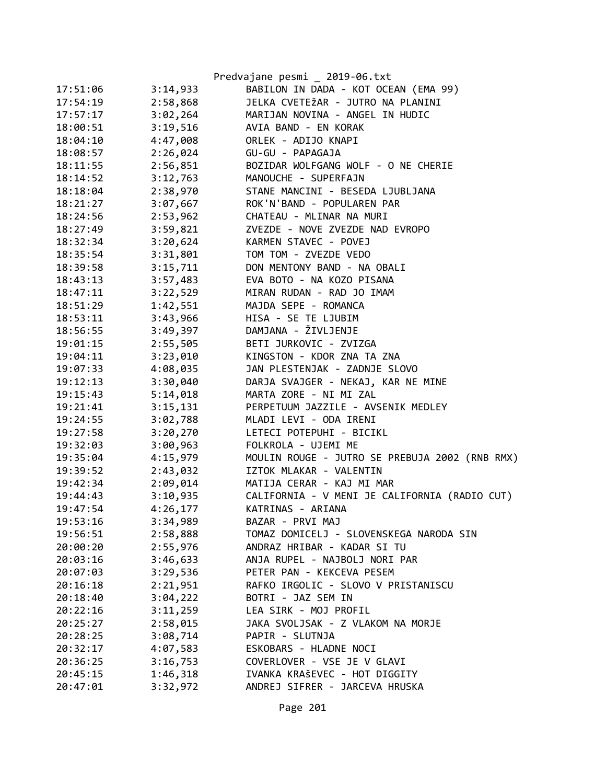|          |          | Predvajane pesmi _ 2019-06.txt                         |
|----------|----------|--------------------------------------------------------|
| 17:51:06 | 3:14,933 | BABILON IN DADA - KOT OCEAN (EMA 99)                   |
| 17:54:19 | 2:58,868 | JELKA CVETEŽAR - JUTRO NA PLANINI                      |
| 17:57:17 | 3:02,264 | MARIJAN NOVINA - ANGEL IN HUDIC                        |
| 18:00:51 | 3:19,516 | AVIA BAND - EN KORAK                                   |
| 18:04:10 | 4:47,008 | ORLEK - ADIJO KNAPI                                    |
| 18:08:57 | 2:26,024 | GU-GU - PAPAGAJA                                       |
| 18:11:55 | 2:56,851 | BOZIDAR WOLFGANG WOLF - O NE CHERIE                    |
| 18:14:52 | 3:12,763 | MANOUCHE - SUPERFAJN                                   |
| 18:18:04 | 2:38,970 | STANE MANCINI - BESEDA LJUBLJANA                       |
| 18:21:27 | 3:07,667 | ROK'N'BAND - POPULAREN PAR                             |
| 18:24:56 | 2:53,962 | CHATEAU - MLINAR NA MURI                               |
| 18:27:49 | 3:59,821 | ZVEZDE - NOVE ZVEZDE NAD EVROPO                        |
| 18:32:34 | 3:20,624 | KARMEN STAVEC - POVEJ                                  |
| 18:35:54 | 3:31,801 | TOM TOM - ZVEZDE VEDO                                  |
| 18:39:58 | 3:15,711 | DON MENTONY BAND - NA OBALI                            |
| 18:43:13 | 3:57,483 | EVA BOTO - NA KOZO PISANA                              |
| 18:47:11 | 3:22,529 | MIRAN RUDAN - RAD JO IMAM                              |
| 18:51:29 | 1:42,551 | MAJDA SEPE - ROMANCA                                   |
| 18:53:11 | 3:43,966 | HISA - SE TE LJUBIM                                    |
| 18:56:55 | 3:49,397 | DAMJANA - ŽIVLJENJE                                    |
| 19:01:15 | 2:55,505 | BETI JURKOVIC - ZVIZGA                                 |
| 19:04:11 | 3:23,010 | KINGSTON - KDOR ZNA TA ZNA                             |
| 19:07:33 | 4:08,035 | JAN PLESTENJAK - ZADNJE SLOVO                          |
| 19:12:13 | 3:30,040 | DARJA SVAJGER - NEKAJ, KAR NE MINE                     |
| 19:15:43 | 5:14,018 | MARTA ZORE - NI MI ZAL                                 |
| 19:21:41 | 3:15,131 | PERPETUUM JAZZILE - AVSENIK MEDLEY                     |
| 19:24:55 | 3:02,788 | MLADI LEVI - ODA IRENI                                 |
| 19:27:58 | 3:20,270 | LETECI POTEPUHI - BICIKL                               |
| 19:32:03 | 3:00,963 | FOLKROLA - UJEMI ME                                    |
| 19:35:04 | 4:15,979 | MOULIN ROUGE - JUTRO SE PREBUJA 2002 (RNB RMX)         |
| 19:39:52 | 2:43,032 | IZTOK MLAKAR - VALENTIN                                |
| 19:42:34 | 2:09,014 | MATIJA CERAR - KAJ MI MAR                              |
| 19:44:43 |          | 3:10,935 CALIFORNIA - V MENI JE CALIFORNIA (RADIO CUT) |
| 19:47:54 | 4:26,177 | KATRINAS - ARIANA                                      |
| 19:53:16 | 3:34,989 | BAZAR - PRVI MAJ                                       |
| 19:56:51 | 2:58,888 | TOMAZ DOMICELJ - SLOVENSKEGA NARODA SIN                |
| 20:00:20 | 2:55,976 | ANDRAZ HRIBAR - KADAR SI TU                            |
| 20:03:16 | 3:46,633 | ANJA RUPEL - NAJBOLJ NORI PAR                          |
| 20:07:03 | 3:29,536 | PETER PAN - KEKCEVA PESEM                              |
| 20:16:18 | 2:21,951 | RAFKO IRGOLIC - SLOVO V PRISTANISCU                    |
| 20:18:40 | 3:04,222 | BOTRI - JAZ SEM IN                                     |
| 20:22:16 | 3:11,259 | LEA SIRK - MOJ PROFIL                                  |
| 20:25:27 | 2:58,015 | JAKA SVOLJSAK - Z VLAKOM NA MORJE                      |
| 20:28:25 | 3:08,714 | PAPIR - SLUTNJA                                        |
| 20:32:17 | 4:07,583 | ESKOBARS - HLADNE NOCI                                 |
| 20:36:25 | 3:16,753 | COVERLOVER - VSE JE V GLAVI                            |
| 20:45:15 | 1:46,318 | IVANKA KRAŠEVEC - HOT DIGGITY                          |
| 20:47:01 | 3:32,972 | ANDREJ SIFRER - JARCEVA HRUSKA                         |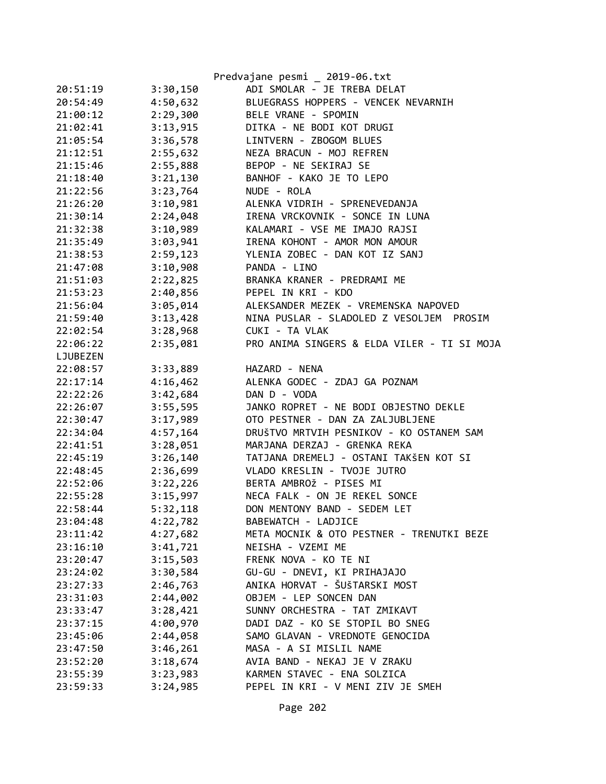|          |          | Predvajane pesmi _ 2019-06.txt              |
|----------|----------|---------------------------------------------|
| 20:51:19 | 3:30,150 | ADI SMOLAR - JE TREBA DELAT                 |
| 20:54:49 | 4:50,632 | BLUEGRASS HOPPERS - VENCEK NEVARNIH         |
| 21:00:12 | 2:29,300 | BELE VRANE - SPOMIN                         |
| 21:02:41 | 3:13,915 | DITKA - NE BODI KOT DRUGI                   |
| 21:05:54 | 3:36,578 | LINTVERN - ZBOGOM BLUES                     |
| 21:12:51 | 2:55,632 | NEZA BRACUN - MOJ REFREN                    |
| 21:15:46 | 2:55,888 | BEPOP - NE SEKIRAJ SE                       |
| 21:18:40 | 3:21,130 | BANHOF - KAKO JE TO LEPO                    |
| 21:22:56 | 3:23,764 | NUDE - ROLA                                 |
| 21:26:20 | 3:10,981 | ALENKA VIDRIH - SPRENEVEDANJA               |
| 21:30:14 | 2:24,048 | IRENA VRCKOVNIK - SONCE IN LUNA             |
| 21:32:38 | 3:10,989 | KALAMARI - VSE ME IMAJO RAJSI               |
| 21:35:49 | 3:03,941 | IRENA KOHONT - AMOR MON AMOUR               |
| 21:38:53 | 2:59,123 | YLENIA ZOBEC - DAN KOT IZ SANJ              |
| 21:47:08 | 3:10,908 | PANDA - LINO                                |
| 21:51:03 | 2:22,825 | BRANKA KRANER - PREDRAMI ME                 |
| 21:53:23 | 2:40,856 | PEPEL IN KRI - KDO                          |
| 21:56:04 | 3:05,014 | ALEKSANDER MEZEK - VREMENSKA NAPOVED        |
| 21:59:40 | 3:13,428 | NINA PUSLAR - SLADOLED Z VESOLJEM<br>PROSIM |
| 22:02:54 | 3:28,968 | CUKI - TA VLAK                              |
| 22:06:22 | 2:35,081 | PRO ANIMA SINGERS & ELDA VILER - TI SI MOJA |
| LJUBEZEN |          |                                             |
| 22:08:57 | 3:33,889 | HAZARD - NENA                               |
| 22:17:14 | 4:16,462 | ALENKA GODEC - ZDAJ GA POZNAM               |
| 22:22:26 | 3:42,684 | DAN D - VODA                                |
| 22:26:07 | 3:55,595 | JANKO ROPRET - NE BODI OBJESTNO DEKLE       |
| 22:30:47 | 3:17,989 | OTO PESTNER - DAN ZA ZALJUBLJENE            |
| 22:34:04 | 4:57,164 | DRUŠTVO MRTVIH PESNIKOV - KO OSTANEM SAM    |
| 22:41:51 | 3:28,051 | MARJANA DERZAJ - GRENKA REKA                |
| 22:45:19 | 3:26,140 | TATJANA DREMELJ - OSTANI TAKŠEN KOT SI      |
| 22:48:45 | 2:36,699 | VLADO KRESLIN - TVOJE JUTRO                 |
| 22:52:06 | 3:22,226 | BERTA AMBROŽ - PISES MI                     |
| 22:55:28 | 3:15,997 | NECA FALK - ON JE REKEL SONCE               |
| 22:58:44 | 5:32,118 | DON MENTONY BAND - SEDEM LET                |
| 23:04:48 | 4:22,782 | BABEWATCH - LADJICE                         |
| 23:11:42 | 4:27,682 | META MOCNIK & OTO PESTNER - TRENUTKI BEZE   |
| 23:16:10 | 3:41,721 | NEISHA - VZEMI ME                           |
| 23:20:47 | 3:15,503 | FRENK NOVA - KO TE NI                       |
| 23:24:02 | 3:30,584 | GU-GU - DNEVI, KI PRIHAJAJO                 |
| 23:27:33 | 2:46,763 | ANIKA HORVAT - ŠUŠTARSKI MOST               |
| 23:31:03 | 2:44,002 | OBJEM - LEP SONCEN DAN                      |
| 23:33:47 | 3:28,421 | SUNNY ORCHESTRA - TAT ZMIKAVT               |
| 23:37:15 | 4:00,970 | DADI DAZ - KO SE STOPIL BO SNEG             |
| 23:45:06 | 2:44,058 | SAMO GLAVAN - VREDNOTE GENOCIDA             |
| 23:47:50 | 3:46,261 | MASA - A SI MISLIL NAME                     |
| 23:52:20 | 3:18,674 | AVIA BAND - NEKAJ JE V ZRAKU                |
| 23:55:39 | 3:23,983 | KARMEN STAVEC - ENA SOLZICA                 |
| 23:59:33 | 3:24,985 | PEPEL IN KRI - V MENI ZIV JE SMEH           |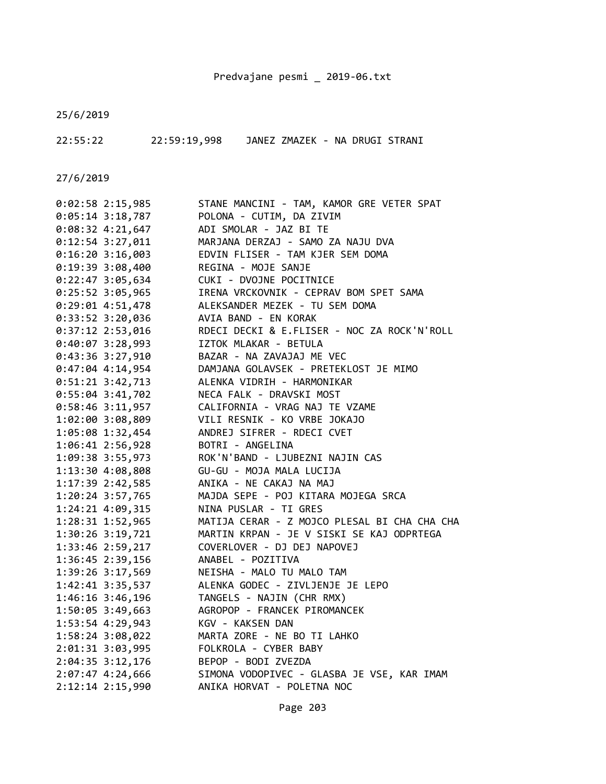25/6/2019

22:55:22 22:59:19,998 JANEZ ZMAZEK - NA DRUGI STRANI

| $0:02:58$ 2:15,985 | STANE MANCINI - TAM, KAMOR GRE VETER SPAT    |
|--------------------|----------------------------------------------|
| $0:05:14$ 3:18,787 | POLONA - CUTIM, DA ZIVIM                     |
| $0:08:32$ 4:21,647 | ADI SMOLAR - JAZ BI TE                       |
| $0:12:54$ 3:27,011 | MARJANA DERZAJ - SAMO ZA NAJU DVA            |
| $0:16:20$ 3:16,003 | EDVIN FLISER - TAM KJER SEM DOMA             |
| 0:19:39 3:08,400   | REGINA - MOJE SANJE                          |
| 0:22:47 3:05,634   | CUKI - DVOJNE POCITNICE                      |
| 0:25:52 3:05,965   | IRENA VRCKOVNIK - CEPRAV BOM SPET SAMA       |
| $0:29:01$ 4:51,478 | ALEKSANDER MEZEK - TU SEM DOMA               |
| 0:33:52 3:20,036   | AVIA BAND - EN KORAK                         |
| 0:37:12 2:53,016   | RDECI DECKI & E.FLISER - NOC ZA ROCK'N'ROLL  |
| $0:40:07$ 3:28,993 | IZTOK MLAKAR - BETULA                        |
| 0:43:36 3:27,910   | BAZAR - NA ZAVAJAJ ME VEC                    |
| $0:47:04$ 4:14,954 | DAMJANA GOLAVSEK - PRETEKLOST JE MIMO        |
| $0:51:21$ 3:42,713 | ALENKA VIDRIH - HARMONIKAR                   |
| 0:55:04 3:41,702   | NECA FALK - DRAVSKI MOST                     |
| $0:58:46$ 3:11,957 | CALIFORNIA - VRAG NAJ TE VZAME               |
| 1:02:00 3:08,809   | VILI RESNIK - KO VRBE JOKAJO                 |
| 1:05:08 1:32,454   | ANDREJ SIFRER - RDECI CVET                   |
| 1:06:41 2:56,928   | BOTRI - ANGELINA                             |
| 1:09:38 3:55,973   | ROK'N'BAND - LJUBEZNI NAJIN CAS              |
| 1:13:30 4:08,808   | GU-GU - MOJA MALA LUCIJA                     |
| 1:17:39 2:42,585   | ANIKA - NE CAKAJ NA MAJ                      |
| 1:20:24 3:57,765   | MAJDA SEPE - POJ KITARA MOJEGA SRCA          |
| 1:24:21 4:09,315   | NINA PUSLAR - TI GRES                        |
| 1:28:31 1:52,965   | MATIJA CERAR - Z MOJCO PLESAL BI CHA CHA CHA |
| 1:30:26 3:19,721   | MARTIN KRPAN - JE V SISKI SE KAJ ODPRTEGA    |
| 1:33:46 2:59,217   | COVERLOVER - DJ DEJ NAPOVEJ                  |
| 1:36:45 2:39,156   | ANABEL - POZITIVA                            |
| 1:39:26 3:17,569   | NEISHA - MALO TU MALO TAM                    |
| 1:42:41 3:35,537   | ALENKA GODEC - ZIVLJENJE JE LEPO             |
| 1:46:16 3:46,196   | TANGELS - NAJIN (CHR RMX)                    |
| 1:50:05 3:49,663   | AGROPOP - FRANCEK PIROMANCEK                 |
| 1:53:54 4:29,943   | KGV - KAKSEN DAN                             |
| 1:58:24 3:08,022   | MARTA ZORE - NE BO TI LAHKO                  |
| 2:01:31 3:03,995   | FOLKROLA - CYBER BABY                        |
| 2:04:35 3:12,176   | BEPOP - BODI ZVEZDA                          |
| 2:07:47 4:24,666   | SIMONA VODOPIVEC - GLASBA JE VSE, KAR IMAM   |
| 2:12:14 2:15,990   | ANIKA HORVAT - POLETNA NOC                   |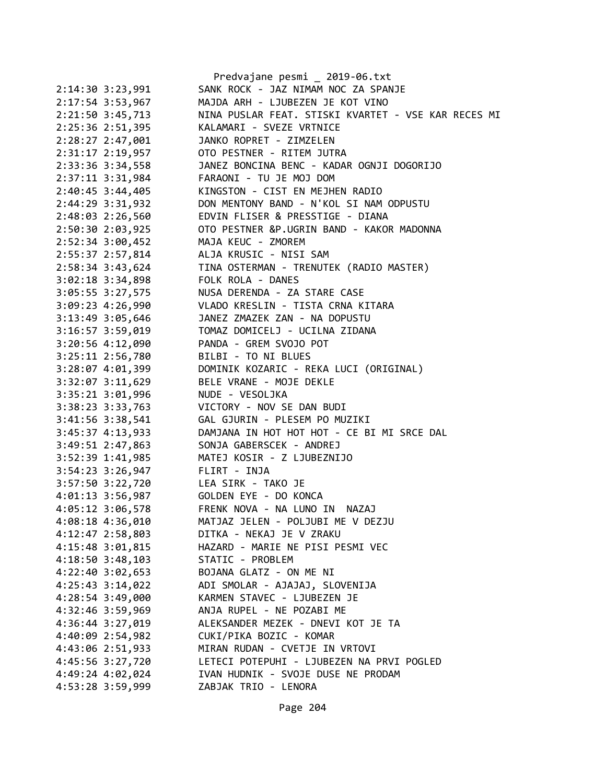|                      | Predvajane pesmi _ 2019-06.txt                                |
|----------------------|---------------------------------------------------------------|
| 2:14:30 3:23,991     | SANK ROCK - JAZ NIMAM NOC ZA SPANJE                           |
| 2:17:54 3:53,967     | MAJDA ARH - LJUBEZEN JE KOT VINO                              |
| 2:21:50 3:45,713     | NINA PUSLAR FEAT. STISKI KVARTET - VSE KAR RECES MI           |
| 2:25:36 2:51,395     | KALAMARI - SVEZE VRTNICE                                      |
| 2:28:27 2:47,001     | JANKO ROPRET - ZIMZELEN                                       |
| 2:31:17 2:19,957     | OTO PESTNER - RITEM JUTRA                                     |
| 2:33:36 3:34,558     | JANEZ BONCINA BENC - KADAR OGNJI DOGORIJO                     |
| 2:37:11 3:31,984     | FARAONI - TU JE MOJ DOM                                       |
| 2:40:45 3:44,405     | KINGSTON - CIST EN MEJHEN RADIO                               |
| 2:44:29 3:31,932     | DON MENTONY BAND - N'KOL SI NAM ODPUSTU                       |
| 2:48:03 2:26,560     | EDVIN FLISER & PRESSTIGE - DIANA                              |
| 2:50:30 2:03,925     | OTO PESTNER &P.UGRIN BAND - KAKOR MADONNA                     |
| 2:52:34 3:00,452     | MAJA KEUC - ZMOREM                                            |
| 2:55:37 2:57,814     | ALJA KRUSIC - NISI SAM                                        |
| 2:58:34 3:43,624     |                                                               |
| $3:02:18$ $3:34,898$ | TINA OSTERMAN - TRENUTEK (RADIO MASTER)<br>FOLK ROLA - DANES  |
| 3:05:55 3:27,575     | NUSA DERENDA - ZA STARE CASE                                  |
| 3:09:23 4:26,990     | VLADO KRESLIN - TISTA CRNA KITARA                             |
| 3:13:49 3:05,646     | JANEZ ZMAZEK ZAN - NA DOPUSTU                                 |
| 3:16:57 3:59,019     | TOMAZ DOMICELJ - UCILNA ZIDANA                                |
| 3:20:56 4:12,090     | PANDA - GREM SVOJO POT                                        |
| 3:25:11 2:56,780     |                                                               |
|                      | BILBI - TO NI BLUES<br>DOMINIK KOZARIC - REKA LUCI (ORIGINAL) |
| 3:28:07 4:01,399     |                                                               |
| 3:32:07 3:11,629     | BELE VRANE - MOJE DEKLE                                       |
| 3:35:21 3:01,996     | NUDE - VESOLJKA                                               |
| 3:38:23 3:33,763     | VICTORY - NOV SE DAN BUDI                                     |
| 3:41:56 3:38,541     | GAL GJURIN - PLESEM PO MUZIKI                                 |
| 3:45:37 4:13,933     | DAMJANA IN HOT HOT HOT - CE BI MI SRCE DAL                    |
| 3:49:51 2:47,863     | SONJA GABERSCEK - ANDREJ                                      |
| 3:52:39 1:41,985     | MATEJ KOSIR - Z LJUBEZNIJO                                    |
| 3:54:23 3:26,947     | FLIRT - INJA                                                  |
| 3:57:50 3:22,720     | LEA SIRK - TAKO JE                                            |
| 4:01:13 3:56,987     | GOLDEN EYE - DO KONCA                                         |
| 4:05:12 3:06,578     | FRENK NOVA - NA LUNO IN NAZAJ                                 |
| 4:08:18 4:36,010     | MATJAZ JELEN - POLJUBI ME V DEZJU                             |
| 4:12:47 2:58,803     | DITKA - NEKAJ JE V ZRAKU                                      |
| 4:15:48 3:01,815     | HAZARD - MARIE NE PISI PESMI VEC                              |
| 4:18:50 3:48,103     | STATIC - PROBLEM                                              |
| 4:22:40 3:02,653     | BOJANA GLATZ - ON ME NI                                       |
| 4:25:43 3:14,022     | ADI SMOLAR - AJAJAJ, SLOVENIJA                                |
| 4:28:54 3:49,000     | KARMEN STAVEC - LJUBEZEN JE                                   |
| 4:32:46 3:59,969     | ANJA RUPEL - NE POZABI ME                                     |
| 4:36:44 3:27,019     | ALEKSANDER MEZEK - DNEVI KOT JE TA                            |
| 4:40:09 2:54,982     | CUKI/PIKA BOZIC - KOMAR                                       |
| 4:43:06 2:51,933     | MIRAN RUDAN - CVETJE IN VRTOVI                                |
| 4:45:56 3:27,720     | LETECI POTEPUHI - LJUBEZEN NA PRVI POGLED                     |
| 4:49:24 4:02,024     | IVAN HUDNIK - SVOJE DUSE NE PRODAM                            |
| 4:53:28 3:59,999     | ZABJAK TRIO - LENORA                                          |
|                      |                                                               |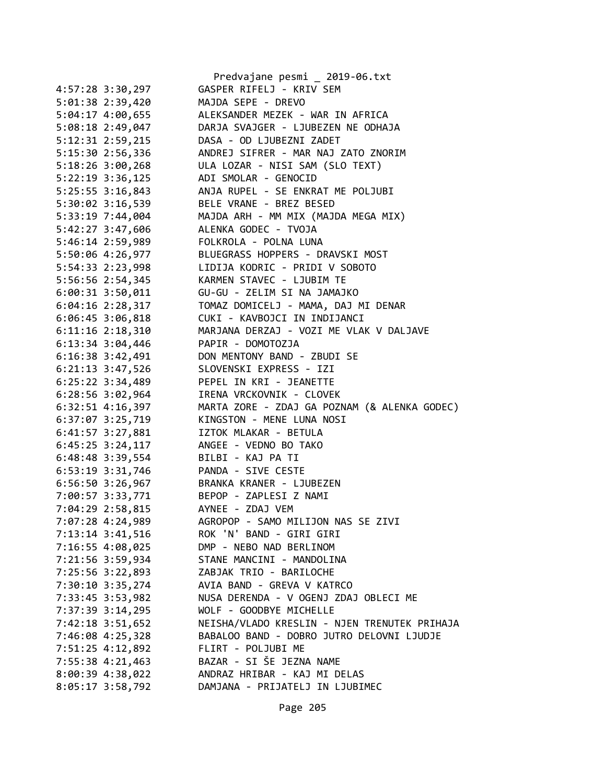|                      | Predvajane pesmi _ 2019-06.txt               |
|----------------------|----------------------------------------------|
| 4:57:28 3:30,297     | GASPER RIFELJ - KRIV SEM                     |
| 5:01:38 2:39,420     | MAJDA SEPE - DREVO                           |
| 5:04:17 4:00,655     | ALEKSANDER MEZEK - WAR IN AFRICA             |
| 5:08:18 2:49,047     | DARJA SVAJGER - LJUBEZEN NE ODHAJA           |
| 5:12:31 2:59,215     | DASA - OD LJUBEZNI ZADET                     |
| 5:15:30 2:56,336     | ANDREJ SIFRER - MAR NAJ ZATO ZNORIM          |
| 5:18:26 3:00,268     | ULA LOZAR - NISI SAM (SLO TEXT)              |
| $5:22:19$ 3:36,125   | ADI SMOLAR - GENOCID                         |
| 5:25:55 3:16,843     | ANJA RUPEL - SE ENKRAT ME POLJUBI            |
| 5:30:02 3:16,539     | BELE VRANE - BREZ BESED                      |
| 5:33:19 7:44,004     | MAJDA ARH - MM MIX (MAJDA MEGA MIX)          |
| 5:42:27 3:47,606     | ALENKA GODEC - TVOJA                         |
| 5:46:14 2:59,989     | FOLKROLA - POLNA LUNA                        |
| 5:50:06 4:26,977     | BLUEGRASS HOPPERS - DRAVSKI MOST             |
| 5:54:33 2:23,998     | LIDIJA KODRIC - PRIDI V SOBOTO               |
| 5:56:56 2:54,345     | KARMEN STAVEC - LJUBIM TE                    |
| 6:00:31 3:50,011     | GU-GU - ZELIM SI NA JAMAJKO                  |
| $6:04:16$ 2:28,317   | TOMAZ DOMICELJ - MAMA, DAJ MI DENAR          |
| $6:06:45$ 3:06,818   | CUKI - KAVBOJCI IN INDIJANCI                 |
| $6:11:16$ $2:18,310$ | MARJANA DERZAJ - VOZI ME VLAK V DALJAVE      |
| $6:13:34$ $3:04,446$ | PAPIR - DOMOTOZJA                            |
| $6:16:38$ 3:42,491   | DON MENTONY BAND - ZBUDI SE                  |
| 6:21:13 3:47,526     | SLOVENSKI EXPRESS - IZI                      |
| 6:25:22 3:34,489     | PEPEL IN KRI - JEANETTE                      |
| $6:28:56$ 3:02,964   | IRENA VRCKOVNIK - CLOVEK                     |
| $6:32:51$ $4:16,397$ | MARTA ZORE - ZDAJ GA POZNAM (& ALENKA GODEC) |
| 6:37:07 3:25,719     | KINGSTON - MENE LUNA NOSI                    |
| 6:41:57 3:27,881     | IZTOK MLAKAR - BETULA                        |
| $6:45:25$ 3:24,117   | ANGEE - VEDNO BO TAKO                        |
| 6:48:48 3:39,554     | BILBI - KAJ PA TI                            |
| 6:53:19 3:31,746     | PANDA - SIVE CESTE                           |
| 6:56:50 3:26,967     | BRANKA KRANER - LJUBEZEN                     |
| 7:00:57 3:33,771     | BEPOP - ZAPLESI Z NAMI                       |
| 7:04:29 2:58,815     | AYNEE - ZDAJ VEM                             |
| 7:07:28 4:24,989     | AGROPOP - SAMO MILIJON NAS SE ZIVI           |
| $7:13:14$ 3:41,516   | ROK 'N' BAND - GIRI GIRI                     |
| 7:16:55 4:08,025     | DMP - NEBO NAD BERLINOM                      |
| 7:21:56 3:59,934     | STANE MANCINI - MANDOLINA                    |
| 7:25:56 3:22,893     | ZABJAK TRIO - BARILOCHE                      |
| 7:30:10 3:35,274     | AVIA BAND - GREVA V KATRCO                   |
| 7:33:45 3:53,982     | NUSA DERENDA - V OGENJ ZDAJ OBLECI ME        |
| 7:37:39 3:14,295     | WOLF - GOODBYE MICHELLE                      |
| 7:42:18 3:51,652     | NEISHA/VLADO KRESLIN - NJEN TRENUTEK PRIHAJA |
| 7:46:08 4:25,328     | BABALOO BAND - DOBRO JUTRO DELOVNI LJUDJE    |
| 7:51:25 4:12,892     | FLIRT - POLJUBI ME                           |
| 7:55:38 4:21,463     | BAZAR - SI ŠE JEZNA NAME                     |
| 8:00:39 4:38,022     | ANDRAZ HRIBAR - KAJ MI DELAS                 |
| 8:05:17 3:58,792     | DAMJANA - PRIJATELJ IN LJUBIMEC              |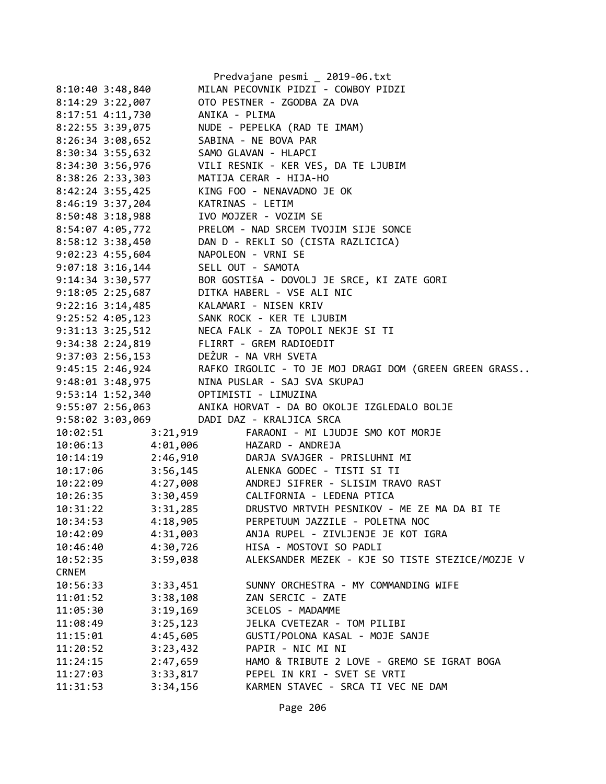|                                        |                   | Predvajane pesmi _ 2019-06.txt                                                              |
|----------------------------------------|-------------------|---------------------------------------------------------------------------------------------|
| $8:10:40$ 3:48,840                     |                   | MILAN PECOVNIK PIDZI - COWBOY PIDZI                                                         |
| 8:14:29 3:22,007                       |                   | OTO PESTNER - ZGODBA ZA DVA                                                                 |
| 8:17:51 4:11,730                       | ANIKA - PLIMA     |                                                                                             |
| 8:22:55 3:39,075                       |                   | NUDE - PEPELKA (RAD TE IMAM)                                                                |
| $8:26:34$ 3:08,652                     |                   | SABINA - NE BOVA PAR                                                                        |
| 8:30:34 3:55,632                       |                   | SAMO GLAVAN - HLAPCI                                                                        |
| 8:34:30 3:56,976                       |                   | VILI RESNIK - KER VES, DA TE LJUBIM                                                         |
| $8:38:26$ 2:33,303                     |                   | MATIJA CERAR - HIJA-HO                                                                      |
| $8:42:24$ 3:55,425                     |                   | KING FOO - NENAVADNO JE OK                                                                  |
| 8:46:19 3:37,204                       |                   | KATRINAS - LETIM                                                                            |
| 8:50:48 3:18,988                       |                   | IVO MOJZER - VOZIM SE                                                                       |
| 8:54:07 4:05,772                       |                   | PRELOM - NAD SRCEM TVOJIM SIJE SONCE                                                        |
| 8:58:12 3:38,450                       |                   | DAN D - REKLI SO (CISTA RAZLICICA)                                                          |
| $9:02:23$ 4:55,604                     |                   | NAPOLEON - VRNI SE                                                                          |
| $9:07:18$ 3:16,144                     | SELL OUT - SAMOTA |                                                                                             |
| 9:14:34 3:30,577                       |                   | BOR GOSTIŠA - DOVOLJ JE SRCE, KI ZATE GORI                                                  |
|                                        |                   | 9:18:05 2:25,687 DITKA HABERL - VSE ALI NIC                                                 |
| 9:22:16 3:14,485 KALAMARI - NISEN KRIV |                   |                                                                                             |
|                                        |                   | 9:25:52 4:05,123 SANK ROCK - KER TE LJUBIM                                                  |
|                                        |                   | 9:31:13 3:25,512 NECA FALK - ZA TOPOLI NEKJE SI TI                                          |
|                                        |                   | 9:34:38 2:24,819 FLIRRT - GREM RADIOEDIT                                                    |
|                                        |                   | 9:37:03 2:56,153<br>9:45:15 2:46,924 RAFKO IRGOLIC - TO JE MOJ DRAGI DOM (GREEN GREEN GRASS |
|                                        |                   |                                                                                             |
|                                        |                   | 9:48:01 3:48,975 NINA PUSLAR - SAJ SVA SKUPAJ                                               |
| 9:53:14 1:52,340 OPTIMISTI - LIMUZINA  |                   |                                                                                             |
|                                        |                   | 9:55:07 2:56,063 ANIKA HORVAT - DA BO OKOLJE IZGLEDALO BOLJE                                |
|                                        |                   | 9:58:02 3:03,069 DADI DAZ - KRALJICA SRCA                                                   |
| 10:02:51                               | 3:21,919          | FARAONI - MI LJUDJE SMO KOT MORJE                                                           |
|                                        |                   | HAZARD - ANDREJA                                                                            |
| $10:06:13$<br>$10:14:19$<br>$2:46,910$ |                   | DARJA SVAJGER - PRISLUHNI MI                                                                |
| 10:17:06 3:56,145                      |                   | ALENKA GODEC - TISTI SI TI                                                                  |
| 10:22:09 4:27,008                      |                   | ANDREJ SIFRER - SLISIM TRAVO RAST                                                           |
| 10:26:35                               |                   | 3:30,459 CALIFORNIA - LEDENA PTICA                                                          |
| 10:31:22                               | 3:31,285          | DRUSTVO MRTVIH PESNIKOV - ME ZE MA DA BI TE                                                 |
| 10:34:53                               | 4:18,905          | PERPETUUM JAZZILE - POLETNA NOC                                                             |
| 10:42:09                               | 4:31,003          | ANJA RUPEL - ZIVLJENJE JE KOT IGRA                                                          |
| 10:46:40                               | 4:30,726          | HISA - MOSTOVI SO PADLI                                                                     |
| 10:52:35                               |                   | ALEKSANDER MEZEK - KJE SO TISTE STEZICE/MOZJE V                                             |
| <b>CRNEM</b>                           | 3:59,038          |                                                                                             |
|                                        |                   |                                                                                             |
| 10:56:33                               | 3:33,451          | SUNNY ORCHESTRA - MY COMMANDING WIFE                                                        |
| 11:01:52                               | 3:38,108          | ZAN SERCIC - ZATE                                                                           |
| 11:05:30                               | 3:19,169          | 3CELOS - MADAMME                                                                            |
| 11:08:49                               | 3:25,123          | JELKA CVETEZAR - TOM PILIBI                                                                 |
| 11:15:01                               | 4:45,605          | GUSTI/POLONA KASAL - MOJE SANJE                                                             |
| 11:20:52                               | 3:23,432          | PAPIR - NIC MI NI                                                                           |
| 11:24:15                               | 2:47,659          | HAMO & TRIBUTE 2 LOVE - GREMO SE IGRAT BOGA                                                 |
| 11:27:03                               | 3:33,817          | PEPEL IN KRI - SVET SE VRTI                                                                 |
| 11:31:53                               | 3:34,156          | KARMEN STAVEC - SRCA TI VEC NE DAM                                                          |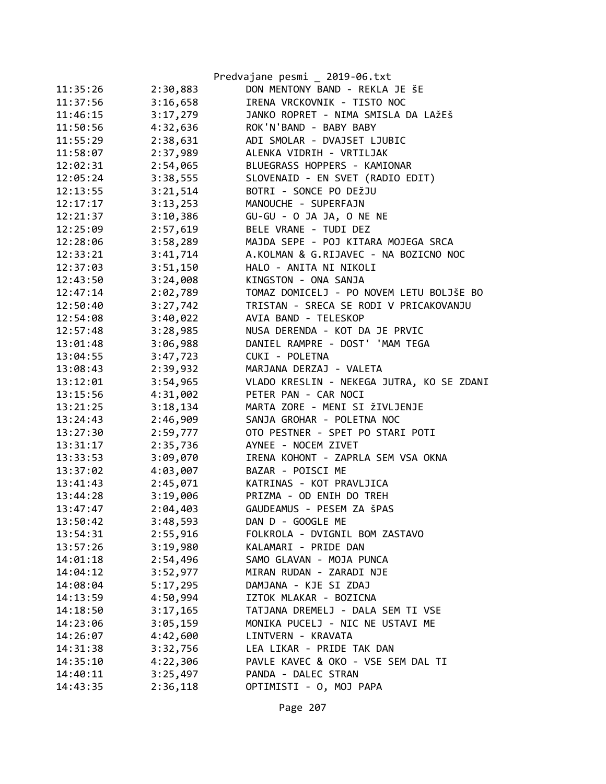|          |          | Predvajane pesmi _ 2019-06.txt            |
|----------|----------|-------------------------------------------|
| 11:35:26 | 2:30,883 | DON MENTONY BAND - REKLA JE ŠE            |
| 11:37:56 | 3:16,658 | IRENA VRCKOVNIK - TISTO NOC               |
| 11:46:15 | 3:17,279 | JANKO ROPRET - NIMA SMISLA DA LAŽEŠ       |
| 11:50:56 | 4:32,636 | ROK'N'BAND - BABY BABY                    |
| 11:55:29 | 2:38,631 | ADI SMOLAR - DVAJSET LJUBIC               |
| 11:58:07 | 2:37,989 | ALENKA VIDRIH - VRTILJAK                  |
| 12:02:31 | 2:54,065 | BLUEGRASS HOPPERS - KAMIONAR              |
| 12:05:24 | 3:38,555 | SLOVENAID - EN SVET (RADIO EDIT)          |
| 12:13:55 | 3:21,514 | BOTRI - SONCE PO DEŽJU                    |
| 12:17:17 | 3:13,253 | MANOUCHE - SUPERFAJN                      |
| 12:21:37 | 3:10,386 | GU-GU - O JA JA, O NE NE                  |
| 12:25:09 | 2:57,619 | BELE VRANE - TUDI DEZ                     |
| 12:28:06 | 3:58,289 | MAJDA SEPE - POJ KITARA MOJEGA SRCA       |
| 12:33:21 | 3:41,714 | A.KOLMAN & G.RIJAVEC - NA BOZICNO NOC     |
| 12:37:03 | 3:51,150 | HALO - ANITA NI NIKOLI                    |
| 12:43:50 | 3:24,008 | KINGSTON - ONA SANJA                      |
| 12:47:14 | 2:02,789 | TOMAZ DOMICELJ - PO NOVEM LETU BOLJŠE BO  |
| 12:50:40 | 3:27,742 | TRISTAN - SRECA SE RODI V PRICAKOVANJU    |
| 12:54:08 | 3:40,022 | AVIA BAND - TELESKOP                      |
| 12:57:48 | 3:28,985 | NUSA DERENDA - KOT DA JE PRVIC            |
| 13:01:48 | 3:06,988 | DANIEL RAMPRE - DOST' 'MAM TEGA           |
| 13:04:55 | 3:47,723 | CUKI - POLETNA                            |
| 13:08:43 | 2:39,932 | MARJANA DERZAJ - VALETA                   |
| 13:12:01 | 3:54,965 | VLADO KRESLIN - NEKEGA JUTRA, KO SE ZDANI |
| 13:15:56 | 4:31,002 | PETER PAN - CAR NOCI                      |
| 13:21:25 | 3:18,134 | MARTA ZORE - MENI SI ŽIVLJENJE            |
| 13:24:43 | 2:46,909 | SANJA GROHAR - POLETNA NOC                |
| 13:27:30 | 2:59,777 | OTO PESTNER - SPET PO STARI POTI          |
| 13:31:17 | 2:35,736 | AYNEE - NOCEM ZIVET                       |
| 13:33:53 | 3:09,070 | IRENA KOHONT - ZAPRLA SEM VSA OKNA        |
| 13:37:02 | 4:03,007 | BAZAR - POISCI ME                         |
| 13:41:43 | 2:45,071 | KATRINAS - KOT PRAVLJICA                  |
| 13:44:28 | 3:19,006 | PRIZMA - OD ENIH DO TREH                  |
| 13:47:47 | 2:04,403 | GAUDEAMUS - PESEM ZA ŠPAS                 |
| 13:50:42 | 3:48,593 | DAN D - GOOGLE ME                         |
| 13:54:31 | 2:55,916 | FOLKROLA - DVIGNIL BOM ZASTAVO            |
| 13:57:26 | 3:19,980 | KALAMARI - PRIDE DAN                      |
| 14:01:18 | 2:54,496 | SAMO GLAVAN - MOJA PUNCA                  |
| 14:04:12 | 3:52,977 | MIRAN RUDAN - ZARADI NJE                  |
| 14:08:04 | 5:17,295 | DAMJANA - KJE SI ZDAJ                     |
| 14:13:59 | 4:50,994 | IZTOK MLAKAR - BOZICNA                    |
| 14:18:50 | 3:17,165 | TATJANA DREMELJ - DALA SEM TI VSE         |
| 14:23:06 | 3:05,159 | MONIKA PUCELJ - NIC NE USTAVI ME          |
| 14:26:07 | 4:42,600 | LINTVERN - KRAVATA                        |
| 14:31:38 | 3:32,756 | LEA LIKAR - PRIDE TAK DAN                 |
| 14:35:10 | 4:22,306 | PAVLE KAVEC & OKO - VSE SEM DAL TI        |
| 14:40:11 | 3:25,497 | PANDA - DALEC STRAN                       |
| 14:43:35 | 2:36,118 | OPTIMISTI - 0, MOJ PAPA                   |
|          |          |                                           |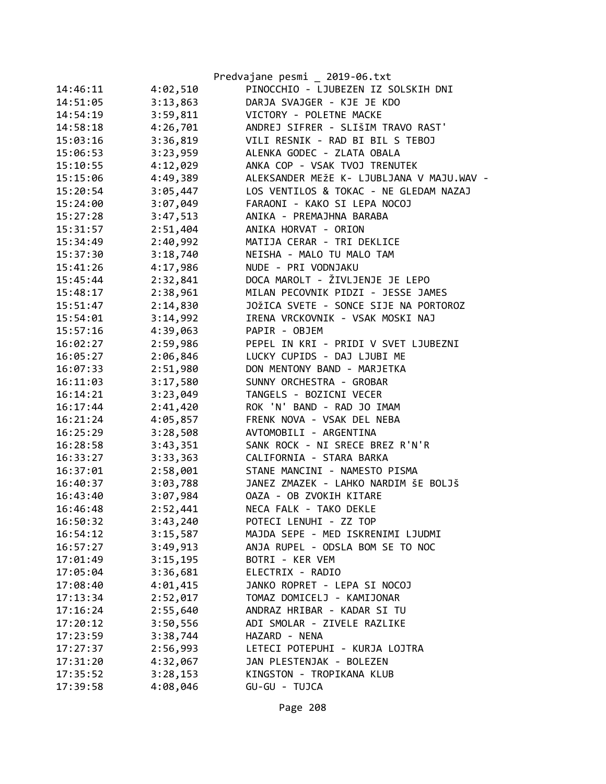|          |          | Predvajane pesmi _ 2019-06.txt            |
|----------|----------|-------------------------------------------|
| 14:46:11 | 4:02,510 | PINOCCHIO - LJUBEZEN IZ SOLSKIH DNI       |
| 14:51:05 | 3:13,863 | DARJA SVAJGER - KJE JE KDO                |
| 14:54:19 | 3:59,811 | VICTORY - POLETNE MACKE                   |
| 14:58:18 | 4:26,701 | ANDREJ SIFRER - SLIŠIM TRAVO RAST'        |
| 15:03:16 | 3:36,819 | VILI RESNIK - RAD BI BIL S TEBOJ          |
| 15:06:53 | 3:23,959 | ALENKA GODEC - ZLATA OBALA                |
| 15:10:55 | 4:12,029 | ANKA COP - VSAK TVOJ TRENUTEK             |
| 15:15:06 | 4:49,389 | ALEKSANDER MEŽE K- LJUBLJANA V MAJU.WAV - |
| 15:20:54 | 3:05,447 | LOS VENTILOS & TOKAC - NE GLEDAM NAZAJ    |
| 15:24:00 | 3:07,049 | FARAONI - KAKO SI LEPA NOCOJ              |
| 15:27:28 | 3:47,513 | ANIKA - PREMAJHNA BARABA                  |
| 15:31:57 | 2:51,404 | ANIKA HORVAT - ORION                      |
| 15:34:49 | 2:40,992 | MATIJA CERAR - TRI DEKLICE                |
| 15:37:30 | 3:18,740 | NEISHA - MALO TU MALO TAM                 |
| 15:41:26 | 4:17,986 | NUDE - PRI VODNJAKU                       |
| 15:45:44 | 2:32,841 | DOCA MAROLT - ŽIVLJENJE JE LEPO           |
| 15:48:17 | 2:38,961 | MILAN PECOVNIK PIDZI - JESSE JAMES        |
| 15:51:47 | 2:14,830 | JOŽICA SVETE - SONCE SIJE NA PORTOROZ     |
| 15:54:01 | 3:14,992 | IRENA VRCKOVNIK - VSAK MOSKI NAJ          |
| 15:57:16 | 4:39,063 | PAPIR - OBJEM                             |
| 16:02:27 | 2:59,986 | PEPEL IN KRI - PRIDI V SVET LJUBEZNI      |
| 16:05:27 | 2:06,846 | LUCKY CUPIDS - DAJ LJUBI ME               |
| 16:07:33 | 2:51,980 | DON MENTONY BAND - MARJETKA               |
| 16:11:03 | 3:17,580 | SUNNY ORCHESTRA - GROBAR                  |
| 16:14:21 | 3:23,049 | TANGELS - BOZICNI VECER                   |
| 16:17:44 | 2:41,420 | ROK 'N' BAND - RAD JO IMAM                |
| 16:21:24 | 4:05,857 | FRENK NOVA - VSAK DEL NEBA                |
| 16:25:29 | 3:28,508 | AVTOMOBILI - ARGENTINA                    |
| 16:28:58 | 3:43,351 | SANK ROCK - NI SRECE BREZ R'N'R           |
| 16:33:27 | 3:33,363 | CALIFORNIA - STARA BARKA                  |
| 16:37:01 | 2:58,001 | STANE MANCINI - NAMESTO PISMA             |
| 16:40:37 | 3:03,788 | JANEZ ZMAZEK - LAHKO NARDIM ŠE BOLJŠ      |
| 16:43:40 | 3:07,984 | OAZA - OB ZVOKIH KITARE                   |
| 16:46:48 | 2:52,441 | NECA FALK - TAKO DEKLE                    |
| 16:50:32 | 3:43,240 | POTECI LENUHI - ZZ TOP                    |
| 16:54:12 | 3:15,587 | MAJDA SEPE - MED ISKRENIMI LJUDMI         |
| 16:57:27 | 3:49,913 | ANJA RUPEL - ODSLA BOM SE TO NOC          |
| 17:01:49 | 3:15,195 | BOTRI - KER VEM                           |
| 17:05:04 | 3:36,681 | ELECTRIX - RADIO                          |
| 17:08:40 | 4:01,415 | JANKO ROPRET - LEPA SI NOCOJ              |
| 17:13:34 | 2:52,017 | TOMAZ DOMICELJ - KAMIJONAR                |
| 17:16:24 | 2:55,640 | ANDRAZ HRIBAR - KADAR SI TU               |
| 17:20:12 | 3:50,556 | ADI SMOLAR - ZIVELE RAZLIKE               |
| 17:23:59 | 3:38,744 | HAZARD - NENA                             |
| 17:27:37 | 2:56,993 | LETECI POTEPUHI - KURJA LOJTRA            |
| 17:31:20 | 4:32,067 | JAN PLESTENJAK - BOLEZEN                  |
| 17:35:52 | 3:28,153 | KINGSTON - TROPIKANA KLUB                 |
| 17:39:58 | 4:08,046 | GU-GU - TUJCA                             |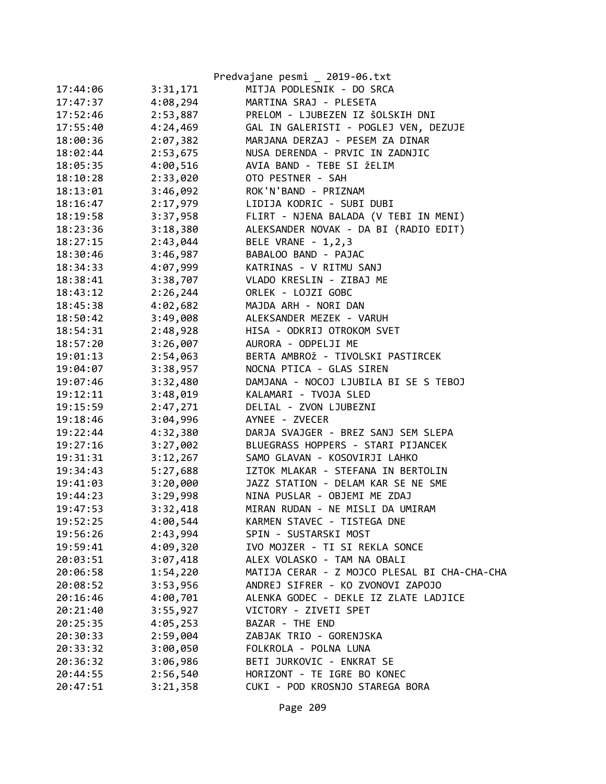|          |          | Predvajane pesmi _ 2019-06.txt               |
|----------|----------|----------------------------------------------|
| 17:44:06 | 3:31,171 | MITJA PODLESNIK - DO SRCA                    |
| 17:47:37 | 4:08,294 | MARTINA SRAJ - PLESETA                       |
| 17:52:46 | 2:53,887 | PRELOM - LJUBEZEN IZ ŠOLSKIH DNI             |
| 17:55:40 | 4:24,469 | GAL IN GALERISTI - POGLEJ VEN, DEZUJE        |
| 18:00:36 | 2:07,382 | MARJANA DERZAJ - PESEM ZA DINAR              |
| 18:02:44 | 2:53,675 | NUSA DERENDA - PRVIC IN ZADNJIC              |
| 18:05:35 | 4:00,516 | AVIA BAND - TEBE SI ŽELIM                    |
| 18:10:28 | 2:33,020 | OTO PESTNER - SAH                            |
| 18:13:01 | 3:46,092 | ROK'N'BAND - PRIZNAM                         |
| 18:16:47 | 2:17,979 | LIDIJA KODRIC - SUBI DUBI                    |
| 18:19:58 | 3:37,958 | FLIRT - NJENA BALADA (V TEBI IN MENI)        |
| 18:23:36 | 3:18,380 | ALEKSANDER NOVAK - DA BI (RADIO EDIT)        |
| 18:27:15 | 2:43,044 | BELE VRANE - 1, 2, 3                         |
| 18:30:46 | 3:46,987 | BABALOO BAND - PAJAC                         |
| 18:34:33 | 4:07,999 | KATRINAS - V RITMU SANJ                      |
| 18:38:41 | 3:38,707 | VLADO KRESLIN - ZIBAJ ME                     |
| 18:43:12 | 2:26,244 | ORLEK - LOJZI GOBC                           |
| 18:45:38 | 4:02,682 | MAJDA ARH - NORI DAN                         |
| 18:50:42 | 3:49,008 | ALEKSANDER MEZEK - VARUH                     |
| 18:54:31 | 2:48,928 | HISA - ODKRIJ OTROKOM SVET                   |
| 18:57:20 | 3:26,007 | AURORA - ODPELJI ME                          |
| 19:01:13 | 2:54,063 | BERTA AMBROŽ - TIVOLSKI PASTIRCEK            |
| 19:04:07 | 3:38,957 | NOCNA PTICA - GLAS SIREN                     |
| 19:07:46 | 3:32,480 | DAMJANA - NOCOJ LJUBILA BI SE S TEBOJ        |
| 19:12:11 | 3:48,019 | KALAMARI - TVOJA SLED                        |
| 19:15:59 | 2:47,271 | DELIAL - ZVON LJUBEZNI                       |
| 19:18:46 | 3:04,996 | AYNEE - ZVECER                               |
| 19:22:44 | 4:32,380 | DARJA SVAJGER - BREZ SANJ SEM SLEPA          |
| 19:27:16 | 3:27,002 | BLUEGRASS HOPPERS - STARI PIJANCEK           |
| 19:31:31 | 3:12,267 | SAMO GLAVAN - KOSOVIRJI LAHKO                |
| 19:34:43 | 5:27,688 | IZTOK MLAKAR - STEFANA IN BERTOLIN           |
| 19:41:03 | 3:20,000 | JAZZ STATION - DELAM KAR SE NE SME           |
| 19:44:23 | 3:29,998 | NINA PUSLAR - OBJEMI ME ZDAJ                 |
| 19:47:53 | 3:32,418 | MIRAN RUDAN - NE MISLI DA UMIRAM             |
| 19:52:25 | 4:00,544 | KARMEN STAVEC - TISTEGA DNE                  |
| 19:56:26 | 2:43,994 | SPIN - SUSTARSKI MOST                        |
| 19:59:41 | 4:09,320 | IVO MOJZER - TI SI REKLA SONCE               |
| 20:03:51 | 3:07,418 | ALEX VOLASKO - TAM NA OBALI                  |
| 20:06:58 | 1:54,220 | MATIJA CERAR - Z MOJCO PLESAL BI CHA-CHA-CHA |
| 20:08:52 | 3:53,956 | ANDREJ SIFRER - KO ZVONOVI ZAPOJO            |
| 20:16:46 | 4:00,701 | ALENKA GODEC - DEKLE IZ ZLATE LADJICE        |
| 20:21:40 | 3:55,927 | VICTORY - ZIVETI SPET                        |
| 20:25:35 | 4:05,253 | BAZAR - THE END                              |
| 20:30:33 | 2:59,004 | ZABJAK TRIO - GORENJSKA                      |
| 20:33:32 | 3:00,050 | FOLKROLA - POLNA LUNA                        |
| 20:36:32 | 3:06,986 | BETI JURKOVIC - ENKRAT SE                    |
| 20:44:55 | 2:56,540 | HORIZONT - TE IGRE BO KONEC                  |
| 20:47:51 | 3:21,358 | CUKI - POD KROSNJO STAREGA BORA              |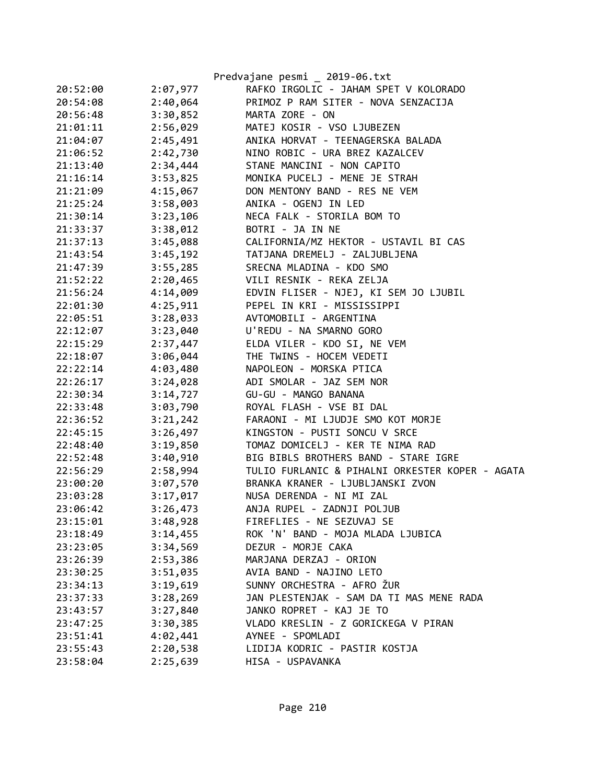|          |          | Predvajane pesmi _ 2019-06.txt                  |
|----------|----------|-------------------------------------------------|
| 20:52:00 | 2:07,977 | RAFKO IRGOLIC - JAHAM SPET V KOLORADO           |
| 20:54:08 | 2:40,064 | PRIMOZ P RAM SITER - NOVA SENZACIJA             |
| 20:56:48 | 3:30,852 | MARTA ZORE - ON                                 |
| 21:01:11 | 2:56,029 | MATEJ KOSIR - VSO LJUBEZEN                      |
| 21:04:07 | 2:45,491 | ANIKA HORVAT - TEENAGERSKA BALADA               |
| 21:06:52 | 2:42,730 | NINO ROBIC - URA BREZ KAZALCEV                  |
| 21:13:40 | 2:34,444 | STANE MANCINI - NON CAPITO                      |
| 21:16:14 | 3:53,825 | MONIKA PUCELJ - MENE JE STRAH                   |
| 21:21:09 | 4:15,067 | DON MENTONY BAND - RES NE VEM                   |
| 21:25:24 | 3:58,003 | ANIKA - OGENJ IN LED                            |
| 21:30:14 | 3:23,106 | NECA FALK - STORILA BOM TO                      |
| 21:33:37 | 3:38,012 | BOTRI - JA IN NE                                |
| 21:37:13 | 3:45,088 | CALIFORNIA/MZ HEKTOR - USTAVIL BI CAS           |
| 21:43:54 | 3:45,192 | TATJANA DREMELJ - ZALJUBLJENA                   |
| 21:47:39 | 3:55,285 | SRECNA MLADINA - KDO SMO                        |
| 21:52:22 | 2:20,465 | VILI RESNIK - REKA ZELJA                        |
| 21:56:24 | 4:14,009 | EDVIN FLISER - NJEJ, KI SEM JO LJUBIL           |
| 22:01:30 | 4:25,911 | PEPEL IN KRI - MISSISSIPPI                      |
| 22:05:51 | 3:28,033 | AVTOMOBILI - ARGENTINA                          |
| 22:12:07 | 3:23,040 | U'REDU - NA SMARNO GORO                         |
| 22:15:29 | 2:37,447 | ELDA VILER - KDO SI, NE VEM                     |
| 22:18:07 | 3:06,044 | THE TWINS - HOCEM VEDETI                        |
| 22:22:14 | 4:03,480 | NAPOLEON - MORSKA PTICA                         |
| 22:26:17 | 3:24,028 | ADI SMOLAR - JAZ SEM NOR                        |
| 22:30:34 | 3:14,727 | GU-GU - MANGO BANANA                            |
| 22:33:48 | 3:03,790 | ROYAL FLASH - VSE BI DAL                        |
| 22:36:52 | 3:21,242 | FARAONI - MI LJUDJE SMO KOT MORJE               |
| 22:45:15 | 3:26,497 | KINGSTON - PUSTI SONCU V SRCE                   |
| 22:48:40 | 3:19,850 | TOMAZ DOMICELJ - KER TE NIMA RAD                |
| 22:52:48 | 3:40,910 | BIG BIBLS BROTHERS BAND - STARE IGRE            |
| 22:56:29 | 2:58,994 | TULIO FURLANIC & PIHALNI ORKESTER KOPER - AGATA |
| 23:00:20 | 3:07,570 | BRANKA KRANER - LJUBLJANSKI ZVON                |
| 23:03:28 | 3:17,017 | NUSA DERENDA - NI MI ZAL                        |
| 23:06:42 | 3:26,473 | ANJA RUPEL - ZADNJI POLJUB                      |
| 23:15:01 | 3:48,928 | FIREFLIES - NE SEZUVAJ SE                       |
| 23:18:49 | 3:14,455 | ROK 'N' BAND - MOJA MLADA LJUBICA               |
| 23:23:05 | 3:34,569 | DEZUR - MORJE CAKA                              |
| 23:26:39 | 2:53,386 | MARJANA DERZAJ - ORION                          |
| 23:30:25 | 3:51,035 | AVIA BAND - NAJINO LETO                         |
| 23:34:13 | 3:19,619 | SUNNY ORCHESTRA - AFRO ŽUR                      |
| 23:37:33 | 3:28,269 | JAN PLESTENJAK - SAM DA TI MAS MENE RADA        |
| 23:43:57 | 3:27,840 | JANKO ROPRET - KAJ JE TO                        |
| 23:47:25 | 3:30,385 | VLADO KRESLIN - Z GORICKEGA V PIRAN             |
| 23:51:41 | 4:02,441 | AYNEE - SPOMLADI                                |
| 23:55:43 | 2:20,538 | LIDIJA KODRIC - PASTIR KOSTJA                   |
| 23:58:04 | 2:25,639 | HISA - USPAVANKA                                |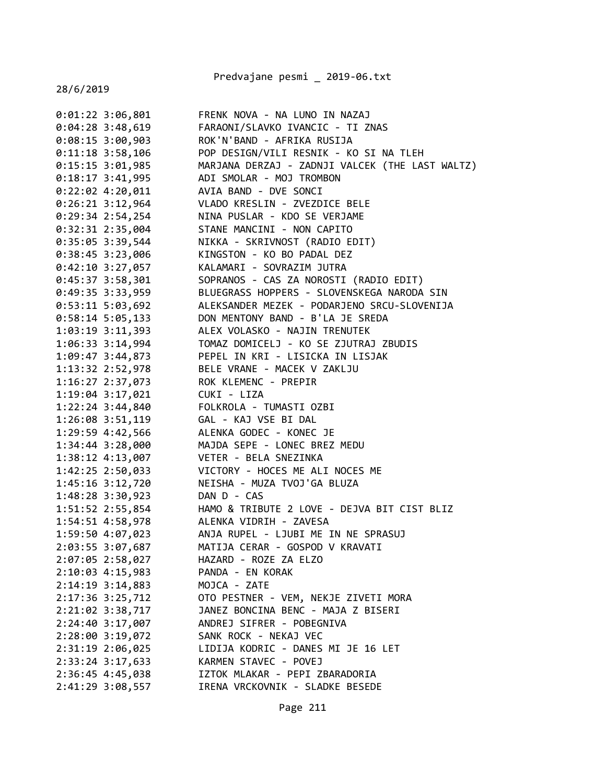Predvajane pesmi \_ 2019-06.txt

| $0:01:22$ 3:06,801 | FRENK NOVA - NA LUNO IN NAZAJ                   |
|--------------------|-------------------------------------------------|
| $0:04:28$ 3:48,619 | FARAONI/SLAVKO IVANCIC - TI ZNAS                |
| $0:08:15$ 3:00,903 | ROK'N'BAND - AFRIKA RUSIJA                      |
| $0:11:18$ 3:58,106 | POP DESIGN/VILI RESNIK - KO SI NA TLEH          |
| $0:15:15$ 3:01,985 | MARJANA DERZAJ - ZADNJI VALCEK (THE LAST WALTZ) |
| $0:18:17$ 3:41,995 | ADI SMOLAR - MOJ TROMBON                        |
| $0:22:02$ 4:20,011 | AVIA BAND - DVE SONCI                           |
| $0:26:21$ 3:12,964 | VLADO KRESLIN - ZVEZDICE BELE                   |
| $0:29:34$ 2:54,254 | NINA PUSLAR - KDO SE VERJAME                    |
| 0:32:31 2:35,004   | STANE MANCINI - NON CAPITO                      |
| $0:35:05$ 3:39,544 | NIKKA - SKRIVNOST (RADIO EDIT)                  |
| $0:38:45$ 3:23,006 | KINGSTON - KO BO PADAL DEZ                      |
| 0:42:10 3:27,057   | KALAMARI - SOVRAZIM JUTRA                       |
| $0:45:37$ 3:58,301 | SOPRANOS - CAS ZA NOROSTI (RADIO EDIT)          |
| $0:49:35$ 3:33,959 | BLUEGRASS HOPPERS - SLOVENSKEGA NARODA SIN      |
| $0:53:11$ 5:03,692 | ALEKSANDER MEZEK - PODARJENO SRCU-SLOVENIJA     |
| $0:58:14$ 5:05,133 | DON MENTONY BAND - B'LA JE SREDA                |
| 1:03:19 3:11,393   | ALEX VOLASKO - NAJIN TRENUTEK                   |
| 1:06:33 3:14,994   | TOMAZ DOMICELJ - KO SE ZJUTRAJ ZBUDIS           |
| 1:09:47 3:44,873   | PEPEL IN KRI - LISICKA IN LISJAK                |
| 1:13:32 2:52,978   | BELE VRANE - MACEK V ZAKLJU                     |
| 1:16:27 2:37,073   | ROK KLEMENC - PREPIR                            |
| 1:19:04 3:17,021   | CUKI - LIZA                                     |
| $1:22:24$ 3:44,840 | FOLKROLA - TUMASTI OZBI                         |
| 1:26:08 3:51,119   | GAL - KAJ VSE BI DAL                            |
| 1:29:59 4:42,566   | ALENKA GODEC - KONEC JE                         |
| 1:34:44 3:28,000   | MAJDA SEPE - LONEC BREZ MEDU                    |
| 1:38:12 4:13,007   | VETER - BELA SNEZINKA                           |
| 1:42:25 2:50,033   | VICTORY - HOCES ME ALI NOCES ME                 |
| 1:45:16 3:12,720   | NEISHA - MUZA TVOJ'GA BLUZA                     |
| 1:48:28 3:30,923   | DAN D - CAS                                     |
| 1:51:52 2:55,854   | HAMO & TRIBUTE 2 LOVE - DEJVA BIT CIST BLIZ     |
| 1:54:51 4:58,978   | ALENKA VIDRIH - ZAVESA                          |
| 1:59:50 4:07,023   | ANJA RUPEL - LJUBI ME IN NE SPRASUJ             |
| 2:03:55 3:07,687   | MATIJA CERAR - GOSPOD V KRAVATI                 |
| 2:07:05 2:58,027   | HAZARD - ROZE ZA ELZO                           |
| 2:10:03 4:15,983   | PANDA - EN KORAK                                |
| 2:14:19 3:14,883   | MOJCA - ZATE                                    |
| 2:17:36 3:25,712   | OTO PESTNER - VEM, NEKJE ZIVETI MORA            |
| 2:21:02 3:38,717   | JANEZ BONCINA BENC - MAJA Z BISERI              |
| 2:24:40 3:17,007   | ANDREJ SIFRER - POBEGNIVA                       |
| 2:28:00 3:19,072   | SANK ROCK - NEKAJ VEC                           |
| 2:31:19 2:06,025   | LIDIJA KODRIC - DANES MI JE 16 LET              |
| 2:33:24 3:17,633   | KARMEN STAVEC - POVEJ                           |
| 2:36:45 4:45,038   | IZTOK MLAKAR - PEPI ZBARADORIA                  |
|                    | IRENA VRCKOVNIK - SLADKE BESEDE                 |
| 2:41:29 3:08,557   |                                                 |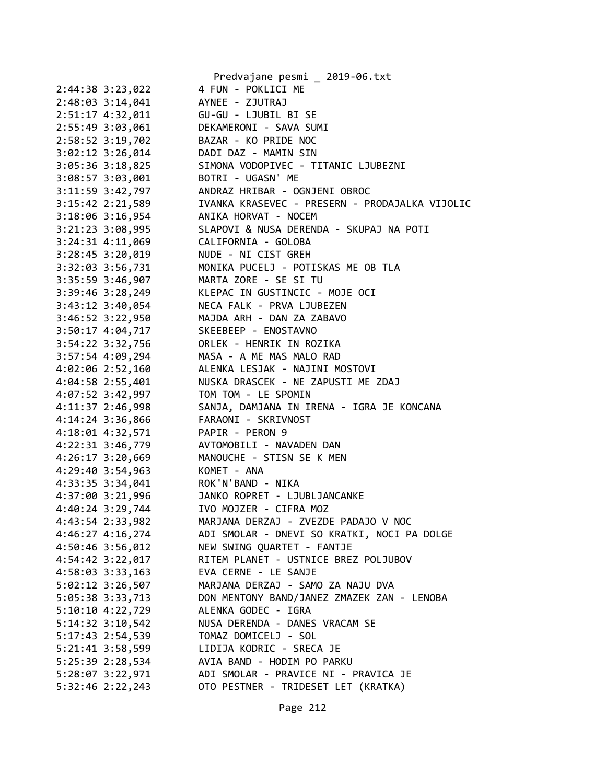|                      | Predvajane pesmi _ 2019-06.txt                 |
|----------------------|------------------------------------------------|
| 2:44:38 3:23,022     | 4 FUN - POKLICI ME                             |
| 2:48:03 3:14,041     | AYNEE - ZJUTRAJ                                |
| 2:51:17 4:32,011     | GU-GU - LJUBIL BI SE                           |
| 2:55:49 3:03,061     | DEKAMERONI - SAVA SUMI                         |
| 2:58:52 3:19,702     | BAZAR - KO PRIDE NOC                           |
| 3:02:12 3:26,014     | DADI DAZ - MAMIN SIN                           |
| 3:05:36 3:18,825     | SIMONA VODOPIVEC - TITANIC LJUBEZNI            |
| 3:08:57 3:03,001     | BOTRI - UGASN' ME                              |
| 3:11:59 3:42,797     | ANDRAZ HRIBAR - OGNJENI OBROC                  |
| 3:15:42 2:21,589     | IVANKA KRASEVEC - PRESERN - PRODAJALKA VIJOLIC |
| 3:18:06 3:16,954     | ANIKA HORVAT - NOCEM                           |
| 3:21:23 3:08,995     | SLAPOVI & NUSA DERENDA - SKUPAJ NA POTI        |
| $3:24:31$ $4:11,069$ | CALIFORNIA - GOLOBA                            |
| 3:28:45 3:20,019     | NUDE - NI CIST GREH                            |
| 3:32:03 3:56,731     | MONIKA PUCELJ - POTISKAS ME OB TLA             |
| 3:35:59 3:46,907     | MARTA ZORE - SE SI TU                          |
| 3:39:46 3:28,249     | KLEPAC IN GUSTINCIC - MOJE OCI                 |
| 3:43:12 3:40,054     | NECA FALK - PRVA LJUBEZEN                      |
| 3:46:52 3:22,950     | MAJDA ARH - DAN ZA ZABAVO                      |
| $3:50:17$ 4:04,717   | SKEEBEEP - ENOSTAVNO                           |
| 3:54:22 3:32,756     | ORLEK - HENRIK IN ROZIKA                       |
| 3:57:54 4:09,294     | MASA - A ME MAS MALO RAD                       |
| 4:02:06 2:52,160     | ALENKA LESJAK - NAJINI MOSTOVI                 |
| 4:04:58 2:55,401     | NUSKA DRASCEK - NE ZAPUSTI ME ZDAJ             |
| 4:07:52 3:42,997     | TOM TOM - LE SPOMIN                            |
| 4:11:37 2:46,998     | SANJA, DAMJANA IN IRENA - IGRA JE KONCANA      |
| 4:14:24 3:36,866     | FARAONI - SKRIVNOST                            |
| 4:18:01 4:32,571     | PAPIR - PERON 9                                |
| 4:22:31 3:46,779     | AVTOMOBILI - NAVADEN DAN                       |
| 4:26:17 3:20,669     | MANOUCHE - STISN SE K MEN                      |
| 4:29:40 3:54,963     | KOMET - ANA                                    |
| 4:33:35 3:34,041     | ROK'N'BAND - NIKA                              |
| 4:37:00 3:21,996     | JANKO ROPRET - LJUBLJANCANKE                   |
| 4:40:24 3:29,744     | IVO MOJZER - CIFRA MOZ                         |
| 4:43:54 2:33,982     | MARJANA DERZAJ - ZVEZDE PADAJO V NOC           |
| $4:46:27$ $4:16,274$ | ADI SMOLAR - DNEVI SO KRATKI, NOCI PA DOLGE    |
| 4:50:46 3:56,012     | NEW SWING QUARTET - FANTJE                     |
| 4:54:42 3:22,017     | RITEM PLANET - USTNICE BREZ POLJUBOV           |
| 4:58:03 3:33,163     | EVA CERNE - LE SANJE                           |
| 5:02:12 3:26,507     | MARJANA DERZAJ - SAMO ZA NAJU DVA              |
| 5:05:38 3:33,713     | DON MENTONY BAND/JANEZ ZMAZEK ZAN - LENOBA     |
| $5:10:10$ 4:22,729   | ALENKA GODEC - IGRA                            |
| $5:14:32$ $3:10,542$ | NUSA DERENDA - DANES VRACAM SE                 |
| 5:17:43 2:54,539     | TOMAZ DOMICELJ - SOL                           |
| 5:21:41 3:58,599     | LIDIJA KODRIC - SRECA JE                       |
| 5:25:39 2:28,534     | AVIA BAND - HODIM PO PARKU                     |
| 5:28:07 3:22,971     | ADI SMOLAR - PRAVICE NI - PRAVICA JE           |
|                      | OTO PESTNER - TRIDESET LET (KRATKA)            |
| 5:32:46 2:22,243     |                                                |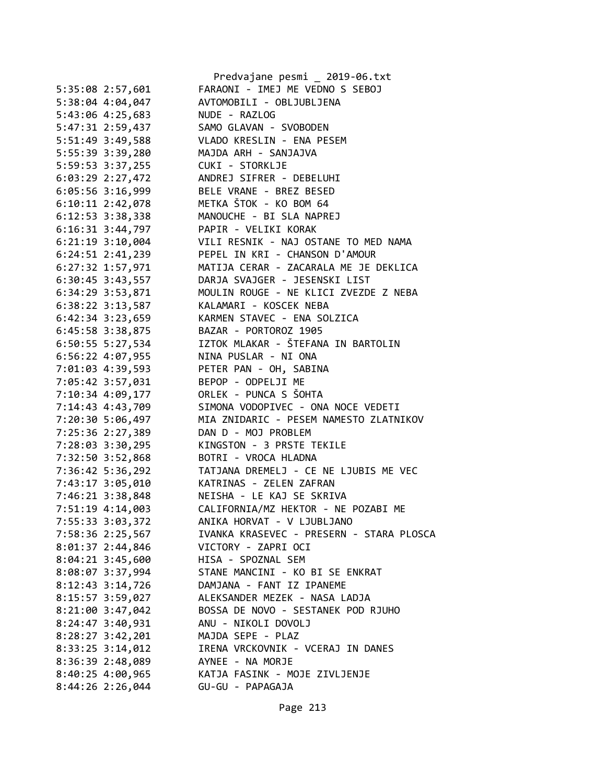|                      | Predvajane pesmi _ 2019-06.txt           |
|----------------------|------------------------------------------|
| 5:35:08 2:57,601     | FARAONI - IMEJ ME VEDNO S SEBOJ          |
| 5:38:04 4:04,047     | AVTOMOBILI - OBLJUBLJENA                 |
| 5:43:06 4:25,683     | NUDE - RAZLOG                            |
| 5:47:31 2:59,437     | SAMO GLAVAN - SVOBODEN                   |
| 5:51:49 3:49,588     | VLADO KRESLIN - ENA PESEM                |
| 5:55:39 3:39,280     | MAJDA ARH - SANJAJVA                     |
| 5:59:53 3:37,255     | CUKI - STORKLJE                          |
| $6:03:29$ 2:27,472   | ANDREJ SIFRER - DEBELUHI                 |
| $6:05:56$ 3:16,999   | BELE VRANE - BREZ BESED                  |
| $6:10:11$ $2:42,078$ | METKA ŠTOK - KO BOM 64                   |
| $6:12:53$ 3:38,338   | MANOUCHE - BI SLA NAPREJ                 |
| $6:16:31$ $3:44,797$ | PAPIR - VELIKI KORAK                     |
| $6:21:19$ 3:10,004   | VILI RESNIK - NAJ OSTANE TO MED NAMA     |
| 6:24:51 2:41,239     | PEPEL IN KRI - CHANSON D'AMOUR           |
| $6:27:32$ 1:57,971   | MATIJA CERAR - ZACARALA ME JE DEKLICA    |
| 6:30:45 3:43,557     | DARJA SVAJGER - JESENSKI LIST            |
| 6:34:29 3:53,871     | MOULIN ROUGE - NE KLICI ZVEZDE Z NEBA    |
| $6:38:22$ $3:13,587$ | KALAMARI - KOSCEK NEBA                   |
| $6:42:34$ $3:23,659$ | KARMEN STAVEC - ENA SOLZICA              |
| 6:45:58 3:38,875     | BAZAR - PORTOROZ 1905                    |
| $6:50:55$ 5:27,534   | IZTOK MLAKAR - ŠTEFANA IN BARTOLIN       |
| $6:56:22$ $4:07,955$ | NINA PUSLAR - NI ONA                     |
|                      | PETER PAN - OH, SABINA                   |
| 7:01:03 4:39,593     |                                          |
| 7:05:42 3:57,031     | BEPOP - ODPELJI ME                       |
| 7:10:34 4:09,177     | ORLEK - PUNCA S ŠOHTA                    |
| 7:14:43 4:43,709     | SIMONA VODOPIVEC - ONA NOCE VEDETI       |
| 7:20:30 5:06,497     | MIA ZNIDARIC - PESEM NAMESTO ZLATNIKOV   |
| 7:25:36 2:27,389     | DAN D - MOJ PROBLEM                      |
| 7:28:03 3:30,295     | KINGSTON - 3 PRSTE TEKILE                |
| 7:32:50 3:52,868     | BOTRI - VROCA HLADNA                     |
| 7:36:42 5:36,292     | TATJANA DREMELJ - CE NE LJUBIS ME VEC    |
| 7:43:17 3:05,010     | KATRINAS - ZELEN ZAFRAN                  |
| 7:46:21 3:38,848     | NEISHA - LE KAJ SE SKRIVA                |
| 7:51:19 4:14,003     | CALIFORNIA/MZ HEKTOR - NE POZABI ME      |
| 7:55:33 3:03,372     | ANIKA HORVAT - V LJUBLJANO               |
| 7:58:36 2:25,567     | IVANKA KRASEVEC - PRESERN - STARA PLOSCA |
| 8:01:37 2:44,846     | VICTORY - ZAPRI OCI                      |
| $8:04:21$ 3:45,600   | HISA - SPOZNAL SEM                       |
| 8:08:07 3:37,994     | STANE MANCINI - KO BI SE ENKRAT          |
| $8:12:43$ 3:14,726   | DAMJANA - FANT IZ IPANEME                |
| 8:15:57 3:59,027     | ALEKSANDER MEZEK - NASA LADJA            |
| $8:21:00$ 3:47,042   | BOSSA DE NOVO - SESTANEK POD RJUHO       |
| 8:24:47 3:40,931     | ANU - NIKOLI DOVOLJ                      |
| $8:28:27$ 3:42,201   | MAJDA SEPE - PLAZ                        |
| $8:33:25$ 3:14,012   | IRENA VRCKOVNIK - VCERAJ IN DANES        |
| 8:36:39 2:48,089     | AYNEE - NA MORJE                         |
| 8:40:25 4:00,965     | KATJA FASINK - MOJE ZIVLJENJE            |
| 8:44:26 2:26,044     | GU-GU - PAPAGAJA                         |
|                      |                                          |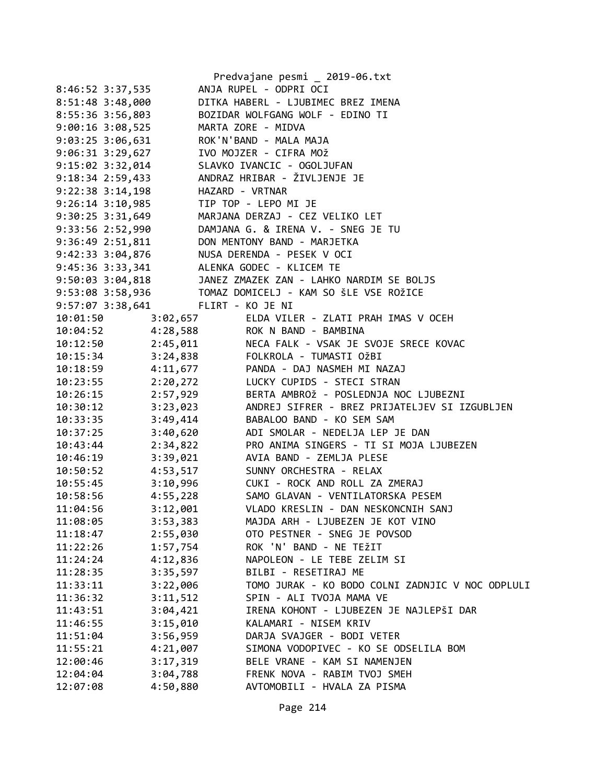|                                         |          | Predvajane pesmi _ 2019-06.txt                                                                                                                                                |
|-----------------------------------------|----------|-------------------------------------------------------------------------------------------------------------------------------------------------------------------------------|
| 8:46:52 3:37,535                        |          | ANJA RUPEL - ODPRI OCI                                                                                                                                                        |
| 8:51:48 3:48,000                        |          | DITKA HABERL - LJUBIMEC BREZ IMENA                                                                                                                                            |
|                                         |          | 8:55:36 3:56,803 BOZIDAR WOLFGANG WOLF - EDINO TI                                                                                                                             |
| 9:00:16 3:08,525 MARTA ZORE - MIDVA     |          |                                                                                                                                                                               |
| 9:03:25 3:06,631 ROK'N'BAND - MALA MAJA |          |                                                                                                                                                                               |
| 9:06:31 3:29,627 IVO MOJZER - CIFRA MOŽ |          |                                                                                                                                                                               |
|                                         |          | 9:15:02 3:32,014 SLAVKO IVANCIC - OGOLJUFAN<br>9:18:34 2:59,433 ANDRAZ HRIBAR - ŽIVLJENJE JE                                                                                  |
|                                         |          |                                                                                                                                                                               |
| 9:22:38 3:14,198 HAZARD - VRTNAR        |          |                                                                                                                                                                               |
| 9:26:14 3:10,985 TIP TOP - LEPO MI JE   |          |                                                                                                                                                                               |
|                                         |          | 9:30:25 3:31,649 MARJANA DERZAJ - CEZ VELIKO LET                                                                                                                              |
|                                         |          | 9:33:56 2:52,990 DAMJANA G. & IRENA V. - SNEG JE TU                                                                                                                           |
|                                         |          | 9:36:49 2:51,811 DON MENTONY BAND - MARJETKA                                                                                                                                  |
|                                         |          |                                                                                                                                                                               |
|                                         |          |                                                                                                                                                                               |
|                                         |          | 9:42:33 3:04,876<br>9:45:36 3:33,341<br>9:50:03 3:04,818<br>3:50:03 3:04,818<br>3:04,818<br>3:04,818<br>3:04,818<br>3:04,818<br>3:04 JANEZ ZMAZEK ZAN - LAHKO NARDIM SE BOLJS |
|                                         |          |                                                                                                                                                                               |
| 9:57:07 3:38,641 FLIRT - KO JE NI       |          |                                                                                                                                                                               |
| 10:01:50                                | 3:02,657 | ELDA VILER - ZLATI PRAH IMAS V OCEH                                                                                                                                           |
| 10:04:52                                | 4:28,588 | ROK N BAND - BAMBINA                                                                                                                                                          |
|                                         |          | NECA FALK - VSAK JE SVOJE SRECE KOVAC                                                                                                                                         |
|                                         |          | 10:12:50 2:45,011 NECA FALK - VSAK JE SVO<br>10:15:34 3:24,838 FOLKROLA - TUMASTI OŽBI                                                                                        |
| 10:18:59 4:11,677                       |          | PANDA - DAJ NASMEH MI NAZAJ                                                                                                                                                   |
| 10:23:55                                | 2:20,272 | LUCKY CUPIDS - STECI STRAN                                                                                                                                                    |
| 10:26:15                                | 2:57,929 | BERTA AMBROŽ - POSLEDNJA NOC LJUBEZNI                                                                                                                                         |
| 10:30:12                                | 3:23,023 | ANDREJ SIFRER - BREZ PRIJATELJEV SI IZGUBLJEN                                                                                                                                 |
| 10:33:35                                | 3:49,414 | BABALOO BAND - KO SEM SAM                                                                                                                                                     |
| 10:37:25                                | 3:40,620 | ADI SMOLAR - NEDELJA LEP JE DAN                                                                                                                                               |
| 10:43:44                                | 2:34,822 | PRO ANIMA SINGERS - TI SI MOJA LJUBEZEN                                                                                                                                       |
| 10:46:19                                | 3:39,021 | AVIA BAND - ZEMLJA PLESE                                                                                                                                                      |
| 10:50:52                                | 4:53,517 | SUNNY ORCHESTRA - RELAX                                                                                                                                                       |
| 10:55:45                                | 3:10,996 | CUKI - ROCK AND ROLL ZA ZMERAJ                                                                                                                                                |
| 10:58:56                                | 4:55,228 | SAMO GLAVAN - VENTILATORSKA PESEM                                                                                                                                             |
| 11:04:56                                | 3:12,001 | VLADO KRESLIN - DAN NESKONCNIH SANJ                                                                                                                                           |
| 11:08:05                                | 3:53,383 | MAJDA ARH - LJUBEZEN JE KOT VINO                                                                                                                                              |
| 11:18:47                                | 2:55,030 | OTO PESTNER - SNEG JE POVSOD                                                                                                                                                  |
| 11:22:26                                | 1:57,754 | ROK 'N' BAND - NE TEŽIT                                                                                                                                                       |
| 11:24:24                                | 4:12,836 | NAPOLEON - LE TEBE ZELIM SI                                                                                                                                                   |
| 11:28:35                                | 3:35,597 | BILBI - RESETIRAJ ME                                                                                                                                                          |
| 11:33:11                                | 3:22,006 | TOMO JURAK - KO BODO COLNI ZADNJIC V NOC ODPLULI                                                                                                                              |
| 11:36:32                                | 3:11,512 | SPIN - ALI TVOJA MAMA VE                                                                                                                                                      |
| 11:43:51                                | 3:04,421 | IRENA KOHONT - LJUBEZEN JE NAJLEPŠI DAR                                                                                                                                       |
| 11:46:55                                | 3:15,010 | KALAMARI - NISEM KRIV                                                                                                                                                         |
| 11:51:04                                | 3:56,959 | DARJA SVAJGER - BODI VETER                                                                                                                                                    |
| 11:55:21                                | 4:21,007 | SIMONA VODOPIVEC - KO SE ODSELILA BOM                                                                                                                                         |
| 12:00:46                                | 3:17,319 | BELE VRANE - KAM SI NAMENJEN                                                                                                                                                  |
| 12:04:04                                | 3:04,788 | FRENK NOVA - RABIM TVOJ SMEH                                                                                                                                                  |
| 12:07:08                                | 4:50,880 | AVTOMOBILI - HVALA ZA PISMA                                                                                                                                                   |
|                                         |          |                                                                                                                                                                               |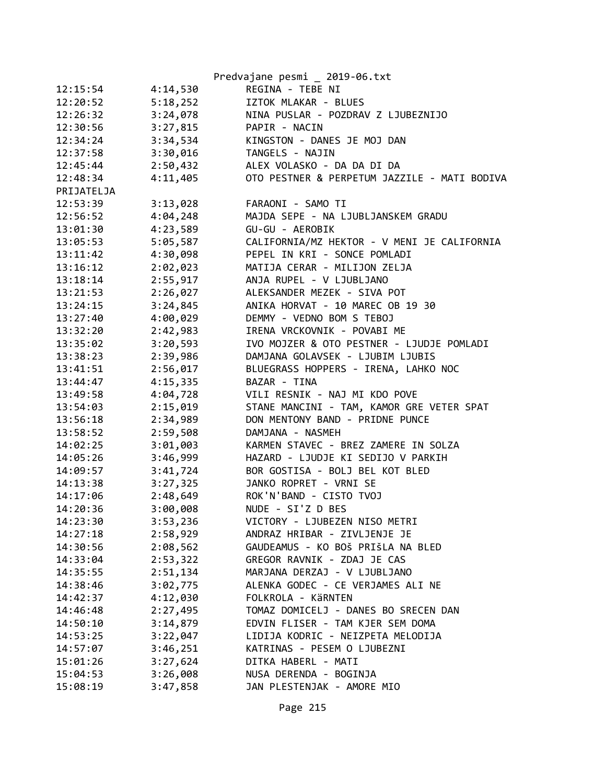|            |          | Predvajane pesmi _ 2019-06.txt               |
|------------|----------|----------------------------------------------|
| 12:15:54   | 4:14,530 | REGINA - TEBE NI                             |
| 12:20:52   | 5:18,252 | IZTOK MLAKAR - BLUES                         |
| 12:26:32   | 3:24,078 | NINA PUSLAR - POZDRAV Z LJUBEZNIJO           |
| 12:30:56   | 3:27,815 | PAPIR - NACIN                                |
| 12:34:24   | 3:34,534 | KINGSTON - DANES JE MOJ DAN                  |
| 12:37:58   | 3:30,016 | TANGELS - NAJIN                              |
| 12:45:44   | 2:50,432 | ALEX VOLASKO - DA DA DI DA                   |
| 12:48:34   | 4:11,405 | OTO PESTNER & PERPETUM JAZZILE - MATI BODIVA |
| PRIJATELJA |          |                                              |
| 12:53:39   | 3:13,028 | FARAONI - SAMO TI                            |
| 12:56:52   | 4:04,248 | MAJDA SEPE - NA LJUBLJANSKEM GRADU           |
| 13:01:30   | 4:23,589 | GU-GU - AEROBIK                              |
| 13:05:53   | 5:05,587 | CALIFORNIA/MZ HEKTOR - V MENI JE CALIFORNIA  |
| 13:11:42   | 4:30,098 | PEPEL IN KRI - SONCE POMLADI                 |
| 13:16:12   | 2:02,023 | MATIJA CERAR - MILIJON ZELJA                 |
| 13:18:14   | 2:55,917 | ANJA RUPEL - V LJUBLJANO                     |
| 13:21:53   | 2:26,027 | ALEKSANDER MEZEK - SIVA POT                  |
| 13:24:15   | 3:24,845 | ANIKA HORVAT - 10 MAREC OB 19 30             |
| 13:27:40   | 4:00,029 | DEMMY - VEDNO BOM S TEBOJ                    |
| 13:32:20   | 2:42,983 | IRENA VRCKOVNIK - POVABI ME                  |
| 13:35:02   | 3:20,593 | IVO MOJZER & OTO PESTNER - LJUDJE POMLADI    |
| 13:38:23   | 2:39,986 | DAMJANA GOLAVSEK - LJUBIM LJUBIS             |
| 13:41:51   | 2:56,017 | BLUEGRASS HOPPERS - IRENA, LAHKO NOC         |
| 13:44:47   | 4:15,335 | BAZAR - TINA                                 |
| 13:49:58   | 4:04,728 | VILI RESNIK - NAJ MI KDO POVE                |
| 13:54:03   | 2:15,019 | STANE MANCINI - TAM, KAMOR GRE VETER SPAT    |
| 13:56:18   | 2:34,989 | DON MENTONY BAND - PRIDNE PUNCE              |
| 13:58:52   | 2:59,508 | DAMJANA - NASMEH                             |
| 14:02:25   | 3:01,003 | KARMEN STAVEC - BREZ ZAMERE IN SOLZA         |
| 14:05:26   | 3:46,999 | HAZARD - LJUDJE KI SEDIJO V PARKIH           |
| 14:09:57   | 3:41,724 | BOR GOSTISA - BOLJ BEL KOT BLED              |
| 14:13:38   | 3:27,325 | JANKO ROPRET - VRNI SE                       |
| 14:17:06   | 2:48,649 | ROK'N'BAND - CISTO TVOJ                      |
| 14:20:36   | 3:00,008 | NUDE - SI'Z D BES                            |
| 14:23:30   | 3:53,236 | VICTORY - LJUBEZEN NISO METRI                |
| 14:27:18   | 2:58,929 | ANDRAZ HRIBAR - ZIVLJENJE JE                 |
| 14:30:56   | 2:08,562 | GAUDEAMUS - KO BOŠ PRIŠLA NA BLED            |
| 14:33:04   | 2:53,322 | GREGOR RAVNIK - ZDAJ JE CAS                  |
| 14:35:55   | 2:51,134 | MARJANA DERZAJ - V LJUBLJANO                 |
| 14:38:46   | 3:02,775 | ALENKA GODEC - CE VERJAMES ALI NE            |
| 14:42:37   | 4:12,030 | FOLKROLA - KÄRNTEN                           |
| 14:46:48   | 2:27,495 | TOMAZ DOMICELJ - DANES BO SRECEN DAN         |
| 14:50:10   | 3:14,879 | EDVIN FLISER - TAM KJER SEM DOMA             |
| 14:53:25   | 3:22,047 | LIDIJA KODRIC - NEIZPETA MELODIJA            |
| 14:57:07   | 3:46,251 | KATRINAS - PESEM O LJUBEZNI                  |
| 15:01:26   | 3:27,624 | DITKA HABERL - MATI                          |
| 15:04:53   | 3:26,008 | NUSA DERENDA - BOGINJA                       |
| 15:08:19   | 3:47,858 | JAN PLESTENJAK - AMORE MIO                   |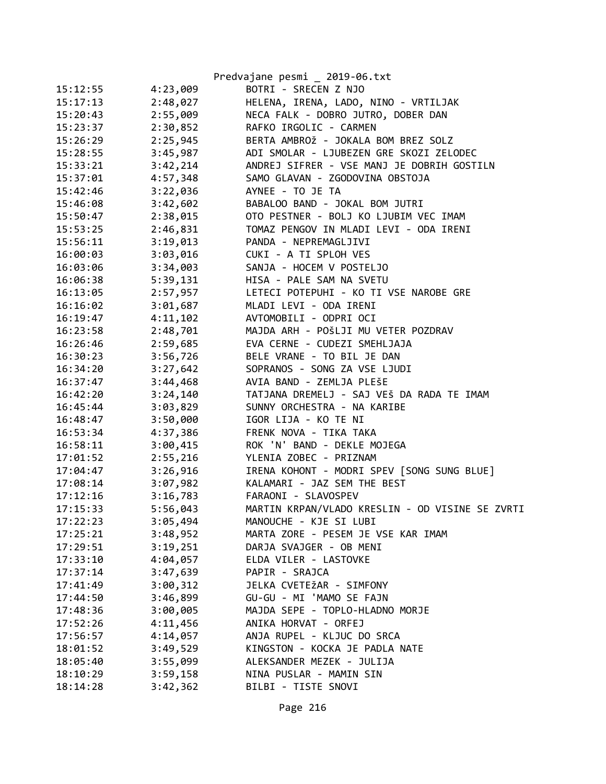|          |          | Predvajane pesmi _ 2019-06.txt                  |
|----------|----------|-------------------------------------------------|
| 15:12:55 | 4:23,009 | BOTRI - SRECEN Z NJO                            |
| 15:17:13 | 2:48,027 | HELENA, IRENA, LADO, NINO - VRTILJAK            |
| 15:20:43 | 2:55,009 | NECA FALK - DOBRO JUTRO, DOBER DAN              |
| 15:23:37 | 2:30,852 | RAFKO IRGOLIC - CARMEN                          |
| 15:26:29 | 2:25,945 | BERTA AMBROŽ - JOKALA BOM BREZ SOLZ             |
| 15:28:55 | 3:45,987 | ADI SMOLAR - LJUBEZEN GRE SKOZI ZELODEC         |
| 15:33:21 | 3:42,214 | ANDREJ SIFRER - VSE MANJ JE DOBRIH GOSTILN      |
| 15:37:01 | 4:57,348 | SAMO GLAVAN - ZGODOVINA OBSTOJA                 |
| 15:42:46 | 3:22,036 | AYNEE - TO JE TA                                |
| 15:46:08 | 3:42,602 | BABALOO BAND - JOKAL BOM JUTRI                  |
| 15:50:47 | 2:38,015 | OTO PESTNER - BOLJ KO LJUBIM VEC IMAM           |
| 15:53:25 | 2:46,831 | TOMAZ PENGOV IN MLADI LEVI - ODA IRENI          |
| 15:56:11 | 3:19,013 | PANDA - NEPREMAGLJIVI                           |
| 16:00:03 | 3:03,016 | CUKI - A TI SPLOH VES                           |
| 16:03:06 | 3:34,003 | SANJA - HOCEM V POSTELJO                        |
| 16:06:38 | 5:39,131 | HISA - PALE SAM NA SVETU                        |
| 16:13:05 | 2:57,957 | LETECI POTEPUHI - KO TI VSE NAROBE GRE          |
| 16:16:02 | 3:01,687 | MLADI LEVI - ODA IRENI                          |
| 16:19:47 | 4:11,102 | AVTOMOBILI - ODPRI OCI                          |
| 16:23:58 | 2:48,701 | MAJDA ARH - POŠLJI MU VETER POZDRAV             |
| 16:26:46 | 2:59,685 | EVA CERNE - CUDEZI SMEHLJAJA                    |
| 16:30:23 | 3:56,726 | BELE VRANE - TO BIL JE DAN                      |
| 16:34:20 | 3:27,642 | SOPRANOS - SONG ZA VSE LJUDI                    |
| 16:37:47 | 3:44,468 | AVIA BAND - ZEMLJA PLEŠE                        |
| 16:42:20 | 3:24,140 | TATJANA DREMELJ - SAJ VEŠ DA RADA TE IMAM       |
| 16:45:44 | 3:03,829 | SUNNY ORCHESTRA - NA KARIBE                     |
| 16:48:47 | 3:50,000 | IGOR LIJA - KO TE NI                            |
| 16:53:34 | 4:37,386 | FRENK NOVA - TIKA TAKA                          |
| 16:58:11 | 3:00,415 | ROK 'N' BAND - DEKLE MOJEGA                     |
| 17:01:52 | 2:55,216 | YLENIA ZOBEC - PRIZNAM                          |
| 17:04:47 | 3:26,916 | IRENA KOHONT - MODRI SPEV [SONG SUNG BLUE]      |
| 17:08:14 | 3:07,982 | KALAMARI - JAZ SEM THE BEST                     |
| 17:12:16 | 3:16,783 | FARAONI - SLAVOSPEV                             |
| 17:15:33 | 5:56,043 | MARTIN KRPAN/VLADO KRESLIN - OD VISINE SE ZVRTI |
| 17:22:23 | 3:05,494 | MANOUCHE - KJE SI LUBI                          |
| 17:25:21 | 3:48,952 | MARTA ZORE - PESEM JE VSE KAR IMAM              |
| 17:29:51 | 3:19,251 | DARJA SVAJGER - OB MENI                         |
| 17:33:10 | 4:04,057 | ELDA VILER - LASTOVKE                           |
| 17:37:14 | 3:47,639 | PAPIR - SRAJCA                                  |
| 17:41:49 | 3:00,312 | JELKA CVETEŽAR - SIMFONY                        |
| 17:44:50 | 3:46,899 | GU-GU - MI 'MAMO SE FAJN                        |
| 17:48:36 | 3:00,005 | MAJDA SEPE - TOPLO-HLADNO MORJE                 |
| 17:52:26 | 4:11,456 | ANIKA HORVAT - ORFEJ                            |
| 17:56:57 | 4:14,057 | ANJA RUPEL - KLJUC DO SRCA                      |
| 18:01:52 | 3:49,529 | KINGSTON - KOCKA JE PADLA NATE                  |
| 18:05:40 | 3:55,099 | ALEKSANDER MEZEK - JULIJA                       |
| 18:10:29 | 3:59,158 | NINA PUSLAR - MAMIN SIN                         |
| 18:14:28 | 3:42,362 | BILBI - TISTE SNOVI                             |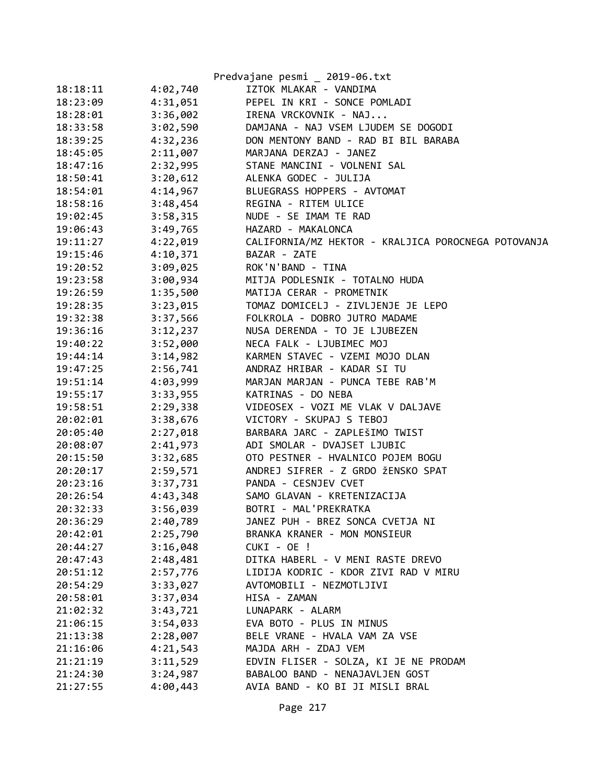|          |          | Predvajane pesmi _ 2019-06.txt                      |
|----------|----------|-----------------------------------------------------|
| 18:18:11 | 4:02,740 | IZTOK MLAKAR - VANDIMA                              |
| 18:23:09 | 4:31,051 | PEPEL IN KRI - SONCE POMLADI                        |
| 18:28:01 | 3:36,002 | IRENA VRCKOVNIK - NAJ                               |
| 18:33:58 | 3:02,590 | DAMJANA - NAJ VSEM LJUDEM SE DOGODI                 |
| 18:39:25 | 4:32,236 | DON MENTONY BAND - RAD BI BIL BARABA                |
| 18:45:05 | 2:11,007 | MARJANA DERZAJ - JANEZ                              |
| 18:47:16 | 2:32,995 | STANE MANCINI - VOLNENI SAL                         |
| 18:50:41 | 3:20,612 | ALENKA GODEC - JULIJA                               |
| 18:54:01 | 4:14,967 | BLUEGRASS HOPPERS - AVTOMAT                         |
| 18:58:16 | 3:48,454 | REGINA - RITEM ULICE                                |
| 19:02:45 | 3:58,315 | NUDE - SE IMAM TE RAD                               |
| 19:06:43 | 3:49,765 | HAZARD - MAKALONCA                                  |
| 19:11:27 | 4:22,019 | CALIFORNIA/MZ HEKTOR - KRALJICA POROCNEGA POTOVANJA |
| 19:15:46 | 4:10,371 | BAZAR - ZATE                                        |
| 19:20:52 | 3:09,025 | ROK'N'BAND - TINA                                   |
| 19:23:58 | 3:00,934 | MITJA PODLESNIK - TOTALNO HUDA                      |
| 19:26:59 | 1:35,500 | MATIJA CERAR - PROMETNIK                            |
| 19:28:35 | 3:23,015 | TOMAZ DOMICELJ - ZIVLJENJE JE LEPO                  |
| 19:32:38 | 3:37,566 | FOLKROLA - DOBRO JUTRO MADAME                       |
| 19:36:16 | 3:12,237 | NUSA DERENDA - TO JE LJUBEZEN                       |
| 19:40:22 | 3:52,000 | NECA FALK - LJUBIMEC MOJ                            |
| 19:44:14 | 3:14,982 | KARMEN STAVEC - VZEMI MOJO DLAN                     |
| 19:47:25 | 2:56,741 | ANDRAZ HRIBAR - KADAR SI TU                         |
| 19:51:14 | 4:03,999 | MARJAN MARJAN - PUNCA TEBE RAB'M                    |
| 19:55:17 | 3:33,955 | KATRINAS - DO NEBA                                  |
| 19:58:51 | 2:29,338 | VIDEOSEX - VOZI ME VLAK V DALJAVE                   |
| 20:02:01 | 3:38,676 | VICTORY - SKUPAJ S TEBOJ                            |
| 20:05:40 | 2:27,018 | BARBARA JARC - ZAPLEŠIMO TWIST                      |
| 20:08:07 | 2:41,973 | ADI SMOLAR - DVAJSET LJUBIC                         |
| 20:15:50 | 3:32,685 | OTO PESTNER - HVALNICO POJEM BOGU                   |
| 20:20:17 | 2:59,571 | ANDREJ SIFRER - Z GRDO ŽENSKO SPAT                  |
| 20:23:16 | 3:37,731 | PANDA - CESNJEV CVET                                |
| 20:26:54 | 4:43,348 | SAMO GLAVAN - KRETENIZACIJA                         |
| 20:32:33 | 3:56,039 | BOTRI - MAL'PREKRATKA                               |
| 20:36:29 | 2:40,789 | JANEZ PUH - BREZ SONCA CVETJA NI                    |
| 20:42:01 | 2:25,790 | BRANKA KRANER - MON MONSIEUR                        |
| 20:44:27 | 3:16,048 | CUKI - OE !                                         |
| 20:47:43 | 2:48,481 | DITKA HABERL - V MENI RASTE DREVO                   |
| 20:51:12 | 2:57,776 | LIDIJA KODRIC - KDOR ZIVI RAD V MIRU                |
| 20:54:29 | 3:33,027 | AVTOMOBILI - NEZMOTLJIVI                            |
| 20:58:01 | 3:37,034 | HISA - ZAMAN                                        |
| 21:02:32 | 3:43,721 | LUNAPARK - ALARM                                    |
| 21:06:15 | 3:54,033 | EVA BOTO - PLUS IN MINUS                            |
| 21:13:38 | 2:28,007 | BELE VRANE - HVALA VAM ZA VSE                       |
| 21:16:06 | 4:21,543 | MAJDA ARH - ZDAJ VEM                                |
| 21:21:19 | 3:11,529 | EDVIN FLISER - SOLZA, KI JE NE PRODAM               |
| 21:24:30 | 3:24,987 | BABALOO BAND - NENAJAVLJEN GOST                     |
| 21:27:55 | 4:00,443 | AVIA BAND - KO BI JI MISLI BRAL                     |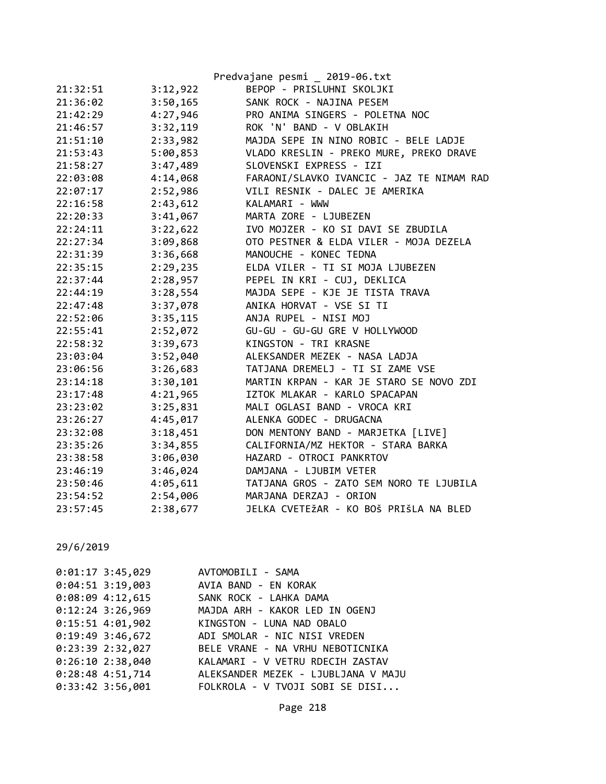|          |          | Predvajane pesmi _ 2019-06.txt            |
|----------|----------|-------------------------------------------|
| 21:32:51 | 3:12,922 | BEPOP - PRISLUHNI SKOLJKI                 |
| 21:36:02 | 3:50,165 | SANK ROCK - NAJINA PESEM                  |
| 21:42:29 | 4:27,946 | PRO ANIMA SINGERS - POLETNA NOC           |
| 21:46:57 | 3:32,119 | ROK 'N' BAND - V OBLAKIH                  |
| 21:51:10 | 2:33,982 | MAJDA SEPE IN NINO ROBIC - BELE LADJE     |
| 21:53:43 | 5:00,853 | VLADO KRESLIN - PREKO MURE, PREKO DRAVE   |
| 21:58:27 | 3:47,489 | SLOVENSKI EXPRESS - IZI                   |
| 22:03:08 | 4:14,068 | FARAONI/SLAVKO IVANCIC - JAZ TE NIMAM RAD |
| 22:07:17 | 2:52,986 | VILI RESNIK - DALEC JE AMERIKA            |
| 22:16:58 | 2:43,612 | KALAMARI - WWW                            |
| 22:20:33 | 3:41,067 | MARTA ZORE - LJUBEZEN                     |
| 22:24:11 | 3:22,622 | IVO MOJZER - KO SI DAVI SE ZBUDILA        |
| 22:27:34 | 3:09,868 | OTO PESTNER & ELDA VILER - MOJA DEZELA    |
| 22:31:39 | 3:36,668 | MANOUCHE - KONEC TEDNA                    |
| 22:35:15 | 2:29,235 | ELDA VILER - TI SI MOJA LJUBEZEN          |
| 22:37:44 | 2:28,957 | PEPEL IN KRI - CUJ, DEKLICA               |
| 22:44:19 | 3:28,554 | MAJDA SEPE - KJE JE TISTA TRAVA           |
| 22:47:48 | 3:37,078 | ANIKA HORVAT - VSE SI TI                  |
| 22:52:06 | 3:35,115 | ANJA RUPEL - NISI MOJ                     |
| 22:55:41 | 2:52,072 | GU-GU - GU-GU GRE V HOLLYWOOD             |
| 22:58:32 | 3:39,673 | KINGSTON - TRI KRASNE                     |
| 23:03:04 | 3:52,040 | ALEKSANDER MEZEK - NASA LADJA             |
| 23:06:56 | 3:26,683 | TATJANA DREMELJ - TI SI ZAME VSE          |
| 23:14:18 | 3:30,101 | MARTIN KRPAN - KAR JE STARO SE NOVO ZDI   |
| 23:17:48 | 4:21,965 | IZTOK MLAKAR - KARLO SPACAPAN             |
| 23:23:02 | 3:25,831 | MALI OGLASI BAND - VROCA KRI              |
| 23:26:27 | 4:45,017 | ALENKA GODEC - DRUGACNA                   |
| 23:32:08 | 3:18,451 | DON MENTONY BAND - MARJETKA [LIVE]        |
| 23:35:26 | 3:34,855 | CALIFORNIA/MZ HEKTOR - STARA BARKA        |
| 23:38:58 | 3:06,030 | HAZARD - OTROCI PANKRTOV                  |
| 23:46:19 | 3:46,024 | DAMJANA - LJUBIM VETER                    |
| 23:50:46 | 4:05,611 | TATJANA GROS - ZATO SEM NORO TE LJUBILA   |
| 23:54:52 | 2:54,006 | MARJANA DERZAJ - ORION                    |
| 23:57:45 | 2:38,677 | JELKA CVETEŽAR - KO BOŠ PRIŠLA NA BLED    |

29/6/2019

| $0:01:17$ 3:45,029 | AVTOMOBILI - SAMA                                    |
|--------------------|------------------------------------------------------|
|                    | 0:04:51 3:19,003 AVIA BAND - EN KORAK                |
| $0:08:09$ 4:12,615 | SANK ROCK - LAHKA DAMA                               |
| $0:12:24$ 3:26,969 | MAJDA ARH - KAKOR LED IN OGENJ                       |
|                    | 0:15:51 4:01,902 KINGSTON - LUNA NAD OBALO           |
|                    | 0:19:49 3:46,672 ADI SMOLAR - NIC NISI VREDEN        |
| $0:23:39$ 2:32,027 | BELE VRANE - NA VRHU NEBOTICNIKA                     |
| $0:26:10$ 2:38,040 | KALAMARI - V VETRU RDECIH ZASTAV                     |
|                    | 0:28:48 4:51,714 ALEKSANDER MEZEK - LJUBLJANA V MAJU |
| $0:33:42$ 3:56,001 | FOLKROLA - V TVOJI SOBI SE DISI                      |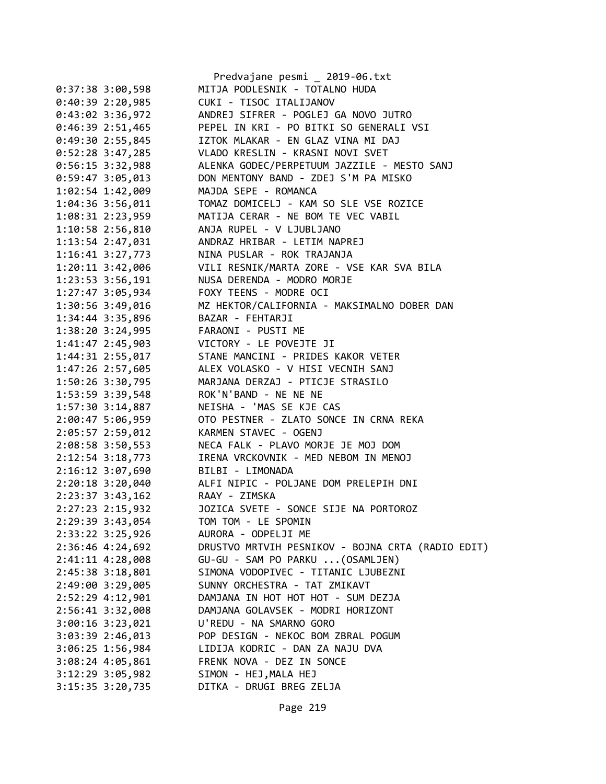|                      | Predvajane pesmi 2019-06.txt                           |
|----------------------|--------------------------------------------------------|
| $0:37:38$ 3:00,598   | MITJA PODLESNIK - TOTALNO HUDA                         |
| $0:40:39$ 2:20,985   | CUKI - TISOC ITALIJANOV                                |
| $0:43:02$ 3:36,972   | ANDREJ SIFRER - POGLEJ GA NOVO JUTRO                   |
| $0:46:39$ 2:51,465   | PEPEL IN KRI - PO BITKI SO GENERALI VSI                |
| 0:49:302:55,845      | IZTOK MLAKAR - EN GLAZ VINA MI DAJ                     |
| $0:52:28$ 3:47,285   | VLADO KRESLIN - KRASNI NOVI SVET                       |
| 0:56:15 3:32,988     | ALENKA GODEC/PERPETUUM JAZZILE - MESTO SANJ            |
| 0:59:47 3:05,013     | DON MENTONY BAND - ZDEJ S'M PA MISKO                   |
| 1:02:54 1:42,009     | MAJDA SEPE - ROMANCA                                   |
| 1:04:36 3:56,011     | TOMAZ DOMICELJ - KAM SO SLE VSE ROZICE                 |
| 1:08:31 2:23,959     | MATIJA CERAR - NE BOM TE VEC VABIL                     |
| $1:10:58$ $2:56,810$ | ANJA RUPEL - V LJUBLJANO                               |
| 1:13:54 2:47,031     | ANDRAZ HRIBAR - LETIM NAPREJ                           |
| $1:16:41$ $3:27,773$ | NINA PUSLAR - ROK TRAJANJA                             |
| $1:20:11$ $3:42,006$ | VILI RESNIK/MARTA ZORE - VSE KAR SVA BILA              |
| 1:23:53 3:56,191     | NUSA DERENDA - MODRO MORJE                             |
| 1:27:47 3:05,934     | FOXY TEENS - MODRE OCI                                 |
| 1:30:56 3:49,016     | MZ HEKTOR/CALIFORNIA - MAKSIMALNO DOBER DAN            |
| 1:34:44 3:35,896     | BAZAR - FEHTARJI                                       |
| $1:38:20$ $3:24,995$ | FARAONI - PUSTI ME                                     |
| 1:41:47 2:45,903     | VICTORY - LE POVEJTE JI                                |
| 1:44:31 2:55,017     | STANE MANCINI - PRIDES KAKOR VETER                     |
| 1:47:26 2:57,605     | ALEX VOLASKO - V HISI VECNIH SANJ                      |
| 1:50:26 3:30,795     | MARJANA DERZAJ - PTICJE STRASILO                       |
| 1:53:59 3:39,548     | ROK'N'BAND - NE NE NE                                  |
| 1:57:30 3:14,887     | NEISHA - 'MAS SE KJE CAS                               |
| 2:00:47 5:06,959     | OTO PESTNER - ZLATO SONCE IN CRNA REKA                 |
| 2:05:57 2:59,012     | KARMEN STAVEC - OGENJ                                  |
| 2:08:58 3:50,553     | NECA FALK - PLAVO MORJE JE MOJ DOM                     |
| $2:12:54$ 3:18,773   | IRENA VRCKOVNIK - MED NEBOM IN MENOJ                   |
| $2:16:12$ $3:07,690$ | BILBI - LIMONADA                                       |
|                      | 2:20:18 3:20,040 ALFI NIPIC - POLJANE DOM PRELEPIH DNI |
| 2:23:37 3:43,162     | RAAY - ZIMSKA                                          |
| 2:27:23 2:15,932     | JOZICA SVETE - SONCE SIJE NA PORTOROZ                  |
| 2:29:39 3:43,054     | TOM TOM - LE SPOMIN                                    |
| 2:33:22 3:25,926     | AURORA - ODPELJI ME                                    |
| 2:36:46 4:24,692     | DRUSTVO MRTVIH PESNIKOV - BOJNA CRTA (RADIO EDIT)      |
| 2:41:11 4:28,008     | GU-GU - SAM PO PARKU  (OSAMLJEN)                       |
| 2:45:38 3:18,801     | SIMONA VODOPIVEC - TITANIC LJUBEZNI                    |
| 2:49:00 3:29,005     | SUNNY ORCHESTRA - TAT ZMIKAVT                          |
| 2:52:29 4:12,901     | DAMJANA IN HOT HOT HOT - SUM DEZJA                     |
|                      |                                                        |
| 2:56:41 3:32,008     | DAMJANA GOLAVSEK - MODRI HORIZONT                      |
| 3:00:16 3:23,021     | U'REDU - NA SMARNO GORO                                |
| 3:03:39 2:46,013     | POP DESIGN - NEKOC BOM ZBRAL POGUM                     |
| 3:06:25 1:56,984     | LIDIJA KODRIC - DAN ZA NAJU DVA                        |
| 3:08:24 4:05,861     | FRENK NOVA - DEZ IN SONCE                              |
| $3:12:29$ $3:05,982$ | SIMON - HEJ, MALA HEJ                                  |
| $3:15:35$ $3:20,735$ | DITKA - DRUGI BREG ZELJA                               |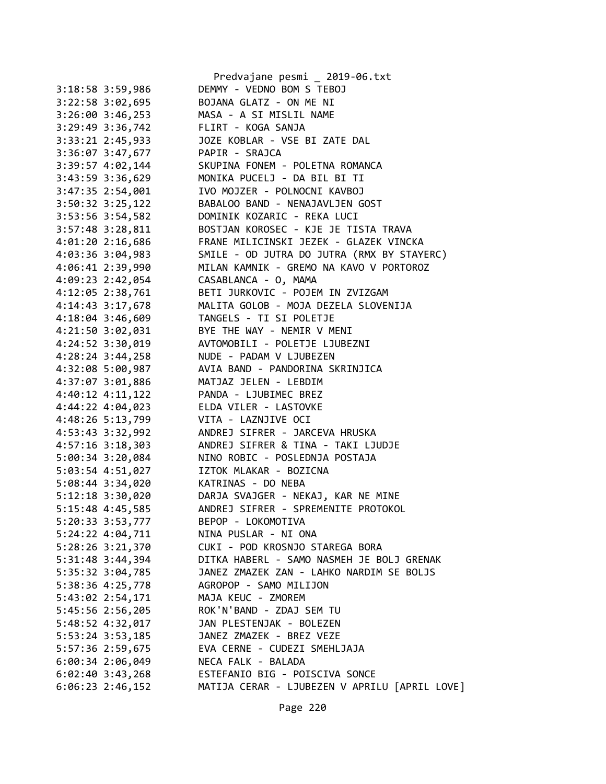|                  |                      | Predvajane pesmi _ 2019-06.txt                |
|------------------|----------------------|-----------------------------------------------|
|                  | 3:18:58 3:59,986     | DEMMY - VEDNO BOM S TEBOJ                     |
|                  | 3:22:58 3:02,695     | BOJANA GLATZ - ON ME NI                       |
|                  | $3:26:00$ $3:46,253$ | MASA - A SI MISLIL NAME                       |
|                  | 3:29:49 3:36,742     | FLIRT - KOGA SANJA                            |
|                  | 3:33:21 2:45,933     | JOZE KOBLAR - VSE BI ZATE DAL                 |
|                  | 3:36:07 3:47,677     | PAPIR - SRAJCA                                |
|                  | 3:39:57 4:02,144     | SKUPINA FONEM - POLETNA ROMANCA               |
|                  | 3:43:59 3:36,629     | MONIKA PUCELJ - DA BIL BI TI                  |
|                  | 3:47:35 2:54,001     | IVO MOJZER - POLNOCNI KAVBOJ                  |
|                  | 3:50:32 3:25,122     | BABALOO BAND - NENAJAVLJEN GOST               |
|                  | 3:53:56 3:54,582     | DOMINIK KOZARIC - REKA LUCI                   |
|                  | 3:57:48 3:28,811     | BOSTJAN KOROSEC - KJE JE TISTA TRAVA          |
|                  | 4:01:20 2:16,686     | FRANE MILICINSKI JEZEK - GLAZEK VINCKA        |
|                  | 4:03:36 3:04,983     | SMILE - OD JUTRA DO JUTRA (RMX BY STAYERC)    |
| 4:06:41 2:39,990 |                      | MILAN KAMNIK - GREMO NA KAVO V PORTOROZ       |
|                  | 4:09:23 2:42,054     | CASABLANCA - O, MAMA                          |
| 4:12:05 2:38,761 |                      | BETI JURKOVIC - POJEM IN ZVIZGAM              |
|                  | 4:14:43 3:17,678     | MALITA GOLOB - MOJA DEZELA SLOVENIJA          |
|                  | 4:18:04 3:46,609     | TANGELS - TI SI POLETJE                       |
|                  |                      | BYE THE WAY - NEMIR V MENI                    |
|                  | 4:21:50 3:02,031     | AVTOMOBILI - POLETJE LJUBEZNI                 |
|                  | 4:24:52 3:30,019     | NUDE - PADAM V LJUBEZEN                       |
|                  | 4:28:24 3:44,258     |                                               |
|                  | 4:32:08 5:00,987     | AVIA BAND - PANDORINA SKRINJICA               |
|                  | 4:37:07 3:01,886     | MATJAZ JELEN - LEBDIM                         |
|                  | 4:40:12 4:11,122     | PANDA - LJUBIMEC BREZ                         |
|                  | 4:44:22 4:04,023     | ELDA VILER - LASTOVKE                         |
|                  | 4:48:26 5:13,799     | VITA - LAZNJIVE OCI                           |
| 4:53:43 3:32,992 |                      | ANDREJ SIFRER - JARCEVA HRUSKA                |
| 4:57:16 3:18,303 |                      | ANDREJ SIFRER & TINA - TAKI LJUDJE            |
|                  | 5:00:34 3:20,084     | NINO ROBIC - POSLEDNJA POSTAJA                |
|                  | 5:03:54 4:51,027     | IZTOK MLAKAR - BOZICNA                        |
|                  | 5:08:44 3:34,020     | KATRINAS - DO NEBA                            |
|                  | $5:12:18$ $3:30,020$ | DARJA SVAJGER - NEKAJ, KAR NE MINE            |
| 5:15:48 4:45,585 |                      | ANDREJ SIFRER - SPREMENITE PROTOKOL           |
|                  | 5:20:33 3:53,777     | BEPOP - LOKOMOTIVA                            |
|                  | 5:24:22 4:04,711     | NINA PUSLAR - NI ONA                          |
|                  | 5:28:26 3:21,370     | CUKI - POD KROSNJO STAREGA BORA               |
|                  | 5:31:48 3:44,394     | DITKA HABERL - SAMO NASMEH JE BOLJ GRENAK     |
|                  | 5:35:32 3:04,785     | JANEZ ZMAZEK ZAN - LAHKO NARDIM SE BOLJS      |
|                  | 5:38:36 4:25,778     | AGROPOP - SAMO MILIJON                        |
|                  | 5:43:02 2:54,171     | MAJA KEUC - ZMOREM                            |
|                  | 5:45:56 2:56,205     | ROK'N'BAND - ZDAJ SEM TU                      |
|                  | 5:48:52 4:32,017     | JAN PLESTENJAK - BOLEZEN                      |
|                  | 5:53:24 3:53,185     | JANEZ ZMAZEK - BREZ VEZE                      |
|                  | 5:57:36 2:59,675     | EVA CERNE - CUDEZI SMEHLJAJA                  |
|                  | $6:00:34$ 2:06,049   | NECA FALK - BALADA                            |
|                  | $6:02:40$ 3:43,268   | ESTEFANIO BIG - POISCIVA SONCE                |
|                  | $6:06:23$ 2:46,152   | MATIJA CERAR - LJUBEZEN V APRILU [APRIL LOVE] |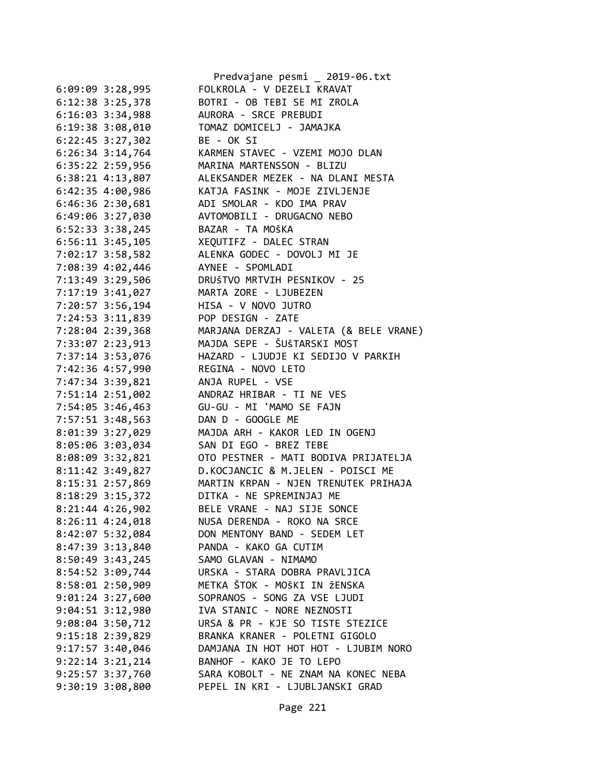|                      |                             | Predvajane pesmi _ 2019-06.txt                                                                              |
|----------------------|-----------------------------|-------------------------------------------------------------------------------------------------------------|
| $6:09:09$ 3:28,995   |                             | FOLKROLA - V DEZELI KRAVAT                                                                                  |
|                      | 6:12:38 3:25,378            | BOTRI - OB TEBI SE MI ZROLA                                                                                 |
|                      |                             | 6:16:03 3:34,988 AURORA - SRCE PREBUDI                                                                      |
|                      |                             | 6:19:38 3:08,010 TOMAZ DOMICELJ - JAMAJKA                                                                   |
|                      | 6:22:45 3:27,302 BE - OK SI |                                                                                                             |
|                      | $6:26:34$ 3:14,764          | KARMEN STAVEC - VZEMI MOJO DLAN                                                                             |
| 6:35:22 2:59,956     |                             |                                                                                                             |
| $6:38:21$ $4:13,807$ |                             | MARINA MARTENSSON - BLIZU<br>ALEKSANDER MEZEK - NA DLANI MESTA<br>KATJA FASINK - MOJE ZIVLJENJE             |
| 6:42:35 4:00,986     |                             |                                                                                                             |
| 6:46:36 2:30,681     |                             | ADI SMOLAR - KDO IMA PRAV                                                                                   |
|                      |                             | 6:49:06 3:27,030 AVTOMOBILI - DRUGACNO NEBO                                                                 |
|                      |                             | 6:52:33 3:38,245 BAZAR - TA MOŠKA                                                                           |
|                      |                             | 6:56:11 3:45,105 XEQUTIFZ - DALEC STRAN                                                                     |
| 7:02:17 3:58,582     |                             | ALENKA GODEC - DOVOLJ MI JE                                                                                 |
|                      |                             |                                                                                                             |
|                      |                             | 7:08:39 4:02,446<br>7:13:49 3:29,506<br>DRUŠTVO MRTVIH PESNIKOV - 25                                        |
|                      |                             | 7:17:19 3:41,027 MARTA ZORE - LJUBEZEN                                                                      |
|                      |                             | 7:20:57 3:56,194 HISA - V NOVO JUTRO                                                                        |
|                      |                             | 7:24:53 3:11,839 POP DESIGN - ZATE                                                                          |
|                      |                             | 7:28:04 2:39,368 MARJANA DERZAJ - VALETA (& BELE VRANE)                                                     |
| 7:33:07 2:23,913     |                             | MAJDA SEPE - ŠUŠTARSKI MOST                                                                                 |
|                      |                             |                                                                                                             |
|                      |                             | 7:37:14 3:53,076<br>7:42:36 4:57,990<br>REGINA - NOVO LETO<br>REGINA - NOVO LETO                            |
| 7:47:34 3:39,821     |                             | ANJA RUPEL - VSE                                                                                            |
|                      |                             | 7:51:14 2:51,002 ANDRAZ HRIBAR - TI NE VES                                                                  |
|                      |                             |                                                                                                             |
|                      |                             | 7:57:51 3:48,563 DAN D - GOOGLE ME                                                                          |
| 8:01:39 3:27,029     |                             | MAJDA ARH - KAKOR LED IN OGENJ                                                                              |
| 8:05:06 3:03,034     |                             | SAN DI EGO - BREZ TEBE                                                                                      |
|                      |                             |                                                                                                             |
|                      |                             | 8:08:09 3:32,821 OTO PESTNER - MATI BODIVA PRIJATELJA<br>8:11:42 3:49,827 D.KOCJANCIC & M.JELEN - POISCI ME |
|                      |                             | 8:15:31 2:57,869 MARTIN KRPAN - NJEN TRENUTEK PRIHAJA                                                       |
|                      |                             | 8:18:29 3:15,372 DITKA - NE SPREMINJAJ ME                                                                   |
| 8:21:44 4:26,902     |                             | BELE VRANE - NAJ SIJE SONCE                                                                                 |
|                      |                             | NUSA DERENDA - ROKO NA SRCE                                                                                 |
| $8:26:11$ 4:24,018   |                             | DON MENTONY BAND - SEDEM LET                                                                                |
| 8:42:07 5:32,084     |                             | PANDA - KAKO GA CUTIM                                                                                       |
| 8:47:39 3:13,840     |                             |                                                                                                             |
| 8:50:49 3:43,245     |                             | SAMO GLAVAN - NIMAMO<br>URSKA - STARA DOBRA PRAVLJICA                                                       |
|                      | 8:54:52 3:09,744            |                                                                                                             |
|                      | 8:58:01 2:50,909            | METKA ŠTOK - MOŠKI IN ŽENSKA                                                                                |
| $9:01:24$ 3:27,600   |                             | SOPRANOS - SONG ZA VSE LJUDI                                                                                |
| $9:04:51$ $3:12,980$ |                             | IVA STANIC - NORE NEZNOSTI                                                                                  |
| $9:08:04$ 3:50,712   |                             | URSA & PR - KJE SO TISTE STEZICE                                                                            |
| $9:15:18$ 2:39,829   |                             | BRANKA KRANER - POLETNI GIGOLO                                                                              |
| $9:17:57$ 3:40,046   |                             | DAMJANA IN HOT HOT HOT - LJUBIM NORO                                                                        |
|                      | 9:22:14 3:21,214            | BANHOF - KAKO JE TO LEPO                                                                                    |
|                      |                             | 9:25:57 3:37,760 SARA KOBOLT - NE ZNAM NA KONEC NEBA                                                        |
|                      | 9:30:19 3:08,800            | PEPEL IN KRI - LJUBLJANSKI GRAD                                                                             |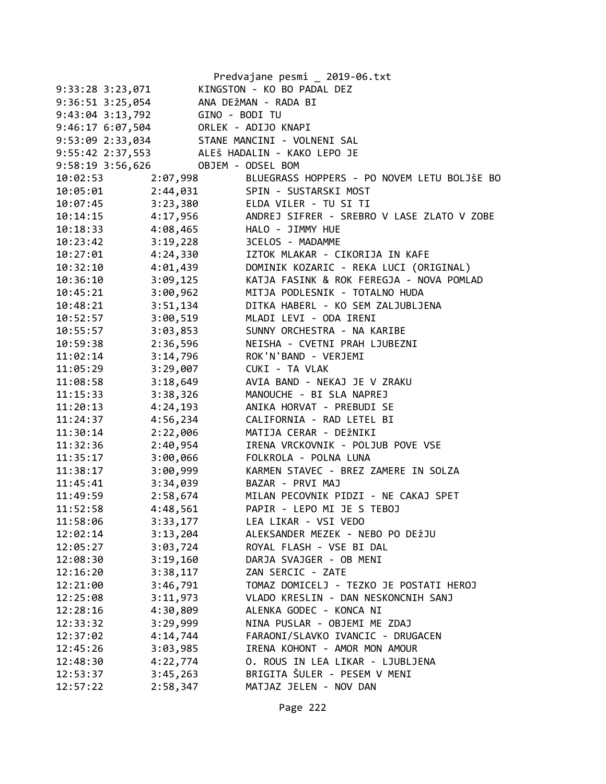| Predvajane pesmi _ 2019-06.txt                          |
|---------------------------------------------------------|
| KINGSTON - KO BO PADAL DEZ                              |
| ANA DEŽMAN - RADA BI                                    |
| GINO - BODI TU                                          |
| ORLEK - ADIJO KNAPI                                     |
| STANE MANCINI - VOLNENI SAL                             |
| ALEŠ HADALIN - KAKO LEPO JE                             |
| OBJEM - ODSEL BOM                                       |
| BLUEGRASS HOPPERS - PO NOVEM LETU BOLJŠE BO<br>2:07,998 |
| 2:44,031<br>SPIN - SUSTARSKI MOST                       |
| 3:23,380<br>ELDA VILER - TU SI TI                       |
| 4:17,956<br>ANDREJ SIFRER - SREBRO V LASE ZLATO V ZOBE  |
| 4:08,465<br>HALO - JIMMY HUE                            |
| 3:19,228<br>3CELOS - MADAMME                            |
| 4:24,330<br>IZTOK MLAKAR - CIKORIJA IN KAFE             |
| DOMINIK KOZARIC - REKA LUCI (ORIGINAL)<br>4:01,439      |
| 3:09,125<br>KATJA FASINK & ROK FEREGJA - NOVA POMLAD    |
| 3:00,962<br>MITJA PODLESNIK - TOTALNO HUDA              |
| DITKA HABERL - KO SEM ZALJUBLJENA<br>3:51,134           |
| 3:00,519<br>MLADI LEVI - ODA IRENI                      |
| 3:03,853<br>SUNNY ORCHESTRA - NA KARIBE                 |
| 2:36,596<br>NEISHA - CVETNI PRAH LJUBEZNI               |
| ROK'N'BAND - VERJEMI<br>3:14,796                        |
| 3:29,007<br>CUKI - TA VLAK                              |
| 3:18,649<br>AVIA BAND - NEKAJ JE V ZRAKU                |
| 3:38,326<br>MANOUCHE - BI SLA NAPREJ                    |
| 4:24,193<br>ANIKA HORVAT - PREBUDI SE                   |
| 4:56,234<br>CALIFORNIA - RAD LETEL BI                   |
| 2:22,006<br>MATIJA CERAR - DEŽNIKI                      |
| 2:40,954<br>IRENA VRCKOVNIK - POLJUB POVE VSE           |
| 3:00,066<br>FOLKROLA - POLNA LUNA                       |
| 3:00,999<br>KARMEN STAVEC - BREZ ZAMERE IN SOLZA        |
| 3:34,039<br>BAZAR - PRVI MAJ                            |
| 2:58,674<br>MILAN PECOVNIK PIDZI - NE CAKAJ SPET        |
| PAPIR - LEPO MI JE S TEBOJ<br>4:48,561                  |
| 3:33,177<br>LEA LIKAR - VSI VEDO                        |
| 3:13,204<br>ALEKSANDER MEZEK - NEBO PO DEŽJU            |
| 3:03,724<br>ROYAL FLASH - VSE BI DAL                    |
| 3:19,160<br>DARJA SVAJGER - OB MENI                     |
| ZAN SERCIC - ZATE<br>3:38,117                           |
| TOMAZ DOMICELJ - TEZKO JE POSTATI HEROJ<br>3:46,791     |
| 3:11,973<br>VLADO KRESLIN - DAN NESKONCNIH SANJ         |
| ALENKA GODEC - KONCA NI<br>4:30,809                     |
| 3:29,999<br>NINA PUSLAR - OBJEMI ME ZDAJ                |
| 4:14,744<br>FARAONI/SLAVKO IVANCIC - DRUGACEN           |
| 3:03,985<br>IRENA KOHONT - AMOR MON AMOUR               |
| 4:22,774<br>O. ROUS IN LEA LIKAR - LJUBLJENA            |
| BRIGITA ŠULER - PESEM V MENI<br>3:45,263                |
| 2:58,347<br>MATJAZ JELEN - NOV DAN                      |
|                                                         |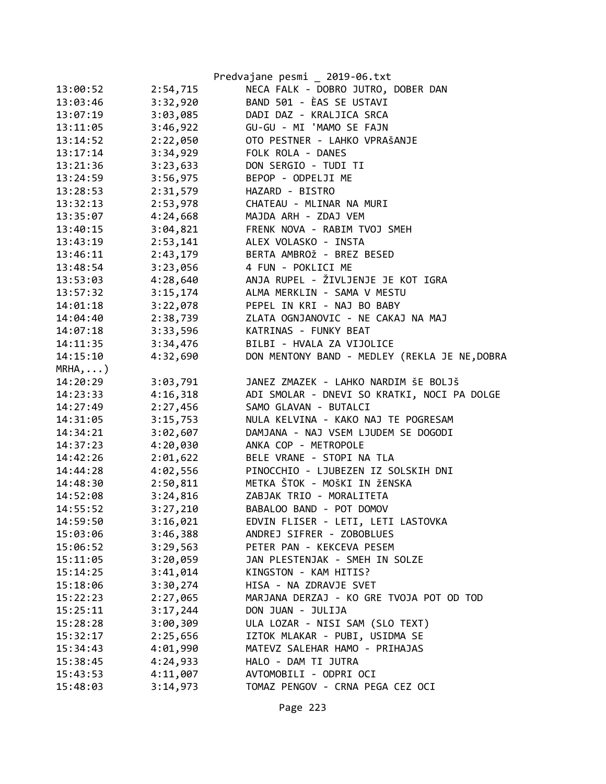|            |          | Predvajane pesmi _ 2019-06.txt                |
|------------|----------|-----------------------------------------------|
| 13:00:52   | 2:54,715 | NECA FALK - DOBRO JUTRO, DOBER DAN            |
| 13:03:46   | 3:32,920 | BAND 501 - ÈAS SE USTAVI                      |
| 13:07:19   | 3:03,085 | DADI DAZ - KRALJICA SRCA                      |
| 13:11:05   | 3:46,922 | GU-GU - MI 'MAMO SE FAJN                      |
| 13:14:52   | 2:22,050 | OTO PESTNER - LAHKO VPRAŠANJE                 |
| 13:17:14   | 3:34,929 | FOLK ROLA - DANES                             |
| 13:21:36   | 3:23,633 | DON SERGIO - TUDI TI                          |
| 13:24:59   | 3:56,975 | BEPOP - ODPELJI ME                            |
| 13:28:53   | 2:31,579 | HAZARD - BISTRO                               |
| 13:32:13   | 2:53,978 | CHATEAU - MLINAR NA MURI                      |
| 13:35:07   | 4:24,668 | MAJDA ARH - ZDAJ VEM                          |
| 13:40:15   | 3:04,821 | FRENK NOVA - RABIM TVOJ SMEH                  |
| 13:43:19   | 2:53,141 | ALEX VOLASKO - INSTA                          |
| 13:46:11   | 2:43,179 | BERTA AMBROŽ - BREZ BESED                     |
| 13:48:54   | 3:23,056 | 4 FUN - POKLICI ME                            |
| 13:53:03   | 4:28,640 | ANJA RUPEL - ŽIVLJENJE JE KOT IGRA            |
| 13:57:32   | 3:15,174 | ALMA MERKLIN - SAMA V MESTU                   |
| 14:01:18   | 3:22,078 | PEPEL IN KRI - NAJ BO BABY                    |
| 14:04:40   | 2:38,739 | ZLATA OGNJANOVIC - NE CAKAJ NA MAJ            |
| 14:07:18   | 3:33,596 | KATRINAS - FUNKY BEAT                         |
| 14:11:35   | 3:34,476 | BILBI - HVALA ZA VIJOLICE                     |
| 14:15:10   | 4:32,690 | DON MENTONY BAND - MEDLEY (REKLA JE NE, DOBRA |
| $MRHA$ , ) |          |                                               |
| 14:20:29   | 3:03,791 | JANEZ ZMAZEK - LAHKO NARDIM ŠE BOLJŠ          |
| 14:23:33   | 4:16,318 | ADI SMOLAR - DNEVI SO KRATKI, NOCI PA DOLGE   |
| 14:27:49   | 2:27,456 | SAMO GLAVAN - BUTALCI                         |
| 14:31:05   | 3:15,753 | NULA KELVINA - KAKO NAJ TE POGRESAM           |
| 14:34:21   | 3:02,607 | DAMJANA - NAJ VSEM LJUDEM SE DOGODI           |
| 14:37:23   | 4:20,030 | ANKA COP - METROPOLE                          |
| 14:42:26   | 2:01,622 | BELE VRANE - STOPI NA TLA                     |
| 14:44:28   | 4:02,556 | PINOCCHIO - LJUBEZEN IZ SOLSKIH DNI           |
| 14:48:30   | 2:50,811 | METKA ŠTOK - MOŠKI IN ŽENSKA                  |
| 14:52:08   | 3:24,816 | ZABJAK TRIO - MORALITETA                      |
| 14:55:52   | 3:27,210 | BABALOO BAND - POT DOMOV                      |
| 14:59:50   | 3:16,021 | EDVIN FLISER - LETI, LETI LASTOVKA            |
| 15:03:06   | 3:46,388 | ANDREJ SIFRER - ZOBOBLUES                     |
| 15:06:52   | 3:29,563 | PETER PAN - KEKCEVA PESEM                     |
| 15:11:05   | 3:20,059 | JAN PLESTENJAK - SMEH IN SOLZE                |
| 15:14:25   | 3:41,014 | KINGSTON - KAM HITIS?                         |
| 15:18:06   | 3:30,274 | HISA - NA ZDRAVJE SVET                        |
| 15:22:23   | 2:27,065 | MARJANA DERZAJ - KO GRE TVOJA POT OD TOD      |
| 15:25:11   | 3:17,244 | DON JUAN - JULIJA                             |
| 15:28:28   | 3:00,309 | ULA LOZAR - NISI SAM (SLO TEXT)               |
| 15:32:17   | 2:25,656 | IZTOK MLAKAR - PUBI, USIDMA SE                |
| 15:34:43   | 4:01,990 | MATEVZ SALEHAR HAMO - PRIHAJAS                |
| 15:38:45   | 4:24,933 | HALO - DAM TI JUTRA                           |
| 15:43:53   | 4:11,007 | AVTOMOBILI - ODPRI OCI                        |
| 15:48:03   | 3:14,973 | TOMAZ PENGOV - CRNA PEGA CEZ OCI              |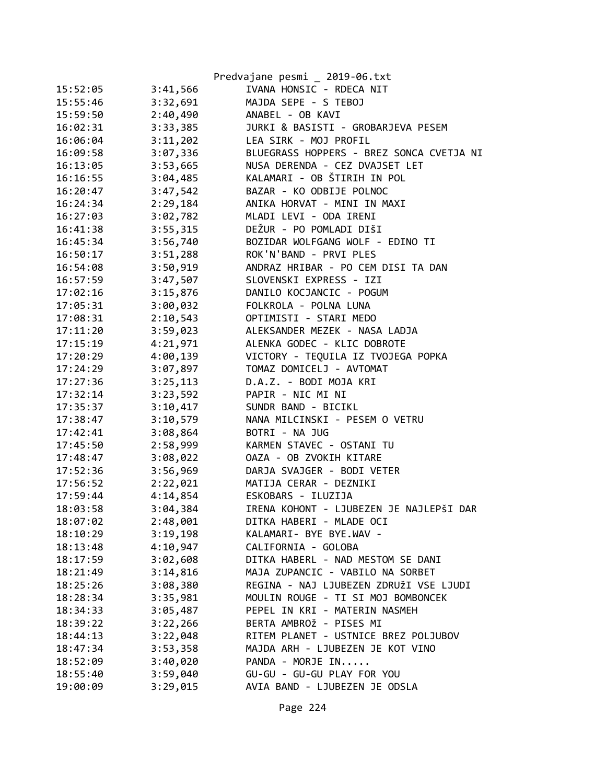|          |          | Predvajane pesmi _ 2019-06.txt           |
|----------|----------|------------------------------------------|
| 15:52:05 | 3:41,566 | IVANA HONSIC - RDECA NIT                 |
| 15:55:46 | 3:32,691 | MAJDA SEPE - S TEBOJ                     |
| 15:59:50 | 2:40,490 | ANABEL - OB KAVI                         |
| 16:02:31 | 3:33,385 | JURKI & BASISTI - GROBARJEVA PESEM       |
| 16:06:04 | 3:11,202 | LEA SIRK - MOJ PROFIL                    |
| 16:09:58 | 3:07,336 | BLUEGRASS HOPPERS - BREZ SONCA CVETJA NI |
| 16:13:05 | 3:53,665 | NUSA DERENDA - CEZ DVAJSET LET           |
| 16:16:55 | 3:04,485 | KALAMARI - OB ŠTIRIH IN POL              |
| 16:20:47 | 3:47,542 | BAZAR - KO ODBIJE POLNOC                 |
| 16:24:34 | 2:29,184 | ANIKA HORVAT - MINI IN MAXI              |
| 16:27:03 | 3:02,782 | MLADI LEVI - ODA IRENI                   |
| 16:41:38 | 3:55,315 | DEŽUR - PO POMLADI DIŠI                  |
| 16:45:34 | 3:56,740 | BOZIDAR WOLFGANG WOLF - EDINO TI         |
| 16:50:17 | 3:51,288 | ROK'N'BAND - PRVI PLES                   |
| 16:54:08 | 3:50,919 | ANDRAZ HRIBAR - PO CEM DISI TA DAN       |
| 16:57:59 | 3:47,507 | SLOVENSKI EXPRESS - IZI                  |
| 17:02:16 | 3:15,876 | DANILO KOCJANCIC - POGUM                 |
| 17:05:31 | 3:00,032 | FOLKROLA - POLNA LUNA                    |
| 17:08:31 | 2:10,543 | OPTIMISTI - STARI MEDO                   |
| 17:11:20 | 3:59,023 | ALEKSANDER MEZEK - NASA LADJA            |
| 17:15:19 | 4:21,971 | ALENKA GODEC - KLIC DOBROTE              |
| 17:20:29 | 4:00,139 | VICTORY - TEQUILA IZ TVOJEGA POPKA       |
| 17:24:29 | 3:07,897 | TOMAZ DOMICELJ - AVTOMAT                 |
| 17:27:36 | 3:25,113 | D.A.Z. - BODI MOJA KRI                   |
| 17:32:14 | 3:23,592 | PAPIR - NIC MI NI                        |
| 17:35:37 | 3:10,417 | SUNDR BAND - BICIKL                      |
| 17:38:47 | 3:10,579 | NANA MILCINSKI - PESEM O VETRU           |
| 17:42:41 | 3:08,864 | BOTRI - NA JUG                           |
| 17:45:50 | 2:58,999 | KARMEN STAVEC - OSTANI TU                |
| 17:48:47 | 3:08,022 | OAZA - OB ZVOKIH KITARE                  |
| 17:52:36 | 3:56,969 | DARJA SVAJGER - BODI VETER               |
| 17:56:52 | 2:22,021 | MATIJA CERAR - DEZNIKI                   |
| 17:59:44 | 4:14,854 | ESKOBARS - ILUZIJA                       |
| 18:03:58 | 3:04,384 | IRENA KOHONT - LJUBEZEN JE NAJLEPŠI DAR  |
| 18:07:02 | 2:48,001 | DITKA HABERI - MLADE OCI                 |
| 18:10:29 | 3:19,198 | KALAMARI- BYE BYE.WAV -                  |
| 18:13:48 | 4:10,947 | CALIFORNIA - GOLOBA                      |
| 18:17:59 | 3:02,608 | DITKA HABERL - NAD MESTOM SE DANI        |
| 18:21:49 | 3:14,816 | MAJA ZUPANCIC - VABILO NA SORBET         |
| 18:25:26 | 3:08,380 | REGINA - NAJ LJUBEZEN ZDRUŽI VSE LJUDI   |
| 18:28:34 | 3:35,981 | MOULIN ROUGE - TI SI MOJ BOMBONCEK       |
| 18:34:33 | 3:05,487 | PEPEL IN KRI - MATERIN NASMEH            |
| 18:39:22 | 3:22,266 | BERTA AMBROŽ - PISES MI                  |
| 18:44:13 | 3:22,048 | RITEM PLANET - USTNICE BREZ POLJUBOV     |
| 18:47:34 | 3:53,358 | MAJDA ARH - LJUBEZEN JE KOT VINO         |
| 18:52:09 | 3:40,020 | PANDA - MORJE IN                         |
| 18:55:40 | 3:59,040 | GU-GU - GU-GU PLAY FOR YOU               |
| 19:00:09 | 3:29,015 | AVIA BAND - LJUBEZEN JE ODSLA            |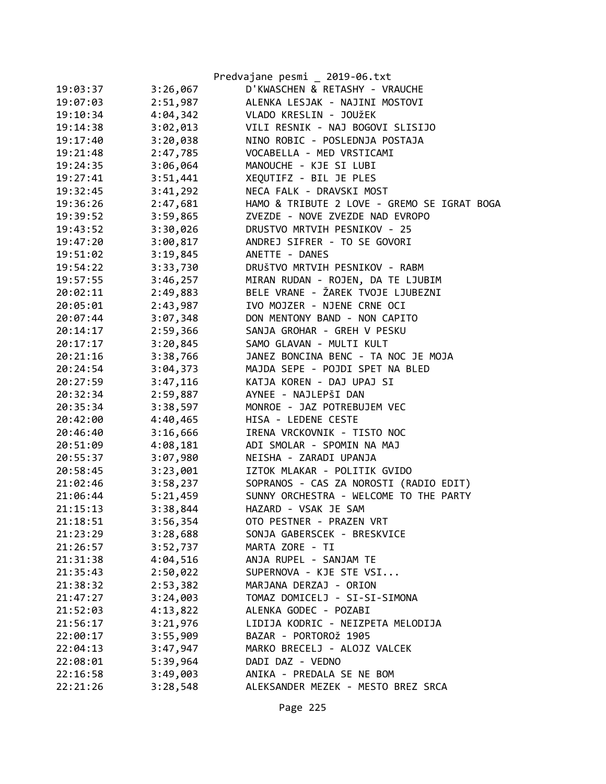|          |          | Predvajane pesmi _ 2019-06.txt              |
|----------|----------|---------------------------------------------|
| 19:03:37 | 3:26,067 | D'KWASCHEN & RETASHY - VRAUCHE              |
| 19:07:03 | 2:51,987 | ALENKA LESJAK - NAJINI MOSTOVI              |
| 19:10:34 | 4:04,342 | VLADO KRESLIN - JOUŽEK                      |
| 19:14:38 | 3:02,013 | VILI RESNIK - NAJ BOGOVI SLISIJO            |
| 19:17:40 | 3:20,038 | NINO ROBIC - POSLEDNJA POSTAJA              |
| 19:21:48 | 2:47,785 | VOCABELLA - MED VRSTICAMI                   |
| 19:24:35 | 3:06,064 | MANOUCHE - KJE SI LUBI                      |
| 19:27:41 | 3:51,441 | XEQUTIFZ - BIL JE PLES                      |
| 19:32:45 | 3:41,292 | NECA FALK - DRAVSKI MOST                    |
| 19:36:26 | 2:47,681 | HAMO & TRIBUTE 2 LOVE - GREMO SE IGRAT BOGA |
| 19:39:52 | 3:59,865 | ZVEZDE - NOVE ZVEZDE NAD EVROPO             |
| 19:43:52 | 3:30,026 | DRUSTVO MRTVIH PESNIKOV - 25                |
| 19:47:20 | 3:00,817 | ANDREJ SIFRER - TO SE GOVORI                |
| 19:51:02 | 3:19,845 | ANETTE - DANES                              |
| 19:54:22 | 3:33,730 | DRUŠTVO MRTVIH PESNIKOV - RABM              |
| 19:57:55 | 3:46,257 | MIRAN RUDAN - ROJEN, DA TE LJUBIM           |
| 20:02:11 | 2:49,883 | BELE VRANE - ŽAREK TVOJE LJUBEZNI           |
| 20:05:01 | 2:43,987 | IVO MOJZER - NJENE CRNE OCI                 |
| 20:07:44 | 3:07,348 | DON MENTONY BAND - NON CAPITO               |
| 20:14:17 | 2:59,366 | SANJA GROHAR - GREH V PESKU                 |
| 20:17:17 | 3:20,845 | SAMO GLAVAN - MULTI KULT                    |
| 20:21:16 | 3:38,766 | JANEZ BONCINA BENC - TA NOC JE MOJA         |
| 20:24:54 | 3:04,373 | MAJDA SEPE - POJDI SPET NA BLED             |
| 20:27:59 | 3:47,116 | KATJA KOREN - DAJ UPAJ SI                   |
| 20:32:34 | 2:59,887 | AYNEE - NAJLEPŠI DAN                        |
| 20:35:34 | 3:38,597 | MONROE - JAZ POTREBUJEM VEC                 |
| 20:42:00 | 4:40,465 | HISA - LEDENE CESTE                         |
| 20:46:40 | 3:16,666 | IRENA VRCKOVNIK - TISTO NOC                 |
| 20:51:09 | 4:08,181 | ADI SMOLAR - SPOMIN NA MAJ                  |
| 20:55:37 | 3:07,980 | NEISHA - ZARADI UPANJA                      |
| 20:58:45 | 3:23,001 | IZTOK MLAKAR - POLITIK GVIDO                |
| 21:02:46 | 3:58,237 | SOPRANOS - CAS ZA NOROSTI (RADIO EDIT)      |
| 21:06:44 | 5:21,459 | SUNNY ORCHESTRA - WELCOME TO THE PARTY      |
| 21:15:13 | 3:38,844 | HAZARD - VSAK JE SAM                        |
| 21:18:51 | 3:56,354 | OTO PESTNER - PRAZEN VRT                    |
| 21:23:29 | 3:28,688 | SONJA GABERSCEK - BRESKVICE                 |
| 21:26:57 | 3:52,737 | MARTA ZORE - TI                             |
| 21:31:38 | 4:04,516 | ANJA RUPEL - SANJAM TE                      |
| 21:35:43 | 2:50,022 | SUPERNOVA - KJE STE VSI                     |
| 21:38:32 | 2:53,382 | MARJANA DERZAJ - ORION                      |
| 21:47:27 | 3:24,003 | TOMAZ DOMICELJ - SI-SI-SIMONA               |
| 21:52:03 | 4:13,822 | ALENKA GODEC - POZABI                       |
| 21:56:17 | 3:21,976 | LIDIJA KODRIC - NEIZPETA MELODIJA           |
| 22:00:17 | 3:55,909 | BAZAR - PORTOROŽ 1905                       |
| 22:04:13 | 3:47,947 | MARKO BRECELJ - ALOJZ VALCEK                |
| 22:08:01 | 5:39,964 | DADI DAZ - VEDNO                            |
| 22:16:58 | 3:49,003 | ANIKA - PREDALA SE NE BOM                   |
| 22:21:26 | 3:28,548 | ALEKSANDER MEZEK - MESTO BREZ SRCA          |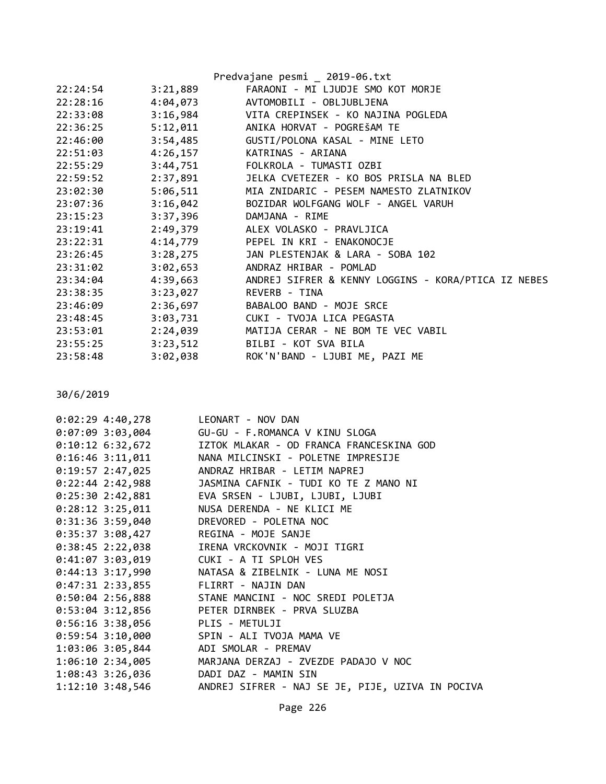|          |          | Predvajane pesmi _ 2019-06.txt                               |
|----------|----------|--------------------------------------------------------------|
| 22:24:54 | 3:21,889 | FARAONI - MI LJUDJE SMO KOT MORJE                            |
| 22:28:16 |          | 4:04,073 AVTOMOBILI - OBLJUBLJENA                            |
| 22:33:08 |          | 3:16,984 VITA CREPINSEK - KO NAJINA POGLEDA                  |
| 22:36:25 |          | 5:12,011 ANIKA HORVAT - POGREŠAM TE                          |
| 22:46:00 |          | 3:54,485 GUSTI/POLONA KASAL - MINE LETO                      |
| 22:51:03 |          | 4:26,157 KATRINAS - ARIANA                                   |
| 22:55:29 |          | 3:44,751 FOLKROLA - TUMASTI OZBI                             |
| 22:59:52 |          | 2:37,891 JELKA CVETEZER - KO BOS PRISLA NA BLED              |
| 23:02:30 |          | 5:06,511 MIA ZNIDARIC - PESEM NAMESTO ZLATNIKOV              |
| 23:07:36 |          | 3:16,042 BOZIDAR WOLFGANG WOLF - ANGEL VARUH                 |
| 23:15:23 |          | 3:37,396 DAMJANA - RIME                                      |
| 23:19:41 |          | 2:49,379 ALEX VOLASKO - PRAVLJICA                            |
| 23:22:31 |          | 4:14,779 PEPEL IN KRI - ENAKONOCJE                           |
| 23:26:45 |          | 3:28,275 JAN PLESTENJAK & LARA - SOBA 102                    |
| 23:31:02 |          | 3:02,653 ANDRAZ HRIBAR - POMLAD                              |
| 23:34:04 |          | 4:39,663 ANDREJ SIFRER & KENNY LOGGINS - KORA/PTICA IZ NEBES |
| 23:38:35 |          | 3:23,027 REVERB - TINA                                       |
| 23:46:09 |          | 2:36,697 BABALOO BAND - MOJE SRCE                            |
| 23:48:45 |          | 3:03,731 CUKI - TVOJA LICA PEGASTA                           |
| 23:53:01 |          | 2:24,039 MATIJA CERAR - NE BOM TE VEC VABIL                  |
| 23:55:25 |          | 3:23,512 BILBI - KOT SVA BILA                                |
| 23:58:48 |          | 3:02,038 ROK'N'BAND - LJUBI ME, PAZI ME                      |

30/6/2019

| 0:02:29 4:40,278 LEONART - NOV DAN      |                                                                   |
|-----------------------------------------|-------------------------------------------------------------------|
|                                         | 0:07:09 3:03,004 GU-GU - F.ROMANCA V KINU SLOGA                   |
|                                         | 0:10:12 6:32,672 IZTOK MLAKAR - OD FRANCA FRANCESKINA GOD         |
|                                         | 0:16:46 3:11,011 NANA MILCINSKI - POLETNE IMPRESIJE               |
| $0:19:57$ 2:47,025                      | ANDRAZ HRIBAR - LETIM NAPREJ                                      |
|                                         |                                                                   |
|                                         | 0:25:30 2:42,881 EVA SRSEN - LJUBI, LJUBI, LJUBI                  |
| $0:28:12$ 3:25,011                      | NUSA DERENDA - NE KLICI ME                                        |
| 0:31:36 3:59,040 DREVORED - POLETNA NOC |                                                                   |
| 0:35:37 3:08,427 REGINA - MOJE SANJE    |                                                                   |
|                                         | 0:38:45 2:22,038 IRENA VRCKOVNIK - MOJI TIGRI                     |
| 0:41:07 3:03,019 CUKI - A TI SPLOH VES  |                                                                   |
|                                         | 0:44:13 3:17,990 NATASA & ZIBELNIK - LUNA ME NOSI                 |
| 0:47:31 2:33,855 FLIRRT - NAJIN DAN     |                                                                   |
|                                         | 0:50:04 2:56,888 STANE MANCINI - NOC SREDI POLETJA                |
|                                         | 0:53:04 3:12,856 PETER DIRNBEK - PRVA SLUZBA                      |
| 0:56:16 3:38,056 PLIS - METULJI         |                                                                   |
|                                         | 0:59:54 3:10,000 SPIN - ALI TVOJA MAMA VE                         |
| 1:03:06 3:05,844 ADI SMOLAR - PREMAV    |                                                                   |
|                                         | 1:06:10 2:34,005 MARJANA DERZAJ - ZVEZDE PADAJO V NOC             |
| 1:08:43 3:26,036 DADI DAZ - MAMIN SIN   |                                                                   |
|                                         | 1:12:10 3:48,546 ANDREJ SIFRER - NAJ SE JE, PIJE, UZIVA IN POCIVA |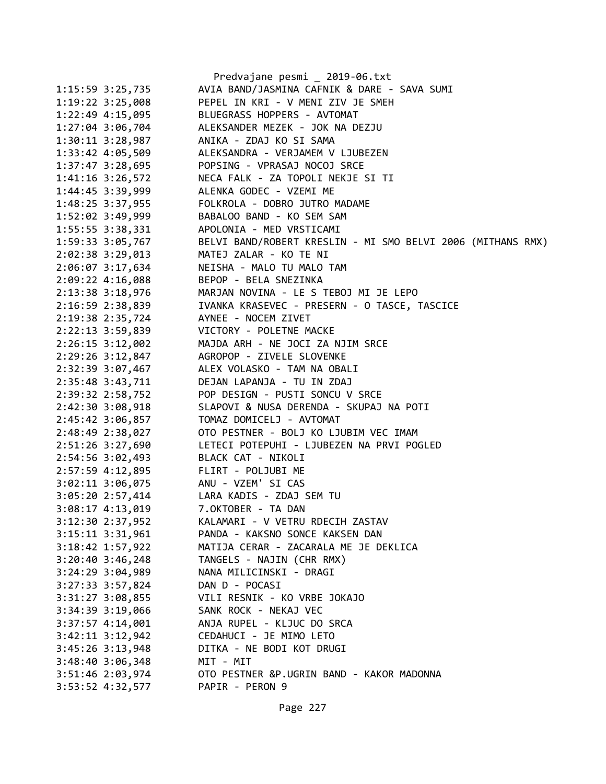|                                     | Predvajane pesmi _ 2019-06.txt                              |
|-------------------------------------|-------------------------------------------------------------|
| 1:15:59 3:25,735                    | AVIA BAND/JASMINA CAFNIK & DARE - SAVA SUMI                 |
| 1:19:22 3:25,008                    | PEPEL IN KRI - V MENI ZIV JE SMEH                           |
| $1:22:49$ 4:15,095                  | BLUEGRASS HOPPERS - AVTOMAT                                 |
| 1:27:04 3:06,704                    | ALEKSANDER MEZEK - JOK NA DEZJU                             |
| $1:30:11$ $3:28,987$                | ANIKA - ZDAJ KO SI SAMA                                     |
| 1:33:42 4:05,509                    | ALEKSANDRA - VERJAMEM V LJUBEZEN                            |
| $1:37:47$ $3:28,695$                | POPSING - VPRASAJ NOCOJ SRCE                                |
| 1:41:16 3:26,572                    | NECA FALK - ZA TOPOLI NEKJE SI TI                           |
| 1:44:45 3:39,999                    | ALENKA GODEC - VZEMI ME                                     |
| 1:48:25 3:37,955                    | FOLKROLA - DOBRO JUTRO MADAME                               |
| 1:52:02 3:49,999                    | BABALOO BAND - KO SEM SAM                                   |
| 1:55:55 3:38,331                    | APOLONIA - MED VRSTICAMI                                    |
| 1:59:33 3:05,767                    | BELVI BAND/ROBERT KRESLIN - MI SMO BELVI 2006 (MITHANS RMX) |
| 2:02:38 3:29,013                    | MATEJ ZALAR - KO TE NI                                      |
| 2:06:07 3:17,634                    | NEISHA - MALO TU MALO TAM                                   |
| 2:09:22 4:16,088                    | BEPOP - BELA SNEZINKA                                       |
| 2:13:38 3:18,976                    | MARJAN NOVINA - LE S TEBOJ MI JE LEPO                       |
| 2:16:59 2:38,839                    | IVANKA KRASEVEC - PRESERN - O TASCE, TASCICE                |
| 2:19:38 2:35,724                    | AYNEE - NOCEM ZIVET                                         |
|                                     | 2:22:13 3:59,839 VICTORY - POLETNE MACKE                    |
| 2:26:15 3:12,002                    | MAJDA ARH - NE JOCI ZA NJIM SRCE                            |
| 2:29:26 3:12,847                    | AGROPOP - ZIVELE SLOVENKE                                   |
| 2:32:39 3:07,467                    | ALEX VOLASKO - TAM NA OBALI                                 |
| 2:35:48 3:43,711                    | DEJAN LAPANJA - TU IN ZDAJ                                  |
| 2:39:32 2:58,752                    | POP DESIGN - PUSTI SONCU V SRCE                             |
| 2:42:30 3:08,918                    | SLAPOVI & NUSA DERENDA - SKUPAJ NA POTI                     |
| 2:45:42 3:06,857                    | TOMAZ DOMICELJ - AVTOMAT                                    |
| 2:48:49 2:38,027                    | OTO PESTNER - BOLJ KO LJUBIM VEC IMAM                       |
| 2:51:26 3:27,690                    | LETECI POTEPUHI - LJUBEZEN NA PRVI POGLED                   |
| 2:54:56 3:02,493                    | BLACK CAT - NIKOLI                                          |
| 2:57:59 4:12,895                    | FLIRT - POLJUBI ME                                          |
| 3:02:11 3:06,075 ANU - VZEM' SI CAS |                                                             |
|                                     | 3:05:20 2:57,414 LARA KADIS - ZDAJ SEM TU                   |
| 3:08:17 4:13,019                    | 7.OKTOBER - TA DAN                                          |
| 3:12:30 2:37,952                    | KALAMARI - V VETRU RDECIH ZASTAV                            |
| 3:15:11 3:31,961                    | PANDA - KAKSNO SONCE KAKSEN DAN                             |
| 3:18:42 1:57,922                    | MATIJA CERAR - ZACARALA ME JE DEKLICA                       |
| $3:20:40$ $3:46,248$                | TANGELS - NAJIN (CHR RMX)                                   |
| 3:24:29 3:04,989                    | NANA MILICINSKI - DRAGI                                     |
|                                     |                                                             |
| 3:27:33 3:57,824                    | DAN D - POCASI                                              |
| 3:31:27 3:08,855                    | VILI RESNIK - KO VRBE JOKAJO                                |
| 3:34:39 3:19,066                    | SANK ROCK - NEKAJ VEC<br>ANJA RUPEL - KLJUC DO SRCA         |
| $3:37:57$ 4:14,001                  |                                                             |
| $3:42:11$ $3:12,942$                | CEDAHUCI - JE MIMO LETO                                     |
| 3:45:26 3:13,948                    | DITKA - NE BODI KOT DRUGI                                   |
| $3:48:40$ $3:06,348$                | MIT - MIT                                                   |
| 3:51:46 2:03,974                    | OTO PESTNER &P.UGRIN BAND - KAKOR MADONNA                   |
| 3:53:52 4:32,577                    | PAPIR - PERON 9                                             |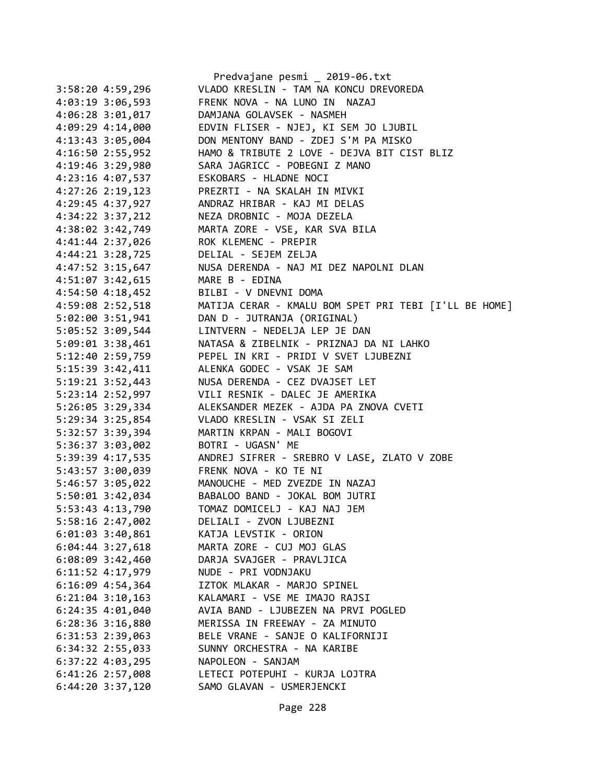|                      | Predvajane pesmi _ 2019-06.txt                        |
|----------------------|-------------------------------------------------------|
| 3:58:204:59,296      | VLADO KRESLIN - TAM NA KONCU DREVOREDA                |
| 4:03:19 3:06,593     | FRENK NOVA - NA LUNO IN NAZAJ                         |
| $4:06:28$ 3:01,017   | DAMJANA GOLAVSEK - NASMEH                             |
| 4:09:29 4:14,000     | EDVIN FLISER - NJEJ, KI SEM JO LJUBIL                 |
| 4:13:43 3:05,004     | DON MENTONY BAND - ZDEJ S'M PA MISKO                  |
| 4:16:50 2:55,952     | HAMO & TRIBUTE 2 LOVE - DEJVA BIT CIST BLIZ           |
| 4:19:46 3:29,980     | SARA JAGRICC - POBEGNI Z MANO                         |
| 4:23:16 4:07,537     | ESKOBARS - HLADNE NOCI                                |
| $4:27:26$ 2:19,123   | PREZRTI - NA SKALAH IN MIVKI                          |
| 4:29:45 4:37,927     | ANDRAZ HRIBAR - KAJ MI DELAS                          |
| $4:34:22$ $3:37,212$ | NEZA DROBNIC - MOJA DEZELA                            |
| 4:38:02 3:42,749     | MARTA ZORE - VSE, KAR SVA BILA                        |
| 4:41:44 2:37,026     | ROK KLEMENC - PREPIR                                  |
| $4:44:21$ $3:28,725$ | DELIAL - SEJEM ZELJA                                  |
| $4:47:52$ 3:15,647   | NUSA DERENDA - NAJ MI DEZ NAPOLNI DLAN                |
| 4:51:07 3:42,615     | MARE B - EDINA                                        |
| 4:54:50 4:18,452     | BILBI - V DNEVNI DOMA                                 |
| 4:59:08 2:52,518     | MATIJA CERAR - KMALU BOM SPET PRI TEBI [I'LL BE HOME] |
| $5:02:00$ $3:51,941$ | DAN D - JUTRANJA (ORIGINAL)                           |
| 5:05:52 3:09,544     | LINTVERN - NEDELJA LEP JE DAN                         |
| 5:09:01 3:38,461     | NATASA & ZIBELNIK - PRIZNAJ DA NI LAHKO               |
| 5:12:40 2:59,759     | PEPEL IN KRI - PRIDI V SVET LJUBEZNI                  |
| 5:15:39 3:42,411     | ALENKA GODEC - VSAK JE SAM                            |
| 5:19:21 3:52,443     | NUSA DERENDA - CEZ DVAJSET LET                        |
| 5:23:14 2:52,997     | VILI RESNIK - DALEC JE AMERIKA                        |
| 5:26:05 3:29,334     | ALEKSANDER MEZEK - AJDA PA ZNOVA CVETI                |
| 5:29:34 3:25,854     | VLADO KRESLIN - VSAK SI ZELI                          |
| 5:32:57 3:39,394     | MARTIN KRPAN - MALI BOGOVI                            |
| 5:36:37 3:03,002     | BOTRI - UGASN' ME                                     |
| 5:39:39 4:17,535     | ANDREJ SIFRER - SREBRO V LASE, ZLATO V ZOBE           |
| 5:43:57 3:00,039     | FRENK NOVA - KO TE NI                                 |
| 5:46:57 3:05,022     | MANOUCHE - MED ZVEZDE IN NAZAJ                        |
| 5:50:01 3:42,034     | BABALOO BAND - JOKAL BOM JUTRI                        |
| 5:53:43 4:13,790     | TOMAZ DOMICELJ - KAJ NAJ JEM                          |
| 5:58:16 2:47,002     | DELIALI - ZVON LJUBEZNI                               |
| $6:01:03$ 3:40,861   | KATJA LEVSTIK - ORION                                 |
| $6:04:44$ 3:27,618   | MARTA ZORE - CUJ MOJ GLAS                             |
| 6:08:09 3:42,460     | DARJA SVAJGER - PRAVLJICA                             |
| 6:11:52 4:17,979     | NUDE - PRI VODNJAKU                                   |
| $6:16:09$ 4:54,364   | IZTOK MLAKAR - MARJO SPINEL                           |
| $6:21:04$ 3:10,163   | KALAMARI - VSE ME IMAJO RAJSI                         |
| $6:24:35$ $4:01,040$ | AVIA BAND - LJUBEZEN NA PRVI POGLED                   |
| $6:28:36$ 3:16,880   | MERISSA IN FREEWAY - ZA MINUTO                        |
| 6:31:53 2:39,063     | BELE VRANE - SANJE O KALIFORNIJI                      |
| 6:34:32 2:55,033     | SUNNY ORCHESTRA - NA KARIBE                           |
| $6:37:22$ 4:03,295   | NAPOLEON - SANJAM                                     |
| 6:41:26 2:57,008     | LETECI POTEPUHI - KURJA LOJTRA                        |
| $6:44:20$ 3:37,120   | SAMO GLAVAN - USMERJENCKI                             |
|                      |                                                       |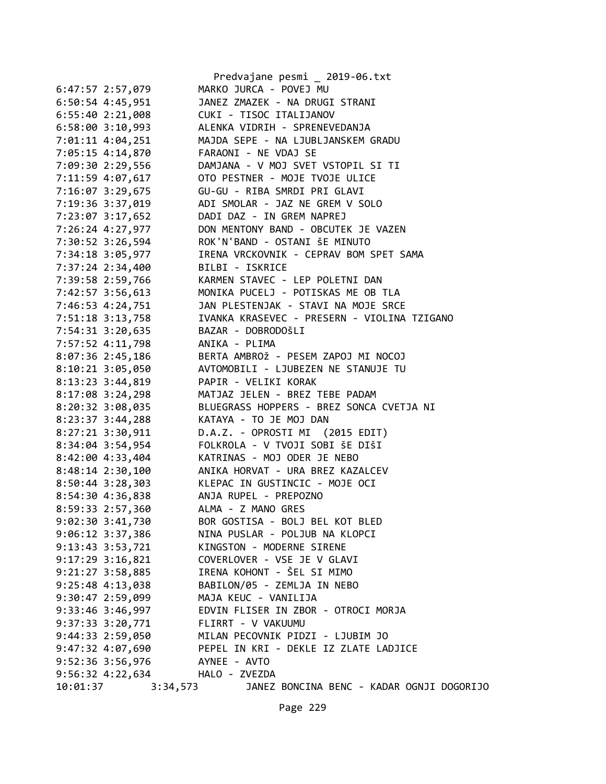|          |                      | Predvajane pesmi _ 2019-06.txt                               |
|----------|----------------------|--------------------------------------------------------------|
|          | 6:47:57 2:57,079     | MARKO JURCA - POVEJ MU                                       |
|          | 6:50:54 4:45,951     | JANEZ ZMAZEK - NA DRUGI STRANI                               |
|          |                      | 6:55:40 2:21,008 CUKI - TISOC ITALIJANOV                     |
|          |                      | 6:58:00 3:10,993 ALENKA VIDRIH - SPRENEVEDANJA               |
|          |                      | 7:01:11 4:04,251 MAJDA SEPE - NA LJUBLJANSKEM GRADU          |
|          |                      | 7:05:15 4:14,870 FARAONI - NE VDAJ SE                        |
|          | 7:09:30 2:29,556     | DAMJANA - V MOJ SVET VSTOPIL SI TI                           |
|          | 7:11:59 4:07,617     | OTO PESTNER - MOJE TVOJE ULICE                               |
|          | 7:16:07 3:29,675     | GU-GU - RIBA SMRDI PRI GLAVI                                 |
|          |                      | 7:19:36 3:37,019 ADI SMOLAR - JAZ NE GREM V SOLO             |
|          |                      | 7:23:07 3:17,652 DADI DAZ - IN GREM NAPREJ                   |
|          |                      | 7:26:24 4:27,977 DON MENTONY BAND - OBCUTEK JE VAZEN         |
|          |                      | 7:30:52 3:26,594 ROK'N'BAND - OSTANI ŠE MINUTO               |
|          | 7:34:18 3:05,977     | IRENA VRCKOVNIK - CEPRAV BOM SPET SAMA                       |
|          | 7:37:24 2:34,400     | BILBI - ISKRICE                                              |
|          |                      | 7:39:58 2:59,766 KARMEN STAVEC - LEP POLETNI DAN             |
|          |                      | 7:42:57 3:56,613 MONIKA PUCELJ - POTISKAS ME OB TLA          |
|          |                      | 7:46:53 4:24,751 JAN PLESTENJAK - STAVI NA MOJE SRCE         |
|          |                      | 7:51:18 3:13,758 IVANKA KRASEVEC - PRESERN - VIOLINA TZIGANO |
|          |                      | 7:54:31 3:20,635 BAZAR - DOBRODOŠLI                          |
|          | 7:57:52 4:11,798     | ANIKA - PLIMA                                                |
|          | $8:07:36$ 2:45,186   |                                                              |
|          |                      |                                                              |
|          | $8:10:21$ 3:05,050   |                                                              |
|          |                      | 8:13:23 3:44,819 PAPIR - VELIKI KORAK                        |
|          |                      | 8:17:08 3:24,298 MATJAZ JELEN - BREZ TEBE PADAM              |
|          |                      | 8:20:32 3:08,035 BLUEGRASS HOPPERS - BREZ SONCA CVETJA NI    |
|          |                      | 8:23:37 3:44,288 KATAYA - TO JE MOJ DAN                      |
|          | 8:27:21 3:30,911     | D.A.Z. - OPROSTI MI (2015 EDIT)                              |
|          | 8:34:04 3:54,954     | FOLKROLA - V TVOJI SOBI ŠE DIŠI                              |
|          | 8:42:00 4:33,404     | KATRINAS - MOJ ODER JE NEBO                                  |
|          |                      | 8:48:14 2:30,100 ANIKA HORVAT - URA BREZ KAZALCEV            |
|          |                      | 8:50:44 3:28,303 KLEPAC IN GUSTINCIC - MOJE OCI              |
|          |                      | 8:54:30 4:36,838 ANJA RUPEL - PREPOZNO                       |
|          | 8:59:33 2:57,360     | ALMA - Z MANO GRES                                           |
|          | 9:02:30 3:41,730     | BOR GOSTISA - BOLJ BEL KOT BLED                              |
|          | $9:06:12$ 3:37,386   | NINA PUSLAR - POLJUB NA KLOPCI                               |
|          | $9:13:43$ $3:53,721$ | KINGSTON - MODERNE SIRENE                                    |
|          | $9:17:29$ $3:16,821$ | COVERLOVER - VSE JE V GLAVI                                  |
|          | $9:21:27$ $3:58,885$ | IRENA KOHONT - ŠEL SI MIMO                                   |
|          | $9:25:48$ $4:13,038$ | BABILON/05 - ZEMLJA IN NEBO                                  |
|          | $9:30:47$ 2:59,099   | MAJA KEUC - VANILIJA                                         |
|          | $9:33:46$ 3:46,997   | EDVIN FLISER IN ZBOR - OTROCI MORJA                          |
|          | $9:37:33$ $3:20,771$ | FLIRRT - V VAKUUMU                                           |
|          | $9:44:33$ $2:59,050$ | MILAN PECOVNIK PIDZI - LJUBIM JO                             |
|          | 9:47:32 4:07,690     | PEPEL IN KRI - DEKLE IZ ZLATE LADJICE                        |
|          | 9:52:36 3:56,976     | AYNEE - AVTO                                                 |
|          |                      | 9:56:32 4:22,634 HALO - ZVEZDA                               |
| 10:01:37 |                      | 3:34,573 JANEZ BONCINA BENC - KADAR OGNJI DOGORIJO           |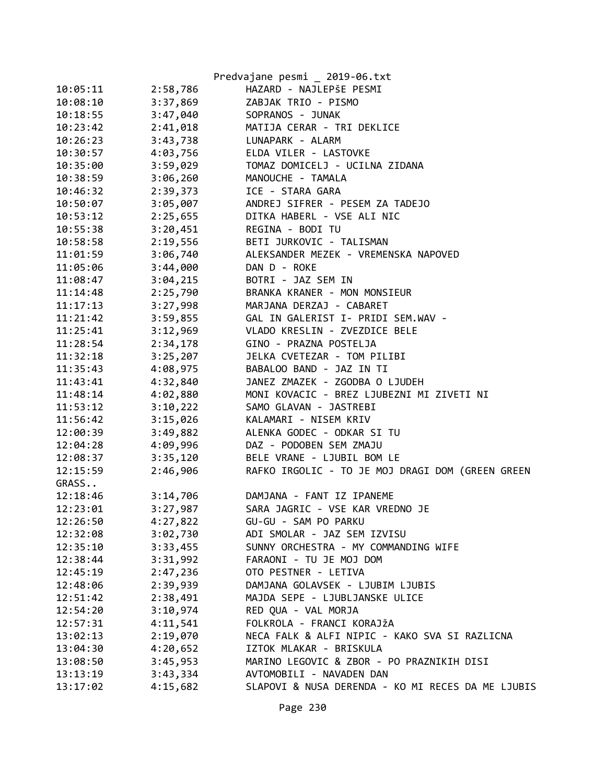|          |          | Predvajane pesmi _ 2019-06.txt                    |
|----------|----------|---------------------------------------------------|
| 10:05:11 | 2:58,786 | HAZARD - NAJLEPŠE PESMI                           |
| 10:08:10 | 3:37,869 | ZABJAK TRIO - PISMO                               |
| 10:18:55 | 3:47,040 | SOPRANOS - JUNAK                                  |
| 10:23:42 | 2:41,018 | MATIJA CERAR - TRI DEKLICE                        |
| 10:26:23 | 3:43,738 | LUNAPARK - ALARM                                  |
| 10:30:57 | 4:03,756 | ELDA VILER - LASTOVKE                             |
| 10:35:00 | 3:59,029 | TOMAZ DOMICELJ - UCILNA ZIDANA                    |
| 10:38:59 | 3:06,260 | MANOUCHE - TAMALA                                 |
| 10:46:32 | 2:39,373 | ICE - STARA GARA                                  |
| 10:50:07 | 3:05,007 | ANDREJ SIFRER - PESEM ZA TADEJO                   |
| 10:53:12 | 2:25,655 | DITKA HABERL - VSE ALI NIC                        |
| 10:55:38 | 3:20,451 | REGINA - BODI TU                                  |
| 10:58:58 | 2:19,556 | BETI JURKOVIC - TALISMAN                          |
| 11:01:59 | 3:06,740 | ALEKSANDER MEZEK - VREMENSKA NAPOVED              |
| 11:05:06 | 3:44,000 | DAN D - ROKE                                      |
| 11:08:47 | 3:04,215 | BOTRI - JAZ SEM IN                                |
| 11:14:48 | 2:25,790 | BRANKA KRANER - MON MONSIEUR                      |
| 11:17:13 | 3:27,998 | MARJANA DERZAJ - CABARET                          |
| 11:21:42 | 3:59,855 | GAL IN GALERIST I- PRIDI SEM.WAV -                |
| 11:25:41 | 3:12,969 | VLADO KRESLIN - ZVEZDICE BELE                     |
| 11:28:54 | 2:34,178 | GINO - PRAZNA POSTELJA                            |
| 11:32:18 | 3:25,207 | JELKA CVETEZAR - TOM PILIBI                       |
| 11:35:43 | 4:08,975 | BABALOO BAND - JAZ IN TI                          |
| 11:43:41 | 4:32,840 | JANEZ ZMAZEK - ZGODBA O LJUDEH                    |
| 11:48:14 | 4:02,880 | MONI KOVACIC - BREZ LJUBEZNI MI ZIVETI NI         |
| 11:53:12 | 3:10,222 | SAMO GLAVAN - JASTREBI                            |
| 11:56:42 | 3:15,026 | KALAMARI - NISEM KRIV                             |
| 12:00:39 | 3:49,882 | ALENKA GODEC - ODKAR SI TU                        |
| 12:04:28 | 4:09,996 | DAZ - PODOBEN SEM ZMAJU                           |
| 12:08:37 | 3:35,120 | BELE VRANE - LJUBIL BOM LE                        |
| 12:15:59 | 2:46,906 | RAFKO IRGOLIC - TO JE MOJ DRAGI DOM (GREEN GREEN  |
| GRASS    |          |                                                   |
| 12:18:46 | 3:14,706 | DAMJANA - FANT IZ IPANEME                         |
| 12:23:01 | 3:27,987 | SARA JAGRIC - VSE KAR VREDNO JE                   |
| 12:26:50 | 4:27,822 | GU-GU - SAM PO PARKU                              |
| 12:32:08 | 3:02,730 | ADI SMOLAR - JAZ SEM IZVISU                       |
| 12:35:10 | 3:33,455 | SUNNY ORCHESTRA - MY COMMANDING WIFE              |
| 12:38:44 | 3:31,992 | FARAONI - TU JE MOJ DOM                           |
| 12:45:19 | 2:47,236 | OTO PESTNER - LETIVA                              |
| 12:48:06 | 2:39,939 | DAMJANA GOLAVSEK - LJUBIM LJUBIS                  |
| 12:51:42 | 2:38,491 | MAJDA SEPE - LJUBLJANSKE ULICE                    |
| 12:54:20 | 3:10,974 | RED QUA - VAL MORJA                               |
| 12:57:31 | 4:11,541 | FOLKROLA - FRANCI KORAJŽA                         |
| 13:02:13 | 2:19,070 | NECA FALK & ALFI NIPIC - KAKO SVA SI RAZLICNA     |
| 13:04:30 | 4:20,652 | IZTOK MLAKAR - BRISKULA                           |
| 13:08:50 | 3:45,953 | MARINO LEGOVIC & ZBOR - PO PRAZNIKIH DISI         |
| 13:13:19 | 3:43,334 | AVTOMOBILI - NAVADEN DAN                          |
| 13:17:02 | 4:15,682 | SLAPOVI & NUSA DERENDA - KO MI RECES DA ME LJUBIS |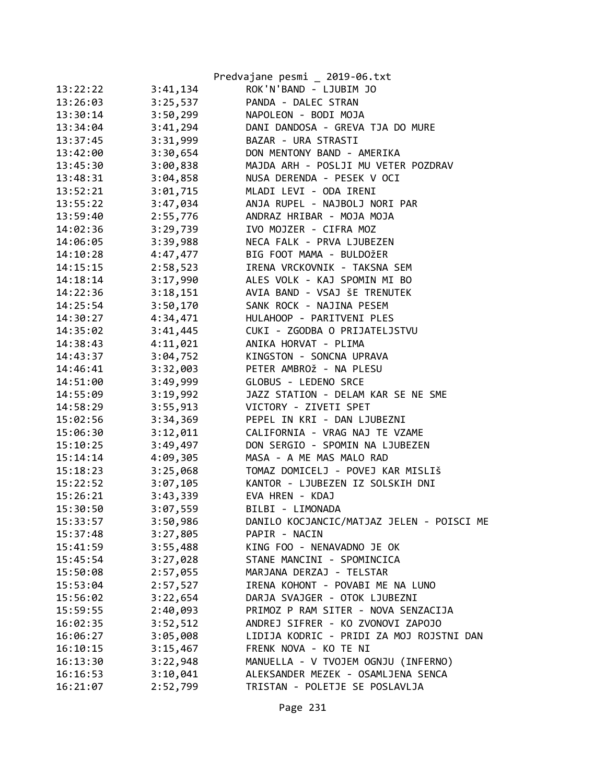|                      | Predvajane pesmi _ 2019-06.txt            |
|----------------------|-------------------------------------------|
| 13:22:22<br>3:41,134 | ROK'N'BAND - LJUBIM JO                    |
| 13:26:03<br>3:25,537 | PANDA - DALEC STRAN                       |
| 13:30:14<br>3:50,299 | NAPOLEON - BODI MOJA                      |
| 3:41,294<br>13:34:04 | DANI DANDOSA - GREVA TJA DO MURE          |
| 3:31,999<br>13:37:45 | BAZAR - URA STRASTI                       |
| 3:30,654<br>13:42:00 | DON MENTONY BAND - AMERIKA                |
| 3:00,838<br>13:45:30 | MAJDA ARH - POSLJI MU VETER POZDRAV       |
| 3:04,858<br>13:48:31 | NUSA DERENDA - PESEK V OCI                |
| 3:01,715<br>13:52:21 | MLADI LEVI - ODA IRENI                    |
| 13:55:22<br>3:47,034 | ANJA RUPEL - NAJBOLJ NORI PAR             |
| 13:59:40<br>2:55,776 | ANDRAZ HRIBAR - MOJA MOJA                 |
| 14:02:36<br>3:29,739 | IVO MOJZER - CIFRA MOZ                    |
| 3:39,988<br>14:06:05 | NECA FALK - PRVA LJUBEZEN                 |
| 4:47,477<br>14:10:28 | BIG FOOT MAMA - BULDOŽER                  |
| 14:15:15<br>2:58,523 | IRENA VRCKOVNIK - TAKSNA SEM              |
| 3:17,990<br>14:18:14 | ALES VOLK - KAJ SPOMIN MI BO              |
| 14:22:36<br>3:18,151 | AVIA BAND - VSAJ ŠE TRENUTEK              |
| 14:25:54<br>3:50,170 | SANK ROCK - NAJINA PESEM                  |
| 4:34,471<br>14:30:27 | HULAHOOP - PARITVENI PLES                 |
| 3:41,445<br>14:35:02 | CUKI - ZGODBA O PRIJATELJSTVU             |
| 4:11,021<br>14:38:43 | ANIKA HORVAT - PLIMA                      |
| 3:04,752<br>14:43:37 | KINGSTON - SONCNA UPRAVA                  |
| 3:32,003<br>14:46:41 | PETER AMBROŽ - NA PLESU                   |
| 3:49,999<br>14:51:00 | GLOBUS - LEDENO SRCE                      |
| 3:19,992<br>14:55:09 | JAZZ STATION - DELAM KAR SE NE SME        |
| 3:55,913<br>14:58:29 | VICTORY - ZIVETI SPET                     |
| 15:02:56<br>3:34,369 | PEPEL IN KRI - DAN LJUBEZNI               |
| 15:06:30<br>3:12,011 | CALIFORNIA - VRAG NAJ TE VZAME            |
| 15:10:25<br>3:49,497 | DON SERGIO - SPOMIN NA LJUBEZEN           |
| 15:14:14<br>4:09,305 | MASA - A ME MAS MALO RAD                  |
| 15:18:23<br>3:25,068 | TOMAZ DOMICELJ - POVEJ KAR MISLIŠ         |
| 15:22:52<br>3:07,105 | KANTOR - LJUBEZEN IZ SOLSKIH DNI          |
| 15:26:21<br>3:43,339 | EVA HREN - KDAJ                           |
| 3:07,559<br>15:30:50 | BILBI - LIMONADA                          |
| 15:33:57<br>3:50,986 | DANILO KOCJANCIC/MATJAZ JELEN - POISCI ME |
| 3:27,805<br>15:37:48 | PAPIR - NACIN                             |
| 3:55,488<br>15:41:59 | KING FOO - NENAVADNO JE OK                |
| 3:27,028<br>15:45:54 | STANE MANCINI - SPOMINCICA                |
| 15:50:08<br>2:57,055 | MARJANA DERZAJ - TELSTAR                  |
| 2:57,527<br>15:53:04 | IRENA KOHONT - POVABI ME NA LUNO          |
| 3:22,654<br>15:56:02 | DARJA SVAJGER - OTOK LJUBEZNI             |
| 2:40,093<br>15:59:55 | PRIMOZ P RAM SITER - NOVA SENZACIJA       |
| 3:52,512<br>16:02:35 | ANDREJ SIFRER - KO ZVONOVI ZAPOJO         |
| 3:05,008<br>16:06:27 | LIDIJA KODRIC - PRIDI ZA MOJ ROJSTNI DAN  |
| 3:15,467<br>16:10:15 | FRENK NOVA - KO TE NI                     |
| 3:22,948<br>16:13:30 | MANUELLA - V TVOJEM OGNJU (INFERNO)       |
| 3:10,041<br>16:16:53 | ALEKSANDER MEZEK - OSAMLJENA SENCA        |
| 2:52,799<br>16:21:07 | TRISTAN - POLETJE SE POSLAVLJA            |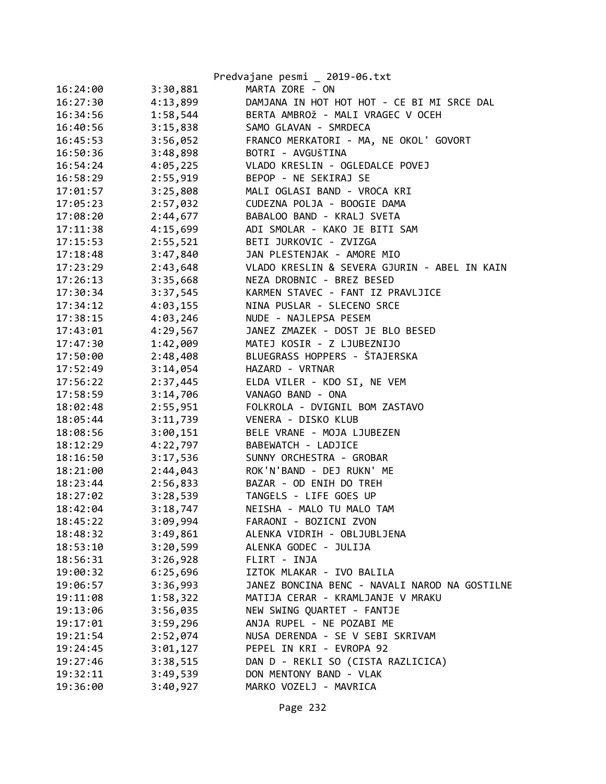|          |          | Predvajane pesmi _ 2019-06.txt                |
|----------|----------|-----------------------------------------------|
| 16:24:00 | 3:30,881 | MARTA ZORE - ON                               |
| 16:27:30 | 4:13,899 | DAMJANA IN HOT HOT HOT - CE BI MI SRCE DAL    |
| 16:34:56 | 1:58,544 | BERTA AMBROŽ - MALI VRAGEC V OCEH             |
| 16:40:56 | 3:15,838 | SAMO GLAVAN - SMRDECA                         |
| 16:45:53 | 3:56,052 | FRANCO MERKATORI - MA, NE OKOL' GOVORT        |
| 16:50:36 | 3:48,898 | BOTRI - AVGUŠTINA                             |
| 16:54:24 | 4:05,225 | VLADO KRESLIN - OGLEDALCE POVEJ               |
| 16:58:29 | 2:55,919 | BEPOP - NE SEKIRAJ SE                         |
| 17:01:57 | 3:25,808 | MALI OGLASI BAND - VROCA KRI                  |
| 17:05:23 | 2:57,032 | CUDEZNA POLJA - BOOGIE DAMA                   |
| 17:08:20 | 2:44,677 | BABALOO BAND - KRALJ SVETA                    |
| 17:11:38 | 4:15,699 | ADI SMOLAR - KAKO JE BITI SAM                 |
| 17:15:53 | 2:55,521 | BETI JURKOVIC - ZVIZGA                        |
| 17:18:48 | 3:47,840 | JAN PLESTENJAK - AMORE MIO                    |
| 17:23:29 | 2:43,648 | VLADO KRESLIN & SEVERA GJURIN - ABEL IN KAIN  |
| 17:26:13 | 3:35,668 | NEZA DROBNIC - BREZ BESED                     |
| 17:30:34 | 3:37,545 | KARMEN STAVEC - FANT IZ PRAVLJICE             |
| 17:34:12 | 4:03,155 | NINA PUSLAR - SLECENO SRCE                    |
| 17:38:15 | 4:03,246 | NUDE - NAJLEPSA PESEM                         |
| 17:43:01 | 4:29,567 | JANEZ ZMAZEK - DOST JE BLO BESED              |
| 17:47:30 | 1:42,009 | MATEJ KOSIR - Z LJUBEZNIJO                    |
| 17:50:00 | 2:48,408 | BLUEGRASS HOPPERS - ŠTAJERSKA                 |
| 17:52:49 | 3:14,054 | HAZARD - VRTNAR                               |
| 17:56:22 | 2:37,445 | ELDA VILER - KDO SI, NE VEM                   |
| 17:58:59 | 3:14,706 | VANAGO BAND - ONA                             |
| 18:02:48 | 2:55,951 | FOLKROLA - DVIGNIL BOM ZASTAVO                |
| 18:05:44 | 3:11,739 | VENERA - DISKO KLUB                           |
| 18:08:56 | 3:00,151 | BELE VRANE - MOJA LJUBEZEN                    |
| 18:12:29 | 4:22,797 | BABEWATCH - LADJICE                           |
| 18:16:50 | 3:17,536 | SUNNY ORCHESTRA - GROBAR                      |
| 18:21:00 | 2:44,043 | ROK'N'BAND - DEJ RUKN' ME                     |
| 18:23:44 | 2:56,833 | BAZAR - OD ENIH DO TREH                       |
| 18:27:02 | 3:28,539 | TANGELS - LIFE GOES UP                        |
| 18:42:04 | 3:18,747 | NEISHA - MALO TU MALO TAM                     |
| 18:45:22 | 3:09,994 | FARAONI - BOZICNI ZVON                        |
| 18:48:32 | 3:49,861 | ALENKA VIDRIH - OBLJUBLJENA                   |
| 18:53:10 | 3:20,599 | ALENKA GODEC - JULIJA                         |
| 18:56:31 | 3:26,928 | FLIRT - INJA                                  |
| 19:00:32 | 6:25,696 | IZTOK MLAKAR - IVO BALILA                     |
| 19:06:57 | 3:36,993 | JANEZ BONCINA BENC - NAVALI NAROD NA GOSTILNE |
| 19:11:08 | 1:58,322 | MATIJA CERAR - KRAMLJANJE V MRAKU             |
| 19:13:06 | 3:56,035 | NEW SWING QUARTET - FANTJE                    |
| 19:17:01 | 3:59,296 | ANJA RUPEL - NE POZABI ME                     |
| 19:21:54 | 2:52,074 | NUSA DERENDA - SE V SEBI SKRIVAM              |
| 19:24:45 | 3:01,127 | PEPEL IN KRI - EVROPA 92                      |
| 19:27:46 | 3:38,515 | DAN D - REKLI SO (CISTA RAZLICICA)            |
| 19:32:11 | 3:49,539 | DON MENTONY BAND - VLAK                       |
| 19:36:00 | 3:40,927 | MARKO VOZELJ - MAVRICA                        |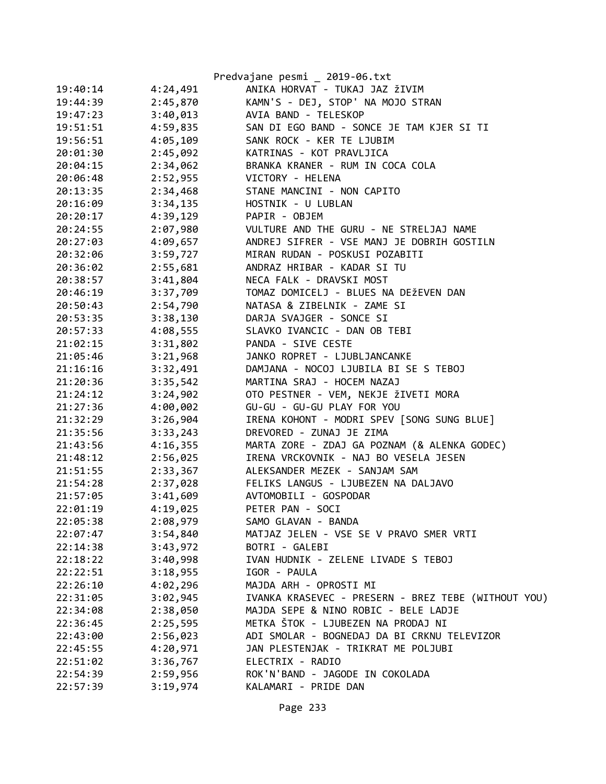|          |          | Predvajane pesmi _ 2019-06.txt                      |
|----------|----------|-----------------------------------------------------|
| 19:40:14 | 4:24,491 | ANIKA HORVAT - TUKAJ JAZ ŽIVIM                      |
| 19:44:39 | 2:45,870 | KAMN'S - DEJ, STOP' NA MOJO STRAN                   |
| 19:47:23 | 3:40,013 | AVIA BAND - TELESKOP                                |
| 19:51:51 | 4:59,835 | SAN DI EGO BAND - SONCE JE TAM KJER SI TI           |
| 19:56:51 | 4:05,109 | SANK ROCK - KER TE LJUBIM                           |
| 20:01:30 | 2:45,092 | KATRINAS - KOT PRAVLJICA                            |
| 20:04:15 | 2:34,062 | BRANKA KRANER - RUM IN COCA COLA                    |
| 20:06:48 | 2:52,955 | VICTORY - HELENA                                    |
| 20:13:35 | 2:34,468 | STANE MANCINI - NON CAPITO                          |
| 20:16:09 | 3:34,135 | HOSTNIK - U LUBLAN                                  |
| 20:20:17 | 4:39,129 | PAPIR - OBJEM                                       |
| 20:24:55 | 2:07,980 | VULTURE AND THE GURU - NE STRELJAJ NAME             |
| 20:27:03 | 4:09,657 | ANDREJ SIFRER - VSE MANJ JE DOBRIH GOSTILN          |
| 20:32:06 | 3:59,727 | MIRAN RUDAN - POSKUSI POZABITI                      |
| 20:36:02 | 2:55,681 | ANDRAZ HRIBAR - KADAR SI TU                         |
| 20:38:57 | 3:41,804 | NECA FALK - DRAVSKI MOST                            |
| 20:46:19 | 3:37,709 | TOMAZ DOMICELJ - BLUES NA DEŽEVEN DAN               |
| 20:50:43 | 2:54,790 | NATASA & ZIBELNIK - ZAME SI                         |
| 20:53:35 | 3:38,130 | DARJA SVAJGER - SONCE SI                            |
| 20:57:33 | 4:08,555 | SLAVKO IVANCIC - DAN OB TEBI                        |
| 21:02:15 | 3:31,802 | PANDA - SIVE CESTE                                  |
| 21:05:46 | 3:21,968 | JANKO ROPRET - LJUBLJANCANKE                        |
| 21:16:16 | 3:32,491 | DAMJANA - NOCOJ LJUBILA BI SE S TEBOJ               |
| 21:20:36 | 3:35,542 | MARTINA SRAJ - HOCEM NAZAJ                          |
| 21:24:12 | 3:24,902 | OTO PESTNER - VEM, NEKJE ŽIVETI MORA                |
| 21:27:36 | 4:00,002 | GU-GU - GU-GU PLAY FOR YOU                          |
| 21:32:29 | 3:26,904 | IRENA KOHONT - MODRI SPEV [SONG SUNG BLUE]          |
| 21:35:56 | 3:33,243 | DREVORED - ZUNAJ JE ZIMA                            |
| 21:43:56 | 4:16,355 | MARTA ZORE - ZDAJ GA POZNAM (& ALENKA GODEC)        |
| 21:48:12 | 2:56,025 | IRENA VRCKOVNIK - NAJ BO VESELA JESEN               |
| 21:51:55 | 2:33,367 | ALEKSANDER MEZEK - SANJAM SAM                       |
| 21:54:28 | 2:37,028 | FELIKS LANGUS - LJUBEZEN NA DALJAVO                 |
| 21:57:05 | 3:41,609 | AVTOMOBILI - GOSPODAR                               |
| 22:01:19 | 4:19,025 | PETER PAN - SOCI                                    |
| 22:05:38 | 2:08,979 | SAMO GLAVAN - BANDA                                 |
| 22:07:47 | 3:54,840 | MATJAZ JELEN - VSE SE V PRAVO SMER VRTI             |
| 22:14:38 | 3:43,972 | BOTRI - GALEBI                                      |
| 22:18:22 | 3:40,998 | IVAN HUDNIK - ZELENE LIVADE S TEBOJ                 |
| 22:22:51 | 3:18,955 | IGOR - PAULA                                        |
| 22:26:10 | 4:02,296 | MAJDA ARH - OPROSTI MI                              |
| 22:31:05 | 3:02,945 | IVANKA KRASEVEC - PRESERN - BREZ TEBE (WITHOUT YOU) |
| 22:34:08 | 2:38,050 | MAJDA SEPE & NINO ROBIC - BELE LADJE                |
| 22:36:45 | 2:25,595 | METKA ŠTOK - LJUBEZEN NA PRODAJ NI                  |
| 22:43:00 | 2:56,023 | ADI SMOLAR - BOGNEDAJ DA BI CRKNU TELEVIZOR         |
| 22:45:55 | 4:20,971 | JAN PLESTENJAK - TRIKRAT ME POLJUBI                 |
| 22:51:02 | 3:36,767 | ELECTRIX - RADIO                                    |
| 22:54:39 | 2:59,956 | ROK'N'BAND - JAGODE IN COKOLADA                     |
| 22:57:39 | 3:19,974 | KALAMARI - PRIDE DAN                                |